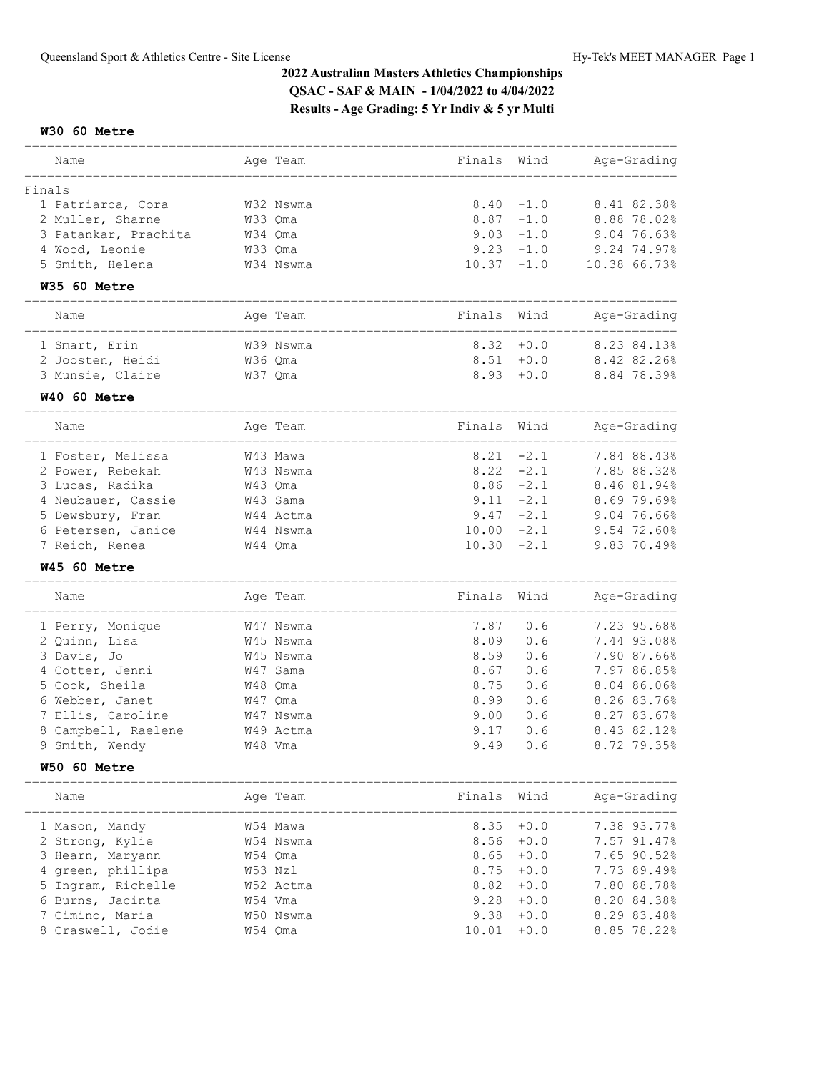### **W30 60 Metre**

| Name                            | Age Team                     | Finals | Wind   | Age-Grading  |
|---------------------------------|------------------------------|--------|--------|--------------|
| Finals                          |                              |        |        |              |
| 1 Patriarca, Cora               | W32 Nswma                    | 8.40   | $-1.0$ | 8.41 82.38%  |
| 2 Muller, Sharne                | W33 Qma                      | 8.87   | $-1.0$ | 8.88 78.02%  |
| 3 Patankar, Prachita            | W34 Qma                      | 9.03   | $-1.0$ | 9.04 76.63%  |
| 4 Wood, Leonie                  | W33 Qma                      | 9.23   | $-1.0$ | 9.24 74.97%  |
| 5 Smith, Helena                 | W34 Nswma                    | 10.37  | $-1.0$ | 10.38 66.73% |
| W35 60 Metre                    |                              |        |        |              |
| ========================        |                              |        |        |              |
| Name<br>=====================   | Age Team<br>================ | Finals | Wind   | Age-Grading  |
| 1 Smart, Erin                   | W39 Nswma                    | 8.32   | $+0.0$ | 8.23 84.13%  |
| 2 Joosten, Heidi                | W36 Qma                      | 8.51   | $+0.0$ | 8.42 82.26%  |
| 3 Munsie, Claire                | W37 Qma                      | 8.93   | $+0.0$ | 8.84 78.39%  |
| W40 60 Metre                    |                              |        |        |              |
| =======================<br>Name | Age Team                     | Finals | Wind   | Age-Grading  |
| 1 Foster, Melissa               | W43 Mawa                     | 8.21   | $-2.1$ | 7.84 88.43%  |
| 2 Power, Rebekah                | W43 Nswma                    | 8.22   | $-2.1$ | 7.85 88.32%  |
| 3 Lucas, Radika                 | W43 Qma                      | 8.86   | $-2.1$ | 8.46 81.94%  |
| 4 Neubauer, Cassie              | W43 Sama                     | 9.11   | $-2.1$ | 8.69 79.69%  |
| 5 Dewsbury, Fran                | W44 Actma                    | 9.47   | $-2.1$ | 9.04 76.66%  |
| 6 Petersen, Janice              | W44 Nswma                    | 10.00  | $-2.1$ | 9.54 72.60%  |
| 7 Reich, Renea                  | W44 Qma                      | 10.30  | $-2.1$ | 9.83 70.49%  |
| W45 60 Metre                    |                              |        |        |              |
| Name                            | Age Team                     | Finals | Wind   | Age-Grading  |
|                                 |                              |        |        |              |
| 1 Perry, Monique                | W47 Nswma                    | 7.87   | 0.6    | 7.23 95.68%  |
| 2 Quinn, Lisa                   | W45 Nswma                    | 8.09   | 0.6    | 7.44 93.08%  |
| 3 Davis, Jo                     | W45 Nswma                    | 8.59   | 0.6    | 7.90 87.66%  |
| 4 Cotter, Jenni                 | W47 Sama                     | 8.67   | 0.6    | 7.97 86.85%  |
| 5 Cook, Sheila                  | W48 Qma                      | 8.75   | 0.6    | 8.04 86.06%  |
| 6 Webber, Janet                 | W47 Qma                      | 8.99   | 0.6    | 8.26 83.76%  |
| 7 Ellis, Caroline               | W47 Nswma                    | 9.00   | 0.6    | 8.27 83.67%  |
| 8 Campbell, Raelene             | W49 Actma                    | 9.17   | 0.6    | 8.43 82.12%  |
| 9 Smith, Wendy                  | W48 Vma                      | 9.49   | 0.6    | 8.72 79.35%  |
| W50 60 Metre                    |                              |        |        |              |
| Name                            | Age Team                     | Finals | Wind   | Age-Grading  |
|                                 |                              |        |        |              |
| 1 Mason, Mandy                  | W54 Mawa                     | 8.35   | $+0.0$ | 7.38 93.77%  |
| 2 Strong, Kylie                 | W54 Nswma                    | 8.56   | $+0.0$ | 7.57 91.47%  |
| 3 Hearn, Maryann                | W54 Qma                      | 8.65   | $+0.0$ | 7.65 90.52%  |
| 4 green, phillipa               | W53 Nzl                      | 8.75   | $+0.0$ | 7.73 89.49%  |
| 5 Ingram, Richelle              | W52 Actma                    | 8.82   | $+0.0$ | 7.80 88.78%  |
| 6 Burns, Jacinta                | W54 Vma                      | 9.28   | $+0.0$ | 8.20 84.38%  |
| 7 Cimino, Maria                 | W50 Nswma                    | 9.38   | $+0.0$ | 8.29 83.48%  |
| 8 Craswell, Jodie               | W54 Qma                      | 10.01  | $+0.0$ | 8.85 78.22%  |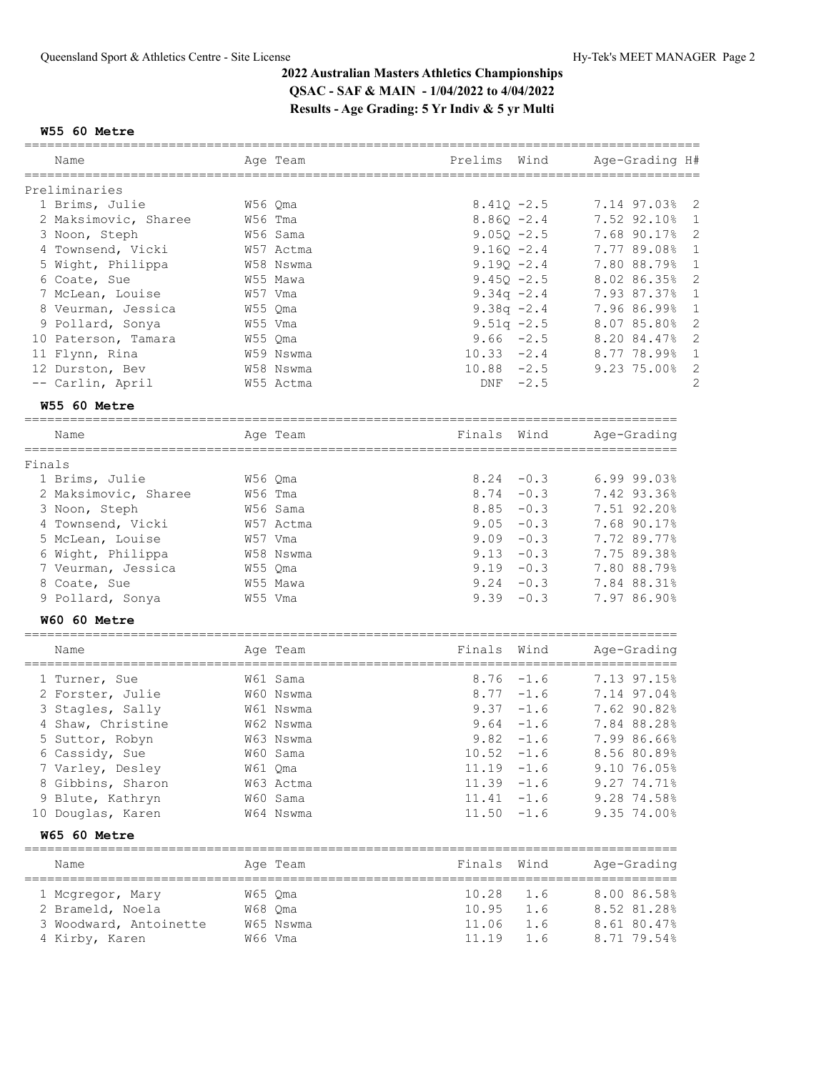#### **W55 60 Metre**

|                        | ======    |                                       |                                    |
|------------------------|-----------|---------------------------------------|------------------------------------|
| Name                   | Age Team  | Prelims<br>Wind                       | Age-Grading H#                     |
|                        |           |                                       |                                    |
| Preliminaries          |           |                                       |                                    |
| 1 Brims, Julie         | W56 Qma   | $8.410 - 2.5$                         | 7.14 97.03%<br>2                   |
| 2 Maksimovic, Sharee   | W56 Tma   | $8.86Q - 2.4$                         | 7.52 92.10%<br>1                   |
| 3 Noon, Steph          | W56 Sama  | $9.05Q - 2.5$                         | 2<br>7.68 90.17%                   |
| 4 Townsend, Vicki      | W57 Actma | $9.16Q - 2.4$                         | 7.77 89.08%<br>$\mathbf 1$         |
| 5 Wight, Philippa      | W58 Nswma | $9.190 - 2.4$                         | 7.80 88.79%<br>1                   |
| 6 Coate, Sue           | W55 Mawa  | $9.45Q - 2.5$                         | 2<br>8.02 86.35%                   |
| 7 McLean, Louise       | W57 Vma   | 9.34q $-2.4$                          | 7.93 87.37%<br>$\mathbf 1$         |
| 8 Veurman, Jessica     | W55 Qma   | 9.38q $-2.4$                          | $\mathbf 1$<br>7.96 86.99%         |
| 9 Pollard, Sonya       | W55 Vma   | $9.51q - 2.5$                         | $\mathbf{2}$<br>8.07 85.80%        |
| 10 Paterson, Tamara    | W55 Qma   | $9.66 - 2.5$                          | 2<br>8.20 84.47%                   |
| 11 Flynn, Rina         | W59 Nswma | $10.33 -2.4$                          | $\mathbf 1$<br>8.77 78.99%         |
| 12 Durston, Bev        | W58 Nswma | $10.88 - 2.5$                         | $\sqrt{2}$<br>9.23 75.00%          |
| -- Carlin, April       | W55 Actma | $-2.5$<br>DNF                         | $\overline{c}$                     |
| W55 60 Metre           |           |                                       |                                    |
| Name                   | Age Team  | Finals<br>Wind                        | Age-Grading                        |
|                        |           |                                       |                                    |
| Finals                 |           |                                       |                                    |
| 1 Brims, Julie         | W56 Qma   | $-0.3$<br>8.24                        | $6.99$ $99.03%$                    |
| 2 Maksimovic, Sharee   | W56 Tma   | 8.74<br>$-0.3$                        | 7.42 93.36%                        |
| 3 Noon, Steph          | W56 Sama  | 8.85<br>$-0.3$                        | 7.51 92.20%                        |
| 4 Townsend, Vicki      | W57 Actma | 9.05<br>$-0.3$                        | 7.68 90.17%                        |
| 5 McLean, Louise       | W57 Vma   | 9.09<br>$-0.3$                        | 7.72 89.77%                        |
| 6 Wight, Philippa      | W58 Nswma | $9.13 - 0.3$                          | 7.75 89.38%                        |
| 7 Veurman, Jessica     | W55 Qma   | $9.19 - 0.3$                          | 7.80 88.79%                        |
| 8 Coate, Sue           | W55 Mawa  | 9.24<br>$-0.3$                        | 7.84 88.31%                        |
| 9 Pollard, Sonya       | W55 Vma   | 9.39<br>$-0.3$                        | 7.97 86.90%                        |
| W60 60 Metre           |           |                                       |                                    |
| ==============<br>Name | Age Team  | Wind<br>Finals                        | Age-Grading<br>=================== |
| 1 Turner, Sue          | W61 Sama  | ===================<br>8.76<br>$-1.6$ | 7.13 97.15%                        |
| 2 Forster, Julie       | W60 Nswma | 8.77<br>$-1.6$                        | 7.14 97.04%                        |
| 3 Stagles, Sally       | W61 Nswma | 9.37<br>$-1.6$                        | 7.62 90.82%                        |
| 4 Shaw, Christine      | W62 Nswma | 9.64<br>-1.6                          | 7.84 88.28%                        |
| 5 Suttor, Robyn        | W63 Nswma | 9.82<br>$-1.6$                        | 7.99 86.66%                        |
| 6 Cassidy, Sue         | W60 Sama  | $-1.6$<br>10.52                       | 8.56 80.89%                        |
| 7 Varley, Desley       | W61 Qma   | $11.19 - 1.6$                         | 9.10 76.05%                        |
| 8 Gibbins, Sharon      | W63 Actma | $11.39 - 1.6$                         | 9.27 74.71%                        |
| 9 Blute, Kathryn       | W60 Sama  | $11.41 - 1.6$                         | 9.28 74.58%                        |
| 10 Douglas, Karen      | W64 Nswma | 11.50<br>$-1.6$                       | 9.35 74.00%                        |
| W65 60 Metre           |           |                                       |                                    |
|                        |           |                                       |                                    |
| Name                   | Age Team  | Finals<br>Wind                        | Age-Grading                        |
| 1 Mcgregor, Mary       | W65 Qma   | 10.28<br>1.6                          | 8.00 86.58%                        |
| 2 Brameld, Noela       | W68 Qma   | 10.95<br>1.6                          | 8.52 81.28%                        |
| 3 Woodward, Antoinette | W65 Nswma | 11.06<br>1.6                          | 8.61 80.47%                        |
| 4 Kirby, Karen         | W66 Vma   | 1.6<br>11.19                          | 8.71 79.54%                        |
|                        |           |                                       |                                    |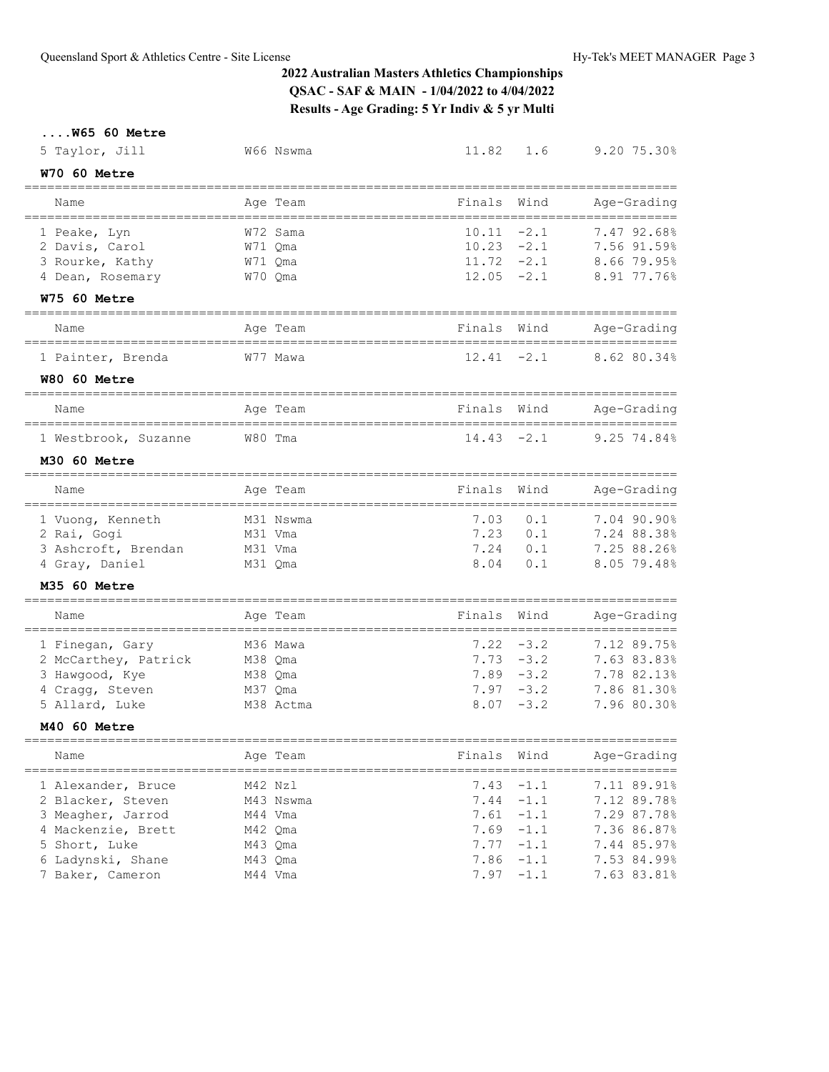## **....W65 60 Metre**

| 5 Taylor, Jill                               | W66 Nswma                | 11.82                      | 1.6    | 9.20 75.30%                                       |
|----------------------------------------------|--------------------------|----------------------------|--------|---------------------------------------------------|
| W70 60 Metre<br>==================           |                          |                            |        |                                                   |
| Name<br>==================================   | Age Team                 | Finals                     | Wind   | Age-Grading                                       |
| 1 Peake, Lyn                                 | W72 Sama                 | 10.11                      | $-2.1$ | 7.47 92.68%                                       |
| 2 Davis, Carol                               | W71 Qma                  | 10.23                      | $-2.1$ | 7.56 91.59%                                       |
| 3 Rourke, Kathy                              | W71 Qma                  | 11.72                      | $-2.1$ | 8.66 79.95%                                       |
| 4 Dean, Rosemary                             | W70 Qma                  | 12.05                      | $-2.1$ | 8.91 77.76%                                       |
| W75 60 Metre                                 |                          |                            |        |                                                   |
| Name                                         | Age Team                 | Finals                     | Wind   | Age-Grading                                       |
| 1 Painter, Brenda                            | W77 Mawa                 | 12.41                      | $-2.1$ | 8.62 80.34%                                       |
| W80 60 Metre                                 |                          |                            |        |                                                   |
| Name                                         | Age Team                 | Finals                     | Wind   | Age-Grading                                       |
| 1 Westbrook, Suzanne                         | W80 Tma                  | 14.43                      | $-2.1$ | 9.25 74.84%                                       |
|                                              |                          |                            |        |                                                   |
| M30 60 Metre                                 |                          |                            |        |                                                   |
| Name                                         | Age Team                 | Finals                     | Wind   | Age-Grading                                       |
| 1 Vuong, Kenneth                             | M31 Nswma                | 7.03                       | 0.1    | 7.04 90.90%                                       |
| 2 Rai, Gogi                                  | M31 Vma                  | 7.23                       | 0.1    | 7.24 88.38%                                       |
| 3 Ashcroft, Brendan                          | M31 Vma                  | 7.24                       | 0.1    | 7.25 88.26%                                       |
| 4 Gray, Daniel                               | M31 Qma                  | 8.04                       | 0.1    | 8.05 79.48%                                       |
| M35 60 Metre                                 |                          |                            |        |                                                   |
| Name<br>===============                      | Age Team<br>------------ | Finals                     | Wind   | Age-Grading<br>__________________________________ |
| 1 Finegan, Gary                              | M36 Mawa                 | 7.22                       | $-3.2$ | 7.12 89.75%                                       |
| 2 McCarthey, Patrick                         | M38 Qma                  | 7.73                       | $-3.2$ | 7.63 83.83%                                       |
| 3 Hawgood, Kye                               | M38 Oma                  | 7.89                       | $-3.2$ | 7.78 82.13%                                       |
| 4 Cragg, Steven                              | M37 Qma                  | 7.97                       | $-3.2$ | 7.86 81.30%                                       |
| 5 Allard, Luke                               | M38 Actma                | 8.07                       | $-3.2$ | 7.96 80.30%                                       |
| M40 60 Metre                                 |                          |                            |        |                                                   |
| Name                                         | Age Team                 | Finals                     | Wind   | Age-Grading                                       |
| ======================<br>1 Alexander, Bruce | M42 Nzl                  | ==================<br>7.43 | $-1.1$ | 7.11 89.91%                                       |
| 2 Blacker, Steven                            | M43 Nswma                | 7.44                       | $-1.1$ | 7.12 89.78%                                       |
| 3 Meagher, Jarrod                            | M44 Vma                  | 7.61                       | $-1.1$ | 7.29 87.78%                                       |
| 4 Mackenzie, Brett                           | M42 Qma                  | 7.69                       | $-1.1$ | 7.36 86.87%                                       |
| 5 Short, Luke                                | M43 Qma                  | 7.77                       | $-1.1$ | 7.44 85.97%                                       |
| 6 Ladynski, Shane                            | M43 Qma                  | 7.86                       | $-1.1$ | 7.53 84.99%                                       |
| 7 Baker, Cameron                             | M44 Vma                  | 7.97                       | $-1.1$ | 7.63 83.81%                                       |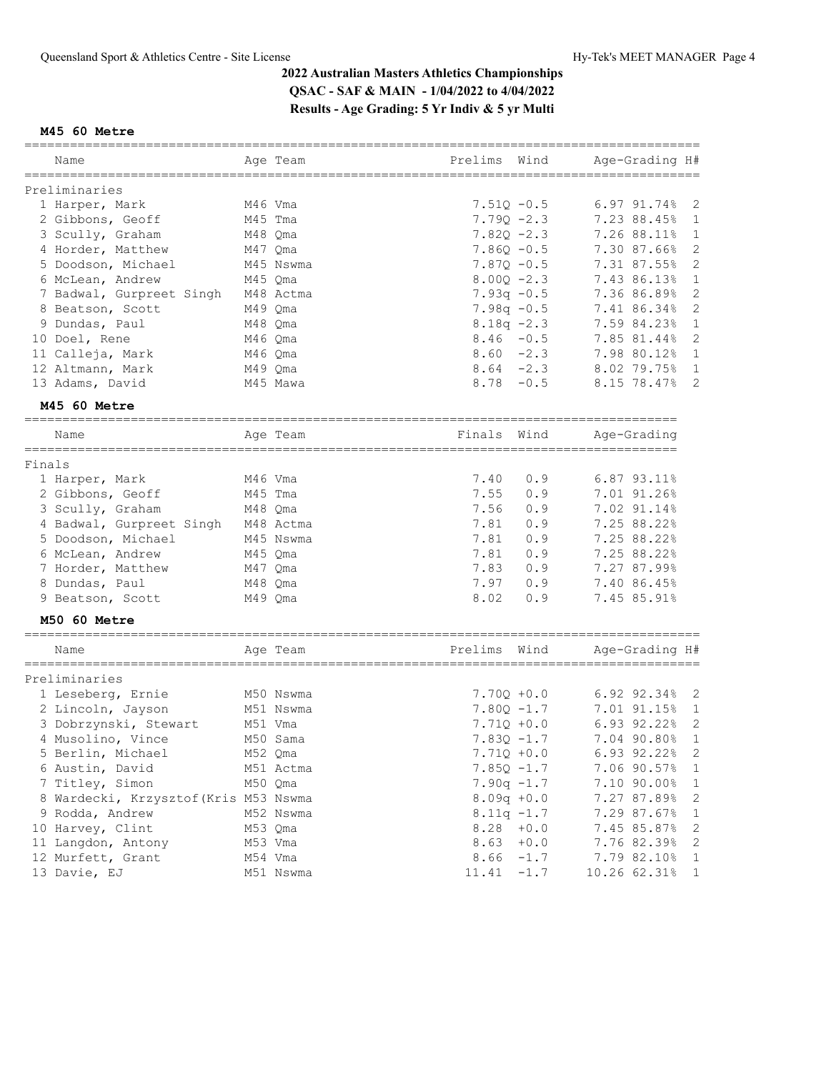## **M45 60 Metre**

|                                       |         | ========  |               |        | ==============               |
|---------------------------------------|---------|-----------|---------------|--------|------------------------------|
| Name                                  |         | Age Team  | Prelims       | Wind   | Age-Grading H#               |
| Preliminaries                         |         |           |               |        |                              |
| 1 Harper, Mark                        | M46 Vma |           | $7.51Q - 0.5$ |        | 6.97 91.74%<br>2             |
| 2 Gibbons, Geoff                      | M45 Tma |           | $7.790 - 2.3$ |        | 7.23 88.45%<br>1             |
| 3 Scully, Graham                      | M48 Qma |           | $7.82Q -2.3$  |        | 7.26 88.11%<br>$\mathbf 1$   |
| 4 Horder, Matthew                     | M47 Qma |           | $7.86Q - 0.5$ |        | $\mathbf 2$<br>7.30 87.66%   |
| 5 Doodson, Michael                    |         | M45 Nswma | $7.87Q - 0.5$ |        | 2<br>7.31 87.55%             |
| 6 McLean, Andrew                      | M45 Qma |           | $8.000 - 2.3$ |        | $\mathbf{1}$<br>7.43 86.13%  |
| 7 Badwal, Gurpreet Singh              |         | M48 Actma | $7.93q -0.5$  |        | $\mathbf 2$<br>7.36 86.89%   |
| 8 Beatson, Scott                      | M49 Qma |           | $7.98q -0.5$  |        | $\sqrt{2}$<br>7.41 86.34%    |
| 9 Dundas, Paul                        | M48 Qma |           | $8.18q - 2.3$ |        | 7.59 84.23%<br>$\mathbf 1$   |
| 10 Doel, Rene                         | M46 Qma |           | $8.46 - 0.5$  |        | $\mathbf 2$<br>7.85 81.44%   |
|                                       |         |           | $8.60 -2.3$   |        | $\mathbf 1$                  |
| 11 Calleja, Mark                      | M46 Qma |           |               |        | 7.98 80.12%                  |
| 12 Altmann, Mark                      | M49 Qma |           | $8.64 - 2.3$  |        | 8.02 79.75%<br>$\mathbf{1}$  |
| 13 Adams, David                       |         | M45 Mawa  | $8.78 - 0.5$  |        | 2<br>8.15 78.47%             |
| M45 60 Metre                          |         |           |               |        |                              |
| Name                                  |         | Age Team  | Finals        | Wind   | Age-Grading                  |
| Finals                                |         |           |               |        |                              |
| 1 Harper, Mark                        | M46 Vma |           | 7.40          | 0.9    | $6.87$ $93.11\%$             |
| 2 Gibbons, Geoff                      | M45 Tma |           | 7.55          | 0.9    | 7.01 91.26%                  |
| 3 Scully, Graham                      | M48 Qma |           | 7.56          | 0.9    | 7.02 91.14%                  |
| 4 Badwal, Gurpreet Singh              |         | M48 Actma | 7.81          | 0.9    | 7.25 88.22%                  |
| 5 Doodson, Michael                    |         | M45 Nswma | 7.81          | 0.9    | 7.25 88.22%                  |
|                                       |         |           | 7.81          | 0.9    | 7.25 88.22%                  |
| 6 McLean, Andrew                      | M45 Qma |           |               |        |                              |
| 7 Horder, Matthew                     | M47 Qma |           | 7.83          | 0.9    | 7.27 87.99%                  |
| 8 Dundas, Paul                        | M48 Qma |           | 7.97          | 0.9    | 7.40 86.45%                  |
| 9 Beatson, Scott                      | M49 Qma |           | 8.02          | 0.9    | 7.45 85.91%                  |
| M50 60 Metre                          |         |           |               |        |                              |
| Name                                  |         | Age Team  | Prelims       | Wind   | Age-Grading H#               |
| Preliminaries                         |         |           |               |        |                              |
| 1 Leseberg, Ernie                     |         | M50 Nswma | $7.700 + 0.0$ |        | 6.92 92.34%<br>2             |
| 2 Lincoln, Jayson                     |         | M51 Nswma | $7.80Q -1.7$  |        | 7.01 91.15%<br>1             |
| 3 Dobrzynski, Stewart                 | M51 Vma |           | $7.71Q + 0.0$ |        | 2<br>6.93 92.22%             |
| 4 Musolino, Vince                     |         | M50 Sama  | $7.83Q -1.7$  |        | 7.04 90.80%<br>$\mathbf 1$   |
|                                       |         |           |               |        |                              |
| 5 Berlin, Michael                     |         | M52 Qma   | $7.71Q + 0.0$ |        | 6.93 92.22%<br>2             |
| 6 Austin, David                       |         | M51 Actma | $7.85Q - 1.7$ |        | 7.06 90.57%<br>1             |
| 7 Titley, Simon                       | M50 Qma |           | $7.90q -1.7$  |        | 1<br>7.10 90.00%             |
| 8 Wardecki, Krzysztof (Kris M53 Nswma |         |           | $8.09q + 0.0$ |        | 2<br>7.27 87.89%             |
| 9 Rodda, Andrew                       |         | M52 Nswma | $8.11q - 1.7$ |        | 7.29 87.67%<br>1             |
| 10 Harvey, Clint                      | M53 Qma |           | $8.28 + 0.0$  |        | $\sqrt{2}$<br>7.45 85.87%    |
| 11 Langdon, Antony                    |         | M53 Vma   | 8.63          | $+0.0$ | 2<br>7.76 82.39%             |
| 12 Murfett, Grant                     | M54 Vma |           | 8.66          | $-1.7$ | 7.79 82.10%<br>$\mathbf{1}$  |
| 13 Davie, EJ                          |         | M51 Nswma | 11.41         | $-1.7$ | 10.26 62.31%<br>$\mathbf{1}$ |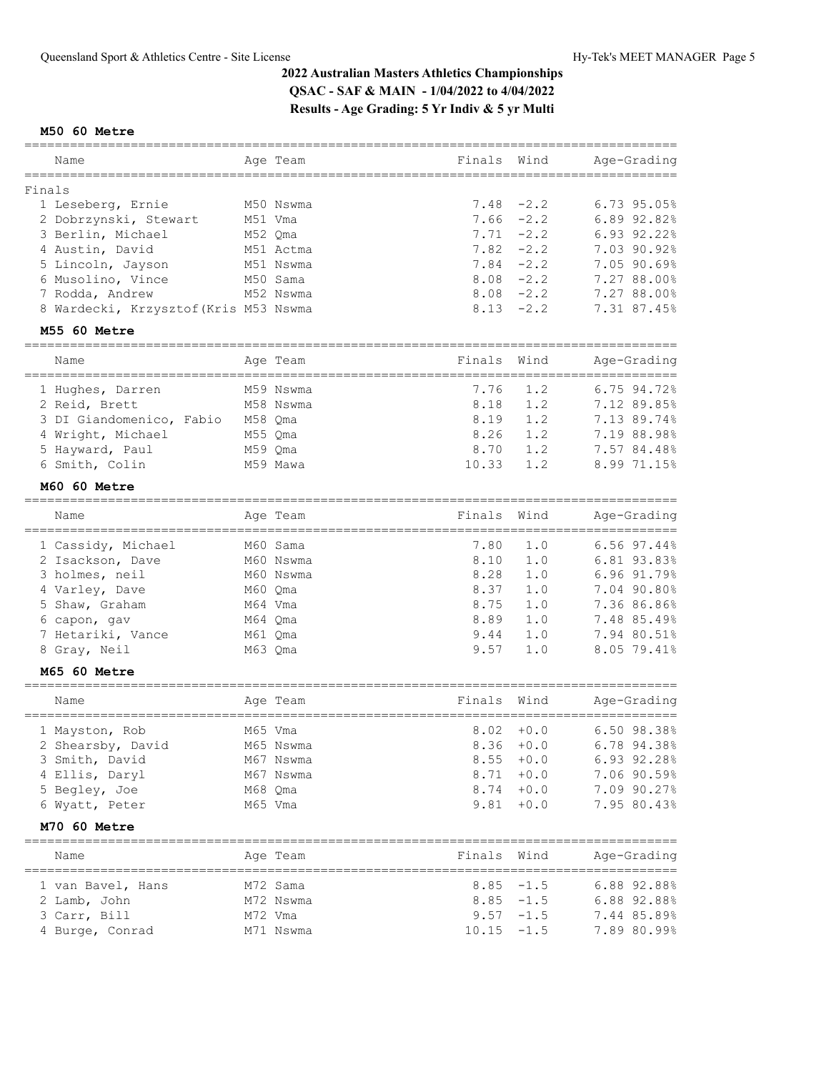## **M50 60 Metre**

| Name                                                    |         | Age Team                         | Finals                           | Wind          | Age-Grading                 |
|---------------------------------------------------------|---------|----------------------------------|----------------------------------|---------------|-----------------------------|
| Finals                                                  |         |                                  |                                  |               |                             |
| 1 Leseberg, Ernie                                       |         | M50 Nswma                        | 7.48                             | $-2.2$        | 6.73 95.05%                 |
| 2 Dobrzynski, Stewart                                   | M51 Vma |                                  | 7.66                             | $-2.2$        | 6.89 92.82%                 |
| 3 Berlin, Michael                                       |         | M52 Qma                          | 7.71                             | $-2.2$        | 6.93 92.22%                 |
| 4 Austin, David                                         |         | M51 Actma                        | 7.82                             | $-2.2$        | 7.03 90.92%                 |
| 5 Lincoln, Jayson                                       |         | M51 Nswma                        | 7.84                             | $-2.2$        | 7.05 90.69%                 |
| 6 Musolino, Vince                                       |         | M50 Sama                         | 8.08                             | $-2.2$        | 7.27 88.00%                 |
| 7 Rodda, Andrew                                         |         | M52 Nswma                        | 8.08                             | $-2.2$        | 7.27 88.00%                 |
| 8 Wardecki, Krzysztof (Kris M53 Nswma                   |         |                                  |                                  | $8.13 - 2.2$  | 7.31 87.45%                 |
| M55 60 Metre                                            |         |                                  |                                  |               |                             |
| =====================<br>Name                           |         | ____________________<br>Age Team | Finals                           | Wind          | Age-Grading                 |
| -----------------------------------<br>1 Hughes, Darren |         | M59 Nswma                        | 7.76                             | 1.2           | 6.75 94.72%                 |
| 2 Reid, Brett                                           |         | M58 Nswma                        | 8.18                             | 1.2           | 7.12 89.85%                 |
| 3 DI Giandomenico, Fabio M58 Qma                        |         |                                  | 8.19                             | 1.2           | 7.13 89.74%                 |
| 4 Wright, Michael                                       | M55 Qma |                                  | 8.26                             | 1.2           | 7.19 88.98%                 |
| 5 Hayward, Paul                                         | M59 Qma |                                  | 8.70                             | 1.2           | 7.57 84.48%                 |
| 6 Smith, Colin                                          |         | M59 Mawa                         | 10.33                            | 1.2           | 8.99 71.15%                 |
|                                                         |         |                                  |                                  |               |                             |
| M60 60 Metre                                            |         |                                  |                                  |               |                             |
| Name                                                    |         | Age Team                         | Finals                           | Wind          | Age-Grading<br>============ |
| 1 Cassidy, Michael                                      |         | M60 Sama                         | 7.80                             | 1.0           | 6.56 97.44%                 |
| 2 Isackson, Dave                                        |         | M60 Nswma                        | 8.10                             | 1.0           | 6.81 93.83%                 |
| 3 holmes, neil                                          |         | M60 Nswma                        | 8.28                             | 1.0           | 6.96 91.79%                 |
| 4 Varley, Dave                                          |         | M60 Qma                          | 8.37                             | 1.0           | 7.04 90.80%                 |
| 5 Shaw, Graham                                          |         | M64 Vma                          | 8.75                             | 1.0           | 7.36 86.86%                 |
| 6 capon, gav                                            | M64 Qma |                                  | 8.89                             | 1.0           | 7.48 85.49%                 |
| 7 Hetariki, Vance                                       | M61 Qma |                                  | 9.44                             | 1.0           | 7.94 80.51%                 |
| 8 Gray, Neil                                            |         | M63 Qma                          | 9.57                             | 1.0           | 8.05 79.41%                 |
| M65 60 Metre                                            |         |                                  |                                  |               |                             |
| Name                                                    |         | Age Team                         | ----------------------<br>Finals | Wind          | Age-Grading                 |
| ====================================                    |         |                                  |                                  |               |                             |
| 1 Mayston, Rob                                          |         | M65 Vma                          | 8.02                             | $+0.0$        | 6.50 98.38%                 |
| 2 Shearsby, David M65 Nswma                             |         |                                  |                                  |               | 8.36 +0.0 6.78 94.38%       |
| 3 Smith, David                                          |         | M67 Nswma                        |                                  |               | 8.55 +0.0 6.93 92.28%       |
| 4 Ellis, Daryl                                          |         | M67 Nswma                        |                                  |               | 8.71 +0.0 7.06 90.59%       |
| 5 Begley, Joe                                           | M68 Qma |                                  |                                  | $8.74 + 0.0$  | 7.09 90.27%                 |
| 6 Wyatt, Peter                                          | M65 Vma |                                  |                                  | $9.81 + 0.0$  | 7.95 80.43%                 |
| M70 60 Metre                                            |         |                                  |                                  |               |                             |
| Name                                                    |         | Age Team                         |                                  |               | Finals Wind Age-Grading     |
| M72 Sama<br>1 van Bavel, Hans                           |         |                                  |                                  |               | $8.85 -1.5$ 6.88 92.88%     |
| 2 Lamb, John                                            |         | M72 Nswma                        |                                  |               | $8.85 -1.5$ 6.88 92.88%     |
| 3 Carr, Bill                                            | M72 Vma |                                  |                                  |               | $9.57 -1.5$ 7.44 85.89%     |
| 4 Burge, Conrad                                         |         | M71 Nswma                        |                                  | $10.15 - 1.5$ | 7.89 80.99%                 |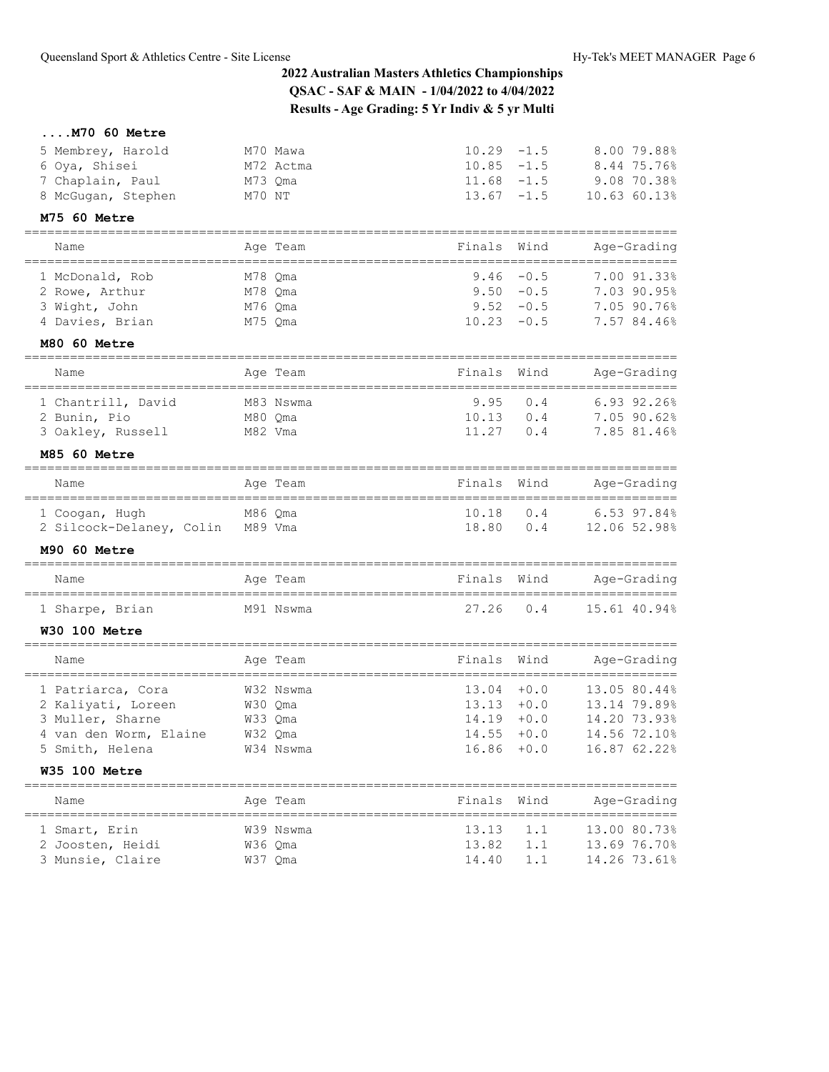## **....M70 60 Metre**

| 5 Membrey, Harold                | M70 Mawa      | $10.29 - 1.5$  |              | 8.00 79.88%                           |
|----------------------------------|---------------|----------------|--------------|---------------------------------------|
| 6 Oya, Shisei                    | M72 Actma     | $10.85 - 1.5$  |              | 8.44 75.76%                           |
| 7 Chaplain, Paul                 | M73 Qma       | 11.68          | $-1.5$       | 9.08 70.38%                           |
| 8 McGugan, Stephen               | M70 NT        | 13.67          | $-1.5$       | 10.63 60.13%                          |
| M75 60 Metre                     |               |                |              |                                       |
| Name                             | Age Team      | Finals         | Wind         | Age-Grading<br>---------------        |
| 1 McDonald, Rob                  | M78 Qma       | 9.46           | $-0.5$       | 7.00 91.33%                           |
| 2 Rowe, Arthur                   | M78 Qma       | 9.50           | $-0.5$       | 7.03 90.95%                           |
| 3 Wight, John                    | M76 Qma       |                | $9.52 - 0.5$ | 7.05 90.76%                           |
| 4 Davies, Brian                  | M75 Qma       | 10.23          | $-0.5$       | 7.57 84.46%                           |
| M80 60 Metre                     |               |                |              |                                       |
| Name                             | Age Team      | Finals         | Wind         | Age-Grading                           |
| =================                | ============= |                |              | ===================================== |
| 1 Chantrill, David               | M83 Nswma     | 9.95           | 0.4          | 6.93 92.26%                           |
| 2 Bunin, Pio                     | M80 Qma       | 10.13<br>11.27 | 0.4<br>0.4   | 7.05 90.62%<br>7.85 81.46%            |
| 3 Oakley, Russell                | M82 Vma       |                |              |                                       |
| M85 60 Metre                     |               |                |              |                                       |
| Name                             | Age Team      | Finals         | Wind         | Age-Grading                           |
| 1 Coogan, Hugh                   | M86 Qma       | 10.18          | 0.4          | 6.53 97.84%                           |
| 2 Silcock-Delaney, Colin M89 Vma |               | 18.80          | 0.4          | 12.06 52.98%                          |
| M90 60 Metre                     |               |                |              |                                       |
| Name                             | Age Team      | Finals         | Wind         | Age-Grading                           |
| 1 Sharpe, Brian                  | M91 Nswma     | 27.26          | 0.4          | 15.61 40.94%                          |
| <b>W30 100 Metre</b>             |               |                |              |                                       |
| Name                             | Age Team      | Finals         | Wind         | Age-Grading                           |
| 1 Patriarca, Cora                | W32 Nswma     | 13.04          | $+0.0$       | 13.05 80.44%                          |
| 2 Kaliyati, Loreen               | W30 Qma       | 13.13          | $+0.0$       | 13.14 79.89%                          |
| 3 Muller, Sharne                 | W33 Qma       | 14.19          | $+0.0$       | 14.20 73.93%                          |
| 4 van den Worm, Elaine           | W32 Qma       | 14.55          | $+0.0$       | 14.56 72.10%                          |
| 5 Smith, Helena                  | W34 Nswma     | $16.86 + 0.0$  |              | 16.87 62.22%                          |
| <b>W35 100 Metre</b>             |               |                |              |                                       |
| Name                             | Age Team      | Finals         | Wind         | Age-Grading                           |
| 1 Smart, Erin                    | W39 Nswma     | 13.13          | 1.1          | 13.00 80.73%                          |
| 2 Joosten, Heidi                 | W36 Qma       | 13.82          | 1.1          | 13.69 76.70%                          |
|                                  |               |                |              |                                       |
| 3 Munsie, Claire                 | W37 Qma       | 14.40          | 1.1          | 14.26 73.61%                          |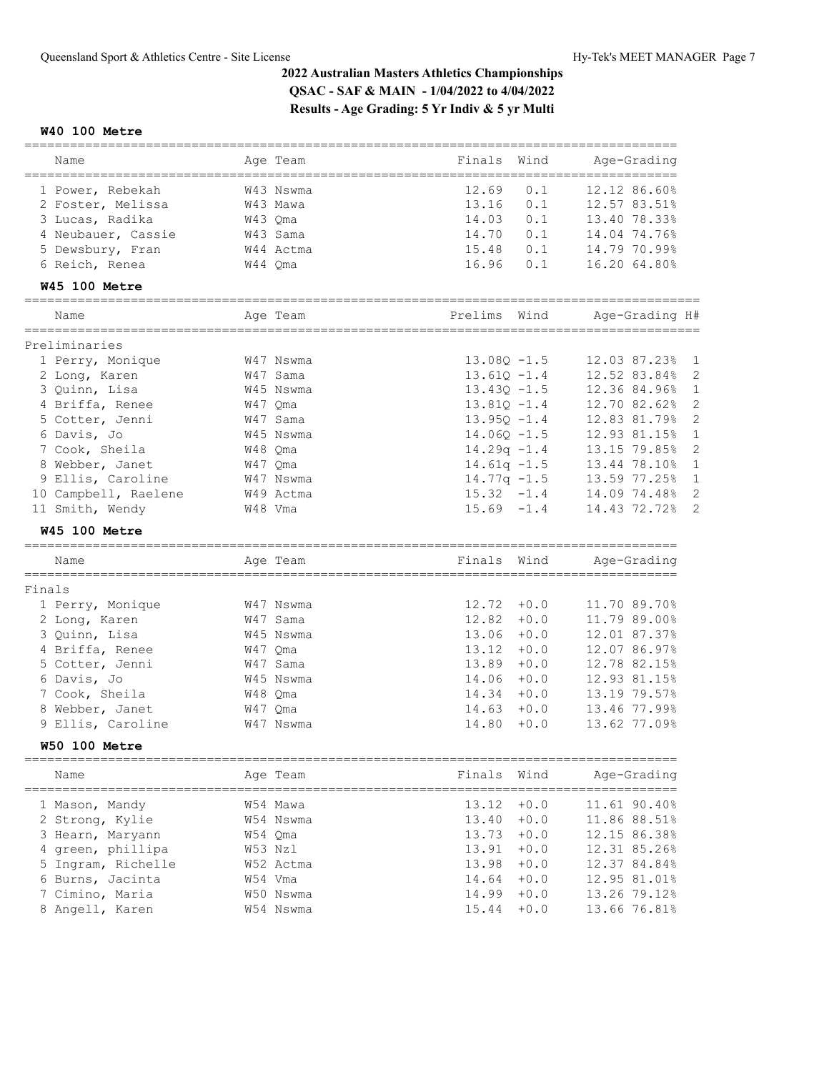### **W40 100 Metre**

|                      | ========  |                 | ================                   |
|----------------------|-----------|-----------------|------------------------------------|
| Name                 | Age Team  | Finals<br>Wind  | Age-Grading<br>=================== |
| 1 Power, Rebekah     | W43 Nswma | 12.69<br>0.1    | 12.12 86.60%                       |
| 2 Foster, Melissa    | W43 Mawa  | 13.16<br>0.1    | 12.57 83.51%                       |
| 3 Lucas, Radika      | W43 Qma   | 14.03<br>0.1    | 13.40 78.33%                       |
| 4 Neubauer, Cassie   | W43 Sama  | 14.70<br>0.1    | 14.04 74.76%                       |
| 5 Dewsbury, Fran     | W44 Actma | 15.48<br>0.1    | 14.79 70.99%                       |
| 6 Reich, Renea       | W44 Qma   | 16.96<br>0.1    | 16.20 64.80%                       |
| <b>W45 100 Metre</b> |           |                 |                                    |
| Name                 | Age Team  | Prelims<br>Wind | Age-Grading H#                     |
| Preliminaries        |           |                 |                                    |
| 1 Perry, Monique     | W47 Nswma | $13.08Q - 1.5$  | 12.03 87.23%<br>1                  |
| 2 Long, Karen        | W47 Sama  | $13.61Q - 1.4$  | 12.52 83.84%<br>$\overline{2}$     |
| 3 Quinn, Lisa        | W45 Nswma | $13.430 - 1.5$  | 12.36 84.96%<br>1                  |
| 4 Briffa, Renee      | W47 Oma   | $13.810 - 1.4$  | $\overline{2}$<br>12.70 82.62%     |
| 5 Cotter, Jenni      | W47 Sama  | $13.950 - 1.4$  | 2<br>12.83 81.79%                  |
| 6 Davis, Jo          | W45 Nswma | $14.060 - 1.5$  | 12.93 81.15%<br>1                  |
| 7 Cook, Sheila       | W48 Qma   | $14.29q -1.4$   | $\overline{c}$<br>13.15 79.85%     |
| 8 Webber, Janet      | W47 Qma   | $14.61q - 1.5$  | $\mathbf{1}$<br>13.44 78.10%       |
| 9 Ellis, Caroline    | W47 Nswma | $14.77q - 1.5$  | 13.59 77.25%<br>1                  |
| 10 Campbell, Raelene | W49 Actma | $15.32 -1.4$    | 14.09 74.48%<br>2                  |
| 11 Smith, Wendy      | W48 Vma   | $15.69 - 1.4$   | 14.43 72.72%<br>2                  |
| <b>W45 100 Metre</b> |           |                 |                                    |
| Name                 | Age Team  | Wind<br>Finals  | Age-Grading                        |
|                      |           |                 |                                    |
| Finals               |           |                 |                                    |
| 1 Perry, Monique     | W47 Nswma | 12.72<br>$+0.0$ | 11.70 89.70%                       |
| 2 Long, Karen        | W47 Sama  | $12.82 + 0.0$   | 11.79 89.00%                       |
| 3 Quinn, Lisa        | W45 Nswma | $13.06 + 0.0$   | 12.01 87.37%                       |
| 4 Briffa, Renee      | W47 Qma   | 13.12<br>$+0.0$ | 12.07 86.97%                       |
| 5 Cotter, Jenni      | W47 Sama  | $13.89 + 0.0$   | 12.78 82.15%                       |
| 6 Davis, Jo          | W45 Nswma | $14.06 + 0.0$   | 12.93 81.15%                       |
| 7 Cook, Sheila       | W48 Qma   | $14.34 + 0.0$   | 13.19 79.57%                       |
| 8 Webber, Janet      | W47 Qma   | $14.63 + 0.0$   | 13.46 77.99%                       |
| 9 Ellis, Caroline    | W47 Nswma | 14.80<br>$+0.0$ | 13.62 77.09%                       |
| <b>W50 100 Metre</b> |           |                 |                                    |
| Name                 | Age Team  | Finals<br>Wind  | Age-Grading                        |
| 1 Mason, Mandy       | W54 Mawa  | 13.12<br>$+0.0$ | 11.61 90.40%                       |
| 2 Strong, Kylie      | W54 Nswma | $13.40 + 0.0$   | 11.86 88.51%                       |
| 3 Hearn, Maryann     | W54 Qma   | $13.73 + 0.0$   | 12.15 86.38%                       |
| green, phillipa      | W53 Nzl   | $13.91 + 0.0$   | 12.31 85.26%                       |
| 5 Ingram, Richelle   | W52 Actma | 13.98<br>$+0.0$ | 12.37 84.84%                       |
| 6 Burns, Jacinta     | W54 Vma   | $14.64 + 0.0$   | 12.95 81.01%                       |
| Cimino, Maria        | W50 Nswma | $14.99 + 0.0$   | 13.26 79.12%                       |
| 8 Angell, Karen      | W54 Nswma | 15.44<br>$+0.0$ | 13.66 76.81%                       |
|                      |           |                 |                                    |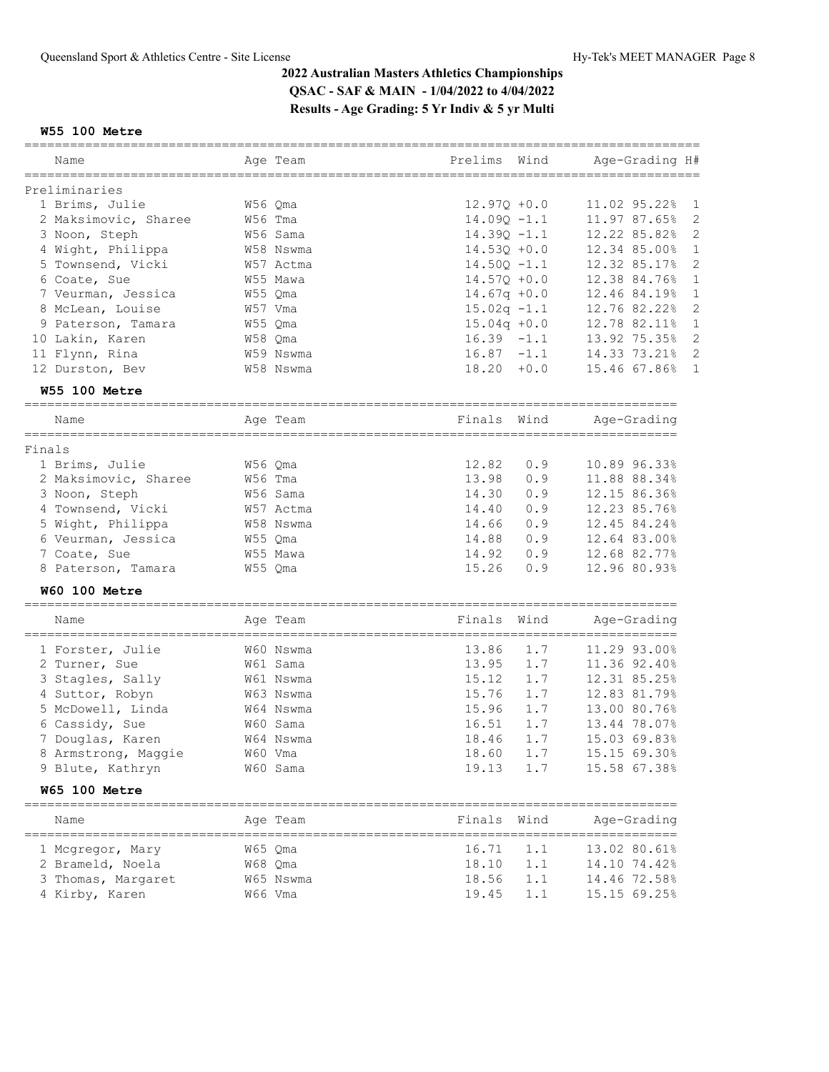## **W55 100 Metre**

| Name                                     | Age Team           | Prelims<br>Wind          | Age-Grading H#                       |
|------------------------------------------|--------------------|--------------------------|--------------------------------------|
| Preliminaries                            |                    |                          |                                      |
| 1 Brims, Julie                           | W56 Qma            | $12.970 + 0.0$           | 11.02 95.22%<br>$\mathbf 1$          |
| 2 Maksimovic, Sharee                     | W56 Tma            | $14.090 - 1.1$           | 11.97 87.65%<br>2                    |
| 3 Noon, Steph                            | W56 Sama           | $14.39Q - 1.1$           | 12.22 85.82%<br>2                    |
| 4 Wight, Philippa                        | W58 Nswma          | $14.53Q + 0.0$           | 12.34 85.00%<br>1                    |
| 5 Townsend, Vicki                        | W57 Actma          | $14.50Q - 1.1$           | 2<br>12.32 85.17%                    |
| 6 Coate, Sue                             | W55 Mawa           | $14.57Q + 0.0$           | $\mathbf 1$<br>12.38 84.76%          |
| 7 Veurman, Jessica                       | W55 Qma            | $14.67q + 0.0$           | $\mathbf{1}$<br>12.46 84.19%         |
| 8 McLean, Louise                         | W57 Vma            | $15.02q -1.1$            | 2<br>12.76 82.22%                    |
| 9 Paterson, Tamara                       | W55 Qma            | $15.04q + 0.0$           | 12.78 82.11%<br>1                    |
| 10 Lakin, Karen                          | W58 Qma            | $16.39 - 1.1$            | 13.92 75.35%<br>2                    |
| 11 Flynn, Rina                           | W59 Nswma          | $16.87 - 1.1$            | 2<br>14.33 73.21%                    |
| 12 Durston, Bev                          | W58 Nswma          | $18.20 + 0.0$            | 15.46 67.86%<br>1                    |
| <b>W55 100 Metre</b>                     |                    |                          |                                      |
|                                          |                    |                          |                                      |
| Name                                     | Age Team           | Finals<br>Wind           | Age-Grading                          |
| Finals                                   |                    |                          |                                      |
| 1 Brims, Julie                           | W56 Qma            | 12.82<br>0.9             | 10.89 96.33%                         |
| 2 Maksimovic, Sharee                     | W56 Tma            | 13.98<br>0.9             | 11.88 88.34%                         |
| 3 Noon, Steph                            | W56 Sama           | 14.30<br>0.9             | 12.15 86.36%                         |
| 4 Townsend, Vicki                        | W57 Actma          | 14.40<br>0.9             | 12.23 85.76%                         |
| 5 Wight, Philippa                        | W58 Nswma          | 14.66<br>0.9             | 12.45 84.24%                         |
| 6 Veurman, Jessica                       | W55 Qma            | 14.88<br>0.9             | 12.64 83.00%                         |
| 7 Coate, Sue                             | W55 Mawa           | 14.92<br>0.9             | 12.68 82.77%                         |
| 8 Paterson, Tamara                       | W55 Qma            | 15.26<br>0.9             | 12.96 80.93%                         |
|                                          |                    |                          |                                      |
| W60 100 Metre<br>======================= | ================== |                          |                                      |
| Name                                     | Age Team           | Finals<br>Wind           | Age-Grading                          |
| 1 Forster, Julie                         | W60 Nswma          | 13.86<br>1.7             | 11.29 93.00%                         |
| 2 Turner, Sue                            | W61 Sama           | 1.7<br>13.95             | 11.36 92.40%                         |
| 3 Stagles, Sally                         | W61 Nswma          | 15.12<br>1.7             | 12.31 85.25%                         |
| 4 Suttor, Robyn                          | W63 Nswma          | 1.7<br>15.76             | 12.83 81.79%                         |
| 5 McDowell, Linda                        | W64 Nswma          | 1.7<br>15.96             | 13.00 80.76%                         |
| 6 Cassidy, Sue                           | W60 Sama           | 1.7<br>16.51             | 13.44 78.07%                         |
| 7 Douglas, Karen                         | W64 Nswma          | 18.46<br>1.7             | 15.03 69.83%                         |
| 8 Armstrong, Maggie                      | W60 Vma            | 18.60<br>$1.7\,$         | 15.15 69.30%                         |
| 9 Blute, Kathryn                         | W60 Sama           | 19.13<br>1.7             | 15.58 67.38%                         |
| <b>W65 100 Metre</b>                     |                    |                          |                                      |
| =========================                | ==========         |                          | =====================<br>Age-Grading |
| Name                                     | Age Team           | Finals<br>Wind<br>====== | ===================                  |
| 1 Mcgregor, Mary                         | W65 Qma            | 16.71<br>1.1             | 13.02 80.61%                         |
| 2 Brameld, Noela                         | W68 Qma            | 18.10<br>1.1             | 14.10 74.42%                         |
| 3 Thomas, Margaret                       | W65 Nswma          | 18.56<br>1.1             | 14.46 72.58%                         |
| 4 Kirby, Karen                           | W66 Vma            | 19.45<br>1.1             | 15.15 69.25%                         |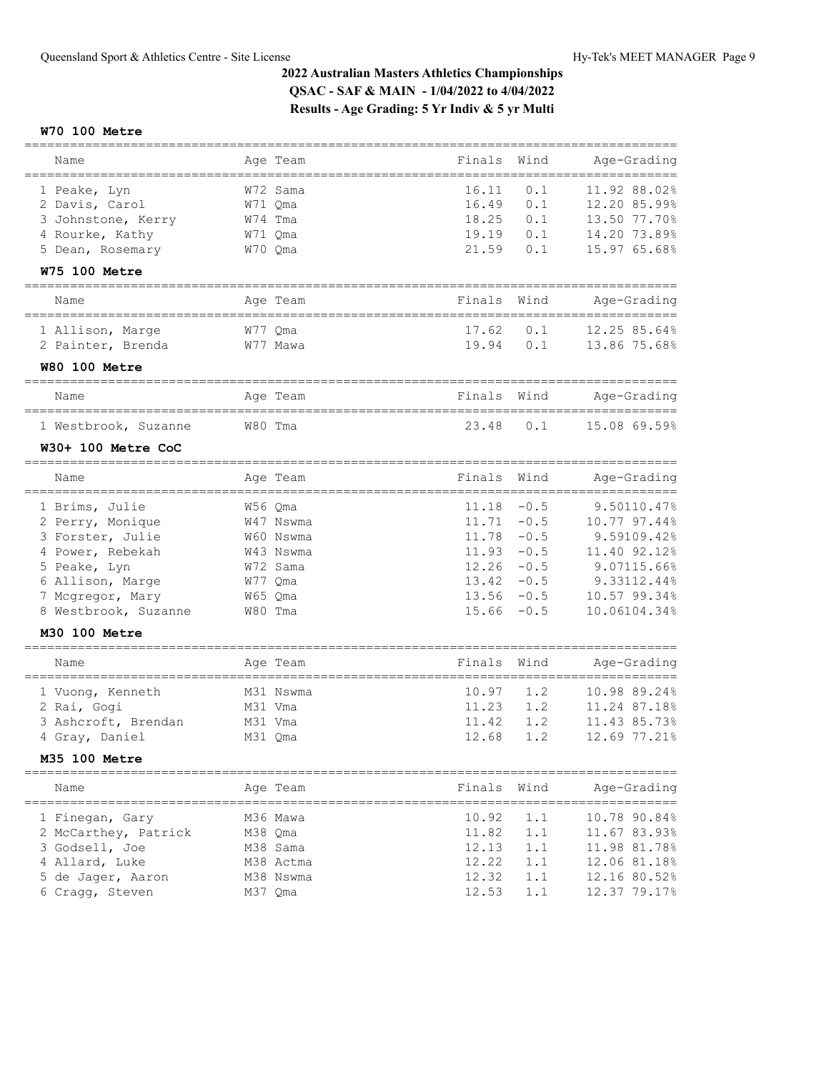### **W70 100 Metre**

| Name                                                    | Age Team                | Finals | Wind   | Age-Grading                     |
|---------------------------------------------------------|-------------------------|--------|--------|---------------------------------|
| 1 Peake, Lyn                                            | W72 Sama                | 16.11  | 0.1    | 11.92 88.02%                    |
| 2 Davis, Carol                                          | W71 Qma                 | 16.49  | 0.1    | 12.20 85.99%                    |
| 3 Johnstone, Kerry                                      | W74 Tma                 | 18.25  | 0.1    | 13.50 77.70%                    |
| 4 Rourke, Kathy                                         | W71 Oma                 | 19.19  | 0.1    | 14.20 73.89%                    |
| 5 Dean, Rosemary                                        | W70 Qma                 | 21.59  | 0.1    | 15.97 65.68%                    |
| <b>W75 100 Metre</b>                                    |                         |        |        |                                 |
|                                                         |                         |        |        |                                 |
| Name                                                    | Age Team                | Finals | Wind   | Age-Grading                     |
| 1 Allison, Marge                                        | W77 Qma                 | 17.62  | 0.1    | 12.25 85.64%                    |
| 2 Painter, Brenda                                       | W77 Mawa                | 19.94  | 0.1    | 13.86 75.68%                    |
| <b>W80 100 Metre</b>                                    |                         |        |        |                                 |
| __________________                                      | Age Team                | Finals | Wind   | Age-Grading                     |
| Name<br>======================                          | =========               | ====== |        | =============                   |
| 1 Westbrook, Suzanne                                    | W80 Tma                 | 23.48  | 0.1    | 15.08 69.59%                    |
| W30+ 100 Metre CoC                                      |                         |        |        |                                 |
| Name                                                    | Age Team<br>=========== | Finals | Wind   | Age-Grading<br>================ |
| ===============<br>1 Brims, Julie                       | W56 Qma                 | 11.18  | $-0.5$ | 9.50110.47%                     |
| 2 Perry, Monique                                        | W47 Nswma               | 11.71  | $-0.5$ | 10.77 97.44%                    |
| 3 Forster, Julie                                        | W60 Nswma               | 11.78  | $-0.5$ | 9.59109.42%                     |
| 4 Power, Rebekah                                        | W43 Nswma               | 11.93  | $-0.5$ | 11.40 92.12%                    |
| 5 Peake, Lyn                                            | W72 Sama                | 12.26  | $-0.5$ | 9.07115.66%                     |
| 6 Allison, Marge                                        | W77 Qma                 | 13.42  | $-0.5$ | 9.33112.44%                     |
| 7 Mcgregor, Mary                                        | W65 Qma                 | 13.56  | $-0.5$ | 10.57 99.34%                    |
| 8 Westbrook, Suzanne                                    | W80 Tma                 | 15.66  | $-0.5$ | 10.06104.34%                    |
| M30 100 Metre                                           |                         |        |        |                                 |
|                                                         |                         |        |        |                                 |
| Name                                                    | Age Team                | Finals | Wind   | Age-Grading                     |
| 1 Vuong, Kenneth                                        | M31 Nswma               | 10.97  | 1.2    | 10.98 89.24%                    |
| 2 Rai, Gogi                                             | M31 Vma                 | 11.23  | 1.2    | 11.24 87.18%                    |
| 3 Ashcroft, Brendan                                     | M31 Vma                 | 11.42  | 1.2    | 11.43 85.73%                    |
| 4 Gray, Daniel                                          | M31 Qma                 | 12.68  | 1.2    | 12.69 77.21%                    |
| <b>M35 100 Metre</b>                                    |                         |        |        |                                 |
| Name                                                    | Age Team                | Finals | Wind   | Age-Grading                     |
| ====================================<br>1 Finegan, Gary | M36 Mawa                | 10.92  | 1.1    | 10.78 90.84%                    |
| 2 McCarthey, Patrick                                    | M38 Qma                 | 11.82  | 1.1    | 11.67 83.93%                    |
| 3 Godsell, Joe                                          | M38 Sama                | 12.13  | 1.1    | 11.98 81.78%                    |
| 4 Allard, Luke                                          | M38 Actma               | 12.22  | 1.1    | 12.06 81.18%                    |
| 5 de Jaqer, Aaron                                       | M38 Nswma               | 12.32  | 1.1    | 12.16 80.52%                    |
| 6 Cragg, Steven                                         | M37 Qma                 | 12.53  | 1.1    | 12.37 79.17%                    |
|                                                         |                         |        |        |                                 |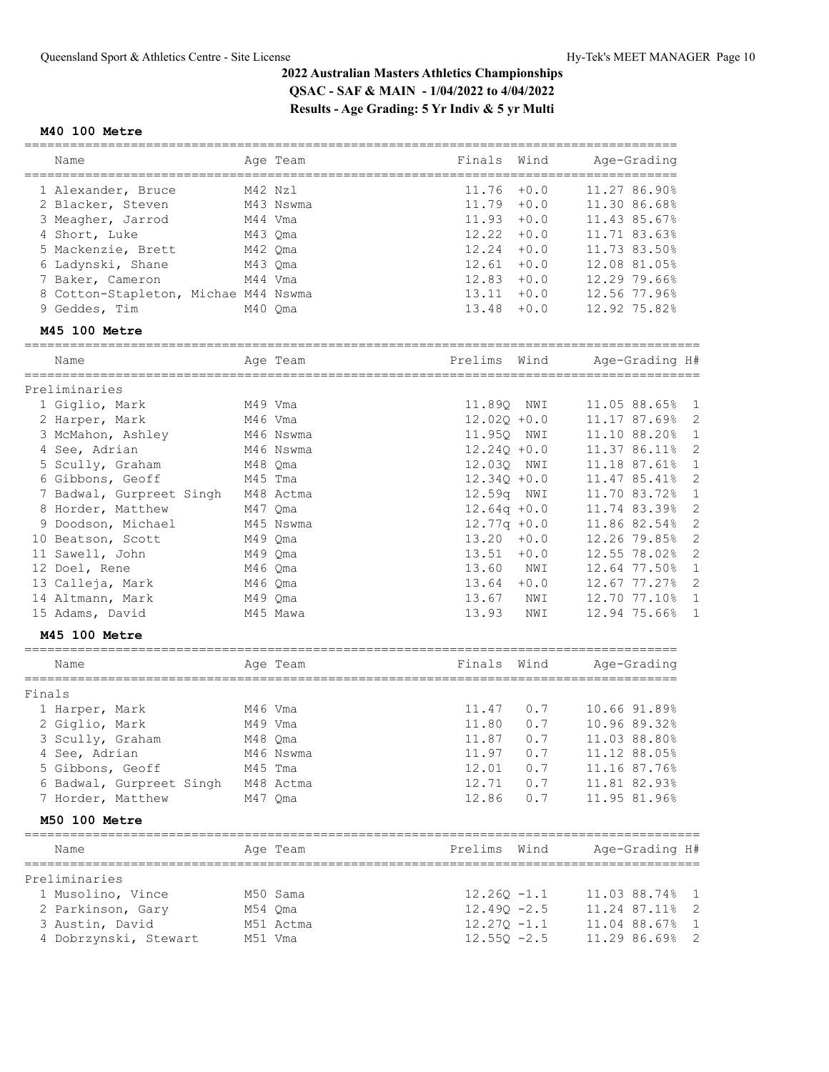## **M40 100 Metre**

|                                               |           |                                | =============                                  |
|-----------------------------------------------|-----------|--------------------------------|------------------------------------------------|
| Name<br>===============                       | Age Team  | Finals<br>Wind                 | Age-Grading                                    |
| 1 Alexander, Bruce                            | M42 Nzl   | 11.76<br>$+0.0$                | 11.27 86.90%                                   |
| 2 Blacker, Steven                             | M43 Nswma | 11.79<br>$+0.0$                | 11.30 86.68%                                   |
| 3 Meagher, Jarrod                             | M44 Vma   | $11.93 + 0.0$                  | 11.43 85.67%                                   |
| 4 Short, Luke                                 | M43 Qma   | 12.22<br>$+0.0$                | 11.71 83.63%                                   |
| 5 Mackenzie, Brett                            | M42 Qma   | 12.24<br>$+0.0$                | 11.73 83.50%                                   |
| 6 Ladynski, Shane                             | M43 Qma   | 12.61<br>$+0.0$                | 12.08 81.05%                                   |
| 7 Baker, Cameron                              | M44 Vma   | 12.83<br>$+0.0$                | 12.29 79.66%                                   |
| 8 Cotton-Stapleton, Michae M44 Nswma          |           | $13.11 + 0.0$                  | 12.56 77.96%                                   |
| 9 Geddes, Tim                                 | M40 Qma   | 13.48<br>$+0.0$                | 12.92 75.82%                                   |
| M45 100 Metre                                 |           | ======================         |                                                |
| Name                                          | Age Team  | Prelims Wind                   | Age-Grading H#                                 |
|                                               |           |                                |                                                |
| Preliminaries<br>1 Giglio, Mark               | M49 Vma   | 11.890<br>NWI                  | 11.05 88.65%<br>1                              |
| 2 Harper, Mark                                | M46 Vma   | $12.02Q + 0.0$                 | 2<br>11.17 87.69%                              |
| 3 McMahon, Ashley                             | M46 Nswma | 11.95Q NWI                     | 11.10 88.20%<br>$\mathbf{1}$                   |
| 4 See, Adrian                                 | M46 Nswma | $12.24Q + 0.0$                 | 2<br>11.37 86.11%                              |
| 5 Scully, Graham                              | M48 Qma   | 12.03Q NWI                     | $\mathbf{1}$<br>11.18 87.61%                   |
| 6 Gibbons, Geoff                              | M45 Tma   | $12.34Q + 0.0$                 | 2<br>11.47 85.41%                              |
|                                               | M48 Actma | 12.59q NWI                     | $\mathbf{1}$                                   |
| 7 Badwal, Gurpreet Singh<br>8 Horder, Matthew | M47 Oma   |                                | 11.70 83.72%<br>$\overline{c}$<br>11.74 83.39% |
|                                               |           | $12.64q + 0.0$                 | 2                                              |
| 9 Doodson, Michael                            | M45 Nswma | $12.77q + 0.0$                 | 11.86 82.54%<br>$\overline{2}$                 |
| 10 Beatson, Scott                             | M49 Qma   | $13.20 + 0.0$<br>$13.51 + 0.0$ | 12.26 79.85%<br>$\overline{c}$                 |
| 11 Sawell, John                               | M49 Qma   |                                | 12.55 78.02%                                   |
| 12 Doel, Rene                                 | M46 Qma   | 13.60<br>NWI                   | 12.64 77.50%<br>$\mathbf{1}$                   |
| 13 Calleja, Mark                              | M46 Qma   | $13.64 + 0.0$                  | $\overline{c}$<br>12.67 77.27%                 |
| 14 Altmann, Mark                              | M49 Qma   | 13.67<br>NWI                   | 12.70 77.10%<br>1                              |
| 15 Adams, David                               | M45 Mawa  | 13.93<br>NWI                   | 12.94 75.66%<br>$\mathbf{1}$                   |
| <b>M45 100 Metre</b>                          |           |                                |                                                |
| Name                                          | Age Team  | Finals<br>Wind                 | Age-Grading                                    |
| Finals                                        |           |                                |                                                |
| 1 Harper, Mark                                | M46 Vma   | 11.47<br>0.7                   | 10.66 91.89%                                   |
| 2 Giglio, Mark                                | M49 Vma   | 11.80<br>0.7                   | 10.96 89.32%                                   |
| 3 Scully, Graham                              | M48 Oma   | 11.87<br>0.7                   | 11.03 88.80%                                   |
| 4 See, Adrian                                 | M46 Nswma | 11.97<br>0.7                   | 11.12 88.05%                                   |
| 5 Gibbons, Geoff                              | M45 Tma   | 12.01<br>0.7                   | 11.16 87.76%                                   |
| 6 Badwal, Gurpreet Singh                      | M48 Actma | 12.71<br>0.7                   | 11.81 82.93%                                   |
| 7 Horder, Matthew                             | M47 Qma   | 12.86<br>0.7                   | 11.95 81.96%                                   |
| M50 100 Metre                                 |           |                                |                                                |
| Name                                          | Age Team  | Prelims Wind                   | Age-Grading H#                                 |
| Preliminaries                                 |           |                                |                                                |
| 1 Musolino, Vince                             | M50 Sama  | $12.26Q - 1.1$                 | 11.03 88.74% 1                                 |
| 2 Parkinson, Gary                             | M54 Qma   | $12.49Q - 2.5$                 | 11.24 87.11% 2                                 |
| 3 Austin, David                               | M51 Actma | $12.270 - 1.1$                 | 11.04 88.67% 1                                 |
| 4 Dobrzynski, Stewart                         | M51 Vma   | $12.55Q - 2.5$                 | $\mathbf{2}$<br>11.29 86.69%                   |
|                                               |           |                                |                                                |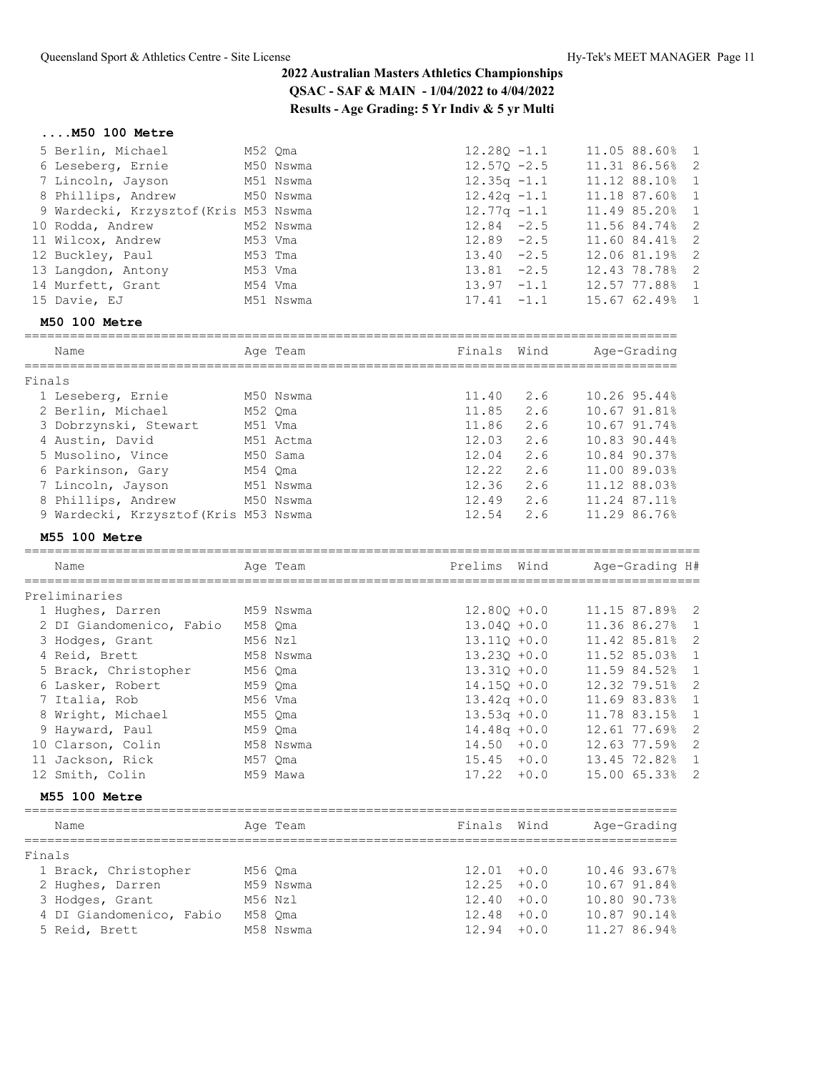## **....M50 100 Metre**

| 5 Berlin, Michael<br>6 Leseberg, Ernie<br>7 Lincoln, Jayson<br>8 Phillips, Andrew<br>9 Wardecki, Krzysztof (Kris M53 Nswma<br>10 Rodda, Andrew<br>11 Wilcox, Andrew<br>12 Buckley, Paul<br>13 Langdon, Antony<br>14 Murfett, Grant<br>15 Davie, EJ | M52 Qma<br>M53 Vma<br>M53 Tma<br>M53 Vma<br>M54 Vma | M50 Nswma<br>M51 Nswma<br>M50 Nswma<br>M52 Nswma<br>M51 Nswma | $12.28Q - 1.1$<br>$12.57Q - 2.5$<br>$12.35q -1.1$<br>$12.42q -1.1$<br>$12.77q - 1.1$<br>$12.84 - 2.5$<br>$12.89 - 2.5$<br>$13.40 -2.5$<br>$13.81 - 2.5$<br>$13.97 - 1.1$<br>$17.41 - 1.1$ |                                | 11.05 88.60%<br>11.31 86.56%<br>11.12 88.10%<br>11.18 87.60%<br>11.49 85.20%<br>11.56 84.74%<br>11.60 84.41%<br>12.06 81.19%<br>12.43 78.78%<br>12.57 77.88%<br>15.67 62.49% | 1<br>2<br>$\mathbf{1}$<br>$\mathbf{1}$<br>1<br>$\overline{c}$<br>$\overline{2}$<br>2<br>$\overline{c}$<br>$\mathbf{1}$<br>1 |
|----------------------------------------------------------------------------------------------------------------------------------------------------------------------------------------------------------------------------------------------------|-----------------------------------------------------|---------------------------------------------------------------|-------------------------------------------------------------------------------------------------------------------------------------------------------------------------------------------|--------------------------------|------------------------------------------------------------------------------------------------------------------------------------------------------------------------------|-----------------------------------------------------------------------------------------------------------------------------|
| M50 100 Metre                                                                                                                                                                                                                                      |                                                     | ,,,,,,,,,,,,,,,,,,,                                           |                                                                                                                                                                                           |                                |                                                                                                                                                                              |                                                                                                                             |
| Name                                                                                                                                                                                                                                               |                                                     | Age Team                                                      | Finals Wind                                                                                                                                                                               |                                | Age-Grading                                                                                                                                                                  |                                                                                                                             |
| Finals                                                                                                                                                                                                                                             |                                                     |                                                               |                                                                                                                                                                                           |                                |                                                                                                                                                                              |                                                                                                                             |
| 1 Leseberg, Ernie                                                                                                                                                                                                                                  |                                                     | M50 Nswma                                                     | 11.40                                                                                                                                                                                     | 2.6                            | 10.26 95.44%                                                                                                                                                                 |                                                                                                                             |
| 2 Berlin, Michael                                                                                                                                                                                                                                  | M52 Qma                                             |                                                               | 11.85                                                                                                                                                                                     | 2.6                            | 10.67 91.81%                                                                                                                                                                 |                                                                                                                             |
| 3 Dobrzynski, Stewart                                                                                                                                                                                                                              | M51 Vma                                             |                                                               | 11.86                                                                                                                                                                                     | 2.6                            | 10.67 91.74%                                                                                                                                                                 |                                                                                                                             |
| 4 Austin, David                                                                                                                                                                                                                                    |                                                     | M51 Actma                                                     | 12.03                                                                                                                                                                                     | 2.6                            | 10.83 90.44%                                                                                                                                                                 |                                                                                                                             |
| 5 Musolino, Vince                                                                                                                                                                                                                                  |                                                     | M50 Sama                                                      | 12.04                                                                                                                                                                                     | 2.6                            | 10.84 90.37%                                                                                                                                                                 |                                                                                                                             |
|                                                                                                                                                                                                                                                    |                                                     |                                                               | 12.22                                                                                                                                                                                     | 2.6                            | 11.00 89.03%                                                                                                                                                                 |                                                                                                                             |
| 6 Parkinson, Gary                                                                                                                                                                                                                                  | M54 Qma                                             |                                                               |                                                                                                                                                                                           |                                |                                                                                                                                                                              |                                                                                                                             |
| 7 Lincoln, Jayson                                                                                                                                                                                                                                  |                                                     | M51 Nswma                                                     | 12.36                                                                                                                                                                                     | 2.6                            | 11.12 88.03%                                                                                                                                                                 |                                                                                                                             |
| 8 Phillips, Andrew                                                                                                                                                                                                                                 |                                                     | M50 Nswma                                                     | 12.49                                                                                                                                                                                     | 2.6                            | 11.24 87.11%                                                                                                                                                                 |                                                                                                                             |
| 9 Wardecki, Krzysztof (Kris M53 Nswma                                                                                                                                                                                                              |                                                     |                                                               | 12.54                                                                                                                                                                                     | 2.6                            | 11.29 86.76%                                                                                                                                                                 |                                                                                                                             |
| <b>M55 100 Metre</b>                                                                                                                                                                                                                               |                                                     |                                                               |                                                                                                                                                                                           |                                |                                                                                                                                                                              |                                                                                                                             |
| Name                                                                                                                                                                                                                                               |                                                     | Age Team                                                      | Prelims Wind                                                                                                                                                                              |                                | Age-Grading H#                                                                                                                                                               |                                                                                                                             |
| Preliminaries                                                                                                                                                                                                                                      |                                                     | ,,,,,,,,,,,,,,,,,,,,,,,,,,                                    |                                                                                                                                                                                           |                                |                                                                                                                                                                              |                                                                                                                             |
| 1 Hughes, Darren                                                                                                                                                                                                                                   |                                                     | M59 Nswma                                                     | $12.80Q + 0.0$                                                                                                                                                                            |                                | 11.15 87.89%<br>$\overline{\phantom{0}}^2$                                                                                                                                   |                                                                                                                             |
| 2 DI Giandomenico, Fabio                                                                                                                                                                                                                           | M58 Qma                                             |                                                               | $13.040 + 0.0$                                                                                                                                                                            |                                | 11.36 86.27%                                                                                                                                                                 | $\mathbf{1}$                                                                                                                |
| 3 Hodges, Grant                                                                                                                                                                                                                                    | M56 Nzl                                             |                                                               | $13.11Q + 0.0$                                                                                                                                                                            |                                | 11.42 85.81%                                                                                                                                                                 | $\overline{c}$                                                                                                              |
| 4 Reid, Brett                                                                                                                                                                                                                                      |                                                     | M58 Nswma                                                     | $13.230 + 0.0$                                                                                                                                                                            |                                | 11.52 85.03%                                                                                                                                                                 | 1                                                                                                                           |
| 5 Brack, Christopher                                                                                                                                                                                                                               | M56 Qma                                             |                                                               | $13.31Q + 0.0$                                                                                                                                                                            |                                | 11.59 84.52%                                                                                                                                                                 | 1                                                                                                                           |
| 6 Lasker, Robert                                                                                                                                                                                                                                   | M59 Qma                                             |                                                               | $14.15Q + 0.0$                                                                                                                                                                            |                                | 12.32 79.51%                                                                                                                                                                 | $\overline{c}$                                                                                                              |
| 7 Italia, Rob                                                                                                                                                                                                                                      |                                                     |                                                               | $13.42q + 0.0$                                                                                                                                                                            |                                |                                                                                                                                                                              |                                                                                                                             |
|                                                                                                                                                                                                                                                    | M56 Vma                                             |                                                               |                                                                                                                                                                                           |                                | 11.69 83.83%                                                                                                                                                                 | 1                                                                                                                           |
|                                                                                                                                                                                                                                                    |                                                     |                                                               |                                                                                                                                                                                           |                                |                                                                                                                                                                              |                                                                                                                             |
| 8 Wright, Michael                                                                                                                                                                                                                                  | M55 Qma                                             |                                                               | $13.53q + 0.0$                                                                                                                                                                            |                                | 11.78 83.15%<br>$\mathbf{1}$                                                                                                                                                 |                                                                                                                             |
| 9 Hayward, Paul                                                                                                                                                                                                                                    | M59 Qma                                             |                                                               | $14.48q + 0.0$                                                                                                                                                                            |                                | 12.61 77.69%                                                                                                                                                                 | $\overline{c}$                                                                                                              |
| 10 Clarson, Colin                                                                                                                                                                                                                                  |                                                     | M58 Nswma                                                     | $14.50 + 0.0$                                                                                                                                                                             |                                | 12.63 77.59% 2                                                                                                                                                               |                                                                                                                             |
| 11 Jackson, Rick                                                                                                                                                                                                                                   | M57 Qma                                             |                                                               |                                                                                                                                                                                           | $15.45 + 0.0$                  | 13.45 72.82% 1                                                                                                                                                               |                                                                                                                             |
| 12 Smith, Colin                                                                                                                                                                                                                                    |                                                     | M59 Mawa                                                      |                                                                                                                                                                                           | $17.22 + 0.0$                  | 15.00 65.33% 2                                                                                                                                                               |                                                                                                                             |
| M55 100 Metre                                                                                                                                                                                                                                      |                                                     |                                                               |                                                                                                                                                                                           |                                |                                                                                                                                                                              |                                                                                                                             |
| Name                                                                                                                                                                                                                                               |                                                     | Age Team                                                      | Finals Wind                                                                                                                                                                               |                                | Age-Grading                                                                                                                                                                  |                                                                                                                             |
| Finals                                                                                                                                                                                                                                             |                                                     |                                                               |                                                                                                                                                                                           |                                |                                                                                                                                                                              |                                                                                                                             |
| 1 Brack, Christopher                                                                                                                                                                                                                               | M56 Qma                                             |                                                               |                                                                                                                                                                                           | $12.01 + 0.0$                  | 10.46 93.67%                                                                                                                                                                 |                                                                                                                             |
| 2 Hughes, Darren                                                                                                                                                                                                                                   |                                                     | M59 Nswma                                                     |                                                                                                                                                                                           | $12.25 + 0.0$                  | 10.67 91.84%                                                                                                                                                                 |                                                                                                                             |
|                                                                                                                                                                                                                                                    |                                                     |                                                               |                                                                                                                                                                                           |                                | 10.80 90.73%                                                                                                                                                                 |                                                                                                                             |
| 3 Hodges, Grant                                                                                                                                                                                                                                    | M56 Nzl                                             |                                                               |                                                                                                                                                                                           | $12.40 + 0.0$<br>$12.48 + 0.0$ | 10.87 90.14%                                                                                                                                                                 |                                                                                                                             |
| 4 DI Giandomenico, Fabio<br>5 Reid, Brett                                                                                                                                                                                                          | M58 Qma                                             | M58 Nswma                                                     | $12.94 + 0.0$                                                                                                                                                                             |                                | 11.27 86.94%                                                                                                                                                                 |                                                                                                                             |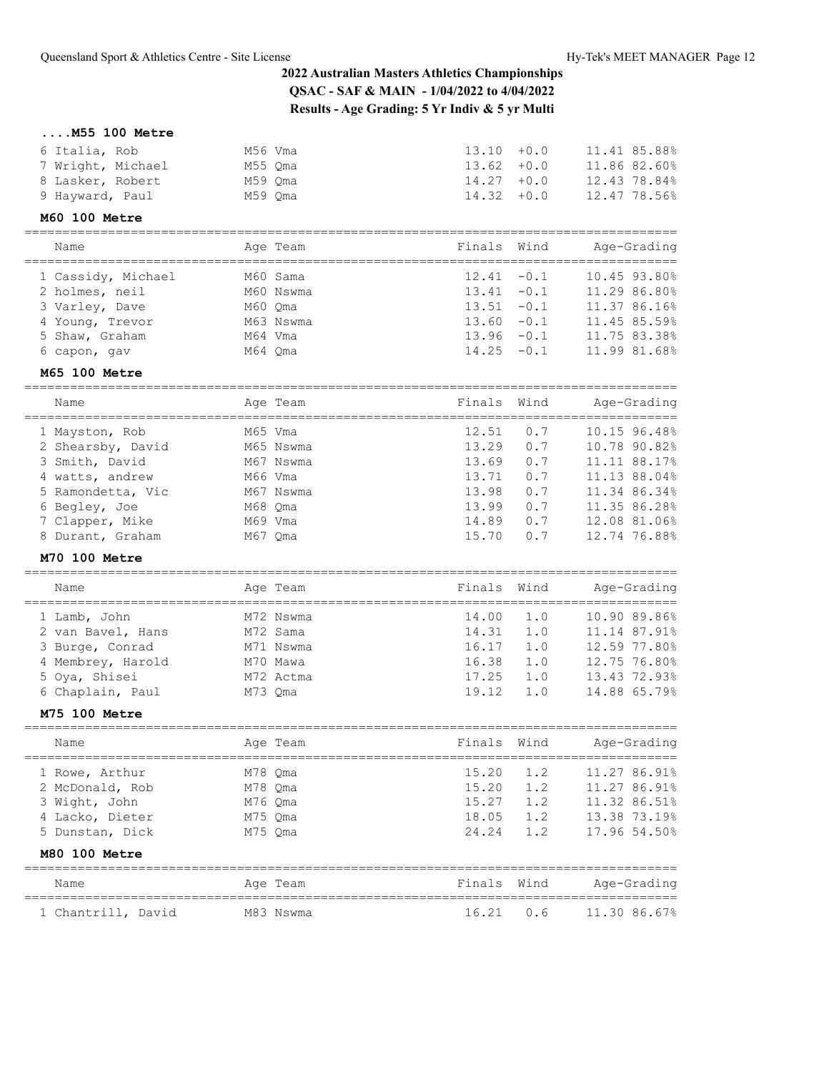## **....M55 100 Metre**

| 6 Italia, Rob     | M56 Vma | $13.10 + 0.0$ |  | 11.41 85.88% |
|-------------------|---------|---------------|--|--------------|
| 7 Wright, Michael | M55 Oma | $13.62 + 0.0$ |  | 11.86 82.60% |
| 8 Lasker, Robert  | M59 Oma | $14.27 + 0.0$ |  | 12.43 78.84% |
| 9 Hayward, Paul   | M59 Oma | $14.32 + 0.0$ |  | 12.47 78.56% |
|                   |         |               |  |              |

### **M60 100 Metre**

| Name                                                                                                        |                               | Age Team                           | Finals Wind                                                                                        | Age-Grading                                                                                  |
|-------------------------------------------------------------------------------------------------------------|-------------------------------|------------------------------------|----------------------------------------------------------------------------------------------------|----------------------------------------------------------------------------------------------|
| 1 Cassidy, Michael<br>2 holmes, neil<br>3 Varley, Dave<br>4 Young, Trevor<br>5 Shaw, Graham<br>6 capon, gav | M60 Oma<br>M64 Vma<br>M64 Oma | M60 Sama<br>M60 Nswma<br>M63 Nswma | $12.41 - 0.1$<br>$13.41 - 0.1$<br>$13.51 - 0.1$<br>$13.60 - 0.1$<br>$13.96 - 0.1$<br>$14.25 - 0.1$ | 10.45 93.80%<br>11.29 86.80%<br>11.37 86.16%<br>11.45 85.59%<br>11.75 83.38%<br>11.99 81.68% |

## **M65 100 Metre**

| Name              | Age Team  | Finals Wind |     | Age-Grading  |
|-------------------|-----------|-------------|-----|--------------|
| 1 Mayston, Rob    | M65 Vma   | 12.51       | 0.7 | 10.15 96.48% |
| 2 Shearsby, David | M65 Nswma | 13.29       | 0.7 | 10.78 90.82% |
| 3 Smith, David    | M67 Nswma | 13.69       | 0.7 | 11.11 88.17% |
| 4 watts, andrew   | M66 Vma   | 13.71       | 0.7 | 11.13 88.04% |
| 5 Ramondetta, Vic | M67 Nswma | 13.98       | 0.7 | 11.34 86.34% |
| 6 Begley, Joe     | M68 Oma   | 13.99       | 0.7 | 11.35 86.28% |
| 7 Clapper, Mike   | M69 Vma   | 14.89       | 0.7 | 12.08 81.06% |
| 8 Durant, Graham  | M67 Oma   | 15.70       | 0.7 | 12.74 76.88% |
|                   |           |             |     |              |

## **M70 100 Metre**

| Name |                   | Age Team  | Age-Grading<br>Finals Wind |     |              |  |
|------|-------------------|-----------|----------------------------|-----|--------------|--|
|      | 1 Lamb, John      | M72 Nswma | 14.00                      | 1.0 | 10.90 89.86% |  |
|      | 2 van Bavel, Hans | M72 Sama  | 14.31                      | 1.0 | 11.14 87.91% |  |
|      | 3 Burge, Conrad   | M71 Nswma | 16.17                      | 1.0 | 12.59 77.80% |  |
|      | 4 Membrey, Harold | M70 Mawa  | 16.38                      | 1.0 | 12.75 76.80% |  |
|      | 5 Oya, Shisei     | M72 Actma | 17.25                      | 1.0 | 13.43 72.93% |  |
|      | 6 Chaplain, Paul  | M73 Oma   | 19.12                      | 1.0 | 14.88 65.79% |  |

======================================================================================

#### **M75 100 Metre**

| Name                               |                    | Age Team | Finals Wind    |            | Age-Grading                  |
|------------------------------------|--------------------|----------|----------------|------------|------------------------------|
| 1 Rowe, Arthur                     | M78 Oma            |          | 15.20          | 1.2        | 11.27 86.91%                 |
| 2 McDonald, Rob<br>3 Wight, John   | M78 Oma<br>M76 Oma |          | 15.20<br>15.27 | 1.2<br>1.2 | 11.27 86.91%<br>11.32 86.51% |
| 4 Lacko, Dieter<br>5 Dunstan, Dick | M75 Oma<br>M75 Oma |          | 18.05<br>24.24 | 1.2<br>1.2 | 13.38 73.19%<br>17.96 54.50% |
| M80 100 Metre                      |                    |          |                |            |                              |
|                                    |                    |          |                |            |                              |

| Name               |  | Age Team  | Finals Wind |           | Age-Grading  |
|--------------------|--|-----------|-------------|-----------|--------------|
| 1 Chantrill, David |  | M83 Nswma |             | 16.21 0.6 | 11.30 86.67% |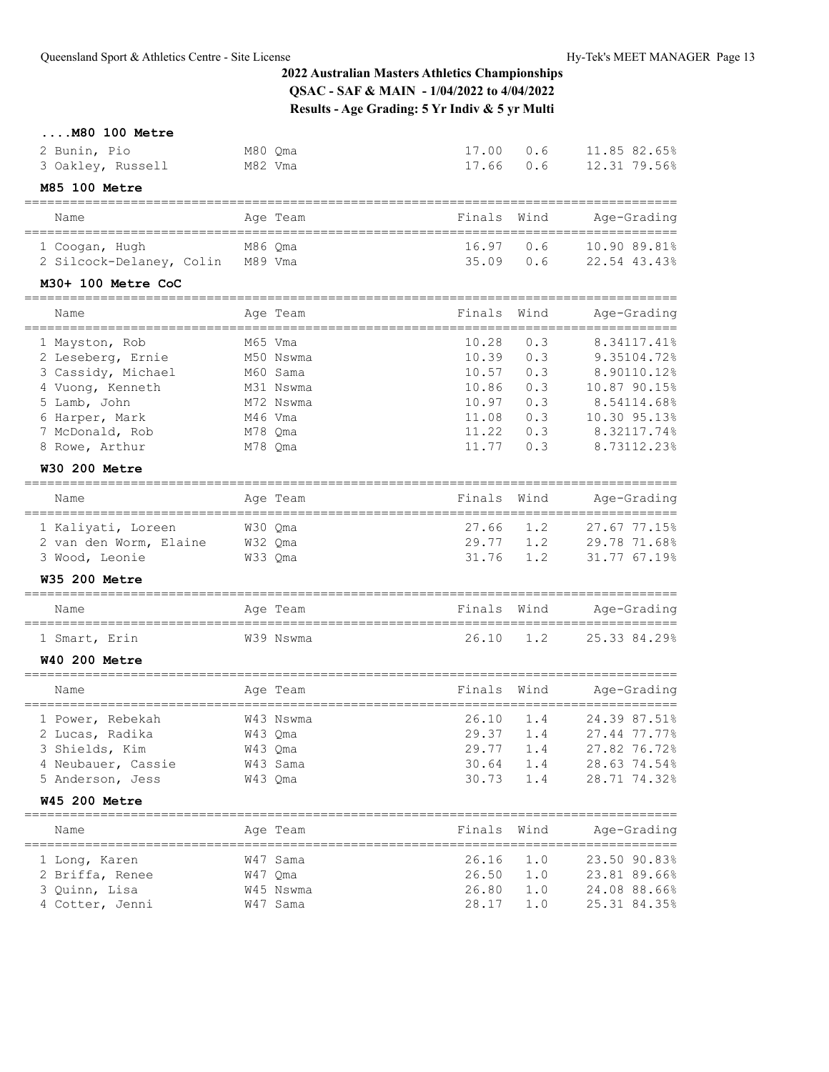**....M80 100 Metre**

| 2 Bunin, Pio                                | M80 Qma   | 17.00  | 0.6           | 11.85 82.65%                    |
|---------------------------------------------|-----------|--------|---------------|---------------------------------|
| 3 Oakley, Russell                           | M82 Vma   | 17.66  | 0.6           | 12.31 79.56%                    |
| M85 100 Metre                               |           |        |               |                                 |
| Name                                        | Age Team  | Finals | Wind          | Age-Grading                     |
| 1 Coogan, Hugh                              | M86 Qma   | 16.97  | 0.6           | 10.90 89.81%                    |
| 2 Silcock-Delaney, Colin M89 Vma            |           | 35.09  | 0.6           | 22.54 43.43%                    |
| M30+ 100 Metre CoC<br>;==================== |           |        |               |                                 |
| Name                                        | Age Team  | Finals | Wind          | Age-Grading                     |
| 1 Mayston, Rob                              | M65 Vma   | 10.28  | 0.3           | 8.34117.41%                     |
| 2 Leseberg, Ernie                           | M50 Nswma | 10.39  | 0.3           | 9.35104.72%                     |
| 3 Cassidy, Michael                          | M60 Sama  | 10.57  | 0.3           | 8.90110.12%                     |
| 4 Vuong, Kenneth                            | M31 Nswma | 10.86  | 0.3           | 10.87 90.15%                    |
| 5 Lamb, John                                | M72 Nswma | 10.97  | 0.3           | 8.54114.68%                     |
| 6 Harper, Mark                              | M46 Vma   | 11.08  | 0.3           | 10.30 95.13%                    |
| 7 McDonald, Rob                             | M78 Qma   | 11.22  | 0.3           | 8.32117.74%                     |
| 8 Rowe, Arthur                              | M78 Qma   | 11.77  | 0.3           | 8.73112.23%                     |
| <b>W30 200 Metre</b>                        |           |        |               |                                 |
| Name                                        | Age Team  | Finals | Wind          | Age-Grading                     |
| 1 Kaliyati, Loreen                          | W30 Qma   | 27.66  | 1.2           | 27.67 77.15%                    |
| 2 van den Worm, Elaine                      | W32 Qma   | 29.77  | 1.2           | 29.78 71.68%                    |
| 3 Wood, Leonie                              | W33 Qma   | 31.76  | 1.2           | 31.77 67.19%                    |
| <b>W35 200 Metre</b>                        |           |        |               |                                 |
| Name                                        | Age Team  | Finals | Wind          | Age-Grading                     |
| 1 Smart, Erin                               | W39 Nswma | 26.10  | 1.2           | 25.33 84.29%                    |
| <b>W40 200 Metre</b>                        |           |        |               |                                 |
| Name                                        | Age Team  | Finals | Wind          | Age-Grading                     |
| 1 Power, Rebekah                            | W43 Nswma | 26.10  | 1.4           | 24.39 87.51%                    |
| 2 Lucas, Radika                             | W43 Qma   | 29.37  | 1.4           | 27.44 77.77%                    |
| 3 Shields, Kim                              | W43 Qma   | 29.77  | $1\,.4$       | 27.82 76.72%                    |
| 4 Neubauer, Cassie                          | W43 Sama  | 30.64  | 1.4           | 28.63 74.54%                    |
| 5 Anderson, Jess                            | W43 Qma   | 30.73  | 1.4           | 28.71 74.32%                    |
| <b>W45 200 Metre</b>                        |           |        |               |                                 |
| Name                                        | Age Team  | Finals | Wind          | Age-Grading                     |
| =============<br>1 Long, Karen              | W47 Sama  | 26.16  | ======<br>1.0 | ===============<br>23.50 90.83% |
| 2 Briffa, Renee                             | W47 Qma   | 26.50  | 1.0           | 23.81 89.66%                    |
| 3 Quinn, Lisa                               | W45 Nswma | 26.80  | 1.0           | 24.08 88.66%                    |
| 4 Cotter, Jenni                             | W47 Sama  | 28.17  | 1.0           | 25.31 84.35%                    |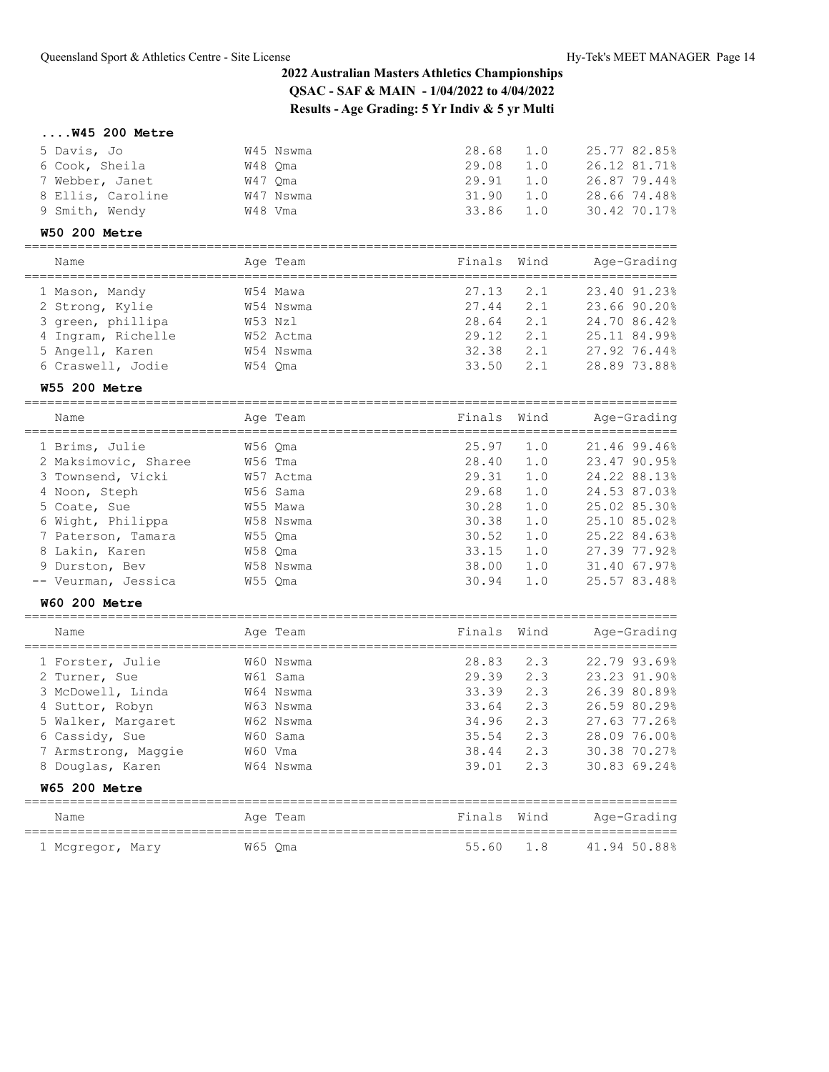## **....W45 200 Metre**

| 5 Davis, Jo       | W45 Nswma | 28.68     | 1.0 | 25.77 82.85% |
|-------------------|-----------|-----------|-----|--------------|
| 6 Cook, Sheila    | W48 Oma   | 29.08     | 1.0 | 26.12 81.71% |
| 7 Webber, Janet   | W47 Oma   | 29.91     | 1.0 | 26.87 79.44% |
| 8 Ellis, Caroline | W47 Nswma | 31.90     | 1.0 | 28.66 74.48% |
| 9 Smith, Wendy    | W48 Vma   | 33.86 1.0 |     | 30.42 70.17% |

## **W50 200 Metre**

| Name               |         | Age Team  | Finals Wind |     | Age-Grading  |
|--------------------|---------|-----------|-------------|-----|--------------|
| 1 Mason, Mandy     |         | W54 Mawa  | 27.13       | 2.1 | 23.40 91.23% |
| 2 Strong, Kylie    |         | W54 Nswma | 27.44       | 2.1 | 23.66 90.20% |
| 3 green, phillipa  | W53 Nzl |           | 28.64       | 2.1 | 24.70 86.42% |
| 4 Ingram, Richelle |         | W52 Actma | 29.12       | 2.1 | 25.11 84.99% |
| 5 Angell, Karen    |         | W54 Nswma | 32.38       | 2.1 | 27.92 76.44% |
| 6 Craswell, Jodie  | W54 Oma |           | 33.50       | 2.1 | 28.89 73.88% |
|                    |         |           |             |     |              |

## **W55 200 Metre**

| Name                 |         | Age Team  | Finals Wind |     | Age-Grading  |
|----------------------|---------|-----------|-------------|-----|--------------|
| 1 Brims, Julie       | W56 Oma |           | 25.97       | 1.0 | 21.46 99.46% |
| 2 Maksimovic, Sharee | W56 Tma |           | 28.40       | 1.0 | 23.47 90.95% |
| 3 Townsend, Vicki    |         | W57 Actma | 29.31       | 1.0 | 24.22 88.13% |
| 4 Noon, Steph        |         | W56 Sama  | 29.68       | 1.0 | 24.53 87.03% |
| 5 Coate, Sue         |         | W55 Mawa  | 30.28       | 1.0 | 25.02 85.30% |
| 6 Wight, Philippa    |         | W58 Nswma | 30.38       | 1.0 | 25.10 85.02% |
| 7 Paterson, Tamara   | W55 Oma |           | 30.52       | 1.0 | 25.22 84.63% |
| 8 Lakin, Karen       | W58 Oma |           | 33.15       | 1.0 | 27.39 77.92% |
| 9 Durston, Bev       |         | W58 Nswma | 38.00       | 1.0 | 31.40 67.97% |
| -- Veurman, Jessica  |         | W55 Oma   | 30.94       | 1.0 | 25.57 83.48% |

## **W60 200 Metre**

| Name                                                                                                                                     | Age Team                                                                            | Finals Wind                                                 |                                               | Age-Grading                                                                                                  |
|------------------------------------------------------------------------------------------------------------------------------------------|-------------------------------------------------------------------------------------|-------------------------------------------------------------|-----------------------------------------------|--------------------------------------------------------------------------------------------------------------|
| 1 Forster, Julie<br>2 Turner, Sue<br>3 McDowell, Linda<br>4 Suttor, Robyn<br>5 Walker, Margaret<br>6 Cassidy, Sue<br>7 Armstrong, Maggie | W60 Nswma<br>W61 Sama<br>W64 Nswma<br>W63 Nswma<br>W62 Nswma<br>W60 Sama<br>W60 Vma | 28.83<br>29.39<br>33.39<br>33.64<br>34.96<br>35.54<br>38.44 | 2.3<br>2.3<br>2.3<br>2.3<br>2.3<br>2.3<br>2.3 | 22.79 93.69%<br>23.23 91.90%<br>26.39 80.89%<br>26.59 80.29%<br>27.63 77.26%<br>28.09 76.00%<br>30.38 70.27% |
| 8 Douglas, Karen<br><b>W65 200 Metre</b>                                                                                                 | W64 Nswma                                                                           | 39.01                                                       | 2.3                                           | 30.83 69.24%                                                                                                 |
|                                                                                                                                          |                                                                                     |                                                             |                                               |                                                                                                              |

| Name             | Age Team | Finals Wind |  | Age-Grading  |
|------------------|----------|-------------|--|--------------|
| 1 Mcgregor, Mary | W65 Oma  | 55.60 1.8   |  | 41.94 50.88% |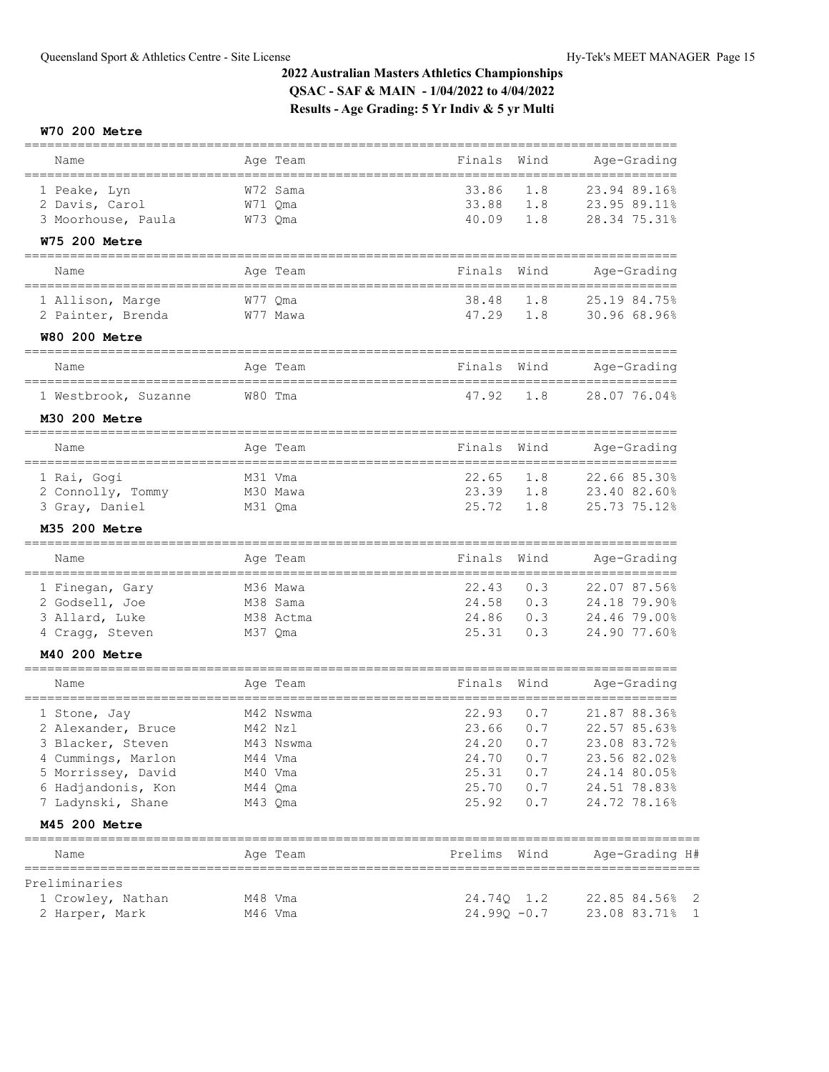## **W70 200 Metre**

| Name                                       | Age Team  | Finals<br>Wind                          | Age-Grading                  |
|--------------------------------------------|-----------|-----------------------------------------|------------------------------|
| 1 Peake, Lyn                               | W72 Sama  | 33.86<br>1.8                            | 23.94 89.16%                 |
| 2 Davis, Carol                             | W71 Qma   | 33.88<br>1.8                            | 23.95 89.11%                 |
| 3 Moorhouse, Paula                         | W73 Qma   | 40.09<br>1.8                            | 28.34 75.31%                 |
| <b>W75 200 Metre</b>                       |           |                                         |                              |
| Name                                       | Age Team  | Wind<br>Finals                          | Age-Grading                  |
| 1 Allison, Marge                           | W77 Qma   | 38.48<br>1.8                            | 25.19 84.75%                 |
| 2 Painter, Brenda                          | W77 Mawa  | 47.29<br>1.8                            | 30.96 68.96%                 |
| <b>W80 200 Metre</b>                       |           |                                         |                              |
| Name                                       | Age Team  | Wind<br>Finals<br>======                | Age-Grading<br>============= |
| 1 Westbrook, Suzanne                       | W80 Tma   | 47.92<br>1.8                            | 28.07 76.04%                 |
| M30 200 Metre                              |           |                                         |                              |
| Name                                       | Age Team  | Wind<br>Finals                          | Age-Grading                  |
| 1 Rai, Gogi                                | M31 Vma   | 22.65<br>1.8                            | 22.66 85.30%                 |
| 2 Connolly, Tommy                          | M30 Mawa  | 23.39<br>1.8                            | 23.40 82.60%                 |
| 3 Gray, Daniel                             | M31 Qma   | 25.72<br>1.8                            | 25.73 75.12%                 |
| M35 200 Metre                              |           |                                         |                              |
| Name                                       | Age Team  | Finals<br>Wind                          | Age-Grading                  |
| 1 Finegan, Gary                            | M36 Mawa  | 22.43<br>0.3                            | 22.07 87.56%                 |
| 2 Godsell, Joe                             | M38 Sama  | 24.58<br>0.3                            | 24.18 79.90%                 |
| 3 Allard, Luke                             | M38 Actma | 24.86<br>0.3                            | 24.46 79.00%                 |
| 4 Cragg, Steven                            | M37 Qma   | 25.31<br>0.3                            | 24.90 77.60%                 |
| M40 200 Metre<br>==================        |           | ==============                          |                              |
| Name<br>================================== | Age Team  | Wind<br>Finals<br>--------------------- | Age-Grading                  |
| 1 Stone, Jay                               | M42 Nswma | 22.93<br>0.7                            | 21.87 88.36%                 |
| 2 Alexander, Bruce                         | M42 Nzl   | 23.66<br>0.7                            | 22.57 85.63%                 |
| 3 Blacker, Steven                          | M43 Nswma | 24.20<br>0.7                            | 23.08 83.72%                 |
| 4 Cummings, Marlon                         | M44 Vma   | 24.70<br>0.7                            | 23.56 82.02%                 |
| 5 Morrissey, David                         | M40 Vma   | 25.31<br>0.7                            | 24.14 80.05%                 |
| 6 Hadjandonis, Kon                         | M44 Qma   | 25.70<br>0.7                            | 24.51 78.83%                 |
| 7 Ladynski, Shane                          | M43 Qma   | 25.92<br>0.7                            | 24.72 78.16%                 |
| M45 200 Metre                              |           |                                         |                              |
| Name                                       | Age Team  | Prelims Wind                            | Age-Grading H#               |
| Preliminaries                              |           |                                         |                              |
| 1 Crowley, Nathan                          | M48 Vma   | 24.74Q 1.2                              | 22.85 84.56% 2               |
| 2 Harper, Mark                             | M46 Vma   | $24.99Q - 0.7$                          | 23.08 83.71%<br>1            |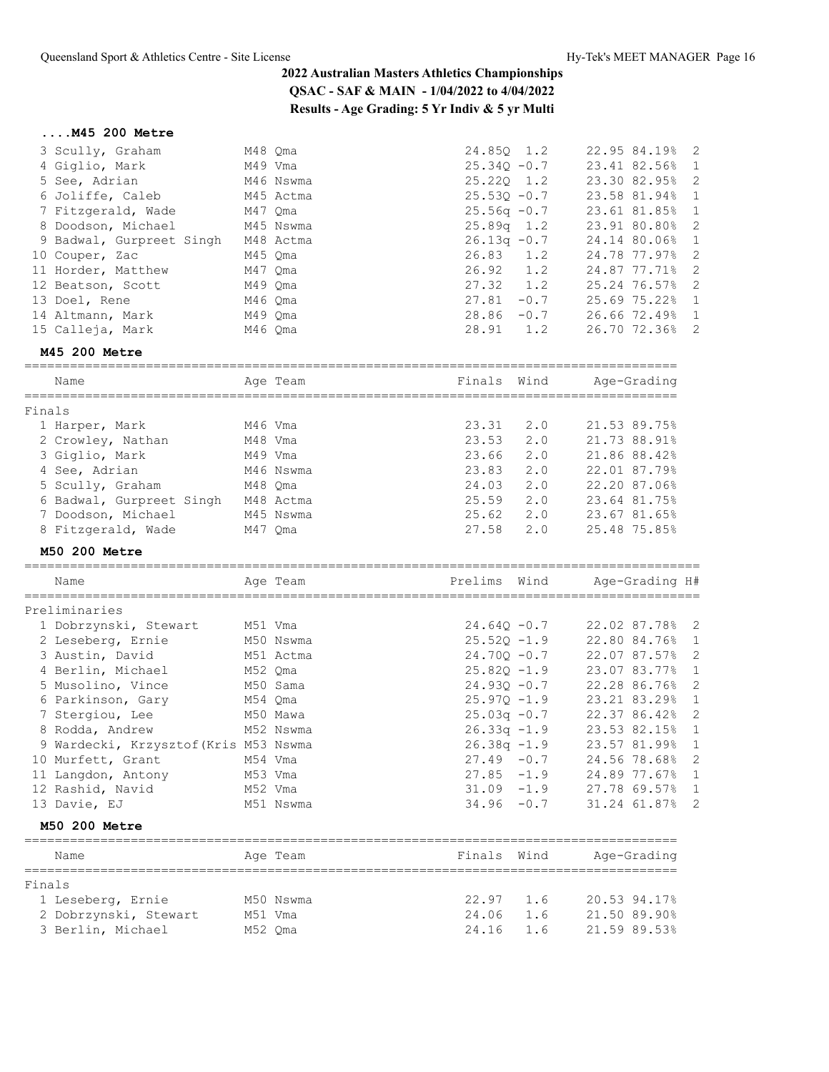## **....M45 200 Metre**

| M48 Qma                                                                                                                                                                                                                                         | 24.850 1.2                   | 22.95 84.19% 2 |
|-------------------------------------------------------------------------------------------------------------------------------------------------------------------------------------------------------------------------------------------------|------------------------------|----------------|
| M49 Vma                                                                                                                                                                                                                                         | $25.340 -0.7$                | 23.41 82.56% 1 |
| M46 Nswma                                                                                                                                                                                                                                       | $25.220$ 1.2                 | 23.30 82.95% 2 |
| M45 Actma                                                                                                                                                                                                                                       | $25.53Q - 0.7$               | 23.58 81.94% 1 |
| M47 Qma                                                                                                                                                                                                                                         | $25.56q -0.7$                | 23.61 81.85% 1 |
|                                                                                                                                                                                                                                                 | $25.89q$ 1.2                 | 23.91 80.80% 2 |
| M48 Actma                                                                                                                                                                                                                                       | $26.13q - 0.7$               | 24.14 80.06% 1 |
| M45 Qma                                                                                                                                                                                                                                         | $26.83$ 1.2                  | 24.78 77.97% 2 |
| M47 Oma                                                                                                                                                                                                                                         | $26.92 \quad 1.2$            | 24.87 77.71% 2 |
| M49 Qma                                                                                                                                                                                                                                         | $27.32 \t1.2$                | 25.24 76.57% 2 |
| M46 Oma                                                                                                                                                                                                                                         | 27.81<br>$-0.7$              | 25.69 75.22% 1 |
| M49 Oma                                                                                                                                                                                                                                         | $28.86 - 0.7$                | 26.66 72.49% 1 |
| M46 Oma                                                                                                                                                                                                                                         | 28.91 1.2                    | 26.70 72.36% 2 |
| 3 Scully, Graham<br>4 Giglio, Mark<br>5 See, Adrian<br>6 Joliffe, Caleb<br>7 Fitzgerald, Wade<br>9 Badwal, Gurpreet Singh<br>10 Couper, Zac<br>11 Horder, Matthew<br>12 Beatson, Scott<br>13 Doel, Rene<br>14 Altmann, Mark<br>15 Calleja, Mark | 8 Doodson, Michael M45 Nswma |                |

## **M45 200 Metre**

|        | Name                     | Age Team  | Finals Wind |     | Age-Grading  |
|--------|--------------------------|-----------|-------------|-----|--------------|
| Finals |                          |           |             |     |              |
|        |                          |           |             |     |              |
|        | 1 Harper, Mark           | M46 Vma   | 23.31       | 2.0 | 21.53 89.75% |
|        | 2 Crowley, Nathan        | M48 Vma   | 23.53       | 2.0 | 21.73 88.91% |
|        | 3 Giglio, Mark           | M49 Vma   | 23.66       | 2.0 | 21.86 88.42% |
|        | 4 See, Adrian            | M46 Nswma | 23.83       | 2.0 | 22.01 87.79% |
|        | 5 Scully, Graham         | M48 Oma   | 24.03       | 2.0 | 22.20 87.06% |
|        | 6 Badwal, Gurpreet Singh | M48 Actma | 25.59       | 2.0 | 23.64 81.75% |
|        | 7 Doodson, Michael       | M45 Nswma | 25.62       | 2.0 | 23.67 81.65% |
|        | 8 Fitzgerald, Wade       | M47 Oma   | 27.58       | 2.0 | 25.48 75.85% |
|        |                          |           |             |     |              |

## **M50 200 Metre**

| Name                                  | Age Team  | Prelims        | Wind | Age-Grading H# |
|---------------------------------------|-----------|----------------|------|----------------|
| Preliminaries                         |           |                |      |                |
| 1 Dobrzynski, Stewart                 | M51 Vma   | $24.640 - 0.7$ |      | 22.02 87.78% 2 |
| 2 Leseberg, Ernie                     | M50 Nswma | $25.520 - 1.9$ |      | 22.80 84.76% 1 |
| 3 Austin, David                       | M51 Actma | $24.700 - 0.7$ |      | 22.07 87.57% 2 |
| 4 Berlin, Michael                     | M52 Qma   | $25.820 - 1.9$ |      | 23.07 83.77% 1 |
| 5 Musolino, Vince                     | M50 Sama  | $24.930 - 0.7$ |      | 22.28 86.76% 2 |
| 6 Parkinson, Gary                     | M54 Oma   | $25.970 - 1.9$ |      | 23.21 83.29% 1 |
| 7 Stergiou, Lee                       | M50 Mawa  | $25.03q - 0.7$ |      | 22.37 86.42% 2 |
| 8 Rodda, Andrew                       | M52 Nswma | $26.33q -1.9$  |      | 23.53 82.15% 1 |
| 9 Wardecki, Krzysztof (Kris M53 Nswma |           | $26.38q - 1.9$ |      | 23.57 81.99% 1 |
| 10 Murfett, Grant                     | M54 Vma   | $27.49 - 0.7$  |      | 24.56 78.68% 2 |
| 11 Langdon, Antony                    | M53 Vma   | $27.85 - 1.9$  |      | 24.89 77.67% 1 |
| 12 Rashid, Navid                      | M52 Vma   | $31.09 - 1.9$  |      | 27.78 69.57% 1 |
| 13 Davie, EJ                          | M51 Nswma | $34.96 - 0.7$  |      | 31.24 61.87% 2 |
|                                       |           |                |      |                |

## **M50 200 Metre**

|        | Name                  |  | Age Team  | Finals Wind |     | Age-Grading  |  |  |  |
|--------|-----------------------|--|-----------|-------------|-----|--------------|--|--|--|
| Finals |                       |  |           |             |     |              |  |  |  |
|        | 1 Leseberg, Ernie     |  | M50 Nswma | $22.97$ 1.6 |     | 20.53 94.17% |  |  |  |
|        | 2 Dobrzynski, Stewart |  | M51 Vma   | 24.06       | 1.6 | 21.50 89.90% |  |  |  |
|        | 3 Berlin, Michael     |  | M52 Oma   | 24.16       | 1.6 | 21.59 89.53% |  |  |  |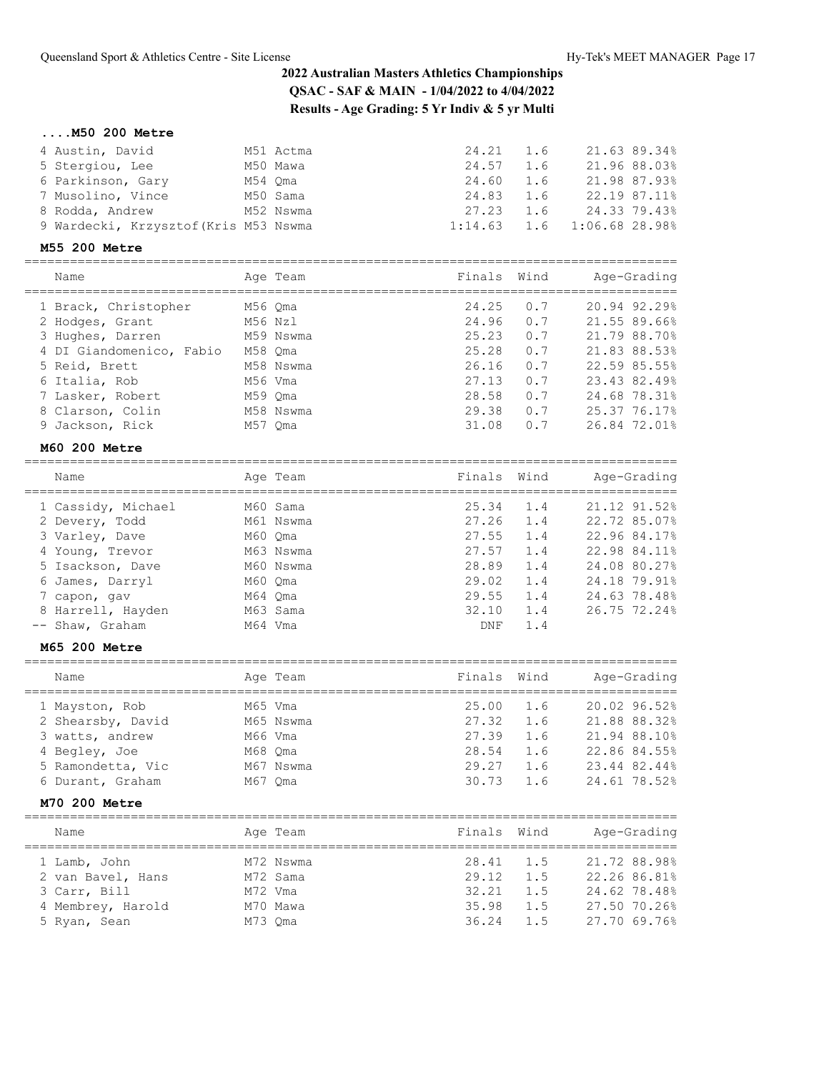## **....M50 200 Metre**

| 4 Austin, David                       | M51 Actma | 24.21 1.6                     |     | 21.63 89.34% |
|---------------------------------------|-----------|-------------------------------|-----|--------------|
| 5 Stergiou, Lee                       | M50 Mawa  | 24.57                         | 1.6 | 21.96 88.03% |
| 6 Parkinson, Gary                     | M54 Oma   | 24.60                         | 1.6 | 21.98 87.93% |
| 7 Musolino, Vince                     | M50 Sama  | 24.83                         | 1.6 | 22.19 87.11% |
| 8 Rodda, Andrew                       | M52 Nswma | 27.23                         | 1.6 | 24.33 79.43% |
| 9 Wardecki, Krzysztof (Kris M53 Nswma |           | 1:14.63  1.6  1:06.68  28.98% |     |              |

### **M55 200 Metre**

| Name                     | Age Team  | Finals Wind |     | Age-Grading  |
|--------------------------|-----------|-------------|-----|--------------|
| 1 Brack, Christopher     | M56 Oma   | 24.25       | 0.7 | 20.94 92.29% |
| 2 Hodges, Grant          | M56 Nzl   | 24.96       | 0.7 | 21.55 89.66% |
| 3 Hughes, Darren         | M59 Nswma | 25.23       | 0.7 | 21.79 88.70% |
| 4 DI Giandomenico, Fabio | M58 Oma   | 25.28       | 0.7 | 21.83 88.53% |
| 5 Reid, Brett            | M58 Nswma | 26.16       | 0.7 | 22.59 85.55% |
| 6 Italia, Rob            | M56 Vma   | 27.13       | 0.7 | 23.43 82.49% |
| 7 Lasker, Robert         | M59 Oma   | 28.58       | 0.7 | 24.68 78.31% |
| 8 Clarson, Colin         | M58 Nswma | 29.38       | 0.7 | 25.37 76.17% |
| 9 Jackson, Rick          | M57 Oma   | 31.08       | 0.7 | 26.84 72.01% |
|                          |           |             |     |              |

### **M60 200 Metre**

| Name               |         | Age Team  | Finals Wind |     | Age-Grading  |
|--------------------|---------|-----------|-------------|-----|--------------|
| 1 Cassidy, Michael |         | M60 Sama  | 25.34       | 1.4 | 21.12 91.52% |
| 2 Devery, Todd     |         | M61 Nswma | 27.26       | 1.4 | 22.72 85.07% |
| 3 Varley, Dave     | M60 Oma |           | 27.55       | 1.4 | 22.96 84.17% |
| 4 Young, Trevor    |         | M63 Nswma | 27.57       | 1.4 | 22.98 84.11% |
| 5 Isackson, Dave   |         | M60 Nswma | 28.89       | 1.4 | 24.08 80.27% |
| 6 James, Darryl    | M60 Oma |           | 29.02       | 1.4 | 24.18 79.91% |
| 7 capon, gav       | M64 Oma |           | 29.55       | 1.4 | 24.63 78.48% |
| 8 Harrell, Hayden  |         | M63 Sama  | 32.10       | 1.4 | 26.75 72.24% |
| -- Shaw, Graham    | M64 Vma |           | DNF         | 1.4 |              |

## **M65 200 Metre**

| Name              |         | Age Team  | Finals Wind |     | Age-Grading  |
|-------------------|---------|-----------|-------------|-----|--------------|
| 1 Mayston, Rob    | M65 Vma |           | 25.00       | 1.6 | 20.02 96.52% |
| 2 Shearsby, David |         | M65 Nswma | 27.32       | 1.6 | 21.88 88.32% |
| 3 watts, andrew   | M66 Vma |           | 27.39       | 1.6 | 21.94 88.10% |
| 4 Begley, Joe     | M68 Oma |           | 28.54       | 1.6 | 22.86 84.55% |
| 5 Ramondetta, Vic |         | M67 Nswma | 29.27       | 1.6 | 23.44 82.44% |
| 6 Durant, Graham  | M67 Oma |           | 30.73       | 1.6 | 24.61 78.52% |

## **M70 200 Metre**

| Name              | Age Team  | Finals Wind |     | Age-Grading  |
|-------------------|-----------|-------------|-----|--------------|
| 1 Lamb, John      | M72 Nswma | 28.41 1.5   |     | 21.72 88.98% |
| 2 van Bavel, Hans | M72 Sama  | 29.12       | 1.5 | 22.26 86.81% |
| 3 Carr, Bill      | M72 Vma   | 32.21       | 1.5 | 24.62 78.48% |
| 4 Membrey, Harold | M70 Mawa  | 35.98       | 1.5 | 27.50 70.26% |
| 5 Ryan, Sean      | M73 Oma   | 36.24       | 1.5 | 27.70 69.76% |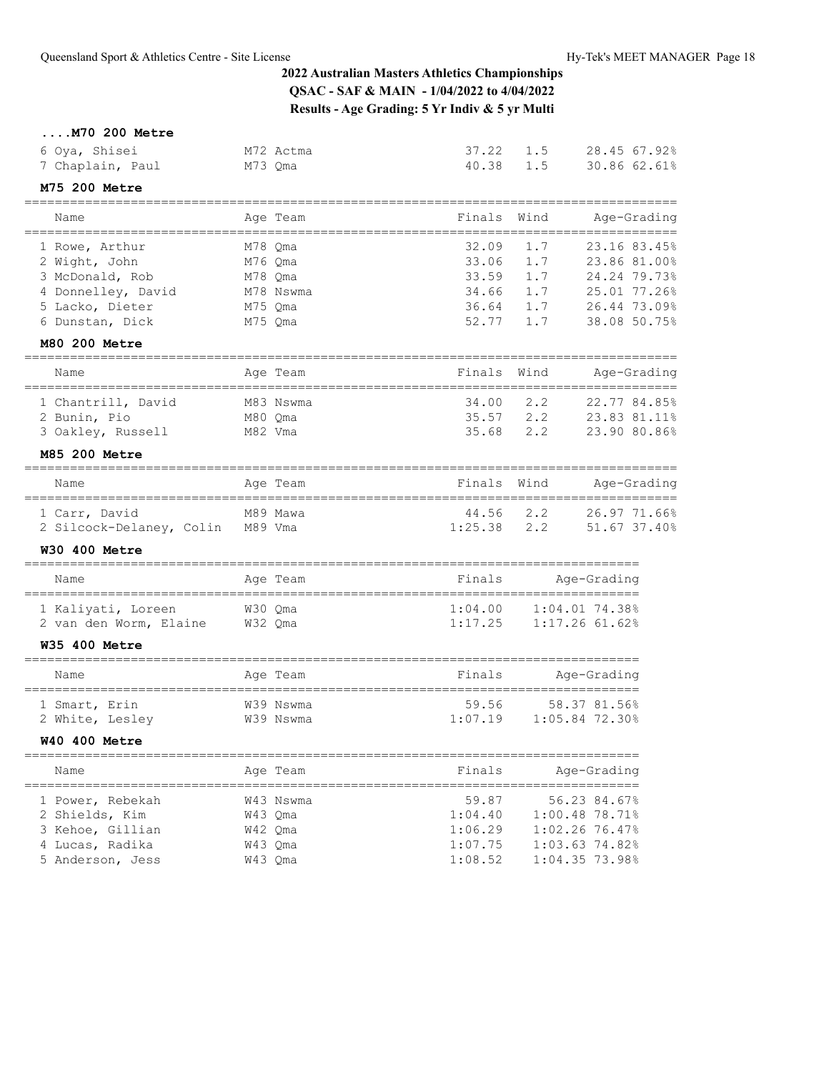**....M70 200 Metre**

| 6 Oya, Shisei<br>7 Chaplain, Paul                                                                                                                       | M72 Actma<br>M73 Qma                                             | 37.22<br>40.38                                                              | 1.5<br>28.45 67.92%<br>30.86 62.61%<br>1.5                                                                                                                  |  |
|---------------------------------------------------------------------------------------------------------------------------------------------------------|------------------------------------------------------------------|-----------------------------------------------------------------------------|-------------------------------------------------------------------------------------------------------------------------------------------------------------|--|
| M75 200 Metre                                                                                                                                           |                                                                  |                                                                             |                                                                                                                                                             |  |
| ================================<br>Name                                                                                                                | Age Team                                                         | :===================<br>Finals                                              | Wind<br>Age-Grading                                                                                                                                         |  |
| =====================================<br>1 Rowe, Arthur<br>2 Wight, John<br>3 McDonald, Rob<br>4 Donnelley, David<br>5 Lacko, Dieter<br>6 Dunstan, Dick | M78 Qma<br>M76 Qma<br>M78 Qma<br>M78 Nswma<br>M75 Qma<br>M75 Qma | _____________________<br>32.09<br>33.06<br>33.59<br>34.66<br>36.64<br>52.77 | =================<br>23.16 83.45%<br>1.7<br>1.7<br>23.86 81.00%<br>1.7<br>24.24 79.73%<br>1.7<br>25.01 77.26%<br>1.7<br>26.44 73.09%<br>38.08 50.75%<br>1.7 |  |
| <b>M80 200 Metre</b>                                                                                                                                    |                                                                  |                                                                             |                                                                                                                                                             |  |
| Name                                                                                                                                                    | Age Team                                                         | Finals                                                                      | Wind<br>Age-Grading<br>===============                                                                                                                      |  |
| 1 Chantrill, David<br>2 Bunin, Pio<br>3 Oakley, Russell<br><b>M85 200 Metre</b>                                                                         | M83 Nswma<br>M80 Qma<br>M82 Vma                                  | 34.00<br>35.57<br>35.68                                                     | 2, 2<br>22.77 84.85%<br>2.2<br>23.83 81.11%<br>2.2<br>23.90 80.86%                                                                                          |  |
|                                                                                                                                                         |                                                                  |                                                                             |                                                                                                                                                             |  |
| Name<br>=====================                                                                                                                           | Age Team<br>===================                                  | Finals                                                                      | Wind<br>Age-Grading                                                                                                                                         |  |
| 1 Carr, David<br>2 Silcock-Delaney, Colin M89 Vma                                                                                                       | M89 Mawa                                                         | 44.56<br>1:25.38                                                            | 26.97 71.66%<br>2.2<br>2, 2<br>51.67 37.40%                                                                                                                 |  |
| <b>W30 400 Metre</b>                                                                                                                                    |                                                                  |                                                                             |                                                                                                                                                             |  |
| Name                                                                                                                                                    | Age Team                                                         | Finals                                                                      | Age-Grading<br>====================================                                                                                                         |  |
| 1 Kaliyati, Loreen<br>2 van den Worm, Elaine<br><b>W35 400 Metre</b>                                                                                    | W30 Qma<br>W32 Qma                                               | 1:04.00<br>1:17.25                                                          | $1:04.01$ 74.38%<br>$1:17.26$ 61.62%                                                                                                                        |  |
| Name                                                                                                                                                    | Age Team                                                         | Finals                                                                      | Age-Grading                                                                                                                                                 |  |
| 1 Smart, Erin<br>2 White, Lesley<br><b>W40 400 Metre</b>                                                                                                | W39 Nswma<br>W39 Nswma                                           | 59.56<br>1:07.19                                                            | 58.37 81.56%<br>1:05.84 72.30%                                                                                                                              |  |
| Name                                                                                                                                                    | Age Team                                                         | Finals                                                                      | Age-Grading                                                                                                                                                 |  |
| 1 Power, Rebekah<br>2 Shields, Kim<br>3 Kehoe, Gillian<br>4 Lucas, Radika<br>5 Anderson, Jess                                                           | W43 Nswma<br>W43 Qma<br>W42 Qma<br>W43 Qma<br>W43 Qma            | 59.87<br>1:04.40<br>1:06.29<br>1:07.75<br>1:08.52                           | ___________<br>56.23 84.67%<br>1:00.48 78.71%<br>1:02.2676.47%<br>1:03.63 74.82%<br>1:04.35 73.98%                                                          |  |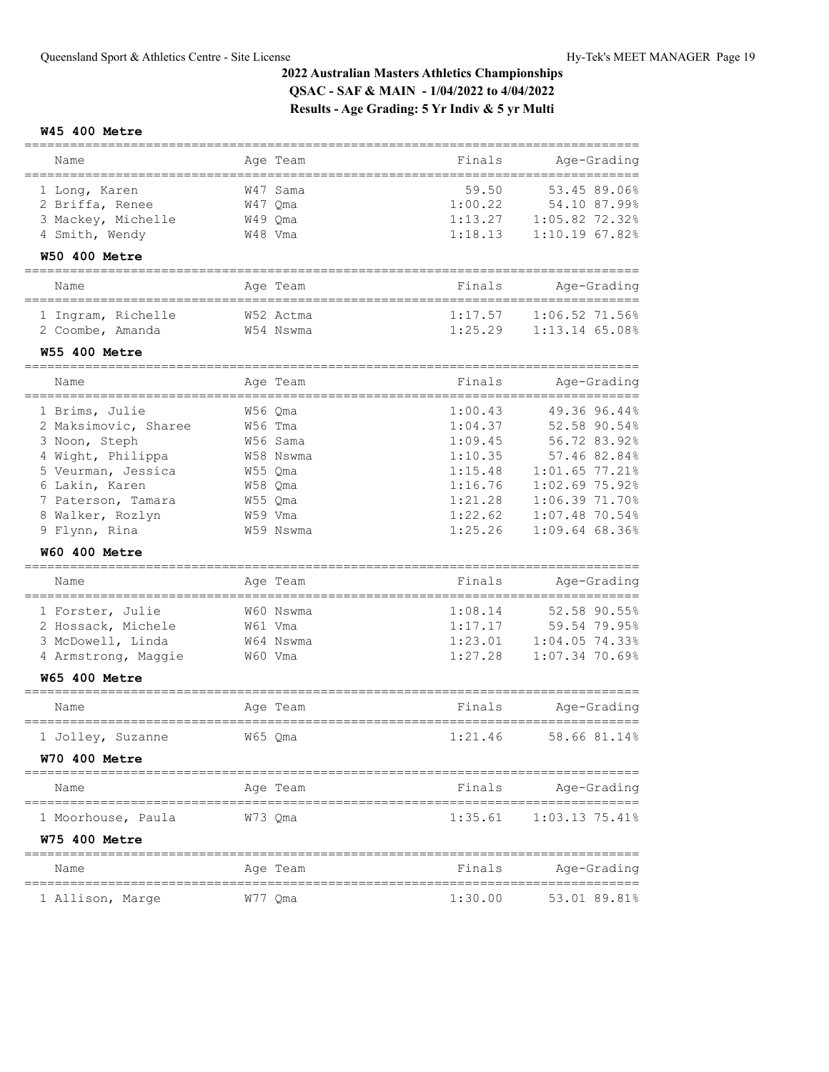## **W45 400 Metre**

| Name                                      | Age Team                     | Finals  | Age-Grading                     |
|-------------------------------------------|------------------------------|---------|---------------------------------|
| 1 Long, Karen                             | W47 Sama                     | 59.50   | 53.45 89.06%                    |
| 2 Briffa, Renee                           | W47 Qma                      | 1:00.22 | 54.10 87.99%                    |
| 3 Mackey, Michelle                        | W49 Qma                      | 1:13.27 | 1:05.82 72.32%                  |
| 4 Smith, Wendy                            | W48 Vma                      | 1:18.13 | $1:10.19$ 67.82%                |
| <b>W50 400 Metre</b>                      |                              |         |                                 |
| Name                                      | Age Team                     | Finals  | Age-Grading                     |
| ============                              |                              |         | :=============                  |
| 1 Ingram, Richelle                        | W52 Actma                    | 1:17.57 | 1:06.52 71.56%                  |
| 2 Coombe, Amanda                          | W54 Nswma                    | 1:25.29 | 1:13.14 65.08%                  |
| <b>W55 400 Metre</b><br>:================ |                              |         |                                 |
| Name                                      | Age Team                     | Finals  | Age-Grading                     |
| =======================<br>1 Brims, Julie | =================<br>W56 Qma | 1:00.43 | 49.36 96.44%                    |
| 2 Maksimovic, Sharee                      | W56 Tma                      | 1:04.37 | 52.58 90.54%                    |
| 3 Noon, Steph                             | W56 Sama                     | 1:09.45 | 56.72 83.92%                    |
| 4 Wight, Philippa                         | W58 Nswma                    | 1:10.35 | 57.46 82.84%                    |
| 5 Veurman, Jessica                        | W55 Qma                      | 1:15.48 | $1:01.65$ 77.21%                |
| 6 Lakin, Karen                            | W58 Qma                      | 1:16.76 | $1:02.69$ 75.92%                |
| 7 Paterson, Tamara                        | W55 Qma                      | 1:21.28 | 1:06.39 71.70%                  |
|                                           |                              | 1:22.62 |                                 |
| 8 Walker, Rozlyn<br>9 Flynn, Rina         | W59 Vma<br>W59 Nswma         | 1:25.26 | 1:07.48 70.54%<br>1:09.6468.36% |
|                                           |                              |         |                                 |
| <b>W60 400 Metre</b>                      |                              |         |                                 |
| Name                                      | Aqe Team                     | Finals  | Age-Grading                     |
| 1 Forster, Julie                          | W60 Nswma                    | 1:08.14 | 52.58 90.55%                    |
| 2 Hossack, Michele                        | W61 Vma                      | 1:17.17 | 59.54 79.95%                    |
| 3 McDowell, Linda                         | W64 Nswma                    | 1:23.01 | 1:04.05 74.33%                  |
| 4 Armstrong, Maggie                       | W60 Vma                      | 1:27.28 | 1:07.34 70.69%                  |
| <b>W65 400 Metre</b>                      |                              |         |                                 |
| Name                                      | Age Team                     | Finals  | Age-Grading                     |
|                                           |                              |         |                                 |
| 1 Jolley, Suzanne                         | W65 Qma                      | 1:21.46 | 58.66 81.14%                    |
| <b>W70 400 Metre</b>                      |                              |         |                                 |
| Name                                      | Age Team                     | Finals  | Age-Grading                     |
| 1 Moorhouse, Paula                        | W/3 Qma                      | 1:35.61 | $1:03.13$ 75.41%                |
| <b>W75 400 Metre</b>                      |                              |         |                                 |
| Name                                      | Age Team                     | Finals  | Age-Grading                     |
| 1 Allison, Marge                          | W// Qma                      | 1:30.00 | 53.01 89.81%                    |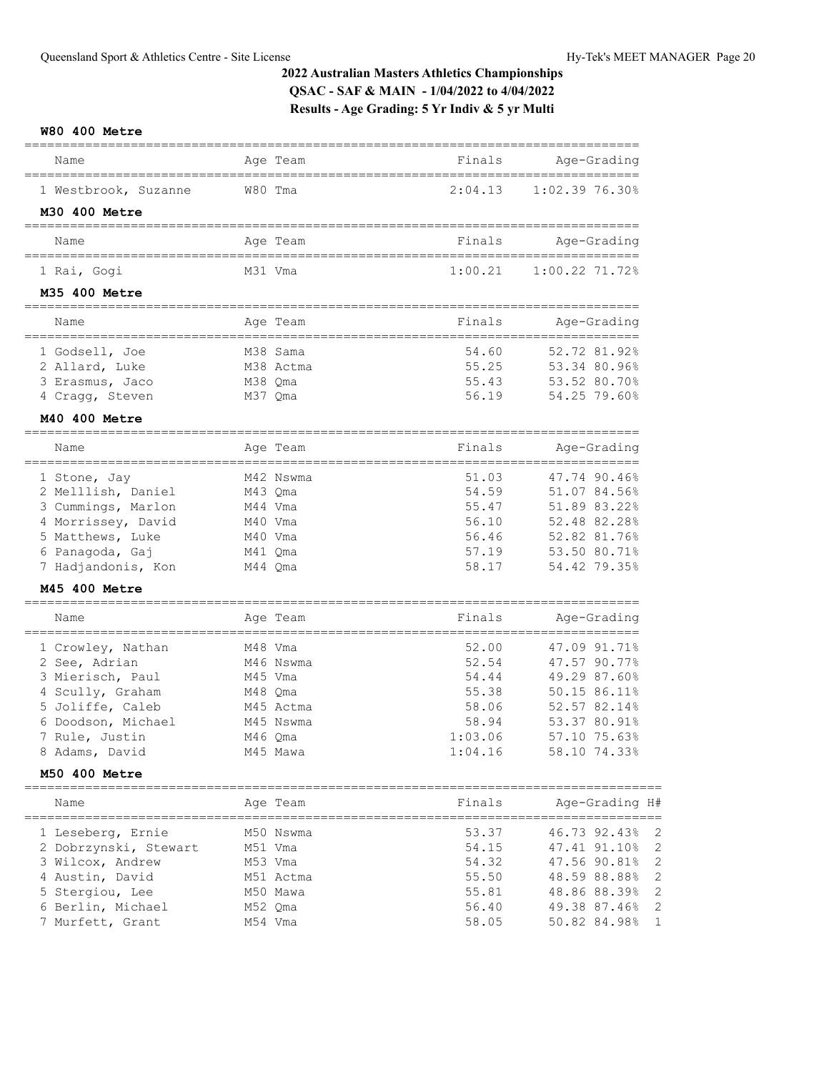**W80 400 Metre**

| Name                                  | Age Team           | Finals  | Age-Grading                                   |
|---------------------------------------|--------------------|---------|-----------------------------------------------|
| 1 Westbrook, Suzanne<br>M30 400 Metre | W80 Tma            | 2:04.13 | 1:02.39 76.30%                                |
|                                       |                    |         |                                               |
| Name                                  | Age Team           | Finals  | Age-Grading<br>===========                    |
| 1 Rai, Gogi                           | M31 Vma            | 1:00.21 | 1:00.22 71.72%                                |
| M35 400 Metre                         |                    |         |                                               |
| Name                                  | Age Team           | Finals  | Age-Grading                                   |
| 1 Godsell, Joe                        | M38 Sama           | 54.60   | 52.72 81.92%                                  |
| 2 Allard, Luke                        | M38 Actma          | 55.25   | 53.34 80.96%                                  |
| 3 Erasmus, Jaco                       | M38 Qma            | 55.43   | 53.52 80.70%                                  |
| 4 Cragg, Steven                       | M37 Qma            | 56.19   | 54.25 79.60%                                  |
| M40 400 Metre                         |                    |         |                                               |
| Name                                  | Age Team           | Finals  | Age-Grading                                   |
| ===============                       |                    | 51.03   | =============================<br>47.74 90.46% |
| 1 Stone, Jay<br>2 Melllish, Daniel    | M42 Nswma          | 54.59   | 51.07 84.56%                                  |
| 3 Cummings, Marlon                    | M43 Qma<br>M44 Vma | 55.47   | 51.89 83.22%                                  |
| 4 Morrissey, David                    | M40 Vma            | 56.10   | 52.48 82.28%                                  |
| 5 Matthews, Luke                      | M40 Vma            | 56.46   | 52.82 81.76%                                  |
| 6 Panagoda, Gaj                       | M41 Qma            | 57.19   | 53.50 80.71%                                  |
| 7 Hadjandonis, Kon                    | M44 Qma            | 58.17   | 54.42 79.35%                                  |
| M45 400 Metre                         |                    |         |                                               |
| -------------------                   |                    |         |                                               |
| Name                                  | Age Team           | Finals  | Age-Grading                                   |
| 1 Crowley, Nathan                     | M48 Vma            | 52.00   | 47.09 91.71%                                  |
| 2 See, Adrian                         | M46 Nswma          | 52.54   | 47.57 90.77%                                  |
| 3 Mierisch, Paul                      | M45 Vma            | 54.44   | 49.29 87.60%                                  |
| 4 Scully, Graham                      | M48 Qma            | 55.38   | 50.15 86.11%                                  |
| 5 Joliffe, Caleb                      | M45 Actma          | 58.06   | 52.57 82.14%                                  |
| Doodson, Michael<br>6                 | M45 Nswma          | 58.94   | 53.37 80.91%                                  |
| 7 Rule, Justin                        | M46 Qma            | 1:03.06 | 57.10 75.63%                                  |
| 8 Adams, David                        | M45 Mawa           | 1:04.16 | 58.10 74.33%                                  |
| M50 400 Metre                         | ========           | ======  |                                               |
| Name                                  | Age Team           | Finals  | Age-Grading H#                                |
| 1 Leseberg, Ernie                     | M50 Nswma          | 53.37   | 46.73 92.43%<br>2                             |
| 2 Dobrzynski, Stewart                 | M51 Vma            | 54.15   | $\overline{c}$<br>47.41 91.10%                |
| 3 Wilcox, Andrew                      | M53 Vma            | 54.32   | $\overline{c}$<br>47.56 90.81%                |
| 4 Austin, David                       | M51 Actma          | 55.50   | $\overline{c}$<br>48.59 88.88%                |
| 5 Stergiou, Lee                       | M50 Mawa           | 55.81   | $\overline{c}$<br>48.86 88.39%                |
| 6 Berlin, Michael                     | M52 Qma            | 56.40   | 49.38 87.46%<br>2                             |
| 7 Murfett, Grant                      | M54 Vma            | 58.05   | 1<br>50.82 84.98%                             |
|                                       |                    |         |                                               |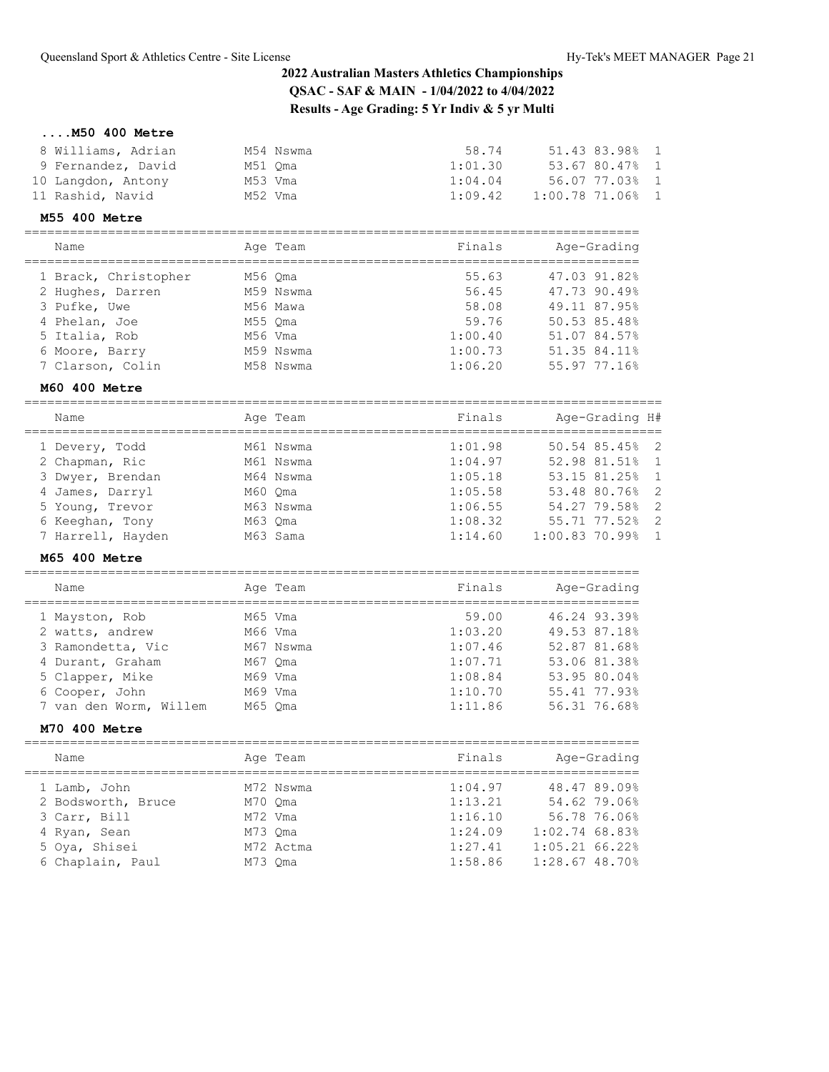**....M50 400 Metre**

| 8 Williams, Adrian | M54 Nswma | 58.74   | 51.43 83.98% 1   |  |
|--------------------|-----------|---------|------------------|--|
| 9 Fernandez, David | M51 Oma   | 1:01.30 | 53.67 80.47% 1   |  |
| 10 Langdon, Antony | M53 Vma   | 1:04.04 | 56.07 77.03% 1   |  |
| 11 Rashid, Navid   | M52 Vma   | 1:09.42 | $1:00.7871.06$ 1 |  |
|                    |           |         |                  |  |

### **M55 400 Metre**

================================================================================= Name Age Team Finals Age-Grading

| Ndille               |         | Age ream  | r THIRTS | Age-erading  |
|----------------------|---------|-----------|----------|--------------|
| 1 Brack, Christopher | M56 Oma |           | 55.63    | 47.03 91.82% |
| 2 Hughes, Darren     |         | M59 Nswma | 56.45    | 47.73 90.49% |
| 3 Pufke, Uwe         |         | M56 Mawa  | 58.08    | 49.11 87.95% |
| 4 Phelan, Joe        | M55 Oma |           | 59.76    | 50.53 85.48% |
| 5 Italia, Rob        | M56 Vma |           | 1:00.40  | 51.07 84.57% |
| 6 Moore, Barry       |         | M59 Nswma | 1:00.73  | 51.35 84.11% |
| 7 Clarson, Colin     |         | M58 Nswma | 1:06.20  | 55.97 77.16% |
|                      |         |           |          |              |

## **M60 400 Metre**

| Name              | Age Team  | Finals  | Age-Grading H#     |
|-------------------|-----------|---------|--------------------|
| 1 Devery, Todd    | M61 Nswma | 1:01.98 | $50.54$ 85.45% 2   |
| 2 Chapman, Ric    | M61 Nswma | 1:04.97 | 52.98 81.51% 1     |
| 3 Dwyer, Brendan  | M64 Nswma | 1:05.18 | 53.15 81.25% 1     |
| 4 James, Darryl   | M60 Oma   | 1:05.58 | 53.48 80.76% 2     |
| 5 Young, Trevor   | M63 Nswma | 1:06.55 | 54.27 79.58% 2     |
| 6 Keeghan, Tony   | M63 Oma   | 1:08.32 | 55.71 77.52% 2     |
| 7 Harrell, Hayden | M63 Sama  | 1:14.60 | $1:00.83$ 70.99% 1 |
|                   |           |         |                    |

## **M65 400 Metre**

| Name                   | Age Team  | Finals  | Age-Grading  |
|------------------------|-----------|---------|--------------|
| 1 Mayston, Rob         | M65 Vma   | 59.00   | 46.24 93.39% |
| 2 watts, andrew        | M66 Vma   | 1:03.20 | 49.53 87.18% |
| 3 Ramondetta, Vic      | M67 Nswma | 1:07.46 | 52.87 81.68% |
| 4 Durant, Graham       | M67 Oma   | 1:07.71 | 53.06 81.38% |
| 5 Clapper, Mike        | M69 Vma   | 1:08.84 | 53.95 80.04% |
| 6 Cooper, John         | M69 Vma   | 1:10.70 | 55.41 77.93% |
| 7 van den Worm, Willem | M65 Oma   | 1:11.86 | 56.31 76.68% |
|                        |           |         |              |

#### **M70 400 Metre**

| Name               |         | Age Team  | Finals  | Age-Grading      |
|--------------------|---------|-----------|---------|------------------|
| 1 Lamb, John       |         | M72 Nswma | 1:04.97 | 48.47 89.09%     |
| 2 Bodsworth, Bruce | M70 Oma |           | 1:13.21 | 54.62 79.06%     |
| 3 Carr, Bill       | M72 Vma |           | 1:16.10 | 56.78 76.06%     |
| 4 Ryan, Sean       | M73 Oma |           | 1:24.09 | $1:02.74$ 68.83% |
| 5 Oya, Shisei      |         | M72 Actma | 1:27.41 | 1:05.2166.22     |
| 6 Chaplain, Paul   | M73 Oma |           | 1:58.86 | $1:28.67$ 48.70% |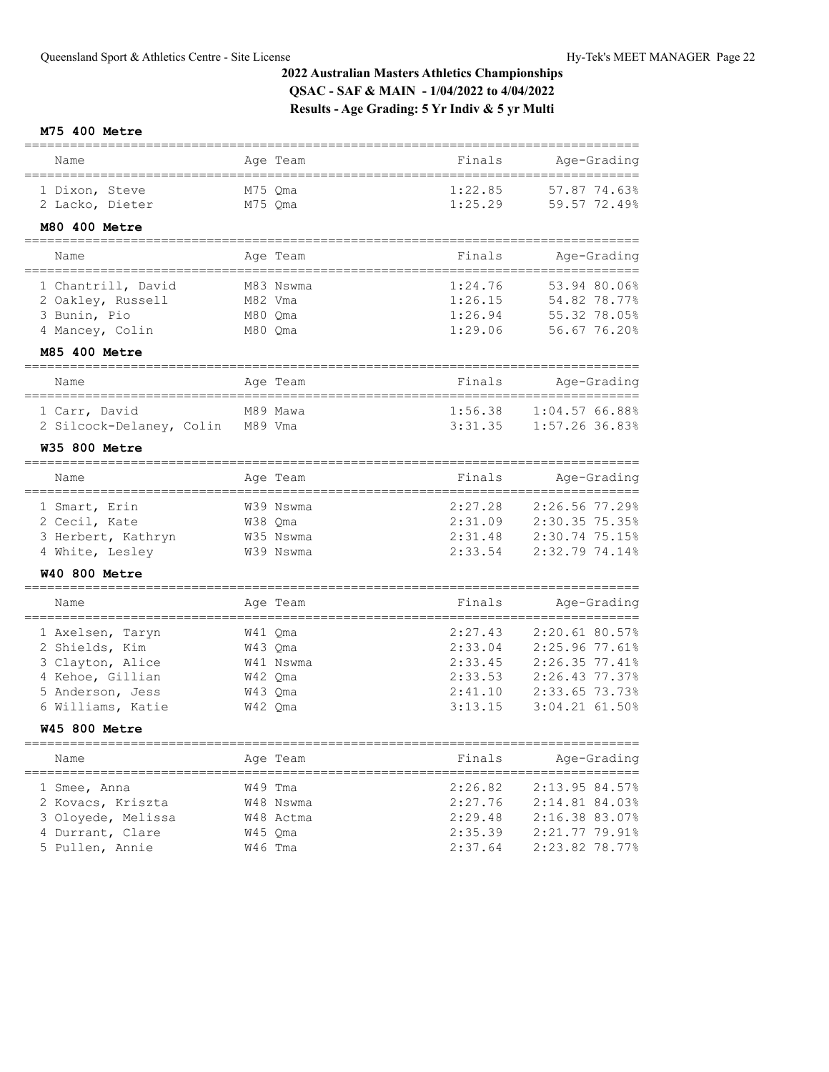## **M75 400 Metre**

| Name                                          | Age Team     | Finals                   | ==========<br>Age-Grading |
|-----------------------------------------------|--------------|--------------------------|---------------------------|
| 1 Dixon, Steve                                | M75 Qma      | 1:22.85                  | 57.87 74.63%              |
| 2 Lacko, Dieter                               | M75 Qma      | 1:25.29                  | 59.57 72.49%              |
| M80 400 Metre<br>======================       |              | ===============          |                           |
| Name                                          | Age Team     | Finals                   | Age-Grading               |
| 1 Chantrill, David                            | M83 Nswma    | 1:24.76                  | 53.94 80.06%              |
| 2 Oakley, Russell                             | M82 Vma      | 1:26.15                  | 54.82 78.77%              |
| 3 Bunin, Pio                                  | M80 Qma      | 1:26.94                  | 55.32 78.05%              |
| 4 Mancey, Colin                               | M80 Qma      | 1:29.06                  | 56.67 76.20%              |
| M85 400 Metre<br>======================       |              |                          |                           |
| Name                                          | Age Team     | Finals                   | Age-Grading               |
| 1 Carr, David                                 | M89 Mawa     | 1:56.38                  | 1:04.5766.88%             |
| 2 Silcock-Delaney, Colin                      | M89 Vma      | 3:31.35                  | 1:57.26 36.83%            |
| <b>W35 800 Metre</b><br>===================== | ============ |                          |                           |
| Name                                          | Age Team     | Finals                   | Age-Grading               |
| 1 Smart, Erin                                 | W39 Nswma    | 2:27.28                  | 2:26.56 77.29%            |
| 2 Cecil, Kate                                 | W38 Qma      | 2:31.09                  | 2:30.35 75.35%            |
| 3 Herbert, Kathryn                            | W35 Nswma    | 2:31.48                  | 2:30.74 75.15%            |
| 4 White, Lesley                               | W39 Nswma    | 2:33.54                  | 2:32.79 74.14%            |
| <b>W40 800 Metre</b><br>===================   |              |                          |                           |
| Name<br>====================================  | Age Team     | Finals                   | Age-Grading               |
| 1 Axelsen, Taryn                              | W41 Qma      | 2:27.43                  | 2:20.61 80.57%            |
| 2 Shields, Kim                                | W43 Qma      | 2:33.04                  | 2:25.96 77.61%            |
| 3 Clayton, Alice                              | W41 Nswma    | 2:33.45                  | 2:26.35 77.41%            |
| 4 Kehoe, Gillian                              | W42 Qma      | 2:33.53                  | 2:26.43 77.37%            |
| 5 Anderson, Jess                              | W43 Qma      | 2:41.10                  | 2:33.65 73.73%            |
| 6 Williams, Katie                             | W42 Qma      | 3:13.15                  | 3:04.21 61.50%            |
| <b>W45 800 Metre</b>                          |              |                          |                           |
| Name                                          | Age Team     | Finals<br>============== | Age-Grading<br>=========  |
| 1 Smee, Anna                                  | W49 Tma      | 2:26.82                  | 2:13.95.84.57%            |

| 1 Smee, Anna       | W49 Tma   | 2:26.82 | 2:13.95 84.57% |
|--------------------|-----------|---------|----------------|
| 2 Kovacs, Kriszta  | W48 Nswma | 2:27.76 | 2:14.81 84.03% |
| 3 Oloyede, Melissa | W48 Actma | 2:29.48 | 2:16.38 83.07% |
| 4 Durrant, Clare   | W45 Oma   | 2:35.39 | 2:21.77 79.91% |
| 5 Pullen, Annie    | W46 Tma   | 2:37.64 | 2:23.82 78.77% |
|                    |           |         |                |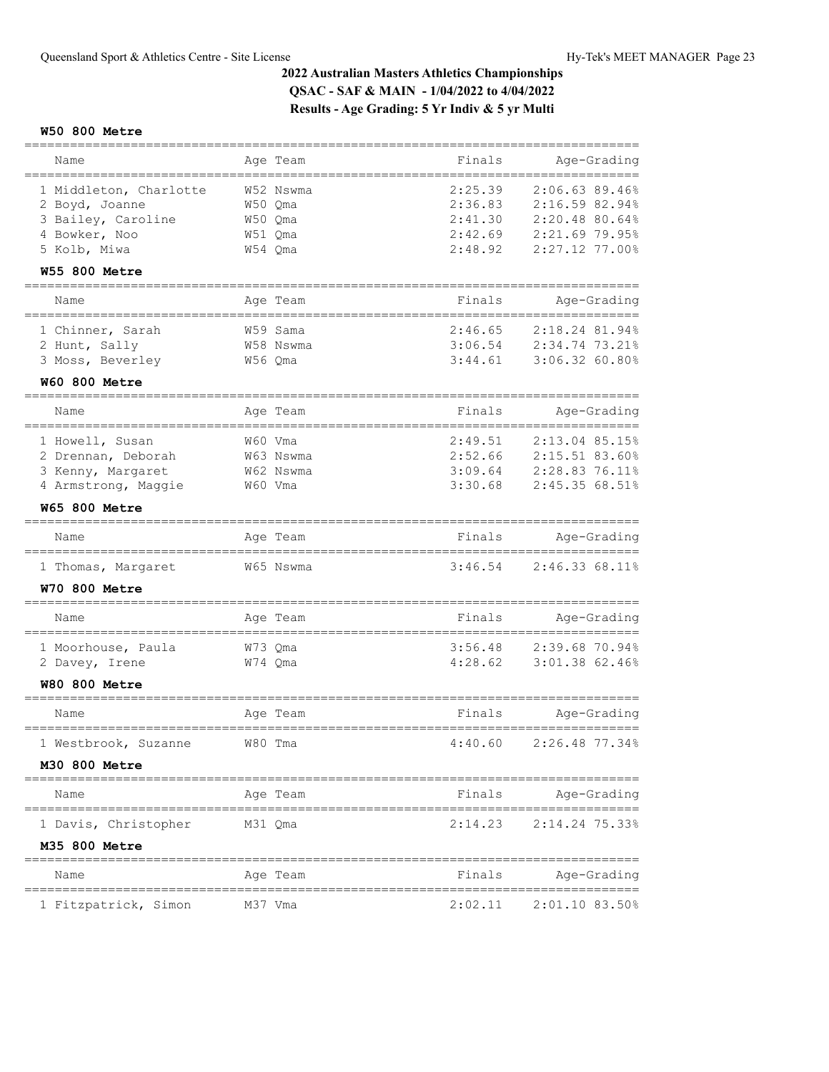## **W50 800 Metre**

| Name                                                                                                      | Age Team                                              | Finals                                                                          | Age-Grading                                                                                 |
|-----------------------------------------------------------------------------------------------------------|-------------------------------------------------------|---------------------------------------------------------------------------------|---------------------------------------------------------------------------------------------|
| 1 Middleton, Charlotte<br>2 Boyd, Joanne<br>3 Bailey, Caroline<br>4 Bowker, Noo<br>5 Kolb, Miwa           | W52 Nswma<br>W50 Qma<br>W50 Oma<br>W51 Qma<br>W54 Qma | 2:25.39<br>2:36.83<br>2:41.30<br>2:42.69<br>2:48.92                             | 2:06.63 89.46%<br>2:16.59 82.94%<br>2:20.48 80.64%<br>2:21.69 79.95%<br>2:27.12 77.00%      |
| <b>W55 800 Metre</b>                                                                                      |                                                       |                                                                                 |                                                                                             |
| ---------------------<br>Name                                                                             | Age Team                                              | Finals                                                                          | Age-Grading                                                                                 |
| 1 Chinner, Sarah<br>2 Hunt, Sally<br>3 Moss, Beverley                                                     | W59 Sama<br>W58 Nswma<br>W56 Qma                      | 2:46.65<br>3:06.54<br>3:44.61                                                   | =====================================<br>2:18.24 81.94%<br>2:34.74 73.21%<br>3:06.32 60.80% |
| <b>W60 800 Metre</b>                                                                                      |                                                       |                                                                                 |                                                                                             |
| Name                                                                                                      | Age Team                                              | Finals                                                                          | Age-Grading                                                                                 |
| 1 Howell, Susan<br>2 Drennan, Deborah<br>3 Kenny, Margaret<br>4 Armstrong, Maggie<br><b>W65 800 Metre</b> | W60 Vma<br>W63 Nswma<br>W62 Nswma<br>W60 Vma          | -----------------------------------<br>2:49.51<br>2:52.66<br>3:09.64<br>3:30.68 | 2:13.04 85.15%<br>2:15.51 83.60%<br>2:28.83 76.11%<br>2:45.35 68.51%                        |
| ==================<br>Name                                                                                | Age Team                                              | Finals                                                                          | Age-Grading                                                                                 |
| ,,,,,,,,,,,,,,,,,,,,,,,,,,,,,,<br>1 Thomas, Margaret<br><b>W70 800 Metre</b>                              | ======================<br>W65 Nswma                   | 3:46.54                                                                         | ==========<br>2:46.33 68.11%                                                                |
| ================<br>Name                                                                                  | Age Team                                              | Finals                                                                          | Age-Grading                                                                                 |
| 1 Moorhouse, Paula<br>2 Davey, Irene<br><b>W80 800 Metre</b>                                              | W73 Qma<br>W74 Qma                                    | 3:56.48<br>4:28.62                                                              | 2:39.68 70.94%<br>3:01.38 62.46%                                                            |
| ==========<br>Name                                                                                        | Age Team                                              | Finals                                                                          | Age-Grading                                                                                 |
| 1 Westbrook, Suzanne<br><b>M30 800 Metre</b>                                                              | W80 Tma                                               | 4:40.60                                                                         | 2:26.48 77.34%                                                                              |
| Name                                                                                                      | Age Team                                              | Finals                                                                          | Age-Grading                                                                                 |
| 1 Davis, Christopher<br>M35 800 Metre                                                                     | M31 Qma                                               | 2:14.23                                                                         | $2:14.24$ 75.33%                                                                            |
| Name                                                                                                      | Age Team                                              | Finals                                                                          | Age-Grading                                                                                 |
| 1 Fitzpatrick, Simon                                                                                      | M37 Vma                                               | 2:02.11                                                                         | 2:01.10 83.50%                                                                              |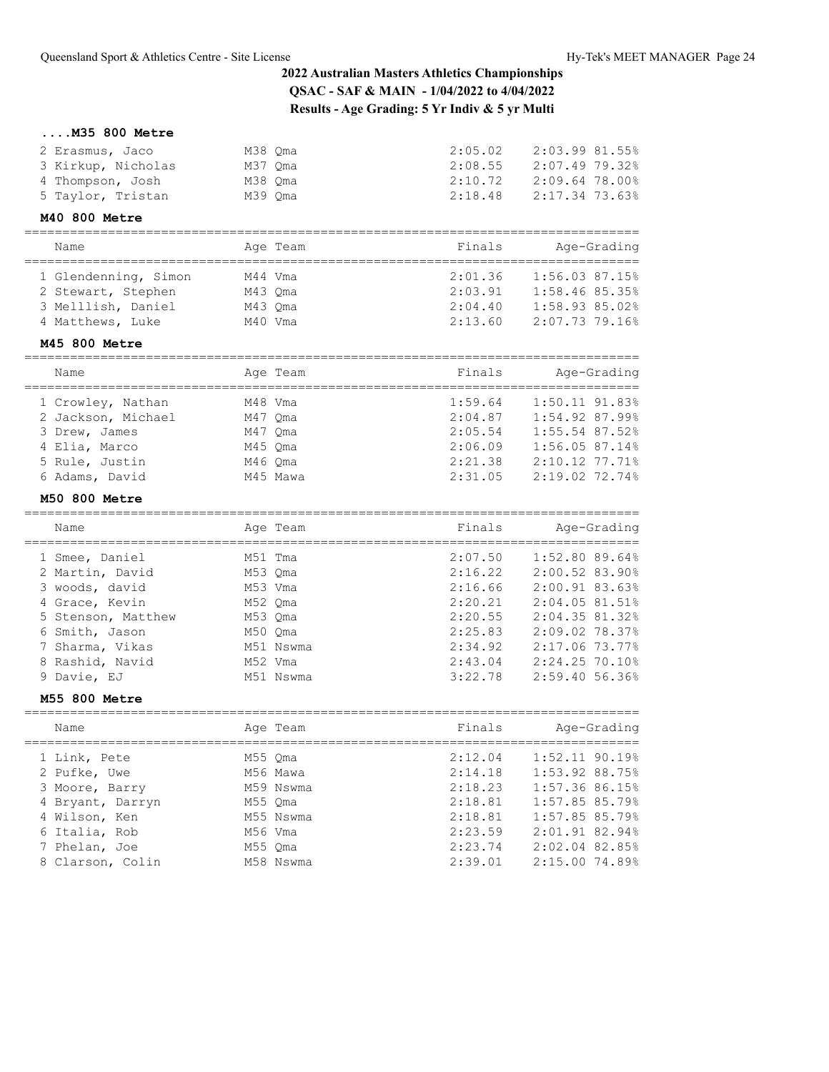## **....M35 800 Metre**

| 2 Erasmus, Jaco    | M38 Oma | 2:05.02 | 2:03.99 81.55% |
|--------------------|---------|---------|----------------|
| 3 Kirkup, Nicholas | M37 Oma | 2:08.55 | 2:07.49 79.32% |
| 4 Thompson, Josh   | M38 Oma | 2:10.72 | 2:09.64 78.00% |
| 5 Taylor, Tristan  | M39 Oma | 2:18.48 | 2:17.34 73.63% |
|                    |         |         |                |

#### **M40 800 Metre**

#### ================================================================================= Name Age Team Finals Age-Grading

| name                 | age ream | rinais  | Age-Grading      |
|----------------------|----------|---------|------------------|
| 1 Glendenning, Simon | M44 Vma  | 2:01.36 | $1:56.03$ 87.15% |
| 2 Stewart, Stephen   | M43 Oma  | 2:03.91 | 1:58.46 85.35%   |
| 3 Melllish, Daniel   | M43 Oma  | 2:04.40 | 1:58.93.85.02    |
| 4 Matthews, Luke     | M40 Vma  | 2:13.60 | 2:07.73 79.16%   |
|                      |          |         |                  |

## **M45 800 Metre**

| Name               | Age Team | Finals  | Age-Grading      |
|--------------------|----------|---------|------------------|
| 1 Crowley, Nathan  | M48 Vma  | 1:59.64 | $1:50.11$ 91.83% |
| 2 Jackson, Michael | M47 Oma  | 2:04.87 | $1:54.92$ 87.99% |
| 3 Drew, James      | M47 Oma  | 2:05.54 | $1:55.54$ 87.52% |
| 4 Elia, Marco      | M45 Oma  | 2:06.09 | 1:56.0587.14%    |
| 5 Rule, Justin     | M46 Oma  | 2:21.38 | $2:10.12$ 77.71% |
| 6 Adams, David     | M45 Mawa | 2:31.05 | 2:19.02 72.74%   |

## **M50 800 Metre**

| Name               |         | Age Team  | Finals  | Age-Grading        |
|--------------------|---------|-----------|---------|--------------------|
| 1 Smee, Daniel     | M51 Tma |           | 2:07.50 | $1:52.80$ 89.64%   |
| 2 Martin, David    | M53 Oma |           | 2:16.22 | 2:00.52 83.90%     |
| 3 woods, david     | M53 Vma |           | 2:16.66 | 2:00.9183.63%      |
| 4 Grace, Kevin     | M52 Oma |           | 2:20.21 | 2:04.0581.51%      |
| 5 Stenson, Matthew | M53 Oma |           | 2:20.55 | 2:04.3581.32%      |
| 6 Smith, Jason     | M50 Oma |           | 2:25.83 | 2:09.02 78.37%     |
| 7 Sharma, Vikas    |         | M51 Nswma | 2:34.92 | 2:17.06 73.77%     |
| 8 Rashid, Navid    | M52 Vma |           | 2:43.04 | 2:24.25 70.10%     |
| 9 Davie, EJ        |         | M51 Nswma | 3:22.78 | $2:59.40\ 56.36\%$ |

#### **M55 800 Metre**

| Name             | Age Team  | Finals  | Age-Grading      |
|------------------|-----------|---------|------------------|
| 1 Link, Pete     | M55 Oma   | 2:12.04 | $1:52.11$ 90.19% |
| 2 Pufke, Uwe     | M56 Mawa  | 2:14.18 | 1:53.92 88.75%   |
| 3 Moore, Barry   | M59 Nswma | 2:18.23 | 1:57.36 86.15%   |
| 4 Bryant, Darryn | M55 Oma   | 2:18.81 | 1:57.85 85.79%   |
| 4 Wilson, Ken    | M55 Nswma | 2:18.81 | 1:57.85 85.79%   |
| 6 Italia, Rob    | M56 Vma   | 2:23.59 | 2:01.91.82.94%   |
| 7 Phelan, Joe    | M55 Oma   | 2:23.74 | 2:02.04 82.85%   |
| 8 Clarson, Colin | M58 Nswma | 2:39.01 | 2:15.00 74.89%   |
|                  |           |         |                  |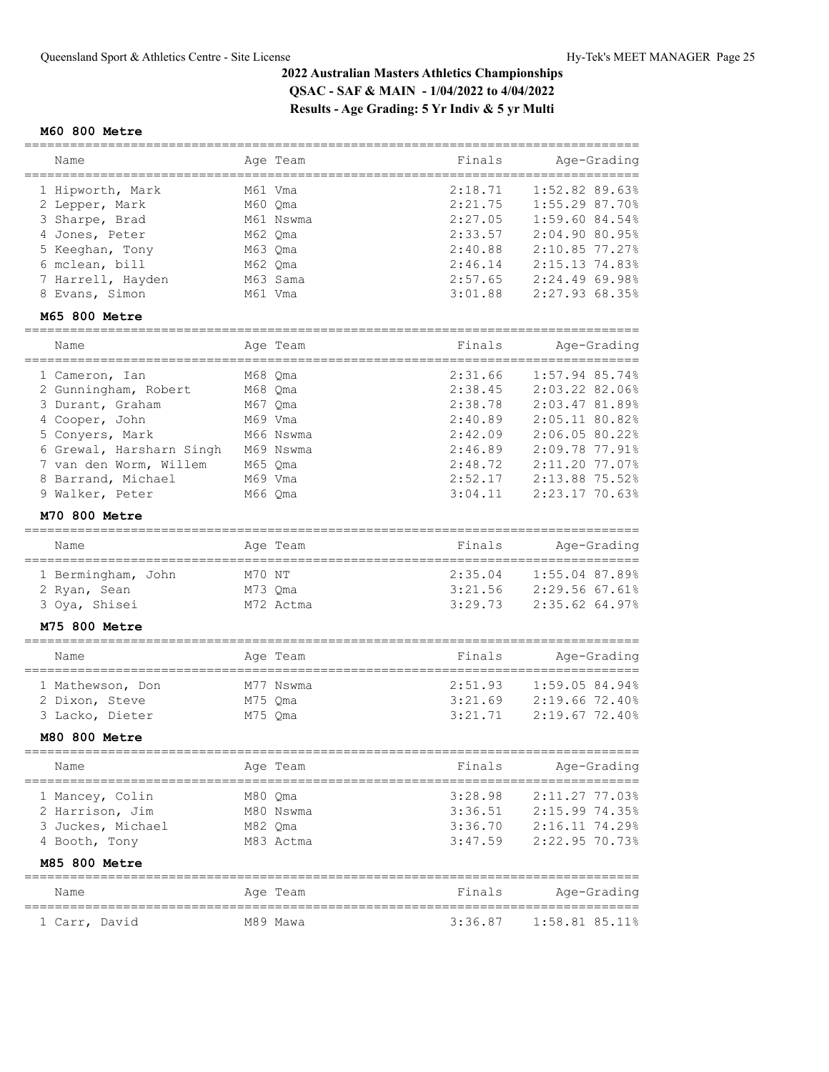### **M60 800 Metre**

| Name                                                                                      |                                          | Age Team  | Finals                                              | Age-Grading                                                                               |
|-------------------------------------------------------------------------------------------|------------------------------------------|-----------|-----------------------------------------------------|-------------------------------------------------------------------------------------------|
| 1 Hipworth, Mark<br>2 Lepper, Mark<br>3 Sharpe, Brad<br>4 Jones, Peter<br>5 Keeghan, Tony | M61 Vma<br>M60 Oma<br>M62 Oma<br>M63 Oma | M61 Nswma | 2:18.71<br>2:21.75<br>2:27.05<br>2:33.57<br>2:40.88 | 1:52.82.89.63%<br>1:55.2987.70%<br>$1:59.60$ 84.54%<br>2:04.90.80.95%<br>$2:10.85$ 77.27% |
| 6 mclean, bill<br>7 Harrell, Hayden                                                       | M62 Oma                                  | M63 Sama  | 2:46.14<br>2:57.65                                  | $2:15.13$ 74.83%<br>2:24.4969.98%                                                         |
| 8 Evans, Simon                                                                            | M61 Vma                                  |           | 3:01.88                                             | 2:27.9368.35%                                                                             |

### **M65 800 Metre**

| Name                     | Age Team  | Finals  | Age-Grading      |
|--------------------------|-----------|---------|------------------|
| 1 Cameron, Ian           | M68 Oma   | 2:31.66 | 1:57.94 85.74%   |
| 2 Gunningham, Robert     | M68 Oma   | 2:38.45 | $2:03.22$ 82.06% |
| 3 Durant, Graham         | M67 Oma   | 2:38.78 | 2:03.47 81.89%   |
| 4 Cooper, John           | M69 Vma   | 2:40.89 | $2:05.11$ 80.82% |
| 5 Convers, Mark          | M66 Nswma | 2:42.09 | 2:06.0580.22%    |
| 6 Grewal, Harsharn Singh | M69 Nswma | 2:46.89 | 2:09.7877.91%    |
| 7 van den Worm, Willem   | M65 Oma   | 2:48.72 | $2:11.20$ 77.07% |
| 8 Barrand, Michael       | M69 Vma   | 2:52.17 | 2:13.88 75.52%   |
| 9 Walker, Peter          | M66 Oma   | 3:04.11 | $2:23.17$ 70.63% |

#### **M70 800 Metre**

| Name               |  | Age Team  | Finals  | Age-Grading      |  |
|--------------------|--|-----------|---------|------------------|--|
|                    |  |           |         |                  |  |
| 1 Bermingham, John |  | M70 NT    | 2:35.04 | $1:55.04$ 87.89% |  |
| 2 Ryan, Sean       |  | M73 Oma   | 3:21.56 | 2:29.5667.61%    |  |
| 3 Oya, Shisei      |  | M72 Actma | 3:29.73 | 2:35.6264.97%    |  |

### **M75 800 Metre**

|  | Name             |         | Age Team  | Finals  | Age-Grading      |
|--|------------------|---------|-----------|---------|------------------|
|  |                  |         |           |         |                  |
|  | 1 Mathewson, Don |         | M77 Nswma | 2:51.93 | 1:59.0584.94%    |
|  | 2 Dixon, Steve   | M75 Oma |           | 3:21.69 | $2:19.66$ 72.40% |
|  | 3 Lacko, Dieter  | M75 Oma |           | 3:21.71 | 2:19.6772.40%    |

#### **M80 800 Metre**

| Name                                                                     | Age Team                                     | Finals                                   | Age-Grading                                                           |
|--------------------------------------------------------------------------|----------------------------------------------|------------------------------------------|-----------------------------------------------------------------------|
| 1 Mancey, Colin<br>2 Harrison, Jim<br>3 Juckes, Michael<br>4 Booth, Tony | M80 Oma<br>M80 Nswma<br>M82 Oma<br>M83 Actma | 3:28.98<br>3:36.51<br>3:36.70<br>3:47.59 | 2:11.27 77.03%<br>2:15.9974.35%<br>$2:16.11$ 74.29%<br>2:22.95 70.73% |
| <b>M85 800 Metre</b>                                                     |                                              |                                          |                                                                       |
| Name                                                                     | Age Team                                     | Finals                                   | Age-Grading                                                           |
|                                                                          |                                              |                                          |                                                                       |

1 Carr, David M89 Mawa 3:36.87 1:58.81 85.11%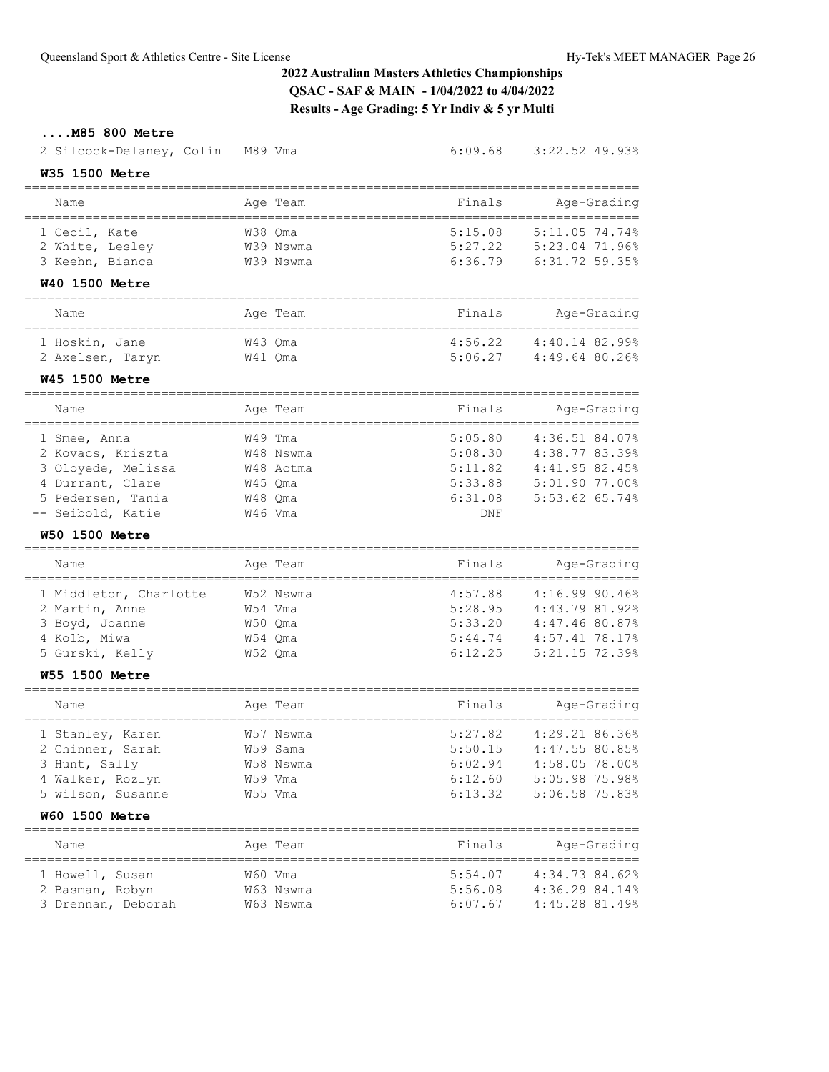| M85 800 Metre<br>2 Silcock-Delaney, Colin<br>W35 1500 Metre                                                            | M89 Vma                                                            | 6:09.68                                                    | 3:22.52 49.93%                                                                                             |
|------------------------------------------------------------------------------------------------------------------------|--------------------------------------------------------------------|------------------------------------------------------------|------------------------------------------------------------------------------------------------------------|
| Name                                                                                                                   | Age Team                                                           | Finals                                                     | Age-Grading                                                                                                |
| 1 Cecil, Kate<br>2 White, Lesley<br>3 Keehn, Bianca<br><b>W40 1500 Metre</b>                                           | W38 Qma<br>W39 Nswma<br>W39 Nswma                                  | 5:15.08<br>5:27.22<br>6:36.79                              | 5:11.05 74.74%<br>5:23.04 71.96%<br>6:31.72 59.35%                                                         |
| Name                                                                                                                   | Age Team                                                           | Finals                                                     | Age-Grading                                                                                                |
| 1 Hoskin, Jane<br>2 Axelsen, Taryn<br><b>W45 1500 Metre</b>                                                            | W43 Qma<br>W41 Qma                                                 | 4:56.22<br>5:06.27                                         | 4:40.14 82.99%<br>4:49.64 80.26%                                                                           |
| Name<br>. _ _ _ _ _ _ _ _ _ _ _ _ _ _ _                                                                                | Age Team                                                           | Finals                                                     | Age-Grading<br>______________________________                                                              |
| 1 Smee, Anna<br>2 Kovacs, Kriszta<br>3 Oloyede, Melissa<br>4 Durrant, Clare<br>5 Pedersen, Tania<br>-- Seibold, Katie  | W49 Tma<br>W48 Nswma<br>W48 Actma<br>W45 Qma<br>W48 Qma<br>W46 Vma | 5:05.80<br>5:08.30<br>5:11.82<br>5:33.88<br>6:31.08<br>DNF | 4:36.51 84.07%<br>4:38.77 83.39%<br>4:41.95.82.45%<br>5:01.90 77.00%<br>5:53.62 65.74%                     |
| <b>W50 1500 Metre</b>                                                                                                  |                                                                    |                                                            |                                                                                                            |
| Name                                                                                                                   | Age Team                                                           | Finals                                                     | Age-Grading                                                                                                |
| 1 Middleton, Charlotte<br>2 Martin, Anne<br>3 Boyd, Joanne<br>4 Kolb, Miwa<br>5 Gurski, Kelly<br><b>W55 1500 Metre</b> | W52 Nswma<br>W54 Vma<br>W50 Qma<br>W54 Qma<br>W52 Qma              | 4:57.88<br>5:28.95<br>5:33.20<br>5:44.74<br>6:12.25        | 4:16.9990.46%<br>4:43.79 81.92%<br>4:47.46 80.87%<br>4:57.41 78.17%<br>5:21.15 72.39%                      |
| Name                                                                                                                   | Age Team                                                           | Finals                                                     | Age-Grading                                                                                                |
| 1 Stanley, Karen<br>2 Chinner, Sarah<br>3 Hunt, Sally<br>4 Walker, Rozlyn<br>5 wilson, Susanne<br>W60 1500 Metre       | W57 Nswma<br>W59 Sama<br>W58 Nswma<br>W59 Vma<br>W55 Vma           | 5:27.82<br>5:50.15<br>6:02.94<br>6:12.60<br>6:13.32        | ================<br>4:29.21 86.36%<br>4:47.55 80.85%<br>4:58.05 78.00%<br>5:05.98 75.98%<br>5:06.58 75.83% |
| Name                                                                                                                   | Age Team                                                           | Finals                                                     | Age-Grading                                                                                                |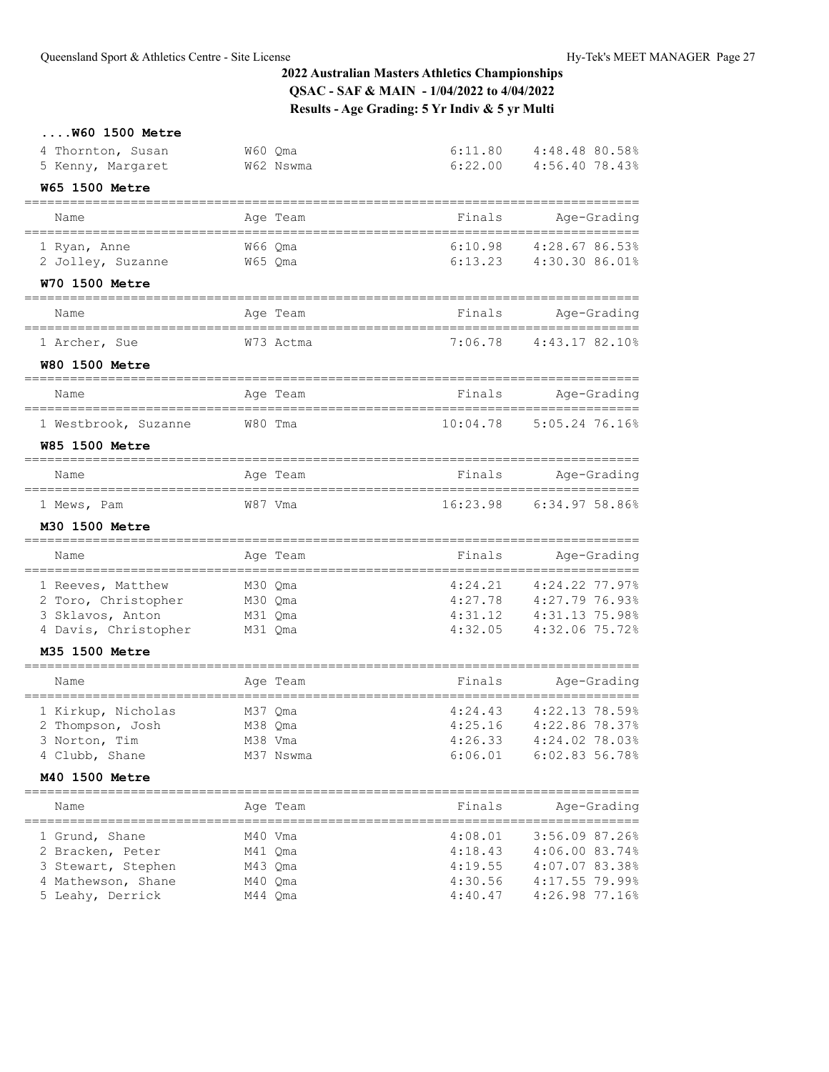| $$ W60 1500 Metre                                       |                      |                              |                            |
|---------------------------------------------------------|----------------------|------------------------------|----------------------------|
| 4 Thornton, Susan                                       | W60 Qma              | 6:11.80                      | 4:48.48 80.58%             |
| 5 Kenny, Margaret                                       | W62 Nswma            | 6:22.00                      | 4:56.40 78.43%             |
| <b>W65 1500 Metre</b>                                   |                      |                              |                            |
| Name                                                    | Age Team             | Finals                       | Age-Grading                |
| 1 Ryan, Anne                                            | W66 Oma              |                              | 6:10.98 4:28.67 86.53%     |
| 2 Jolley, Suzanne                                       | W65 Qma              |                              | $6:13.23$ $4:30.30$ 86.01% |
| W70 1500 Metre<br>===================================   |                      | ============================ |                            |
| Name                                                    | Age Team             | Finals                       | Age-Grading                |
| 1 Archer, Sue                                           | W73 Actma            |                              | 7:06.78 4:43.17 82.10%     |
| <b>W80 1500 Metre</b>                                   |                      |                              |                            |
| Name                                                    | Age Team             | Finals                       | Age-Grading                |
| 1 Westbrook, Suzanne                                    | W80 Tma              |                              | 10:04.78 5:05.24 76.16%    |
| <b>W85 1500 Metre</b>                                   |                      |                              |                            |
| Name                                                    | Age Team             | Finals                       | Age-Grading                |
| 1 Mews, Pam                                             | W87 Vma              |                              | 16:23.98 6:34.97 58.86%    |
| M30 1500 Metre                                          |                      |                              |                            |
| Name                                                    | Age Team             | Finals                       | Age-Grading                |
| ==================================<br>1 Reeves, Matthew | M30 Qma              | 4:24.21                      | 4:24.22 77.97%             |
| 2 Toro, Christopher                                     | M30 Qma              | 4:27.78                      | 4:27.79 76.93%             |
| 3 Sklavos, Anton                                        | M31 Qma              | 4:31.12                      | 4:31.13 75.98%             |
| 4 Davis, Christopher                                    | M31 Qma              | 4:32.05                      | 4:32.06 75.72%             |
| M35 1500 Metre                                          |                      |                              |                            |
| Name                                                    | Age Team             | Finals                       | Age-Grading                |
| 1 Kirkup, Nicholas                                      | M37 Qma              | 4:24.43                      | 4:22.13 78.59%             |
| 2 Thompson, Josh                                        | M38 Qma              | 4:25.16                      | 4:22.86 78.37%             |
| 3 Norton, Tim                                           | M38 Vma<br>M37 Nswma | 4:26.33<br>6:06.01           | 4:24.02 78.03%             |
| 4 Clubb, Shane<br>M40 1500 Metre                        |                      |                              | 6:02.83 56.78%             |
|                                                         |                      |                              |                            |
| Name                                                    | Age Team             | Finals                       | Age-Grading                |
| 1 Grund, Shane                                          | M40 Vma              | 4:08.01                      | 3:56.09 87.26%             |
| 2 Bracken, Peter                                        | M41 Qma              | 4:18.43                      | 4:06.00 83.74%             |
| 3 Stewart, Stephen                                      | M43 Qma              | 4:19.55                      | 4:07.07 83.38%             |
| 4 Mathewson, Shane                                      | M40 Qma              | 4:30.56                      | 4:17.55 79.99%             |
| 5 Leahy, Derrick                                        | M44 Qma              | 4:40.47                      | 4:26.98 77.16%             |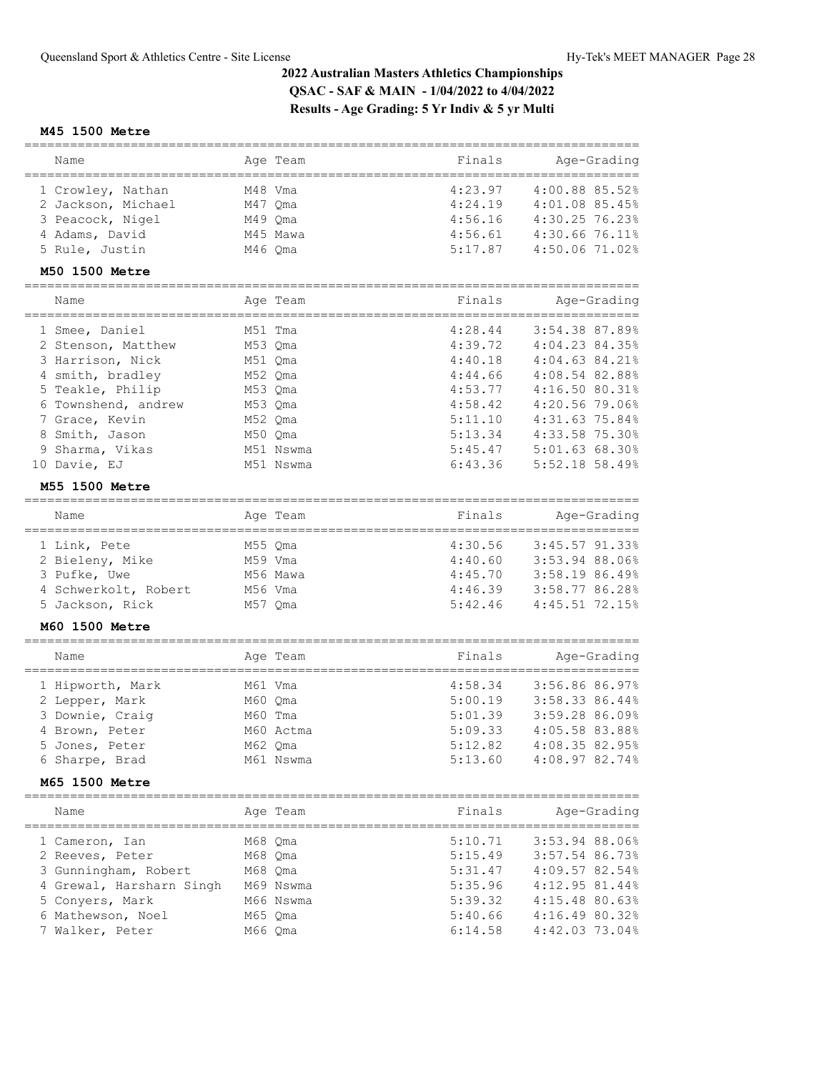#### **M45 1500 Metre**

| Name                                                                                                                                      |                                                                           | Age Team | Finals                                                                    | Age-Grading                                                                                                                    |
|-------------------------------------------------------------------------------------------------------------------------------------------|---------------------------------------------------------------------------|----------|---------------------------------------------------------------------------|--------------------------------------------------------------------------------------------------------------------------------|
| 1 Crowley, Nathan<br>2 Jackson, Michael<br>3 Peacock, Nigel<br>4 Adams, David<br>5 Rule, Justin                                           | M48 Vma<br>M47 Oma<br>M49 Qma<br>M46 Oma                                  | M45 Mawa | 4:23.97<br>4:24.19<br>4:56.16<br>4:56.61<br>5:17.87                       | 4:00.88 85.52%<br>4:01.08 85.45%<br>4:30.25 76.23%<br>4:30.66 76.11%<br>4:50.06 71.02%                                         |
| M50 1500 Metre                                                                                                                            |                                                                           |          |                                                                           |                                                                                                                                |
|                                                                                                                                           |                                                                           |          |                                                                           |                                                                                                                                |
| Name                                                                                                                                      |                                                                           | Age Team | Finals                                                                    | Age-Grading                                                                                                                    |
| 1 Smee, Daniel<br>2 Stenson, Matthew<br>3 Harrison, Nick<br>4 smith, bradley<br>5 Teakle, Philip<br>6 Townshend, andrew<br>7 Grace, Kevin | M51 Tma<br>M53 Qma<br>M51 Oma<br>M52 Qma<br>M53 Oma<br>M53 Qma<br>M52 Qma |          | 4:28.44<br>4:39.72<br>4:40.18<br>4:44.66<br>4:53.77<br>4:58.42<br>5:11.10 | 3:54.38 87.89%<br>4:04.23 84.35%<br>$4:04.63$ $84.21%$<br>4:08.54 82.88%<br>4:16.50 80.31%<br>4:20.56 79.06%<br>4:31.63 75.84% |

## **M55 1500 Metre**

| Name                 |         | Age Team | Finals  | Age-Grading    |
|----------------------|---------|----------|---------|----------------|
|                      |         |          |         |                |
| 1 Link, Pete         | M55 Oma |          | 4:30.56 | 3:45.57 91.33% |
| 2 Bieleny, Mike      | M59 Vma |          | 4:40.60 | 3:53.94 88.06% |
| 3 Pufke, Uwe         |         | M56 Mawa | 4:45.70 | 3:58.1986.49%  |
| 4 Schwerkolt, Robert | M56 Vma |          | 4:46.39 | 3:58.77 86.28% |
| 5 Jackson, Rick      | M57 Oma |          | 5:42.46 | 4:45.51 72.15% |

 9 Sharma, Vikas M51 Nswma 5:45.47 5:01.63 68.30% 10 Davie, EJ M51 Nswma 6:43.36 5:52.18 58.49%

### **M60 1500 Metre**

#### ================================================================================= Name Age Team Finals Age-Grading

| Name             | Age Team  | Finals  | Age-Grading    |
|------------------|-----------|---------|----------------|
| 1 Hipworth, Mark | M61 Vma   | 4:58.34 | 3:56.86 86.97% |
| 2 Lepper, Mark   | M60 Oma   | 5:00.19 | 3:58.33 86.44% |
| 3 Downie, Craig  | M60 Tma   | 5:01.39 | 3:59.28 86.09% |
| 4 Brown, Peter   | M60 Actma | 5:09.33 | 4:05.58 83.88% |
| 5 Jones, Peter   | M62 Oma   | 5:12.82 | 4:08.35 82.95% |
| 6 Sharpe, Brad   | M61 Nswma | 5:13.60 | 4:08.97 82.74% |

#### **M65 1500 Metre**

| Name                     | Age Team  | Finals  | Age-Grading    |
|--------------------------|-----------|---------|----------------|
| 1 Cameron, Ian           | M68 Oma   | 5:10.71 | 3:53.94 88.06% |
| 2 Reeves, Peter          | M68 Oma   | 5:15.49 | 3:57.54 86.73% |
| 3 Gunningham, Robert     | M68 Oma   | 5:31.47 | 4:09.57 82.54% |
| 4 Grewal, Harsharn Singh | M69 Nswma | 5:35.96 | 4:12.95 81.44% |
| 5 Conyers, Mark          | M66 Nswma | 5:39.32 | 4:15.48 80.63% |
| 6 Mathewson, Noel        | M65 Oma   | 5:40.66 | 4:16.49 80.32% |
| 7 Walker, Peter          | M66 Oma   | 6:14.58 | 4:42.03 73.04% |
|                          |           |         |                |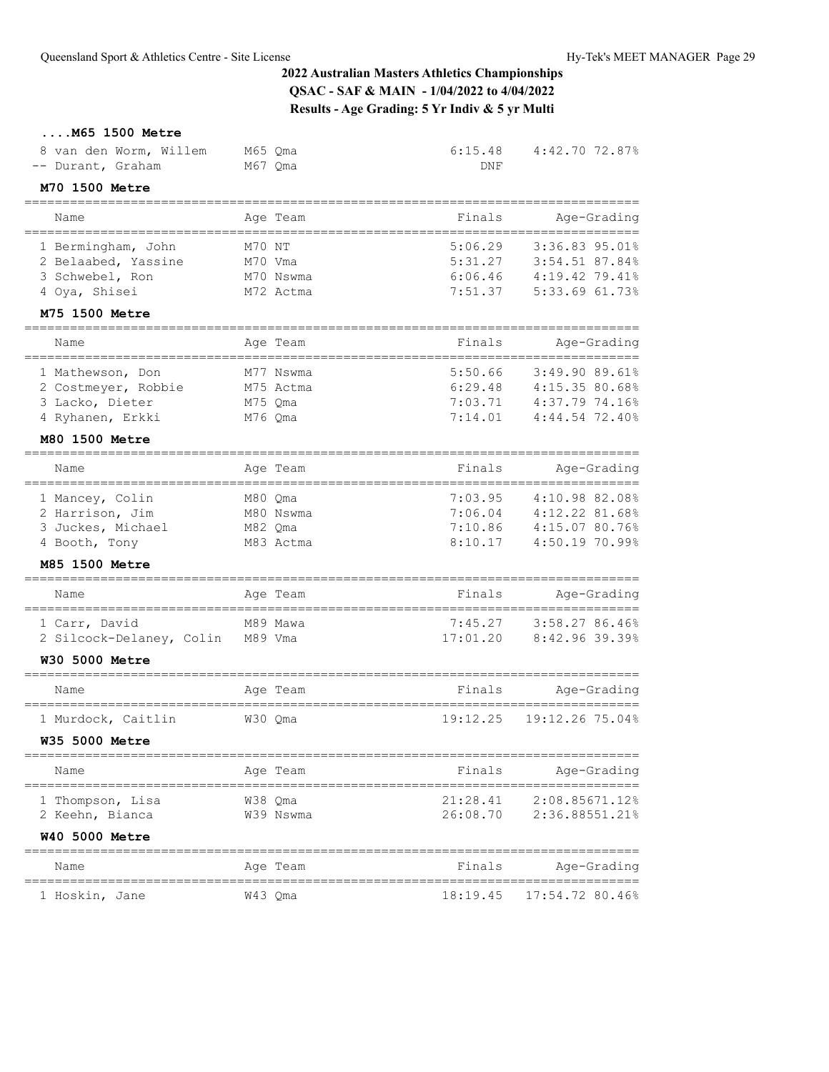## **....M65 1500 Metre**

| 8 van den Worm, Willem<br>-- Durant, Graham              | M65 Qma<br>M67 Qma              | 6:15.48<br>DNF | 4:42.70 72.87%                                   |
|----------------------------------------------------------|---------------------------------|----------------|--------------------------------------------------|
| M70 1500 Metre                                           |                                 |                |                                                  |
| =====================<br>Name                            | Age Team                        | Finals         | Age-Grading                                      |
| ==================================<br>1 Bermingham, John | M70 NT                          | 5:06.29        | 3:36.83 95.01%                                   |
| 2 Belaabed, Yassine                                      | M70 Vma                         | 5:31.27        | 3:54.51 87.84%                                   |
| 3 Schwebel, Ron                                          | M70 Nswma                       | 6:06.46        | 4:19.42 79.41%                                   |
| 4 Oya, Shisei<br>M75 1500 Metre                          | M72 Actma                       | 7:51.37        | 5:33.69 61.73%                                   |
|                                                          |                                 |                |                                                  |
| Name                                                     | Age Team                        | Finals         | Age-Grading                                      |
| 1 Mathewson, Don                                         | M77 Nswma                       | 5:50.66        | 3:49.9089.618                                    |
| 2 Costmeyer, Robbie                                      | M75 Actma                       | 6:29.48        | 4:15.35 80.68%                                   |
| 3 Lacko, Dieter                                          | M75 Qma                         | 7:03.71        | 4:37.79 74.16%                                   |
| 4 Ryhanen, Erkki                                         | M76 Qma                         | 7:14.01        | 4:44.54 72.40%                                   |
| M80 1500 Metre                                           |                                 |                |                                                  |
| Name<br>=======================                          | Age Team<br>___________________ | Finals         | Age-Grading<br>--------------------------------- |
| 1 Mancey, Colin                                          | M80 Qma                         | 7:03.95        | 4:10.98 82.08%                                   |
| 2 Harrison, Jim                                          | M80 Nswma                       | 7:06.04        | 4:12.22 81.68%                                   |
| 3 Juckes, Michael                                        | M82 Qma                         | 7:10.86        | 4:15.07 80.76%                                   |
| 4 Booth, Tony                                            | M83 Actma                       | 8:10.17        | 4:50.19 70.99%                                   |
| M85 1500 Metre                                           |                                 |                |                                                  |
| Name                                                     | Age Team                        | Finals         | Age-Grading                                      |
| 1 Carr, David                                            | M89 Mawa                        | 7:45.27        | 3:58.27 86.46%                                   |
| 2 Silcock-Delaney, Colin                                 | M89 Vma                         | 17:01.20       | 8:42.96 39.39%                                   |
| <b>W30 5000 Metre</b>                                    |                                 |                |                                                  |
| Name                                                     | Age Team                        | Finals         | Age-Grading                                      |
| 1 Murdock, Caitlin                                       | W30 Qma                         | 19:12.25       | 19:12.26 75.04%                                  |
| <b>W35 5000 Metre</b>                                    |                                 |                |                                                  |
| Name                                                     | Age Team                        | Finals         | Age-Grading                                      |
| 1 Thompson, Lisa                                         | W38 Qma                         | 21:28.41       | 2:08.85671.12%                                   |
| 2 Keehn, Bianca                                          | W39 Nswma                       | 26:08.70       | 2:36.88551.21%                                   |
| <b>W40 5000 Metre</b>                                    |                                 |                |                                                  |
| Name                                                     | Age Team                        | Finals         | Age-Grading                                      |
| ============<br>1 Hoskin, Jane                           | W43 Qma                         | 18:19.45       | 17:54.72 80.46%                                  |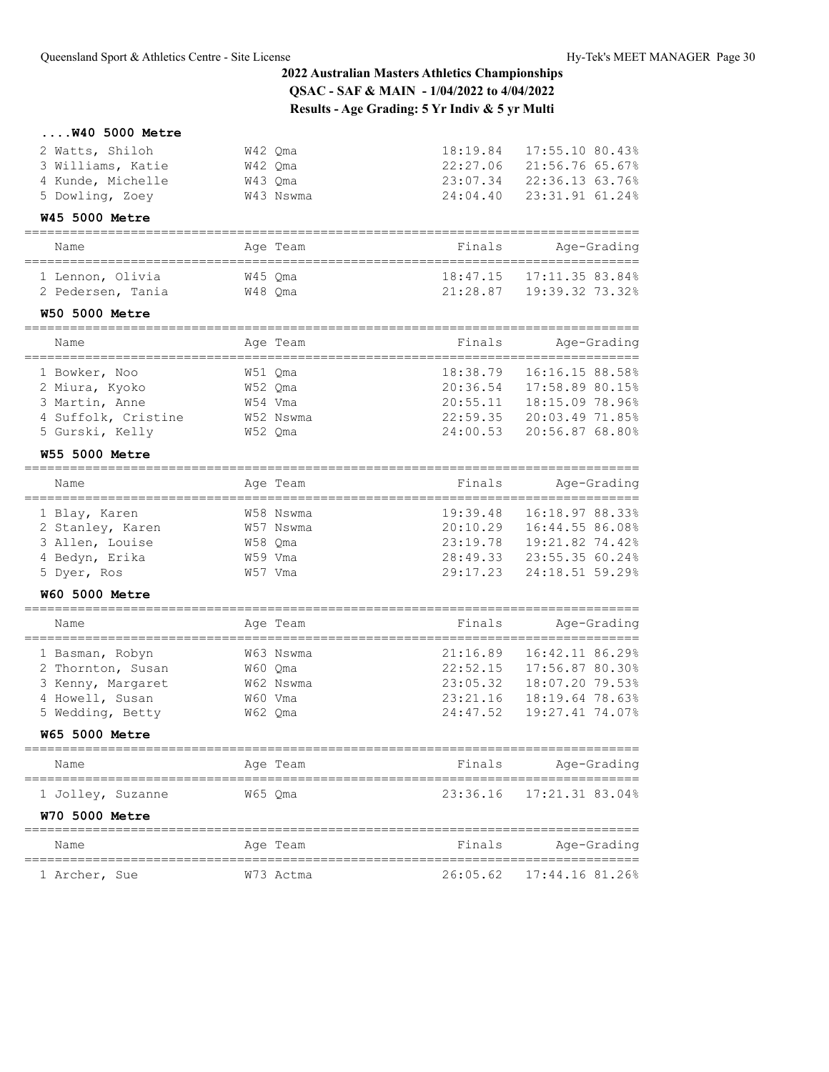## **....W40 5000 Metre**

| 2 Watts, Shiloh   | W42 Oma   | 18:19.84 | 17:55.10 80.43% |
|-------------------|-----------|----------|-----------------|
| 3 Williams, Katie | W42 Oma   | 22:27.06 | 21:56.76 65.67% |
| 4 Kunde, Michelle | W43 Oma   | 23:07.34 | 22:36.13 63.76% |
| 5 Dowling, Zoey   | W43 Nswma | 24:04.40 | 23:31.91 61.24% |
|                   |           |          |                 |

### **W45 5000 Metre**

#### ================================================================================= Name Age Team Finals Age-Grading

| ivalite           | AYE IEAM | r That b | Aye <i>diading</i>              |
|-------------------|----------|----------|---------------------------------|
| 1 Lennon, Olivia  | W45 Oma  | 21:28.87 | $18:47.15$ $17:11.35$ $83.84\%$ |
| 2 Pedersen, Tania | W48 Oma  |          | 19:39.32 73.32%                 |

## **W50 5000 Metre**

| Name                | Age Team  | Finals   | Age-Grading     |
|---------------------|-----------|----------|-----------------|
|                     |           |          |                 |
| 1 Bowker, Noo       | W51 Oma   | 18:38.79 | 16:16.15 88.58% |
| 2 Miura, Kyoko      | W52 Oma   | 20:36.54 | 17:58.89 80.15% |
| 3 Martin, Anne      | W54 Vma   | 20:55.11 | 18:15.09 78.96% |
| 4 Suffolk, Cristine | W52 Nswma | 22:59.35 | 20:03.49 71.85% |
| 5 Gurski, Kelly     | W52 Oma   | 24:00.53 | 20:56.87 68.80% |

### **W55 5000 Metre**

| Name             | Age Team  | Finals   | Age-Grading     |
|------------------|-----------|----------|-----------------|
|                  |           |          |                 |
| 1 Blay, Karen    | W58 Nswma | 19:39.48 | 16:18.97 88.33% |
| 2 Stanley, Karen | W57 Nswma | 20:10.29 | 16:44.55 86.08% |
| 3 Allen, Louise  | W58 Oma   | 23:19.78 | 19:21.82 74.42% |
| 4 Bedyn, Erika   | W59 Vma   | 28:49.33 | 23:55.35 60.24% |
| 5 Dyer, Ros      | W57 Vma   | 29:17.23 | 24:18.51 59.29% |

## **W60 5000 Metre**

| Name              | Age Team  | Finals   | Age-Grading     |
|-------------------|-----------|----------|-----------------|
| 1 Basman, Robyn   | W63 Nswma | 21:16.89 | 16:42.11 86.29% |
| 2 Thornton, Susan | W60 Oma   | 22:52.15 | 17:56.87 80.30% |
| 3 Kenny, Margaret | W62 Nswma | 23:05.32 | 18:07.20 79.53% |
| 4 Howell, Susan   | W60 Vma   | 23:21.16 | 18:19.64 78.63% |
| 5 Wedding, Betty  | W62 Oma   | 24:47.52 | 19:27.41 74.07% |

**W65 5000 Metre**

| Name                  | Age Team | Finals | Age-Grading              |
|-----------------------|----------|--------|--------------------------|
| 1 Jolley, Suzanne     | W65 Oma  |        | 23:36.16 17:21.31 83.04% |
| <b>W70 5000 Metre</b> |          |        |                          |
| Name                  | Age Team | Finals | Age-Grading              |

=================================================================================

| 1 Archer, Sue | W73 Actma | 26:05.62 17:44.16 81.26% |
|---------------|-----------|--------------------------|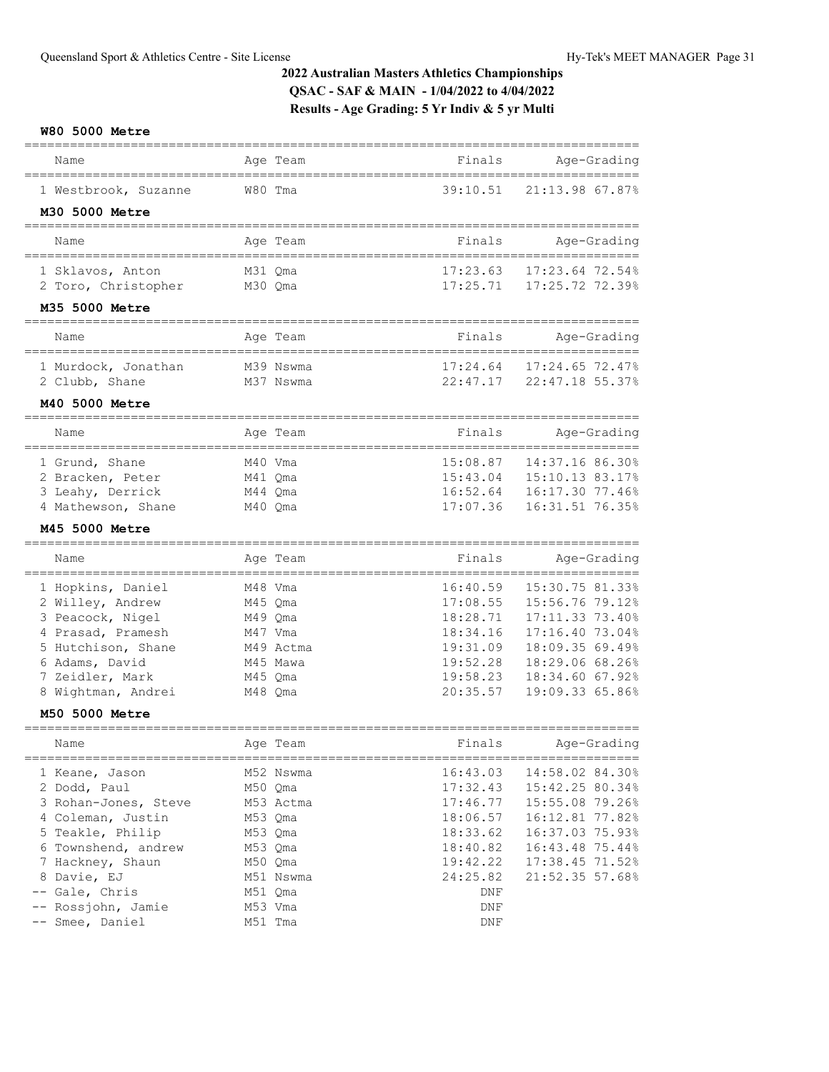### **W80 5000 Metre**

| Name                                    | Age Team                | Finals               | Age-Grading                                |
|-----------------------------------------|-------------------------|----------------------|--------------------------------------------|
| 1 Westbrook, Suzanne                    | W80 Tma                 | 39:10.51             | 21:13.98 67.87%                            |
| M30 5000 Metre                          |                         |                      |                                            |
| Name                                    | Age Team                | Finals               | Age-Grading                                |
|                                         |                         |                      |                                            |
| 1 Sklavos, Anton                        | M31 Qma                 | 17:23.63             | 17:23.64 72.54%                            |
| 2 Toro, Christopher                     | M30 Qma                 | 17:25.71             | 17:25.72 72.39%                            |
| M35 5000 Metre                          |                         |                      |                                            |
| Name                                    | Age Team                | Finals               | Age-Grading                                |
| 1 Murdock, Jonathan                     | M39 Nswma               | 17:24.64             | 17:24.65 72.47%                            |
| 2 Clubb, Shane                          | M37 Nswma               | 22:47.17             | 22:47.18 55.37%                            |
| M40 5000 Metre                          |                         |                      |                                            |
| Name                                    | Age Team                | Finals               | Age-Grading                                |
| 1 Grund, Shane                          | M40 Vma                 | 15:08.87             | ______________________<br>14:37.16 86.30%  |
| 2 Bracken, Peter                        | M41 Qma                 | 15:43.04             | 15:10.13 83.17%                            |
| 3 Leahy, Derrick                        | M44 Qma                 | 16:52.64             | 16:17.30 77.46%                            |
| 4 Mathewson, Shane                      | M40 Qma                 | 17:07.36             | 16:31.51 76.35%                            |
| M45 5000 Metre                          |                         |                      |                                            |
| Name<br>===================             | Age Team<br>=========== | Finals               | Age-Grading<br>--------------------------- |
| 1 Hopkins, Daniel                       | M48 Vma                 | 16:40.59             | 15:30.75 81.33%                            |
| 2 Willey, Andrew                        | M45 Qma                 | 17:08.55             | 15:56.76 79.12%                            |
| 3 Peacock, Nigel                        | M49 Qma                 | 18:28.71             | 17:11.33 73.40%                            |
| 4 Prasad, Pramesh                       | M47 Vma                 | 18:34.16             | 17:16.40 73.04%                            |
| 5 Hutchison, Shane                      | M49 Actma               | 19:31.09             | 18:09.35 69.49%                            |
| 6 Adams, David                          | M45 Mawa                | 19:52.28             | 18:29.06 68.26%                            |
| 7 Zeidler, Mark<br>8 Wightman, Andrei   | M45 Qma<br>M48 Qma      | 19:58.23<br>20:35.57 | 18:34.60 67.92%<br>19:09.33 65.86%         |
| M50 5000 Metre                          |                         |                      |                                            |
|                                         |                         |                      |                                            |
| Name                                    | Age Team                | Finals               | Age-Grading                                |
| 1 Keane, Jason                          | M52 Nswma               | 16:43.03             | 14:58.02 84.30%                            |
| 2 Dodd, Paul                            | M50 Qma                 | 17:32.43             | 15:42.25 80.34%                            |
| 3 Rohan-Jones, Steve                    | M53 Actma               | 17:46.77             | 15:55.08 79.26%                            |
| 4 Coleman, Justin                       | M53 Qma                 | 18:06.57             | 16:12.81 77.82%                            |
| 5 Teakle, Philip                        | M53 Qma                 | 18:33.62             | 16:37.03 75.93%                            |
| 6 Townshend, andrew<br>7 Hackney, Shaun | M53 Qma                 | 18:40.82<br>19:42.22 | 16:43.48 75.44%                            |
| 8 Davie, EJ                             | M50 Qma<br>M51 Nswma    | 24:25.82             | 17:38.45 71.52%<br>21:52.35 57.68%         |
| -- Gale, Chris                          | M51 Qma                 | DNF                  |                                            |
| -- Rossjohn, Jamie                      | M53 Vma                 | DNF                  |                                            |
| -- Smee, Daniel                         | M51 Tma                 | DNF                  |                                            |
|                                         |                         |                      |                                            |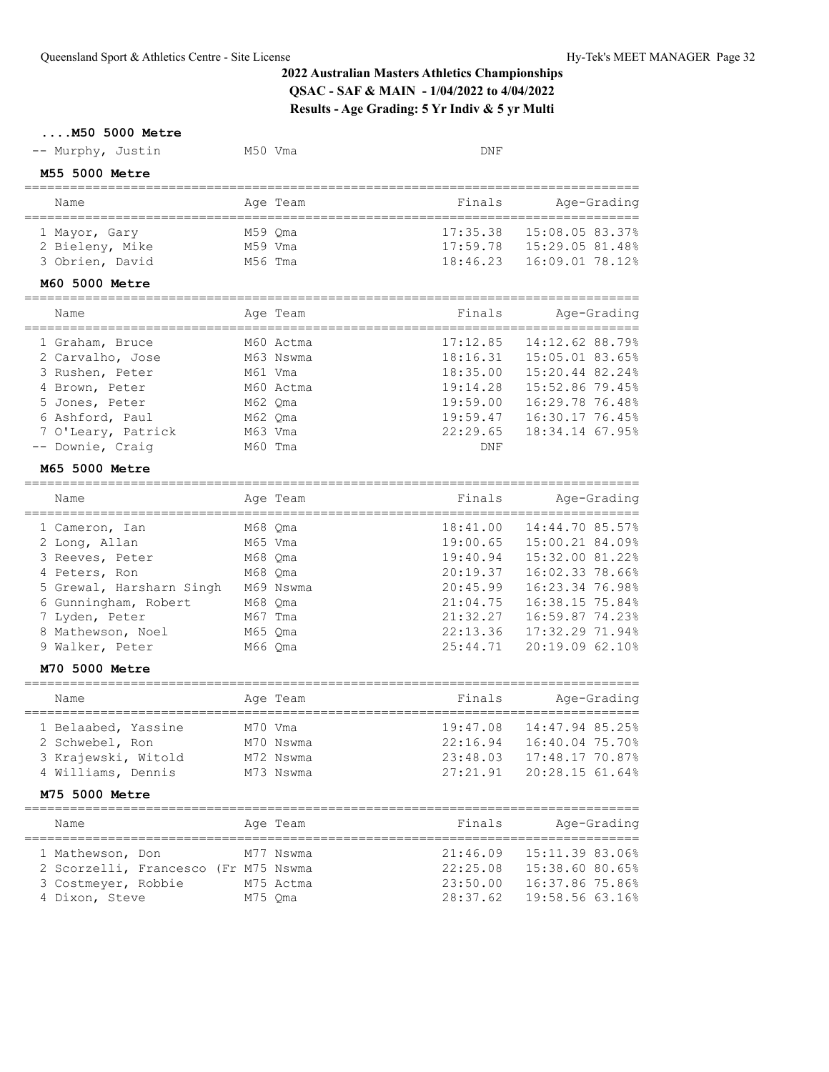| M50 5000 Metre                                      |           |                                              |                           |
|-----------------------------------------------------|-----------|----------------------------------------------|---------------------------|
| -- Murphy, Justin                                   | M50 Vma   | DNF                                          |                           |
| M55 5000 Metre                                      |           |                                              |                           |
| Name<br>-----------------------------------         | Age Team  | Finals                                       | Age-Grading               |
| 1 Mayor, Gary                                       | M59 Oma   | 17:35.38                                     | 15:08.05 83.37%           |
| 2 Bieleny, Mike                                     | M59 Vma   |                                              | 17:59.78  15:29.05 81.48% |
| 3 Obrien, David                                     | M56 Tma   | 18:46.23                                     | 16:09.01 78.12%           |
| M60 5000 Metre<br>-------------------------         |           |                                              |                           |
| Name<br>--------------------------------            | Age Team  | Finals<br>---------------------------------- | Age-Grading               |
| 1 Graham, Bruce                                     | M60 Actma | 17:12.85                                     | 14:12.62 88.79%           |
| 2 Carvalho, Jose                                    | M63 Nswma | 18:16.31                                     | 15:05.01 83.65%           |
| 3 Rushen, Peter                                     | M61 Vma   | 18:35.00                                     | 15:20.44 82.24%           |
| 4 Brown, Peter                                      | M60 Actma | 19:14.28                                     | 15:52.86 79.45%           |
| 5 Jones, Peter                                      | M62 Oma   | 19:59.00                                     | 16:29.78 76.48%           |
| 6 Ashford, Paul                                     | M62 Oma   | 19:59.47                                     | 16:30.17 76.45%           |
| 7 O'Leary, Patrick                                  | M63 Vma   | 22:29.65                                     | 18:34.14 67.95%           |
| -- Downie, Craiq                                    | M60 Tma   | <b>DNF</b>                                   |                           |
| M65 5000 Metre                                      |           |                                              |                           |
| Name                                                | Age Team  | Finals                                       | Age-Grading               |
| 1 Cameron, Ian                                      | M68 Qma   | 18:41.00                                     | 14:44.70 85.57%           |
| 2 Long, Allan                                       | M65 Vma   | 19:00.65                                     | 15:00.21 84.09%           |
| 3 Reeves, Peter                                     | M68 Qma   | 19:40.94                                     | 15:32.00 81.22%           |
| 4 Peters, Ron                                       | M68 Qma   | 20:19.37                                     | 16:02.33 78.66%           |
| 5 Grewal, Harsharn Singh M69 Nswma                  |           | 20:45.99                                     | 16:23.34 76.98%           |
| 6 Gunningham, Robert                                | M68 Qma   | 21:04.75                                     | 16:38.15 75.84%           |
| 7 Lyden, Peter                                      | M67 Tma   | 21:32.27                                     | 16:59.87 74.23%           |
| 8 Mathewson, Noel                                   | M65 Qma   | 22:13.36                                     | 17:32.29 71.94%           |
| 9 Walker, Peter                                     | M66 Qma   | 25:44.71                                     | 20:19.09 62.10%           |
| M70 5000 Metre                                      |           |                                              |                           |
| Name                                                | Age Team  | Finals                                       | Age-Grading               |
| 1 Belaabed, Yassine                                 | M70 Vma   | 19:47.08                                     | 14:47.94 85.25%           |
| 2 Schwebel, Ron                                     | M70 Nswma | 22:16.94                                     | 16:40.04 75.70%           |
| 3 Krajewski, Witold                                 | M72 Nswma | 23:48.03                                     | 17:48.17 70.87%           |
| 4 Williams, Dennis                                  | M73 Nswma | 27:21.91                                     | 20:28.15 61.64%           |
| M75 5000 Metre                                      |           |                                              |                           |
| Name                                                | Age Team  | Finals                                       | Age-Grading               |
| ===============================<br>1 Mathewson, Don | M77 Nswma | 21:46.09                                     | 15:11.39 83.06%           |
| 2 Scorzelli, Francesco (Fr M75 Nswma                |           | 22:25.08                                     | 15:38.60 80.65%           |
| 3 Costmeyer, Robbie                                 | M75 Actma | 23:50.00                                     | 16:37.86 75.86%           |
| 4 Dixon, Steve                                      | M75 Qma   | 28:37.62                                     | 19:58.56 63.16%           |
|                                                     |           |                                              |                           |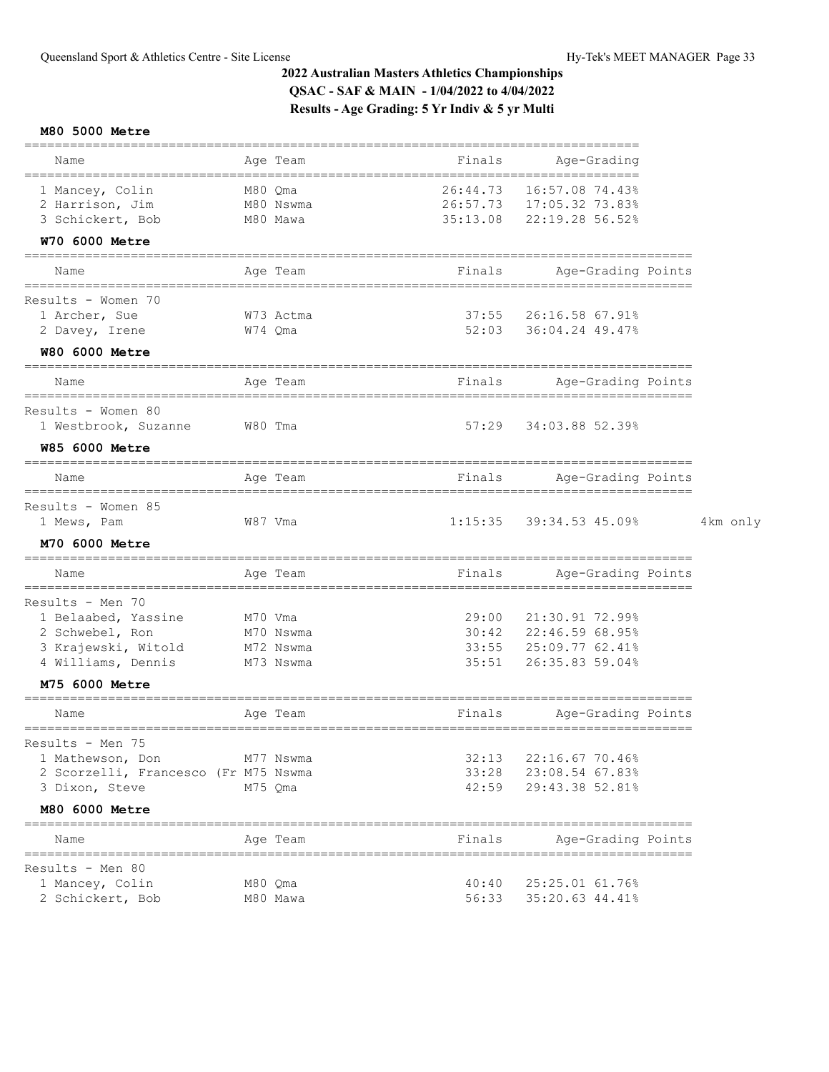## **M80 5000 Metre**

|                                                        |         |                       |                      | ================                                               |          |
|--------------------------------------------------------|---------|-----------------------|----------------------|----------------------------------------------------------------|----------|
| Name                                                   |         | Age Team              | Finals               | Age-Grading                                                    |          |
| 1 Mancey, Colin<br>2 Harrison, Jim<br>3 Schickert, Bob | M80 Qma | M80 Nswma<br>M80 Mawa | 26:44.73<br>35:13.08 | 16:57.08 74.43%<br>26:57.73 17:05.32 73.83%<br>22:19.28 56.52% |          |
| W70 6000 Metre                                         |         |                       |                      |                                                                |          |
| Name                                                   |         | Age Team              | Finals               | Age-Grading Points                                             |          |
| Results - Women 70                                     |         |                       |                      |                                                                |          |
| 1 Archer, Sue<br>2 Davey, Irene                        | W74 Qma | W73 Actma             |                      | 37:55 26:16.58 67.91%<br>52:03 36:04.24 49.47%                 |          |
| <b>W80 6000 Metre</b>                                  |         |                       |                      |                                                                |          |
| Name                                                   |         | Age Team              | Finals               | Age-Grading Points                                             |          |
| Results - Women 80<br>1 Westbrook, Suzanne<br>W80 Tma  |         |                       | 57:29                | 34:03.88 52.39%                                                |          |
| <b>W85 6000 Metre</b>                                  |         |                       |                      |                                                                |          |
| Name                                                   |         | Age Team              | Finals               | Age-Grading Points                                             |          |
| Results - Women 85<br>1 Mews, Pam                      |         | W87 Vma               | 1:15:35              | 39:34.53 45.09%                                                | 4km only |
| M70 6000 Metre                                         |         |                       |                      |                                                                |          |
| Name                                                   |         | Age Team              | Finals               | Age-Grading Points                                             |          |
| Results - Men 70                                       |         |                       |                      |                                                                |          |
| 1 Belaabed, Yassine                                    | M70 Vma |                       |                      | 29:00 21:30.91 72.99%                                          |          |
| 2 Schwebel, Ron                                        |         | M70 Nswma             |                      | 30:42 22:46.59 68.95%                                          |          |
| 3 Krajewski, Witold                                    |         | M72 Nswma             |                      | 33:55 25:09.77 62.41%                                          |          |
| 4 Williams, Dennis<br>M75 6000 Metre                   |         | M73 Nswma             | 35:51                | 26:35.83 59.04%                                                |          |
| ====================                                   |         |                       |                      |                                                                |          |
| Name                                                   |         | Age Team              | Finals               | Age-Grading Points<br>=============                            |          |
| Results - Men 75                                       |         |                       |                      |                                                                |          |
| 1 Mathewson, Don                                       |         | M77 Nswma             |                      | 32:13 22:16.67 70.46%                                          |          |
| 2 Scorzelli, Francesco (Fr M75 Nswma                   |         |                       |                      | 33:28 23:08.54 67.83%                                          |          |
| 3 Dixon, Steve                                         |         | M75 Oma               | 42:59                | 29:43.38 52.81%                                                |          |
| M80 6000 Metre<br>=======================              |         |                       |                      |                                                                |          |
| Name                                                   |         | Age Team              | Finals               | Age-Grading Points                                             |          |
| Results - Men 80                                       |         |                       |                      |                                                                |          |
| 1 Mancey, Colin                                        |         | M80 Qma               | 40:40                | 25:25.01 61.76%                                                |          |
| 2 Schickert, Bob                                       |         | M80 Mawa              |                      | 56:33 35:20.63 44.41%                                          |          |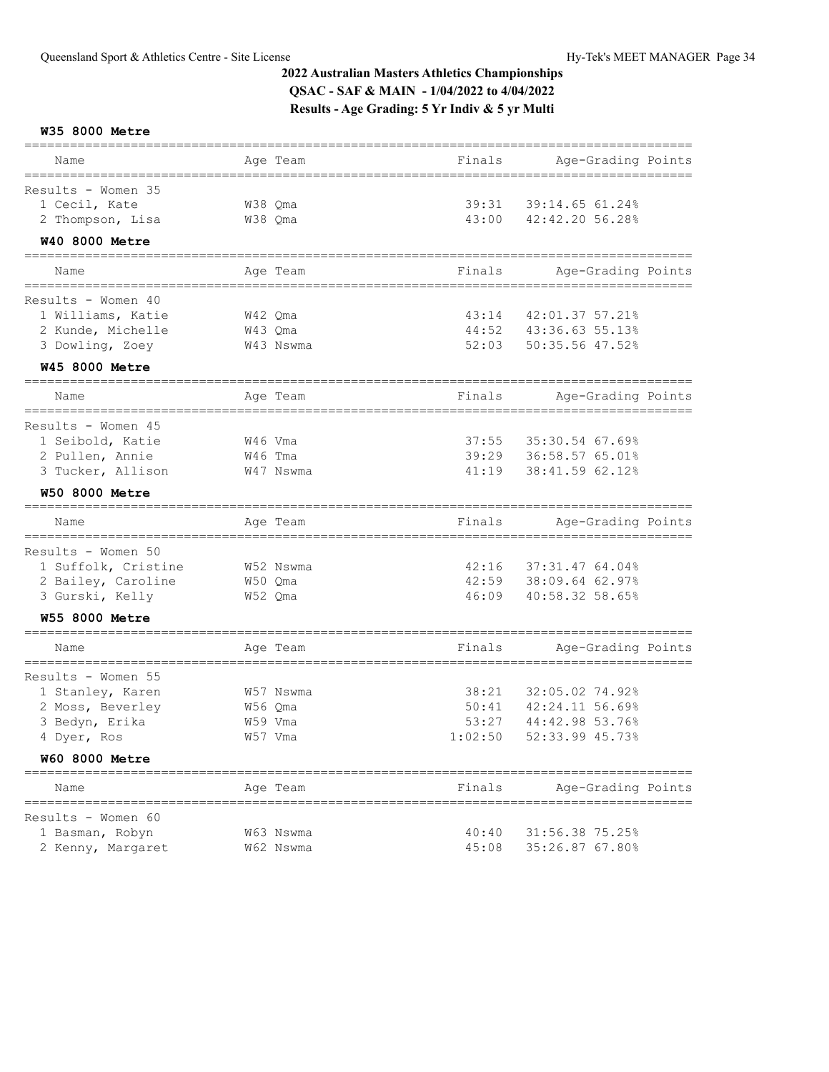**W35 8000 Metre**

| Name                                                            | Age Team                 |           | Finals  | Age-Grading Points                         |  |
|-----------------------------------------------------------------|--------------------------|-----------|---------|--------------------------------------------|--|
| Results - Women 35                                              |                          |           |         |                                            |  |
| 1 Cecil, Kate                                                   | W38 Qma                  |           | 39:31   | 39:14.65 61.24%                            |  |
| 2 Thompson, Lisa                                                | W38 Qma                  |           | 43:00   | 42:42.20 56.28%                            |  |
| <b>W40 8000 Metre</b>                                           |                          |           |         |                                            |  |
|                                                                 |                          |           |         |                                            |  |
| Name<br>===============                                         | Age Team<br>============ |           | Finals  | Age-Grading Points<br>===================  |  |
| Results - Women 40                                              |                          |           |         |                                            |  |
| 1 Williams, Katie                                               | W42 Qma                  |           | 43:14   | 42:01.37 57.21%                            |  |
| 2 Kunde, Michelle                                               | W43 Qma                  |           | 44:52   | 43:36.63 55.13%                            |  |
| 3 Dowling, Zoey                                                 |                          | W43 Nswma | 52:03   | 50:35.56 47.52%                            |  |
| <b>W45 8000 Metre</b>                                           |                          |           |         |                                            |  |
| Name                                                            | Age Team                 |           | Finals  | Age-Grading Points                         |  |
|                                                                 |                          |           |         | ======================================     |  |
| Results - Women 45                                              |                          |           |         |                                            |  |
| 1 Seibold, Katie                                                | W46 Vma                  |           | 37:55   | 35:30.54 67.69%                            |  |
| 2 Pullen, Annie                                                 | W46 Tma                  |           | 39:29   | 36:58.57 65.01%                            |  |
| 3 Tucker, Allison                                               |                          | W47 Nswma | 41:19   | 38:41.59 62.12%                            |  |
| <b>W50 8000 Metre</b><br>====================================== |                          |           |         |                                            |  |
| Name                                                            | Age Team                 |           | Finals  | Age-Grading Points<br>==================== |  |
| ===============================<br>Results - Women 50           |                          |           |         |                                            |  |
| 1 Suffolk, Cristine                                             | W52 Nswma                |           | 42:16   | 37:31.47 64.04%                            |  |
| 2 Bailey, Caroline                                              | W50 Qma                  |           | 42:59   | 38:09.64 62.97%                            |  |
| 3 Gurski, Kelly                                                 | W52 Qma                  |           | 46:09   | 40:58.32 58.65%                            |  |
| <b>W55 8000 Metre</b>                                           |                          |           |         |                                            |  |
| Name                                                            | Age Team                 |           | Finals  | Age-Grading Points                         |  |
| Results - Women 55                                              |                          |           |         |                                            |  |
| 1 Stanley, Karen                                                |                          | W57 Nswma | 38:21   | 32:05.02 74.92%                            |  |
| 2 Moss, Beverley                                                | W56 Qma                  |           | 50:41   | 42:24.11 56.69%                            |  |
|                                                                 |                          |           |         | 44:42.98 53.76%                            |  |
| 3 Bedyn, Erika                                                  | W59 Vma                  |           | 53:27   |                                            |  |
| 4 Dyer, Ros                                                     | W57 Vma                  |           | 1:02:50 | 52:33.99 45.73%                            |  |
| <b>W60 8000 Metre</b>                                           |                          |           |         |                                            |  |
| Name                                                            | Age Team                 |           | Finals  | Age-Grading Points                         |  |
| ============<br>Results - Women 60                              |                          |           |         |                                            |  |
| 1 Basman, Robyn                                                 |                          | W63 Nswma | 40:40   | 31:56.38 75.25%                            |  |
| 2 Kenny, Margaret                                               |                          | W62 Nswma | 45:08   | 35:26.87 67.80%                            |  |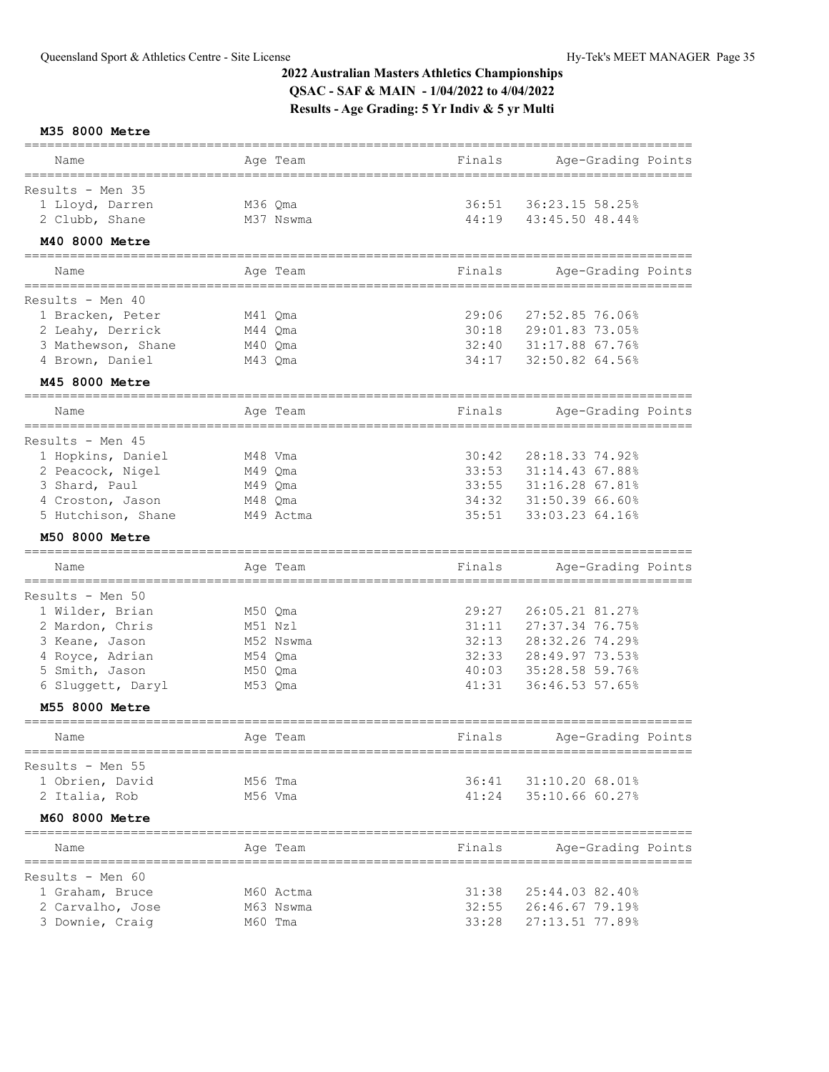**M35 8000 Metre**

| Name                           |         | Age Team  | Finals | Age-Grading Points |  |
|--------------------------------|---------|-----------|--------|--------------------|--|
| Results - Men 35               |         |           |        |                    |  |
| 1 Lloyd, Darren                | M36 Qma |           | 36:51  | 36:23.15 58.25%    |  |
| 2 Clubb, Shane                 |         | M37 Nswma | 44:19  | 43:45.50 48.44%    |  |
| M40 8000 Metre                 |         |           |        |                    |  |
|                                |         |           |        |                    |  |
| Name<br>====================== |         | Age Team  | Finals | Age-Grading Points |  |
| Results - Men $40$             |         |           |        |                    |  |
| 1 Bracken, Peter               | M41 Oma |           | 29:06  | 27:52.85 76.06%    |  |
| 2 Leahy, Derrick               | M44 Qma |           | 30:18  | 29:01.83 73.05%    |  |
| 3 Mathewson, Shane             | M40 Qma |           | 32:40  | 31:17.88 67.76%    |  |
| 4 Brown, Daniel                | M43 Qma |           | 34:17  | 32:50.82 64.56%    |  |
| M45 8000 Metre                 |         |           |        |                    |  |
| Name                           |         | Age Team  | Finals | Age-Grading Points |  |
|                                |         |           |        |                    |  |
| Results - Men 45               |         |           |        |                    |  |
| 1 Hopkins, Daniel              | M48 Vma |           | 30:42  | 28:18.33 74.92%    |  |
| 2 Peacock, Nigel               | M49 Qma |           | 33:53  | 31:14.43 67.88%    |  |
| 3 Shard, Paul                  | M49 Qma |           | 33:55  | 31:16.28 67.81%    |  |
| 4 Croston, Jason               | M48 Qma |           | 34:32  | 31:50.39 66.60%    |  |
| 5 Hutchison, Shane             |         | M49 Actma | 35:51  | 33:03.23 64.16%    |  |
| M50 8000 Metre                 |         |           |        |                    |  |
|                                |         |           |        |                    |  |
| Name                           |         | Aqe Team  | Finals | Age-Grading Points |  |
| Results - Men 50               |         |           |        |                    |  |
| 1 Wilder, Brian                | M50 Qma |           | 29:27  | 26:05.21 81.27%    |  |
| 2 Mardon, Chris                | M51 Nzl |           | 31:11  | 27:37.34 76.75%    |  |
| 3 Keane, Jason                 |         | M52 Nswma | 32:13  | 28:32.26 74.29%    |  |
| 4 Royce, Adrian                | M54 Qma |           | 32:33  | 28:49.97 73.53%    |  |
| 5 Smith, Jason                 | M50 Qma |           | 40:03  | 35:28.58 59.76%    |  |
| 6 Sluggett, Daryl              | M53 Qma |           | 41:31  | 36:46.53 57.65%    |  |
| M55 8000 Metre                 |         |           |        |                    |  |
|                                |         |           |        |                    |  |
| Name                           |         | Age Team  | Finals | Age-Grading Points |  |
| Results - Men 55               |         |           |        |                    |  |
| 1 Obrien, David                | M56 Tma |           | 36:41  | 31:10.20 68.01%    |  |
| 2 Italia, Rob                  | M56 Vma |           | 41:24  | 35:10.66 60.27%    |  |
| M60 8000 Metre                 |         |           |        |                    |  |
| Name                           |         | Age Team  | Finals | Age-Grading Points |  |
|                                |         |           |        |                    |  |
| Results - Men 60               |         |           |        |                    |  |
| 1 Graham, Bruce                |         | M60 Actma | 31:38  | 25:44.03 82.40%    |  |
| 2 Carvalho, Jose               |         | M63 Nswma | 32:55  | 26:46.67 79.19%    |  |
| 3 Downie, Craig                | M60 Tma |           | 33:28  | 27:13.51 77.89%    |  |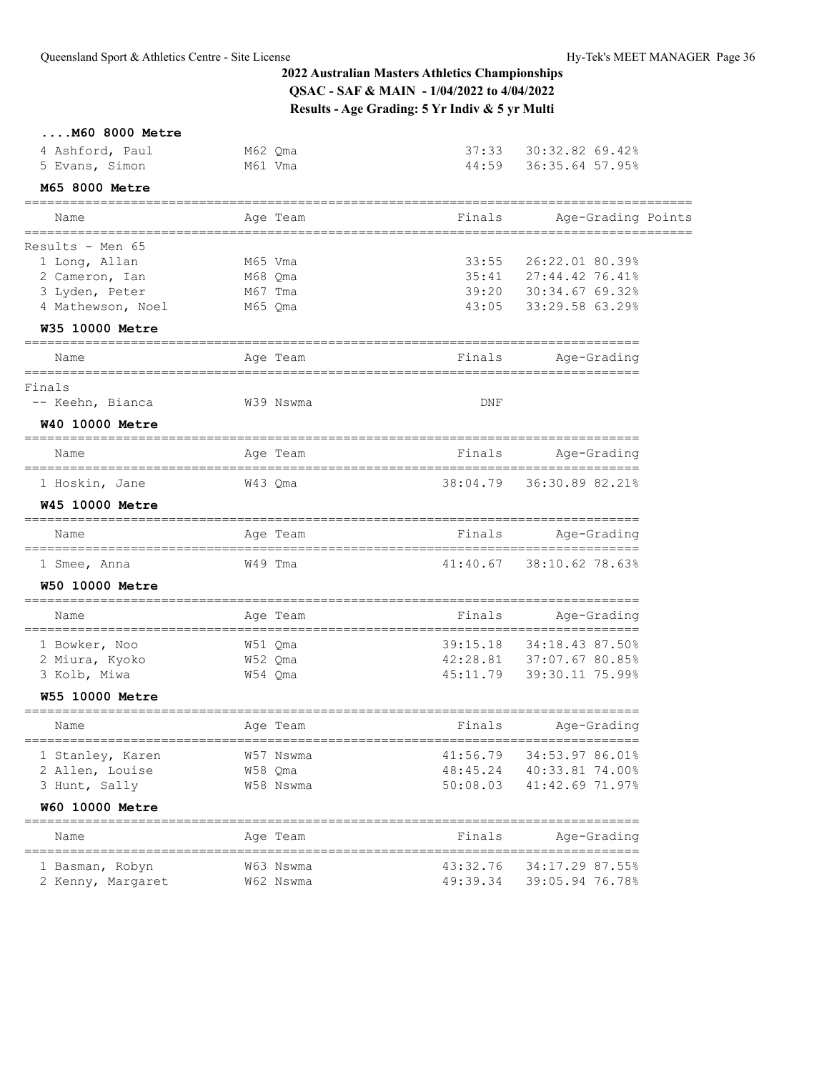|  |  | $\ldots$ . M60 8000 Metre |
|--|--|---------------------------|
|  |  |                           |

| 4 Ashford, Paul                                     | M62 Qma                     | 37:33                         | 30:32.82 69.42%                         |  |
|-----------------------------------------------------|-----------------------------|-------------------------------|-----------------------------------------|--|
| 5 Evans, Simon<br>M65 8000 Metre                    | M61 Vma                     | 44:59                         | 36:35.64 57.95%                         |  |
|                                                     |                             |                               |                                         |  |
| Name                                                | Age Team                    | Finals                        | Age-Grading Points                      |  |
| Results - Men 65                                    |                             |                               |                                         |  |
| 1 Long, Allan                                       | M65 Vma                     | 33:55                         | 26:22.01 80.39%                         |  |
| 2 Cameron, Ian                                      | M68 Qma                     | 35:41                         | 27:44.42 76.41%                         |  |
| 3 Lyden, Peter                                      | M67 Tma                     | 39:20                         | 30:34.67 69.32%                         |  |
| 4 Mathewson, Noel                                   | M65 Qma                     | 43:05                         | 33:29.58 63.29%                         |  |
| W35 10000 Metre                                     |                             |                               |                                         |  |
| Name                                                | Age Team                    | Finals                        | Age-Grading                             |  |
| Finals                                              |                             |                               |                                         |  |
| -- Keehn, Bianca                                    | W39 Nswma                   | DNF                           |                                         |  |
| W40 10000 Metre                                     |                             |                               |                                         |  |
| Name                                                | Age Team                    | Finals                        | Age-Grading                             |  |
| 1 Hoskin, Jane                                      | W43 Qma                     | 38:04.79                      | 36:30.89 82.21%                         |  |
| <b>W45 10000 Metre</b>                              |                             |                               |                                         |  |
| Name                                                | ======<br>Age Team          | Finals                        | Age-Grading                             |  |
| 1 Smee, Anna                                        | W49 Tma                     | 41:40.67                      | 38:10.62 78.63%                         |  |
| <b>W50 10000 Metre</b>                              |                             |                               |                                         |  |
| Name                                                | =======<br>Age Team         | Finals                        | Age-Grading                             |  |
| 1 Bowker, Noo                                       | W51 Qma                     | 39:15.18                      | 34:18.43 87.50%                         |  |
| 2 Miura, Kyoko                                      | W52 Qma                     | 42:28.81                      | 37:07.67 80.85%                         |  |
| 3 Kolb, Miwa                                        | W54 Qma                     | 45:11.79                      | 39:30.11 75.99%                         |  |
| W55 10000 Metre                                     |                             |                               |                                         |  |
| Name                                                | Age Team                    | Finals                        | Age-Grading                             |  |
| 1 Stanley, Karen                                    | ==============<br>W57 Nswma | 41:56.79                      | ===================<br>34:53.97 86.01%  |  |
| 2 Allen, Louise                                     | W58 Qma                     | 48:45.24                      | 40:33.81 74.00%                         |  |
| 3 Hunt, Sally                                       | W58 Nswma                   | 50:08.03                      | 41:42.69 71.97%                         |  |
| W60 10000 Metre                                     |                             |                               | ==================                      |  |
| Name                                                | Age Team                    | Finals                        | Age-Grading                             |  |
| ================================<br>1 Basman, Robyn | W63 Nswma                   | =================<br>43:32.76 | ====================<br>34:17.29 87.55% |  |
| 2 Kenny, Margaret                                   | W62 Nswma                   | 49:39.34                      | 39:05.94 76.78%                         |  |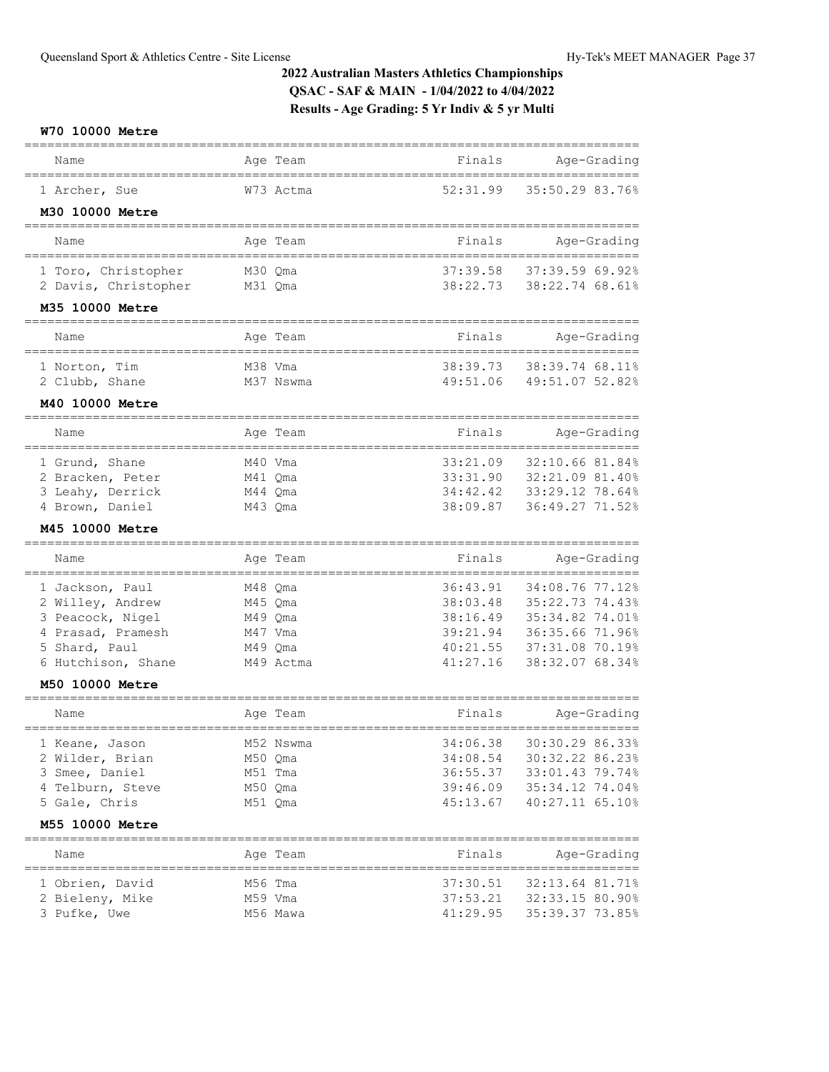### **W70 10000 Metre**

| Name                                        | Age Team                 | Finals                                     | Age-Grading                         |
|---------------------------------------------|--------------------------|--------------------------------------------|-------------------------------------|
| 1 Archer, Sue                               | W73 Actma                | 52:31.99                                   | 35:50.29 83.76%                     |
| M30 10000 Metre                             |                          |                                            |                                     |
| Name                                        | Age Team                 | Finals                                     | Age-Grading                         |
|                                             |                          |                                            |                                     |
| 1 Toro, Christopher<br>2 Davis, Christopher | M30 Qma<br>M31 Qma       | 37:39.58<br>38:22.73                       | 37:39.59 69.92%<br>38:22.74 68.61%  |
|                                             |                          |                                            |                                     |
| M35 10000 Metre                             |                          |                                            |                                     |
| Name<br>---------------                     | Age Team                 | Finals                                     | Age-Grading<br>===================  |
| 1 Norton, Tim                               | M38 Vma                  | 38:39.73                                   | 38:39.74 68.11%                     |
| 2 Clubb, Shane                              | M37 Nswma                | 49:51.06                                   | 49:51.07 52.82%                     |
| M40 10000 Metre                             |                          |                                            |                                     |
| Name<br>==============                      | Age Team                 | Finals                                     | Age-Grading<br>==================== |
| 1 Grund, Shane                              | M40 Vma                  | 33:21.09                                   | 32:10.66 81.84%                     |
| 2 Bracken, Peter                            | M41 Qma                  | 33:31.90                                   | 32:21.09 81.40%                     |
| 3 Leahy, Derrick                            | M44 Qma                  | 34:42.42                                   | 33:29.12 78.64%                     |
| 4 Brown, Daniel                             | M43 Qma                  | 38:09.87                                   | 36:49.27 71.52%                     |
| M45 10000 Metre<br>======================   |                          |                                            |                                     |
| Name<br>=======================             | Age Team<br>============ | Finals<br>================================ | Age-Grading                         |
| 1 Jackson, Paul                             | M48 Qma                  | 36:43.91                                   | 34:08.76 77.12%                     |
| 2 Willey, Andrew                            | M45 Qma                  | 38:03.48                                   | 35:22.73 74.43%                     |
| 3 Peacock, Nigel                            | M49 Qma                  | 38:16.49                                   | 35:34.82 74.01%                     |
| 4 Prasad, Pramesh                           | M47 Vma                  | 39:21.94                                   | 36:35.66 71.96%                     |
| 5 Shard, Paul<br>6 Hutchison, Shane         | M49 Qma<br>M49 Actma     | 40:21.55<br>41:27.16                       | 37:31.08 70.19%<br>38:32.07 68.34%  |
| M50 10000 Metre                             |                          |                                            |                                     |
|                                             |                          |                                            |                                     |
| Name                                        | Age Team                 | Finals                                     | Age-Grading                         |
| 1 Keane, Jason                              | M52 Nswma                | 34:06.38                                   | 30:30.29 86.33%                     |
| 2 Wilder, Brian                             | M50 Qma                  | 34:08.54                                   | 30:32.22 86.23%                     |
| 3 Smee, Daniel                              | M51 Tma                  |                                            | 36:55.37 33:01.43 79.74%            |
| 4 Telburn, Steve                            | M50 Qma                  | 39:46.09                                   | 35:34.12 74.04%                     |
| 5 Gale, Chris                               | M51 Qma                  | 45:13.67                                   | 40:27.11 65.10%                     |
| M55 10000 Metre                             |                          |                                            |                                     |
| Name                                        | Age Team                 | Finals                                     | Age-Grading<br>===                  |
| 1 Obrien, David                             | M56 Tma                  | 37:30.51                                   | 32:13.64 81.71%                     |
| 2 Bieleny, Mike                             | M59 Vma                  |                                            |                                     |
| 3 Pufke, Uwe                                | M56 Mawa                 | 41:29.95                                   | 35:39.37 73.85%                     |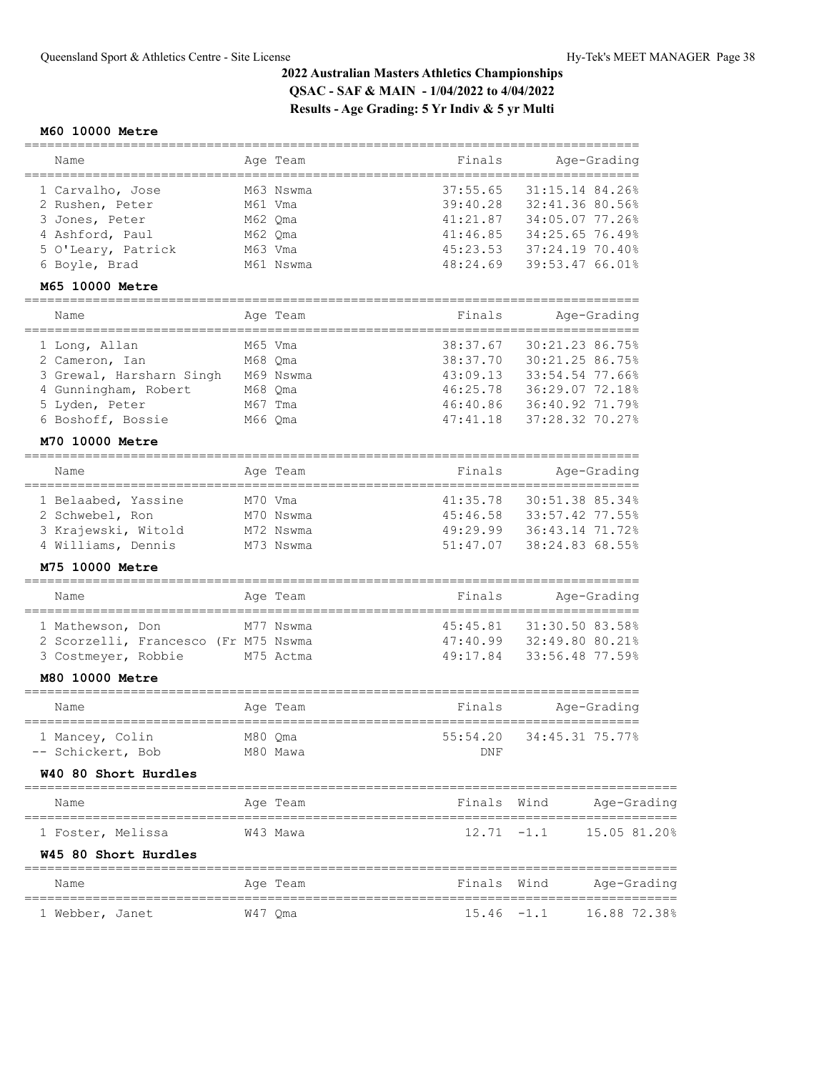### **M60 10000 Metre**

| Name                                 |         | Age Team             | Finals          | Age-Grading                |
|--------------------------------------|---------|----------------------|-----------------|----------------------------|
| 1 Carvalho, Jose                     |         | M63 Nswma            | 37:55.65        | 31:15.14 84.26%            |
| 2 Rushen, Peter                      | M61 Vma |                      | 39:40.28        | 32:41.36 80.56%            |
| 3 Jones, Peter                       | M62 Qma |                      | 41:21.87        | 34:05.07 77.26%            |
| 4 Ashford, Paul                      | M62 Qma |                      | 41:46.85        | 34:25.65 76.49%            |
| 5 O'Leary, Patrick                   | M63 Vma |                      | 45:23.53        | 37:24.19 70.40%            |
| 6 Boyle, Brad                        |         | M61 Nswma            | 48:24.69        | 39:53.47 66.01%            |
| M65 10000 Metre                      |         |                      |                 |                            |
| ____________________<br>Name         |         | Aqe Team             | Finals          | Age-Grading                |
| 1 Long, Allan                        |         | M65 Vma              | 38:37.67        | 30:21.23 86.75%            |
| 2 Cameron, Ian                       | M68 Qma |                      | 38:37.70        | 30:21.25 86.75%            |
| 3 Grewal, Harsharn Singh M69 Nswma   |         |                      | 43:09.13        | 33:54.54 77.66%            |
| 4 Gunningham, Robert                 | M68 Qma |                      | 46:25.78        | 36:29.07 72.18%            |
| 5 Lyden, Peter                       | M67 Tma |                      | 46:40.86        | 36:40.92 71.79%            |
| 6 Boshoff, Bossie                    | M66 Oma |                      | 47:41.18        | 37:28.32 70.27%            |
| M70 10000 Metre                      |         |                      |                 |                            |
|                                      |         |                      |                 |                            |
| Name                                 |         | Aqe Team             | Finals          | Age-Grading                |
| 1 Belaabed, Yassine                  | M70 Vma |                      | 41:35.78        | 30:51.38 85.34%            |
| 2 Schwebel, Ron                      |         | M70 Nswma            | 45:46.58        | 33:57.42 77.55%            |
| 3 Krajewski, Witold                  |         | M72 Nswma            | 49:29.99        | 36:43.14 71.72%            |
| 4 Williams, Dennis                   |         | M73 Nswma            | 51:47.07        | 38:24.83 68.55%            |
| M75 10000 Metre                      |         |                      |                 |                            |
| Name                                 |         | Aqe Team             | Finals          | Age-Grading                |
| 1 Mathewson, Don                     |         | M77 Nswma            | 45:45.81        | 31:30.50 83.58%            |
| 2 Scorzelli, Francesco (Fr M75 Nswma |         |                      | 47:40.99        | 32:49.80 80.21%            |
| 3 Costmeyer, Robbie                  |         | M75 Actma            | 49:17.84        | 33:56.48 77.59%            |
| M80 10000 Metre                      |         |                      |                 |                            |
| Name                                 |         | Age Team             | Finals          | Age-Grading                |
| 1 Mancey, Colin<br>-- Schickert, Bob | M80 Qma | M80 Mawa             | 55:54.20<br>DNF | 34:45.31 75.77%            |
| W40 80 Short Hurdles                 |         |                      |                 |                            |
| ================<br>Name             |         | Age Team             |                 | Finals Wind<br>Age-Grading |
| 1 Foster, Melissa                    |         | W43 Mawa             | $12.71 - 1.1$   | 15.05 81.20%               |
| W45 80 Short Hurdles                 |         |                      |                 |                            |
| Name                                 |         | ========<br>Age Team | Finals Wind     | Age-Grading                |
| 1 Webber, Janet                      |         | W47 Qma              | $15.46 - 1.1$   | 16.88 72.38%               |
|                                      |         |                      |                 |                            |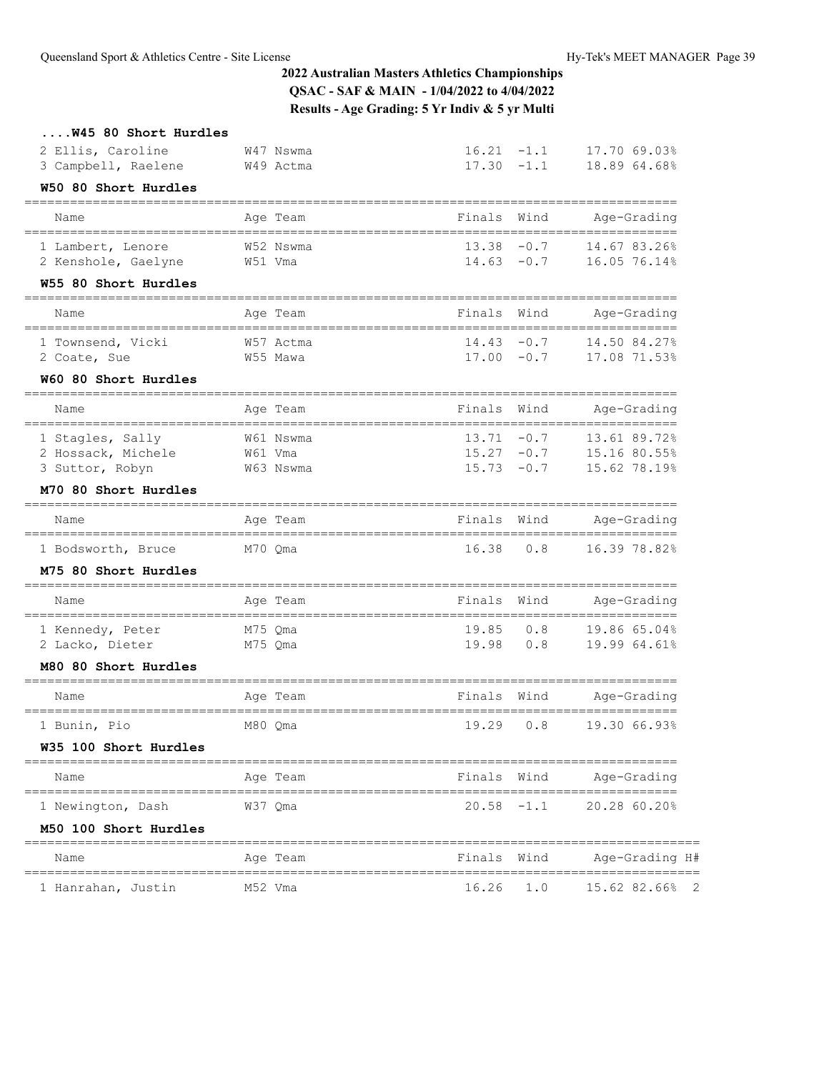| W45 80 Short Hurdles                            |                   |               |               |                                    |
|-------------------------------------------------|-------------------|---------------|---------------|------------------------------------|
| 2 Ellis, Caroline                               | W47 Nswma         | $16.21 - 1.1$ |               | 17.70 69.03%                       |
| 3 Campbell, Raelene                             | W49 Actma         | $17.30 - 1.1$ |               | 18.89 64.68%                       |
| W50 80 Short Hurdles                            |                   |               |               |                                    |
| Name                                            | Age Team          | Finals        | Wind          | Age-Grading                        |
| 1 Lambert, Lenore                               | W52 Nswma         |               | $13.38 - 0.7$ | 14.67 83.26%                       |
| 2 Kenshole, Gaelyne                             | W51 Vma           | $14.63 - 0.7$ |               | 16.05 76.14%                       |
| W55 80 Short Hurdles                            |                   |               |               |                                    |
| Name                                            | Age Team          | Finals        | Wind          | Age-Grading                        |
| 1 Townsend, Vicki                               | W57 Actma         |               | $14.43 - 0.7$ | 14.50 84.27%                       |
| 2 Coate, Sue                                    | W55 Mawa          | $17.00 - 0.7$ |               | 17.08 71.53%                       |
| W60 80 Short Hurdles                            |                   |               |               |                                    |
| Name                                            | Age Team          | Finals        | Wind          | Age-Grading                        |
| 1 Stagles, Sally                                | W61 Nswma         | 13.71         | $-0.7$        | 13.61 89.72%                       |
| 2 Hossack, Michele                              | W61 Vma           | $15.27 - 0.7$ |               | 15.16 80.55%                       |
| 3 Suttor, Robyn                                 | W63 Nswma         | $15.73 - 0.7$ |               | 15.62 78.19%                       |
| M70 80 Short Hurdles<br>----------------------- | ================= |               |               |                                    |
| Name                                            | Age Team          | Finals        | Wind          | Age-Grading                        |
| 1 Bodsworth, Bruce                              | M70 Qma           | 16.38         | 0.8           | 16.39 78.82%                       |
| M75 80 Short Hurdles                            |                   |               |               |                                    |
| Name                                            | Age Team          | Finals        | Wind          | Age-Grading<br>=================== |
| 1 Kennedy, Peter                                | M75 Qma           | 19.85         | 0.8           | 19.86 65.04%                       |
| 2 Lacko, Dieter                                 | M75 Qma           | 19.98         | 0.8           | 19.99 64.61%                       |
| M80 80 Short Hurdles                            |                   |               |               |                                    |
| Name                                            | Age Team          | Finals        | Wind          | Age-Grading                        |
| 1 Bunin, Pio                                    | M80 Qma           | 19.29         | 0.8           | ==================<br>19.30 66.93% |
| W35 100 Short Hurdles                           |                   |               |               |                                    |
| Name                                            | Age Team          | Finals Wind   |               | Age-Grading                        |
| 1 Newington, Dash                               | W37 Qma           |               | $20.58 - 1.1$ | 20.28 60.20%                       |
| M50 100 Short Hurdles                           |                   |               |               |                                    |
| Name                                            | Age Team          | Finals Wind   |               | Age-Grading H#                     |
| 1 Hanrahan, Justin                              | M52 Vma           | 16.26         | 1.0           | 15.62 82.66%<br>-2                 |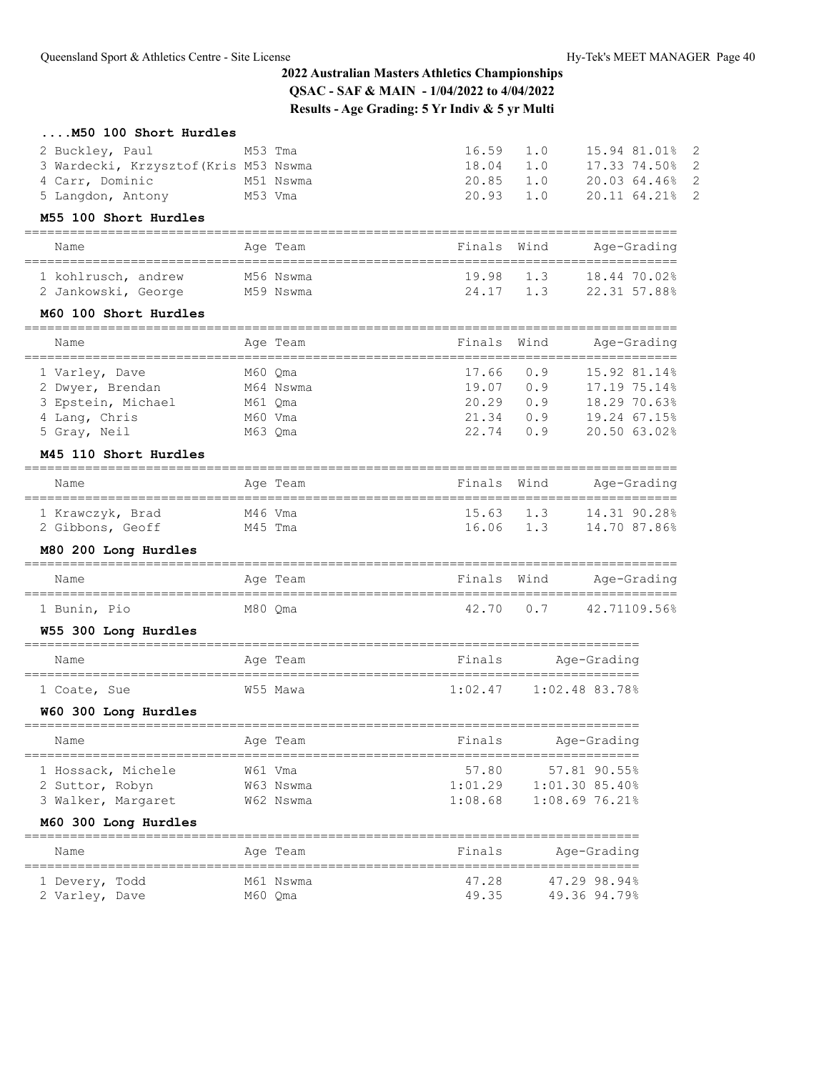| M50 100 Short Hurdles                          |           |                                        |      |                                    |                |
|------------------------------------------------|-----------|----------------------------------------|------|------------------------------------|----------------|
| 2 Buckley, Paul                                | M53 Tma   | 16.59                                  | 1.0  | 15.94 81.01%                       | $\overline{c}$ |
| 3 Wardecki, Krzysztof (Kris M53 Nswma          |           | 18.04                                  | 1.0  | 17.33 74.50%                       | 2              |
| 4 Carr, Dominic                                | M51 Nswma | 20.85                                  | 1.0  | 20.03 64.46%                       | 2              |
| 5 Langdon, Antony                              | M53 Vma   | 20.93                                  | 1.0  | 20.11 64.21%                       | $\overline{2}$ |
| M55 100 Short Hurdles<br>=================     |           |                                        |      |                                    |                |
| Name                                           | Age Team  | Finals                                 | Wind | Age-Grading                        |                |
| 1 kohlrusch, andrew                            | M56 Nswma | 19.98                                  | 1.3  | 18.44 70.02%                       |                |
| 2 Jankowski, George                            | M59 Nswma | 24.17                                  | 1.3  | 22.31 57.88%                       |                |
| M60 100 Short Hurdles                          |           |                                        |      |                                    |                |
| Name                                           | Age Team  | Finals                                 | Wind | Age-Grading                        |                |
| 1 Varley, Dave                                 | M60 Qma   | 17.66                                  | 0.9  | 15.92 81.14%                       |                |
| 2 Dwyer, Brendan                               | M64 Nswma | 19.07                                  | 0.9  | 17.19 75.14%                       |                |
| 3 Epstein, Michael                             | M61 Oma   | 20.29                                  | 0.9  | 18.29 70.63%                       |                |
| 4 Lang, Chris                                  | M60 Vma   | 21.34                                  | 0.9  | 19.24 67.15%                       |                |
| 5 Gray, Neil                                   | M63 Qma   | 22.74                                  | 0.9  | 20.50 63.02%                       |                |
| M45 110 Short Hurdles                          |           |                                        |      |                                    |                |
| Name                                           | Age Team  | Finals                                 | Wind | Age-Grading<br>=================== |                |
| 1 Krawczyk, Brad                               | M46 Vma   | 15.63                                  | 1.3  | 14.31 90.28%                       |                |
| 2 Gibbons, Geoff                               | M45 Tma   | 16.06                                  | 1.3  | 14.70 87.86%                       |                |
| M80 200 Long Hurdles                           |           |                                        |      |                                    |                |
| Name                                           | Age Team  | Finals                                 | Wind | Age-Grading<br>------------------- |                |
| 1 Bunin, Pio                                   | M80 Qma   | 42.70                                  | 0.7  | 42.71109.56%                       |                |
| W55 300 Long Hurdles                           |           |                                        |      |                                    |                |
| Name                                           | Age Team  | Finals                                 |      | Age-Grading                        |                |
| 1 Coate, Sue                                   | W55 Mawa  | 1:02.47                                |      | 1:02.48 83.78%                     |                |
| W60 300 Long Hurdles<br>,,,,,,,,,,,,,,,,,,,,,, |           |                                        |      |                                    |                |
| ===============<br>Name                        | Age Team  | ============================<br>Finals |      | Age-Grading                        |                |
| 1 Hossack, Michele                             | W61 Vma   | 57.80                                  |      | 57.81 90.55%                       |                |
| 2 Suttor, Robyn                                | W63 Nswma | 1:01.29                                |      | 1:01.30 85.40%                     |                |
| 3 Walker, Margaret                             | W62 Nswma | 1:08.68                                |      | 1:08.6976.21%                      |                |
| M60 300 Long Hurdles                           |           |                                        |      |                                    |                |
| Name                                           | Age Team  | Finals                                 |      | Age-Grading                        |                |
| ----------------------<br>1 Devery, Todd       | M61 Nswma | 47.28                                  |      | 47.29 98.94%                       |                |
| 2 Varley, Dave                                 | M60 Qma   | 49.35                                  |      | 49.36 94.79%                       |                |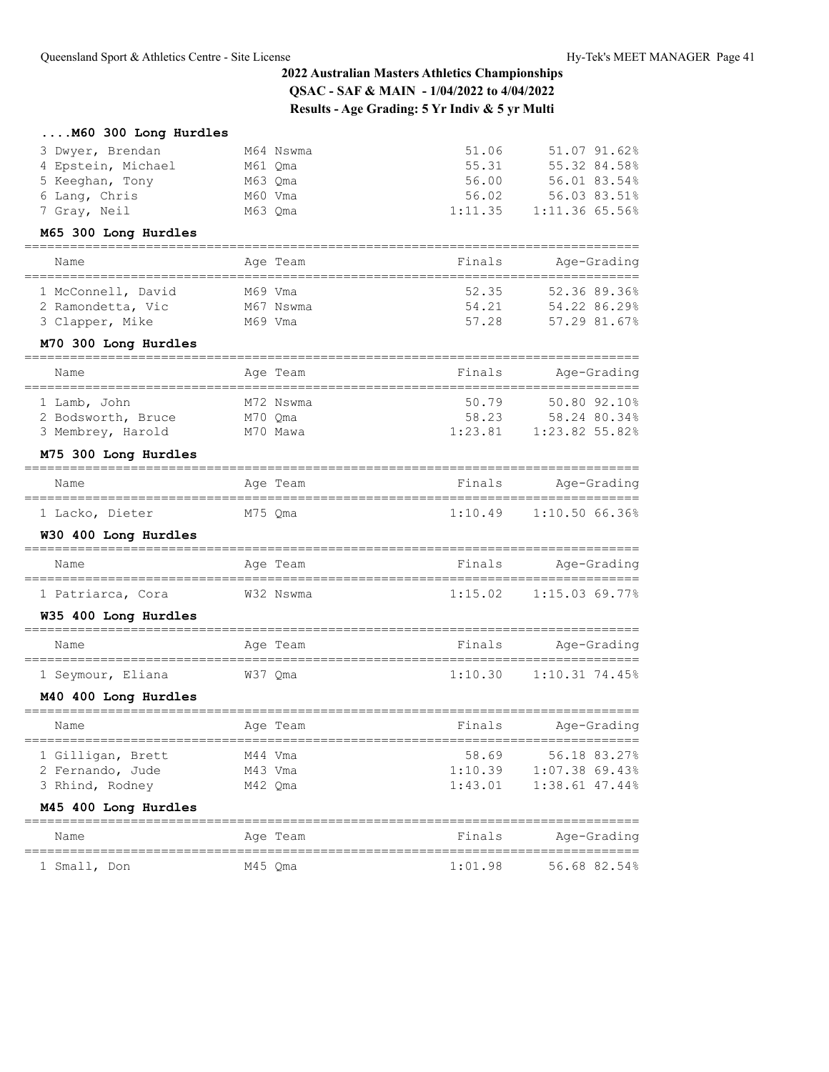| M60 300 Long Hurdles                                  |                      |                  |                                  |
|-------------------------------------------------------|----------------------|------------------|----------------------------------|
| 3 Dwyer, Brendan                                      | M64 Nswma            | 51.06            | 51.07 91.62%                     |
| 4 Epstein, Michael                                    | M61 Qma              | 55.31            | 55.32 84.58%                     |
| 5 Keeghan, Tony                                       | M63 Qma              | 56.00            | 56.01 83.54%                     |
| 6 Lang, Chris<br>7 Gray, Neil                         | M60 Vma<br>M63 Qma   | 56.02<br>1:11.35 | 56.03 83.51%<br>1:11.36 65.56%   |
| M65 300 Long Hurdles                                  |                      |                  |                                  |
| =====================                                 |                      |                  |                                  |
| Name                                                  | Age Team             | Finals           | Age-Grading                      |
| 1 McConnell, David                                    | M69 Vma              | 52.35            | 52.36 89.36%                     |
| 2 Ramondetta, Vic                                     | M67 Nswma            | 54.21            | 54.22 86.29%                     |
| 3 Clapper, Mike                                       | M69 Vma              | 57.28            | 57.29 81.67%                     |
| M70 300 Long Hurdles                                  |                      |                  |                                  |
| Name                                                  | Age Team             | Finals           | Age-Grading                      |
| 1 Lamb, John                                          | M72 Nswma            | 50.79            | 50.80 92.10%                     |
| 2 Bodsworth, Bruce                                    | M70 Qma              | 58.23            | 58.24 80.34%                     |
| 3 Membrey, Harold                                     | M70 Mawa             | 1:23.81          | 1:23.82 55.82%                   |
| M75 300 Long Hurdles                                  |                      |                  |                                  |
| Name                                                  | Age Team             | Finals           | Age-Grading                      |
| 1 Lacko, Dieter                                       | M75 Qma              | 1:10.49          | 1:10.50 66.36%                   |
| W30 400 Long Hurdles                                  |                      |                  |                                  |
| Name                                                  | Age Team             | Finals           | Age-Grading                      |
| 1 Patriarca, Cora                                     | W32 Nswma            | 1:15.02          | 1:15.03 69.77%                   |
| W35 400 Long Hurdles                                  |                      |                  |                                  |
| Name                                                  | Age Team             | Finals           | Age-Grading                      |
| 1 Seymour, Eliana                                     | W37 Qma              | 1:10.30          | :=============<br>1:10.31 74.45% |
| M40 400 Long Hurdles                                  |                      |                  |                                  |
| Name                                                  | Age Team             | Finals           | Age-Grading                      |
| 1 Gilligan, Brett                                     | M44 Vma              | 58.69            | 56.18 83.27%                     |
| 2 Fernando, Jude                                      | M43 Vma              | 1:10.39          | $1:07.38$ 69.43%                 |
| 3 Rhind, Rodney                                       | M42 Qma              | 1:43.01          | 1:38.61 47.44%                   |
| M45 400 Long Hurdles                                  |                      |                  |                                  |
| =================<br>Name                             | ========<br>Age Team | Finals           | Age-Grading                      |
| =====================================<br>1 Small, Don | M45 Qma              | 1:01.98          | 56.68 82.54%                     |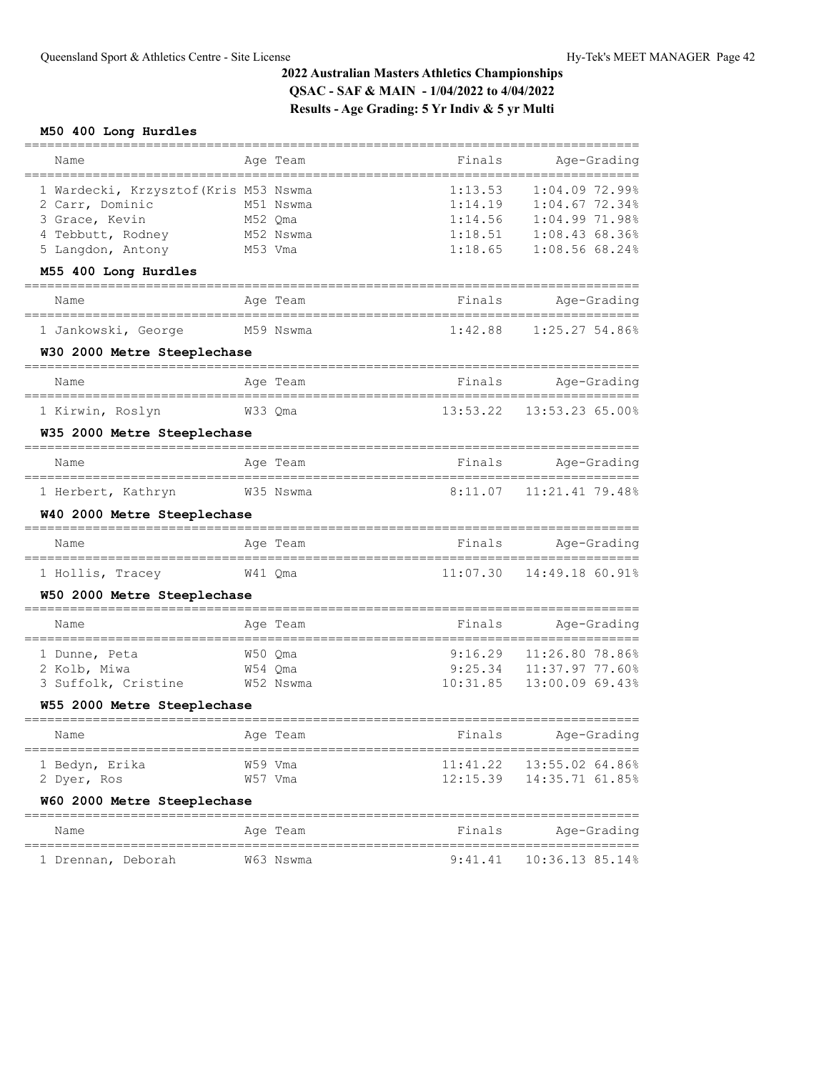## **M50 400 Long Hurdles**

| Name                                                       | Age Team                     | Finals             | Age-Grading                            |
|------------------------------------------------------------|------------------------------|--------------------|----------------------------------------|
| 1 Wardecki, Krzysztof (Kris M53 Nswma<br>2 Carr, Dominic   | M51 Nswma                    | 1:13.53<br>1:14.19 | $1:04.09$ 72.99%<br>$1:04.67$ 72.34%   |
| 3 Grace, Kevin                                             | M52 Qma                      | 1:14.56            | 1:04.99 71.98%                         |
| 4 Tebbutt, Rodney<br>5 Langdon, Antony                     | M52 Nswma<br>M53 Vma         | 1:18.51<br>1:18.65 | 1:08.4368.36%<br>1:08.5668.24%         |
| M55 400 Long Hurdles                                       |                              |                    |                                        |
| -------------------------                                  |                              |                    |                                        |
| Name                                                       | Age Team                     | Finals             | Age-Grading                            |
| 1 Jankowski, George                                        | M59 Nswma                    | 1:42.88            | 1:25.27 54.86%                         |
| W30 2000 Metre Steeplechase<br>.__________________________ |                              |                    |                                        |
| Name                                                       | Age Team                     | Finals             | Age-Grading                            |
| 1 Kirwin, Roslyn                                           | W33 Qma                      | 13:53.22           | 13:53.23 65.00%                        |
| W35 2000 Metre Steeplechase                                |                              |                    |                                        |
| ______________________<br>Name                             | Age Team                     | Finals             | Age-Grading                            |
| 1 Herbert, Kathryn                                         | W35 Nswma                    | 8:11.07            | 11:21.41 79.48%                        |
| W40 2000 Metre Steeplechase                                |                              |                    |                                        |
| Name                                                       | Age Team                     | Finals             | Age-Grading                            |
| 1 Hollis, Tracey                                           | W41 Qma                      | 11:07.30           | 14:49.18 60.91%                        |
| W50 2000 Metre Steeplechase                                |                              |                    |                                        |
| Name                                                       | Age Team                     | Finals             | Age-Grading                            |
| 1 Dunne, Peta                                              | W50 Qma                      | 9:16.29            | 11:26.80 78.86%                        |
| 2 Kolb, Miwa                                               | W54 Qma                      | 9:25.34            | 11:37.97 77.60%                        |
| 3 Suffolk, Cristine                                        | W52 Nswma                    | 10:31.85           | 13:00.09 69.43%                        |
| W55 2000 Metre Steeplechase                                |                              |                    |                                        |
| Name                                                       | Age Team                     | Finals             | Age-Grading                            |
| 1 Bedyn, Erika                                             | W59 Vma                      | 11:41.22           | 13:55.02 64.86%                        |
| 2 Dyer, Ros                                                | W57 Vma                      | 12:15.39           | 14:35.71 61.85%                        |
| W60 2000 Metre Steeplechase                                |                              |                    |                                        |
| Name<br>=====================                              | Age Team<br>================ | Finals             | Age-Grading<br>----------------------- |
| 1 Drennan, Deborah                                         | W63 Nswma                    | 9:41.41            | 10:36.13 85.14%                        |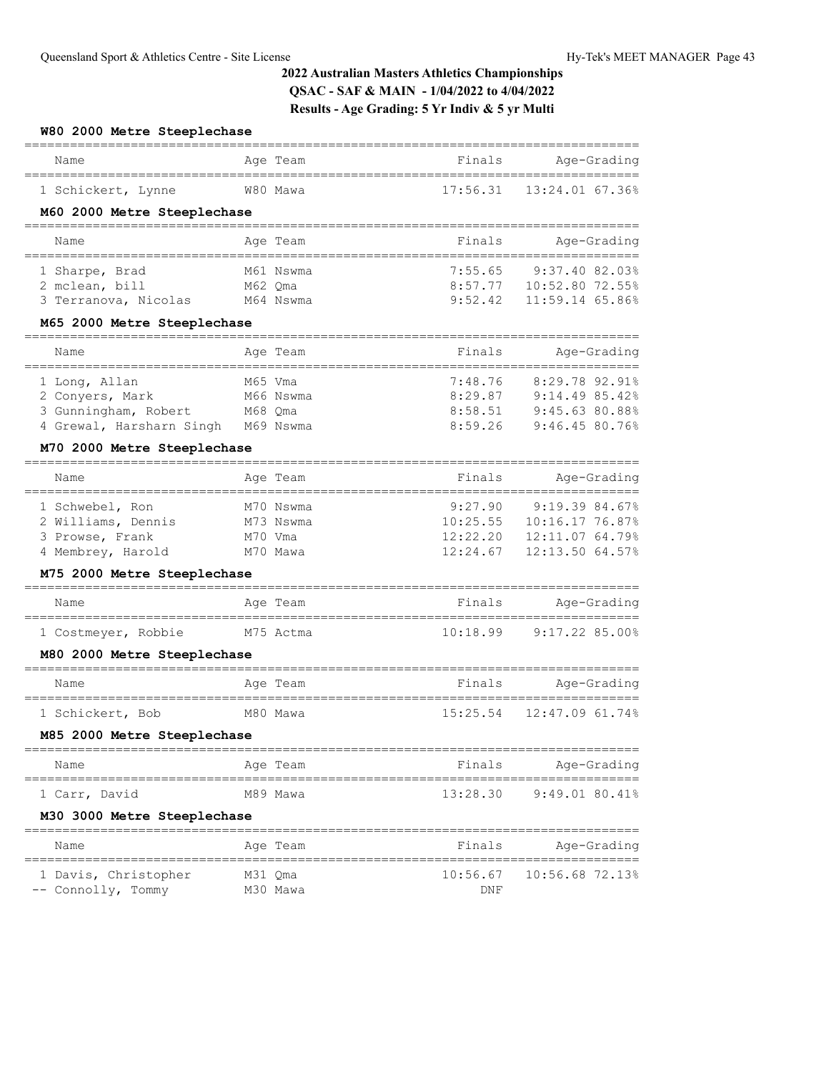#### **W80 2000 Metre Steeplechase**

| Name               | Age Team | Finals | Age-Grading                 |
|--------------------|----------|--------|-----------------------------|
| 1 Schickert, Lynne | W80 Mawa |        | $17:56.31$ $13:24.0167.36%$ |

### **M60 2000 Metre Steeplechase**

| Name                 | Age Team  | Finals  | Age-Grading       |
|----------------------|-----------|---------|-------------------|
|                      |           |         |                   |
| 1 Sharpe, Brad       | M61 Nswma | 7:55.65 | 9:37.40 82.03%    |
| 2 mclean, bill       | M62 Oma   | 8:57.77 | $10:52.80$ 72.55% |
| 3 Terranova, Nicolas | M64 Nswma | 9:52.42 | $11:59.14$ 65.86% |

### **M65 2000 Metre Steeplechase**

| Name                     | Age Team  | Finals  | Age-Grading      |
|--------------------------|-----------|---------|------------------|
|                          |           |         |                  |
| 1 Long, Allan            | M65 Vma   | 7:48.76 | $8:29.78$ 92.91% |
| 2 Convers, Mark          | M66 Nswma | 8:29.87 | 9:14.4985.42     |
| 3 Gunningham, Robert     | M68 Oma   | 8:58.51 | 9:45.63 80.88%   |
| 4 Grewal, Harsharn Singh | M69 Nswma | 8:59.26 | 9:46.4580.76%    |

## **M70 2000 Metre Steeplechase**

| Name               | Age Team  | Finals   | Age-Grading     |
|--------------------|-----------|----------|-----------------|
|                    |           |          |                 |
| 1 Schwebel, Ron    | M70 Nswma | 9:27.90  | 9:19.39.84.67%  |
| 2 Williams, Dennis | M73 Nswma | 10:25.55 | 10:16.17 76.87% |
| 3 Prowse, Frank    | M70 Vma   | 12:22.20 | 12:11.0764.79%  |
| 4 Membrey, Harold  | M70 Mawa  | 12:24.67 | 12:13.50 64.57% |

### **M75 2000 Metre Steeplechase**

| Name                | Age Team  | Finals   | Age-Grading    |
|---------------------|-----------|----------|----------------|
| 1 Costmeyer, Robbie | M75 Actma | 10:18.99 | 9:17.22 85.00% |

## **M80 2000 Metre Steeplechase**

| Name             | Age Team | Finals | Age-Grading                 |
|------------------|----------|--------|-----------------------------|
| 1 Schickert, Bob | M80 Mawa |        | $15:25.54$ $12:47.0961.74%$ |

### **M85 2000 Metre Steeplechase**

| Name          |  | Age Team | Finals   | Age-Grading    |
|---------------|--|----------|----------|----------------|
| 1 Carr, David |  | M89 Mawa | 13:28.30 | 9:49.01 80.41% |

### **M30 3000 Metre Steeplechase**

| Name                 | Age Team | Finals     | Age-Grading                  |
|----------------------|----------|------------|------------------------------|
| 1 Davis, Christopher | M31 Oma  |            | $10:56.67$ $10:56.68$ 72.13% |
| -- Connolly, Tommy   | M30 Mawa | <b>DNF</b> |                              |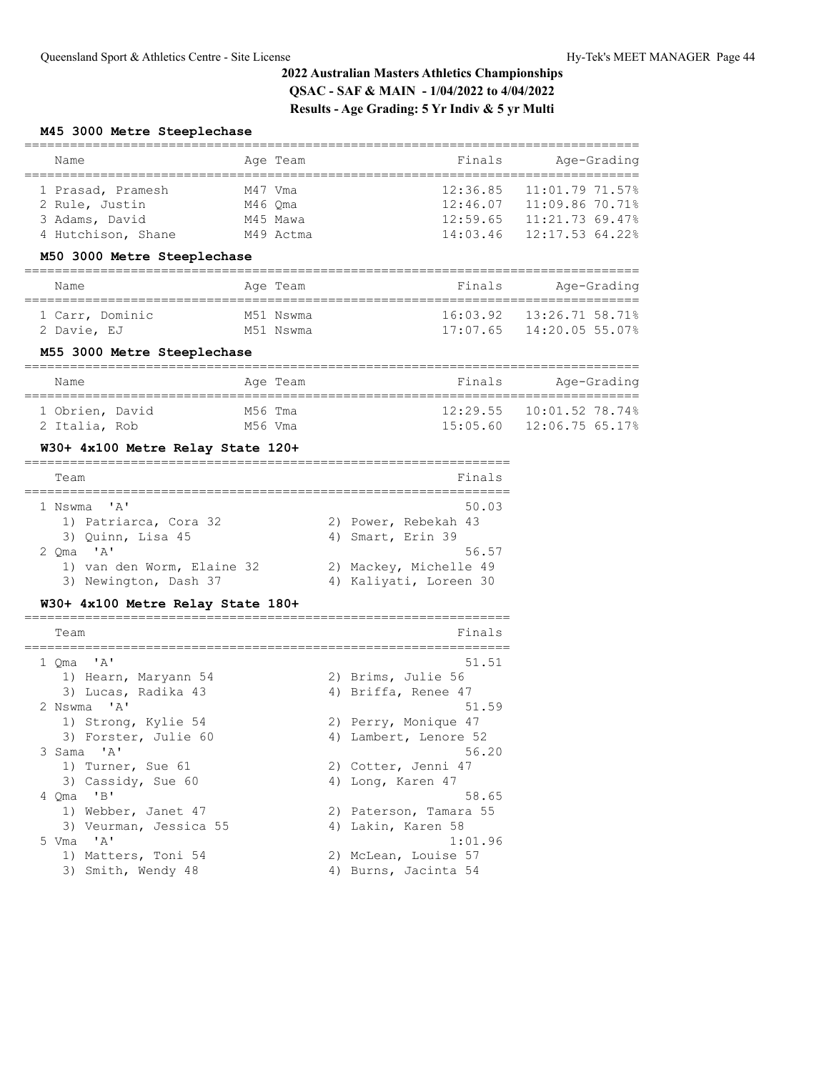### **M45 3000 Metre Steeplechase**

| Name               | Age Team  | Finals   | Age-Grading     |
|--------------------|-----------|----------|-----------------|
|                    |           |          |                 |
| 1 Prasad, Pramesh  | M47 Vma   | 12:36.85 | 11:01.7971.57%  |
| 2 Rule, Justin     | M46 Oma   | 12:46.07 | 11:09.8670.71%  |
| 3 Adams, David     | M45 Mawa  | 12:59.65 | 11:21.7369.47%  |
| 4 Hutchison, Shane | M49 Actma | 14:03.46 | 12:17.53 64.22% |

### **M50 3000 Metre Steeplechase**

| Name            | Age Team  | Finals   | Age-Grading                   |
|-----------------|-----------|----------|-------------------------------|
| 1 Carr, Dominic | M51 Nswma | 17:07.65 | $16:03.92$ $13:26.71.58.71$ % |
| 2 Davie, EJ     | M51 Nswma |          | 14:20.05 55.07%               |

### **M55 3000 Metre Steeplechase**

| Name            |         | Age Team | Finals   | Age-Grading                |
|-----------------|---------|----------|----------|----------------------------|
| 1 Obrien, David | M56 Tma |          | 12:29.55 | $10:01.52$ 78.74%          |
| 2 Italia, Rob   | M56 Vma |          |          | $15:05.60$ $12:06.7565.17$ |

## **W30+ 4x100 Metre Relay State 120+**

| Team                       | Finals                 |
|----------------------------|------------------------|
| 1 Nswma 'A'                | 50.03                  |
| 1) Patriarca, Cora 32      | 2) Power, Rebekah 43   |
| 3) Ouinn, Lisa 45          | 4) Smart, Erin 39      |
| $2 \text{ Oma}$ 'A'        | 56.57                  |
| 1) van den Worm, Elaine 32 | 2) Mackey, Michelle 49 |
| 3) Newington, Dash 37      | 4) Kaliyati, Loreen 30 |

### **W30+ 4x100 Metre Relay State 180+**

| Team                   | Finals                 |
|------------------------|------------------------|
| $1$ Oma $'A'$          | 51.51                  |
| 1) Hearn, Maryann 54   | 2) Brims, Julie 56     |
| 3) Lucas, Radika 43    | 4) Briffa, Renee 47    |
| 2 Nswma 'A'            | 51.59                  |
| 1) Strong, Kylie 54    | 2) Perry, Monique 47   |
| 3) Forster, Julie 60   | 4) Lambert, Lenore 52  |
| 3 Sama 'A'             | 56.20                  |
| 1) Turner, Sue 61      | 2) Cotter, Jenni 47    |
| 3) Cassidy, Sue 60     | 4) Long, Karen 47      |
| 4 Oma 'B'              | 58.65                  |
| 1) Webber, Janet 47    | 2) Paterson, Tamara 55 |
| 3) Veurman, Jessica 55 | 4) Lakin, Karen 58     |
| 5 Vma 'A'              | 1:01.96                |
| 1) Matters, Toni 54    | 2) McLean, Louise 57   |
| 3) Smith, Wendy 48     | 4) Burns, Jacinta 54   |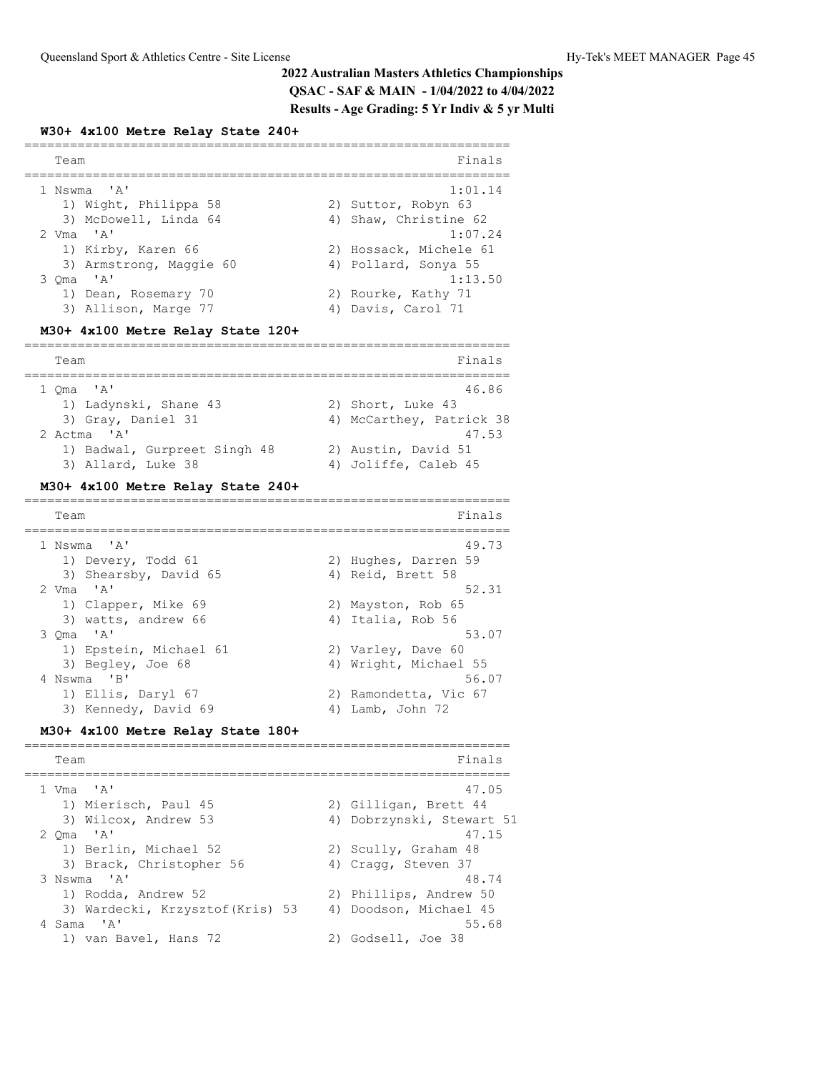### **W30+ 4x100 Metre Relay State 240+**

| Team                    | Finals                 |
|-------------------------|------------------------|
|                         |                        |
| 1 Nswma 'A'             | 1:01.14                |
| 1) Wight, Philippa 58   | 2) Suttor, Robyn 63    |
| 3) McDowell, Linda 64   | 4) Shaw, Christine 62  |
| 2 $Vma$ $'A$            | 1:07.24                |
| 1) Kirby, Karen 66      | 2) Hossack, Michele 61 |
| 3) Armstrong, Maggie 60 | 4) Pollard, Sonya 55   |
| 3 Oma 'A'               | 1:13.50                |
| 1) Dean, Rosemary 70    | 2) Rourke, Kathy 71    |
| 3) Allison, Marge 77    | 4) Davis, Carol 71     |
|                         |                        |

# **M30+ 4x100 Metre Relay State 120+**

| Team                                               | Finals                                      |
|----------------------------------------------------|---------------------------------------------|
| $1$ Oma $'A'$                                      | 46.86                                       |
| 1) Ladynski, Shane 43                              | 2) Short, Luke 43                           |
| 3) Gray, Daniel 31                                 | 4) McCarthey, Patrick 38                    |
| 2 Actma 'A'                                        | 47.53                                       |
| 1) Badwal, Gurpreet Singh 48<br>3) Allard, Luke 38 | 2) Austin, David 51<br>4) Joliffe, Caleb 45 |

### **M30+ 4x100 Metre Relay State 240+**

| Team                   | Finals                |
|------------------------|-----------------------|
| 1 Nswma 'A'            | 49.73                 |
| 1) Devery, Todd 61     | 2) Hughes, Darren 59  |
| 3) Shearsby, David 65  | 4) Reid, Brett 58     |
| 2 $Vma$ $'A$           | 52.31                 |
| 1) Clapper, Mike 69    | 2) Mayston, Rob 65    |
| 3) watts, andrew 66    | 4) Italia, Rob 56     |
| $3$ Oma $'A'$          | 53.07                 |
| 1) Epstein, Michael 61 | 2) Varley, Dave 60    |
| 3) Begley, Joe 68      | 4) Wright, Michael 55 |
| 4 Nswma 'B'            | 56.07                 |
| 1) Ellis, Daryl 67     | 2) Ramondetta, Vic 67 |
| 3) Kennedy, David 69   | 4) Lamb, John 72      |

### **M30+ 4x100 Metre Relay State 180+**

| Team                             | Finals                    |
|----------------------------------|---------------------------|
|                                  |                           |
| $1$ Vma $'A'$                    | 47.05                     |
| 1) Mierisch, Paul 45             | 2) Gilligan, Brett 44     |
| 3) Wilcox, Andrew 53             | 4) Dobrzynski, Stewart 51 |
| 2 $Oma$ 'A'                      | 47.15                     |
| 1) Berlin, Michael 52            | 2) Scully, Graham 48      |
| 3) Brack, Christopher 56         | 4) Cragg, Steven 37       |
| 3 Nswma 'A'                      | 48.74                     |
| 1) Rodda, Andrew 52              | 2) Phillips, Andrew 50    |
| 3) Wardecki, Krzysztof (Kris) 53 | 4) Doodson, Michael 45    |
| 4 Sama 'A'                       | 55.68                     |
| 1) van Bavel, Hans 72            | 2) Godsell, Joe 38        |
|                                  |                           |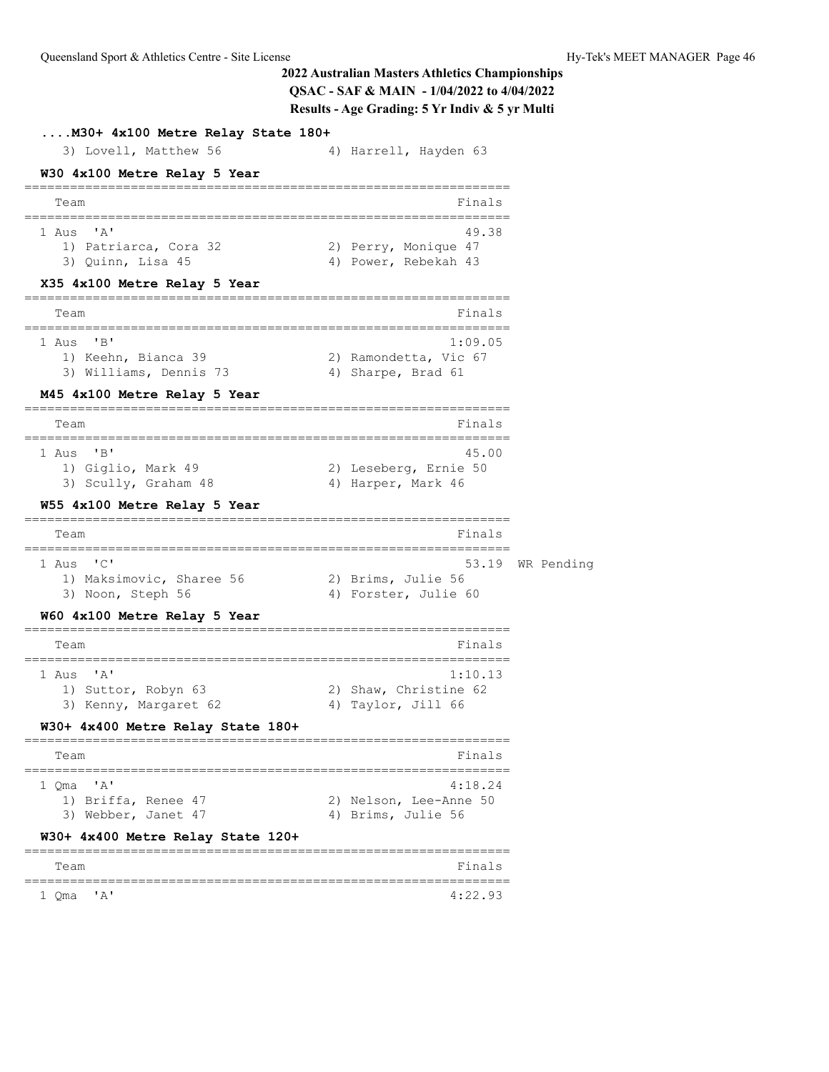**....M30+ 4x100 Metre Relay State 180+** 3) Lovell, Matthew 56 4) Harrell, Hayden 63 **W30 4x100 Metre Relay 5 Year** ================================================================ Team Finals ================================================================ 1 Aus 'A' 49.38 1) Patriarca, Cora 32 2) Perry, Monique 47 3) Quinn, Lisa 45 4) Power, Rebekah 43 **X35 4x100 Metre Relay 5 Year** ================================================================ Team Finals ================================================================ 1 Aus 'B' 1:09.05 1) Keehn, Bianca 39 2) Ramondetta, Vic 67 3) Williams, Dennis 73 4) Sharpe, Brad 61 **M45 4x100 Metre Relay 5 Year** ================================================================ Team Finals ================================================================ 1 Aus 'B' 45.00 1) Giglio, Mark 49 2) Leseberg, Ernie 50 3) Scully, Graham 48 4) Harper, Mark 46 **W55 4x100 Metre Relay 5 Year** ================================================================ Team Finals ================================================================ 53.19 WR Pending 1) Maksimovic, Sharee 56 2) Brims, Julie 56 3) Noon, Steph 56 4) Forster, Julie 60 **W60 4x100 Metre Relay 5 Year** ================================================================ Team Finals ================================================================ 1 Aus 'A' 1:10.13 1) Suttor, Robyn 63 2) Shaw, Christine 62 3) Kenny, Margaret 62 (4) Taylor, Jill 66 **W30+ 4x400 Metre Relay State 180+** ================================================================ Team Finals ================================================================ 1 Qma 'A' 4:18.24 1) Briffa, Renee 47 2) Nelson, Lee-Anne 50 3) Webber, Janet 47 4) Brims, Julie 56 **W30+ 4x400 Metre Relay State 120+** ================================================================ Team Finals ================================================================ 1 Qma 'A' 4:22.93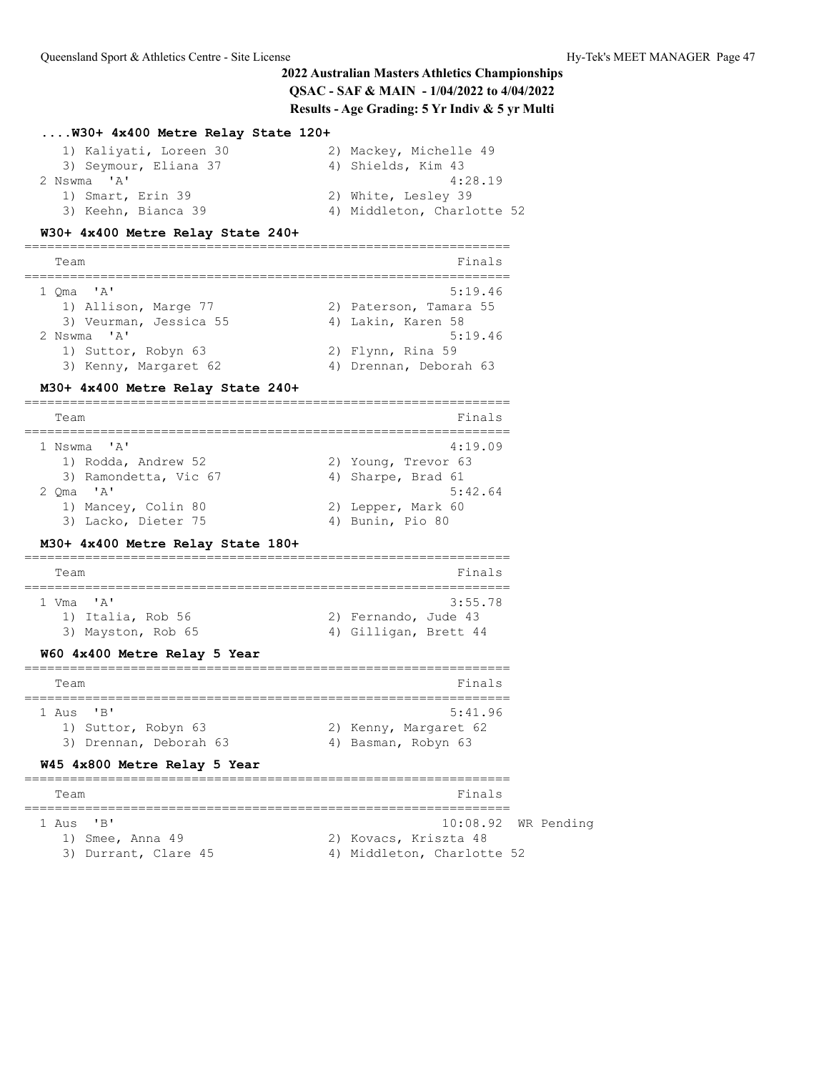## **....W30+ 4x400 Metre Relay State 120+**

| 1) Kaliyati, Loreen 30 | 2) Mackey, Michelle 49     |
|------------------------|----------------------------|
| 3) Seymour, Eliana 37  | 4) Shields, Kim 43         |
| 2 Nswma 'A'            | 4:28.19                    |
| 1) Smart, Erin 39      | 2) White, Lesley 39        |
| 3) Keehn, Bianca 39    | 4) Middleton, Charlotte 52 |

### **W30+ 4x400 Metre Relay State 240+**

================================================================

| Team        |                        | Finals                 |
|-------------|------------------------|------------------------|
| 1 Oma 'A'   |                        | 5:19.46                |
|             | 1) Allison, Marge 77   | 2) Paterson, Tamara 55 |
|             | 3) Veurman, Jessica 55 | 4) Lakin, Karen 58     |
| 2 Nswma 'A' |                        | 5:19.46                |
|             | 1) Suttor, Robyn 63    | 2) Flynn, Rina 59      |
|             | 3) Kenny, Margaret 62  | 4) Drennan, Deborah 63 |

### **M30+ 4x400 Metre Relay State 240+**

================================================================

| Team                  | Finals              |
|-----------------------|---------------------|
| 1 Nswma 'A'           | 4:19.09             |
| 1) Rodda, Andrew 52   | 2) Young, Trevor 63 |
| 3) Ramondetta, Vic 67 | 4) Sharpe, Brad 61  |
| $2 \text{ Oma}$ 'A'   | 5:42.64             |
| 1) Mancey, Colin 80   | 2) Lepper, Mark 60  |
| 3) Lacko, Dieter 75   | 4) Bunin, Pio 80    |

## **M30+ 4x400 Metre Relay State 180+**

| Team |                    |  |  |                       | Finals  |
|------|--------------------|--|--|-----------------------|---------|
|      |                    |  |  |                       |         |
|      | 1 Vma "A"          |  |  |                       | 3:55.78 |
|      | 1) Italia, Rob 56  |  |  | 2) Fernando, Jude 43  |         |
|      | 3) Mayston, Rob 65 |  |  | 4) Gilligan, Brett 44 |         |
|      |                    |  |  |                       |         |

### **W60 4x400 Metre Relay 5 Year**

| Team                                                                                   | Finals                                                  |
|----------------------------------------------------------------------------------------|---------------------------------------------------------|
| $1$ Aus<br>$^{\prime}$ R <sup>1</sup><br>1) Suttor, Robyn 63<br>3) Drennan, Deborah 63 | 5:41.96<br>2) Kenny, Margaret 62<br>4) Basman, Robyn 63 |

### **W45 4x800 Metre Relay 5 Year**

| Team                 |                      |  | Finals                     |  |  |  |  |
|----------------------|----------------------|--|----------------------------|--|--|--|--|
|                      |                      |  |                            |  |  |  |  |
| $1 \text{ A}$ us 'B' |                      |  | $10:08.92$ WR Pending      |  |  |  |  |
|                      | 1) Smee, Anna 49     |  | 2) Kovacs, Kriszta 48      |  |  |  |  |
|                      | 3) Durrant, Clare 45 |  | 4) Middleton, Charlotte 52 |  |  |  |  |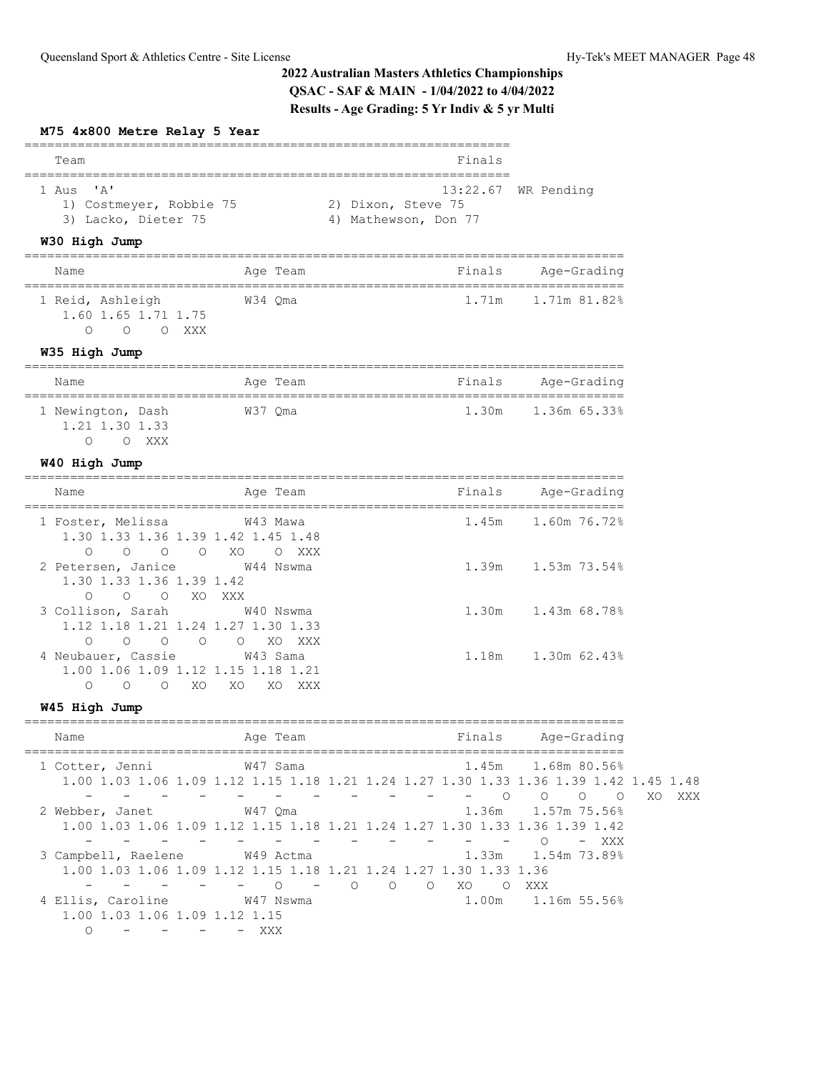### **M75 4x800 Metre Relay 5 Year**

| Team                    | Finals                |  |  |  |  |  |
|-------------------------|-----------------------|--|--|--|--|--|
|                         |                       |  |  |  |  |  |
| 1 Aus 'A'               | $13:22.67$ WR Pending |  |  |  |  |  |
| 1) Costmeyer, Robbie 75 | 2) Dixon, Steve 75    |  |  |  |  |  |
| 3) Lacko, Dieter 75     | 4) Mathewson, Don 77  |  |  |  |  |  |

## **W30 High Jump**

| Name                                    | Age Team | Finals | Age-Grading  |
|-----------------------------------------|----------|--------|--------------|
| 1 Reid, Ashleigh<br>1.60 1.65 1.71 1.75 | W34 Oma  | 1.71m  | 1.71m 81.82% |
| XXX X                                   |          |        |              |

### **W35 High Jump**

| Name                                |       |         | Age Team | Finals | Age-Grading        |  |
|-------------------------------------|-------|---------|----------|--------|--------------------|--|
| 1 Newington, Dash<br>1.21 1.30 1.33 | XXX X | W37 Oma |          |        | 1.30m 1.36m 65.33% |  |

### **W40 High Jump**

| Name                                                                                                                                | Age Team                       | Finals | Age-Grading        |
|-------------------------------------------------------------------------------------------------------------------------------------|--------------------------------|--------|--------------------|
| 1 Foster, Melissa 643 Mawa<br>1.30 1.33 1.36 1.39 1.42 1.45 1.48<br>$\begin{matrix} 0 & 0 & 0 & \text{X0} \end{matrix}$<br>$\Omega$ | XXX<br>$\Omega$                |        | 1.45m 1.60m 76.72% |
| 2 Petersen, Janice<br>1.30 1.33 1.36 1.39 1.42<br>$\bigcirc$<br>$\circ$<br>$\circ$                                                  | W44 Nswma<br>XO XXX            |        | 1.39m 1.53m 73.54% |
| 3 Collison, Sarah 640 Nswma<br>1.12 1.18 1.21 1.24 1.27 1.30 1.33<br>$\bigcirc$<br>$\circ$<br>$\circ$ 0                             | $\circ$ $\circ$ xo<br>XXX X    |        | 1.30m 1.43m 68.78% |
| 4 Neubauer, Cassie<br>1.00 1.06 1.09 1.12 1.15 1.18 1.21<br>XO.<br>$\Omega$<br>$\circ$                                              | W43 Sama<br>XO<br>XO.<br>XXX X | 1.18m  | 1,30m 62,43%       |

## **W45 High Jump**

| Name                                                                                                    | Age Team                  |                     | Finals          | Age-Grading                    |           |
|---------------------------------------------------------------------------------------------------------|---------------------------|---------------------|-----------------|--------------------------------|-----------|
| 1 Cotter, Jenni<br>1.00 1.03 1.06 1.09 1.12 1.15 1.18 1.21 1.24 1.27 1.30 1.33 1.36 1.39 1.42 1.45 1.48 | W47 Sama                  |                     |                 | 1.45m 1.68m 80.56%             |           |
|                                                                                                         |                           |                     | $\bigcirc$      | $\circ$<br>$\Omega$<br>$\circ$ | XXX<br>XO |
| 2 Webber, Janet                                                                                         | W47 Oma                   |                     |                 | 1.36m 1.57m 75.56%             |           |
| 1.00 1.03 1.06 1.09 1.12 1.15 1.18 1.21 1.24 1.27 1.30 1.33 1.36 1.39 1.42                              |                           |                     |                 |                                |           |
|                                                                                                         |                           |                     |                 | $-$ XXX<br>$\bigcirc$          |           |
| 3 Campbell, Raelene                                                                                     | W49 Actma                 |                     |                 | 1.33m 1.54m 73.89%             |           |
| 1.00 1.03 1.06 1.09 1.12 1.15 1.18 1.21 1.24 1.27 1.30 1.33 1.36                                        |                           |                     |                 |                                |           |
|                                                                                                         | $\circ$<br>$\overline{O}$ | $\Omega$<br>$\circ$ | - XO<br>$\circ$ | XXX                            |           |
| 4 Ellis, Caroline                                                                                       | W47 Nswma                 |                     |                 | 1.00m 1.16m 55.56%             |           |
| 1.00 1.03 1.06 1.09 1.12 1.15                                                                           |                           |                     |                 |                                |           |
|                                                                                                         | XXX                       |                     |                 |                                |           |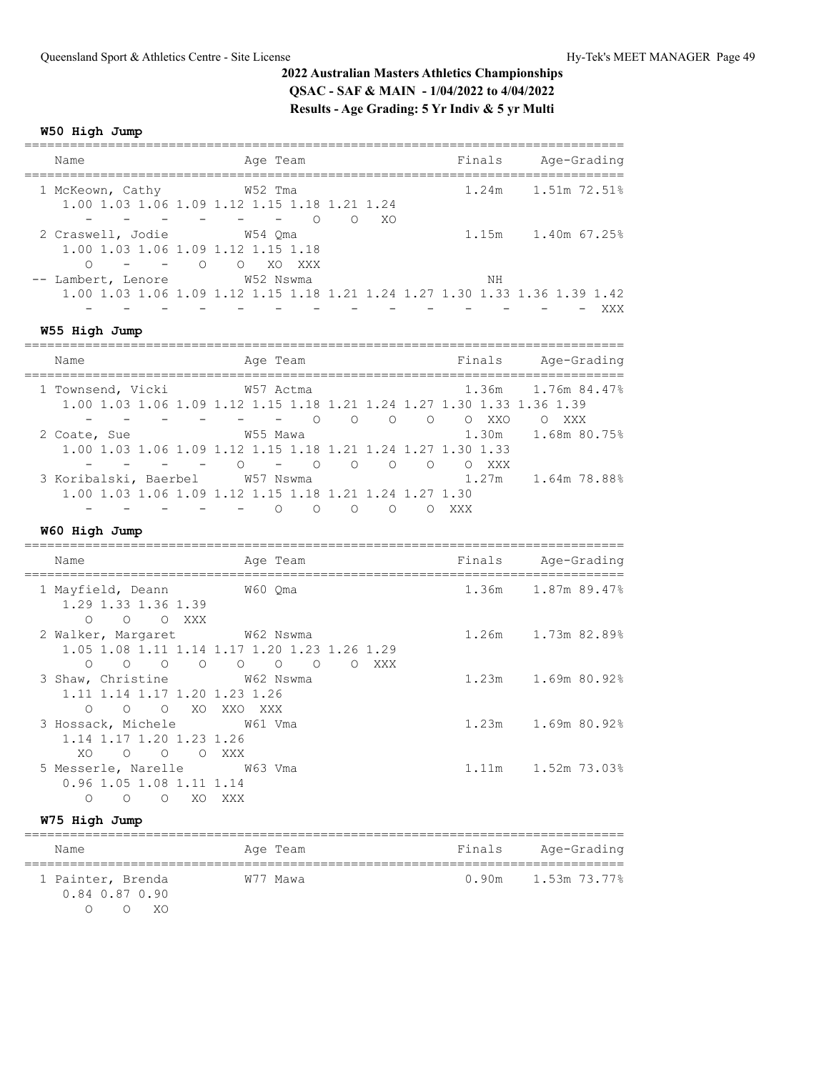## **W50 High Jump**

| Name                   | Age Team                                                                                                            | Finals | Age-Grading        |
|------------------------|---------------------------------------------------------------------------------------------------------------------|--------|--------------------|
| 1 McKeown, Cathy       | W52 Tma<br>1.00 1.03 1.06 1.09 1.12 1.15 1.18 1.21 1.24                                                             |        | 1.24m 1.51m 72.51% |
| 2 Craswell, Jodie<br>∩ | $\Omega$<br>∩<br>W54 Oma<br>1.00 1.03 1.06 1.09 1.12 1.15 1.18<br>$\overline{\phantom{0}}$ $\overline{\phantom{0}}$ | XO     | 1.15m 1.40m 67.25% |
| -- Lambert, Lenore     | O XO XXX<br>W52 Nswma<br>1.00 1.03 1.06 1.09 1.12 1.15 1.18 1.21 1.24 1.27 1.30 1.33 1.36 1.39 1.42                 | ΝH     | XXX                |
| W55 High Jump          |                                                                                                                     |        |                    |

| Name                                                                  | Age Team |                                |                             | Finals     | Age-Grading  |
|-----------------------------------------------------------------------|----------|--------------------------------|-----------------------------|------------|--------------|
| 1 Townsend, Vicki                                                     |          | W57 Actma                      |                             | 1.36m      | 1,76m 84,47% |
| 1.00 1.03 1.06 1.09 1.12 1.15 1.18 1.21 1.24 1.27 1.30 1.33 1.36 1.39 |          |                                |                             |            |              |
|                                                                       |          |                                | $\bigcirc$<br>$\cap$<br>- 0 | XXO<br>- 0 | XXX          |
| 2 Coate, Sue                                                          | W55 Mawa |                                |                             | 1.30m      | 1.68m 80.75% |
| 1.00 1.03 1.06 1.09 1.12 1.15 1.18 1.21 1.24 1.27 1.30 1.33           |          |                                |                             |            |              |
|                                                                       |          | $\bigcap$<br>$\qquad \qquad -$ | $\cap$                      | XXX        |              |
| 3 Koribalski, Baerbel                                                 |          | W57 Nswma                      |                             | 1.27m      | 1.64m 78.88% |
| 1,00 1,03 1,06 1,09 1,12 1,15 1,18 1,21 1,24 1,27 1,30                |          |                                |                             |            |              |
|                                                                       |          | $\left( \right)$               | $\left( \right)$            | xxx        |              |

## **W60 High Jump**

| Name                                                                                                                                       | Age Team                                                                                                                         | Finals | Age-Grading        |
|--------------------------------------------------------------------------------------------------------------------------------------------|----------------------------------------------------------------------------------------------------------------------------------|--------|--------------------|
| 1 Mayfield, Deann<br>1.29 1.33 1.36 1.39<br>O O XXX<br>$\bigcirc$                                                                          | W60 Oma                                                                                                                          |        | 1.36m 1.87m 89.47% |
| 2 Walker, Margaret M62 Nswma<br>$\circ$ $\circ$ $\circ$<br>$\overline{O}$<br>$\bigcirc$                                                    | 1.05 1.08 1.11 1.14 1.17 1.20 1.23 1.26 1.29<br>$\begin{matrix} 0 & 0 \\ 0 & 0 \end{matrix}$<br>$\overline{O}$<br>$\circ$<br>XXX |        | 1.26m 1.73m 82.89% |
| 3 Shaw, Christine W62 Nswma<br>1.11 1.14 1.17 1.20 1.23 1.26<br>O XO XXO<br>$\bigcirc$<br>$\Omega$                                         | XXX                                                                                                                              |        | 1.23m 1.69m 80.92% |
| 3 Hossack, Michele W61 Vma<br>1.14 1.17 1.20 1.23 1.26<br>XO.<br>$\begin{array}{cccc}\n\bullet & \bullet & \bullet & \bullet\n\end{array}$ | O XXX                                                                                                                            |        | 1.23m 1.69m 80.92% |
| 5 Messerle, Narelle M63 Vma<br>0.96 1.05 1.08 1.11 1.14<br>XO.<br>$\bigcirc$<br>$\circ$<br>∩                                               | XXX X                                                                                                                            |        | 1.11m 1.52m 73.03% |

## **W75 High Jump**

| Name                                            | Age Team | Finals | Age-Grading             |
|-------------------------------------------------|----------|--------|-------------------------|
| 1 Painter, Brenda<br>0.84 0.87 0.90<br>$X \cap$ | W77 Mawa |        | $0.90m$ 1.53m $73.77\%$ |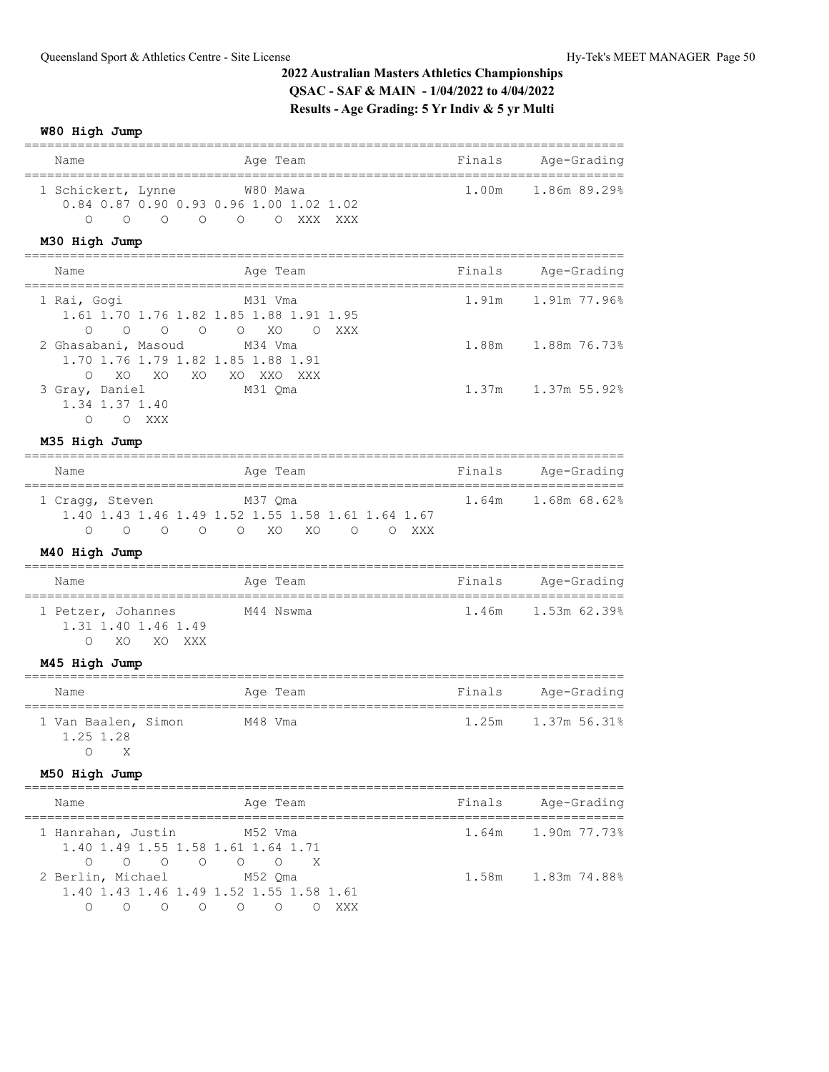**W80 High Jump**

| Name                                                                                                                                                                      | Age Team                                                     |                  | Finals | Age-Grading                                   |
|---------------------------------------------------------------------------------------------------------------------------------------------------------------------------|--------------------------------------------------------------|------------------|--------|-----------------------------------------------|
| 1 Schickert, Lynne<br>0.84 0.87 0.90 0.93 0.96 1.00 1.02 1.02<br>$\Omega$<br>$\overline{O}$<br>$\overline{\phantom{0}}$<br>$\circ$                                        | W80 Mawa<br>O O XXX XXX                                      |                  | 1.00m  | 1.86m 89.29%                                  |
| M30 High Jump                                                                                                                                                             |                                                              |                  |        |                                               |
| Name<br>------------------                                                                                                                                                | Age Team<br>-------------                                    |                  | Finals | Age-Grading<br>______________________________ |
| 1 Rai, Gogi<br>1.61 1.70 1.76 1.82 1.85 1.88 1.91 1.95<br>$\Omega$<br>$\circ$<br>$\circ$<br>0                                                                             | M31 Vma<br>$\circ$<br>XO<br>$\circ$                          | XXX              | 1.91m  | 1.91m 77.96%                                  |
| 2 Ghasabani, Masoud<br>1.70 1.76 1.79 1.82 1.85 1.88 1.91<br>XO<br>XO<br>XO<br>$\circ$                                                                                    | M34 Vma<br>XO XXO XXX                                        |                  | 1.88m  | 1.88m 76.73%                                  |
| 3 Gray, Daniel<br>1.34 1.37 1.40<br>$\Omega$<br>O XXX                                                                                                                     | M31 Qma                                                      |                  | 1.37m  | 1.37m 55.92%                                  |
| M35 High Jump                                                                                                                                                             |                                                              |                  |        |                                               |
| ------------------<br>Name                                                                                                                                                | Age Team                                                     |                  | Finals | Age-Grading                                   |
| 1 Cragg, Steven<br>1.40 1.43 1.46 1.49 1.52 1.55 1.58 1.61 1.64 1.67<br>$\Omega$<br>$\circ$<br>$\circ$<br>$\circ$                                                         | M37 Qma<br>$\circ$<br>XO<br>XO                               | $\circ$<br>O XXX | 1.64m  | 1.68m 68.62%                                  |
| M40 High Jump                                                                                                                                                             |                                                              |                  |        |                                               |
| Name                                                                                                                                                                      | Aqe Team                                                     |                  | Finals | Age-Grading                                   |
| 1 Petzer, Johannes<br>1.31 1.40 1.46 1.49<br>$\Omega$<br>XO<br>XO<br>XXX                                                                                                  | M44 Nswma                                                    |                  | 1.46m  | 1.53m 62.39%                                  |
| M45 High Jump                                                                                                                                                             |                                                              |                  |        |                                               |
| Name                                                                                                                                                                      | Age Team                                                     |                  |        | Finals Age-Grading                            |
| 1 Van Baalen, Simon<br>1.25 1.28<br>O<br>Χ                                                                                                                                | M48 Vma                                                      |                  | 1.25m  | 1.37m 56.31%                                  |
| M50 High Jump                                                                                                                                                             |                                                              |                  |        |                                               |
| Name                                                                                                                                                                      | Age Team                                                     |                  | Finals | Age-Grading                                   |
| 1 Hanrahan, Justin<br>1.40 1.49 1.55 1.58 1.61 1.64 1.71<br>$\Omega$                                                                                                      | M52 Vma<br>$\begin{matrix} 0 & 0 \\ 0 & 0 \end{matrix}$<br>X |                  | 1.64m  | 1.90m 77.73%                                  |
| 2 Berlin, Michael<br>1.40 1.43 1.46 1.49 1.52 1.55 1.58 1.61<br>$\begin{array}{ccccccccccccccccc} \circ & \circ & \circ & \circ & \circ & \circ & \circ \end{array}$<br>0 | M52 Qma                                                      | O XXX            | 1.58m  | 1.83m 74.88%                                  |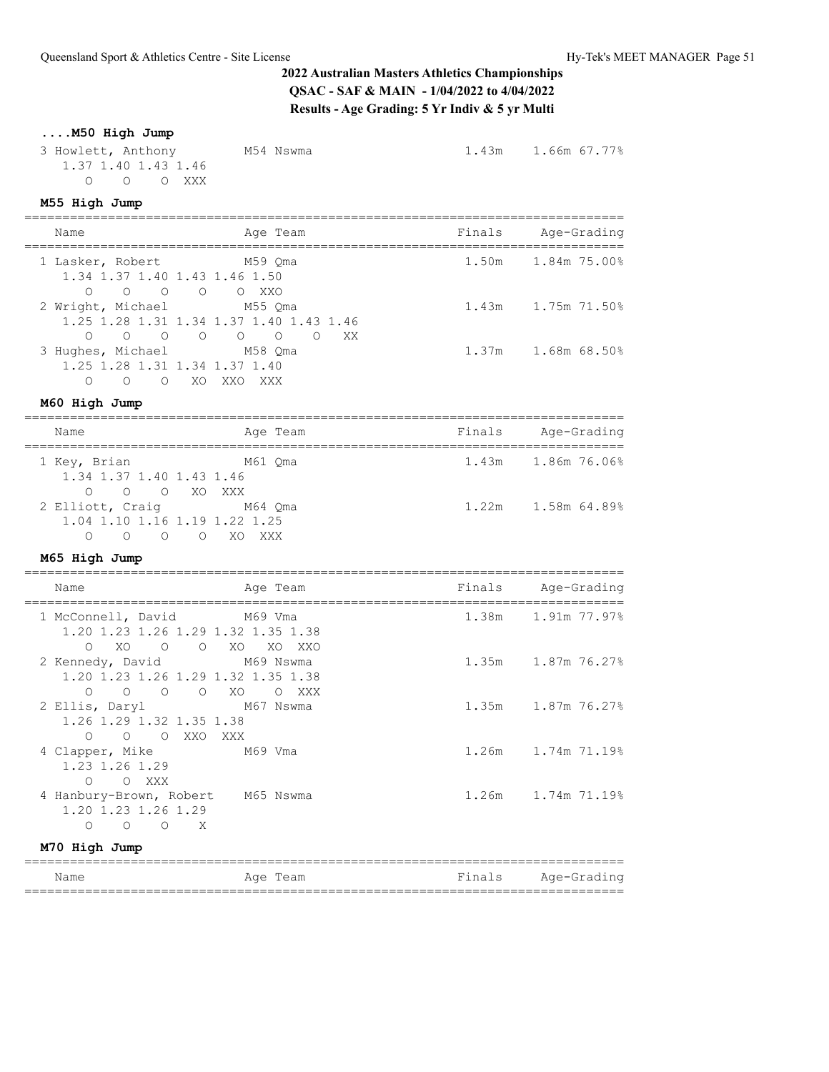# **2022 Australian Masters Athletics Championships QSAC - SAF & MAIN - 1/04/2022 to 4/04/2022 Results - Age Grading: 5 Yr Indiv & 5 yr Multi**

## **....M50 High Jump**

| 3 Howlett, Anthony | 1.37 1.40 1.43 1.46 | M54 Nswma | 1.43m 1.66m 67.77% |
|--------------------|---------------------|-----------|--------------------|
|                    | $O$ $O$ $O$ XXX     |           |                    |
| M55 High Jump      |                     |           |                    |

| Name                                                                                                                  | Age Team<br>----------------                  | Finals | Age-Grading<br>-------------- |
|-----------------------------------------------------------------------------------------------------------------------|-----------------------------------------------|--------|-------------------------------|
| 1 Lasker, Robert<br>1.34 1.37 1.40 1.43 1.46 1.50<br>$0 \t 0 \t 0 \t 0 \t 0 \t 0$                                     | M59 Qma                                       | 1.50m  | 1.84m 75.00%                  |
| 2 Wright, Michael<br>1.25 1.28 1.31 1.34 1.37 1.40 1.43 1.46<br>$\begin{matrix} 0 & 0 & 0 \end{matrix}$<br>$\bigcirc$ | M55 Qma<br>$\circ$ $\circ$<br>$\circ$ 0<br>XX |        | 1.43m 1.75m 71.50%            |
| 3 Hughes, Michael<br>1.25 1.28 1.31 1.34 1.37 1.40<br>$\bigcap$<br>$\Omega$ $\Omega$<br>XO XXO XXX                    | M58 Oma                                       |        | 1.37m 1.68m 68.50%            |
| M60 High Jump                                                                                                         |                                               |        | =======================       |
| Name                                                                                                                  | Age Team                                      | Finals | Age-Grading                   |
| 1 Key, Brian<br>1.34 1.37 1.40 1.43 1.46<br>O O O XO XXX                                                              | M61 Qma                                       | 1.43m  | 1.86m 76.06%                  |
| 2 Elliott, Craig<br>M64 Oma<br>1.04 1.10 1.16 1.19 1.22 1.25<br>O O O O XO XXX                                        |                                               |        | 1.22m 1.58m 64.89%            |
| M65 High Jump                                                                                                         |                                               |        |                               |
| Name                                                                                                                  | Age Team                                      |        | Finals Age-Grading            |
| 1 McConnell, David<br>1.20 1.23 1.26 1.29 1.32 1.35 1.38<br>XO<br>O O XO XO XXO<br>$\Omega$                           | M69 Vma                                       |        | 1.38m 1.91m 77.97%            |
| 2 Kennedy, David<br>1.20 1.23 1.26 1.29 1.32 1.35 1.38<br>$\begin{matrix} 0 & 0 & 0 \end{matrix}$<br>$\circ$          | M69 Nswma<br>XO<br>O XXX                      |        | 1.35m 1.87m 76.27%            |
| 2 Ellis, Daryl<br>1.26 1.29 1.32 1.35 1.38<br>O O XXO XXX<br>$\circ$                                                  | M67 Nswma                                     |        | 1.35m 1.87m 76.27%            |
| 4 Clapper, Mike<br>1.23 1.26 1.29<br>O O XXX                                                                          | M69 Vma                                       | 1.26m  | 1.74m 71.19%                  |
| 4 Hanbury-Brown, Robert M65 Nswma<br>1.20 1.23 1.26 1.29<br>$O$ $O$ $O$ $X$                                           |                                               |        | 1.26m 1.74m 71.19%            |
| M70 High Jump                                                                                                         |                                               |        |                               |

| Name | Team<br>Aae | Fina<br>$\sim$<br>-----<br><b>.</b> | $A\alpha e - C$<br>Grad<br>nα<br>-- |
|------|-------------|-------------------------------------|-------------------------------------|
|      |             |                                     |                                     |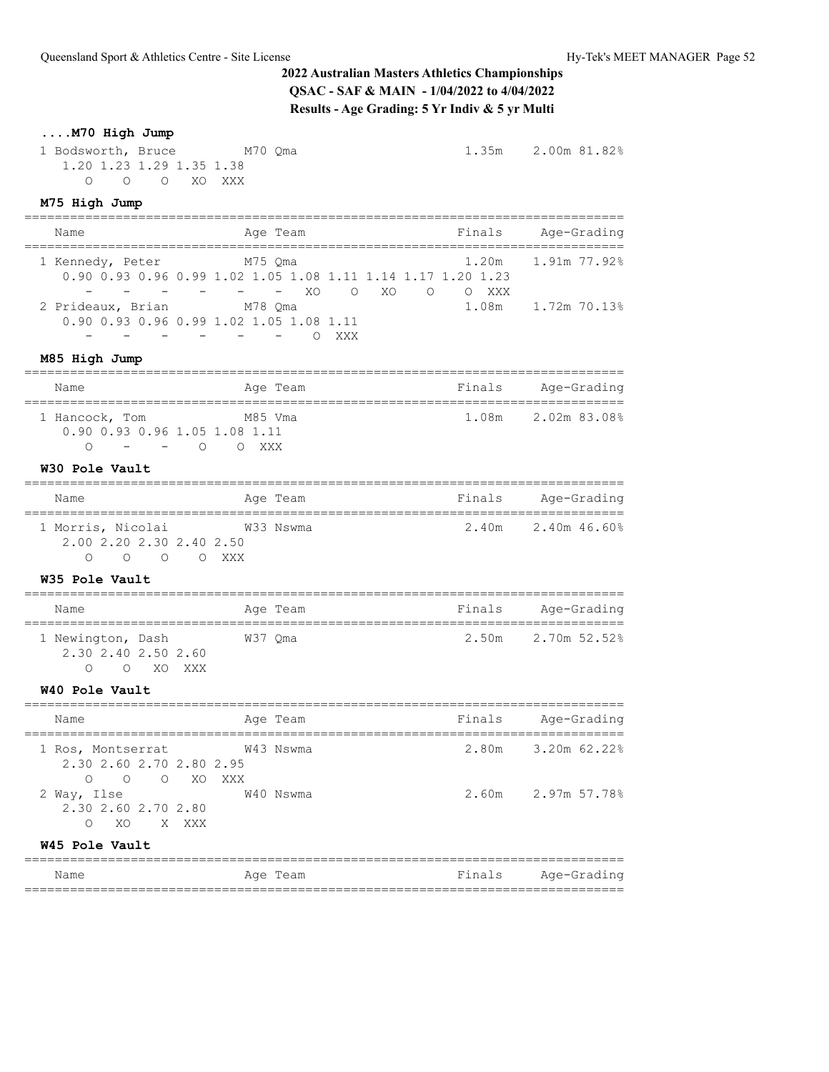1.35m 2.00m 81.82%

## **....M70 High Jump**

| 1 Bodsworth, Bruce |                          |  | M70 Oma |
|--------------------|--------------------------|--|---------|
|                    | 1.20 1.23 1.29 1.35 1.38 |  |         |
|                    | OOOOXOXXX                |  |         |

### **M75 High Jump**

| Name<br>;===================================                      | Age Team<br>___________________________                                                                   |       | Finals Age-Grading<br>;============== |
|-------------------------------------------------------------------|-----------------------------------------------------------------------------------------------------------|-------|---------------------------------------|
| 1 Kennedy, Peter<br>$\sim$<br>$\sim 100$ km s $^{-1}$             | M75 Qma<br>0.90 0.93 0.96 0.99 1.02 1.05 1.08 1.11 1.14 1.17 1.20 1.23<br>- - XO O XO O O XXX             | 1.20m | 1.91m 77.92%                          |
| 2 Prideaux, Brian                                                 | M78 Qma<br>0.90 0.93 0.96 0.99 1.02 1.05 1.08 1.11<br>and the state of the state of the state of<br>O XXX | 1.08m | 1.72m 70.13%                          |
| M85 High Jump                                                     | ___________________________________                                                                       |       |                                       |
| Name                                                              | Age Team                                                                                                  |       | Finals Age-Grading                    |
| 1 Hancock, Tom<br>0.90 0.93 0.96 1.05 1.08 1.11                   | M85 Vma<br>- - 0 0 XXX                                                                                    |       | 1.08m 2.02m 83.08%                    |
| W30 Pole Vault                                                    |                                                                                                           |       |                                       |
| Name<br>-----------------------------------                       | Age Team                                                                                                  |       | Finals Age-Grading                    |
| 2.00 2.20 2.30 2.40 2.50<br>0 0 0 0 XXX                           | 1 Morris, Nicolai W33 Nswma                                                                               |       | $2.40m$ $2.40m$ $46.60\%$             |
| W35 Pole Vault                                                    |                                                                                                           |       |                                       |
| Name                                                              | Age Team                                                                                                  |       | Finals Age-Grading                    |
| 1 Newington, Dash 67 W37 Qma<br>2.30 2.40 2.50 2.60<br>O O XO XXX |                                                                                                           |       | 2.50m 2.70m 52.52%                    |
| W40 Pole Vault                                                    |                                                                                                           |       |                                       |
| Name                                                              | Age Team                                                                                                  |       | Finals Age-Grading                    |
| 1 Ros, Montserrat<br>2.30 2.60 2.70 2.80 2.95<br>O O O XO XXX     | W43 Nswma                                                                                                 |       | 2.80m 3.20m 62.22%                    |
| 2 Way, Ilse<br>2.30 2.60 2.70 2.80<br>O XO X XXX                  | W40 Nswma                                                                                                 |       | 2.60m 2.97m 57.78%                    |
| W45 Pole Vault<br>-------------------------------                 |                                                                                                           |       |                                       |

Name Age Team Finals Age-Grading ===============================================================================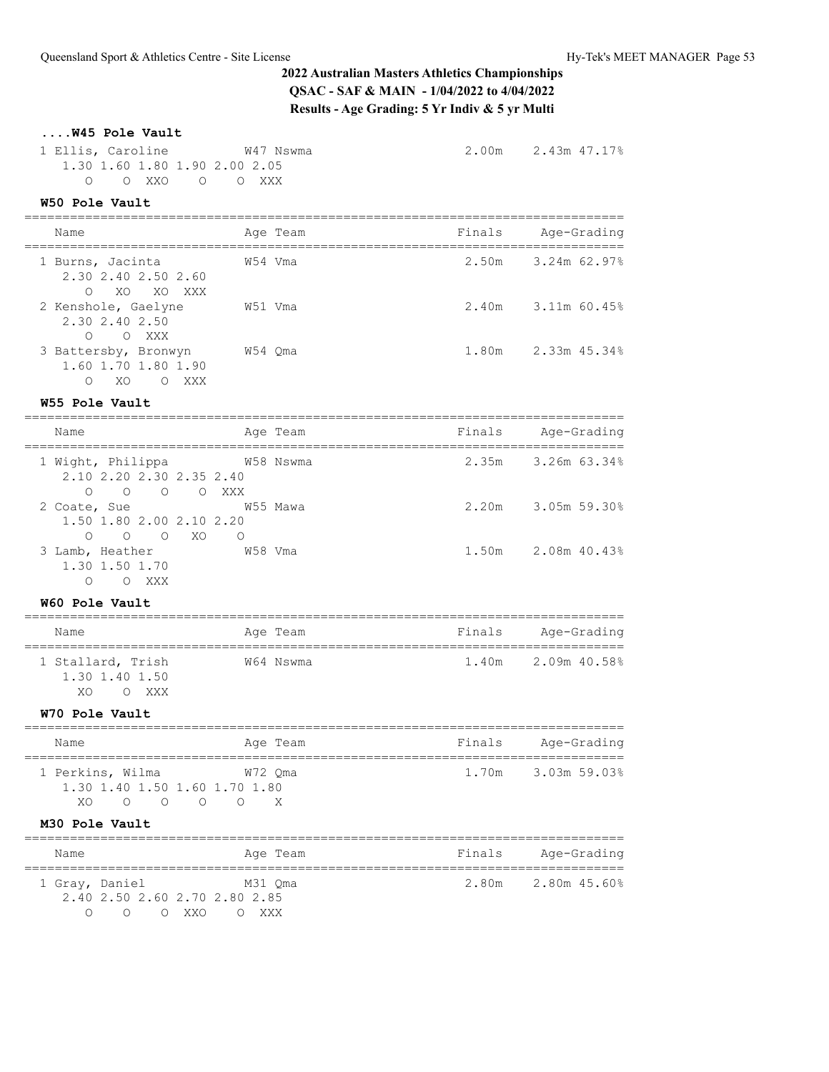# **....W45 Pole Vault**

| 1 Ellis, Caroline W47 Nswma<br>1.30 1.60 1.80 1.90 2.00 2.05<br>0 0 XXO 0 0 XXX                                                                          |                            |                          | 2.00m 2.43m 47.17% |
|----------------------------------------------------------------------------------------------------------------------------------------------------------|----------------------------|--------------------------|--------------------|
| W50 Pole Vault                                                                                                                                           |                            |                          |                    |
| Name<br>_____________________________________                                                                                                            | Age Team                   | Finals                   | Age-Grading        |
| 1 Burns, Jacinta<br>2.30 2.40 2.50 2.60<br>$\Omega$<br>xo xo xxx                                                                                         | W54 Vma                    |                          | 2.50m 3.24m 62.97% |
| 2 Kenshole, Gaelyne W51 Vma<br>2.30 2.40 2.50<br>$O$ $O$ XXX                                                                                             |                            |                          | 2.40m 3.11m 60.45% |
| 3 Battersby, Bronwyn W54 Qma<br>1.60 1.70 1.80 1.90<br>XO OXXX<br>$\circ$                                                                                |                            |                          | 1.80m 2.33m 45.34% |
| W55 Pole Vault                                                                                                                                           |                            |                          |                    |
| Name                                                                                                                                                     | Age Team                   | Finals                   | Age-Grading        |
| 1 Wight, Philippa 69 W58 Nswma<br>2.10 2.20 2.30 2.35 2.40<br>$\circ$<br>O O O XXX                                                                       |                            |                          | 2.35m 3.26m 63.34% |
| 2 Coate, Sue<br>1.50 1.80 2.00 2.10 2.20<br>$O$ $O$ $XO$<br>$\circ$                                                                                      | W55 Mawa<br>$\overline{O}$ |                          | 2.20m 3.05m 59.30% |
| 3 Lamb, Heather<br>1.30 1.50 1.70<br>O XXX<br>$\Omega$                                                                                                   | W58 Vma                    |                          | 1.50m 2.08m 40.43% |
| W60 Pole Vault                                                                                                                                           |                            |                          |                    |
| Name                                                                                                                                                     | Age Team                   |                          | Finals Age-Grading |
| 1 Stallard, Trish<br>1.30 1.40 1.50<br>XO OXXX                                                                                                           | W64 Nswma                  | $1.40m$ $2.09m$ $40.588$ |                    |
| W70 Pole Vault                                                                                                                                           |                            |                          |                    |
| Name                                                                                                                                                     | Age Team                   | Finals                   | Age-Grading        |
| 1 Perkins, Wilma<br>1.30 1.40 1.50 1.60 1.70 1.80<br>$\begin{array}{ccccccccccccccccc} \circ & \circ & \circ & \circ & \circ & \circ \end{array}$<br>XO. | W72 Qma<br>X               |                          | 1.70m 3.03m 59.03% |
| M30 Pole Vault<br>==================                                                                                                                     |                            |                          |                    |
| Name                                                                                                                                                     | Age Team                   | Finals                   | Age-Grading        |
|                                                                                                                                                          |                            |                          |                    |

1 Gray, Daniel M31 Qma 2.80m 2.80m 45.60%

 2.40 2.50 2.60 2.70 2.80 2.85 O O O XXO O XXX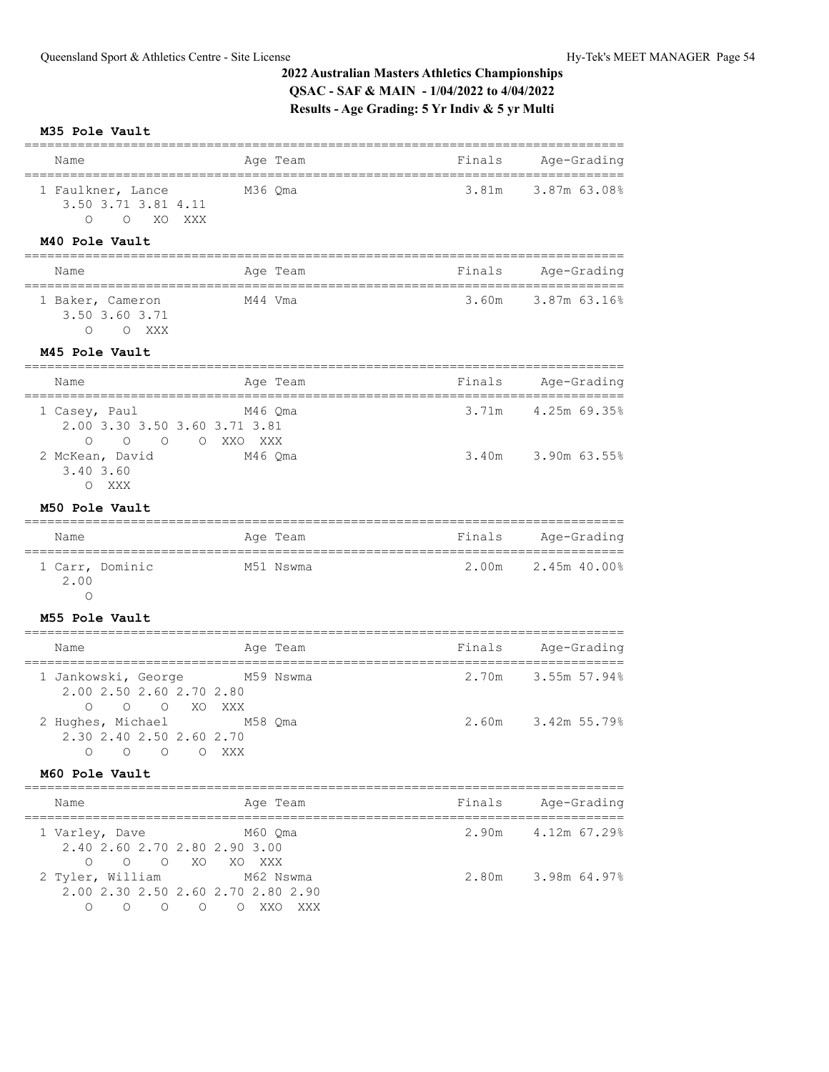### **M35 Pole Vault**

| Name                                                                                                   | Age Team                    | Finals                             | Age-Grading        |
|--------------------------------------------------------------------------------------------------------|-----------------------------|------------------------------------|--------------------|
| 1 Faulkner, Lance<br>3.50 3.71 3.81 4.11<br>O XO XXX<br>$\Omega$                                       | M36 Qma                     | 3.81m                              | 3.87m 63.08%       |
| M40 Pole Vault                                                                                         |                             |                                    |                    |
| Name                                                                                                   | Age Team                    | Finals                             | Age-Grading        |
| 1 Baker, Cameron<br>3.50 3.60 3.71<br>$\circ$<br>O XXX                                                 | ---------------<br>M44 Vma  | __________________________________ | 3.60m 3.87m 63.16% |
| M45 Pole Vault                                                                                         |                             |                                    |                    |
| ---------------<br>Name                                                                                | Age Team                    | Finals                             | Age-Grading        |
| 1 Casey, Paul<br>2.00 3.30 3.50 3.60 3.71 3.81<br>$\Omega$<br>$\circ$                                  | M46 Qma<br>O O XXO XXX      | 3.71m                              | 4.25m 69.35%       |
| 2 McKean, David<br>3.40 3.60<br>O XXX                                                                  | M46 Qma                     | 3.40m                              | 3.90m 63.55%       |
| M50 Pole Vault                                                                                         |                             |                                    |                    |
| Name<br>,,,,,,,,,,,,,,,,,,,,,,,,,,,,,,,,,,,                                                            | Age Team                    | Finals<br>------------------       | Aqe-Grading        |
| 1 Carr, Dominic<br>2.00<br>$\circ$                                                                     | M51 Nswma                   |                                    | 2.00m 2.45m 40.00% |
| M55 Pole Vault                                                                                         |                             |                                    |                    |
| Name                                                                                                   | Age Team                    | Finals                             | Age-Grading        |
| 1 Jankowski, George<br>2.00 2.50 2.60 2.70 2.80<br>0 0 0 XO XXX                                        | M59 Nswma                   | 2.70m                              | 3.55m 57.94%       |
| 2 Hughes, Michael M58 Qma<br>2.30 2.40 2.50 2.60 2.70<br>0<br>$\circ$<br>$\circ$                       | $\circlearrowright$<br>XXX  | 2.60m                              | 3.42m 55.79%       |
| M60 Pole Vault                                                                                         |                             |                                    |                    |
| ==================<br>Name                                                                             | Age Team                    | Finals                             | Age-Grading        |
| 1 Varley, Dave<br>2.40 2.60 2.70 2.80 2.90 3.00<br>$\circ$<br>$\Omega$<br>$\overline{O}$<br>XO.        | M60 Qma<br>XO XXX           | 2.90m                              | 4.12m 67.29%       |
| 2 Tyler, William<br>2.00 2.30 2.50 2.60 2.70 2.80 2.90<br>$\overline{O}$<br>$\overline{O}$<br>$\Omega$ | M62 Nswma<br>O O XXO<br>XXX | 2.80m                              | 3.98m 64.97%       |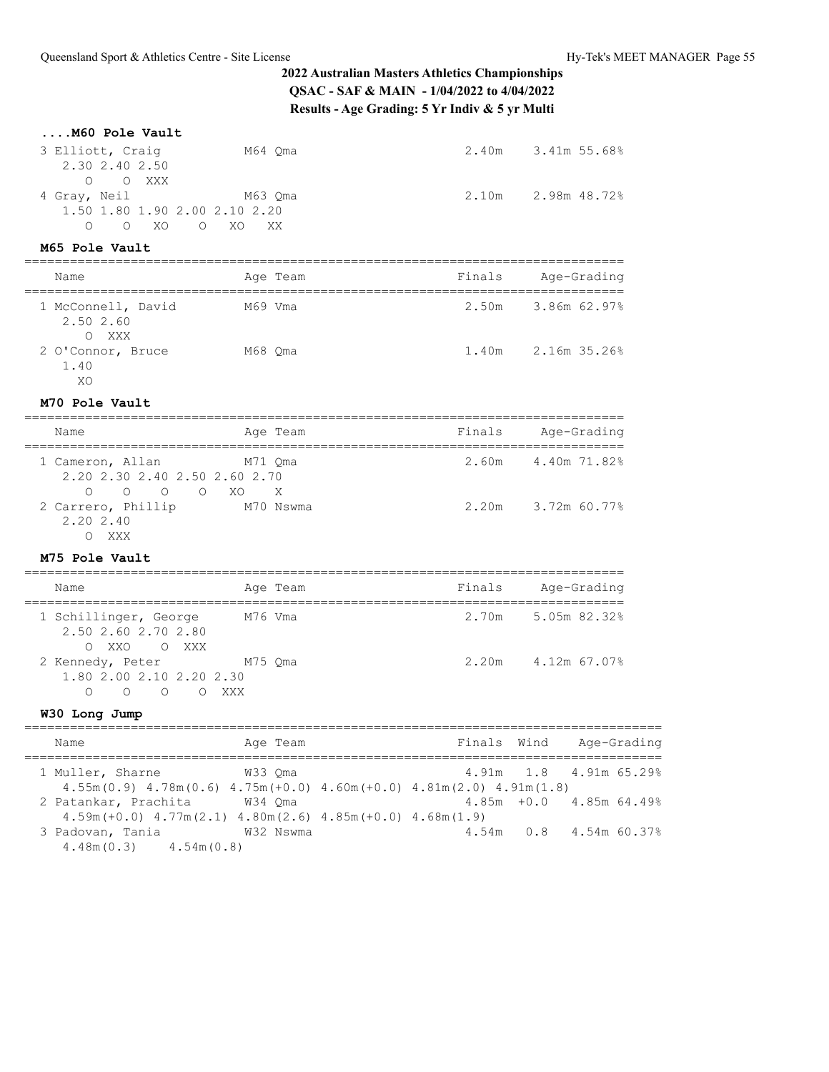| M60 Pole Vault                                                                                  |                                       |                                                                                          |                     |
|-------------------------------------------------------------------------------------------------|---------------------------------------|------------------------------------------------------------------------------------------|---------------------|
| 3 Elliott, Craiq<br>2.30 2.40 2.50<br>$\circ$<br>O XXX                                          | M64 Qma                               |                                                                                          | 2.40m 3.41m 55.68%  |
| 4 Gray, Neil<br>1.50 1.80 1.90 2.00 2.10 2.20<br>O XO O XO XX<br>$\bigcirc$                     | M63 Oma                               |                                                                                          | 2.10m 2.98m 48.72%  |
| M65 Pole Vault                                                                                  |                                       | ____________________________________                                                     |                     |
| Name                                                                                            | Age Team                              |                                                                                          | Finals Age-Grading  |
| 1 McConnell, David M69 Vma<br>2.50 2.60<br>O XXX                                                |                                       |                                                                                          | 2.50m 3.86m 62.97%  |
| 2 O'Connor, Bruce M68 Qma<br>1.40<br>XO                                                         |                                       |                                                                                          | 1.40m 2.16m 35.26%  |
| M70 Pole Vault                                                                                  |                                       |                                                                                          |                     |
| Name                                                                                            | =========================<br>Age Team |                                                                                          | Finals Age-Grading  |
| 1 Cameron, Allan<br>2.20 2.30 2.40 2.50 2.60 2.70<br>0 0 0 XO X<br>$\circ$                      | M71 Qma                               |                                                                                          | 2.60m 4.40m 71.82%  |
| 2 Carrero, Phillip M70 Nswma<br>2.20 2.40<br>O XXX                                              |                                       |                                                                                          | 2.20m 3.72m 60.77%  |
| M75 Pole Vault                                                                                  |                                       |                                                                                          |                     |
| Name                                                                                            | Age Team                              |                                                                                          | Finals Age-Grading  |
| 1 Schillinger, George M76 Vma<br>2.50 2.60 2.70 2.80<br>O XXO O XXX                             |                                       |                                                                                          | 2.70m 5.05m 82.32%  |
| 2 Kennedy, Peter M75 Qma<br>1.80 2.00 2.10 2.20 2.30<br>O O O XXX<br>$\circ$                    |                                       |                                                                                          | 2.20m 4.12m 67.07%  |
| W30 Long Jump                                                                                   |                                       |                                                                                          |                     |
| Name<br>--------------------------<br>=====                                                     | Age Team                              | Finals<br>======================                                                         | Wind<br>Age-Grading |
| 1 Muller, Sharne                                                                                | W33 Qma                               | 4.91m<br>$4.55m(0.9)$ $4.78m(0.6)$ $4.75m(+0.0)$ $4.60m(+0.0)$ $4.81m(2.0)$ $4.91m(1.8)$ | 1.8<br>4.91m 65.29% |
| 2 Patankar, Prachita<br>$4.59m (+0.0)$ $4.77m (2.1)$ $4.80m (2.6)$ $4.85m (+0.0)$ $4.68m (1.9)$ | W34 Qma                               | $4.85m + 0.0$                                                                            | 4.85m 64.49%        |
| 3 Padovan, Tania                                                                                | W32 Nswma                             | 4.54m                                                                                    | 4.54m 60.37%<br>0.8 |

4.48m(0.3) 4.54m(0.8)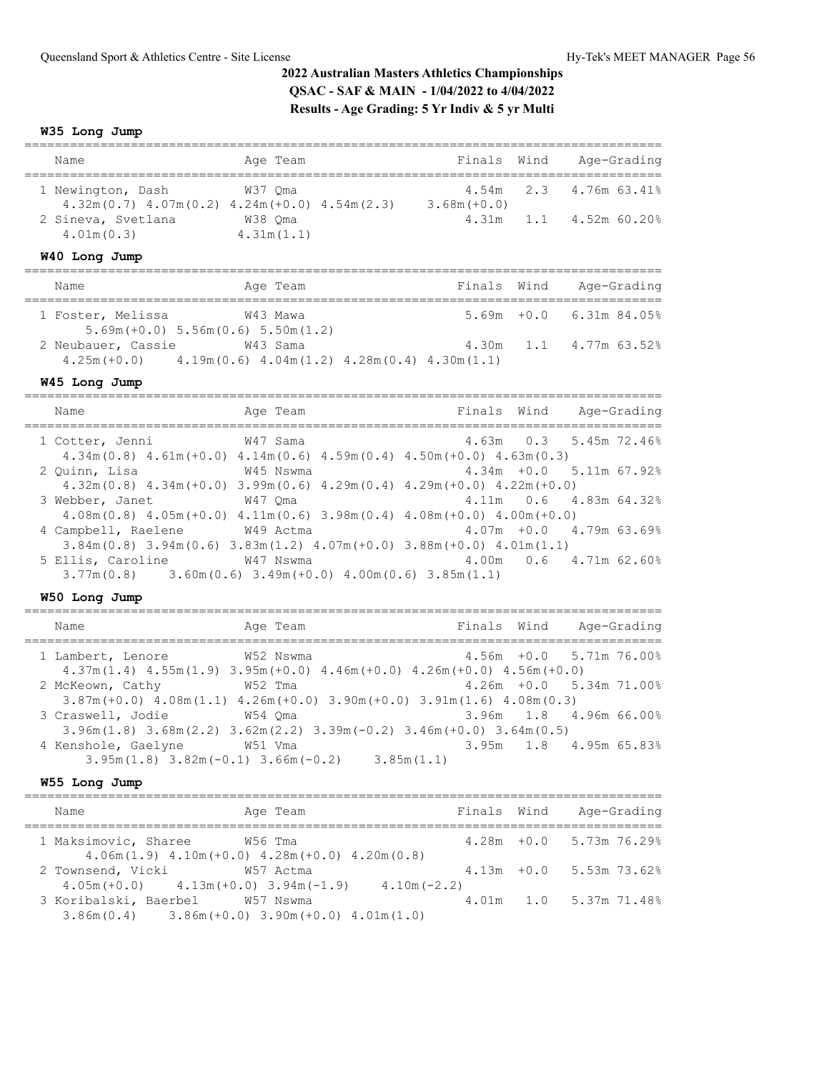**W35 Long Jump**

| Name                                                                      | Age Team              | Finals Wind    | Age-Grading                  |
|---------------------------------------------------------------------------|-----------------------|----------------|------------------------------|
|                                                                           |                       |                |                              |
| 1 Newington, Dash<br>$4.32m(0.7)$ $4.07m(0.2)$ $4.24m(+0.0)$ $4.54m(2.3)$ | W37 Oma               | $3.68m (+0.0)$ | 4.54m 2.3 4.76m 63.41%       |
| 2 Sineva, Svetlana<br>4.01m(0.3)                                          | W38 Oma<br>4.31m(1.1) |                | $4.31m$ $1.1$ $4.52m$ 60.20% |
| W40 Long Jump                                                             |                       |                |                              |

| Name                                                                                         |                                        | Age Team | Finals Wind | Age-Grading                |
|----------------------------------------------------------------------------------------------|----------------------------------------|----------|-------------|----------------------------|
| 1 Foster, Melissa                                                                            | $5.69m (+0.0) 5.56m (0.6) 5.50m (1.2)$ | W43 Mawa |             | $5.69m + 0.0$ 6.31m 84.05% |
| 2 Neubauer, Cassie<br>$4.25m (+0.0)$ $4.19m (0.6)$ $4.04m (1.2)$ $4.28m (0.4)$ $4.30m (1.1)$ |                                        | W43 Sama |             | 4.30m 1.1 4.77m 63.52%     |

#### **W45 Long Jump**

==================================================================================== Name **Age Team** Age Team Finals Wind Age-Grading ==================================================================================== 1 Cotter, Jenni W47 Sama 4.34m(0.8) 4.61m(+0.0) 4.14m(0.6) 4.59m(0.4) 4.50m(+0.0) 4.63m(0.3) 2 Quinn, Lisa W45 Nswma 4.34m +0.0 5.11m 67.92% 4.32m(0.8) 4.34m(+0.0) 3.99m(0.6) 4.29m(0.4) 4.29m(+0.0) 4.22m(+0.0) 3 Webber, Janet W47 Qma 4.11m 0.6 4.83m 64.32% 4.08m(0.8) 4.05m(+0.0) 4.11m(0.6) 3.98m(0.4) 4.08m(+0.0) 4.00m(+0.0) 4 Campbell, Raelene W49 Actma 4.07m +0.0 4.79m 63.69%  $3.84$ m(0.8)  $3.94$ m(0.6)  $3.83$ m(1.2)  $4.07$ m(+0.0)  $3.88$ m(+0.0)  $4.01$ m(1.1)<br>ilis, Caroline W47 Nswma  $4.00$ m 0.6  $4.71$ m 62.60% 5 Ellis, Caroline W47 Nswma 3.77m(0.8) 3.60m(0.6) 3.49m(+0.0) 4.00m(0.6) 3.85m(1.1)

### **W50 Long Jump**

| Name                                                                                                                         | Age Team  |            | Finals Wind | Age-Grading                |  |
|------------------------------------------------------------------------------------------------------------------------------|-----------|------------|-------------|----------------------------|--|
| 1 Lambert, Lenore<br>$4.37m(1.4)$ $4.55m(1.9)$ $3.95m(+0.0)$ $4.46m(+0.0)$ $4.26m(+0.0)$ $4.56m(+0.0)$                       | W52 Nswma |            |             | $4.56m + 0.0$ 5.71m 76.00% |  |
| 2 McKeown, Cathy<br>$3.87m (+0.0)$ $4.08m (1.1)$ $4.26m (+0.0)$ $3.90m (+0.0)$ $3.91m (1.6)$ $4.08m (0.3)$                   | W52 Tma   |            |             | $4.26m + 0.0$ 5.34m 71.00% |  |
| 3 Craswell, Jodie<br>$3.96$ m $(1.8)$ $3.68$ m $(2.2)$ $3.62$ m $(2.2)$ $3.39$ m $(-0.2)$ $3.46$ m $(+0.0)$ $3.64$ m $(0.5)$ | W54 Oma   |            |             | 3.96m 1.8 4.96m 66.00%     |  |
| 4 Kenshole, Gaelyne<br>$3.95m(1.8)$ $3.82m(-0.1)$ $3.66m(-0.2)$                                                              | W51 Vma   | 3.85m(1.1) |             | 3.95m 1.8 4.95m 65.83%     |  |

#### **W55 Long Jump**

| Name              |                                 | Age Team                                                              | Finals Wind   | Age-Grading                |
|-------------------|---------------------------------|-----------------------------------------------------------------------|---------------|----------------------------|
|                   | 1 Maksimovic, Sharee            | W56 Tma<br>$4.06m(1.9)$ $4.10m(+0.0)$ $4.28m(+0.0)$ $4.20m(0.8)$      |               | $4.28m + 0.0$ 5.73m 76.29% |
| 2 Townsend, Vicki |                                 | W57 Actma<br>$4.05m (+0.0)$ $4.13m (+0.0)$ $3.94m (-1.9)$             | $4.10m(-2.2)$ | $4.13m + 0.0$ 5.53m 73.62% |
|                   | 3 Koribalski, Baerbel W57 Nswma | $3.86$ m $(0.4)$ $3.86$ m $(+0.0)$ $3.90$ m $(+0.0)$ $4.01$ m $(1.0)$ |               | 4.01m 1.0 5.37m 71.48%     |
|                   |                                 |                                                                       |               |                            |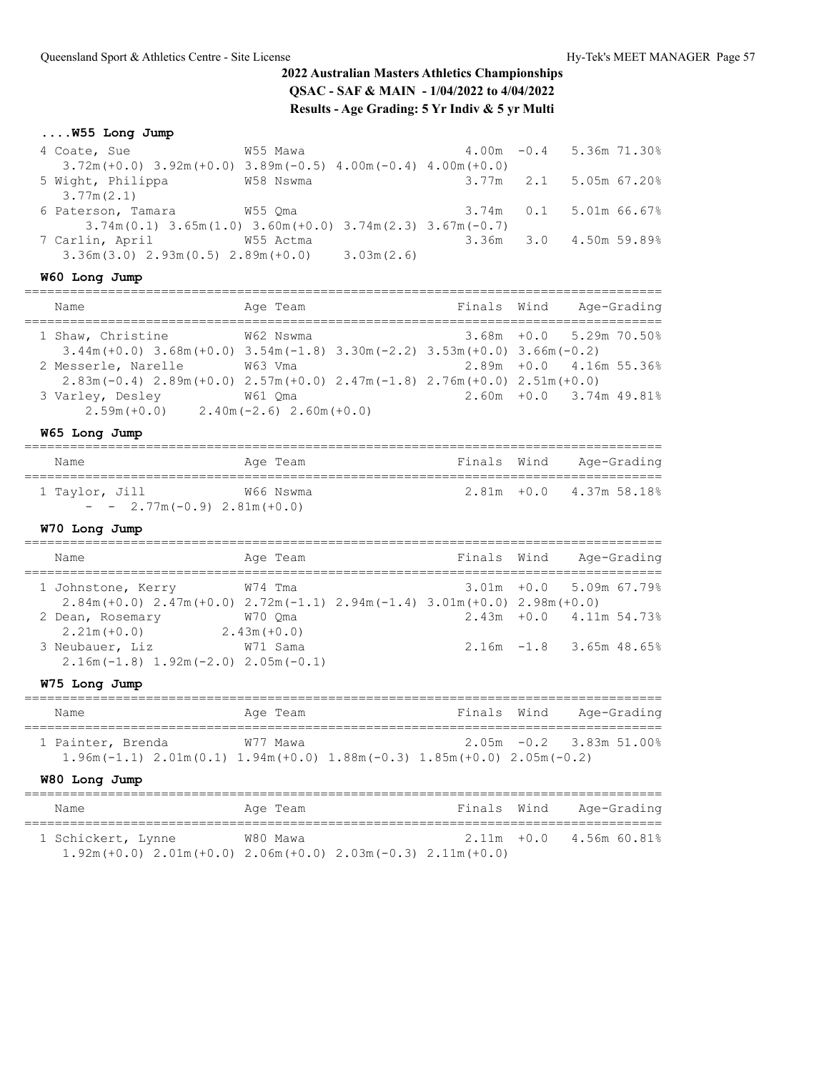## **....W55 Long Jump**

| 4 Coate, Sue                                                               | W55 Mawa  |  | $4.00m - 0.4$ 5.36m 71.30% |
|----------------------------------------------------------------------------|-----------|--|----------------------------|
| $3.72m (+0.0)$ $3.92m (+0.0)$ $3.89m (-0.5)$ $4.00m (-0.4)$ $4.00m (+0.0)$ |           |  |                            |
| 5 Wight, Philippa                                                          | W58 Nswma |  | 3.77m 2.1 5.05m 67.20%     |
| 3.77m(2.1)                                                                 |           |  |                            |
| 6 Paterson, Tamara                                                         | W55 Oma   |  | 3.74m  0.1  5.01m  66.67%  |
| $3.74m(0.1)$ $3.65m(1.0)$ $3.60m(+0.0)$ $3.74m(2.3)$ $3.67m(-0.7)$         |           |  |                            |
| 7 Carlin, April                                                            | W55 Actma |  | 3.36m 3.0 4.50m 59.89%     |
| $3.36m(3.0)$ $2.93m(0.5)$ $2.89m(+0.0)$ $3.03m(2.6)$                       |           |  |                            |

## **W60 Long Jump**

| Name                                                             | Age Team                                                                                                     | Finals Wind | Age-Grading                |
|------------------------------------------------------------------|--------------------------------------------------------------------------------------------------------------|-------------|----------------------------|
| 1 Shaw, Christine                                                | W62 Nswma<br>$3.44$ m (+0.0) $3.68$ m (+0.0) $3.54$ m (-1.8) $3.30$ m (-2.2) $3.53$ m (+0.0) $3.66$ m (-0.2) |             | $3.68m + 0.0$ 5.29m 70.50% |
| 2 Messerle, Narelle                                              | W63 Vma<br>$2.83m(-0.4)$ $2.89m(+0.0)$ $2.57m(+0.0)$ $2.47m(-1.8)$ $2.76m(+0.0)$ $2.51m(+0.0)$               |             | $2.89m + 0.0$ 4.16m 55.36% |
| 3 Varley, Desley<br>$2.59m (+0.0)$ $2.40m (-2.6)$ $2.60m (+0.0)$ | W61 Oma                                                                                                      |             | $2.60m + 0.0$ 3.74m 49.81% |
|                                                                  |                                                                                                              |             |                            |

### **W65 Long Jump**

| Name                           | Age Team  |  | Finals Wind Age-Grading    |
|--------------------------------|-----------|--|----------------------------|
| 1 Taylor, Jill                 | W66 Nswma |  | $2.81m + 0.0$ 4.37m 58.18% |
| $ -$ 2.77m (-0.9) 2.81m (+0.0) |           |  |                            |

## **W70 Long Jump**

| Name                                                           | Age Team                                                                                                   | Finals Wind | Age-Grading                    |
|----------------------------------------------------------------|------------------------------------------------------------------------------------------------------------|-------------|--------------------------------|
| 1 Johnstone, Kerry                                             | W74 Tma<br>$2.84$ m (+0.0) $2.47$ m (+0.0) $2.72$ m (-1.1) $2.94$ m (-1.4) $3.01$ m (+0.0) $2.98$ m (+0.0) |             | $3.01m + 0.0$ 5.09m 67.79%     |
| 2 Dean, Rosemary<br>$2.21m (+0.0)$                             | W70 Oma<br>$2.43m(+0.0)$                                                                                   |             | $2.43m + 0.0$ $4.11m + 54.738$ |
| 3 Neubauer, Liz<br>$2.16m(-1.8)$ 1.92m $(-2.0)$ 2.05m $(-0.1)$ | W71 Sama                                                                                                   |             | $2.16m - 1.8$ 3.65m 48.65%     |

## **W75 Long Jump**

| Name                                                                               | Age Team | Finals Wind | Age-Grading                |
|------------------------------------------------------------------------------------|----------|-------------|----------------------------|
| 1 Painter, Brenda                                                                  | W77 Mawa |             | $2.05m - 0.2$ 3.83m 51.00% |
| $1.96m(-1.1)$ $2.01m(0.1)$ $1.94m(+0.0)$ $1.88m(-0.3)$ $1.85m(+0.0)$ $2.05m(-0.2)$ |          |             |                            |

### **W80 Long Jump**

| Name               | Age Team | Finals Wind                                                                | Age-Grading                |
|--------------------|----------|----------------------------------------------------------------------------|----------------------------|
| 1 Schickert, Lynne | W80 Mawa |                                                                            | $2.11m + 0.0$ 4.56m 60.81% |
|                    |          | $1.92m (+0.0)$ $2.01m (+0.0)$ $2.06m (+0.0)$ $2.03m (-0.3)$ $2.11m (+0.0)$ |                            |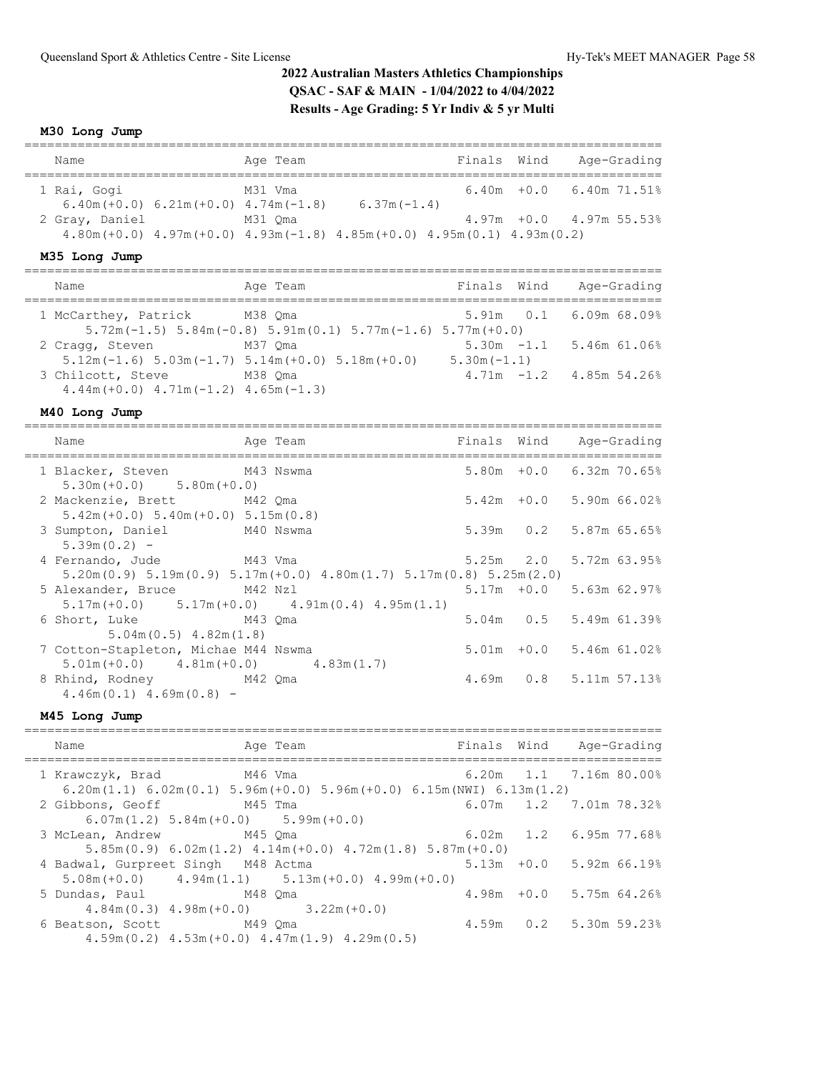**M30 Long Jump**

| Name           | Age Team                                            |                                                                                         | Finals Wind |                                 | Age-Grading |
|----------------|-----------------------------------------------------|-----------------------------------------------------------------------------------------|-------------|---------------------------------|-------------|
| 1 Rai, Gogi    | M31 Vma<br>$6.40m (+0.0) 6.21m (+0.0) 4.74m (-1.8)$ | $6.37m(-1.4)$                                                                           |             | $6.40m + 0.0$ $6.40m$ $71.51\%$ |             |
| 2 Gray, Daniel | M31 Oma                                             |                                                                                         |             | $4.97m + 0.0$ $4.97m$ 55.53%    |             |
|                |                                                     | $4.80m (+0.0)$ $4.97m (+0.0)$ $4.93m (-1.8)$ $4.85m (+0.0)$ $4.95m (0.1)$ $4.93m (0.2)$ |             |                                 |             |

### **M35 Long Jump**

| Name                                                              | Age Team                                                                                      | Finals Wind   | Age-Grading                  |
|-------------------------------------------------------------------|-----------------------------------------------------------------------------------------------|---------------|------------------------------|
| 1 McCarthey, Patrick M38 Qma                                      | $5.72$ m( $-1.5$ ) $5.84$ m( $-0.8$ ) $5.91$ m( $0.1$ ) $5.77$ m( $-1.6$ ) $5.77$ m( $+0.0$ ) |               | $5.91m$ 0.1 6.09m 68.09%     |
| 2 Cragg, Steven                                                   | M37 Oma<br>$5.12$ m (-1.6) $5.03$ m (-1.7) $5.14$ m (+0.0) $5.18$ m (+0.0)                    | $5.30m(-1.1)$ | $5.30m -1.1$ 5.46m 61.06%    |
| 3 Chilcott, Steve<br>$4.44m (+0.0)$ $4.71m (-1.2)$ $4.65m (-1.3)$ | M38 Oma                                                                                       |               | $4.71m - 1.2$ $4.85m 54.26%$ |

## **M40 Long Jump**

| Name                                                                                | Age Team                                                                                               |  | Finals Wind Age-Grading         |
|-------------------------------------------------------------------------------------|--------------------------------------------------------------------------------------------------------|--|---------------------------------|
| 1 Blacker, Steven M43 Nswma<br>$5.30m (+0.0)$ $5.80m (+0.0)$                        |                                                                                                        |  | 5.80m +0.0 6.32m 70.65%         |
| 2 Mackenzie, Brett M42 Qma<br>$5.42m (+0.0) 5.40m (+0.0) 5.15m (0.8)$               |                                                                                                        |  | $5.42m + 0.0$ 5.90m 66.02%      |
| 3 Sumpton, Daniel M40 Nswma<br>$5.39m(0.2) -$                                       |                                                                                                        |  | 5.39m 0.2 5.87m 65.65%          |
| 4 Fernando, Jude M43 Vma                                                            | $5.20$ m $(0.9)$ $5.19$ m $(0.9)$ $5.17$ m $(+0.0)$ $4.80$ m $(1.7)$ $5.17$ m $(0.8)$ $5.25$ m $(2.0)$ |  | $5.25m$ $2.0$ $5.72m$ $63.95\%$ |
|                                                                                     | 5 Alexander, Bruce M42 Nzl<br>$5.17m (+0.0)$ $5.17m (+0.0)$ $4.91m (0.4)$ $4.95m (1.1)$                |  | $5.17m + 0.0$ 5.63m 62.97%      |
| 6 Short, Luke M43 Qma<br>$5.04$ m $(0.5)$ 4.82m $(1.8)$                             |                                                                                                        |  | 5.04m 0.5 5.49m 61.39%          |
| 7 Cotton-Stapleton, Michae M44 Nswma<br>$5.01m (+0.0)$ $4.81m (+0.0)$ $4.83m (1.7)$ |                                                                                                        |  | $5.01m + 0.0$ 5.46m 61.02%      |
| 8 Rhind, Rodney M42 Oma<br>$4.46m(0.1)$ $4.69m(0.8)$ -                              |                                                                                                        |  | 4.69m 0.8 5.11m 57.13%          |

## **M45 Long Jump**

| Name                                                                                                                                | Age Team                                                             |  | Finals Wind Age-Grading      |  |
|-------------------------------------------------------------------------------------------------------------------------------------|----------------------------------------------------------------------|--|------------------------------|--|
| 1 Krawczyk, Brad M46 Vma<br>$6.20$ m $(1.1)$ $6.02$ m $(0.1)$ $5.96$ m $(+0.0)$ $5.96$ m $(+0.0)$ $6.15$ m $(NWI)$ $6.13$ m $(1.2)$ |                                                                      |  | $6.20m$ $1.1$ $7.16m$ 80.00% |  |
| 2 Gibbons, Geoff M45 Tma<br>$6.07m(1.2)$ 5.84m $(+0.0)$ 5.99m $(+0.0)$                                                              |                                                                      |  | 6.07m 1.2 7.01m 78.32%       |  |
| 3 McLean, Andrew M45 Oma                                                                                                            | $5.85m(0.9)$ 6.02m(1.2) 4.14m(+0.0) 4.72m(1.8) 5.87m(+0.0)           |  | $6.02m$ 1.2 $6.95m$ 77.68%   |  |
| 4 Badwal, Gurpreet Singh M48 Actma<br>$5.08m (+0.0)$ $4.94m (1.1)$ $5.13m (+0.0)$ $4.99m (+0.0)$                                    |                                                                      |  | $5.13m + 0.0$ 5.92m 66.19%   |  |
| 5 Dundas, Paul M48 Qma                                                                                                              | $4.84m(0.3)$ $4.98m(+0.0)$ $3.22m(+0.0)$                             |  | $4.98m + 0.0$ 5.75m 64.26%   |  |
| 6 Beatson, Scott M49 Qma                                                                                                            | $4.59$ m $(0.2)$ $4.53$ m $(+0.0)$ $4.47$ m $(1.9)$ $4.29$ m $(0.5)$ |  | 4.59m 0.2 5.30m 59.23%       |  |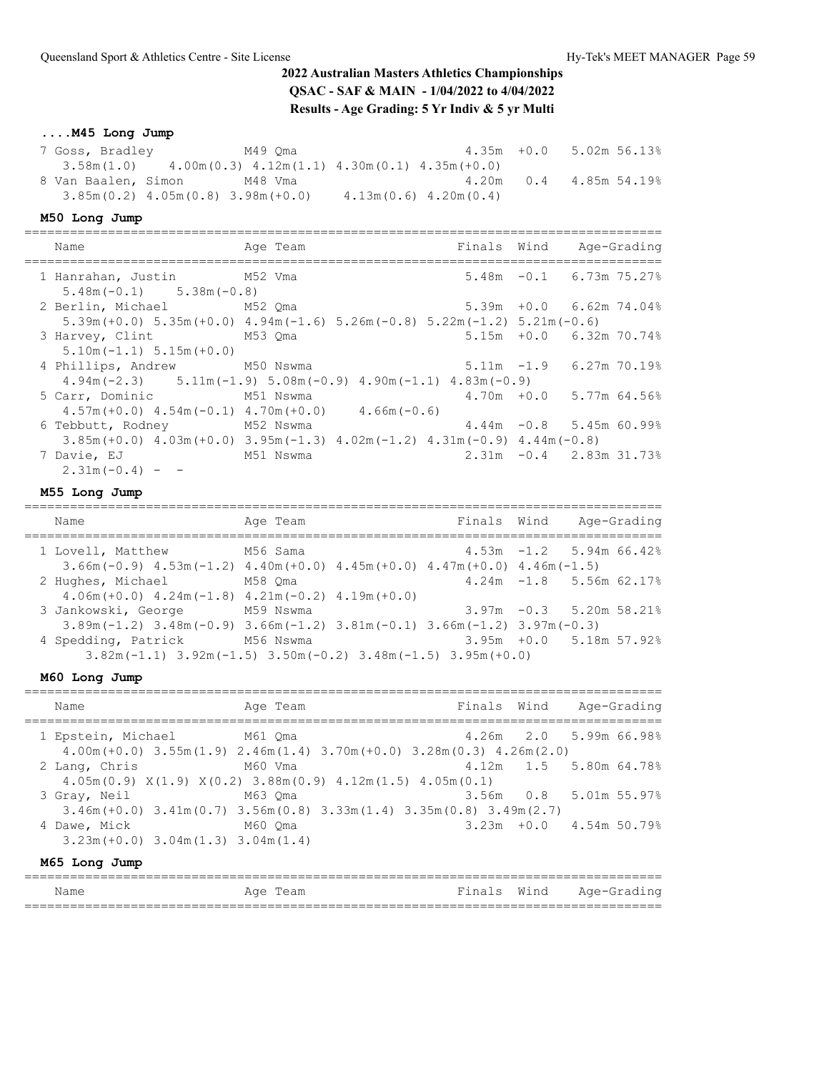## **....M45 Long Jump**

| 7 Goss, Bradley     | M49 Oma                                                              |                           | $4.35m +0.0$ 5.02m 56.13% |  |
|---------------------|----------------------------------------------------------------------|---------------------------|---------------------------|--|
| 3.58m(1.0)          | $4.00$ m $(0.3)$ $4.12$ m $(1.1)$ $4.30$ m $(0.1)$ $4.35$ m $(+0.0)$ |                           |                           |  |
| 8 Van Baalen, Simon | M48 Vma                                                              |                           | $4.20m$ 0.4 4.85m 54.19%  |  |
|                     | $3.85m(0.2)$ 4.05m(0.8) 3.98m(+0.0)                                  | $4.13m(0.6)$ $4.20m(0.4)$ |                           |  |

### **M50 Long Jump**

| Name                                                      | Age Team                                                                                                                            | Finals Wind Age-Grading    |                            |  |
|-----------------------------------------------------------|-------------------------------------------------------------------------------------------------------------------------------------|----------------------------|----------------------------|--|
| 1 Hanrahan, Justin M52 Vma<br>$5.48m(-0.1)$ $5.38m(-0.8)$ |                                                                                                                                     |                            | $5.48m -0.1$ 6.73m 75.27%  |  |
| 2 Berlin, Michael M52 Qma                                 | $5.39$ m (+0.0) $5.35$ m (+0.0) $4.94$ m (-1.6) $5.26$ m (-0.8) $5.22$ m (-1.2) $5.21$ m (-0.6)                                     |                            | $5.39m + 0.0$ 6.62m 74.04% |  |
| 3 Harvey, Clint M53 Qma<br>$5.10m(-1.1)$ $5.15m(+0.0)$    |                                                                                                                                     |                            | $5.15m + 0.0$ 6.32m 70.74% |  |
| 4 Phillips, Andrew M50 Nswma                              | $4.94m(-2.3)$ $5.11m(-1.9)$ $5.08m(-0.9)$ $4.90m(-1.1)$ $4.83m(-0.9)$                                                               | $5.11m - 1.9$ 6.27m 70.19% |                            |  |
| 5 Carr, Dominic M51 Nswma                                 | $4.70m + 0.0$ 5.77m 64.56%<br>$4.57m (+0.0)$ $4.54m (-0.1)$ $4.70m (+0.0)$ $4.66m (-0.6)$                                           |                            |                            |  |
| 6 Tebbutt, Rodney                                         | $4.44m -0.8$ 5.45m 60.99%<br>M52 Nswma<br>$3.85m (+0.0)$ $4.03m (+0.0)$ $3.95m (-1.3)$ $4.02m (-1.2)$ $4.31m (-0.9)$ $4.44m (-0.8)$ |                            |                            |  |
| 7 Davie, EJ<br>M51 Nswma<br>$2.31m(-0.4) -$               |                                                                                                                                     | $2.31m -0.4$ 2.83m 31.73%  |                            |  |

### **M55 Long Jump**

| Name                | Age Team                                                                                        | Finals Wind |                            | Age-Grading |  |
|---------------------|-------------------------------------------------------------------------------------------------|-------------|----------------------------|-------------|--|
| 1 Lovell, Matthew   | M56 Sama                                                                                        |             | $4.53m - 1.2$ 5.94m 66.42% |             |  |
|                     | $3.66$ m (-0.9) $4.53$ m (-1.2) $4.40$ m (+0.0) $4.45$ m (+0.0) $4.47$ m (+0.0) $4.46$ m (-1.5) |             |                            |             |  |
| 2 Hughes, Michael   | M58 Oma                                                                                         |             | $4.24m - 1.8$ 5.56m 62.17% |             |  |
|                     | $4.06m (+0.0)$ $4.24m (-1.8)$ $4.21m (-0.2)$ $4.19m (+0.0)$                                     |             |                            |             |  |
| 3 Jankowski, George | M59 Nswma                                                                                       |             | $3.97m - 0.3$ 5.20m 58.21% |             |  |
|                     | $3.89$ m (-1.2) $3.48$ m (-0.9) $3.66$ m (-1.2) $3.81$ m (-0.1) $3.66$ m (-1.2) $3.97$ m (-0.3) |             |                            |             |  |
| 4 Spedding, Patrick | M56 Nswma                                                                                       |             | 3.95m +0.0 5.18m 57.92%    |             |  |
|                     | $3.82$ m (-1.1) $3.92$ m (-1.5) $3.50$ m (-0.2) $3.48$ m (-1.5) $3.95$ m (+0.0)                 |             |                            |             |  |

## **M60 Long Jump**

| Name          | Age Team                                                                                                                  |  | Finals Wind Age-Grading    |  |
|---------------|---------------------------------------------------------------------------------------------------------------------------|--|----------------------------|--|
|               | 1 Epstein, Michael M61 Qma<br>$4.00$ m (+0.0) $3.55$ m (1.9) $2.46$ m (1.4) $3.70$ m (+0.0) $3.28$ m (0.3) $4.26$ m (2.0) |  | 4.26m 2.0 5.99m 66.98%     |  |
| 2 Lang, Chris | M60 Vma<br>$4.05m(0.9)$ $X(1.9)$ $X(0.2)$ $3.88m(0.9)$ $4.12m(1.5)$ $4.05m(0.1)$                                          |  | 4.12m 1.5 5.80m 64.78%     |  |
| 3 Gray, Neil  | M63 Oma<br>$3.46m (+0.0)$ $3.41m (0.7)$ $3.56m (0.8)$ $3.33m (1.4)$ $3.35m (0.8)$ $3.49m (2.7)$                           |  | 3.56m 0.8 5.01m 55.97%     |  |
| 4 Dawe, Mick  | M60 Oma<br>$3.23m (+0.0)$ $3.04m(1.3)$ $3.04m(1.4)$                                                                       |  | $3.23m + 0.0$ 4.54m 50.79% |  |
| M65 Long Jump |                                                                                                                           |  |                            |  |

| Name<br>____ | Aqe<br>ealll | กล<br>. | Wind<br>. 0 | age<br>$\overline{\phantom{a}}$<br>___ |
|--------------|--------------|---------|-------------|----------------------------------------|
| _____        |              |         |             | __________                             |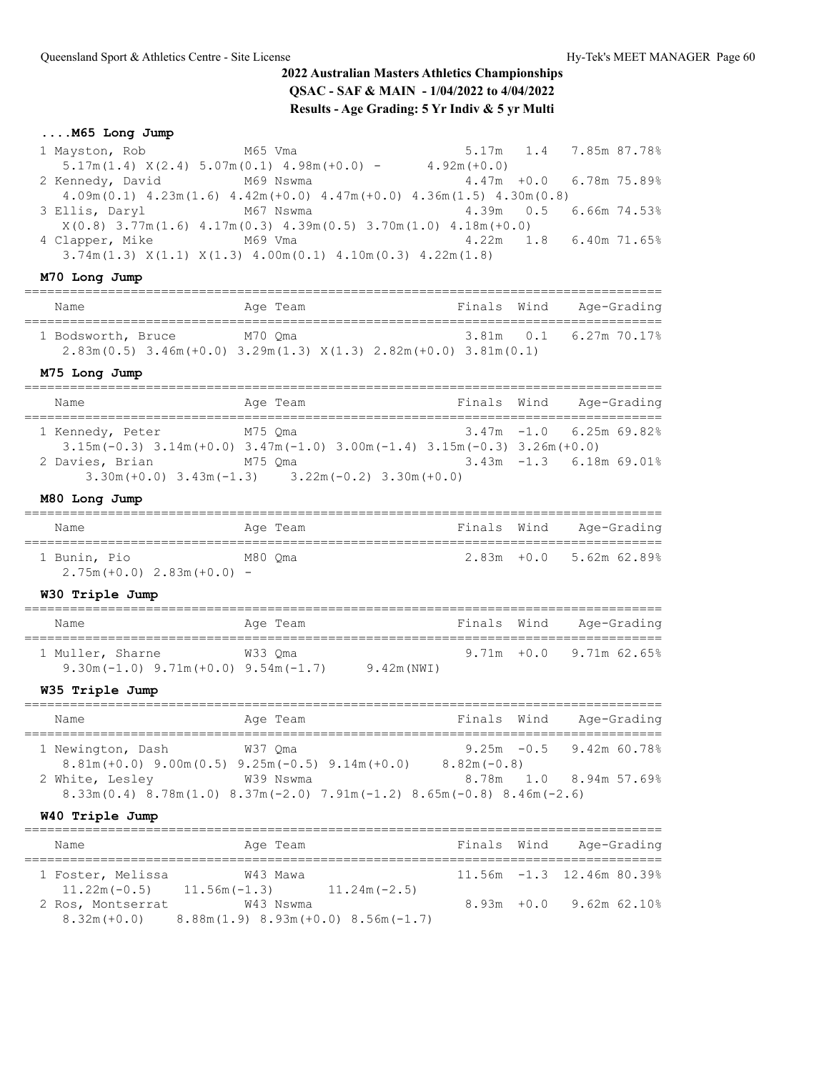## **....M65 Long Jump**

| 1 Mayston, Rob M65 Vma     |                                                                                                         |                | 5.17m 1.4 7.85m 87.78%     |  |
|----------------------------|---------------------------------------------------------------------------------------------------------|----------------|----------------------------|--|
|                            | $5.17m(1.4)$ $X(2.4)$ $5.07m(0.1)$ $4.98m(+0.0)$ -                                                      | $4.92m (+0.0)$ |                            |  |
| 2 Kennedy, David M69 Nswma |                                                                                                         |                | $4.47m + 0.0$ 6.78m 75.89% |  |
|                            | $4.09$ m $(0.1)$ $4.23$ m $(1.6)$ $4.42$ m $(+0.0)$ $4.47$ m $(+0.0)$ $4.36$ m $(1.5)$ $4.30$ m $(0.8)$ |                |                            |  |
| 3 Ellis, Daryl M67 Nswma   |                                                                                                         |                | 4.39m 0.5 6.66m 74.53%     |  |
|                            | $X(0.8)$ 3.77m(1.6) 4.17m(0.3) 4.39m(0.5) 3.70m(1.0) 4.18m(+0.0)                                        |                |                            |  |
| 4 Clapper, Mike M69 Vma    |                                                                                                         |                | 4.22m 1.8 6.40m 71.65%     |  |
|                            | $3.74m(1.3)$ $X(1.1)$ $X(1.3)$ $4.00m(0.1)$ $4.10m(0.3)$ $4.22m(1.8)$                                   |                |                            |  |

# **M70 Long Jump**

| Name               | Age Team                                                                               | Finals Wind | Age-Grading            |
|--------------------|----------------------------------------------------------------------------------------|-------------|------------------------|
| 1 Bodsworth, Bruce | M70 Oma<br>$2.83m(0.5)$ $3.46m(+0.0)$ $3.29m(1.3)$ $X(1.3)$ $2.82m(+0.0)$ $3.81m(0.1)$ |             | 3.81m 0.1 6.27m 70.17% |

## **M75 Long Jump**

| Name             | Age Team                                                                            | Finals Wind | Age-Grading                |
|------------------|-------------------------------------------------------------------------------------|-------------|----------------------------|
| 1 Kennedy, Peter | M75 Oma                                                                             |             | $3.47m - 1.0$ 6.25m 69.82% |
|                  | $3.15m(-0.3)$ $3.14m(+0.0)$ $3.47m(-1.0)$ $3.00m(-1.4)$ $3.15m(-0.3)$ $3.26m(+0.0)$ |             |                            |
| 2 Davies, Brian  | M75 Oma                                                                             |             | $3.43m - 1.3$ 6.18m 69.01% |
|                  | $3.30$ m (+0.0) $3.43$ m (-1.3) $3.22$ m (-0.2) $3.30$ m (+0.0)                     |             |                            |

## **M80 Long Jump**

| Name                          | Age Team | Finals Wind | Age-Grading                |
|-------------------------------|----------|-------------|----------------------------|
| 1 Bunin, Pio                  | M80 Oma  |             | $2.83m + 0.0$ 5.62m 62.89% |
| $2.75m (+0.0) 2.83m (+0.0) -$ |          |             |                            |

### **W30 Triple Jump**

| Name                                                          | Age Team |            | Finals Wind | Age-Grading                |
|---------------------------------------------------------------|----------|------------|-------------|----------------------------|
| 1 Muller, Sharne<br>$9.30m(-1.0)$ $9.71m(+0.0)$ $9.54m(-1.7)$ | W33 Oma  | 9.42m(NWI) |             | $9.71m + 0.0$ 9.71m 62.65% |

### **W35 Triple Jump**

| Name              | Age Team                                                                                                                          | Finals Wind   | Age-Grading               |
|-------------------|-----------------------------------------------------------------------------------------------------------------------------------|---------------|---------------------------|
|                   |                                                                                                                                   |               |                           |
| 1 Newington, Dash | W37 Oma                                                                                                                           |               | $9.25m -0.5$ 9.42m 60.78% |
|                   | $8.81m (+0.0)$ $9.00m (0.5)$ $9.25m (-0.5)$ $9.14m (+0.0)$                                                                        | $8.82m(-0.8)$ |                           |
| 2 White, Lesley   | W39 Nswma                                                                                                                         |               | 8.78m 1.0 8.94m 57.69%    |
|                   | $8.33\text{m}$ (0.4) $8.78\text{m}$ (1.0) $8.37\text{m}$ (-2.0) $7.91\text{m}$ (-1.2) $8.65\text{m}$ (-0.8) $8.46\text{m}$ (-2.6) |               |                           |

### **W40 Triple Jump**

| Name              | Age Team                                                        | Finals Wind | Age-Grading                    |
|-------------------|-----------------------------------------------------------------|-------------|--------------------------------|
| 1 Foster, Melissa | W43 Mawa<br>$11.22$ m (-0.5) $11.56$ m (-1.3)<br>$11.24m(-2.5)$ |             | $11.56m - 1.3$ $12.46m$ 80.39% |
| 2 Ros, Montserrat | W43 Nswma                                                       |             | $8.93m + 0.0$ 9.62m 62.10%     |
|                   | $8.32m (+0.0)$ $8.88m (1.9)$ $8.93m (+0.0)$ $8.56m (-1.7)$      |             |                                |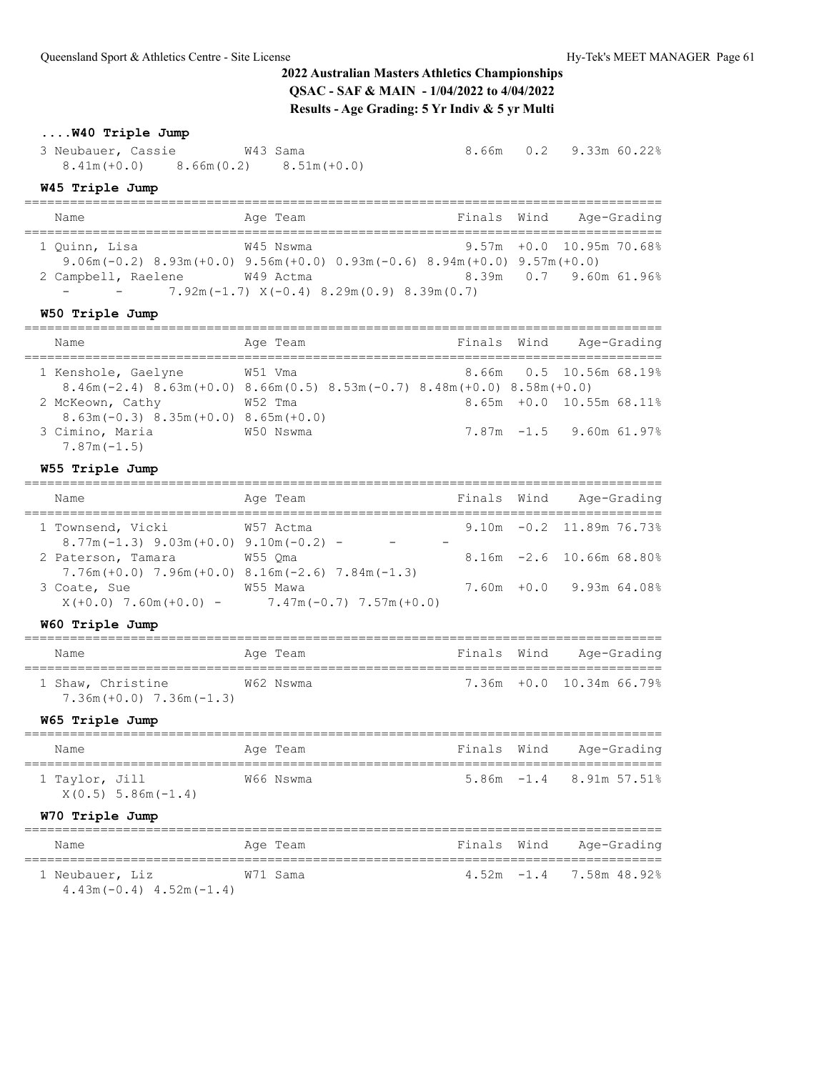## **....W40 Triple Jump**

3 Neubauer, Cassie  $W43$  Sama 8.66m 0.2 9.33m 60.22% 8.41m(+0.0) 8.66m(0.2) 8.51m(+0.0)

### **W45 Triple Jump**

| Name                     | Age Team                                                                   | Finals Wind | Age-Grading                 |  |
|--------------------------|----------------------------------------------------------------------------|-------------|-----------------------------|--|
|                          |                                                                            |             |                             |  |
| 1 Ouinn, Lisa            | W45 Nswma                                                                  |             | $9.57m + 0.0$ 10.95m 70.68% |  |
|                          | $9.06$ m(-0.2) 8.93m(+0.0) 9.56m(+0.0) 0.93m(-0.6) 8.94m(+0.0) 9.57m(+0.0) |             |                             |  |
| 2 Campbell, Raelene      | W49 Actma                                                                  |             | 8.39m 0.7 9.60m 61.96%      |  |
| $\overline{\phantom{0}}$ | $7.92m(-1.7) \times (-0.4) \times 29m(0.9) \times 39m(0.7)$                |             |                             |  |

### **W50 Triple Jump**

| Age-Grading<br>Finals Wind<br>Age Team<br>Name<br>8.66m 0.5 10.56m 68.19%<br>1 Kenshole, Gaelyne<br>W51 Vma<br>$8.46$ m (-2.4) $8.63$ m (+0.0) $8.66$ m (0.5) $8.53$ m (-0.7) $8.48$ m (+0.0) $8.58$ m (+0.0)<br>$8.65m + 0.0$ 10.55m 68.11%<br>W52 Tma<br>2 McKeown, Cathy |  |  |  |  |
|-----------------------------------------------------------------------------------------------------------------------------------------------------------------------------------------------------------------------------------------------------------------------------|--|--|--|--|
|                                                                                                                                                                                                                                                                             |  |  |  |  |
|                                                                                                                                                                                                                                                                             |  |  |  |  |
| $8.63$ m (-0.3) $8.35$ m (+0.0) $8.65$ m (+0.0)                                                                                                                                                                                                                             |  |  |  |  |
| $7.87m - 1.5$ 9.60m 61.97%<br>3 Cimino, Maria<br>W50 Nswma<br>$7.87m(-1.5)$                                                                                                                                                                                                 |  |  |  |  |

## **W55 Triple Jump**

| Name |                                                                 | Age Team                                                                | Finals Wind | Age-Grading                 |
|------|-----------------------------------------------------------------|-------------------------------------------------------------------------|-------------|-----------------------------|
|      | 1 Townsend, Vicki                                               | W57 Actma                                                               |             | $9.10m - 0.2$ 11.89m 76.73% |
|      | $8.77m(-1.3)$ 9.03m (+0.0) 9.10m (-0.2) -<br>2 Paterson, Tamara | W55 Oma                                                                 |             | $8.16m - 2.6$ 10.66m 68.80% |
|      | 3 Coate, Sue                                                    | $7.76m (+0.0)$ $7.96m (+0.0)$ $8.16m (-2.6)$ $7.84m (-1.3)$<br>W55 Mawa |             | $7.60m + 0.0$ 9.93m 64.08%  |
|      |                                                                 | $X(+0.0)$ 7.60m $(+0.0)$ - 7.47m $(-0.7)$ 7.57m $(+0.0)$                |             |                             |

### **W60 Triple Jump**

| Name                                               | Age Team  | Finals Wind | Age-Grading              |
|----------------------------------------------------|-----------|-------------|--------------------------|
| 1 Shaw, Christine<br>$7.36m (+0.0)$ $7.36m (-1.3)$ | W62 Nswma |             | 7.36m +0.0 10.34m 66.79% |

### **W65 Triple Jump**

| Name           |                         | Age Team  | Finals Wind | Age-Grading                   |
|----------------|-------------------------|-----------|-------------|-------------------------------|
| 1 Taylor, Jill | $X(0.5)$ 5.86m $(-1.4)$ | W66 Nswma |             | $5.86m - 1.4$ 8.91m $57.51\%$ |

### **W70 Triple Jump**

| Name                        | Age Team |  | Finals Wind Age-Grading    |
|-----------------------------|----------|--|----------------------------|
| 1 Neubauer, Liz             | W71 Sama |  | $4.52m - 1.4$ 7.58m 48.92% |
| $4.43m(-0.4)$ $4.52m(-1.4)$ |          |  |                            |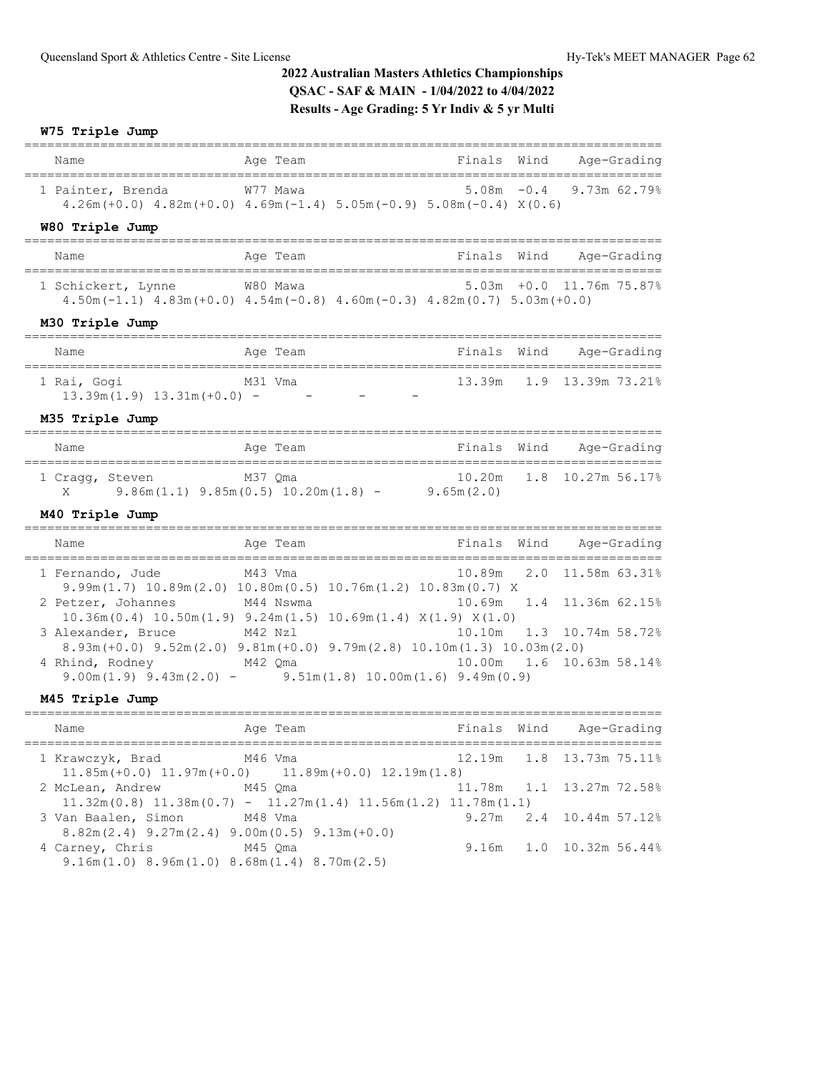## **W75 Triple Jump**

| Name                                                                                | Age Team                                                                                                                                                                       | Finals           | Wind       | Age-Grading                                  |
|-------------------------------------------------------------------------------------|--------------------------------------------------------------------------------------------------------------------------------------------------------------------------------|------------------|------------|----------------------------------------------|
| 1 Painter, Brenda                                                                   | W77 Mawa<br>$4.26m (+0.0)$ $4.82m (+0.0)$ $4.69m (-1.4)$ $5.05m (-0.9)$ $5.08m (-0.4)$ $X(0.6)$                                                                                | $5.08m - 0.4$    |            | 9.73m 62.79%                                 |
| W80 Triple Jump                                                                     |                                                                                                                                                                                |                  |            |                                              |
| Name                                                                                | Age Team                                                                                                                                                                       | Finals           | Wind       | Age-Grading                                  |
| 1 Schickert, Lynne                                                                  | W80 Mawa<br>$4.50m(-1.1)$ $4.83m(+0.0)$ $4.54m(-0.8)$ $4.60m(-0.3)$ $4.82m(0.7)$ $5.03m(+0.0)$                                                                                 | 5.03m            | $+0.0$     | 11.76m 75.87%                                |
| M30 Triple Jump                                                                     |                                                                                                                                                                                |                  |            |                                              |
| Name                                                                                | Age Team                                                                                                                                                                       | Finals           | Wind       | Age-Grading                                  |
| ----------------------------------<br>1 Rai, Gogi<br>$13.39m(1.9)$ $13.31m(+0.0)$ - | M31 Vma                                                                                                                                                                        |                  |            | 13.39m 1.9 13.39m 73.21%                     |
| M35 Triple Jump                                                                     |                                                                                                                                                                                |                  |            |                                              |
| Name                                                                                | Age Team                                                                                                                                                                       | Finals Wind      |            | Age-Grading                                  |
| 1 Cragg, Steven<br>M37 Qma<br>X.                                                    | $9.86m(1.1)$ $9.85m(0.5)$ $10.20m(1.8)$ - $9.65m(2.0)$                                                                                                                         | 10.20m           | 1.8        | 10.27m 56.17%                                |
| M40 Triple Jump                                                                     |                                                                                                                                                                                |                  |            |                                              |
| Name                                                                                | Age Team                                                                                                                                                                       | Finals           | Wind       | Age-Grading                                  |
| 1 Fernando, Jude<br>2 Petzer, Johannes                                              | M43 Vma<br>$9.99m(1.7)$ 10.89m $(2.0)$ 10.80m $(0.5)$ 10.76m $(1.2)$ 10.83m $(0.7)$ X<br>M44 Nswma<br>$10.36m(0.4)$ $10.50m(1.9)$ $9.24m(1.5)$ $10.69m(1.4)$ $X(1.9)$ $X(1.0)$ | 10.89m<br>10.69m | 2.0<br>1.4 | 11.58m 63.31%<br>11.36m 62.15%               |
| 3 Alexander, Bruce<br>4 Rhind, Rodney M42 Qma                                       | M42 Nzl<br>$8.93m(+0.0) 9.52m(2.0) 9.81m(+0.0) 9.79m(2.8) 10.10m(1.3) 10.03m(2.0)$                                                                                             | 10.10m           | 1.3        | 10.74m 58.72%<br>10.00m  1.6  10.63m  58.14% |
| M45 Triple Jump                                                                     | $9.00m(1.9)$ $9.43m(2.0)$ - $9.51m(1.8)$ $10.00m(1.6)$ $9.49m(0.9)$                                                                                                            |                  |            |                                              |
| Name                                                                                | Age Team                                                                                                                                                                       | Finals Wind      |            | Age-Grading                                  |
| 1 Krawczyk, Brad                                                                    | M46 Vma<br>$\overline{a}$ and $\overline{a}$ and $\overline{a}$ and $\overline{a}$ and $\overline{a}$                                                                          | 12.19m           | 1.8        | 13.73m 75.11%                                |

|                                                        | $11.85m (+0.0)$ $11.97m (+0.0)$ $11.89m (+0.0)$ $12.19m (1.8)$                                             |  |                         |
|--------------------------------------------------------|------------------------------------------------------------------------------------------------------------|--|-------------------------|
| 2 McLean, Andrew M45 Qma                               | $11.78m$ $1.1$ $13.27m$ $72.588$                                                                           |  |                         |
|                                                        | $11.32\text{m}(0.8)$ $11.38\text{m}(0.7)$ - $11.27\text{m}(1.4)$ $11.56\text{m}(1.2)$ $11.78\text{m}(1.1)$ |  |                         |
| 3 Van Baalen, Simon M48 Vma                            |                                                                                                            |  | 9.27m 2.4 10.44m 57.12% |
| $8.82m(2.4)$ 9.27m(2.4) 9.00m(0.5) 9.13m(+0.0)         |                                                                                                            |  |                         |
| 4 Carney, Chris M45 Qma                                |                                                                                                            |  | 9.16m 1.0 10.32m 56.44% |
| $9.16m(1.0)$ 8.96m $(1.0)$ 8.68m $(1.4)$ 8.70m $(2.5)$ |                                                                                                            |  |                         |
|                                                        |                                                                                                            |  |                         |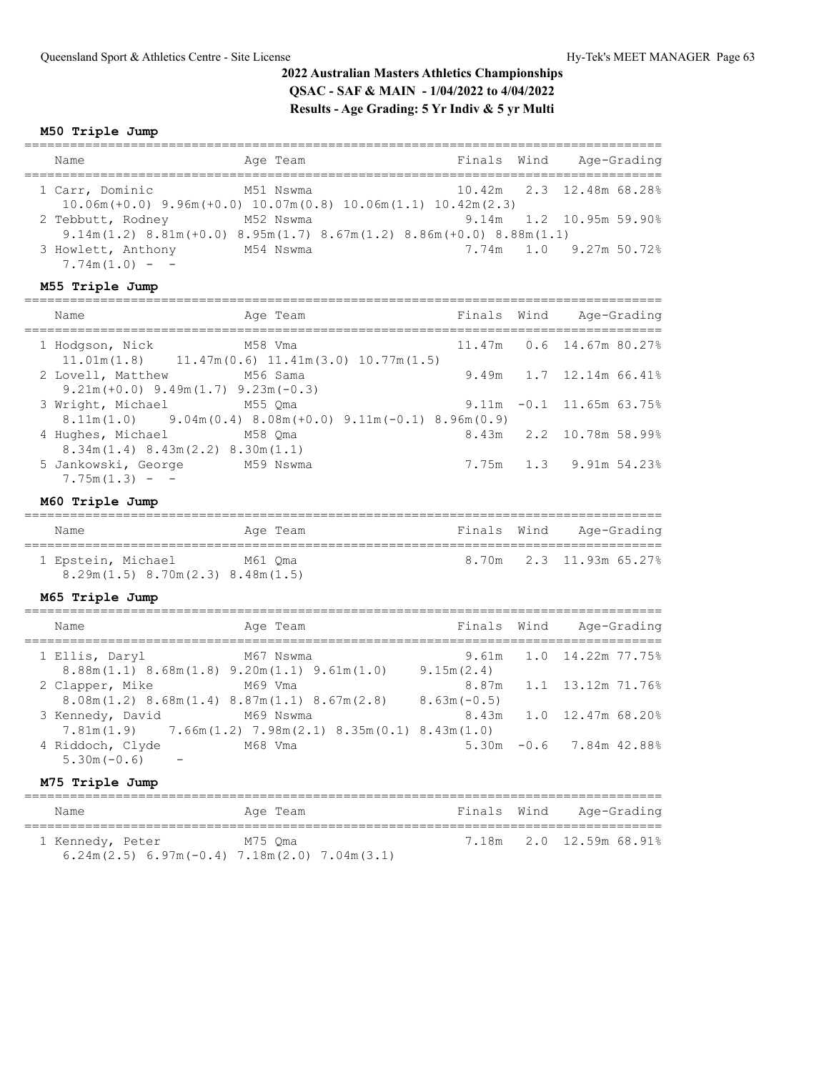### **M50 Triple Jump**

| Name                                                                                                                          | Age Team  | Finals Wind | Age-Grading               |
|-------------------------------------------------------------------------------------------------------------------------------|-----------|-------------|---------------------------|
| 1 Carr, Dominic<br>$10.06m (+0.0)$ $9.96m (+0.0)$ $10.07m(0.8)$ $10.06m(1.1)$ $10.42m(2.3)$                                   | M51 Nswma |             | 10.42m 2.3 12.48m 68.28%  |
| 2 Tebbutt, Rodney                                                                                                             | M52 Nswma |             | $9.14m$ 1.2 10.95m 59.90% |
| $9.14$ m $(1.2)$ $8.81$ m $(+0.0)$ $8.95$ m $(1.7)$ $8.67$ m $(1.2)$ $8.86$ m $(+0.0)$ $8.88$ m $(1.1)$<br>3 Howlett, Anthony | M54 Nswma |             | $7.74m$ 1.0 9.27m 50.72%  |
| $7.74m(1.0) -$                                                                                                                |           |             |                           |

### **M55 Triple Jump**

| Name                                                                      | Age Team                                                                                                   |  | Finals Wind Age-Grading     |  |
|---------------------------------------------------------------------------|------------------------------------------------------------------------------------------------------------|--|-----------------------------|--|
| 1 Hodgson, Nick                                                           | M58 Vma<br>$11.01m(1.8)$ $11.47m(0.6)$ $11.41m(3.0)$ $10.77m(1.5)$                                         |  | 11.47m 0.6 14.67m 80.27%    |  |
| 2 Lovell, Matthew M56 Sama<br>$9.21m (+0.0)$ $9.49m (1.7)$ $9.23m (-0.3)$ |                                                                                                            |  | 9.49m 1.7 12.14m 66.41%     |  |
| 3 Wright, Michael M55 Qma                                                 | $8.11\text{m} (1.0)$ $9.04\text{m} (0.4)$ $8.08\text{m} (+0.0)$ $9.11\text{m} (-0.1)$ $8.96\text{m} (0.9)$ |  | $9.11m - 0.1$ 11.65m 63.75% |  |
| 4 Hughes, Michael<br>$8.34$ m $(1.4)$ $8.43$ m $(2.2)$ $8.30$ m $(1.1)$   | M58 Oma                                                                                                    |  | 8.43m 2.2 10.78m 58.99%     |  |
| 5 Jankowski, George<br>$7.75m(1.3) -$                                     | M59 Nswma                                                                                                  |  | 7.75m 1.3 9.91m 54.23%      |  |
|                                                                           |                                                                                                            |  |                             |  |

## **M60 Triple Jump**

| Name                                                         | Age Team | Finals Wind | Age-Grading             |
|--------------------------------------------------------------|----------|-------------|-------------------------|
| 1 Epstein, Michael<br>$8.29m(1.5)$ $8.70m(2.3)$ $8.48m(1.5)$ | M61 Oma  |             | 8.70m 2.3 11.93m 65.27% |

### **M65 Triple Jump**

| Name                                                                                   | Age Team                                                                      | Finals Wind   | Age-Grading               |
|----------------------------------------------------------------------------------------|-------------------------------------------------------------------------------|---------------|---------------------------|
| 1 Ellis, Daryl<br>$8.88$ m $(1.1)$ $8.68$ m $(1.8)$ $9.20$ m $(1.1)$ $9.61$ m $(1.0)$  | M67 Nswma                                                                     | 9.15m(2.4)    | 9.61m 1.0 14.22m 77.75%   |
| 2 Clapper, Mike<br>$8.08$ m $(1.2)$ $8.68$ m $(1.4)$ $8.87$ m $(1.1)$ $8.67$ m $(2.8)$ | M69 Vma                                                                       | $8.63m(-0.5)$ | 8.87m 1.1 13.12m 71.76%   |
| 3 Kennedy, David                                                                       | M69 Nswma<br>$7.81m(1.9)$ $7.66m(1.2)$ $7.98m(2.1)$ $8.35m(0.1)$ $8.43m(1.0)$ |               | 8.43m 1.0 12.47m 68.20%   |
| 4 Riddoch, Clyde<br>$5.30m(-0.6)$                                                      | M68 Vma                                                                       |               | $5.30m -0.6$ 7.84m 42.88% |

### **M75 Triple Jump**

| Name                                                                 | Age Team | Finals Wind | Age-Grading             |
|----------------------------------------------------------------------|----------|-------------|-------------------------|
| 1 Kennedy, Peter                                                     | M75 Oma  |             | 7.18m 2.0 12.59m 68.91% |
| $6.24$ m $(2.5)$ $6.97$ m $(-0.4)$ $7.18$ m $(2.0)$ $7.04$ m $(3.1)$ |          |             |                         |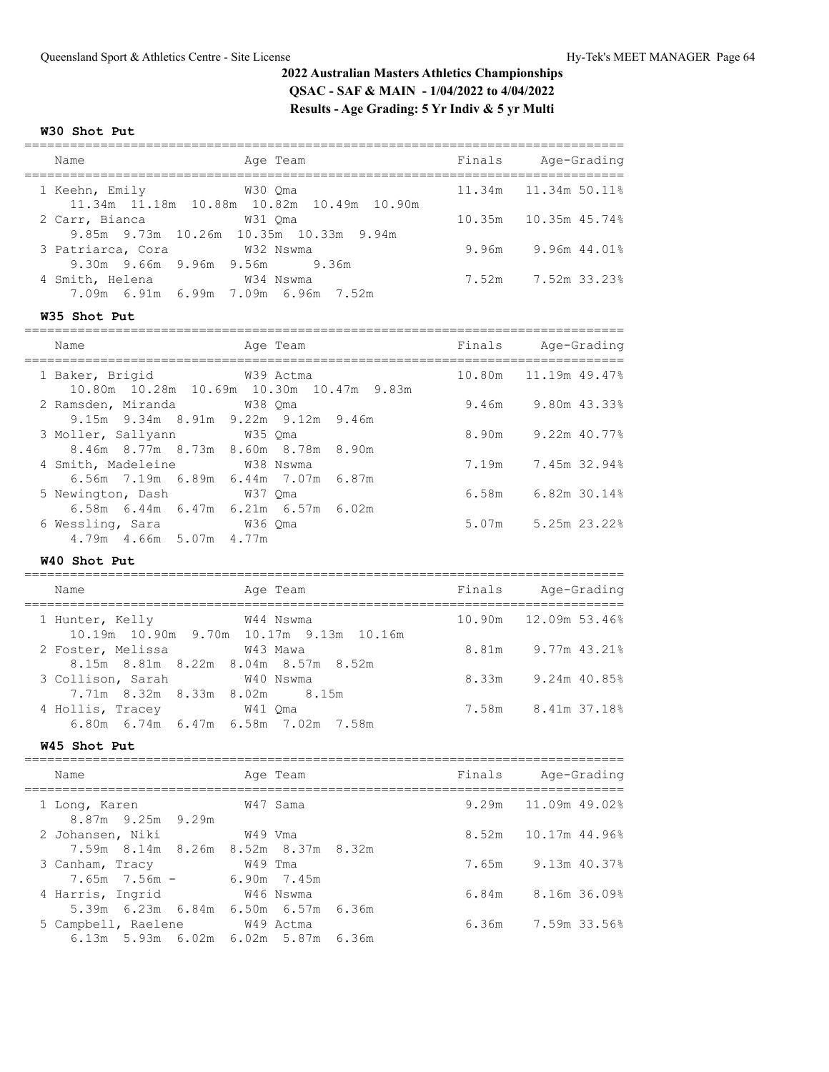#### **W30 Shot Put**

| Name                                                     | Age Team                                             | Finals | Age-Grading     |
|----------------------------------------------------------|------------------------------------------------------|--------|-----------------|
| 1 Keehn, Emily                                           | W30 Oma<br>11.34m 11.18m 10.88m 10.82m 10.49m 10.90m | 11.34m | 11.34m 50.11%   |
| 2 Carr, Bianca<br>9.85m 9.73m 10.26m 10.35m 10.33m 9.94m | W31 Oma                                              | 10.35m | $10.35m$ 45.74% |
| 3 Patriarca, Cora<br>9.30m 9.66m 9.96m 9.56m 9.36m       | W32 Nswma                                            | 9.96m  | 9.96m 44.01%    |
| 4 Smith, Helena<br>7.09m 6.91m 6.99m 7.09m 6.96m 7.52m   | W34 Nswma                                            | 7.52m  | 7.52m 33.23%    |

#### **W35 Shot Put**

=============================================================================== Name **Age Team** Age Team Finals Age-Grading =============================================================================== 1 Baker, Brigid W39 Actma 10.80m 11.19m 49.47% 10.80m 10.28m 10.69m 10.30m 10.47m 9.83m 2 Ramsden, Miranda W38 Qma 9.46m 9.80m 43.33% 9.15m 9.34m 8.91m 9.22m 9.12m 9.46m 3 Moller, Sallyann M35 Qma 8.90m 9.22m 40.77% 8.46m 8.77m 8.73m 8.60m 8.78m 8.90m 4 Smith, Madeleine W38 Nswma 7.19m 7.45m 32.94% 6.56m 7.19m 6.89m 6.44m 7.07m 6.87m 5 Newington, Dash W37 Qma 6.58m 6.82m 30.14% 6.58m 6.44m 6.47m 6.21m 6.57m 6.02m 6 Wessling, Sara W36 Qma 5.07m 5.25m 23.22% 4.79m 4.66m 5.07m 4.77m

#### **W40 Shot Put**

===============================================================================

| Name                                                       | Age Team  | Finals | Age-Grading            |
|------------------------------------------------------------|-----------|--------|------------------------|
| 1 Hunter, Kelly<br>10.19m 10.90m 9.70m 10.17m 9.13m 10.16m | W44 Nswma |        | 10.90m  12.09m  53.46% |
| 2 Foster, Melissa<br>8.15m 8.81m 8.22m 8.04m 8.57m 8.52m   | W43 Mawa  | 8.81m  | 9.77m 43.21%           |
| 3 Collison, Sarah                                          | W40 Nswma | 8.33m  | 9.24m 40.85%           |
| 7.71m 8.32m 8.33m 8.02m 8.15m<br>4 Hollis, Tracey          | W41 Oma   | 7.58m  | 8.41m 37.18%           |
| 6.80m 6.74m 6.47m 6.58m 7.02m 7.58m                        |           |        |                        |

#### **W45 Shot Put**

| Name                                                       | Age Team               | Finals | Age-Grading         |
|------------------------------------------------------------|------------------------|--------|---------------------|
| 1 Long, Karen<br>8.87m 9.25m 9.29m                         | W47 Sama               |        | 9.29m 11.09m 49.02% |
| 2 Johansen, Niki<br>7.59m 8.14m 8.26m 8.52m 8.37m 8.32m    | W49 Vma                |        | 8.52m 10.17m 44.96% |
| 3 Canham, Tracy<br>$7.65m$ $7.56m$ -                       | W49 Tma<br>6.90m 7.45m |        | 7.65m 9.13m 40.37%  |
| 4 Harris, Ingrid<br>5.39m 6.23m 6.84m 6.50m 6.57m 6.36m    | W46 Nswma              |        | 6.84m 8.16m 36.09%  |
| 5 Campbell, Raelene<br>6.13m 5.93m 6.02m 6.02m 5.87m 6.36m | W49 Actma              |        | 6.36m 7.59m 33.56%  |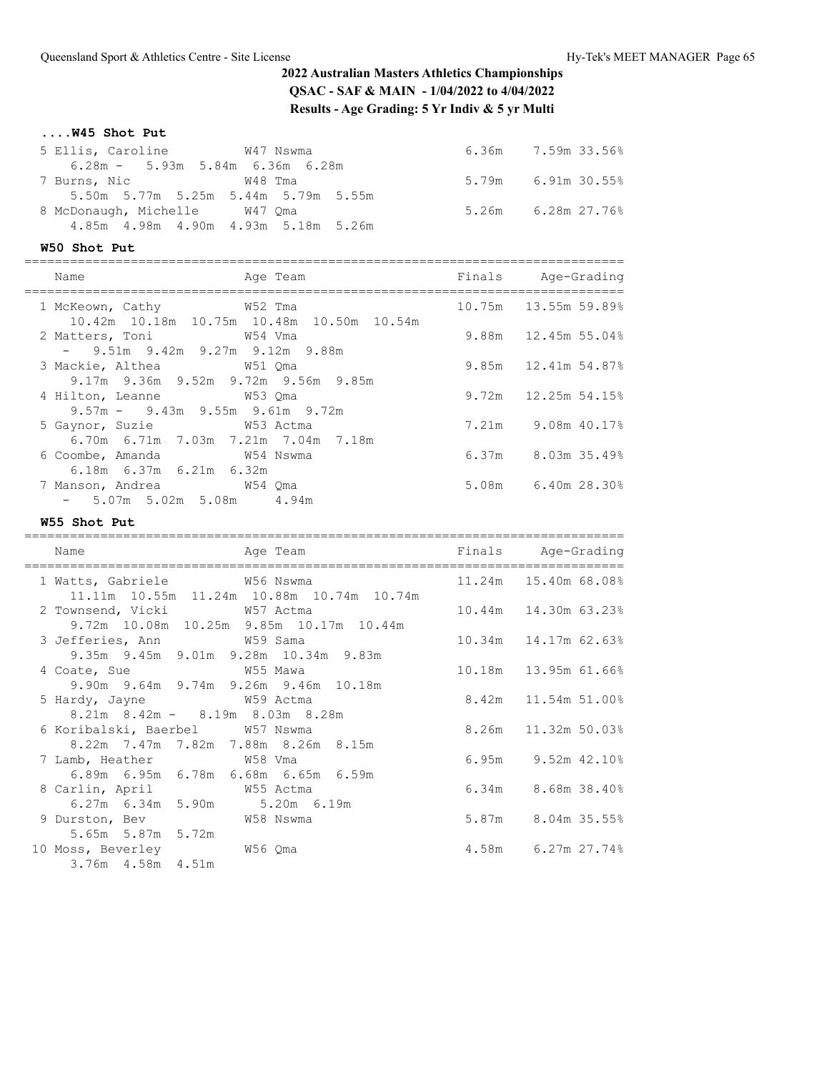**....W45 Shot Put**

| 5 Ellis, Caroline M47 Nswma              |  | $6.36m$ $7.59m$ $33.56\%$ |
|------------------------------------------|--|---------------------------|
| $6.28m - 5.93m 5.84m 6.36m 6.28m$        |  |                           |
|                                          |  | $5.79m$ 6.91m 30.55%      |
| 5.50m 5.77m 5.25m 5.44m 5.79m 5.55m      |  |                           |
| 8 McDonaugh, Michelle W47 Oma            |  | $5.26m$ $6.28m$ $27.76\%$ |
| 4.85m  4.98m  4.90m  4.93m  5.18m  5.26m |  |                           |

### **W50 Shot Put**

| Name                                                               | Age Team                                  | Finals Age-Grading        |
|--------------------------------------------------------------------|-------------------------------------------|---------------------------|
| ============<br>1 McKeown, Cathy 652 Tma                           |                                           | 10.75m 13.55m 59.89%      |
| 2 Matters, Toni 69 69 7 W54 Vma                                    | 10.42m 10.18m 10.75m 10.48m 10.50m 10.54m | $9.88m$ 12.45m 55.04%     |
| $-$ 9.51m 9.42m 9.27m 9.12m 9.88m<br>3 Mackie, Althea 6 651 Oma    |                                           | 9.85m 12.41m 54.87%       |
| 9.17m 9.36m 9.52m 9.72m 9.56m 9.85m<br>4 Hilton, Leanne M53 Oma    |                                           | $9.72m$ 12.25m 54.15%     |
| $9.57m - 9.43m - 9.55m - 9.61m - 9.72m$                            |                                           |                           |
| 5 Gaynor, Suzie 6 753 Actma<br>6.70m 6.71m 7.03m 7.21m 7.04m 7.18m |                                           | 7.21m 9.08m 40.17%        |
| 6 Coombe, Amanda M54 Nswma<br>$6.18m$ $6.37m$ $6.21m$ $6.32m$      |                                           | $6.37m$ $8.03m$ $35.49\%$ |
| 7 Manson, Andrea 69 W54 Qma                                        |                                           | 5.08m 6.40m 28.30%        |
| $-5.07$ m 5.02m 5.08m 4.94m                                        |                                           |                           |

**W55 Shot Put**

| Name<br>----------------------------                                                                  | Age Team<br>----------------------        | Finals Age-Grading        |
|-------------------------------------------------------------------------------------------------------|-------------------------------------------|---------------------------|
| 1 Watts, Gabriele M56 Nswma                                                                           |                                           | 11.24m 15.40m 68.08%      |
| 2 Townsend, Vicki W57 Actma                                                                           | 11.11m 10.55m 11.24m 10.88m 10.74m 10.74m | 10.44m  14.30m  63.23%    |
| 3 Jefferies, Ann M59 Sama                                                                             | 9.72m 10.08m 10.25m 9.85m 10.17m 10.44m   | 10.34m  14.17m  62.63%    |
| 9.35m 9.45m 9.01m 9.28m 10.34m 9.83m<br>4 Coate, Sue M55 Mawa<br>9.90m 9.64m 9.74m 9.26m 9.46m 10.18m |                                           | 10.18m   13.95m   61.66%  |
| 5 Hardy, Jayne M59 Actma<br>$8.21m$ $8.42m$ $ 8.19m$ $8.03m$ $8.28m$                                  |                                           | 8.42m 11.54m 51.00%       |
| 6 Koribalski, Baerbel W57 Nswma<br>8.22m 7.47m 7.82m 7.88m 8.26m 8.15m                                |                                           | 8.26m 11.32m 50.03%       |
| 7 Lamb, Heather W58 Vma<br>6.89m 6.95m 6.78m 6.68m 6.65m 6.59m                                        |                                           | $6.95m$ $9.52m$ $42.10\%$ |
| 8 Carlin, April 55 Actma<br>6.27m 6.34m 5.90m 5.20m 6.19m                                             |                                           | $6.34m$ $8.68m$ $38.40\%$ |
| 9 Durston, Bev W58 Nswma                                                                              |                                           | 5.87m 8.04m 35.55%        |
| 5.65m 5.87m 5.72m<br>10 Moss, Beverley 656 Qma<br>3.76m 4.58m 4.51m                                   |                                           | 4.58m 6.27m 27.74%        |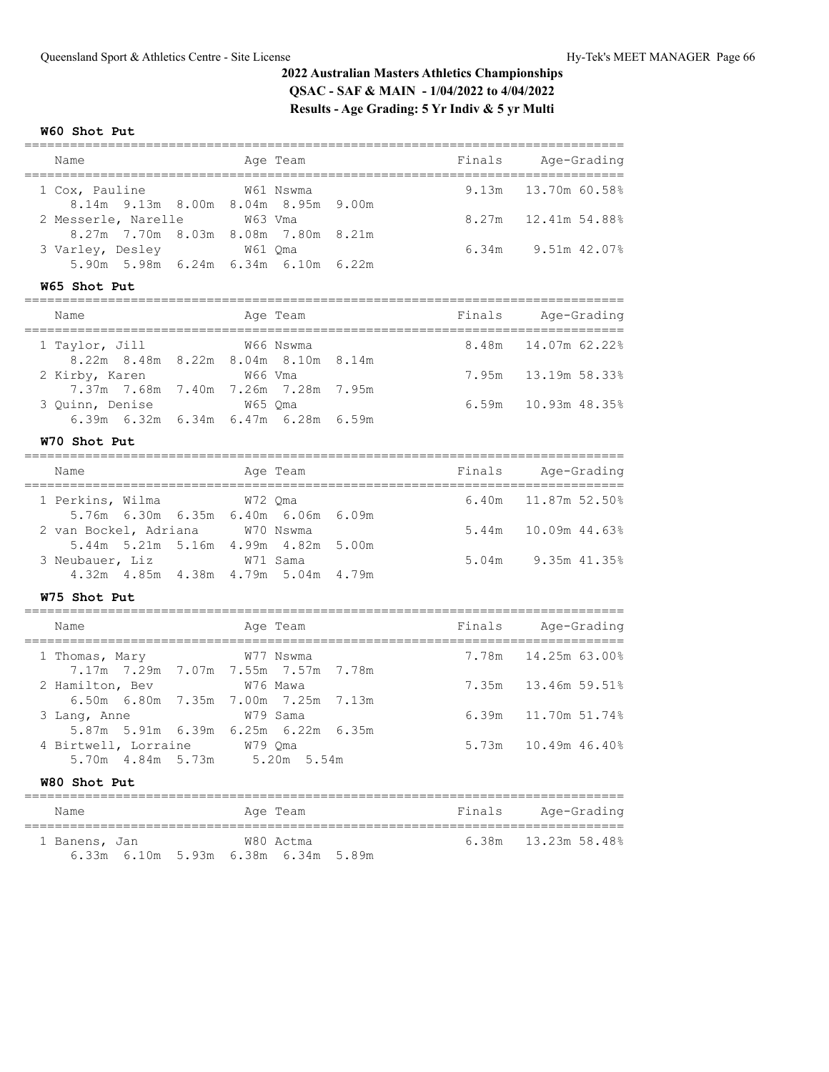### **W60 Shot Put**

| Name                              | Age Team                                         |        | Finals Age-Grading                                       |
|-----------------------------------|--------------------------------------------------|--------|----------------------------------------------------------|
| 1 Cox, Pauline                    | W61 Nswma<br>8.14m 9.13m 8.00m 8.04m 8.95m 9.00m | 9.13m  | :==============<br>13.70m 60.58%                         |
| 2 Messerle, Narelle               | W63 Vma                                          |        | 8.27m 12.41m 54.88%                                      |
|                                   | 8.27m 7.70m 8.03m 8.08m 7.80m 8.21m              |        | 6.34m 9.51m 42.07%                                       |
| 3 Varley, Desley 61 Qma           | 5.90m 5.98m 6.24m 6.34m 6.10m 6.22m              |        |                                                          |
| W65 Shot Put                      |                                                  |        |                                                          |
| Name                              | Age Team                                         | Finals | Age-Grading                                              |
| 1 Taylor, Jill                    | W66 Nswma                                        | 8.48m  | 14.07m 62.22%                                            |
| 2 Kirby, Karen                    | 8.22m 8.48m 8.22m 8.04m 8.10m 8.14m<br>W66 Vma   | 7.95m  | 13.19m 58.33%                                            |
|                                   | 7.37m 7.68m 7.40m 7.26m 7.28m 7.95m              |        |                                                          |
| 3 Quinn, Denise                   | W65 Qma<br>6.39m 6.32m 6.34m 6.47m 6.28m 6.59m   | 6.59m  | 10.93m 48.35%                                            |
| W70 Shot Put                      |                                                  |        |                                                          |
| Name                              | Age Team                                         |        | Finals Age-Grading<br>;=============                     |
| 1 Perkins, Wilma                  | W72 Qma                                          | 6.40m  | 11.87m 52.50%                                            |
| 2 van Bockel, Adriana W70 Nswma   | 5.76m 6.30m 6.35m 6.40m 6.06m 6.09m              | 5.44m  | $10.09m$ 44.63%                                          |
|                                   | 5.44m 5.21m 5.16m 4.99m 4.82m 5.00m              |        |                                                          |
| 3 Neubauer, Liz W71 Sama          |                                                  |        | 5.04m 9.35m 41.35%                                       |
| W75 Shot Put                      | 4.32m  4.85m  4.38m  4.79m  5.04m  4.79m         |        |                                                          |
|                                   |                                                  |        |                                                          |
| Name                              | Age Team                                         |        | Finals Age-Grading<br>================================== |
| 1 Thomas, Mary                    | W77 Nswma                                        | 7.78m  | 14.25m 63.00%                                            |
| 2 Hamilton, Bev                   | 7.17m 7.29m 7.07m 7.55m 7.57m 7.78m<br>W76 Mawa  | 7.35m  | 13.46m 59.51%                                            |
|                                   | 6.50m 6.80m 7.35m 7.00m 7.25m 7.13m              |        |                                                          |
| 3 Lang, Anne                      | W79 Sama                                         | 6.39m  | 11.70m 51.74%                                            |
| 4 Birtwell, Lorraine W79 Qma      | 5.87m 5.91m 6.39m 6.25m 6.22m 6.35m              |        | 5.73m 10.49m 46.40%                                      |
| 5.70m  4.84m  5.73m  5.20m  5.54m |                                                  |        |                                                          |
| W80 Shot Put                      |                                                  |        |                                                          |
| Name                              | Age Team                                         | Finals | Age-Grading                                              |
| 1 Banens, Jan                     | W80 Actma                                        | 6.38m  | 13.23m 58.48%                                            |
|                                   | 6.33m 6.10m 5.93m 6.38m 6.34m 5.89m              |        |                                                          |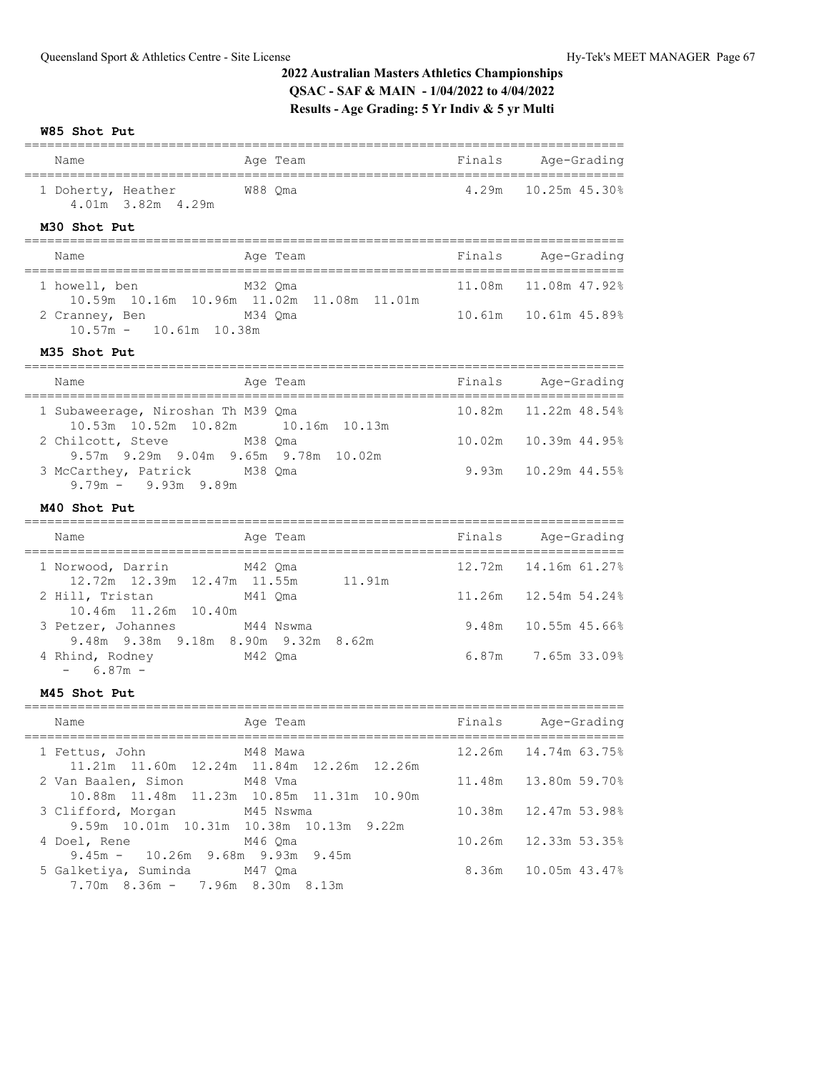**W85 Shot Put**

| Name                                                                                    | Age Team                                       |        | Finals Age-Grading               |
|-----------------------------------------------------------------------------------------|------------------------------------------------|--------|----------------------------------|
| 1 Doherty, Heather W88 Qma<br>4.01m 3.82m 4.29m<br>M30 Shot Put                         |                                                | 4.29m  | 10.25m 45.30%                    |
| Name                                                                                    | Age Team                                       |        | Finals Age-Grading               |
| 1 howell, ben                                                                           | M32 Qma                                        | 11.08m | ===============<br>11.08m 47.92% |
| 2 Cranney, Ben M34 Qma<br>$10.57m - 10.61m 10.38m$                                      | 10.59m  10.16m  10.96m  11.02m  11.08m  11.01m |        | 10.61m   10.61m   45.89%         |
| M35 Shot Put                                                                            |                                                |        |                                  |
| Name                                                                                    | Age Team                                       |        | Finals Age-Grading               |
| 1 Subaweerage, Niroshan Th M39 Qma<br>10.53m  10.52m  10.82m                            | 10.16m  10.13m                                 | 10.82m | 11.22m 48.54%                    |
| 2 Chilcott, Steve<br>9.57m 9.29m 9.04m 9.65m 9.78m 10.02m                               | M38 Oma                                        | 10.02m | 10.39m 44.95%                    |
| 3 McCarthey, Patrick M38 Qma<br>$9.79m - 9.93m 9.89m$                                   |                                                | 9.93m  | 10.29m 44.55%                    |
| M40 Shot Put                                                                            |                                                |        |                                  |
| Name<br>==============================                                                  | Age Team                                       |        | Finals Age-Grading<br>========   |
| 1 Norwood, Darrin M42 Qma                                                               |                                                |        | 12.72m   14.16m   61.27%         |
| 12.72m  12.39m  12.47m  11.55m  11.91m<br>2 Hill, Tristan M41 Qma                       |                                                | 11.26m | 12.54m 54.24%                    |
| 10.46m  11.26m  10.40m<br>3 Petzer, Johannes M44 Nswma                                  |                                                | 9.48m  | 10.55m 45.66%                    |
| 9.48m 9.38m 9.18m 8.90m 9.32m 8.62m<br>4 Rhind, Rodney M42 Qma<br>$-6.87m -$            |                                                |        | $6.87m$ 7.65m 33.09%             |
| M45 Shot Put                                                                            |                                                |        |                                  |
| Name                                                                                    | Age Team                                       | Finals | Age-Grading                      |
| 1 Fettus, John                                                                          | ==========<br>M48 Mawa                         | 12.26m | 14.74m 63.75%                    |
| 11.21m  11.60m  12.24m  11.84m                                                          | 12.26m 12.26m                                  |        |                                  |
| 2 Van Baalen, Simon<br>10.88m  11.48m  11.23m  10.85m  11.31m                           | M48 Vma<br>10.90m                              | 11.48m | 13.80m 59.70%                    |
| 3 Clifford, Morgan<br>9.59m 10.01m 10.31m 10.38m                                        | M45 Nswma<br>10.13m<br>9.22m                   | 10.38m | 12.47m 53.98%                    |
| 4 Doel, Rene                                                                            | M46 Qma                                        | 10.26m | 12.33m 53.35%                    |
| $9.45m - 10.26m$ 9.68m 9.93m<br>5 Galketiya, Suminda<br>7.70m 8.36m - 7.96m 8.30m 8.13m | 9.45m<br>M47 Qma                               | 8.36m  | 10.05m 43.47%                    |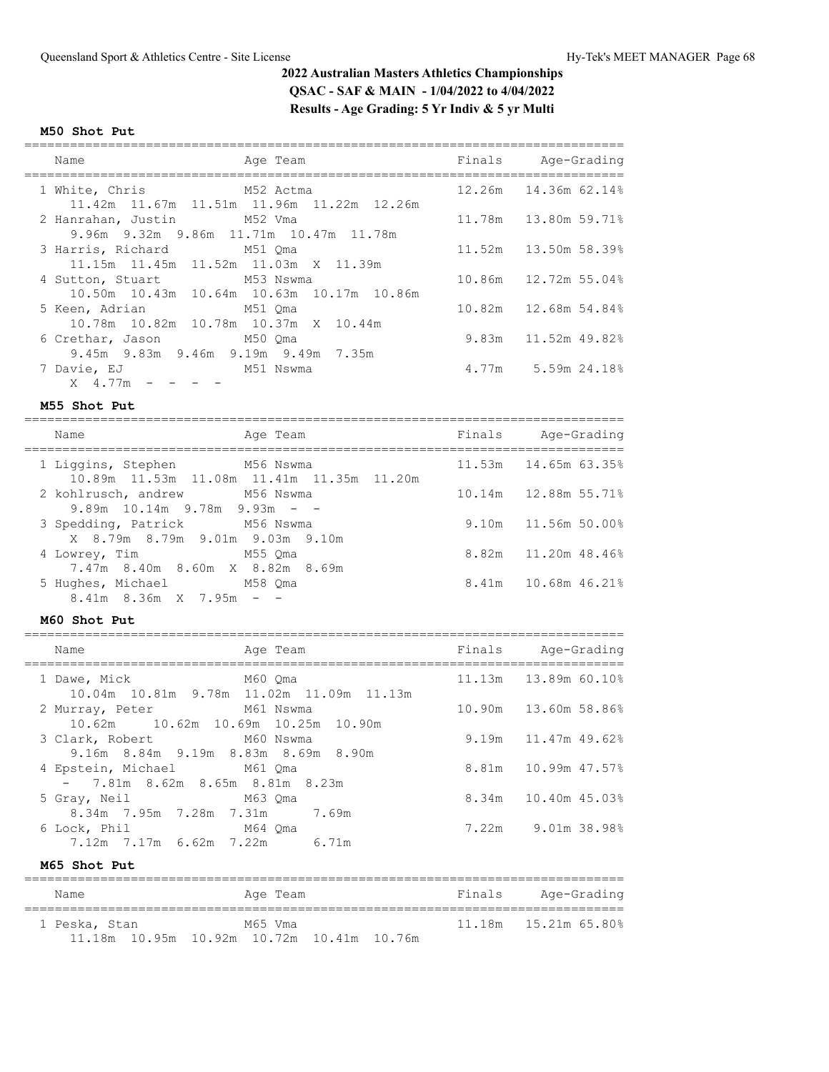### **M50 Shot Put**

| Name                                   | Age Team                                       | Finals Age-Grading       |
|----------------------------------------|------------------------------------------------|--------------------------|
|                                        |                                                |                          |
| 1 White, Chris M52 Actma               |                                                |                          |
|                                        | 11.42m 11.67m 11.51m 11.96m 11.22m 12.26m      |                          |
| 2 Hanrahan, Justin M52 Vma             |                                                | 11.78m   13.80m   59.71% |
| 9.96m 9.32m 9.86m 11.71m 10.47m 11.78m |                                                |                          |
| 3 Harris, Richard M51 Oma              |                                                | 11.52m   13.50m   58.39% |
| 11.15m 11.45m 11.52m 11.03m X 11.39m   |                                                |                          |
| 4 Sutton, Stuart M53 Nswma             |                                                | 10.86m 12.72m 55.04%     |
|                                        | 10.50m  10.43m  10.64m  10.63m  10.17m  10.86m |                          |
| 5 Keen, Adrian M51 Oma                 |                                                | 10.82m 12.68m 54.84%     |
| 10.78m 10.82m 10.78m 10.37m X 10.44m   |                                                |                          |
| 6 Crethar, Jason M50 Oma               |                                                | 9.83m 11.52m 49.82%      |
| 9.45m 9.83m 9.46m 9.19m 9.49m 7.35m    |                                                |                          |
| 7 Davie, EJ<br>M51 Nswma               |                                                | 4.77m 5.59m 24.18%       |
| X 4.77m                                |                                                |                          |

### **M55 Shot Put**

| Name                                                            | Age Team                                  | Finals | Age-Grading            |
|-----------------------------------------------------------------|-------------------------------------------|--------|------------------------|
| 1 Liggins, Stephen M56 Nswma                                    | 10.89m 11.53m 11.08m 11.41m 11.35m 11.20m |        | 11.53m 14.65m 63.35%   |
| 2 kohlrusch, andrew M56 Nswma                                   |                                           |        | 10.14m  12.88m  55.71% |
| $9.89m$ 10.14m 9.78m 9.93m - -<br>3 Spedding, Patrick M56 Nswma |                                           |        | 9.10m 11.56m 50.00%    |
| X 8.79m 8.79m 9.01m 9.03m 9.10m<br>4 Lowrey, Times and M55 Qma  |                                           |        | 8.82m 11.20m 48.46%    |
| 7.47m 8.40m 8.60m X 8.82m 8.69m<br>5 Hughes, Michael M58 Qma    |                                           |        | 8.41m 10.68m 46.21%    |
| $8.41m$ $8.36m$ $X$ $7.95m$ $ -$                                |                                           |        |                        |

## **M60 Shot Put**

| Name                                                              | Age Team                                 | Finals Age-Grading     |
|-------------------------------------------------------------------|------------------------------------------|------------------------|
| 1 Dawe, Mick M60 Qma                                              | 10.04m 10.81m 9.78m 11.02m 11.09m 11.13m | 11.13m  13.89m  60.10% |
| 2 Murray, Peter M61 Nswma                                         |                                          | 10.90m 13.60m 58.86%   |
| 10.62m   10.62m   10.69m   10.25m   10.90m                        |                                          |                        |
| 3 Clark, Robert M60 Nswma                                         |                                          | $9.19m$ 11.47m 49.62%  |
| 9.16m 8.84m 9.19m 8.83m 8.69m 8.90m<br>4 Epstein, Michael M61 Oma |                                          | 8.81m 10.99m 47.57%    |
| $-7.81m$ 8.62m 8.65m 8.81m 8.23m                                  |                                          |                        |
| 5 Gray, Neil M63 Qma                                              |                                          | 8.34m 10.40m 45.03%    |
| 8.34m 7.95m 7.28m 7.31m 7.69m                                     |                                          |                        |
| 6 Lock, Phil M64 Oma                                              |                                          | 7.22m 9.01m 38.98%     |
| 7.12m 7.17m 6.62m 7.22m 6.71m                                     |                                          |                        |

**M65 Shot Put**

| Name          | Age Team                                  |  | Finals | Age-Grading |
|---------------|-------------------------------------------|--|--------|-------------|
| 1 Peska, Stan | M65 Vma                                   |  |        |             |
|               | 11.18m 10.95m 10.92m 10.72m 10.41m 10.76m |  |        |             |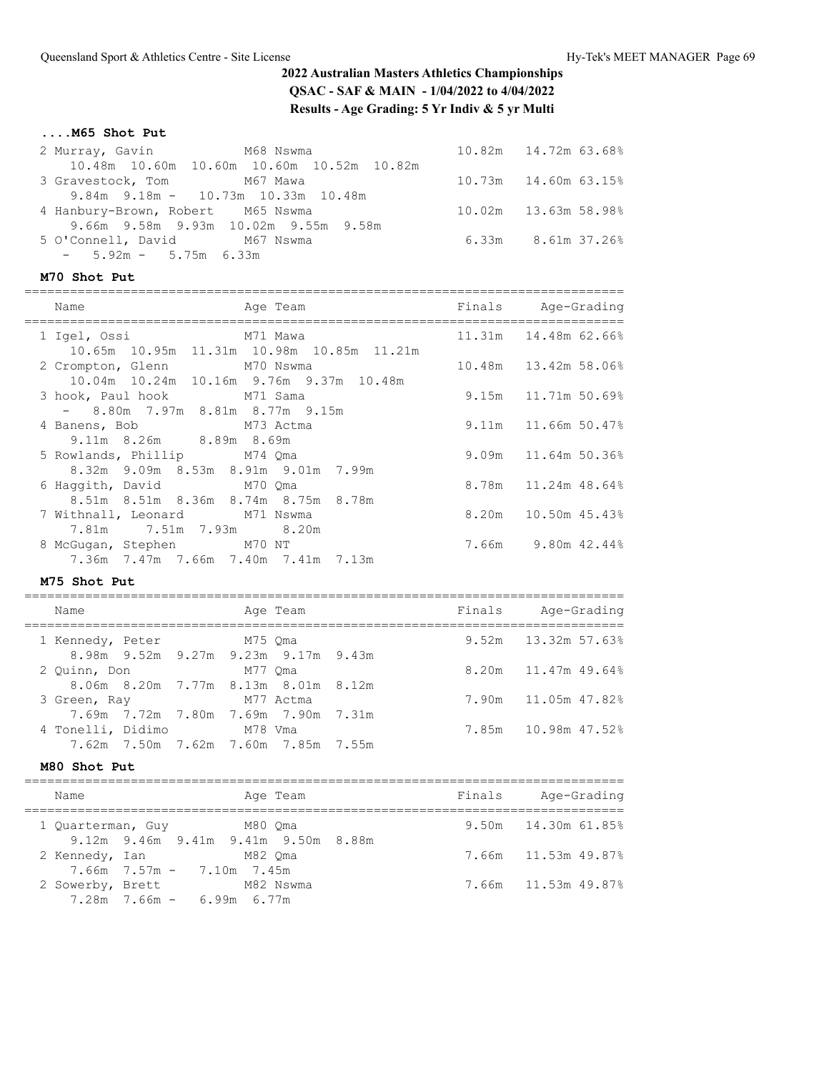## **....M65 Shot Put**

| 2 Murray, Gavin M68 Nswma         |                                             | 10.82m  14.72m  63.68%    |
|-----------------------------------|---------------------------------------------|---------------------------|
|                                   | 10.48m 10.60m 10.60m 10.60m 10.52m 10.82m   |                           |
| 3 Gravestock, Tom M67 Mawa        |                                             | 10.73m  14.60m  63.15%    |
|                                   | $9.84m$ $9.18m$ $ 10.73m$ $10.33m$ $10.48m$ |                           |
| 4 Hanbury-Brown, Robert M65 Nswma |                                             | 10.02m  13.63m  58.98%    |
|                                   | 9.66m 9.58m 9.93m 10.02m 9.55m 9.58m        |                           |
| 5 O'Connell, David M67 Nswma      |                                             | $6.33m$ $8.61m$ $37.26\%$ |
| $-5.92m - 5.75m 6.33m$            |                                             |                           |

## **M70 Shot Put**

| Name                                                                   | Age Team                                       | Finals Age-Grading    |
|------------------------------------------------------------------------|------------------------------------------------|-----------------------|
| 1 Igel, Ossi M71 Mawa                                                  | 10.65m  10.95m  11.31m  10.98m  10.85m  11.21m | 11.31m 14.48m 62.66%  |
| 2 Crompton, Glenn M70 Nswma<br>10.04m 10.24m 10.16m 9.76m 9.37m 10.48m |                                                | 10.48m 13.42m 58.06%  |
| 3 hook, Paul hook M71 Sama<br>$-$ 8.80m 7.97m 8.81m 8.77m 9.15m        |                                                | 9.15m 11.71m 50.69%   |
| 4 Banens, Bob M73 Actma<br>9.11m 8.26m 8.89m 8.69m                     |                                                | $9.11m$ 11.66m 50.47% |
| 5 Rowlands, Phillip M74 Qma<br>8.32m 9.09m 8.53m 8.91m 9.01m 7.99m     |                                                | $9.09m$ 11.64m 50.36% |
| M70 Oma<br>6 Haqqith, David<br>8.51m 8.51m 8.36m 8.74m 8.75m 8.78m     |                                                | 8.78m 11.24m 48.64%   |
| 7 Withnall, Leonard M71 Nswma<br>7.81m 7.51m 7.93m 8.20m               |                                                | 8.20m 10.50m 45.43%   |
| 8 McGugan, Stephen M70 NT<br>7.36m 7.47m 7.66m 7.40m 7.41m 7.13m       |                                                | 7.66m 9.80m 42.44%    |

### **M75 Shot Put**

| Name              |         |           | Age Team                            | Finals | Age-Grading           |
|-------------------|---------|-----------|-------------------------------------|--------|-----------------------|
| 1 Kennedy, Peter  | M75 Oma |           |                                     |        | $9.52m$ 13.32m 57.63% |
|                   |         |           | 8.98m 9.52m 9.27m 9.23m 9.17m 9.43m |        |                       |
| 2 Ouinn, Don      |         | M77 Oma   |                                     |        | $8.20m$ 11.47m 49.64% |
|                   |         |           | 8.06m 8.20m 7.77m 8.13m 8.01m 8.12m |        |                       |
| 3 Green, Ray      |         | M77 Actma |                                     |        | 7.90m 11.05m 47.82%   |
|                   |         |           | 7.69m 7.72m 7.80m 7.69m 7.90m 7.31m |        |                       |
| 4 Tonelli, Didimo |         | M78 Vma   |                                     |        | 7.85m 10.98m 47.52%   |
|                   |         |           | 7.62m 7.50m 7.62m 7.60m 7.85m 7.55m |        |                       |
|                   |         |           |                                     |        |                       |

### **M80 Shot Put**

| Name                                              | Age Team                                       | Finals | Age-Grading         |
|---------------------------------------------------|------------------------------------------------|--------|---------------------|
| 1 Quarterman, Guy                                 | M80 Oma<br>9.12m 9.46m 9.41m 9.41m 9.50m 8.88m |        | 9.50m 14.30m 61.85% |
| 2 Kennedy, Ian<br>7.66m 7.57m - 7.10m 7.45m       | M82 Oma                                        |        | 7.66m 11.53m 49.87% |
| 2 Sowerby, Brett<br>$7.28m$ $7.66m$ - 6.99m 6.77m | M82 Nswma                                      |        | 7.66m 11.53m 49.87% |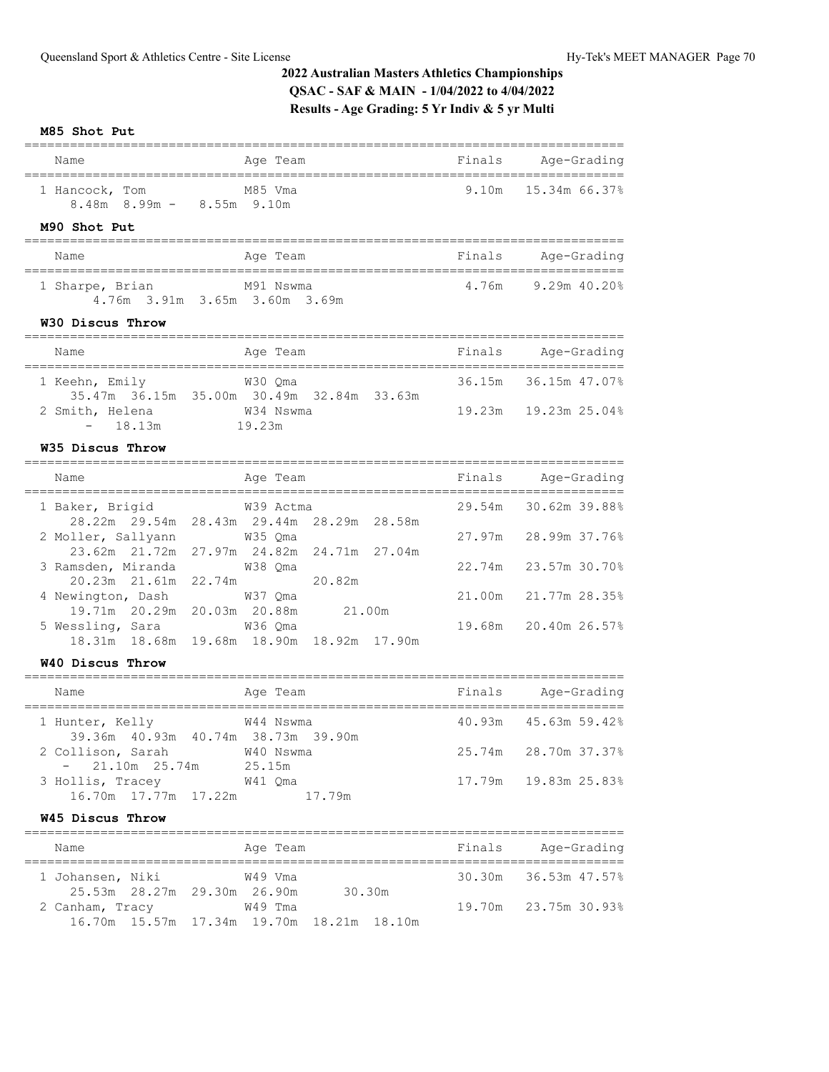#### **M85 Shot Put**

| Name                                                                                          | ================<br>Age Team                           | Finals           | Age-Grading                    |
|-----------------------------------------------------------------------------------------------|--------------------------------------------------------|------------------|--------------------------------|
| 1 Hancock, Tom<br>8.48m 8.99m - 8.55m 9.10m<br>M90 Shot Put                                   | M85 Vma                                                | 9.10m            | 15.34m 66.37%                  |
| Name                                                                                          | Age Team                                               |                  | Finals Age-Grading             |
| 1 Sharpe, Brian<br>4.76m 3.91m 3.65m 3.60m 3.69m<br>W30 Discus Throw                          | M91 Nswma                                              |                  | 4.76m 9.29m 40.20%             |
| Name                                                                                          | Age Team                                               |                  | Finals Age-Grading             |
| M30 Qma<br>1 Keehn, Emily<br>2 Smith, Helena M34 Nswma<br>- 18.13m 19.23m                     | 35.47m 36.15m 35.00m 30.49m 32.84m 33.63m              | 36.15m<br>19.23m | 36.15m 47.07%<br>19.23m 25.04% |
| W35 Discus Throw                                                                              |                                                        |                  |                                |
| Name                                                                                          | Age Team                                               |                  | Finals Age-Grading             |
|                                                                                               |                                                        |                  |                                |
| 1 Baker, Brigid                                                                               | W39 Actma<br>28.22m 29.54m 28.43m 29.44m 28.29m 28.58m | 29.54m           | 30.62m 39.88%                  |
| 2 Moller, Sallyann W35 Qma                                                                    | 23.62m 21.72m 27.97m 24.82m 24.71m 27.04m              | 27.97m           | 28.99m 37.76%                  |
| 3 Ramsden, Miranda                                                                            | W38 Qma<br>20.82m                                      | 22.74m           | 23.57m 30.70%                  |
| 20.23m  21.61m  22.74m<br>4 Newington, Dash W37 Qma<br>19.71m  20.29m  20.03m  20.88m  21.00m |                                                        | 21.00m           | 21.77m 28.35%                  |
| 5 Wessling, Sara                                                                              | W36 Oma<br>18.31m 18.68m 19.68m 18.90m 18.92m 17.90m   | 19.68m           | 20.40m 26.57%                  |
| W40 Discus Throw                                                                              |                                                        |                  |                                |
| Name                                                                                          | Age Team                                               | Finals           | Age-Grading                    |
| 1 Hunter, Kelly<br>39.36m  40.93m  40.74m  38.73m  39.90m                                     | W44 Nswma                                              |                  | 40.93m 45.63m 59.42%           |

### **W45 Discus Throw**

16.70m 17.77m 17.22m 17.79m

| Name             |                             | Age Team                                  |        | Finals | Age-Grading          |
|------------------|-----------------------------|-------------------------------------------|--------|--------|----------------------|
| 1 Johansen, Niki |                             | W49 Vma                                   |        |        | 30.30m 36.53m 47.57% |
|                  | 25.53m 28.27m 29.30m 26.90m |                                           | 30.30m |        |                      |
| 2 Canham, Tracy  |                             | W49 Tma                                   |        |        | 19.70m 23.75m 30.93% |
|                  |                             | 16.70m 15.57m 17.34m 19.70m 18.21m 18.10m |        |        |                      |

3 Hollis, Tracey W41 Qma 17.79m 19.83m 25.83%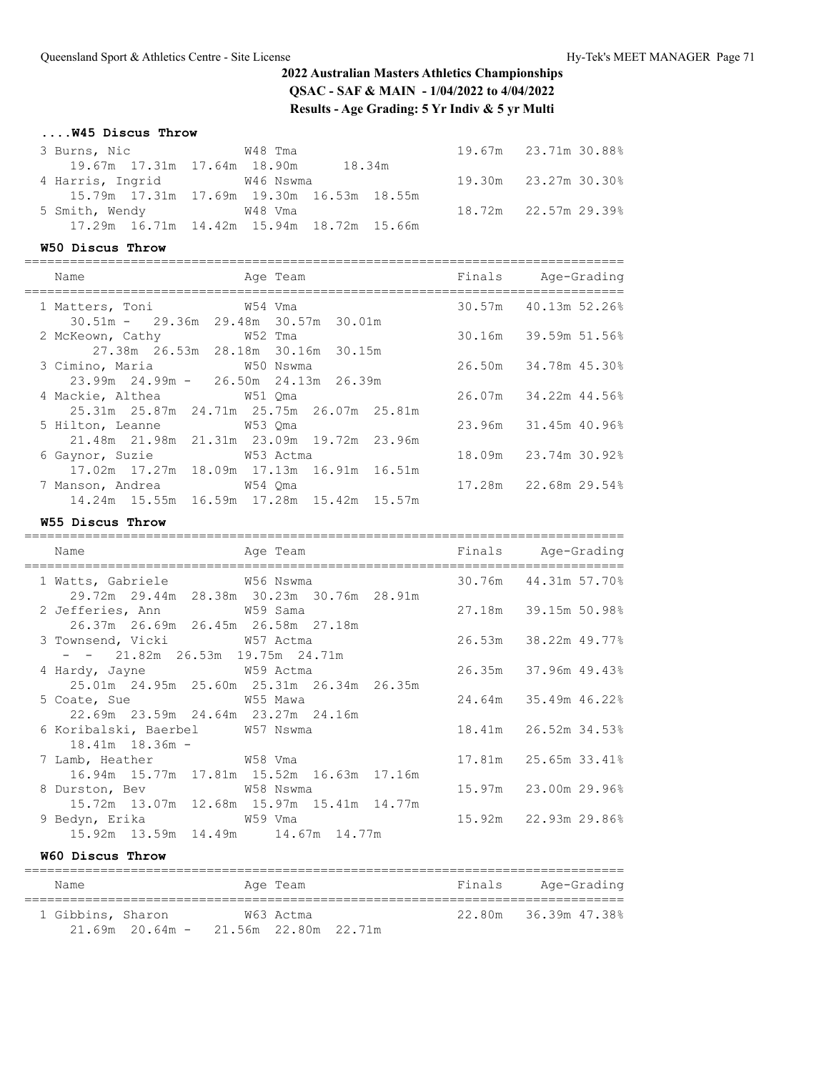### **....W45 Discus Throw**

| 3 Burns, Nic 6 648 Tma      |                                           | 19.67m 23.71m 30.88% |
|-----------------------------|-------------------------------------------|----------------------|
| 19.67m 17.31m 17.64m 18.90m | 18.34m                                    |                      |
| 4 Harris, Ingrid W46 Nswma  |                                           | 19.30m 23.27m 30.30% |
|                             | 15.79m 17.31m 17.69m 19.30m 16.53m 18.55m |                      |
| 5 Smith, Wendy 648 Vma      |                                           | 18.72m 22.57m 29.39% |
|                             | 17.29m 16.71m 14.42m 15.94m 18.72m 15.66m |                      |

### **W50 Discus Throw**

|  | Name                                                                          | =============== | Age Team                                  | Finals Age-Grading   |
|--|-------------------------------------------------------------------------------|-----------------|-------------------------------------------|----------------------|
|  | 1 Matters, Toni 69 W54 Vma                                                    |                 |                                           | 30.57m 40.13m 52.26% |
|  | $30.51m - 29.36m 29.48m 30.57m 30.01m$<br>2 McKeown, Cathy 652 Tma            |                 |                                           | 30.16m 39.59m 51.56% |
|  |                                                                               |                 | 27.38m  26.53m  28.18m  30.16m  30.15m    |                      |
|  | 3 Cimino, Maria 61 60 Nswma<br>$23.99m$ $24.99m$ - $26.50m$ $24.13m$ $26.39m$ |                 |                                           | 26.50m 34.78m 45.30% |
|  | 4 Mackie, Althea 67 671 Oma                                                   |                 |                                           | 26.07m 34.22m 44.56% |
|  | 5 Hilton, Leanne W53 Qma                                                      |                 | 25.31m 25.87m 24.71m 25.75m 26.07m 25.81m | 23.96m 31.45m 40.96% |
|  |                                                                               |                 | 21.48m 21.98m 21.31m 23.09m 19.72m 23.96m |                      |
|  | 6 Gaynor, Suzie 6 753 Actma                                                   |                 | 17.02m 17.27m 18.09m 17.13m 16.91m 16.51m | 18.09m 23.74m 30.92% |
|  | 7 Manson, Andrea                                                              | W54 Oma         |                                           | 17.28m 22.68m 29.54% |
|  |                                                                               |                 | 14.24m 15.55m 16.59m 17.28m 15.42m 15.57m |                      |

### **W55 Discus Throw**

| Name                               | Age Team and the series of the series of the series of the series of the series and the series of the series o |                        |
|------------------------------------|----------------------------------------------------------------------------------------------------------------|------------------------|
| __________________________________ |                                                                                                                |                        |
|                                    |                                                                                                                | 30.76m 44.31m 57.70%   |
|                                    | 29.72m  29.44m  28.38m  30.23m  30.76m  28.91m                                                                 |                        |
|                                    | 2 Jefferies, Ann M59 Sama 27.18m 39.15m 50.98%                                                                 |                        |
|                                    |                                                                                                                |                        |
| 3 Townsend, Vicki W57 Actma        | $26.53m$ $38.22m$ $49.77\%$                                                                                    |                        |
| $ -$ 21.82m 26.53m 19.75m 24.71m   |                                                                                                                |                        |
|                                    | 4 Hardy, Jayne 6 659 Actma 6 26.35m 37.96m 49.43%                                                              |                        |
|                                    | 25.01m  24.95m  25.60m  25.31m  26.34m  26.35m                                                                 |                        |
|                                    | 5 Coate, Sue M55 Mawa                                                                                          | 24.64m 35.49m 46.22%   |
| 22.69m 23.59m 24.64m 23.27m 24.16m |                                                                                                                |                        |
|                                    | 6 Koribalski, Baerbel         W57 Nswma                                                                        | 18.41m  26.52m  34.53% |
| $18.41m$ $18.36m$ -                |                                                                                                                |                        |
| 7 Lamb, Heather 67 68 Vma          |                                                                                                                | 17.81m 25.65m 33.41%   |
|                                    | 16.94m 15.77m 17.81m 15.52m 16.63m 17.16m                                                                      |                        |
| 8 Durston, Bev W58 Nswma           |                                                                                                                | 15.97m 23.00m 29.96%   |
|                                    | 15.72m 13.07m 12.68m 15.97m 15.41m 14.77m                                                                      |                        |
|                                    |                                                                                                                | 15.92m 22.93m 29.86%   |
| 15.92m 13.59m 14.49m 14.67m 14.77m |                                                                                                                |                        |

### **W60 Discus Throw**

| Name |                     | Age Team  | Finals | Age-Grading          |
|------|---------------------|-----------|--------|----------------------|
|      | 1 Gibbins, Sharon   | W63 Actma |        | 22.80m 36.39m 47.38% |
|      | $21.69m$ $20.64m$ – |           |        |                      |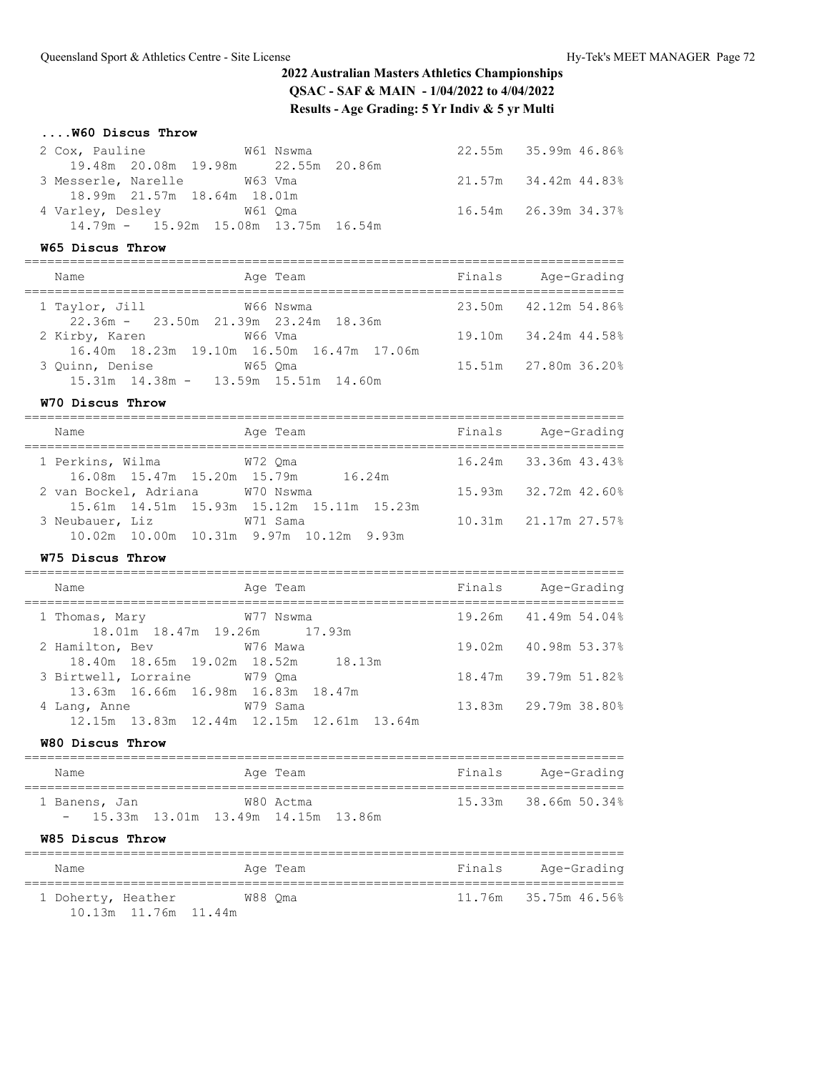### **....W60 Discus Throw**

| 2 Cox, Pauline M61 Nswma               |  | 22.55m 35.99m 46.86% |
|----------------------------------------|--|----------------------|
| 19.48m 20.08m 19.98m 22.55m 20.86m     |  |                      |
| 3 Messerle, Narelle M63 Vma            |  | 21.57m 34.42m 44.83% |
| 18.99m 21.57m 18.64m 18.01m            |  |                      |
| 4 Varley, Desley 61 Qma                |  | 16.54m 26.39m 34.37% |
| $14.79m - 15.92m$ 15.08m 13.75m 16.54m |  |                      |

### **W65 Discus Throw**

| Name                                                            | Age Team                                             | Finals | Age-Grading          |
|-----------------------------------------------------------------|------------------------------------------------------|--------|----------------------|
| 1 Taylor, Jill<br>22.36m - 23.50m 21.39m 23.24m 18.36m          | W66 Nswma                                            |        | 23.50m 42.12m 54.86% |
| 2 Kirby, Karen                                                  | W66 Vma<br>16.40m 18.23m 19.10m 16.50m 16.47m 17.06m |        | 19.10m 34.24m 44.58% |
| 3 Ouinn, Denise<br>$15.31m$ $14.38m - 13.59m$ $15.51m$ $14.60m$ | W65 Oma                                              |        | 15.51m 27.80m 36.20% |

### **W70 Discus Throw**

| Name                               | Age Team                                  | Finals | Age-Grading          |
|------------------------------------|-------------------------------------------|--------|----------------------|
| 1 Perkins, Wilma                   | W72 Oma                                   |        | 16.24m 33.36m 43.43% |
| 16.08m 15.47m 15.20m 15.79m 16.24m |                                           |        |                      |
| 2 van Bockel, Adriana W70 Nswma    |                                           |        | 15.93m 32.72m 42.60% |
|                                    | 15.61m 14.51m 15.93m 15.12m 15.11m 15.23m |        |                      |
| 3 Neubauer, Liz                    | W71 Sama                                  |        | 10.31m 21.17m 27.57% |
|                                    | 10.02m 10.00m 10.31m 9.97m 10.12m 9.93m   |        |                      |

### **W75 Discus Throw**

| Name                                               |                                    | Age Team |  | Finals | Age-Grading          |
|----------------------------------------------------|------------------------------------|----------|--|--------|----------------------|
| 1 Thomas, Mary 677 Nswma                           | 18.01m 18.47m 19.26m 17.93m        |          |  |        | 19.26m 41.49m 54.04% |
| 2 Hamilton, Bev 676 Mawa                           | 18.40m 18.65m 19.02m 18.52m 18.13m |          |  |        | 19.02m 40.98m 53.37% |
| 3 Birtwell, Lorraine W79 Oma                       |                                    |          |  |        | 18.47m 39.79m 51.82% |
| 13.63m 16.66m 16.98m 16.83m 18.47m<br>4 Lang, Anne |                                    | W79 Sama |  |        | 13.83m 29.79m 38.80% |
| 12.15m 13.83m 12.44m 12.15m 12.61m 13.64m          |                                    |          |  |        |                      |
|                                                    |                                    |          |  |        |                      |

### **W80 Discus Throw**

| Name |                                        |  | Age Team  |  | Finals | Age-Grading          |  |
|------|----------------------------------------|--|-----------|--|--------|----------------------|--|
|      | 1 Banens, Jan                          |  | W80 Actma |  |        | 15.33m 38.66m 50.34% |  |
|      | $-$ 15.33m 13.01m 13.49m 14.15m 13.86m |  |           |  |        |                      |  |

#### **W85 Discus Throw**

| Name                                       | Age Team | Finals | Age-Grading          |
|--------------------------------------------|----------|--------|----------------------|
| 1 Doherty, Heather<br>10.13m 11.76m 11.44m | W88 Oma  |        | 11.76m 35.75m 46.56% |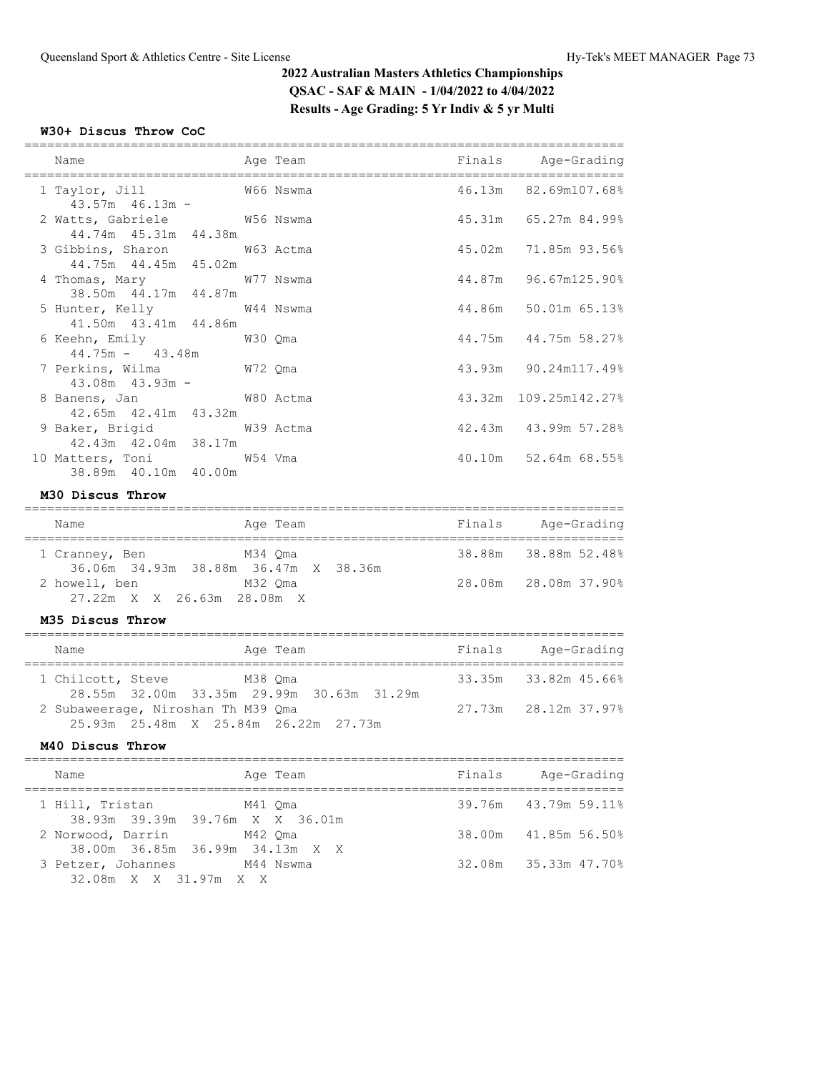## **W30+ Discus Throw CoC**

| Name<br>=======================                        | Age Team | Finals Age-Grading    |
|--------------------------------------------------------|----------|-----------------------|
| W66 Nswma<br>1 Taylor, Jill<br>$43.57m$ $46.13m$ -     |          | 46.13m 82.69m107.68%  |
| 2 Watts, Gabriele 6756 Nswma<br>44.74m  45.31m  44.38m |          | 45.31m 65.27m 84.99%  |
| 3 Gibbins, Sharon W63 Actma<br>44.75m 44.45m 45.02m    |          | 45.02m 71.85m 93.56%  |
| 4 Thomas, Mary 677 Nswma<br>38.50m  44.17m  44.87m     |          | 44.87m 96.67m125.90%  |
| 5 Hunter, Kelly 644 Nswma<br>41.50m  43.41m  44.86m    |          | 44.86m 50.01m 65.13%  |
| 6 Keehn, Emily 6 200 2ma<br>$44.75m - 43.48m$          |          | 44.75m 44.75m 58.27%  |
| 7 Perkins, Wilma W72 Qma<br>$43.08m$ $43.93m$ -        |          | 43.93m 90.24m117.49%  |
| 8 Banens, Jan M80 Actma<br>42.65m 42.41m 43.32m        |          | 43.32m 109.25m142.27% |
| 9 Baker, Brigid W39 Actma<br>42.43m  42.04m  38.17m    |          | 42.43m 43.99m 57.28%  |
| 10 Matters, Toni W54 Vma<br>38.89m  40.10m  40.00m     |          | 40.10m 52.64m 68.55%  |

## **M30 Discus Throw**

| Name                                                   | Age Team | Finals | Age-Grading          |
|--------------------------------------------------------|----------|--------|----------------------|
| 1 Cranney, Ben<br>36.06m 34.93m 38.88m 36.47m X 38.36m | M34 Oma  |        | 38.88m 38.88m 52.48% |
| 2 howell, ben<br>27.22m X X 26.63m 28.08m X            | M32 Oma  |        | 28.08m 28.08m 37.90% |

### **M35 Discus Throw**

| Name              |                                    | Age Team                                  | Finals | Age-Grading          |
|-------------------|------------------------------------|-------------------------------------------|--------|----------------------|
| 1 Chilcott, Steve | M38 Oma                            | 28.55m 32.00m 33.35m 29.99m 30.63m 31.29m |        | 33.35m 33.82m 45.66% |
|                   | 2 Subaweerage, Niroshan Th M39 Qma | 25.93m 25.48m X 25.84m 26.22m 27.73m      |        | 27.73m 28.12m 37.97% |

### **M40 Discus Throw**

| Name<br>Age Team                                                | Finals | Age-Grading          |
|-----------------------------------------------------------------|--------|----------------------|
| 1 Hill, Tristan<br>M41 Oma<br>38.93m 39.39m 39.76m X X 36.01m   |        | 39.76m 43.79m 59.11% |
| 2 Norwood, Darrin<br>M42 Oma<br>38.00m 36.85m 36.99m 34.13m X X |        | 38.00m 41.85m 56.50% |
| 3 Petzer, Johannes<br>M44 Nswma<br>32.08m X X 31.97m X X        |        | 32.08m 35.33m 47.70% |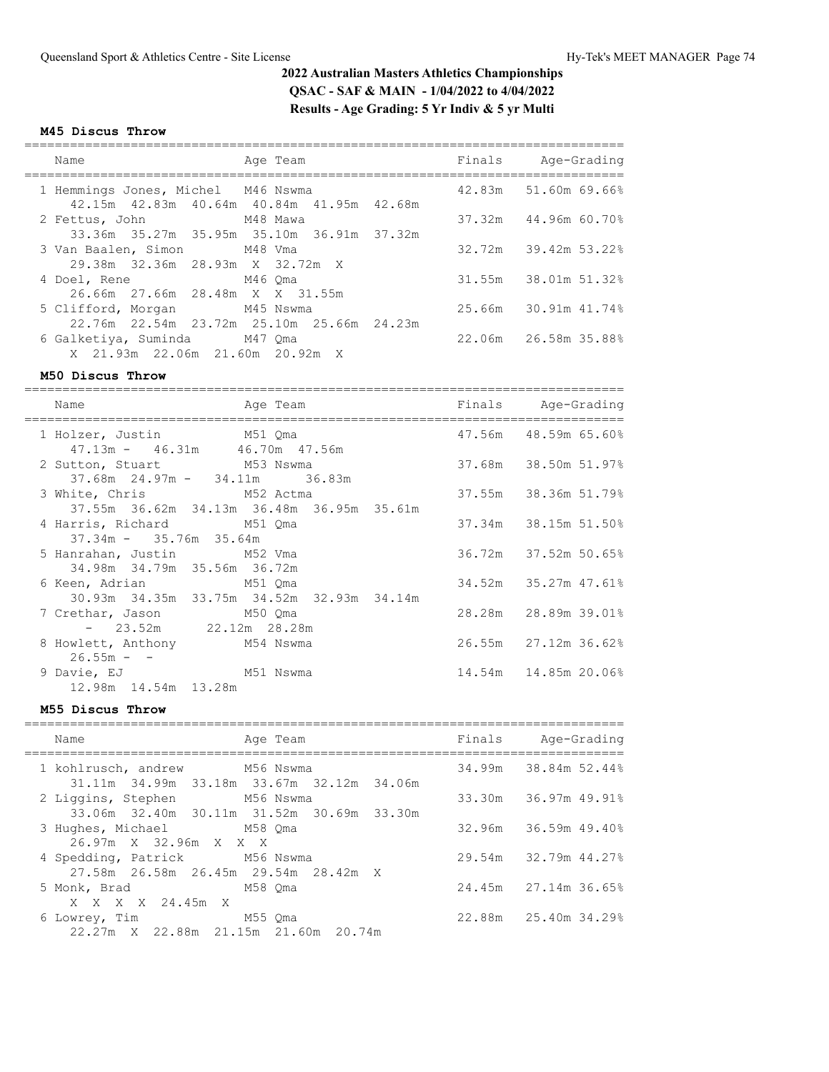#### **M45 Discus Throw**

| Name<br>Age Team                                                                                                  | Finals Age-Grading   |
|-------------------------------------------------------------------------------------------------------------------|----------------------|
| 1 Hemmings Jones, Michel M46 Nswma<br>42.15m  42.83m  40.64m  40.84m  41.95m  42.68m                              | 42.83m 51.60m 69.66% |
| 2 Fettus, John M48 Mawa<br>33.36m 35.27m 35.95m 35.10m 36.91m 37.32m                                              | 37.32m 44.96m 60.70% |
| 3 Van Baalen, Simon M48 Vma                                                                                       | 32.72m 39.42m 53.22% |
| 29.38m 32.36m 28.93m X 32.72m X<br>4 Doel, Rene M46 Oma                                                           | 31.55m 38.01m 51.32% |
| 26.66m 27.66m 28.48m X X 31.55m<br>5 Clifford, Morgan M45 Nswma                                                   | 25.66m 30.91m 41.74% |
| 22.76m  22.54m  23.72m  25.10m  25.66m  24.23m<br>6 Galketiya, Suminda M47 Qma<br>X 21.93m 22.06m 21.60m 20.92m X | 22.06m 26.58m 35.88% |

#### **M50 Discus Throw**

=============================================================================== Name **Age Team** Richard Prinals Age-Grading =============================================================================== 1 Holzer, Justin M51 Qma  $47.56$ m 48.59m 65.60% 47.13m - 46.31m 46.70m 47.56m 2 Sutton, Stuart M53 Nswma 37.68m 38.50m 51.97% 37.68m 24.97m - 34.11m 36.83m 3 White, Chris M52 Actma 37.55m 38.36m 51.79% 37.55m 36.62m 34.13m 36.48m 36.95m 35.61m 4 Harris, Richard M51 Qma 37.34m 38.15m 51.50% 37.34m - 35.76m 35.64m 5 Hanrahan, Justin M52 Vma 36.72m 37.52m 50.65% 34.98m 34.79m 35.56m 36.72m 6 Keen, Adrian M51 Qma 34.52m 35.27m 47.61% 30.93m 34.35m 33.75m 34.52m 32.93m 34.14m 7 Crethar, Jason M50 Qma 28.28m 28.89m 39.01% - 23.52m 22.12m 28.28m 8 Howlett, Anthony M54 Nswma 26.55m 27.12m 36.62%  $26.55m -$  9 Davie, EJ M51 Nswma 14.54m 14.85m 20.06% 12.98m 14.54m 13.28m

#### **M55 Discus Throw**

| Name |                                                                            | Age Team |  | Finals Age-Grading   |
|------|----------------------------------------------------------------------------|----------|--|----------------------|
|      | 1 kohlrusch, andrew M56 Nswma<br>31.11m 34.99m 33.18m 33.67m 32.12m 34.06m |          |  | 34.99m 38.84m 52.44% |
|      | 2 Liggins, Stephen M56 Nswma<br>33.06m 32.40m 30.11m 31.52m 30.69m 33.30m  |          |  | 33.30m 36.97m 49.91% |
|      | 3 Hughes, Michael M58 Qma                                                  |          |  | 32.96m 36.59m 49.40% |
|      | 26.97m X 32.96m X X X<br>4 Spedding, Patrick M56 Nswma                     |          |  | 29.54m 32.79m 44.27% |
|      | 27.58m  26.58m  26.45m  29.54m  28.42m  X<br>5 Monk, Brad M58 Oma          |          |  | 24.45m 27.14m 36.65% |
|      | X X X X 24.45m X<br>6 Lowrey, Time 6 M55 Qma                               |          |  | 22.88m 25.40m 34.29% |
|      | 22.27m X 22.88m 21.15m 21.60m 20.74m                                       |          |  |                      |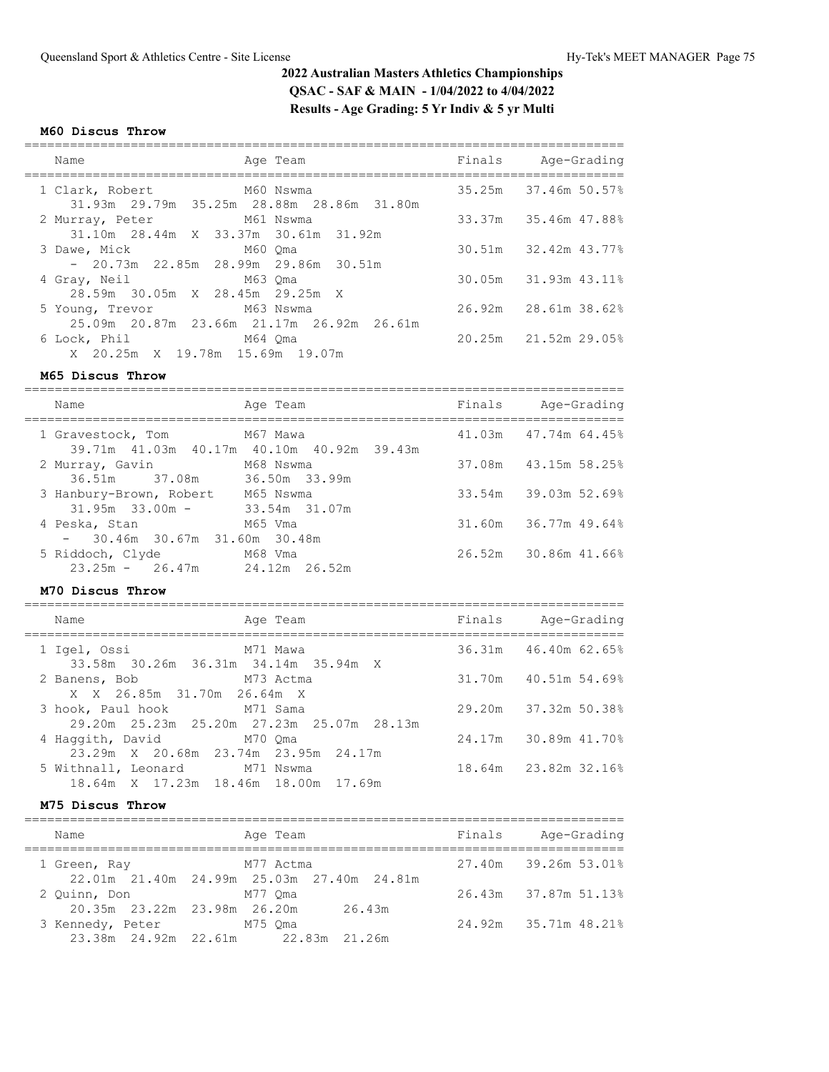# **M60 Discus Throw**

| Name                                                                                             | Age Team | Finals Age-Grading   |
|--------------------------------------------------------------------------------------------------|----------|----------------------|
| 1 Clark, Robert M60 Nswma<br>31.93m 29.79m 35.25m 28.88m 28.86m 31.80m                           |          | 35.25m 37.46m 50.57% |
| 2 Murray, Peter M61 Nswma                                                                        |          | 33.37m 35.46m 47.88% |
| 31.10m 28.44m X 33.37m 30.61m 31.92m<br>3 Dawe, Mick 6 M60 Oma                                   |          | 30.51m 32.42m 43.77% |
| $-20.73m$ 22.85m 28.99m 29.86m 30.51m<br>4 Gray, Neil M63 Qma<br>28.59m 30.05m X 28.45m 29.25m X |          | 30.05m 31.93m 43.11% |
| 5 Young, Trevor M63 Nswma<br>25.09m 20.87m 23.66m 21.17m 26.92m 26.61m                           |          | 26.92m 28.61m 38.62% |
| 6 Lock, Phil M64 Oma<br>X 20.25m X 19.78m 15.69m 19.07m                                          |          | 20.25m 21.52m 29.05% |

#### **M65 Discus Throw**

| Name                                                     | Age Team                                  | Finals | Age-Grading          |
|----------------------------------------------------------|-------------------------------------------|--------|----------------------|
| 1 Gravestock, Tom M67 Mawa                               | 39.71m 41.03m 40.17m 40.10m 40.92m 39.43m |        | 41.03m 47.74m 64.45% |
| 2 Murray, Gavin<br>36.51m 37.08m 36.50m 33.99m           | M68 Nswma                                 | 37.08m | 43.15m 58.25%        |
| 3 Hanbury-Brown, Robert M65 Nswma<br>$31.95m$ $33.00m$ - | 33.54m 31.07m                             |        | 33.54m 39.03m 52.69% |
| 4 Peska, Stan<br>$-30.46$ m 30.67m 31.60m 30.48m         | M65 Vma                                   |        | 31.60m 36.77m 49.64% |
| 5 Riddoch, Clyde M68 Vma<br>$23.25m - 26.47m$            | 24.12m 26.52m                             |        | 26.52m 30.86m 41.66% |

### **M70 Discus Throw**

| Name                                                                  | Age Team                                       | Finals | Age-Grading          |
|-----------------------------------------------------------------------|------------------------------------------------|--------|----------------------|
| 33.58m 30.26m 36.31m 34.14m 35.94m X                                  |                                                |        | 36.31m 46.40m 62.65% |
| M73 Actma<br>2 Banens, Bob<br>X X 26.85m 31.70m 26.64m X              |                                                |        | 31.70m 40.51m 54.69% |
| 3 hook, Paul hook M71 Sama                                            | 29.20m  25.23m  25.20m  27.23m  25.07m  28.13m |        | 29.20m 37.32m 50.38% |
| 4 Haqqith, David M70 Qma<br>23.29m X 20.68m 23.74m 23.95m 24.17m      |                                                |        | 24.17m 30.89m 41.70% |
| 5 Withnall, Leonard M71 Nswma<br>18.64m X 17.23m 18.46m 18.00m 17.69m |                                                |        | 18.64m 23.82m 32.16% |

#### **M75 Discus Throw**

| Name             | Age Team                                  | Finals | Age-Grading          |
|------------------|-------------------------------------------|--------|----------------------|
| 1 Green, Ray     | M77 Actma                                 |        | 27.40m 39.26m 53.01% |
|                  | 22.01m 21.40m 24.99m 25.03m 27.40m 24.81m |        |                      |
| 2 Ouinn, Don     | M77 Oma                                   |        | 26.43m 37.87m 51.13% |
|                  | 20.35m 23.22m 23.98m 26.20m<br>26.43m     |        |                      |
| 3 Kennedy, Peter | M75 Oma                                   |        | 24.92m 35.71m 48.21% |
|                  | 23.38m 24.92m 22.61m 22.83m 21.26m        |        |                      |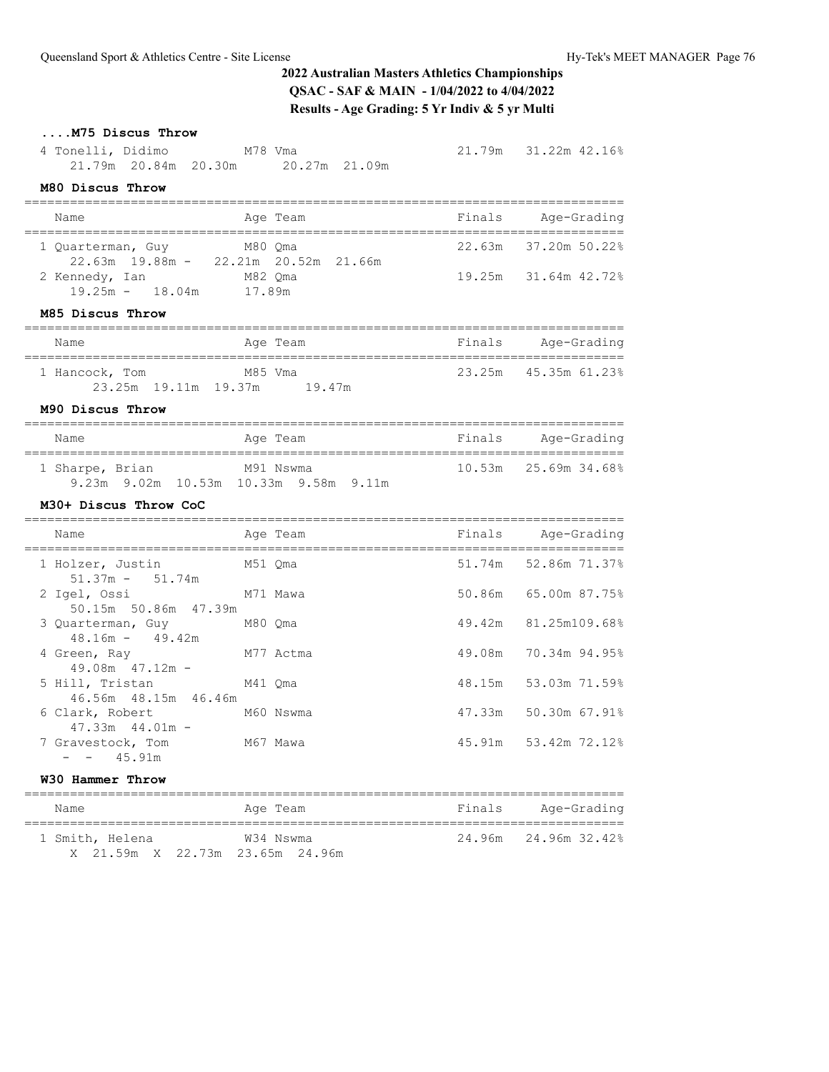# **....M75 Discus Throw**

 4 Tonelli, Didimo M78 Vma 21.79m 31.22m 42.16% 21.79m 20.84m 20.30m 20.27m 21.09m

## **M80 Discus Throw**

| Name                                              | Age Team                              | Finals | Age-Grading          |
|---------------------------------------------------|---------------------------------------|--------|----------------------|
| 1 Quarterman, Guy M80 Qma                         | 22.63m 19.88m - 22.21m 20.52m 21.66m  | 22.63m | 37.20m 50.22%        |
| 2 Kennedy, Ian M82 Qma<br>19.25m - 18.04m 17.89m  |                                       |        | 19.25m 31.64m 42.72% |
| M85 Discus Throw                                  |                                       |        |                      |
| Name                                              | Age Team                              | Finals | Age-Grading          |
| 1 Hancock, Tom M85 Vma                            | 23.25m 19.11m 19.37m 19.47m           |        | 23.25m 45.35m 61.23% |
| M90 Discus Throw                                  |                                       |        |                      |
| Name                                              | Age Team                              |        | Finals Age-Grading   |
| 1 Sharpe, Brian M91 Nswma                         | 9.23m 9.02m 10.53m 10.33m 9.58m 9.11m |        | 10.53m 25.69m 34.68% |
| M30+ Discus Throw CoC                             |                                       |        |                      |
| Name                                              | Age Team                              |        | Finals Age-Grading   |
| 1 Holzer, Justin<br>$51.37m - 51.74m$             | M51 Qma                               |        | 51.74m 52.86m 71.37% |
| 2 Igel, Ossi<br>50.15m 50.86m 47.39m              | M71 Mawa                              | 50.86m | 65.00m 87.75%        |
| 3 Quarterman, Guy<br>$48.16m - 49.42m$            | M80 Qma                               | 49.42m | 81.25m109.68%        |
| 4 Green, Ray<br>$49.08m$ $47.12m$ -               | M77 Actma                             | 49.08m | 70.34m 94.95%        |
| 5 Hill, Tristan M41 Qma<br>46.56m  48.15m  46.46m |                                       | 48.15m | 53.03m 71.59%        |
| 6 Clark, Robert M60 Nswma                         |                                       | 47.33m | 50.30m 67.91%        |

 $- - 45.91m$ 

### **W30 Hammer Throw**

47.33m 44.01m -

| Name            | Age Team                                     | Finals | Age-Grading          |
|-----------------|----------------------------------------------|--------|----------------------|
| 1 Smith, Helena | W34 Nswma<br>X 21.59m X 22.73m 23.65m 24.96m |        | 24.96m 24.96m 32.42% |

===============================================================================

7 Gravestock, Tom M67 Mawa 45.91m 53.42m 72.12%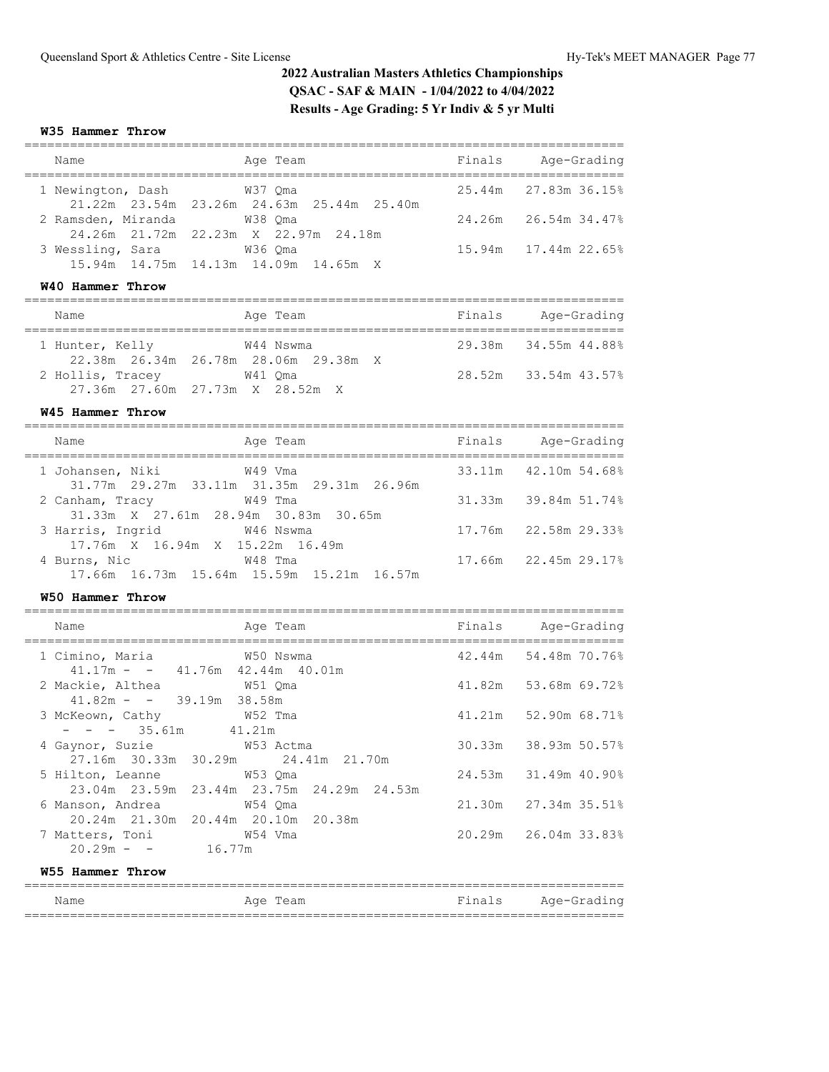#### **W35 Hammer Throw**

| Name                         | Age Team                                        | Finals | Age-Grading                |
|------------------------------|-------------------------------------------------|--------|----------------------------|
| 1 Newington, Dash 67 M37 Oma | 21.22m 23.54m 23.26m 24.63m 25.44m 25.40m       |        | $25.44m$ $27.83m$ $36.15%$ |
| 2 Ramsden, Miranda           | W38 Oma<br>24.26m 21.72m 22.23m X 22.97m 24.18m |        | 24.26m 26.54m 34.47%       |
| 3 Wessling, Sara             | W36 Oma<br>15.94m 14.75m 14.13m 14.09m 14.65m X |        | $15.94m$ $17.44m$ $22.65%$ |
| W40 Hammer Throw             |                                                 |        |                            |

| Name             | Age Team                                          | Finals | Age-Grading          |
|------------------|---------------------------------------------------|--------|----------------------|
| 1 Hunter, Kelly  | W44 Nswma<br>22.38m 26.34m 26.78m 28.06m 29.38m X |        | 29.38m 34.55m 44.88% |
| 2 Hollis, Tracey | W41 Oma<br>27.36m 27.60m 27.73m X 28.52m X        |        | 28.52m 33.54m 43.57% |

### **W45 Hammer Throw**

| Name<br>Age Team                                                         | Finals | Age-Grading          |
|--------------------------------------------------------------------------|--------|----------------------|
| 1 Johansen, Niki<br>W49 Vma<br>31.77m 29.27m 33.11m 31.35m 29.31m 26.96m |        | 33.11m 42.10m 54.68% |
| W49 Tma<br>2 Canham, Tracy<br>31.33m X 27.61m 28.94m 30.83m 30.65m       |        | 31.33m 39.84m 51.74% |
| 3 Harris, Ingrid W46 Nswma<br>17.76m X 16.94m X 15.22m 16.49m            |        | 17.76m 22.58m 29.33% |
| W48 Tma<br>4 Burns, Nic<br>17.66m 16.73m 15.64m 15.59m 15.21m 16.57m     |        | 17.66m 22.45m 29.17% |

### **W50 Hammer Throw**

| Name                                                           | Age Team                                  | Finals Age-Grading   |
|----------------------------------------------------------------|-------------------------------------------|----------------------|
| 1 Cimino, Maria 69 60 Nswma                                    |                                           | 42.44m 54.48m 70.76% |
| $41.17m - 41.76m 42.44m 40.01m$                                |                                           | 41.82m 53.68m 69.72% |
| $41.82m - - 39.19m 38.58m$<br>M52 Tma<br>3 McKeown, Cathy      |                                           | 41.21m 52.90m 68.71% |
| $- - - 35.61m$ 41.21m<br>4 Gaynor, Suzie M53 Actma             |                                           | 30.33m 38.93m 50.57% |
| 27.16m 30.33m 30.29m 24.41m 21.70m<br>5 Hilton, Leanne W53 Qma |                                           | 24.53m 31.49m 40.90% |
|                                                                | 23.04m 23.59m 23.44m 23.75m 24.29m 24.53m | 21.30m 27.34m 35.51% |
| 20.24m 21.30m 20.44m 20.10m 20.38m<br>7 Matters, Toni 654 Vma  |                                           | 20.29m 26.04m 33.83% |
| $20.29m - -$ 16.77m                                            |                                           |                      |
| W55 Hammer Throw                                               |                                           |                      |

| Name | Age Team | Finals Age-Grading |
|------|----------|--------------------|
|      |          |                    |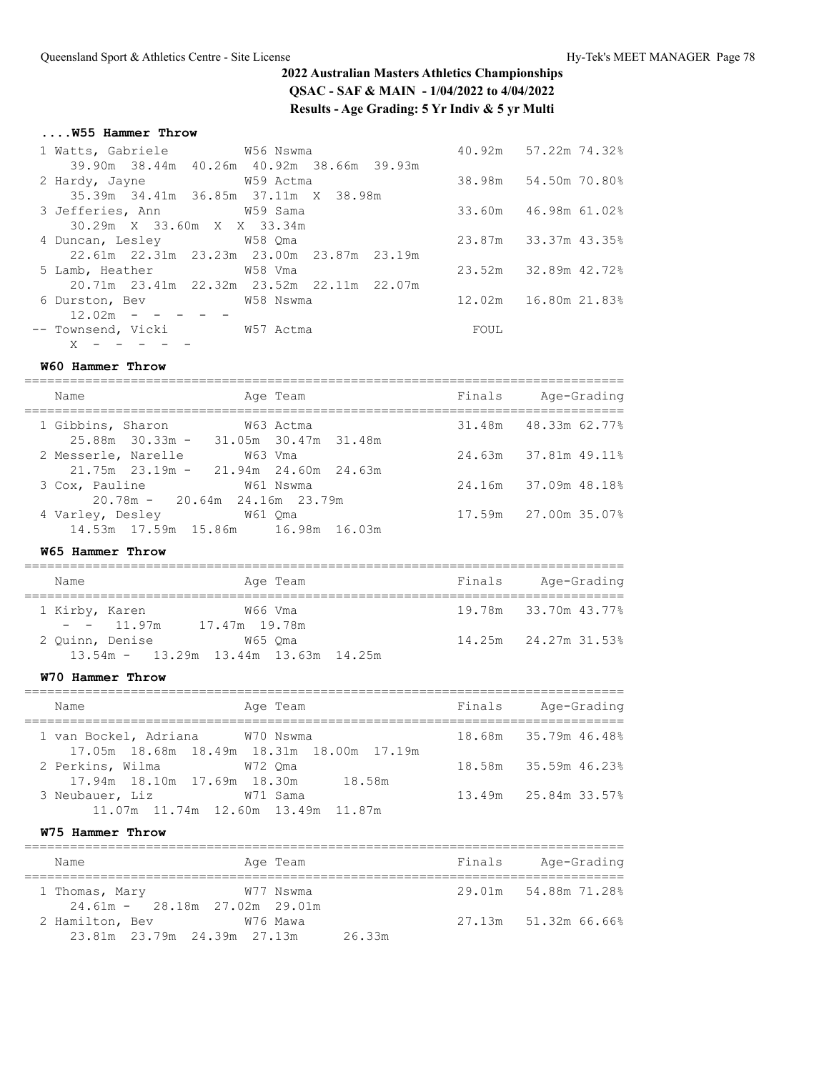## **....W55 Hammer Throw**

| 1 Watts, Gabriele 6756 Nswma         |                                                |      | 40.92m 57.22m 74.32%   |
|--------------------------------------|------------------------------------------------|------|------------------------|
|                                      | 39.90m 38.44m 40.26m 40.92m 38.66m 39.93m      |      |                        |
| 2 Hardy, Jayne M59 Actma             |                                                |      | 38.98m 54.50m 70.80%   |
| 35.39m 34.41m 36.85m 37.11m X 38.98m |                                                |      |                        |
| 3 Jefferies, Ann M59 Sama            |                                                |      | 33.60m 46.98m 61.02%   |
| 30.29m X 33.60m X X 33.34m           |                                                |      |                        |
| 4 Duncan, Lesley 678 Qma             |                                                |      | 23.87m 33.37m 43.35%   |
|                                      | 22.61m  22.31m  23.23m  23.00m  23.87m  23.19m |      |                        |
| 5 Lamb, Heather 6 758 Vma            |                                                |      | 23.52m 32.89m 42.72%   |
|                                      | 20.71m 23.41m 22.32m 23.52m 22.11m 22.07m      |      |                        |
| 6 Durston, Bev W58 Nswma             |                                                |      | 12.02m  16.80m  21.83% |
| $12.02m - - - - -$                   |                                                |      |                        |
| -- Townsend, Vicki W57 Actma         |                                                | FOUL |                        |
| $X - - - - - -$                      |                                                |      |                        |

## **W60 Hammer Throw**

| Name                                                                | Age Team  | Finals | Age-Grading          |
|---------------------------------------------------------------------|-----------|--------|----------------------|
| 1 Gibbins, Sharon<br>$25.88m$ $30.33m - 31.05m$ $30.47m$ $31.48m$   | W63 Actma |        | 31.48m 48.33m 62.77% |
| 2 Messerle, Narelle<br>$21.75m$ $23.19m - 21.94m$ $24.60m$ $24.63m$ | W63 Vma   |        | 24.63m 37.81m 49.11% |
| 3 Cox, Pauline<br>$20.78m - 20.64m$ 24.16m 23.79m                   | W61 Nswma |        | 24.16m 37.09m 48.18% |
| 4 Varley, Desley 61 Oma<br>14.53m 17.59m 15.86m 16.98m 16.03m       |           |        | 17.59m 27.00m 35.07% |

### **W65 Hammer Throw**

| Name           |                                 |               | Age Team                                     |  | Finals               | Age-Grading |
|----------------|---------------------------------|---------------|----------------------------------------------|--|----------------------|-------------|
| 1 Kirby, Karen |                                 |               | W66 Vma                                      |  | 19.78m 33.70m 43.77% |             |
|                | $- - 11.97m$<br>2 Ouinn, Denise | 17.47m 19.78m | W65 Oma                                      |  | 14.25m 24.27m 31.53% |             |
|                |                                 |               | $13.54m - 13.29m$ $13.44m$ $13.63m$ $14.25m$ |  |                      |             |

### **W70 Hammer Throw**

| Name                                                   | Age Team                                                  | Finals | Age-Grading          |
|--------------------------------------------------------|-----------------------------------------------------------|--------|----------------------|
| 1 van Bockel, Adriana M70 Nswma                        |                                                           |        | 18.68m 35.79m 46.48% |
|                                                        | 17.05m  18.68m  18.49m  18.31m  18.00m  17.19m<br>W72 Oma |        | 18.58m 35.59m 46.23% |
| 2 Perkins, Wilma<br>17.94m 18.10m 17.69m 18.30m 18.58m |                                                           |        |                      |
| 3 Neubauer, Liz                                        | W71 Sama                                                  |        | 13.49m 25.84m 33.57% |
| 11.07m 11.74m 12.60m 13.49m 11.87m                     |                                                           |        |                      |

#### **W75 Hammer Throw**

| Name                                                  | Age Team  | Finals | Age-Grading          |
|-------------------------------------------------------|-----------|--------|----------------------|
| 1 Thomas, Mary<br>$24.61m - 28.18m$ $27.02m$ $29.01m$ | W77 Nswma |        | 29.01m 54.88m 71.28% |
| 2 Hamilton, Bev<br>23.81m 23.79m 24.39m 27.13m        | W76 Mawa  | 26.33m | 27.13m 51.32m 66.66% |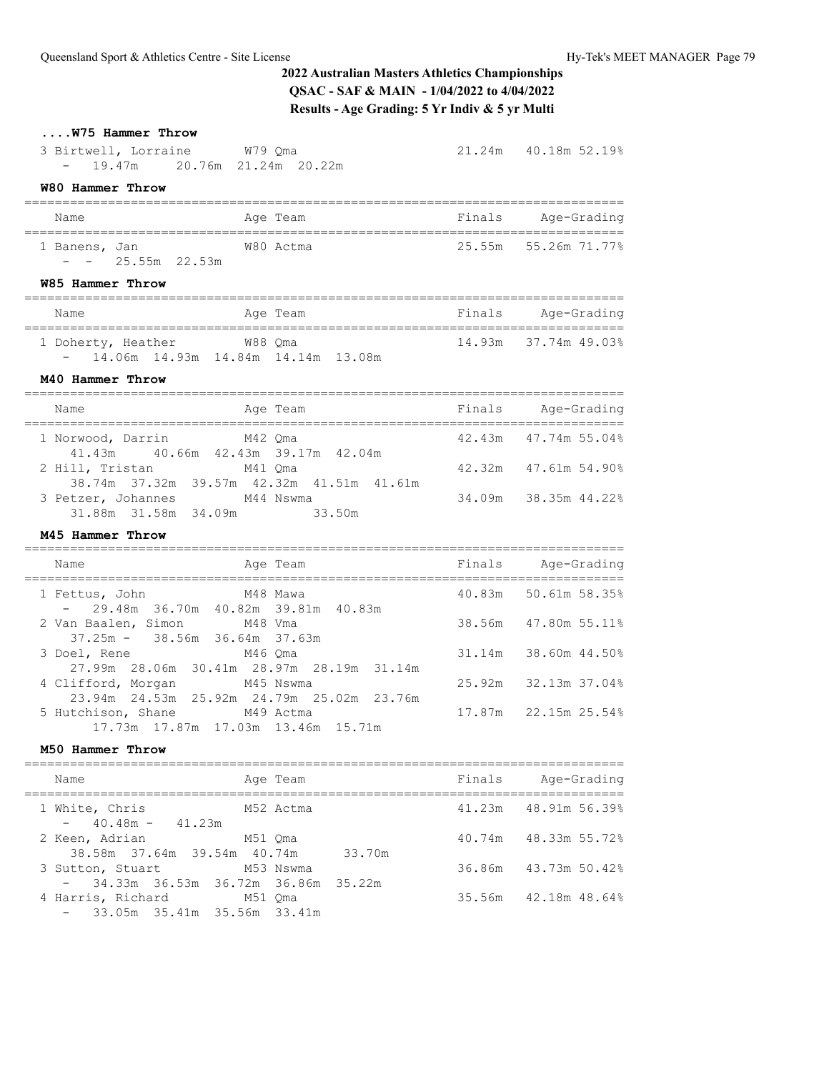# **....W75 Hammer Throw**

| 3 Birtwell, Lorraine          | W79 Oma |  | 21.24m 40.18m 52.19% |  |
|-------------------------------|---------|--|----------------------|--|
| - 19.47m 20.76m 21.24m 20.22m |         |  |                      |  |

# **W80 Hammer Throw**

| Name          |                      |  | Age Team  | Finals | Age-Grading          |
|---------------|----------------------|--|-----------|--------|----------------------|
| 1 Banens, Jan |                      |  | W80 Actma |        | 25.55m 55.26m 71.77% |
|               | $- - 25.55$ m 22.53m |  |           |        |                      |

### **W85 Hammer Throw**

| Name               | Age Team                               | Finals | Age-Grading          |
|--------------------|----------------------------------------|--------|----------------------|
| 1 Doherty, Heather | W88 Oma                                |        | 14.93m 37.74m 49.03% |
|                    | $-$ 14.06m 14.93m 14.84m 14.14m 13.08m |        |                      |

## **M40 Hammer Throw**

| Age Team<br>Name                                                        | Finals | Age-Grading          |
|-------------------------------------------------------------------------|--------|----------------------|
| 1 Norwood, Darrin<br>M42 Oma<br>41.43m 40.66m 42.43m 39.17m 42.04m      |        | 42.43m 47.74m 55.04% |
| 2 Hill, Tristan<br>M41 Oma<br>38.74m 37.32m 39.57m 42.32m 41.51m 41.61m |        | 42.32m 47.61m 54.90% |
| 3 Petzer, Johannes<br>M44 Nswma<br>31.88m 31.58m 34.09m<br>33.50m       |        | 34.09m 38.35m 44.22% |

### **M45 Hammer Throw**

| Name                                                             | Age Team                                               | Finals Age-Grading   |
|------------------------------------------------------------------|--------------------------------------------------------|----------------------|
| 1 Fettus, John M48 Mawa<br>$-29.48m$ 36.70m 40.82m 39.81m 40.83m |                                                        | 40.83m 50.61m 58.35% |
| 2 Van Baalen, Simon M48 Vma                                      |                                                        | 38.56m 47.80m 55.11% |
| $37.25m - 38.56m$ 36.64m 37.63m<br>M46 Oma<br>3 Doel, Rene       |                                                        | 31.14m 38.60m 44.50% |
| 4 Clifford, Morgan                                               | 27.99m 28.06m 30.41m 28.97m 28.19m 31.14m<br>M45 Nswma | 25.92m 32.13m 37.04% |
| 5 Hutchison, Shane M49 Actma                                     | 23.94m 24.53m 25.92m 24.79m 25.02m 23.76m              | 17.87m 22.15m 25.54% |
|                                                                  | 17.73m  17.87m  17.03m  13.46m  15.71m                 |                      |

#### **M50 Hammer Throw**

| Name                                                                 | Age Team  | Finals | Age-Grading          |
|----------------------------------------------------------------------|-----------|--------|----------------------|
| 1 White, Chris<br>$-40.48m - 41.23m$                                 | M52 Actma |        | 41.23m 48.91m 56.39% |
| 2 Keen, Adrian<br>38.58m 37.64m 39.54m 40.74m 33.70m                 | M51 Oma   |        | 40.74m 48.33m 55.72% |
| 3 Sutton, Stuart M53 Nswma<br>$-$ 34.33m 36.53m 36.72m 36.86m 35.22m |           |        | 36.86m 43.73m 50.42% |
| 4 Harris, Richard<br>$-33.05$ m 35.41m 35.56m 33.41m                 | M51 Oma   |        | 35.56m 42.18m 48.64% |
|                                                                      |           |        |                      |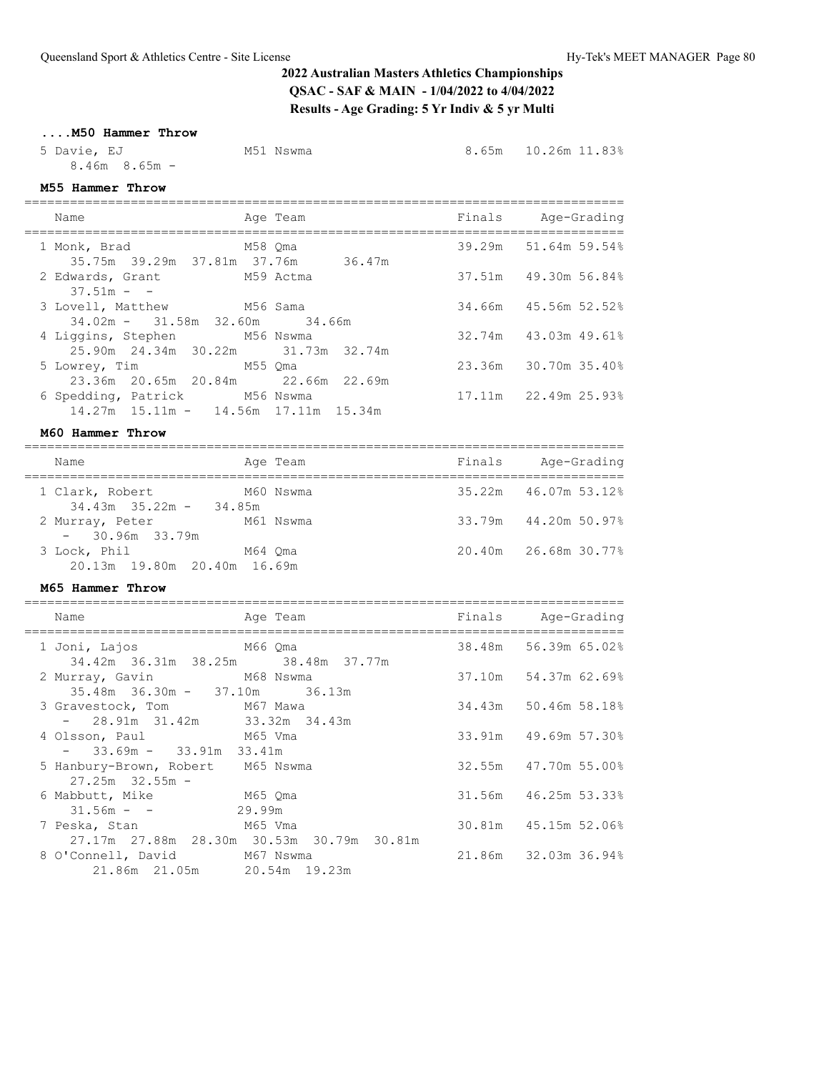## **....M50 Hammer Throw**

5 Davie, EJ M51 Nswma 8.65m 10.26m 11.83% 8.46m 8.65m -

## **M55 Hammer Throw**

| Name                                                                          | Age Team | Finals Age-Grading   |
|-------------------------------------------------------------------------------|----------|----------------------|
| 1 Monk, Brad M58 Qma<br>35.75m 39.29m 37.81m 37.76m 36.47m                    |          | 39.29m 51.64m 59.54% |
| 2 Edwards, Grant M59 Actma<br>$37.51m - -$                                    |          | 37.51m 49.30m 56.84% |
| 3 Lovell, Matthew M56 Sama<br>$34.02m - 31.58m - 32.60m - 34.66m$             |          | 34.66m 45.56m 52.52% |
| 4 Liggins, Stephen M56 Nswma<br>25.90m 24.34m 30.22m 31.73m 32.74m            |          | 32.74m 43.03m 49.61% |
| 5 Lowrey, Tim M55 Oma<br>23.36m 20.65m 20.84m 22.66m 22.69m                   |          | 23.36m 30.70m 35.40% |
| 6 Spedding, Patrick M56 Nswma<br>$14.27m$ $15.11m - 14.56m$ $17.11m$ $15.34m$ |          | 17.11m 22.49m 25.93% |

#### **M60 Hammer Throw**

| Name                                            |         | Age Team  | Finals | Age-Grading          |
|-------------------------------------------------|---------|-----------|--------|----------------------|
| 1 Clark, Robert<br>$34.43m$ $35.22m$ – $34.85m$ |         | M60 Nswma |        | 35.22m 46.07m 53.12% |
| 2 Murray, Peter<br>$-30.96m$ 33.79m             |         | M61 Nswma |        | 33.79m 44.20m 50.97% |
| 3 Lock, Phil<br>20.13m 19.80m 20.40m 16.69m     | M64 Oma |           |        | 20.40m 26.68m 30.77% |

===============================================================================

#### **M65 Hammer Throw**

| Name                                                             | Aqe Team                                       | Finals Age-Grading   |
|------------------------------------------------------------------|------------------------------------------------|----------------------|
| 34.42m 36.31m 38.25m 38.48m 37.77m                               |                                                | 38.48m 56.39m 65.02% |
| 2 Murray, Gavin M68 Nswma<br>$35.48m$ $36.30m - 37.10m$ $36.13m$ |                                                | 37.10m 54.37m 62.69% |
| 3 Gravestock, Tom M67 Mawa<br>$-28.91m$ 31.42m 33.32m 34.43m     |                                                | 34.43m 50.46m 58.18% |
| M65 Vma<br>4 Olsson, Paul<br>$-33.69m - 33.91m 33.41m$           |                                                | 33.91m 49.69m 57.30% |
| 5 Hanbury-Brown, Robert M65 Nswma<br>$27.25m$ $32.55m$ -         |                                                | 32.55m 47.70m 55.00% |
| 6 Mabbutt, Mike M65 Qma<br>$31.56m - -$                          | 29.99m                                         | 31.56m 46.25m 53.33% |
| 7 Peska, Stan M65 Vma                                            | 27.17m  27.88m  28.30m  30.53m  30.79m  30.81m | 30.81m 45.15m 52.06% |
| 8 O'Connell, David<br>21.86m 21.05m 20.54m 19.23m                | M67 Nswma                                      | 21.86m 32.03m 36.94% |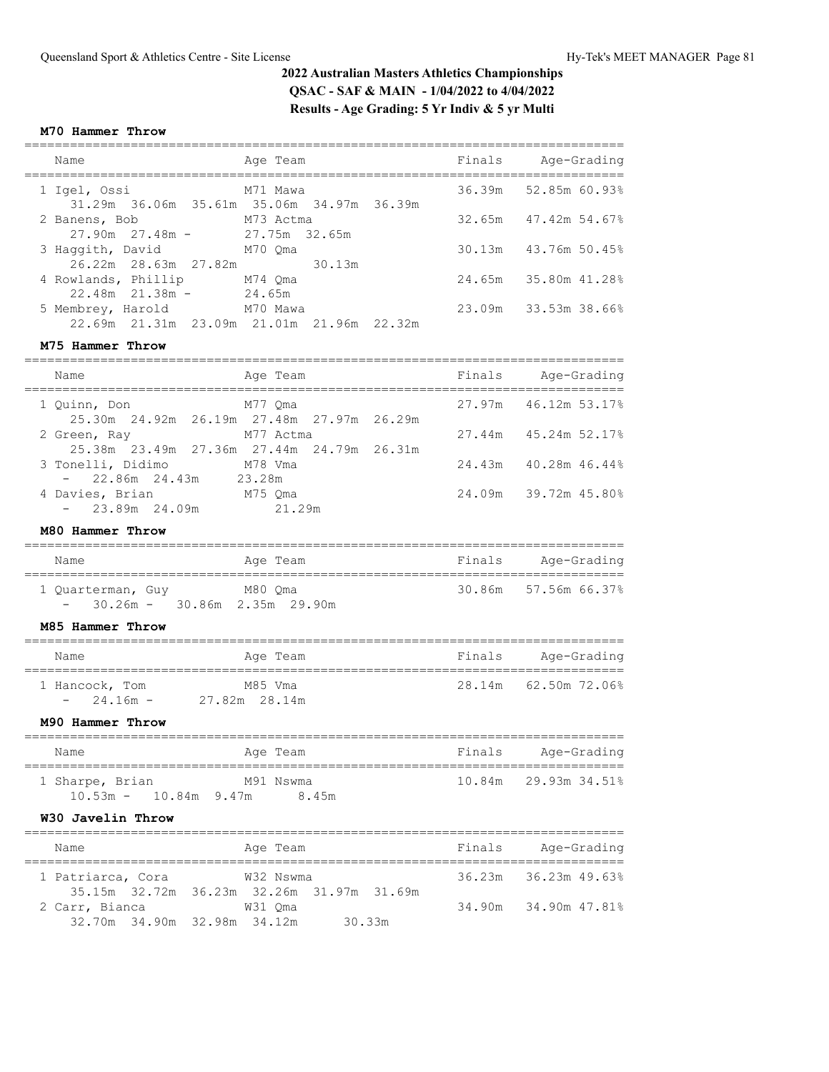### **M70 Hammer Throw**

|  | Name                                                | Age Team                                              | Finals | Age-Grading              |
|--|-----------------------------------------------------|-------------------------------------------------------|--------|--------------------------|
|  | 1 Igel, Ossi                                        | M71 Mawa<br>31.29m 36.06m 35.61m 35.06m 34.97m 36.39m |        | 36.39m 52.85m 60.93%     |
|  | 2 Banens, Bob<br>M73 Actma<br>$27.90m$ $27.48m$ -   | 27.75m 32.65m                                         |        | $32.65m$ $47.42m$ 54.67% |
|  | 3 Haggith, David<br>M70 Oma<br>26.22m 28.63m 27.82m | 30.13m                                                |        | 30.13m 43.76m 50.45%     |
|  | 4 Rowlands, Phillip<br>$22.48m$ $21.38m$ -          | M74 Oma<br>24.65m                                     |        | 24.65m 35.80m 41.28%     |
|  | 5 Membrey, Harold M70 Mawa                          | 22.69m 21.31m 23.09m 21.01m 21.96m 22.32m             |        | 23.09m 33.53m 38.66%     |
|  |                                                     |                                                       |        |                          |

#### **M75 Hammer Throw**

| Name                                         | Age Team                                                  | Finals | Age-Grading            |
|----------------------------------------------|-----------------------------------------------------------|--------|------------------------|
| 1 Ouinn, Don                                 | M77 Oma<br>25.30m  24.92m  26.19m  27.48m  27.97m  26.29m |        | $27.97m$ 46.12m 53.17% |
| 2 Green, Ray                                 | M77 Actma<br>25.38m 23.49m 27.36m 27.44m 24.79m 26.31m    |        | 27.44m 45.24m 52.17%   |
| 3 Tonelli, Didimo<br>$-22.86m$ 24.43m 23.28m | M78 Vma                                                   |        | 24.43m 40.28m 46.44%   |
| 4 Davies, Brian<br>$-23.89m$ 24.09m          | M75 Oma<br>21.29m                                         |        | 24.09m 39.72m 45.80%   |

#### **M80 Hammer Throw**

| Name              | Age Team                        | Finals | Age-Grading          |
|-------------------|---------------------------------|--------|----------------------|
| 1 Quarterman, Guy | M80 Oma                         |        | 30.86m 57.56m 66.37% |
|                   | $-30.26m - 30.86m$ 2.35m 29.90m |        |                      |

### **M85 Hammer Throw**

| Name                          | Age Team                 | Finals<br>Age-Grading |
|-------------------------------|--------------------------|-----------------------|
| 1 Hancock, Tom<br>$-24.16m -$ | M85 Vma<br>27.82m 28.14m | 28.14m 62.50m 72.06%  |

## **M90 Hammer Throw**

| Name                                         | Age Team           | Finals | Age-Grading          |
|----------------------------------------------|--------------------|--------|----------------------|
| 1 Sharpe, Brian<br>$10.53m - 10.84m - 9.47m$ | M91 Nswma<br>8.45m |        | 10.84m 29.93m 34.51% |

### **W30 Javelin Throw**

| Name              |                                           | Age Team  |        | Finals | Age-Grading              |  |
|-------------------|-------------------------------------------|-----------|--------|--------|--------------------------|--|
| 1 Patriarca, Cora |                                           | W32 Nswma |        |        | $36.23m$ $36.23m$ 49.63% |  |
|                   | 35.15m 32.72m 36.23m 32.26m 31.97m 31.69m |           |        |        |                          |  |
| 2 Carr, Bianca    |                                           | W31 Oma   |        |        | 34.90m 34.90m 47.81%     |  |
|                   | 32.70m 34.90m 32.98m 34.12m               |           | 30.33m |        |                          |  |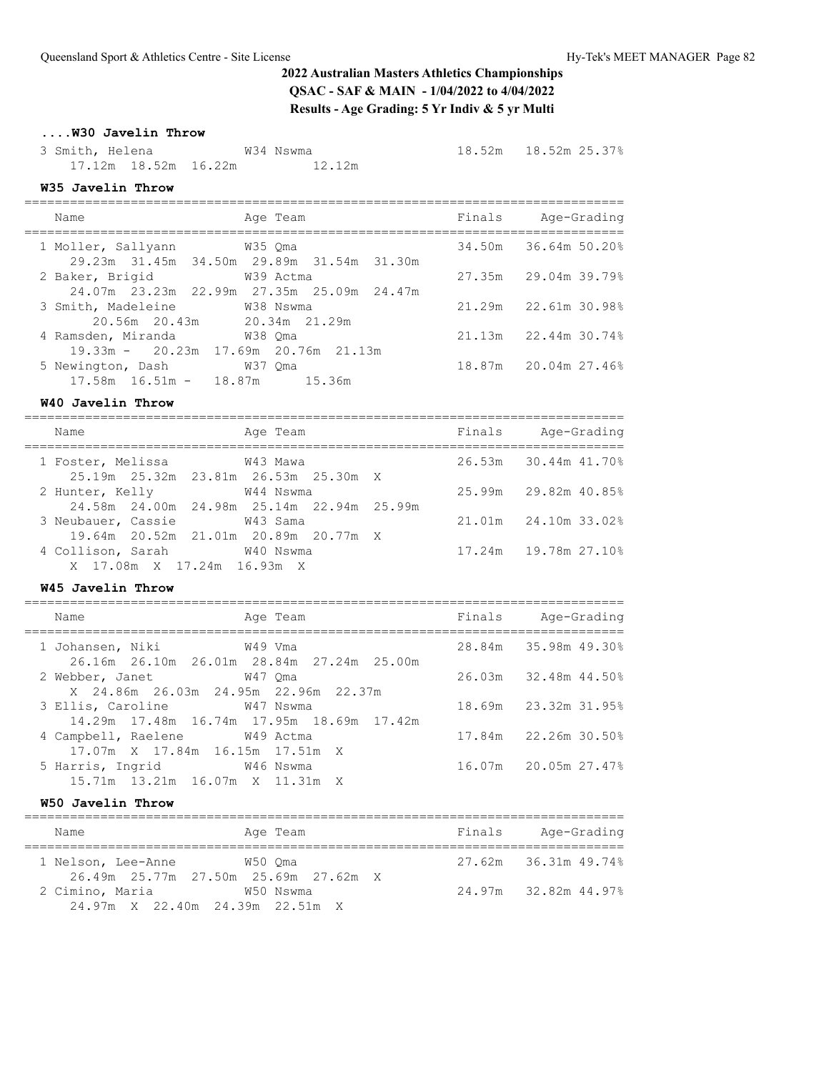# **....W30 Javelin Throw**

 3 Smith, Helena W34 Nswma 18.52m 18.52m 25.37% 17.12m 18.52m 16.22m 12.12m

## **W35 Javelin Throw**

| Name                                                        | Age Team                                               | Finals | Age-Grading              |
|-------------------------------------------------------------|--------------------------------------------------------|--------|--------------------------|
| 1 Moller, Sallyann W35 Qma                                  | 29.23m 31.45m 34.50m 29.89m 31.54m 31.30m              | 34.50m | 36.64m 50.20%            |
| 2 Baker, Brigid                                             | W39 Actma<br>24.07m 23.23m 22.99m 27.35m 25.09m 24.47m | 27.35m | 29.04m 39.79%            |
| 3 Smith, Madeleine M38 Nswma<br>20.56m 20.43m 20.34m 21.29m |                                                        | 21.29m | 22.61m 30.98%            |
| 4 Ramsden, Miranda<br>19.33m - 20.23m 17.69m 20.76m 21.13m  | W38 Oma                                                |        | $21.13m$ $22.44m$ 30.74% |
| 5 Newington, Dash<br>$17.58m$ $16.51m - 18.87m$ $15.36m$    | W37 Oma                                                |        | 18.87m 20.04m 27.46%     |

===============================================================================

#### **W40 Javelin Throw**

| Name                        |  | Age Team                                       |  | Finals | Age-Grading                 |  |
|-----------------------------|--|------------------------------------------------|--|--------|-----------------------------|--|
| 1 Foster, Melissa W43 Mawa  |  |                                                |  |        | 26.53m 30.44m 41.70%        |  |
|                             |  | 25.19m  25.32m  23.81m  26.53m  25.30m  X      |  |        |                             |  |
| 2 Hunter, Kelly             |  | W44 Nswma                                      |  |        | $25.99m$ $29.82m$ 40.85%    |  |
|                             |  | 24.58m  24.00m  24.98m  25.14m  22.94m  25.99m |  |        |                             |  |
| 3 Neubauer, Cassie          |  | W43 Sama                                       |  |        | $21.01m$ $24.10m$ $33.028$  |  |
|                             |  | 19.64m 20.52m 21.01m 20.89m 20.77m X           |  |        |                             |  |
| 4 Collison, Sarah W40 Nswma |  |                                                |  |        | $17.24m$ $19.78m$ $27.10\%$ |  |
|                             |  | X 17.08m X 17.24m 16.93m X                     |  |        |                             |  |

## **W45 Javelin Throw**

| Name                                                             | Age Team                                       | Finals | Aqe-Grading          |
|------------------------------------------------------------------|------------------------------------------------|--------|----------------------|
| 1 Johansen, Niki               W49 Vma                           | 26.16m  26.10m  26.01m  28.84m  27.24m  25.00m |        | 28.84m 35.98m 49.30% |
| 2 Webber, Janet W47 Qma<br>X 24.86m 26.03m 24.95m 22.96m 22.37m  |                                                |        | 26.03m 32.48m 44.50% |
| 3 Ellis, Caroline M47 Nswma                                      | 14.29m  17.48m  16.74m  17.95m  18.69m  17.42m |        | 18.69m 23.32m 31.95% |
| 4 Campbell, Raelene W49 Actma<br>17.07m X 17.84m 16.15m 17.51m X |                                                |        | 17.84m 22.26m 30.50% |
| 5 Harris, Ingrid 6 746 Nswma<br>15.71m 13.21m 16.07m X 11.31m X  |                                                |        | 16.07m 20.05m 27.47% |

## **W50 Javelin Throw**

| Name               | Age Team                                        | Finals | Age-Grading          |
|--------------------|-------------------------------------------------|--------|----------------------|
| 1 Nelson, Lee-Anne | W50 Oma<br>26.49m 25.77m 27.50m 25.69m 27.62m X |        | 27.62m 36.31m 49.74% |
| 2 Cimino, Maria    | W50 Nswma<br>24.97m X 22.40m 24.39m 22.51m X    |        | 24.97m 32.82m 44.97% |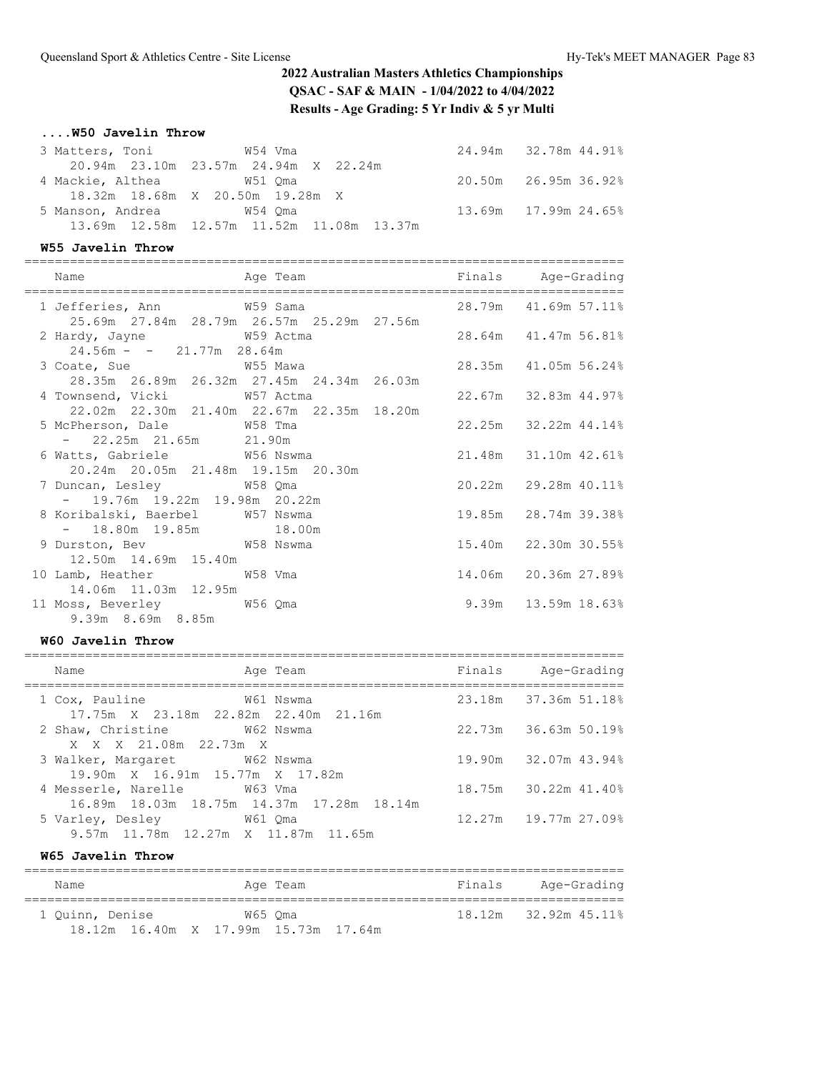# **....W50 Javelin Throw**

| 3 Matters, Toni 654 Vma         |                                           | 24.94m 32.78m 44.91%        |
|---------------------------------|-------------------------------------------|-----------------------------|
|                                 | 20.94m 23.10m 23.57m 24.94m X 22.24m      |                             |
| 4 Mackie, Althea 67 671 Oma     |                                           | $20.50m$ $26.95m$ $36.92\%$ |
|                                 | 18.32m 18.68m X 20.50m 19.28m X           |                             |
| 5 Manson, Andrea 67 67 67 70 68 |                                           | 13.69m 17.99m 24.65%        |
|                                 | 13.69m 12.58m 12.57m 11.52m 11.08m 13.37m |                             |

## **W55 Javelin Throw**

| Name                                                                | Finals Age-Grading<br>Age Team                                         |                           |
|---------------------------------------------------------------------|------------------------------------------------------------------------|---------------------------|
|                                                                     | 1 Jefferies, Ann M59 Sama<br>25.69m 27.84m 28.79m 26.57m 25.29m 27.56m | 28.79m 41.69m 57.11%      |
| 2 Hardy, Jayne W59 Actma<br>$24.56m - - 21.77m$ 28.64m              | 28.64m 41.47m 56.81%                                                   |                           |
| 3 Coate, Sue M55 Mawa                                               | 28.35m 26.89m 26.32m 27.45m 24.34m 26.03m                              | 28.35m 41.05m 56.24%      |
| 4 Townsend, Vicki W57 Actma                                         | 22.02m  22.30m  21.40m  22.67m  22.35m  18.20m                         | 22.67m 32.83m 44.97%      |
| 5 McPherson, Dale 67 M58 Tma<br>$-$ 22.25m 21.65m 21.90m            |                                                                        | 22.25m 32.22m 44.14%      |
| 6 Watts, Gabriele 6 756 Nswma<br>20.24m 20.05m 21.48m 19.15m 20.30m |                                                                        | 21.48m 31.10m 42.61%      |
| 7 Duncan, Lesley 678 Qma<br>$-$ 19.76m 19.22m 19.98m 20.22m         |                                                                        | 20.22m 29.28m 40.11%      |
| 8 Koribalski, Baerbel W57 Nswma<br>$-$ 18.80m 19.85m 18.00m         |                                                                        | 19.85m 28.74m 39.38%      |
| 9 Durston, Bev W58 Nswma<br>12.50m  14.69m  15.40m                  |                                                                        | 15.40m 22.30m 30.55%      |
| 10 Lamb, Heather 6758 Vma                                           |                                                                        | 14.06m 20.36m 27.89%      |
| 11 Moss, Beverley 656 Qma<br>9.39m 8.69m 8.85m                      |                                                                        | $9.39m$ $13.59m$ $18.63%$ |

# **W60 Javelin Throw**

| Name                                                            | Age Team                                          | Finals | Age-Grading          |
|-----------------------------------------------------------------|---------------------------------------------------|--------|----------------------|
| 1 Cox, Pauline                                                  | W61 Nswma<br>17.75m X 23.18m 22.82m 22.40m 21.16m |        | 23.18m 37.36m 51.18% |
| 2 Shaw, Christine M62 Nswma<br>X X X 21.08m 22.73m X            |                                                   |        | 22.73m 36.63m 50.19% |
| 3 Walker, Margaret M62 Nswma<br>19.90m X 16.91m 15.77m X 17.82m |                                                   |        | 19.90m 32.07m 43.94% |
| 4 Messerle, Narelle M63 Vma                                     | 16.89m  18.03m  18.75m  14.37m  17.28m  18.14m    |        | 18.75m 30.22m 41.40% |
| 5 Varley, Desley 61 Oma                                         | 9.57m 11.78m 12.27m X 11.87m 11.65m               |        | 12.27m 19.77m 27.09% |

## **W65 Javelin Throw**

| Name            | Age Team                             | Finals | Age-Grading          |
|-----------------|--------------------------------------|--------|----------------------|
| 1 Ouinn, Denise | W65 Oma                              |        | 18.12m 32.92m 45.11% |
|                 | 18.12m 16.40m X 17.99m 15.73m 17.64m |        |                      |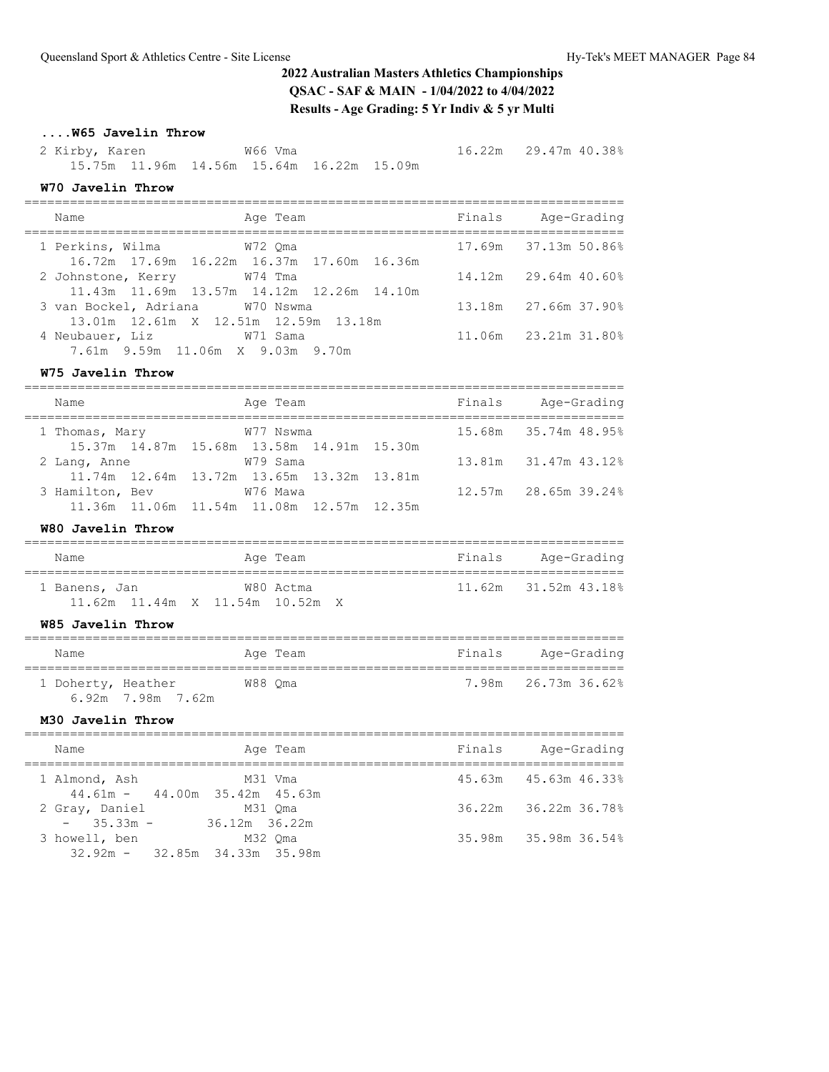# **....W65 Javelin Throw**

 2 Kirby, Karen W66 Vma 16.22m 29.47m 40.38% 15.75m 11.96m 14.56m 15.64m 16.22m 15.09m

#### **W70 Javelin Throw**

| Name                                 | Age Team                                  | Finals | Age-Grading            |
|--------------------------------------|-------------------------------------------|--------|------------------------|
|                                      |                                           |        |                        |
| 1 Perkins, Wilma                     | W72 Oma                                   |        | 17.69m 37.13m 50.86%   |
|                                      | 16.72m 17.69m 16.22m 16.37m 17.60m 16.36m |        |                        |
| 2 Johnstone, Kerry<br>W74 Tma        |                                           |        | $14.12m$ 29.64m 40.60% |
|                                      | 11.43m 11.69m 13.57m 14.12m 12.26m 14.10m |        |                        |
| 3 van Bockel, Adriana M70 Nswma      |                                           |        | 13.18m 27.66m 37.90%   |
| 13.01m 12.61m X 12.51m 12.59m 13.18m |                                           |        |                        |
| 4 Neubauer, Liz 671 Sama             |                                           |        | 11.06m 23.21m 31.80%   |
| 7.61m 9.59m 11.06m X 9.03m 9.70m     |                                           |        |                        |

### **W75 Javelin Throw**

| Name            |  | Age Team                                  |  | Finals | Age-Grading          |
|-----------------|--|-------------------------------------------|--|--------|----------------------|
| 1 Thomas, Mary  |  | W77 Nswma                                 |  |        | 15.68m 35.74m 48.95% |
|                 |  | 15.37m 14.87m 15.68m 13.58m 14.91m 15.30m |  |        |                      |
| 2 Lang, Anne    |  | W79 Sama                                  |  |        | 13.81m 31.47m 43.12% |
|                 |  | 11.74m 12.64m 13.72m 13.65m 13.32m 13.81m |  |        |                      |
| 3 Hamilton, Bev |  | W76 Mawa                                  |  |        | 12.57m 28.65m 39.24% |
|                 |  | 11.36m 11.06m 11.54m 11.08m 12.57m 12.35m |  |        |                      |

### **W80 Javelin Throw**

| Name                                             |  | Age Team  |  | Finals               | Age-Grading |  |
|--------------------------------------------------|--|-----------|--|----------------------|-------------|--|
| 1 Banens, Jan<br>11.62m 11.44m X 11.54m 10.52m X |  | W80 Actma |  | 11.62m 31.52m 43.18% |             |  |

### **W85 Javelin Throw**

| Name               |                   | Age Team | Finals | Age-Grading         |
|--------------------|-------------------|----------|--------|---------------------|
| 1 Doherty, Heather | 6.92m 7.98m 7.62m | W88 Oma  |        | 7.98m 26.73m 36.62% |

## **M30 Javelin Throw**

| Name                                             | Age Team                 | Finals | Age-Grading          |  |
|--------------------------------------------------|--------------------------|--------|----------------------|--|
| 1 Almond, Ash<br>$44.61m - 44.00m$ 35.42m 45.63m | M31 Vma                  |        | 45.63m 45.63m 46.33% |  |
| 2 Gray, Daniel<br>$-35.33m -$                    | M31 Oma<br>36.12m 36.22m |        | 36.22m 36.22m 36.78% |  |
| 3 howell, ben<br>$32.92m - 32.85m 34.33m 35.98m$ | M32 Oma                  |        | 35.98m 35.98m 36.54% |  |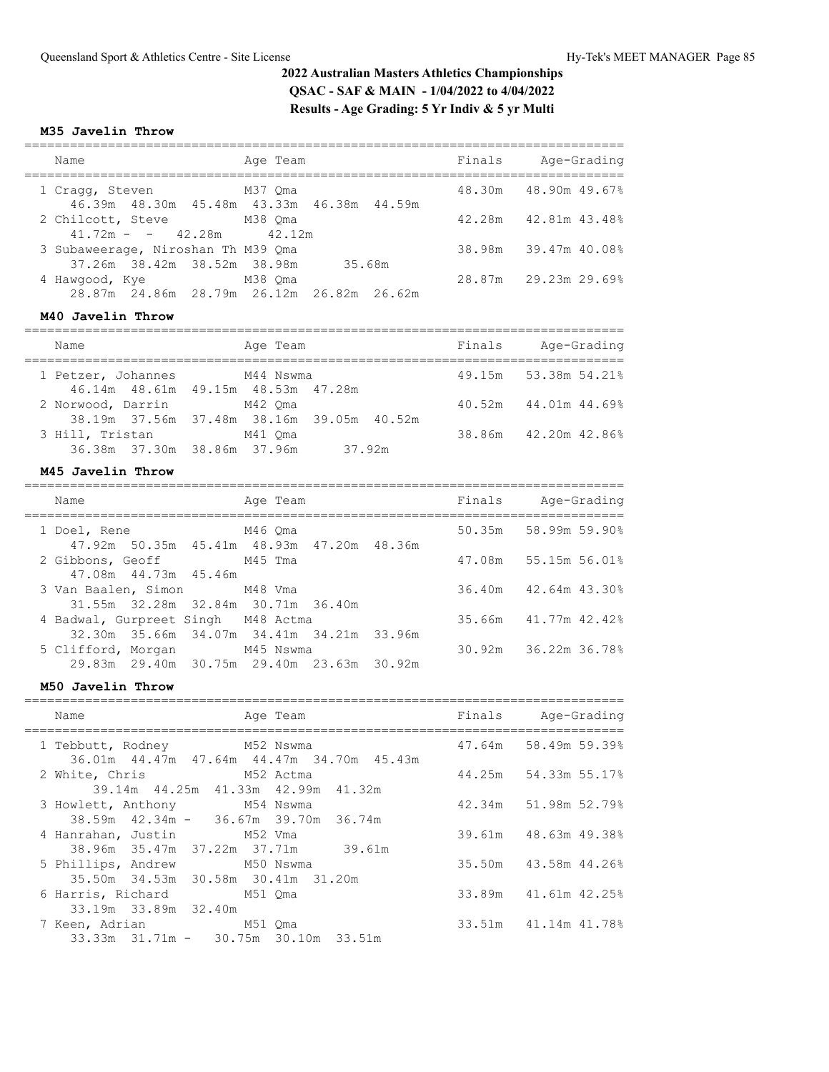## **M35 Javelin Throw**

| Name                                                              | Age Team                                                  | Finals | Age-Grading          |
|-------------------------------------------------------------------|-----------------------------------------------------------|--------|----------------------|
| 1 Cragg, Steven                                                   | M37 Oma<br>46.39m 48.30m 45.48m 43.33m 46.38m 44.59m      |        | 48.30m 48.90m 49.67% |
| 2 Chilcott, Steve M38 Oma<br>$41.72m - 42.28m$ $42.12m$           |                                                           | 42.28m | 42.81m 43.48%        |
| 3 Subaweerage, Niroshan Th M39 Oma<br>37.26m 38.42m 38.52m 38.98m | 35.68m                                                    |        | 38.98m 39.47m 40.08% |
| 4 Hawgood, Kye                                                    | M38 Qma<br>28.87m  24.86m  28.79m  26.12m  26.82m  26.62m |        | 28.87m 29.23m 29.69% |

### **M40 Javelin Throw**

| Name                         | Age Team                                  |        | Finals | Age-Grading          |
|------------------------------|-------------------------------------------|--------|--------|----------------------|
| 1 Petzer, Johannes M44 Nswma |                                           |        |        | 49.15m 53.38m 54.21% |
|                              | 46.14m 48.61m 49.15m 48.53m 47.28m        |        |        |                      |
| 2 Norwood, Darrin            | M42 Oma                                   |        |        | 40.52m 44.01m 44.69% |
|                              | 38.19m 37.56m 37.48m 38.16m 39.05m 40.52m |        |        |                      |
| 3 Hill, Tristan              | M41 Oma                                   |        |        | 38.86m 42.20m 42.86% |
|                              | 36.38m 37.30m 38.86m 37.96m               | 37.92m |        |                      |

### **M45 Javelin Throw**

| Name                                                                     | Age Team  | Finals | Age-Grading          |
|--------------------------------------------------------------------------|-----------|--------|----------------------|
| M46 Oma<br>1 Doel, Rene<br>47.92m 50.35m 45.41m 48.93m 47.20m 48.36m     |           |        | 50.35m 58.99m 59.90% |
| 2 Gibbons, Geoff M45 Tma                                                 |           |        | 47.08m 55.15m 56.01% |
| 47.08m  44.73m  45.46m<br>3 Van Baalen, Simon M48 Vma                    |           |        | 36.40m 42.64m 43.30% |
| 31.55m 32.28m 32.84m 30.71m 36.40m<br>4 Badwal, Gurpreet Singh M48 Actma |           |        | 35.66m 41.77m 42.42% |
| 32.30m 35.66m 34.07m 34.41m 34.21m 33.96m<br>5 Clifford, Morgan          | M45 Nswma |        | 30.92m 36.22m 36.78% |
| 29.83m 29.40m 30.75m 29.40m 23.63m 30.92m                                |           |        |                      |

### **M50 Javelin Throw**

| Name | Age Team                                                                      | Finals Age-Grading   |
|------|-------------------------------------------------------------------------------|----------------------|
|      | 1 Tebbutt, Rodney M52 Nswma<br>36.01m  44.47m  47.64m  44.47m  34.70m  45.43m | 47.64m 58.49m 59.39% |
|      | 2 White, Chris M52 Actma<br>39.14m 44.25m 41.33m 42.99m 41.32m                | 44.25m 54.33m 55.17% |
|      | 3 Howlett, Anthony M54 Nswma                                                  | 42.34m 51.98m 52.79% |
|      | $38.59m$ $42.34m$ - $36.67m$ $39.70m$ $36.74m$<br>4 Hanrahan, Justin M52 Vma  | 39.61m 48.63m 49.38% |
|      | 38.96m 35.47m 37.22m 37.71m 39.61m<br>5 Phillips, Andrew M50 Nswma            | 35.50m 43.58m 44.26% |
|      | 35.50m 34.53m 30.58m 30.41m 31.20m<br>6 Harris, Richard M51 Qma               | 33.89m 41.61m 42.25% |
|      | 33.19m 33.89m 32.40m                                                          |                      |
|      | 7 Keen, Adrian M51 Oma<br>33.33m 31.71m - 30.75m 30.10m 33.51m                | 33.51m 41.14m 41.78% |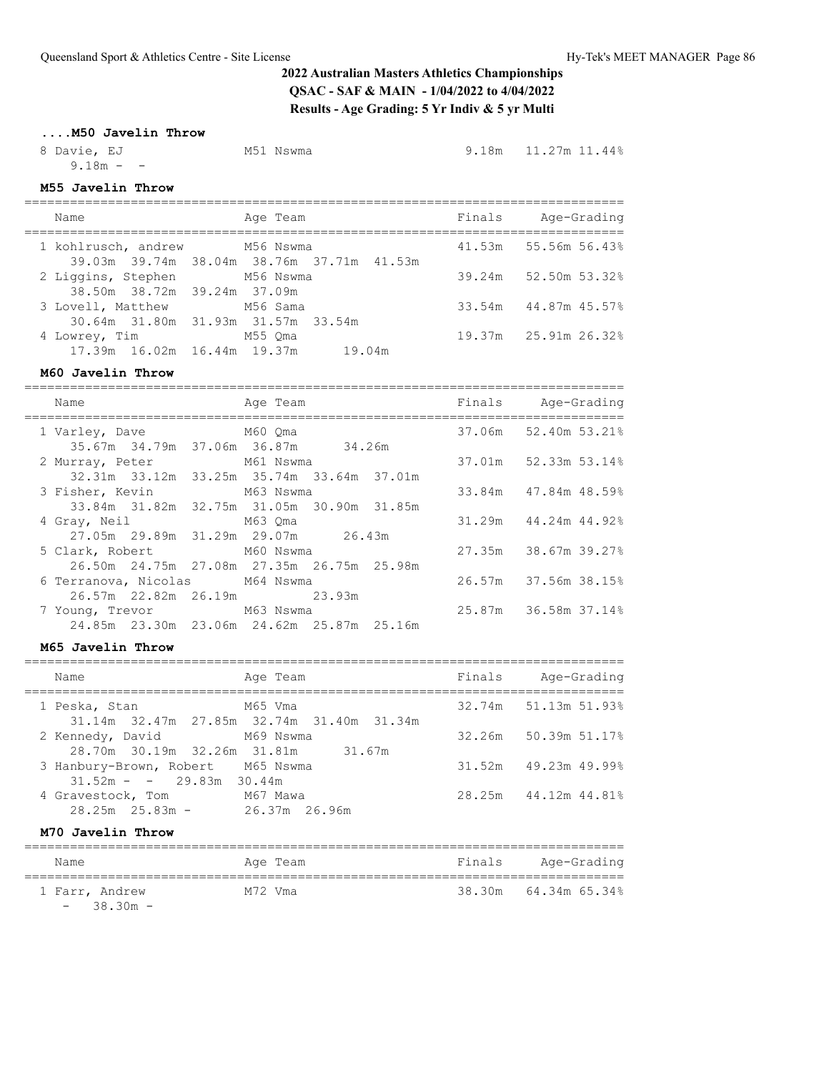## **....M50 Javelin Throw**

| 8 Davie, EJ | M51 Nswma | $9.18m$ $11.27m$ $11.44\%$ |
|-------------|-----------|----------------------------|
| $9.18m - -$ |           |                            |

# **M55 Javelin Throw**

| Name                                                        | Age Team                                  | Finals | Age-Grading          |
|-------------------------------------------------------------|-------------------------------------------|--------|----------------------|
| 1 kohlrusch, andrew M56 Nswma                               | 39.03m 39.74m 38.04m 38.76m 37.71m 41.53m |        | 41.53m 55.56m 56.43% |
| 2 Liggins, Stephen M56 Nswma<br>38.50m 38.72m 39.24m 37.09m |                                           |        | 39.24m 52.50m 53.32% |
| 3 Lovell, Matthew M56 Sama                                  | 30.64m 31.80m 31.93m 31.57m 33.54m        |        | 33.54m 44.87m 45.57% |
| 4 Lowrey, Tim<br>17.39m 16.02m 16.44m 19.37m                | M55 Oma<br>19.04m                         |        | 19.37m 25.91m 26.32% |

# **M60 Javelin Throw**

|  | Name                           |  | Age Team                                       |  | Finals Age-Grading         |
|--|--------------------------------|--|------------------------------------------------|--|----------------------------|
|  | 1 Varley, Dave M60 Qma         |  |                                                |  | 37.06m 52.40m 53.21%       |
|  |                                |  | 35.67m 34.79m 37.06m 36.87m 34.26m             |  |                            |
|  | 2 Murray, Peter M61 Nswma      |  |                                                |  | 37.01m 52.33m 53.14%       |
|  |                                |  | 32.31m 33.12m 33.25m 35.74m 33.64m 37.01m      |  |                            |
|  | 3 Fisher, Kevin M63 Nswma      |  |                                                |  | 33.84m 47.84m 48.59%       |
|  |                                |  | 33.84m 31.82m 32.75m 31.05m 30.90m 31.85m      |  |                            |
|  | 4 Gray, Neil M63 Qma           |  |                                                |  | $31.29m$ $44.24m$ $44.928$ |
|  |                                |  | 27.05m 29.89m 31.29m 29.07m 26.43m             |  |                            |
|  | 5 Clark, Robert M60 Nswma      |  |                                                |  | 27.35m 38.67m 39.27%       |
|  |                                |  | 26.50m  24.75m  27.08m  27.35m  26.75m  25.98m |  |                            |
|  | 6 Terranova, Nicolas M64 Nswma |  |                                                |  | 26.57m 37.56m 38.15%       |
|  |                                |  | 26.57m 22.82m 26.19m 23.93m                    |  |                            |
|  | 7 Young, Trevor M63 Nswma      |  |                                                |  | 25.87m 36.58m 37.14%       |
|  |                                |  | 24.85m 23.30m 23.06m 24.62m 25.87m 25.16m      |  |                            |
|  |                                |  |                                                |  |                            |

### **M65 Javelin Throw**

| Name                                                   | Age Team                                             | Finals | Age-Grading                |
|--------------------------------------------------------|------------------------------------------------------|--------|----------------------------|
| 1 Peska, Stan                                          | M65 Vma<br>31.14m 32.47m 27.85m 32.74m 31.40m 31.34m |        | 32.74m 51.13m 51.93%       |
| 2 Kennedy, David<br>28.70m 30.19m 32.26m 31.81m 31.67m | M69 Nswma                                            |        | 32.26m 50.39m 51.17%       |
| 3 Hanbury-Brown, Robert<br>$31.52m - - 29.83m$ 30.44m  | M65 Nswma                                            |        | $31.52m$ $49.23m$ $49.998$ |
| 4 Gravestock, Tom<br>$28.25m$ $25.83m$ -               | M67 Mawa<br>26.37m 26.96m                            |        | 28.25m 44.12m 44.81%       |

## **M70 Javelin Throw**

| Name                          | Age Team | Finals | Age-Grading          |
|-------------------------------|----------|--------|----------------------|
| 1 Farr, Andrew<br>$-38.30m -$ | M72 Vma  |        | 38.30m 64.34m 65.34% |

===============================================================================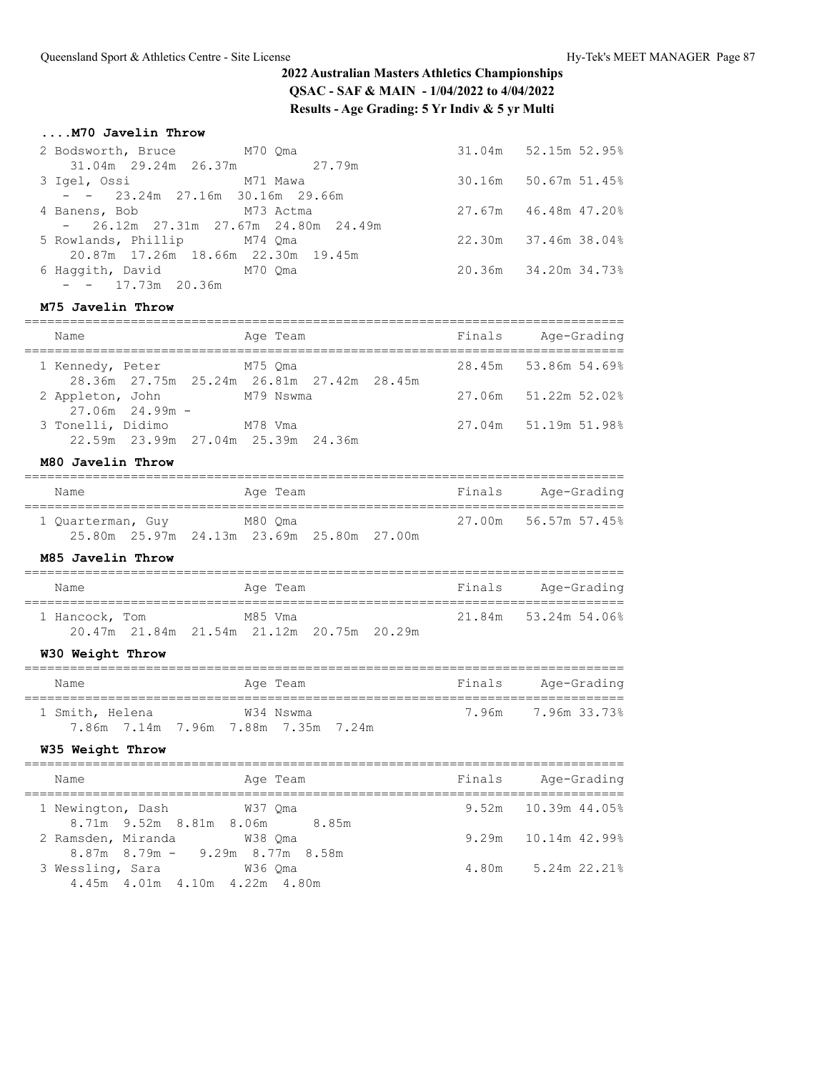## **....M70 Javelin Throw**

| 2 Bodsworth, Bruce M70 Qma  |                                       | 31.04m 52.15m 52.95%        |
|-----------------------------|---------------------------------------|-----------------------------|
|                             | 31.04m 29.24m 26.37m 27.79m           |                             |
|                             |                                       | 30.16m 50.67m 51.45%        |
|                             | $ -$ 23.24m 27.16m 30.16m 29.66m      |                             |
| 4 Banens, Bob M73 Actma     |                                       | $27.67m$ $46.48m$ $47.20\%$ |
|                             | $-26.12m$ 27.31m 27.67m 24.80m 24.49m |                             |
| 5 Rowlands, Phillip M74 Qma |                                       | 22.30m 37.46m 38.04%        |
|                             | 20.87m 17.26m 18.66m 22.30m 19.45m    |                             |
| 6 Haqqith, David M70 Qma    |                                       | 20.36m 34.20m 34.73%        |
| $- - 17.73m$ 20.36m         |                                       |                             |

## **M75 Javelin Throw**

| Name                                   | Age Team                                               | Finals | Age-Grading          |
|----------------------------------------|--------------------------------------------------------|--------|----------------------|
| 1 Kennedy, Peter                       | M75 Oma                                                |        | 28.45m 53.86m 54.69% |
| 2 Appleton, John                       | 28.36m 27.75m 25.24m 26.81m 27.42m 28.45m<br>M79 Nswma |        | 27.06m 51.22m 52.02% |
| $27.06m$ 24.99m -<br>3 Tonelli, Didimo | M78 Vma                                                |        | 27.04m 51.19m 51.98% |
|                                        | 22.59m 23.99m 27.04m 25.39m 24.36m                     |        |                      |

# **M80 Javelin Throw**

| Name              |                                           | Age Team |  | Finals | Age-Grading          |
|-------------------|-------------------------------------------|----------|--|--------|----------------------|
| 1 Ouarterman, Guy |                                           | M80 Oma  |  |        | 27.00m 56.57m 57.45% |
|                   | 25.80m 25.97m 24.13m 23.69m 25.80m 27.00m |          |  |        |                      |

#### **M85 Javelin Throw**

| Name           |                                           | Age Team |  | Finals | Age-Grading          |
|----------------|-------------------------------------------|----------|--|--------|----------------------|
| 1 Hancock, Tom |                                           | M85 Vma  |  |        | 21.84m 53.24m 54.06% |
|                | 20.47m 21.84m 21.54m 21.12m 20.75m 20.29m |          |  |        |                      |

# **W30 Weight Throw**

| Name            | Age Team                                         | Finals | Age-Grading        |
|-----------------|--------------------------------------------------|--------|--------------------|
| 1 Smith, Helena | W34 Nswma<br>7.86m 7.14m 7.96m 7.88m 7.35m 7.24m |        | 7.96m 7.96m 33.73% |

#### **W35 Weight Throw**

| Name                                     | Age Team | Finals | Age-Grading           |
|------------------------------------------|----------|--------|-----------------------|
| 1 Newington, Dash W37 Qma                |          |        | 9.52m 10.39m 44.05%   |
| 8.71m 9.52m 8.81m 8.06m 8.85m            |          |        |                       |
| 2 Ramsden, Miranda                       | W38 Oma  |        | $9.29m$ 10.14m 42.99% |
| $8.87m$ $8.79m$ $ 9.29m$ $8.77m$ $8.58m$ |          |        |                       |
| 3 Wessling, Sara                         | W36 Oma  | 4.80m  | 5.24m 22.21%          |
| 4.45m 4.01m 4.10m 4.22m 4.80m            |          |        |                       |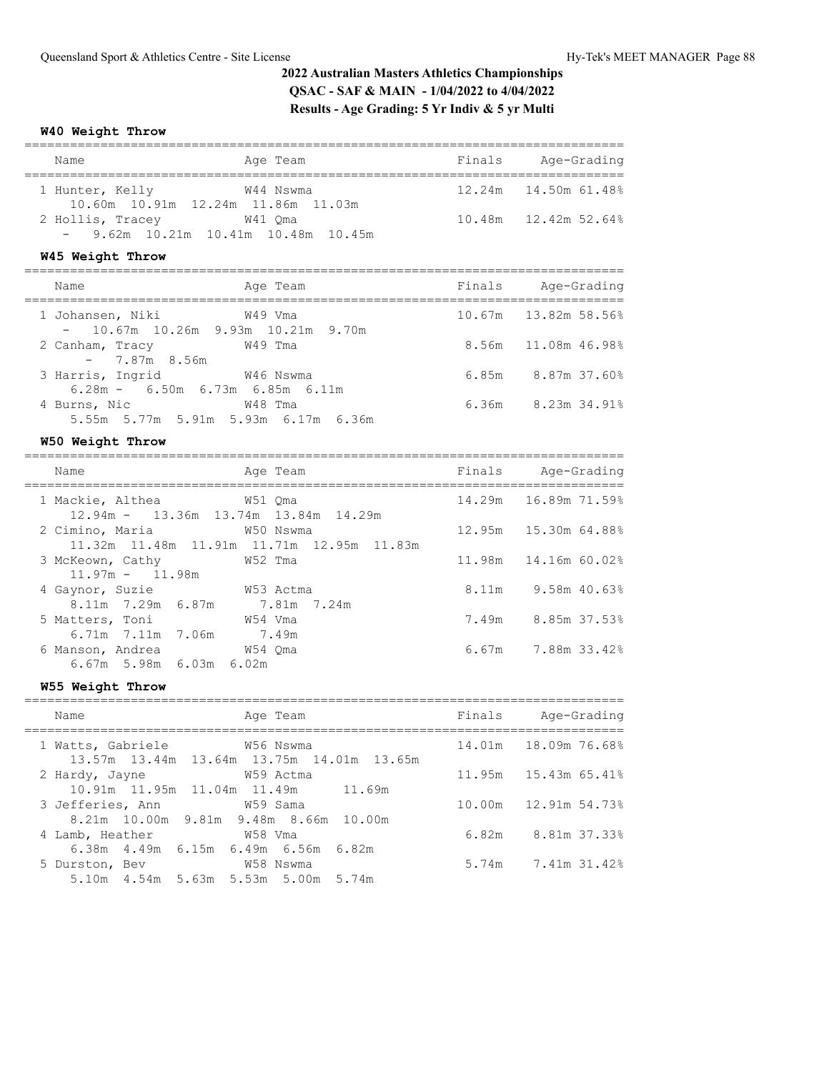#### **W40 Weight Throw**

| Name                                                                                  | Age Team                                               |        | Finals Age-Grading     |
|---------------------------------------------------------------------------------------|--------------------------------------------------------|--------|------------------------|
| 1 Hunter, Kelly W44 Nswma<br>10.60m  10.91m  12.24m  11.86m  11.03m                   |                                                        |        | 12.24m  14.50m  61.48% |
| 2 Hollis, Tracey W41 Qma<br>$-$ 9.62m 10.21m 10.41m 10.48m 10.45m                     |                                                        |        | 10.48m  12.42m  52.64% |
| W45 Weight Throw                                                                      |                                                        |        |                        |
| Name                                                                                  | Age Team                                               | Finals | Age-Grading            |
| 1 Johansen, Niki<br>10.67m  10.26m  9.93m  10.21m  9.70m<br>$\sim 10^{-10}$ m $^{-1}$ | W49 Vma                                                |        | 10.67m 13.82m 58.56%   |
| 2 Canham, Tracy W49 Tma<br>$-7.87m$ 8.56m                                             |                                                        |        | 8.56m 11.08m 46.98%    |
| 3 Harris, Ingrid W46 Nswma<br>$6.28m - 6.50m 6.73m 6.85m 6.11m$                       |                                                        |        | 6.85m 8.87m 37.60%     |
| 4 Burns, Nic W48 Tma<br>5.55m 5.77m 5.91m 5.93m 6.17m 6.36m                           |                                                        |        | 6.36m 8.23m 34.91%     |
| W50 Weight Throw                                                                      |                                                        |        |                        |
| Name                                                                                  | Age Team                                               |        | Finals Age-Grading     |
| 1 Mackie, Althea<br>12.94m - 13.36m 13.74m 13.84m 14.29m                              | W51 Qma                                                |        | 14.29m  16.89m  71.59% |
| 2 Cimino, Maria                                                                       | W50 Nswma<br>11.32m 11.48m 11.91m 11.71m 12.95m 11.83m | 12.95m | 15.30m 64.88%          |
| 3 McKeown, Cathy 652 Tma<br>$11.97m - 11.98m$                                         |                                                        | 11.98m | 14.16m 60.02%          |
| 4 Gaynor, Suzie M53 Actma<br>8.11m 7.29m 6.87m 7.81m 7.24m                            |                                                        |        | 8.11m 9.58m 40.63%     |
| 5 Matters, Toni                                                                       | W54 Vma                                                |        | 7.49m 8.85m 37.53%     |
| 6.71m $7.11m$ 7.06m $7.49m$<br>6 Manson, Andrea<br>6.67m 5.98m 6.03m 6.02m            | W54 Qma                                                |        | 6.67m 7.88m 33.42%     |
| W55 Weight Throw                                                                      |                                                        |        |                        |
| Name<br>------------------------------------                                          | Age Team                                               |        | Finals Age-Grading     |
| 1 Watts, Gabriele M56 Nswma                                                           | 13.57m 13.44m 13.64m 13.75m 14.01m 13.65m              |        | 14.01m  18.09m  76.68% |

2 Hardy, Jayne W59 Actma 11.95m 15.43m 65.41%

3 Jefferies, Ann W59 Sama 10.00m 12.91m 54.73%

4 Lamb, Heather W58 Vma 6.82m 8.81m 37.33%

W58 Nswma 5.74m 7.41m 31.42%

10.91m 11.95m 11.04m 11.49m 11.69m

8.21m 10.00m 9.81m 9.48m 8.66m 10.00m

6.38m 4.49m 6.15m 6.49m 6.56m 6.82m

5.10m 4.54m 5.63m 5.53m 5.00m 5.74m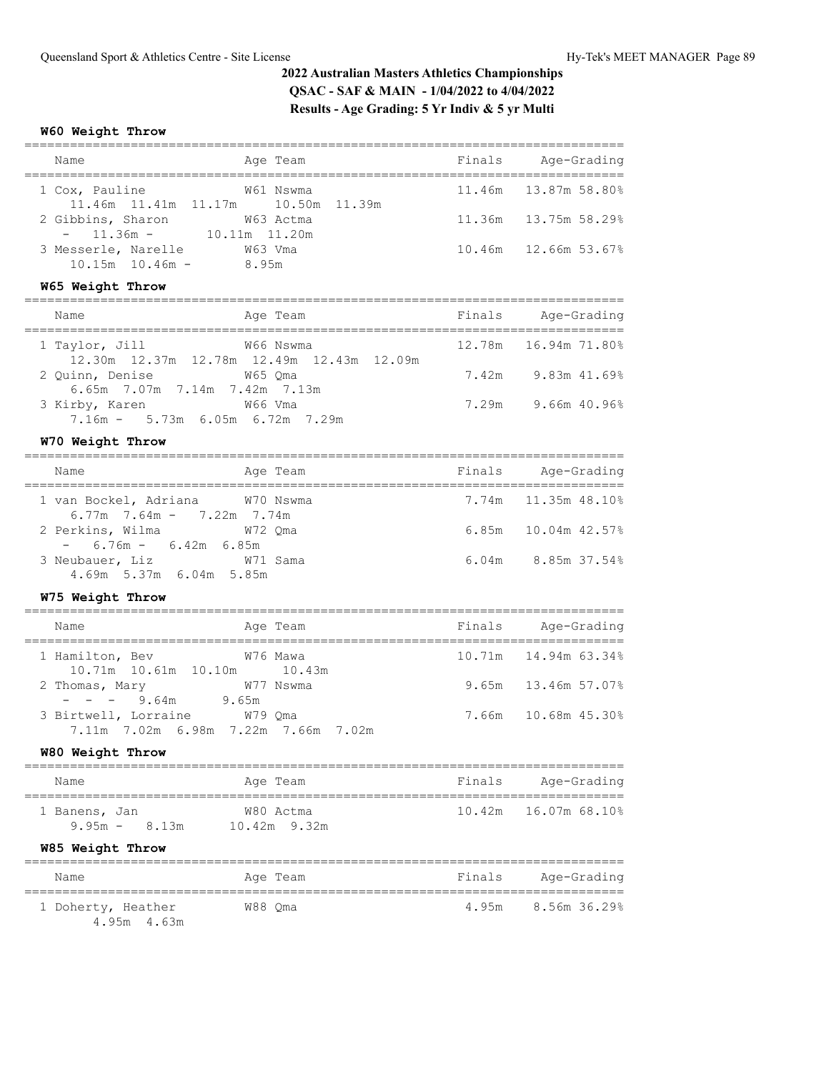# **W60 Weight Throw**

| Name                                                                                 | Age Team                                                    |        | Finals Age-Grading                                           |
|--------------------------------------------------------------------------------------|-------------------------------------------------------------|--------|--------------------------------------------------------------|
| 1 Cox, Pauline                                                                       | W61 Nswma                                                   |        | 11.46m 13.87m 58.80%                                         |
| 2 Gibbins, Sharon<br>$-$ 11.36m $-$ 10.11m 11.20m                                    | 11.46m  11.41m  11.17m  10.50m  11.39m<br>W63 Actma         |        | 11.36m 13.75m 58.29%                                         |
| 3 Messerle, Narelle M63 Vma<br>$10.15m$ $10.46m$ - 8.95m                             |                                                             |        | 10.46m  12.66m  53.67%                                       |
| W65 Weight Throw                                                                     |                                                             |        |                                                              |
| Name                                                                                 | Age Team                                                    | Finals | Age-Grading                                                  |
| 1 Taylor, Jill                                                                       | W66 Nswma<br>12.30m  12.37m  12.78m  12.49m  12.43m  12.09m |        | 12.78m   16.94m   71.80%                                     |
| 2 Quinn, Denise<br>6.65m 7.07m 7.14m 7.42m 7.13m                                     | W65 Qma                                                     |        | 7.42m 9.83m 41.69%                                           |
| 3 Kirby, Karen M66 Vma<br>7.16m - 5.73m 6.05m 6.72m 7.29m                            |                                                             |        | 7.29m 9.66m 40.96%                                           |
| W70 Weight Throw                                                                     |                                                             |        |                                                              |
| Name                                                                                 | Age Team                                                    |        | Finals Age-Grading                                           |
| 1 van Bockel, Adriana W70 Nswma                                                      |                                                             |        | 7.74m 11.35m 48.10%                                          |
| $6.77m$ 7.64m - 7.22m 7.74m<br>2 Perkins, Wilma W72 Qma                              |                                                             |        | 6.85m 10.04m 42.57%                                          |
| $-6.76m - 6.42m 6.85m$<br>3 Neubauer, Liz W71 Sama<br>4.69m 5.37m 6.04m 5.85m        |                                                             |        | 6.04m 8.85m 37.54%                                           |
| W75 Weight Throw                                                                     |                                                             |        |                                                              |
| Name                                                                                 | Age Team                                                    |        | Finals Age-Grading                                           |
| 1 Hamilton, Bev                                                                      | W76 Mawa                                                    |        | ;=================================<br>10.71m  14.94m  63.34% |
| 10.71m  10.61m  10.10m  10.43m<br>2 Thomas, Mary                                     | W77 Nswma                                                   |        | 9.65m 13.46m 57.07%                                          |
| $-$ - - 9.64m 9.65m<br>3 Birtwell, Lorraine $W79$ Qma                                | 7.11m 7.02m 6.98m 7.22m 7.66m 7.02m                         |        | 7.66m 10.68m 45.30%                                          |
| W80 Weight Throw                                                                     |                                                             |        |                                                              |
| Name                                                                                 | Age Team                                                    | Finals | Age-Grading                                                  |
| -------------------------------<br>1 Banens, Jan<br>$9.95m - 8.13m$ $10.42m$ $9.32m$ | W80 Actma                                                   | 10.42m | ======<br>16.07m 68.10%                                      |
| W85 Weight Throw                                                                     |                                                             |        |                                                              |
| Name                                                                                 | Age Team                                                    | Finals | Age-Grading                                                  |
| ======================================<br>1 Doherty, Heather<br>4.95m 4.63m          | ------------------------<br>W88 Qma                         | 4.95m  | -----<br>8.56m 36.29%                                        |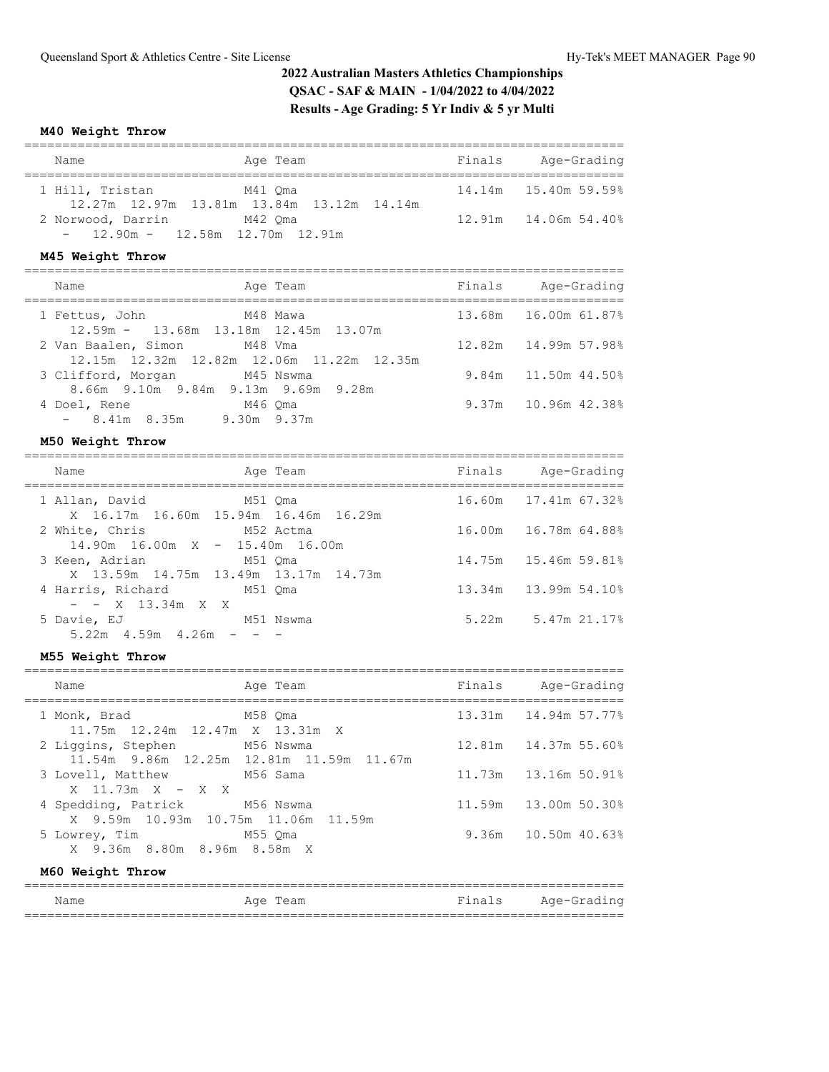#### **M40 Weight Throw**

| Name              | Age Team                                             | Finals | Age-Grading                |
|-------------------|------------------------------------------------------|--------|----------------------------|
| 1 Hill, Tristan   | M41 Oma<br>12.27m 12.97m 13.81m 13.84m 13.12m 14.14m |        | 14.14m    15.40m    59.59% |
| 2 Norwood, Darrin | M42 Oma<br>$-$ 12.90m $-$ 12.58m 12.70m 12.91m       |        | 12.91m 14.06m 54.40%       |

#### **M45 Weight Throw**

| Name                                                                     |         | Age Team    | Finals | Age-Grading            |
|--------------------------------------------------------------------------|---------|-------------|--------|------------------------|
| 1 Fettus, John<br>12.59m - 13.68m 13.18m 12.45m 13.07m                   |         | M48 Mawa    |        | 13.68m 16.00m 61.87%   |
| 2 Van Baalen, Simon M48 Vma<br>12.15m 12.32m 12.82m 12.06m 11.22m 12.35m |         |             |        | 12.82m  14.99m  57.98% |
| 3 Clifford, Morgan<br>M45 Nswma<br>8.66m 9.10m 9.84m 9.13m 9.69m 9.28m   |         |             |        | $9.84m$ 11.50m 44.50%  |
| 4 Doel, Rene<br>$-8.41m$ 8.35m                                           | M46 Oma | 9.30m 9.37m |        | $9.37m$ 10.96m 42.38%  |

#### **M50 Weight Throw**

| Name                                                              |           | Age Team | Finals | Age-Grading               |
|-------------------------------------------------------------------|-----------|----------|--------|---------------------------|
| 1 Allan, David<br>M51 Oma<br>X 16.17m 16.60m 15.94m 16.46m 16.29m |           |          |        | 16.60m 17.41m 67.32%      |
| 2 White, Chris<br>M52 Actma<br>$14.90m$ 16.00m X - 15.40m 16.00m  |           |          |        | 16.00m 16.78m 64.88%      |
| 3 Keen, Adrian<br>X 13.59m 14.75m 13.49m 13.17m 14.73m            | M51 Oma   |          |        | 14.75m 15.46m 59.81%      |
| 4 Harris, Richard M51 Oma<br>$ -$ X 13.34m X X                    |           |          |        | 13.34m 13.99m 54.10%      |
| 5 Davie, EJ<br>$5.22m$ 4.59m 4.26m                                | M51 Nswma |          |        | $5.22m$ $5.47m$ $21.17\%$ |
|                                                                   |           |          |        |                           |

## **M55 Weight Throw**

| Name                                                                 | Age Team                                 | Finals Age-Grading     |
|----------------------------------------------------------------------|------------------------------------------|------------------------|
| 1 Monk, Brad M58 Qma<br>11.75m 12.24m 12.47m X 13.31m X              |                                          | 13.31m  14.94m  57.77% |
| 2 Liggins, Stephen M56 Nswma                                         | 11.54m 9.86m 12.25m 12.81m 11.59m 11.67m |                        |
| 3 Lovell, Matthew<br>M56 Sama<br>$X$ 11.73m $X - X X$                |                                          |                        |
| 4 Spedding, Patrick M56 Nswma<br>X 9.59m 10.93m 10.75m 11.06m 11.59m |                                          | 11.59m 13.00m 50.30%   |
| 5 Lowrey, Time 6 M55 Qma<br>X 9.36m 8.80m 8.96m 8.58m X              |                                          | $9.36m$ 10.50m 40.63%  |
| M60 Weight Throw                                                     |                                          |                        |

#### =============================================================================== Name Age Team Finals Age-Grading ===============================================================================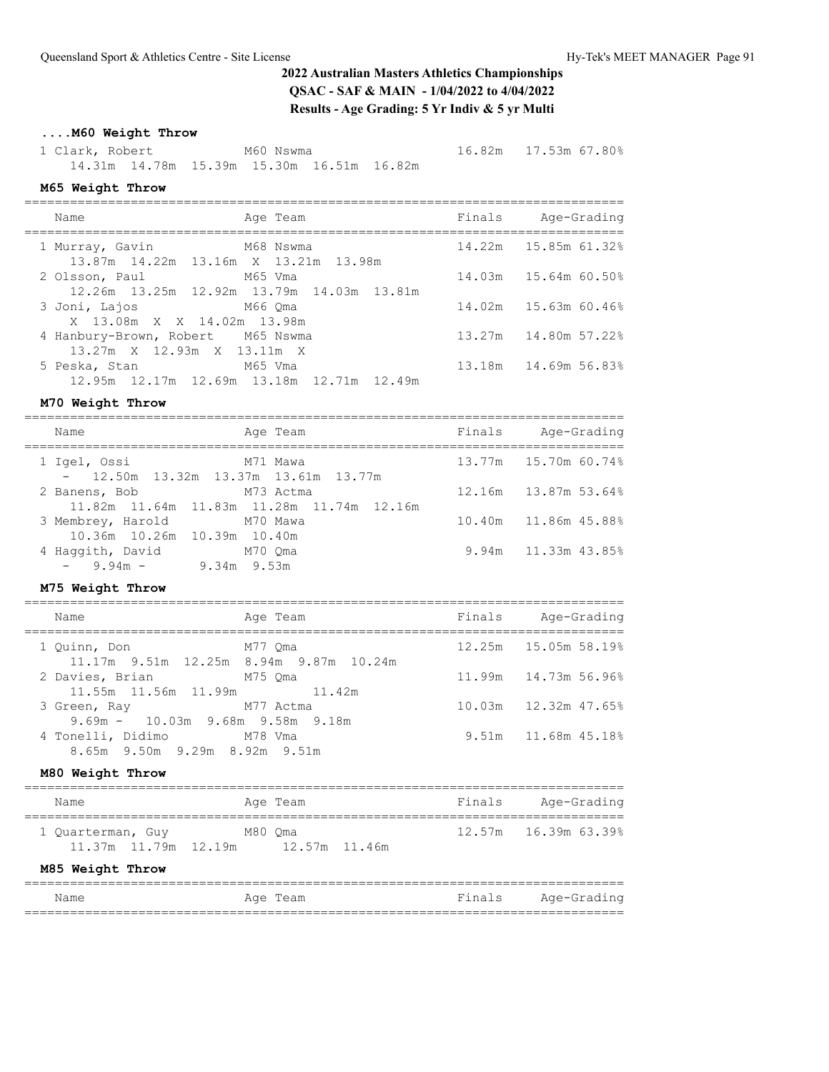# **....M60 Weight Throw**

 1 Clark, Robert M60 Nswma 16.82m 17.53m 67.80% 14.31m 14.78m 15.39m 15.30m 16.51m 16.82m

#### **M65 Weight Throw**

| Name                                                              | Age Team                                             | Finals | Age-Grading              |
|-------------------------------------------------------------------|------------------------------------------------------|--------|--------------------------|
| 1 Murray, Gavin M68 Nswma<br>13.87m 14.22m 13.16m X 13.21m 13.98m |                                                      |        | 14.22m  15.85m  61.32%   |
| 2 Olsson, Paul                                                    | M65 Vma<br>12.26m 13.25m 12.92m 13.79m 14.03m 13.81m |        | 14.03m 15.64m 60.50%     |
| 3 Joni, Lajos<br>X 13.08m X X 14.02m 13.98m                       | M66 Oma                                              |        | 14.02m 15.63m 60.46%     |
| 4 Hanbury-Brown, Robert M65 Nswma<br>13.27m X 12.93m X 13.11m X   |                                                      |        | 13.27m 14.80m 57.22%     |
| 5 Peska, Stan                                                     | M65 Vma<br>12.95m 12.17m 12.69m 13.18m 12.71m 12.49m |        | 13.18m   14.69m   56.83% |

===============================================================================

#### **M70 Weight Throw**

| Name                                                         | Age Team                                  | Finals | Age-Grading          |
|--------------------------------------------------------------|-------------------------------------------|--------|----------------------|
| 1 Igel, Ossi<br>$-$ 12.50m 13.32m 13.37m 13.61m 13.77m       | M71 Mawa                                  |        | 13.77m 15.70m 60.74% |
| M73 Actma<br>2 Banens, Bob                                   | 11.82m 11.64m 11.83m 11.28m 11.74m 12.16m |        | 12.16m 13.87m 53.64% |
| 3 Membrey, Harold<br>M70 Mawa<br>10.36m 10.26m 10.39m 10.40m |                                           |        | 10.40m 11.86m 45.88% |
| 4 Haqqith, David<br>$-$ 9.94m $-$ 9.34m 9.53m                | M70 Oma                                   |        | 9.94m 11.33m 43.85%  |

# **M75 Weight Throw**

| Name                                                                  | Age Team | Finals | Age-Grading            |
|-----------------------------------------------------------------------|----------|--------|------------------------|
| 1 Ouinn, Don<br>11.17m 9.51m 12.25m 8.94m 9.87m 10.24m                | M77 Oma  |        | 12.25m 15.05m 58.19%   |
| 2 Davies, Brian M75 Qma<br>11.55m 11.56m 11.99m 11.42m                |          |        | 11.99m  14.73m  56.96% |
| M77 Actma<br>3 Green, Ray<br>$9.69m - 10.03m - 9.68m - 9.58m - 9.18m$ |          |        |                        |
| 4 Tonelli, Didimo M78 Vma<br>8.65m 9.50m 9.29m 8.92m 9.51m            |          |        | 9.51m 11.68m 45.18%    |

# **M80 Weight Throw**

| Name              | Age Team                                      | Finals | Age-Grading          |
|-------------------|-----------------------------------------------|--------|----------------------|
| 1 Ouarterman, Guy | M80 Oma<br>11.37m 11.79m 12.19m 12.57m 11.46m |        | 12.57m 16.39m 63.39% |
| M85 Weight Throw  |                                               |        |                      |

| Name | Age Team | Finals Age-Grading |
|------|----------|--------------------|
|      |          |                    |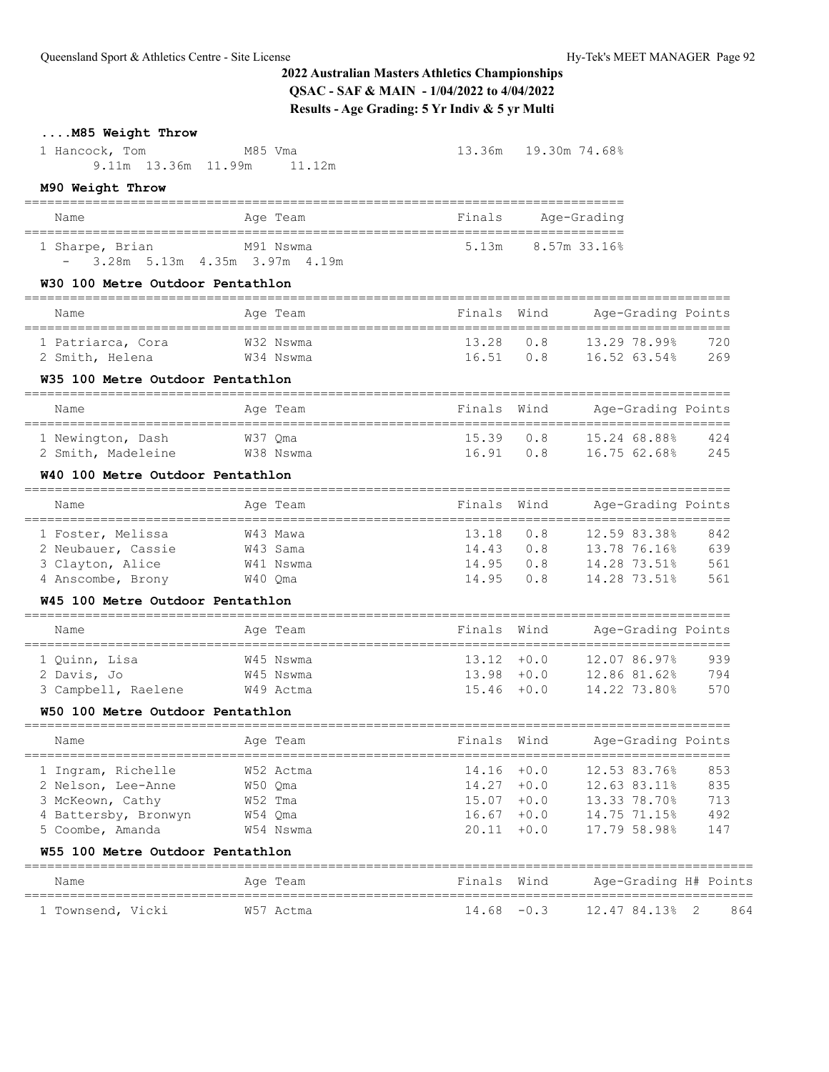# **....M85 Weight Throw**

| 1 Hancock, Tom<br>9.11m 13.36m 11.99m 11.12m                                                             | M85 Vma                                                 |                                                 | 13.36m 19.30m 74.68%           |                                                                              |                                 |
|----------------------------------------------------------------------------------------------------------|---------------------------------------------------------|-------------------------------------------------|--------------------------------|------------------------------------------------------------------------------|---------------------------------|
| M90 Weight Throw                                                                                         |                                                         |                                                 |                                |                                                                              |                                 |
| Name                                                                                                     | Age Team                                                | Finals                                          |                                | Age-Grading                                                                  |                                 |
| 1 Sharpe, Brian<br>$-$ 3.28m 5.13m 4.35m 3.97m 4.19m                                                     | M91 Nswma                                               | 5.13m                                           | 8.57m 33.16%                   |                                                                              |                                 |
| W30 100 Metre Outdoor Pentathlon                                                                         |                                                         |                                                 |                                |                                                                              |                                 |
| Name                                                                                                     | Age Team                                                | Finals                                          | Wind                           | Age-Grading Points                                                           |                                 |
| 1 Patriarca, Cora<br>2 Smith, Helena                                                                     | W32 Nswma<br>W34 Nswma                                  | 13.28<br>16.51                                  | 0.8<br>0.8                     | 13.29 78.99%<br>16.52 63.54%                                                 | 720<br>269                      |
| W35 100 Metre Outdoor Pentathlon                                                                         |                                                         |                                                 |                                |                                                                              |                                 |
| Name                                                                                                     | Age Team                                                | Finals                                          | Wind                           | Age-Grading Points                                                           |                                 |
| 1 Newington, Dash<br>2 Smith, Madeleine                                                                  | W37 Qma<br>W38 Nswma                                    | 15.39<br>16.91                                  | 0.8<br>0.8                     | 15.24 68.88%<br>16.75 62.68%                                                 | 424<br>245                      |
| W40 100 Metre Outdoor Pentathlon                                                                         |                                                         |                                                 |                                |                                                                              |                                 |
| Name                                                                                                     | Age Team                                                | Finals                                          | Wind                           | Age-Grading Points                                                           |                                 |
| 1 Foster, Melissa<br>2 Neubauer, Cassie<br>3 Clayton, Alice<br>4 Anscombe, Brony                         | W43 Mawa<br>W43 Sama<br>W41 Nswma<br>W40 Qma            | 13.18<br>14.43<br>14.95<br>14.95                | 0.8<br>0.8<br>0.8<br>0.8       | 12.59 83.38%<br>13.78 76.16%<br>14.28 73.51%<br>14.28 73.51%                 | 842<br>639<br>561<br>561        |
| W45 100 Metre Outdoor Pentathlon                                                                         |                                                         |                                                 |                                |                                                                              |                                 |
| Name                                                                                                     | Age Team                                                | Finals                                          | Wind                           | Age-Grading Points                                                           |                                 |
| 1 Quinn, Lisa<br>2 Davis, Jo<br>3 Campbell, Raelene W49 Actma<br>W50 100 Metre Outdoor Pentathlon        | W45 Nswma<br>W45 Nswma                                  | $13.12 + 0.0$<br>$15.46 + 0.0$                  |                                | 12.07 86.97%<br>13.98 +0.0 12.86 81.62%<br>14.22 73.80%                      | 939<br>794<br>570               |
| and the Team Age Team<br>Name                                                                            |                                                         |                                                 |                                | Finals Wind Mage-Grading Points                                              |                                 |
| 1 Ingram, Richelle<br>2 Nelson, Lee-Anne<br>3 McKeown, Cathy<br>4 Battersby, Bronwyn<br>5 Coombe, Amanda | W52 Actma<br>W50 Qma<br>W52 Tma<br>W54 Qma<br>W54 Nswma | $14.16 + 0.0$<br>$14.27 + 0.0$<br>$15.07 + 0.0$ | $16.67 + 0.0$<br>$20.11 + 0.0$ | 12.53 83.76%<br>12.63 83.11%<br>13.33 78.70%<br>14.75 71.15%<br>17.79 58.98% | 853<br>835<br>713<br>492<br>147 |
| W55 100 Metre Outdoor Pentathlon                                                                         |                                                         |                                                 |                                |                                                                              |                                 |
| Name                                                                                                     | Age Team                                                | Finals Wind                                     |                                | Age-Grading H# Points                                                        |                                 |

================================================================================================ 1 Townsend, Vicki W57 Actma 14.68 -0.3 12.47 84.13% 2 864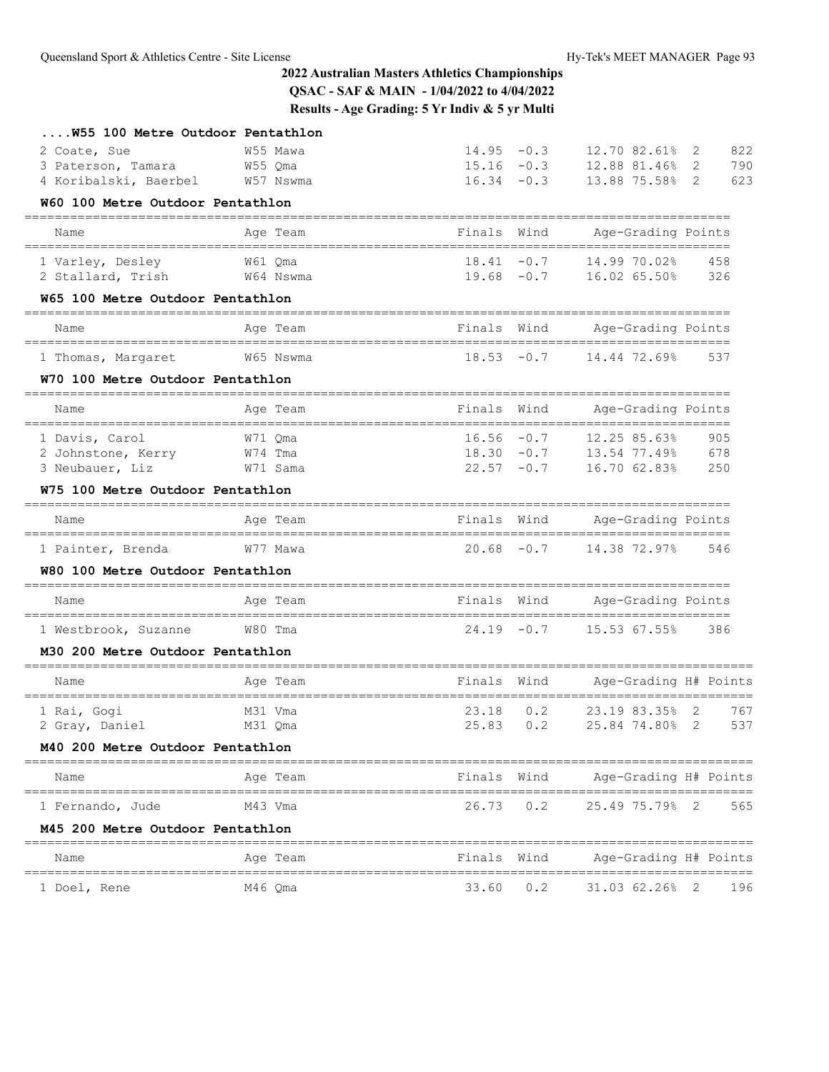| W55 100 Metre Outdoor Pentathlon                                                            |                                  |                                                 |                  |                                                    |                                               |
|---------------------------------------------------------------------------------------------|----------------------------------|-------------------------------------------------|------------------|----------------------------------------------------|-----------------------------------------------|
| 2 Coate, Sue<br>3 Paterson, Tamara<br>4 Koribalski, Baerbel                                 | W55 Mawa<br>W55 Qma<br>W57 Nswma | $14.95 - 0.3$<br>$16.34 - 0.3$                  | $15.16 - 0.3$    | 12.70 82.61%<br>12.88 81.46%<br>13.88 75.58%       | 822<br>2<br>2<br>790<br>$\overline{2}$<br>623 |
| W60 100 Metre Outdoor Pentathlon                                                            |                                  |                                                 |                  |                                                    |                                               |
| Name                                                                                        | Age Team                         | Finals                                          | Wind             | Age-Grading Points                                 |                                               |
| 1 Varley, Desley<br>2 Stallard, Trish                                                       | W61 Qma<br>W64 Nswma             | $18.41 - 0.7$                                   | $19.68 - 0.7$    | 14.99 70.02%<br>16.02 65.50%                       | 458<br>326                                    |
| W65 100 Metre Outdoor Pentathlon<br>====================                                    | =====                            |                                                 |                  |                                                    |                                               |
| Name                                                                                        | Age Team                         | Finals Wind                                     |                  | Age-Grading Points                                 |                                               |
| 1 Thomas, Margaret                                                                          | W65 Nswma                        | $18.53 - 0.7$                                   |                  | 14.44 72.69%                                       | 537                                           |
| W70 100 Metre Outdoor Pentathlon                                                            |                                  |                                                 |                  |                                                    |                                               |
| Name                                                                                        | Age Team                         | Finals                                          | Wind             | Age-Grading Points                                 |                                               |
| 1 Davis, Carol<br>2 Johnstone, Kerry<br>3 Neubauer, Liz<br>W75 100 Metre Outdoor Pentathlon | W71 Qma<br>W74 Tma<br>W71 Sama   | $16.56 - 0.7$<br>$18.30 - 0.7$<br>$22.57 - 0.7$ |                  | 12.25 85.63%<br>13.54 77.49%<br>16.70 62.83%       | 905<br>678<br>250                             |
| --------=====================                                                               |                                  |                                                 |                  |                                                    |                                               |
| Name                                                                                        | Age Team                         | Finals                                          | Wind             | Age-Grading Points                                 |                                               |
| 1 Painter, Brenda<br>W80 100 Metre Outdoor Pentathlon                                       | W77 Mawa                         | $20.68 - 0.7$                                   |                  | 14.38 72.97%                                       | 546                                           |
| Name                                                                                        | Age Team<br>--------------       | Finals<br>---------                             | Wind             | Age-Grading Points<br>---------------------------- |                                               |
| 1 Westbrook, Suzanne                                                                        | W80 Tma                          |                                                 | $24.19 - 0.7$    | 15.53 67.55%                                       | 386                                           |
| M30 200 Metre Outdoor Pentathlon                                                            |                                  |                                                 |                  |                                                    |                                               |
| Name                                                                                        | Age Team                         | Finals                                          | Wind             | Age-Grading H# Points                              |                                               |
| 1 Rai, Gogi<br>2 Gray, Daniel                                                               | M31 Vma<br>M31 Qma               | 23.18<br>25.83                                  | 0.2<br>0.2       | 23.19 83.35%<br>25.84 74.80%                       | 2<br>767<br>2<br>537                          |
| M40 200 Metre Outdoor Pentathlon                                                            |                                  |                                                 |                  |                                                    | =========                                     |
| Name                                                                                        | Age Team                         | Finals Wind                                     |                  | Age-Grading H# Points                              |                                               |
| 1 Fernando, Jude                                                                            | M43 Vma                          |                                                 | $26.73\qquad0.2$ | 25.49 75.79% 2                                     | 565                                           |
| M45 200 Metre Outdoor Pentathlon                                                            |                                  |                                                 |                  |                                                    |                                               |
| Name                                                                                        | Age Team                         |                                                 |                  | Finals Wind Age-Grading H# Points                  |                                               |
| 1 Doel, Rene                                                                                | M46 Qma                          |                                                 | 33.60 0.2        | 31.03 62.26% 2                                     | 196                                           |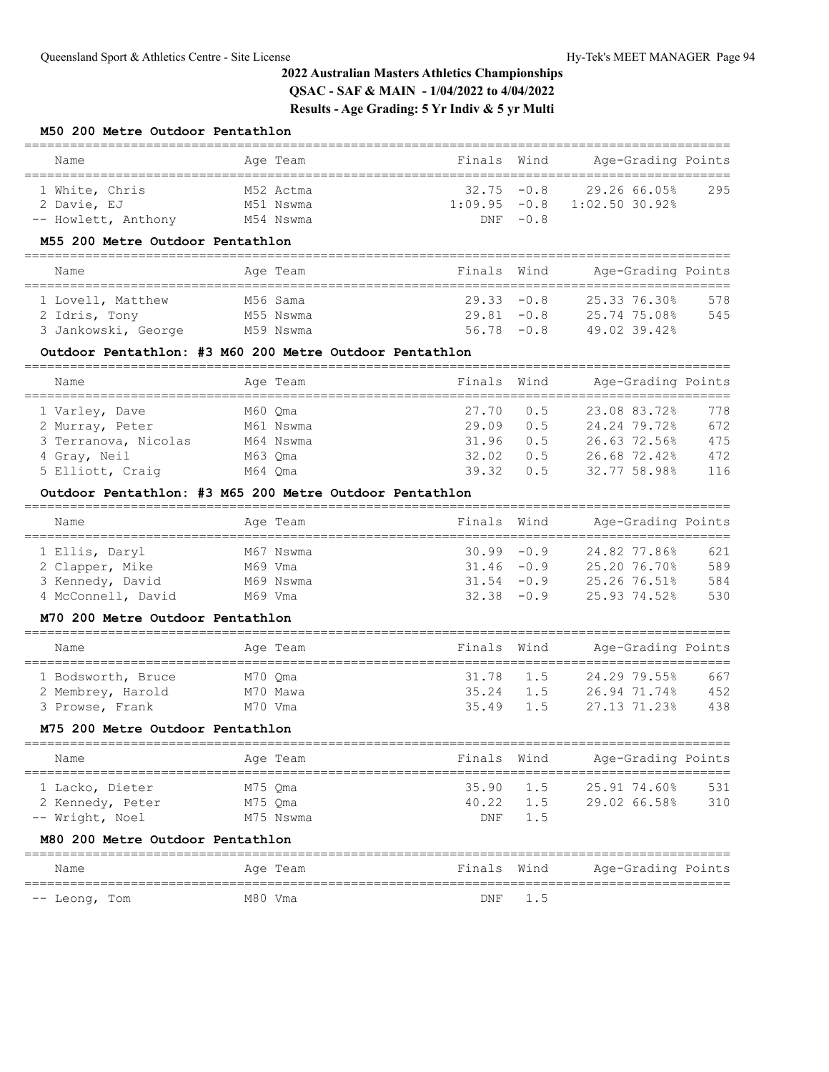#### **M50 200 Metre Outdoor Pentathlon**

| Name                | Age Team  | Finals Wind    |            | Age-Grading Points |     |
|---------------------|-----------|----------------|------------|--------------------|-----|
| 1 White, Chris      | M52 Actma | $32.75 - 0.8$  |            | 29.26 66.05%       | 295 |
| 2 Davie, EJ         | M51 Nswma | $1:09.95 -0.8$ |            | $1:02.50$ 30.92%   |     |
| -- Howlett, Anthony | M54 Nswma |                | $DNF -0.8$ |                    |     |

### **M55 200 Metre Outdoor Pentathlon**

| Name                | Age Team  | Finals Wind   | Age-Grading Points |     |
|---------------------|-----------|---------------|--------------------|-----|
| 1 Lovell, Matthew   | M56 Sama  | $29.33 - 0.8$ | 25.33 76.30%       | 578 |
| 2 Idris, Tony       | M55 Nswma | $29.81 - 0.8$ | 25.74 75.08%       | 545 |
| 3 Jankowski, George | M59 Nswma | $56.78 - 0.8$ | 49.02 39.42%       |     |

#### **Outdoor Pentathlon: #3 M60 200 Metre Outdoor Pentathlon**

| Name                 |         | Age Team  | Finals Wind |     | Age-Grading Points |     |
|----------------------|---------|-----------|-------------|-----|--------------------|-----|
| 1 Varley, Dave       | M60 Oma |           | 27.70       | 0.5 | 23.08 83.72%       | 778 |
| 2 Murray, Peter      |         | M61 Nswma | 29.09       | 0.5 | 24.24 79.72%       | 672 |
| 3 Terranova, Nicolas |         | M64 Nswma | 31.96       | 0.5 | 26.63 72.56%       | 475 |
| 4 Gray, Neil         | M63 Oma |           | 32.02       | 0.5 | 26.68 72.42%       | 472 |
| 5 Elliott, Craig     | M64 Oma |           | 39.32       | 0.5 | 32.77 58.98%       | 116 |

### **Outdoor Pentathlon: #3 M65 200 Metre Outdoor Pentathlon**

| Name               | Age Team  | Finals Wind   | Age-Grading Points |     |
|--------------------|-----------|---------------|--------------------|-----|
| 1 Ellis, Daryl     | M67 Nswma | $30.99 - 0.9$ | 24.82 77.86%       | 621 |
| 2 Clapper, Mike    | M69 Vma   | $31.46 - 0.9$ | 25.20 76.70%       | 589 |
| 3 Kennedy, David   | M69 Nswma | $31.54 - 0.9$ | 25.26 76.51%       | 584 |
| 4 McConnell, David | M69 Vma   | $32.38 - 0.9$ | 25.93 74.52%       | 530 |

#### **M70 200 Metre Outdoor Pentathlon**

| Name               |         | Age Team | Finals Wind |     | Age-Grading Points |     |
|--------------------|---------|----------|-------------|-----|--------------------|-----|
| 1 Bodsworth, Bruce | M70 Oma |          | 31.78 1.5   |     | 24.29 79.55%       | 667 |
| 2 Membrey, Harold  |         | M70 Mawa | 35.24       | 1.5 | 26.94 71.74%       | 452 |
| 3 Prowse, Frank    | M70 Vma |          | 35.49 1.5   |     | 27.13 71.23%       | 438 |

#### **M75 200 Metre Outdoor Pentathlon**

| Name             | Age Team  | Finals Wind       |         | Age-Grading Points |     |
|------------------|-----------|-------------------|---------|--------------------|-----|
| 1 Lacko, Dieter  | M75 Oma   | $35.90 \quad 1.5$ |         | 25.91 74.60%       | 531 |
| 2 Kennedy, Peter | M75 Oma   | 40.22             | 1.5     | 29.02 66.58%       | 310 |
| -- Wright, Noel  | M75 Nswma |                   | DNF 1.5 |                    |     |
|                  |           |                   |         |                    |     |

# **M80 200 Metre Outdoor Pentathlon**

| Name          | Age Team | Finals Wind | Age-Grading Points |  |
|---------------|----------|-------------|--------------------|--|
| -- Leong, Tom | M80 Vma  | DNF 1.5     |                    |  |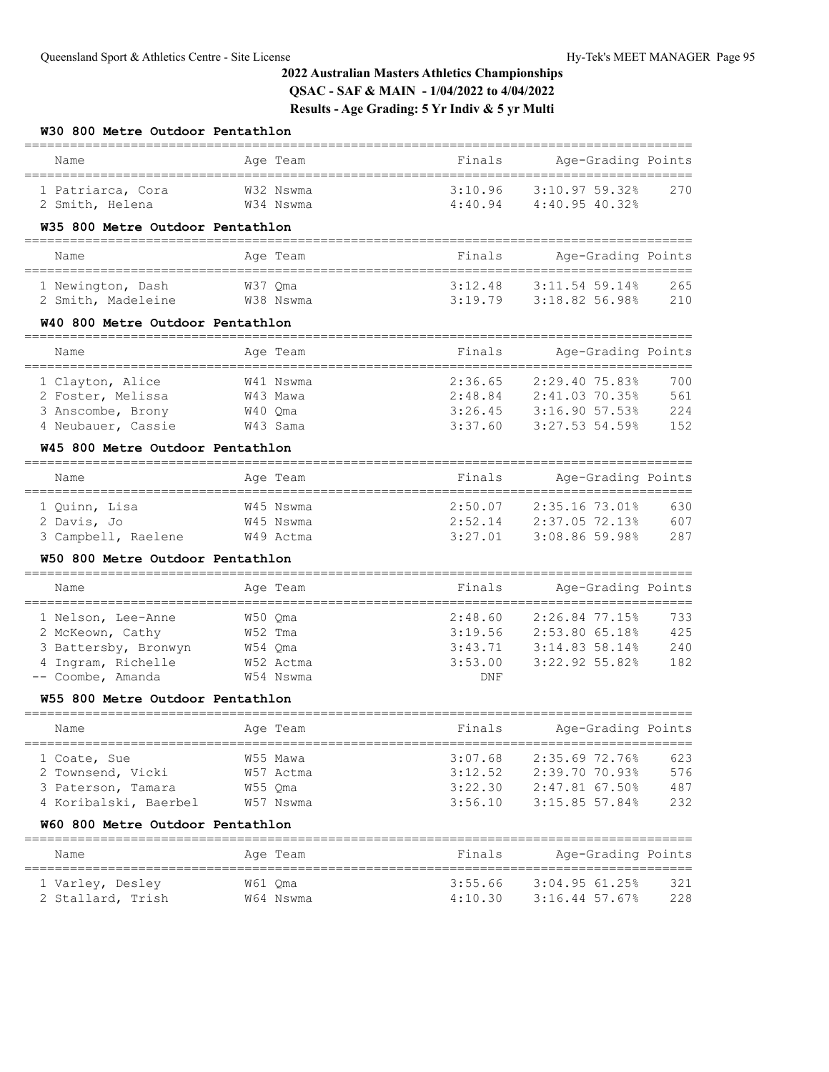### **W30 800 Metre Outdoor Pentathlon**

| Name                                                                                    | Age Team                                     | Finals  | Age-Grading Points                                                                                   |                          |  |
|-----------------------------------------------------------------------------------------|----------------------------------------------|---------|------------------------------------------------------------------------------------------------------|--------------------------|--|
| 1 Patriarca, Cora<br>2 Smith, Helena                                                    | W32 Nswma<br>W34 Nswma                       | 3:10.96 | 3:10.9759.32<br>$4:40.94$ $4:40.95$ $40.32$ <sup>*</sup>                                             | 270                      |  |
| W35 800 Metre Outdoor Pentathlon                                                        |                                              |         |                                                                                                      |                          |  |
| Name                                                                                    | Age Team                                     | Finals  | Age-Grading Points                                                                                   |                          |  |
| 1 Newington, Dash<br>2 Smith, Madeleine                                                 | W37 Oma<br>W38 Nswma                         | 3:12.48 | 3:11.54.59.14%<br>$3:19.79$ $3:18.82$ 56.98%                                                         | 265<br>210               |  |
| W40 800 Metre Outdoor Pentathlon                                                        |                                              |         |                                                                                                      |                          |  |
| Name                                                                                    | Age Team                                     | Finals  | Age-Grading Points                                                                                   |                          |  |
| 1 Clayton, Alice<br>2 Foster, Melissa<br>3 Anscombe, Brony<br>4 Neubauer, Cassie        | W41 Nswma<br>W43 Mawa<br>W40 Oma<br>W43 Sama | 2:36.65 | 2:29.40 75.83%<br>2:48.84 2:41.03 70.35%<br>$3:26.45$ $3:16.90$ 57.53%<br>$3:37.60$ $3:27.53$ 54.59% | 700<br>561<br>224<br>152 |  |
| W45 800 Metre Outdoor Pentathlon                                                        |                                              |         |                                                                                                      |                          |  |
| Name                                                                                    | Age Team                                     | Finals  | Age-Grading Points                                                                                   |                          |  |
| 1 Ouinn, Lisa<br>2 Davis, Jo<br>3 Campbell, Raelene<br>W50 800 Metre Outdoor Pentathlon | W45 Nswma<br>W45 Nswma<br>W49 Actma          | 2:50.07 | 2:35.16 73.01%<br>2:52.14 2:37.05 72.13%<br>$3:27.01$ $3:08.86$ 59.98%                               | 630<br>607<br>287        |  |
|                                                                                         |                                              |         |                                                                                                      |                          |  |

| Name                 | Age Team  | Finals  | Age-Grading Points |     |
|----------------------|-----------|---------|--------------------|-----|
| 1 Nelson, Lee-Anne   | W50 Oma   | 2:48.60 | $2:26.84$ 77.15%   | 733 |
| 2 McKeown, Cathy     | W52 Tma   | 3:19.56 | 2:53.80 65.18%     | 425 |
| 3 Battersby, Bronwyn | W54 Oma   | 3:43.71 | 3:14.83 58.14%     | 240 |
| 4 Ingram, Richelle   | W52 Actma | 3:53.00 | 3:22.92 55.82      | 182 |
| -- Coombe, Amanda    | W54 Nswma | DNF     |                    |     |

## **W55 800 Metre Outdoor Pentathlon**

| Name                  | Age Team  | Finals  | Age-Grading Points |     |
|-----------------------|-----------|---------|--------------------|-----|
| 1 Coate, Sue          | W55 Mawa  | 3:07.68 | 2:35.69 72.76%     | 623 |
| 2 Townsend, Vicki     | W57 Actma | 3:12.52 | 2:39.70 70.93%     | 576 |
| 3 Paterson, Tamara    | W55 Oma   | 3:22.30 | 2:47.81 67.50%     | 487 |
| 4 Koribalski, Baerbel | W57 Nswma | 3:56.10 | 3:15.85 57.84%     | 232 |

# **W60 800 Metre Outdoor Pentathlon**

| Name              | Age Team  | Finals  | Age-Grading Points |     |
|-------------------|-----------|---------|--------------------|-----|
| 1 Varley, Desley  | W61 Oma   | 3:55.66 | 3:04.9561.25       | 321 |
| 2 Stallard, Trish | W64 Nswma | 4:10.30 | $3:16.44$ 57.67%   | 228 |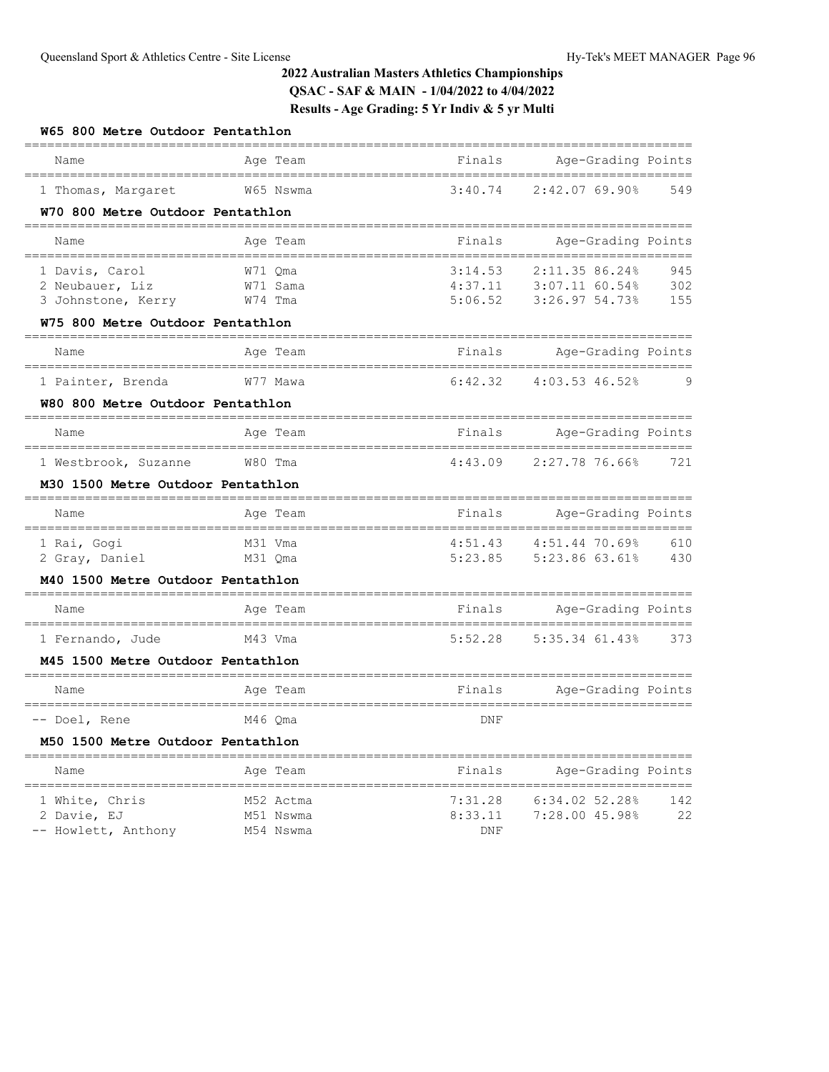| W65 800 Metre Outdoor Pentathlon                                        |           |              |                                               |     |
|-------------------------------------------------------------------------|-----------|--------------|-----------------------------------------------|-----|
| Name                                                                    | Age Team  | Finals       | Age-Grading Points                            |     |
| 1 Thomas, Margaret                                                      | W65 Nswma | 3:40.74      | 2:42.07 69.90%                                | 549 |
| W70 800 Metre Outdoor Pentathlon                                        |           |              |                                               |     |
| Name                                                                    | Age Team  | Finals       | Age-Grading Points                            |     |
| ----------------------------------<br>1 Davis, Carol                    | W71 Oma   | 3:14.53      | 2:11.35 86.24%                                | 945 |
| 2 Neubauer, Liz                                                         | W71 Sama  | 4:37.11      | 3:07.11 60.54%                                | 302 |
| 3 Johnstone, Kerry                                                      | W74 Tma   | 5:06.52      | 3:26.97 54.73%                                | 155 |
| W75 800 Metre Outdoor Pentathlon<br>=================================== |           | ============ |                                               |     |
| Name                                                                    | Age Team  | Finals       | Age-Grading Points                            |     |
| 1 Painter, Brenda                                                       | W77 Mawa  | 6:42.32      | 4:03.53 46.52%                                | 9   |
| W80 800 Metre Outdoor Pentathlon                                        |           |              |                                               |     |
| Name                                                                    | Age Team  | Finals       | ================<br>Age-Grading Points        |     |
| 1 Westbrook, Suzanne                                                    | W80 Tma   | 4:43.09      | $2:27.7876.66$ <sup>8</sup>                   | 721 |
| M30 1500 Metre Outdoor Pentathlon                                       |           |              |                                               |     |
| Name                                                                    | Age Team  | Finals       | Age-Grading Points                            |     |
| 1 Rai, Gogi                                                             | M31 Vma   | 4:51.43      | 4:51.44 70.69%                                | 610 |
| 2 Gray, Daniel                                                          | M31 Qma   | 5:23.85      | 5:23.86 63.61%                                | 430 |
| M40 1500 Metre Outdoor Pentathlon                                       |           |              |                                               |     |
| Name                                                                    | Age Team  | Finals       | Age-Grading Points<br>-------<br>============ |     |
| 1 Fernando, Jude                                                        | M43 Vma   | 5:52.28      | 5:35.34 61.43%                                | 373 |
| M45 1500 Metre Outdoor Pentathlon                                       |           |              |                                               |     |
| Name                                                                    | Age Team  | Finals       | Age-Grading Points                            |     |
| -- Doel, Rene                                                           | M46 Oma   | DNF          |                                               |     |
| M50 1500 Metre Outdoor Pentathlon                                       |           |              |                                               |     |
| Name                                                                    | Age Team  | Finals       | Age-Grading Points                            |     |
| 1 White, Chris                                                          | M52 Actma | 7:31.28      | 6:34.02 52.28%                                | 142 |
| 2 Davie, EJ                                                             | M51 Nswma | 8:33.11      | 7:28.00 45.98%                                | 22  |

-- Howlett, Anthony M54 Nswma DNF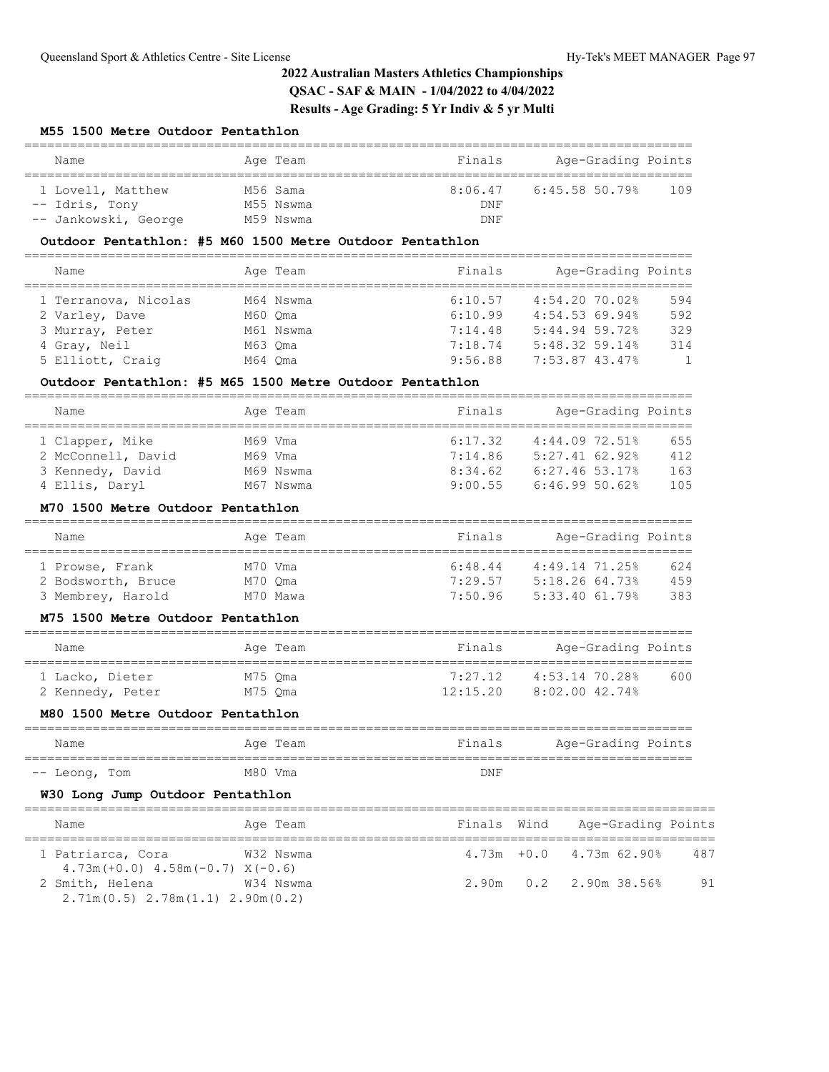### **M55 1500 Metre Outdoor Pentathlon**

| Name                 | Age Team  | Finals  | Age-Grading Points |     |
|----------------------|-----------|---------|--------------------|-----|
| 1 Lovell, Matthew    | M56 Sama  | 8:06.47 | 6:45.58 50.79%     | 109 |
| -- Idris, Tony       | M55 Nswma | DNF     |                    |     |
| -- Jankowski, George | M59 Nswma | DNF     |                    |     |

### **Outdoor Pentathlon: #5 M60 1500 Metre Outdoor Pentathlon**

| Name                 | Age Team  | Finals  | Age-Grading Points |                |
|----------------------|-----------|---------|--------------------|----------------|
|                      |           |         |                    |                |
| 1 Terranova, Nicolas | M64 Nswma | 6:10.57 | $4:54.20$ 70.02%   | 594            |
| 2 Varley, Dave       | M60 Oma   | 6:10.99 | 4:54.5369.94%      | 592            |
| 3 Murray, Peter      | M61 Nswma | 7:14.48 | 5:44.94.59.72      | 329            |
| 4 Gray, Neil         | M63 Oma   | 7:18.74 | $5:48.32$ 59.14%   | 314            |
| 5 Elliott, Craig     | M64 Oma   | 9:56.88 | 7:53.87 43.47%     | $\overline{1}$ |

#### **Outdoor Pentathlon: #5 M65 1500 Metre Outdoor Pentathlon**

| Name               |         | Age Team  | Finals  | Age-Grading Points |     |
|--------------------|---------|-----------|---------|--------------------|-----|
|                    |         |           |         |                    |     |
| 1 Clapper, Mike    |         | M69 Vma   | 6:17.32 | $4:44.09$ 72.51%   | 655 |
| 2 McConnell, David | M69 Vma |           | 7:14.86 | 5:27.4162.92       | 412 |
| 3 Kennedy, David   |         | M69 Nswma | 8:34.62 | $6:27.46$ 53.17%   | 163 |
| 4 Ellis, Daryl     |         | M67 Nswma | 9:00.55 | 6:46.9950.62       | 105 |

#### **M70 1500 Metre Outdoor Pentathlon**

| Name               | Age Team | Finals  | Age-Grading Points |     |
|--------------------|----------|---------|--------------------|-----|
| 1 Prowse, Frank    | M70 Vma  | 6:48.44 | $4:49.14$ 71.25%   | 624 |
| 2 Bodsworth, Bruce | M70 Oma  | 7:29.57 | 5:18.2664.73%      | 459 |
| 3 Membrey, Harold  | M70 Mawa | 7:50.96 | $5:33.40$ $61.79%$ | 383 |

#### **M75 1500 Metre Outdoor Pentathlon**

| Name             | Age Team | Finals   | Age-Grading Points |     |
|------------------|----------|----------|--------------------|-----|
| 1 Lacko, Dieter  | M75 Oma  | 7・27 12  | 4:53.14 70.28%     | 600 |
| 2 Kennedy, Peter | M75 Oma  | 12:15.20 | 8:02.00 42.74%     |     |

#### **M80 1500 Metre Outdoor Pentathlon**

| Name          | Age Team | Finals | Age-Grading Points |
|---------------|----------|--------|--------------------|
| -- Leong, Tom | M80 Vma  | DNF    |                    |

### **W30 Long Jump Outdoor Pentathlon**

| Name                                                          | Age Team  |  | Finals Wind Age-Grading Points      |    |
|---------------------------------------------------------------|-----------|--|-------------------------------------|----|
| 1 Patriarca, Cora<br>$4.73m (+0.0)$ $4.58m (-0.7)$ $X (-0.6)$ | W32 Nswma |  | $4.73m + 0.0$ $4.73m$ 62.90%<br>487 |    |
| 2 Smith, Helena<br>$2.71m(0.5)$ $2.78m(1.1)$ $2.90m(0.2)$     | W34 Nswma |  | 2.90m 0.2 2.90m 38.56%              | 91 |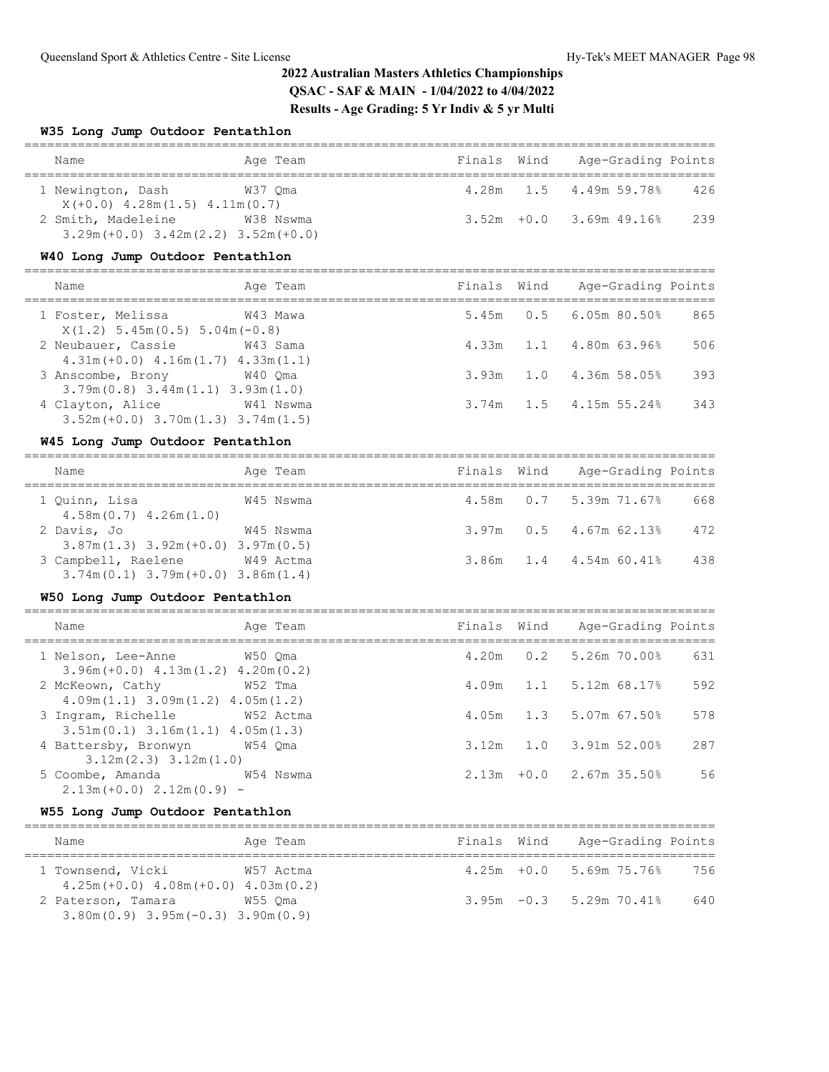#### **W35 Long Jump Outdoor Pentathlon**

| Name                                                              | Age Team  |  | Finals Wind Age-Grading Points      |  |
|-------------------------------------------------------------------|-----------|--|-------------------------------------|--|
| 1 Newington, Dash<br>$X(+0.0)$ 4.28m(1.5) 4.11m(0.7)              | W37 Oma   |  | 4.28m   1.5   4.49m   59.78%<br>426 |  |
| 2 Smith, Madeleine<br>$3.29m (+0.0)$ $3.42m (2.2)$ $3.52m (+0.0)$ | W38 Nswma |  | 239<br>$3.52m + 0.0$ 3.69m 49.16%   |  |

### **W40 Long Jump Outdoor Pentathlon**

| Name                                                           | Age Team  |  | Finals Wind Age-Grading Points  |     |
|----------------------------------------------------------------|-----------|--|---------------------------------|-----|
| 1 Foster, Melissa 6743 Mawa<br>$X(1,2)$ 5.45m(0.5) 5.04m(-0.8) |           |  | $5.45m$ 0.5 6.05m 80.50%        | 865 |
| 2 Neubauer, Cassie<br>$4.31m(+0.0)$ $4.16m(1.7)$ $4.33m(1.1)$  | W43 Sama  |  | $4.33m$ $1.1$ $4.80m$ $63.96\%$ | 506 |
| 3 Anscombe, Brony<br>$3.79m(0.8)$ $3.44m(1.1)$ $3.93m(1.0)$    | W40 Oma   |  | 3.93m 1.0 4.36m 58.05%          | 393 |
| 4 Clayton, Alice<br>$3.52m (+0.0)$ $3.70m(1.3)$ $3.74m(1.5)$   | W41 Nswma |  | $3.74m$ 1.5 4.15m 55.24%        | 343 |

#### **W45 Long Jump Outdoor Pentathlon**

| Name                                                           | Age Team  | Finals Wind | Age-Grading Points       |     |
|----------------------------------------------------------------|-----------|-------------|--------------------------|-----|
| 1 Quinn, Lisa<br>$4.58m(0.7)$ $4.26m(1.0)$                     | W45 Nswma |             | $4.58m$ 0.7 5.39m 71.67% | 668 |
| 2 Davis, Jo<br>$3.87m(1.3)$ $3.92m(+0.0)$ $3.97m(0.5)$         | W45 Nswma |             | $3.97m$ 0.5 4.67m 62.13% | 472 |
| 3 Campbell, Raelene<br>$3.74m(0.1)$ $3.79m(+0.0)$ $3.86m(1.4)$ | W49 Actma |             | 3.86m 1.4 4.54m 60.41%   | 438 |

#### **W50 Long Jump Outdoor Pentathlon**

| Name                                                                   | Age Team | Finals Wind | Age-Grading Points         |     |
|------------------------------------------------------------------------|----------|-------------|----------------------------|-----|
| 1 Nelson, Lee-Anne W50 Oma<br>$3.96m (+0.0)$ 4.13m(1.2) 4.20m(0.2)     |          |             | 4.20m 0.2 5.26m 70.00%     | 631 |
| 2 McKeown, Cathy<br>$4.09m(1.1)$ $3.09m(1.2)$ $4.05m(1.2)$             | W52 Tma  | 4.09m       | $1.1$ 5.12m 68.17%         | 592 |
| 3 Ingram, Richelle M52 Actma<br>$3.51m(0.1)$ $3.16m(1.1)$ $4.05m(1.3)$ |          | 4.05m       | $1.3$ 5.07m 67.50%         | 578 |
| 4 Battersby, Bronwyn W54 Qma<br>$3.12m(2.3)$ $3.12m(1.0)$              |          | 3.12m       | $1.0$ $3.91m$ $52.00\%$    | 287 |
| 5 Coombe, Amanda M54 Nswma<br>$2.13m (+0.0) 2.12m (0.9) -$             |          |             | $2.13m + 0.0$ 2.67m 35.50% | 56  |

# **W55 Long Jump Outdoor Pentathlon**

| Name                                                                      | Age Team  | Finals Wind | Age-Grading Points         |     |
|---------------------------------------------------------------------------|-----------|-------------|----------------------------|-----|
| 1 Townsend, Vicki<br>$4.25m (+0.0)$ $4.08m (+0.0)$ $4.03m (0.2)$          | W57 Actma |             | $4.25m + 0.0$ 5.69m 75.76% | 756 |
| 2 Paterson, Tamara<br>$3.80$ m $(0.9)$ $3.95$ m $(-0.3)$ $3.90$ m $(0.9)$ | W55 Oma   |             | $3.95m -0.3$ 5.29m 70.41%  | 640 |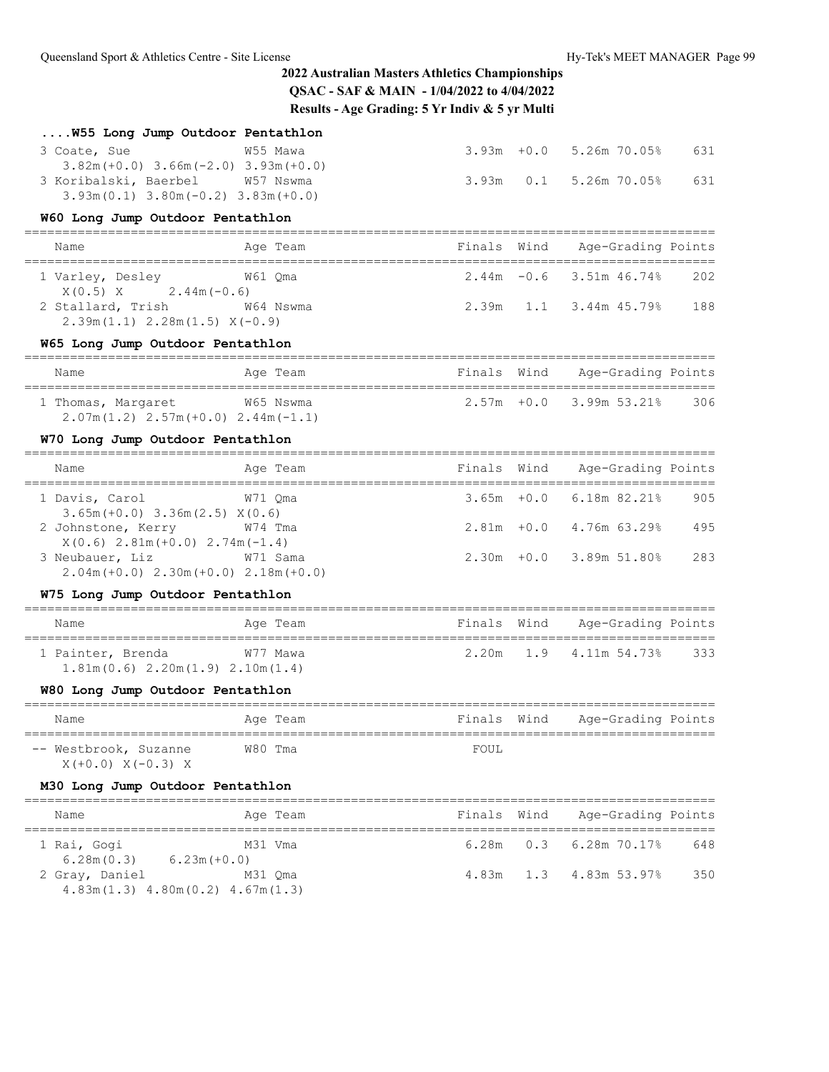| W55 Long Jump Outdoor Pentathlon                                                        |          |                                 |               |                                              |     |
|-----------------------------------------------------------------------------------------|----------|---------------------------------|---------------|----------------------------------------------|-----|
| 3 Coate, Sue                                                                            | W55 Mawa |                                 |               | 3.93m +0.0 5.26m 70.05%                      | 631 |
| $3.82m (+0.0)$ $3.66m (-2.0)$ $3.93m (+0.0)$<br>3 Koribalski, Baerbel W57 Nswma         |          | 3.93m                           |               | $0.1$ 5.26m 70.05%                           | 631 |
| $3.93m(0.1)$ $3.80m(-0.2)$ $3.83m(+0.0)$                                                |          |                                 |               |                                              |     |
| W60 Long Jump Outdoor Pentathlon                                                        |          |                                 |               |                                              |     |
| Name<br>_______________________                                                         | Age Team | Finals Wind                     |               | Age-Grading Points<br>_____________          |     |
| 1 Varley, Desley 61 Qma<br>$X(0.5)$ X 2.44m (-0.6)                                      |          |                                 |               | $2.44m - 0.6$ 3.51m $46.74%$                 | 202 |
| 2 Stallard, Trish W64 Nswma<br>$2.39m(1.1)$ $2.28m(1.5)$ $X(-0.9)$                      |          | 2.39m                           |               | $1.1$ 3.44m $45.79%$                         | 188 |
| W65 Long Jump Outdoor Pentathlon                                                        |          |                                 |               |                                              |     |
| Name                                                                                    | Age Team | Finals Wind                     |               | Age-Grading Points                           |     |
| 1 Thomas, Margaret W65 Nswma                                                            |          |                                 |               | 2.57m +0.0 3.99m 53.21% 306                  |     |
| $2.07m(1.2)$ $2.57m(+0.0)$ $2.44m(-1.1)$                                                |          |                                 |               |                                              |     |
| W70 Long Jump Outdoor Pentathlon                                                        |          |                                 |               |                                              |     |
| Name                                                                                    | Age Team | Finals Wind                     |               | Age-Grading Points                           |     |
| 1 Davis, Carol<br>$3.65m (+0.0)$ $3.36m (2.5)$ $X (0.6)$                                | W71 Oma  |                                 | $3.65m + 0.0$ | $6.18m$ $82.21\%$                            | 905 |
| 2 Johnstone, Kerry<br>$X(0.6)$ 2.81m $(+0.0)$ 2.74m $(-1.4)$                            | W74 Tma  |                                 |               | 2.81m +0.0 4.76m 63.29%                      | 495 |
| 3 Neubauer, Liz W71 Sama<br>$2.04m (+0.0) 2.30m (+0.0) 2.18m (+0.0)$                    |          |                                 |               | 2.30m +0.0 3.89m 51.80%                      | 283 |
| W75 Long Jump Outdoor Pentathlon                                                        |          |                                 |               |                                              |     |
| Name                                                                                    | Age Team | Finals Wind                     |               | ______________________<br>Age-Grading Points |     |
| 1 Painter, Brenda                                                                       | W77 Mawa |                                 |               | 2.20m 1.9 4.11m 54.73% 333                   |     |
| $1.81m(0.6)$ $2.20m(1.9)$ $2.10m(1.4)$                                                  |          |                                 |               |                                              |     |
| W80 Long Jump Outdoor Pentathlon<br>==================================                  |          | ------------------------------- |               |                                              |     |
| Name                                                                                    | Age Team |                                 |               | Finals Wind Age-Grading Points               |     |
| -- Westbrook, Suzanne<br>$X (+0.0) X (-0.3) X$                                          | W80 Tma  | FOUL                            |               |                                              |     |
| M30 Long Jump Outdoor Pentathlon                                                        |          |                                 |               |                                              |     |
| Name                                                                                    | Age Team | Finals<br>=====                 | Wind          | Age-Grading Points<br>===============        |     |
| 1 Rai, Gogi                                                                             | M31 Vma  | 6.28m                           | 0.3           | $6.28m$ $70.178$                             | 648 |
| 6.28m(0.3)<br>$6.23m(+0.0)$<br>2 Gray, Daniel<br>$4.83m(1.3)$ $4.80m(0.2)$ $4.67m(1.3)$ | M31 Qma  | 4.83m                           | 1.3           | 4.83m 53.97%                                 | 350 |
|                                                                                         |          |                                 |               |                                              |     |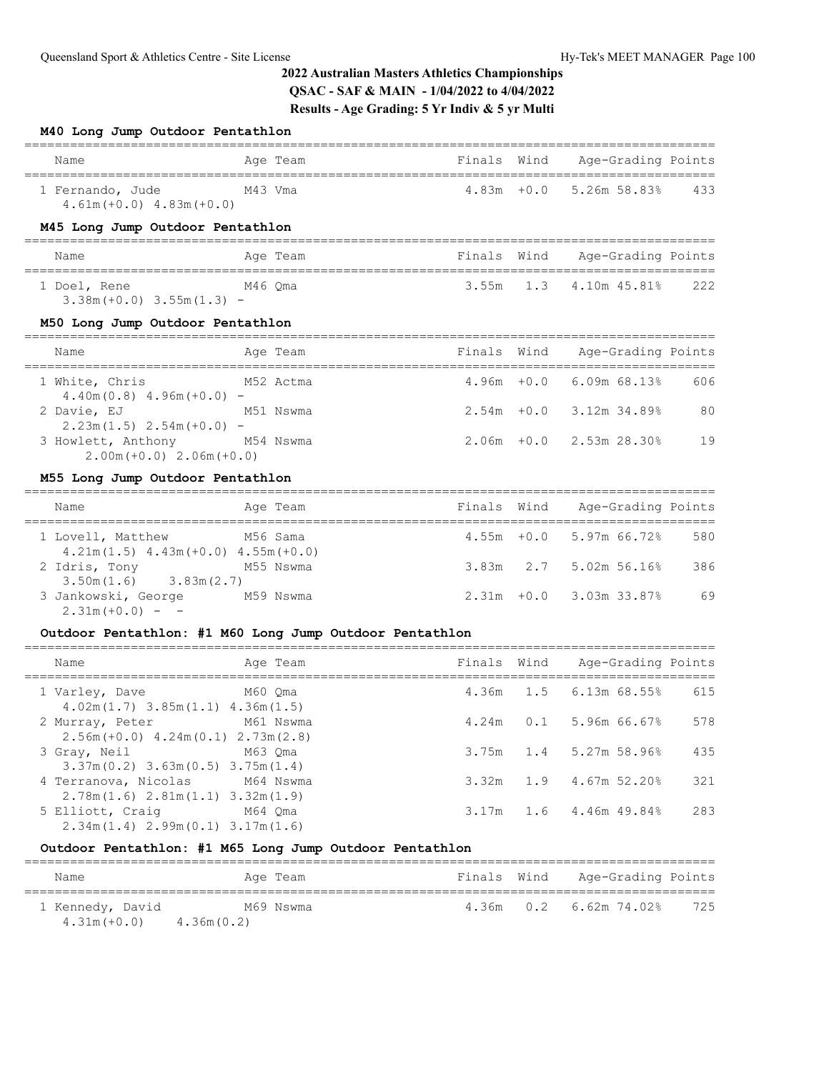#### **M40 Long Jump Outdoor Pentathlon**

| Name                                            | Age Team | Finals Wind | Age-Grading Points                |
|-------------------------------------------------|----------|-------------|-----------------------------------|
| 1 Fernando, Jude<br>$4.61m(+0.0)$ $4.83m(+0.0)$ | M43 Vma  |             | $4.83m + 0.0$ 5.26m 58.83%<br>433 |

## **M45 Long Jump Outdoor Pentathlon**

| Name                         | Age Team | Finals Wind | Age-Grading Points |     |
|------------------------------|----------|-------------|--------------------|-----|
| 1 Doel, Rene                 | M46 Oma  |             |                    | 222 |
| $3.38m (+0.0) 3.55m (1.3) -$ |          |             |                    |     |

### **M50 Long Jump Outdoor Pentathlon**

| Name                                                        | Age Team  | Finals Wind |                             | Age-Grading Points |     |
|-------------------------------------------------------------|-----------|-------------|-----------------------------|--------------------|-----|
| 1 White, Chris<br>$4.40$ m $(0.8)$ $4.96$ m $(+0.0)$ -      | M52 Actma |             | $4.96m + 0.0$ 6.09m 68.13%  |                    | 606 |
| 2 Davie, EJ<br>$2.23m(1.5)$ $2.54m(+0.0)$ -                 | M51 Nswma |             | $2.54m + 0.0$ 3.12m 34.89%  |                    | 80  |
| 3 Howlett, Anthony M54 Nswma<br>$2.00m (+0.0) 2.06m (+0.0)$ |           |             | $2.06m + 0.0$ $2.53m 28.30$ |                    | 19  |

### **M55 Long Jump Outdoor Pentathlon**

| Name                                                          | Age Team  | Finals Wind | Age-Grading Points           |     |
|---------------------------------------------------------------|-----------|-------------|------------------------------|-----|
| 1 Lovell, Matthew<br>$4.21m(1.5)$ $4.43m(+0.0)$ $4.55m(+0.0)$ | M56 Sama  |             | $4.55m + 0.0$ 5.97m 66.72%   | 580 |
| 2 Idris, Tony<br>$3.50m(1.6)$ $3.83m(2.7)$                    | M55 Nswma |             | $3.83m$ $2.7$ $5.02m$ 56.16% | 386 |
| 3 Jankowski, George<br>$2.31m (+0.0) - -$                     | M59 Nswma |             | $2.31m + 0.0$ 3.03m 33.87%   | 69  |

# **Outdoor Pentathlon: #1 M60 Long Jump Outdoor Pentathlon**

| Name                                                                     | Age Team  |       | Finals Wind Age-Grading Points |     |
|--------------------------------------------------------------------------|-----------|-------|--------------------------------|-----|
| 1 Varley, Dave<br>$4.02m(1.7)$ $3.85m(1.1)$ $4.36m(1.5)$                 | M60 Oma   |       | 4.36m 1.5 6.13m 68.55%         | 615 |
| 2 Murray, Peter<br>$2.56m (+0.0)$ 4.24m(0.1) 2.73m(2.8)                  | M61 Nswma | 4.24m | $0.1$ 5.96m 66.67%             | 578 |
| 3 Gray, Neil<br>$3.37m(0.2)$ 3.63m(0.5) 3.75m(1.4)                       | M63 Oma   |       | $3.75m$ 1.4 5.27m 58.96%       | 435 |
| 4 Terranova, Nicolas M64 Nswma<br>$2.78m(1.6)$ $2.81m(1.1)$ $3.32m(1.9)$ |           | 3.32m | $1.9$ 4.67m 52.20%             | 321 |
| 5 Elliott, Craig<br>$2.34m(1.4)$ $2.99m(0.1)$ $3.17m(1.6)$               | M64 Oma   | 3.17m | $1.6$ 4.46m 49.84%             | 283 |

# **Outdoor Pentathlon: #1 M65 Long Jump Outdoor Pentathlon**

| Name                               |            | Age Team  | Finals Wind | Age-Grading Points       |     |
|------------------------------------|------------|-----------|-------------|--------------------------|-----|
| 1 Kennedy, David<br>$4.31m (+0.0)$ | 4.36m(0.2) | M69 Nswma |             | $4.36m$ 0.2 6.62m 74.02% | 725 |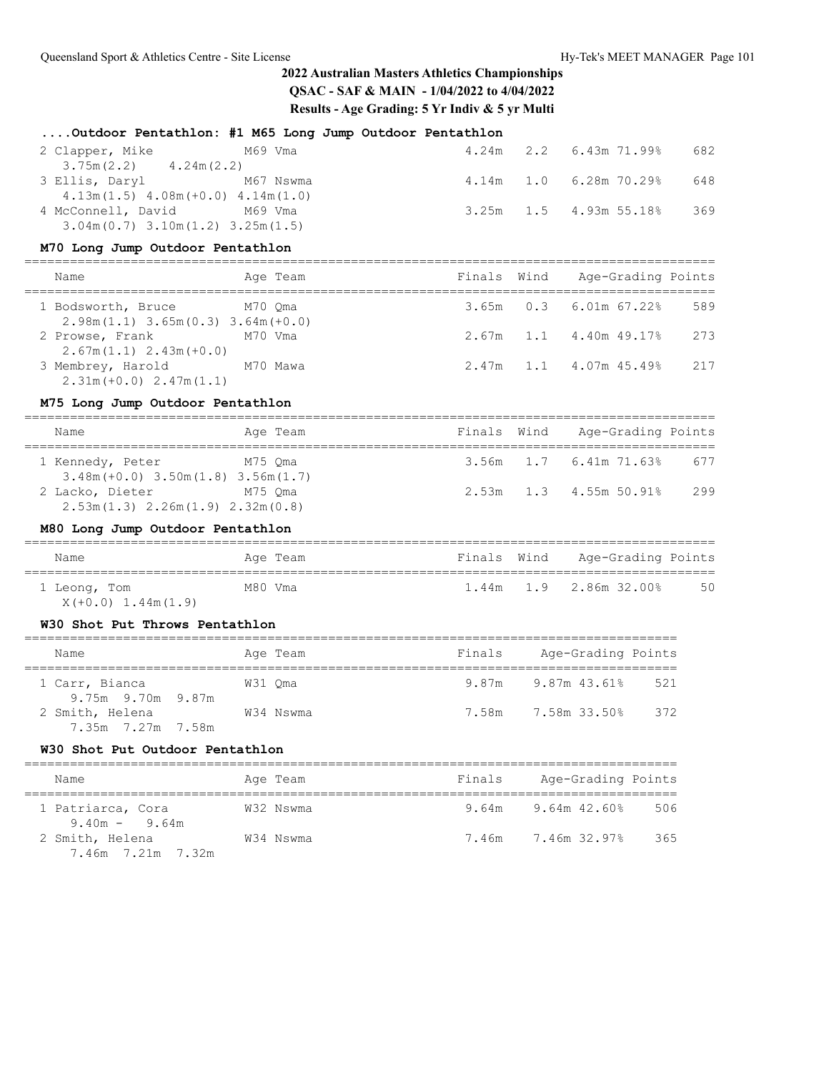**....Outdoor Pentathlon: #1 M65 Long Jump Outdoor Pentathlon**

| 2 Clapper, Mike                         | M69 Vma |  | $4.24m$ $2.2$ $6.43m$ $71.998$ | 682 |
|-----------------------------------------|---------|--|--------------------------------|-----|
| $3.75m(2.2)$ $4.24m(2.2)$               |         |  |                                |     |
| 3 Ellis, Daryl M67 Nswma                |         |  | 4.14m  1.0  6.28m  70.29%      | 648 |
| $4.13m(1.5)$ $4.08m(+0.0)$ $4.14m(1.0)$ |         |  |                                |     |
| 4 McConnell, David M69 Vma              |         |  | $3.25m$ $1.5$ $4.93m$ $55.188$ | 369 |
| $3.04m(0.7)$ $3.10m(1.2)$ $3.25m(1.5)$  |         |  |                                |     |

# **M70 Long Jump Outdoor Pentathlon**

| Name                                                              | Age Team | Finals Wind | Age-Grading Points              |     |
|-------------------------------------------------------------------|----------|-------------|---------------------------------|-----|
| 1 Bodsworth, Bruce M70 Oma<br>$2.98m(1.1)$ 3.65m(0.3) 3.64m(+0.0) |          |             | $3.65m$ $0.3$ $6.01m$ $67.22\%$ | 589 |
| 2 Prowse, Frank<br>$2.67m(1.1)$ $2.43m(+0.0)$                     | M70 Vma  |             | 2.67m 1.1 4.40m 49.17% 273      |     |
| 3 Membrey, Harold<br>$2.31m (+0.0) 2.47m (1.1)$                   | M70 Mawa |             | $2.47m$ 1.1 4.07m 45.49%        | 217 |

#### **M75 Long Jump Outdoor Pentathlon**

| Name             | Age Team                                                 | Finals Wind | Age-Grading Points              |     |
|------------------|----------------------------------------------------------|-------------|---------------------------------|-----|
| 1 Kennedy, Peter | M75 Oma<br>$3.48$ m (+0.0) $3.50$ m (1.8) $3.56$ m (1.7) |             | $3.56m$ 1.7 6.41m 71.63% 677    |     |
| 2 Lacko, Dieter  | M75 Oma<br>$2.53m(1.3)$ $2.26m(1.9)$ $2.32m(0.8)$        |             | $2.53m$ $1.3$ $4.55m$ $50.91\%$ | 299 |

### **M80 Long Jump Outdoor Pentathlon**

| Name                                 | Age Team |  | Finals Wind Age-Grading Points |    |
|--------------------------------------|----------|--|--------------------------------|----|
| 1 Leong, Tom<br>$X(+0.0)$ 1.44m(1.9) | M80 Vma  |  | $1.44m$ $1.9$ $2.86m$ $32.008$ | 50 |

### **W30 Shot Put Throws Pentathlon**

| Name                                 |         | Age Team  | Finals | Age-Grading Points |     |
|--------------------------------------|---------|-----------|--------|--------------------|-----|
| 1 Carr, Bianca<br>9.75m 9.70m 9.87m  | W31 Oma |           |        | 9.87m 9.87m 43.61% | 521 |
| 2 Smith, Helena<br>7.35m 7.27m 7.58m |         | W34 Nswma |        | 7.58m 7.58m 33.50% | 372 |

#### **W30 Shot Put Outdoor Pentathlon**

| Name                                 | Age Team  | Finals | Age-Grading Points              |
|--------------------------------------|-----------|--------|---------------------------------|
| 1 Patriarca, Cora<br>$9.40m - 9.64m$ | W32 Nswma |        | $9.64m$ $9.64m$ $42.60%$<br>506 |
| 2 Smith, Helena<br>7.46m 7.21m 7.32m | W34 Nswma |        | 7.46m 7.46m 32.97%<br>365       |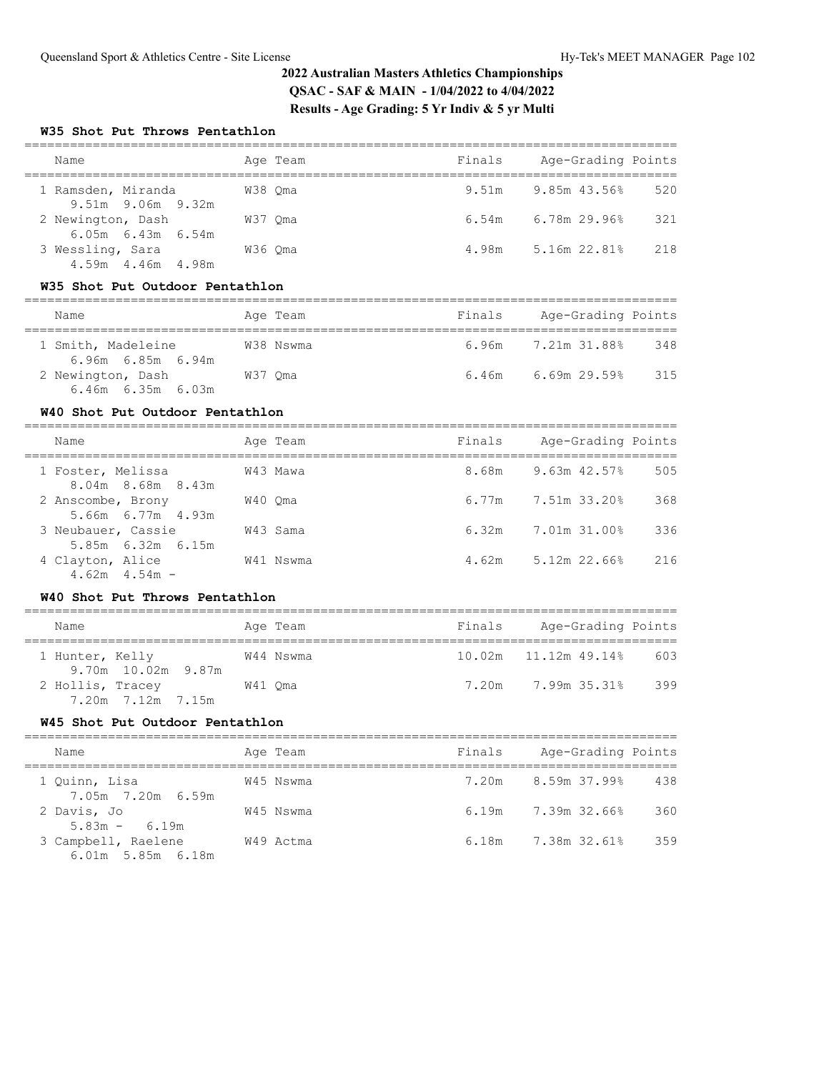## **W35 Shot Put Throws Pentathlon**

| Name                                          |         | Age Team | Finals | Age-Grading Points        |     |
|-----------------------------------------------|---------|----------|--------|---------------------------|-----|
| 1 Ramsden, Miranda<br>$9.51m$ $9.06m$ $9.32m$ | W38 Oma |          |        | $9.51m$ $9.85m$ $43.56\%$ | 520 |
| 2 Newington, Dash<br>$6.05m$ $6.43m$ $6.54m$  | W37 Oma |          |        | $6.54m$ $6.78m$ 29.96%    | 321 |
| 3 Wessling, Sara<br>4.59m  4.46m  4.98m       | W36 Oma |          | 4.98m  | 5.16m 22.81%              | 218 |

#### **W35 Shot Put Outdoor Pentathlon**

| Name                                         | Age Team  | Finals | Age-Grading Points     |     |
|----------------------------------------------|-----------|--------|------------------------|-----|
| 1 Smith, Madeleine<br>6.96m 6.85m 6.94m      | W38 Nswma |        | 6.96m 7.21m 31.88%     | 348 |
| 2 Newington, Dash<br>$6.46m$ $6.35m$ $6.03m$ | W37 Oma   |        | $6.46m$ $6.69m$ 29.59% | 315 |

### **W40 Shot Put Outdoor Pentathlon**

| Name                                         | Age Team  | Finals | Age-Grading Points |     |
|----------------------------------------------|-----------|--------|--------------------|-----|
| 1 Foster, Melissa<br>$8.04m$ $8.68m$ $8.43m$ | W43 Mawa  | 8.68m  | 9.63m 42.57%       | 505 |
| 2 Anscombe, Brony<br>5.66m 6.77m 4.93m       | W40 Oma   | 6.77m  | 7.51m 33.20%       | 368 |
| 3 Neubauer, Cassie<br>5.85m 6.32m 6.15m      | W43 Sama  | 6.32m  | 7.01m 31.00%       | 336 |
| 4 Clayton, Alice<br>$4.62m$ $4.54m$ –        | W41 Nswma | 4.62m  | $5.12m$ 22.66%     | 216 |

#### **W40 Shot Put Throws Pentathlon**

| Name                                  | Age Team  | Finals | Age-Grading Points                |
|---------------------------------------|-----------|--------|-----------------------------------|
| 1 Hunter, Kelly<br>9.70m 10.02m 9.87m | W44 Nswma |        | $10.02m$ $11.12m$ 49.14%<br>- 603 |
| 2 Hollis, Tracey<br>7.20m 7.12m 7.15m | W41 Oma   |        | 399<br>7.20m 7.99m 35.31%         |

# **W45 Shot Put Outdoor Pentathlon**

| Name                                         | Age Team  | Finals | Age-Grading Points        |     |
|----------------------------------------------|-----------|--------|---------------------------|-----|
| 1 Ouinn, Lisa<br>7.05m 7.20m 6.59m           | W45 Nswma | 7.20m  | 8.59m 37.99%              | 438 |
| 2 Davis, Jo<br>$5.83m - 6.19m$               | W45 Nswma |        | $6.19m$ $7.39m$ $32.66\%$ | 360 |
| 3 Campbell, Raelene<br>$6.01m$ 5.85m $6.18m$ | W49 Actma | 6.18m  | 7.38m 32.61%              | 359 |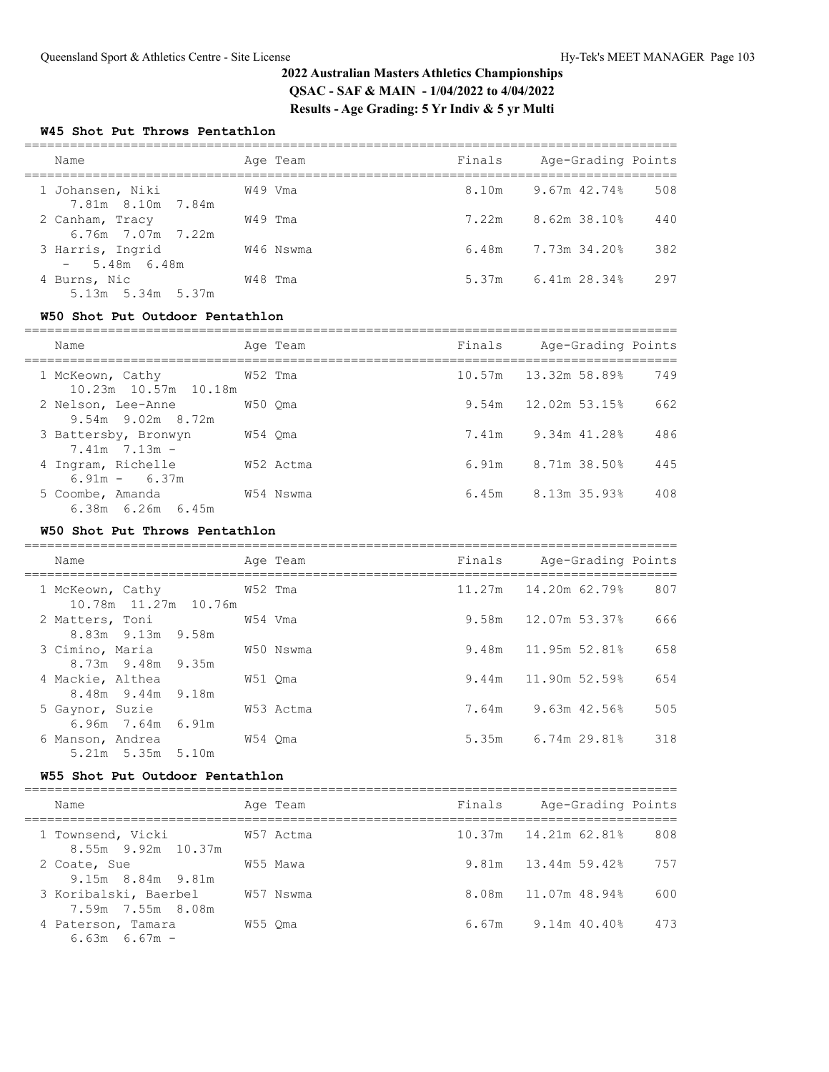## **W45 Shot Put Throws Pentathlon**

| Name                                    | Age Team  | Finals | Age-Grading Points               |
|-----------------------------------------|-----------|--------|----------------------------------|
| 1 Johansen, Niki<br>7.81m 8.10m 7.84m   | W49 Vma   |        | 8.10m 9.67m 42.74%<br>508        |
| 2 Canham, Tracy<br>6.76m 7.07m 7.22m    | W49 Tma   |        | $7.22m$ 8.62m 38.10%<br>440      |
| 3 Harris, Ingrid<br>$-5.48m$ 6.48m      | W46 Nswma |        | 382<br>$6.48m$ $7.73m$ $34.20\%$ |
| 4 Burns, Nic<br>$5.13m$ $5.34m$ $5.37m$ | W48 Tma   | 5.37m  | 297<br>6.41m 28.34%              |

### **W50 Shot Put Outdoor Pentathlon**

| Name                                           |         | Age Team  | Finals | Age-Grading Points    |     |
|------------------------------------------------|---------|-----------|--------|-----------------------|-----|
| 1 McKeown, Cathy<br>$10.23m$ $10.57m$ $10.18m$ | W52 Tma |           |        | 10.57m 13.32m 58.89%  | 749 |
| 2 Nelson, Lee-Anne<br>$9.54m$ $9.02m$ $8.72m$  |         | W50 Oma   |        | $9.54m$ 12.02m 53.15% | 662 |
| 3 Battersby, Bronwyn<br>$7.41m$ $7.13m$ –      | W54 Oma |           | 7.41m  | 9.34m 41.28%          | 486 |
| 4 Ingram, Richelle<br>$6.91m - 6.37m$          |         | W52 Actma | 6.91m  | 8.71m 38.50%          | 445 |
| 5 Coombe, Amanda<br>$6.38m$ $6.26m$ $6.45m$    |         | W54 Nswma |        | 6.45m 8.13m 35.93%    | 408 |

## **W50 Shot Put Throws Pentathlon**

| Name                                             | Age Team  | Finals Age-Grading Points |     |
|--------------------------------------------------|-----------|---------------------------|-----|
| 1 McKeown, Cathy 652 Tma<br>10.78m 11.27m 10.76m |           | 11.27m   14.20m   62.79%  | 807 |
| 2 Matters, Toni<br>8.83m 9.13m 9.58m             | W54 Vma   | 9.58m 12.07m 53.37%       | 666 |
| 3 Cimino, Maria<br>8.73m 9.48m 9.35m             | W50 Nswma | 9.48m 11.95m 52.81%       | 658 |
| 4 Mackie, Althea<br>8.48m 9.44m 9.18m            | W51 Oma   | 9.44m 11.90m 52.59%       | 654 |
| 5 Gaynor, Suzie<br>$6.96m$ 7.64m $6.91m$         | W53 Actma | 7.64m 9.63m 42.56%        | 505 |
| 6 Manson, Andrea<br>$5.21m$ $5.35m$ $5.10m$      | W54 Oma   | 5.35m 6.74m 29.81%        | 318 |

### **W55 Shot Put Outdoor Pentathlon**

| Name                                       | Age Team  | Finals | Age-Grading Points            |
|--------------------------------------------|-----------|--------|-------------------------------|
| 1 Townsend, Vicki<br>8.55m 9.92m 10.37m    | W57 Actma |        | 808<br>10.37m  14.21m  62.81% |
| 2 Coate, Sue<br>9.15m 8.84m 9.81m          | W55 Mawa  |        | $9.81m$ 13.44m 59.42%<br>757  |
| 3 Koribalski, Baerbel<br>7.59m 7.55m 8.08m | W57 Nswma |        | 8.08m 11.07m 48.94%<br>600    |
| 4 Paterson, Tamara<br>$6.63m$ $6.67m$ -    | W55 Oma   | 6.67m  | 9.14m 40.40%<br>473           |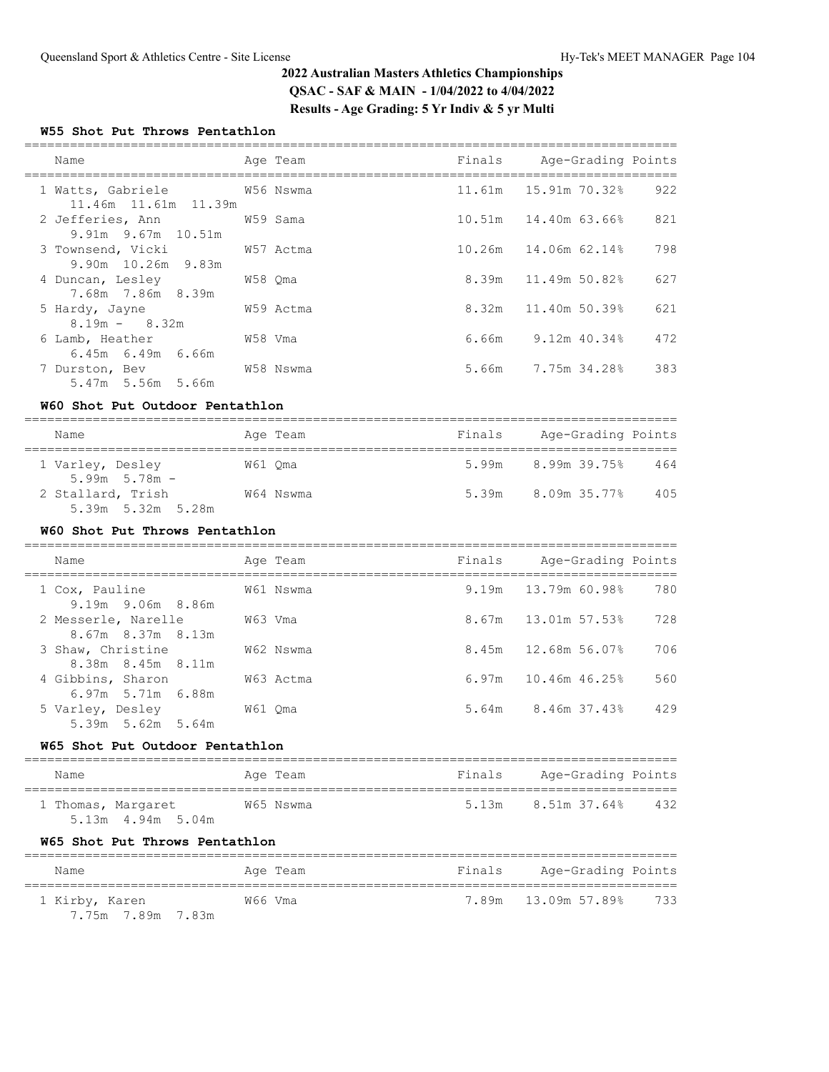## **W55 Shot Put Throws Pentathlon**

| Name                                                  |         | Age Team  | Finals Age-Grading Points   |     |
|-------------------------------------------------------|---------|-----------|-----------------------------|-----|
| 1 Watts, Gabriele 6756 Nswma<br>11.46m 11.61m 11.39m  |         |           |                             | 922 |
| 2 Jefferies, Ann M59 Sama<br>$9.91m$ $9.67m$ $10.51m$ |         |           | $10.51m$ $14.40m$ $63.66\%$ | 821 |
| 3 Townsend, Vicki W57 Actma<br>9.90m 10.26m 9.83m     |         |           | 10.26m 14.06m 62.14%        | 798 |
| 4 Duncan, Lesley 678 Qma<br>7.68m 7.86m 8.39m         |         |           | $8.39m$ 11.49m 50.82%       | 627 |
| 5 Hardy, Jayne<br>$8.19m - 8.32m$                     |         | W59 Actma | 8.32m 11.40m 50.39%         | 621 |
| 6 Lamb, Heather<br>$6.45m$ $6.49m$ $6.66m$            | W58 Vma |           | $6.66m$ $9.12m$ $40.34\%$   | 472 |
| 7 Durston, Bev<br>5.47m 5.56m 5.66m                   |         | W58 Nswma | 5.66m 7.75m 34.28%          | 383 |

### **W60 Shot Put Outdoor Pentathlon**

| Name                                   | Age Team  | Finals | Age-Grading Points              |
|----------------------------------------|-----------|--------|---------------------------------|
| 1 Varley, Desley<br>$5.99m$ $5.78m$ -  | W61 Oma   |        | $5.99m$ $8.99m$ $39.75%$<br>464 |
| 2 Stallard, Trish<br>5.39m 5.32m 5.28m | W64 Nswma |        | 5.39m 8.09m 35.77%<br>405       |

# **W60 Shot Put Throws Pentathlon**

| Name                                           | Age Team  | Finals | Age-Grading Points    |     |
|------------------------------------------------|-----------|--------|-----------------------|-----|
| 1 Cox, Pauline<br>9.19m 9.06m 8.86m            | W61 Nswma |        | 9.19m 13.79m 60.98%   | 780 |
| 2 Messerle, Narelle<br>$8.67m$ $8.37m$ $8.13m$ | W63 Vma   |        | 8.67m 13.01m 57.53%   | 728 |
| 3 Shaw, Christine<br>8.38m 8.45m 8.11m         | W62 Nswma |        | 8.45m 12.68m 56.07%   | 706 |
| 4 Gibbins, Sharon<br>$6.97m$ 5.71m $6.88m$     | W63 Actma |        | $6.97m$ 10.46m 46.25% | 560 |
| 5 Varley, Desley<br>$5.39m$ $5.62m$ $5.64m$    | W61 Oma   |        | 5.64m 8.46m 37.43%    | 429 |

#### **W65 Shot Put Outdoor Pentathlon**

| Name                                        | Age Team  | Finals | Age-Grading Points |     |
|---------------------------------------------|-----------|--------|--------------------|-----|
| 1 Thomas, Margaret<br>$5.13m$ 4.94m $5.04m$ | W65 Nswma | 5.13m  | 8.51m 37.64%       | 432 |

# **W65 Shot Put Throws Pentathlon**

| Name                                | Age Team | Finals | Age-Grading Points  |       |
|-------------------------------------|----------|--------|---------------------|-------|
| 1 Kirby, Karen<br>7.75m 7.89m 7.83m | W66 Vma  |        | 7.89m 13.09m 57.89% | - 733 |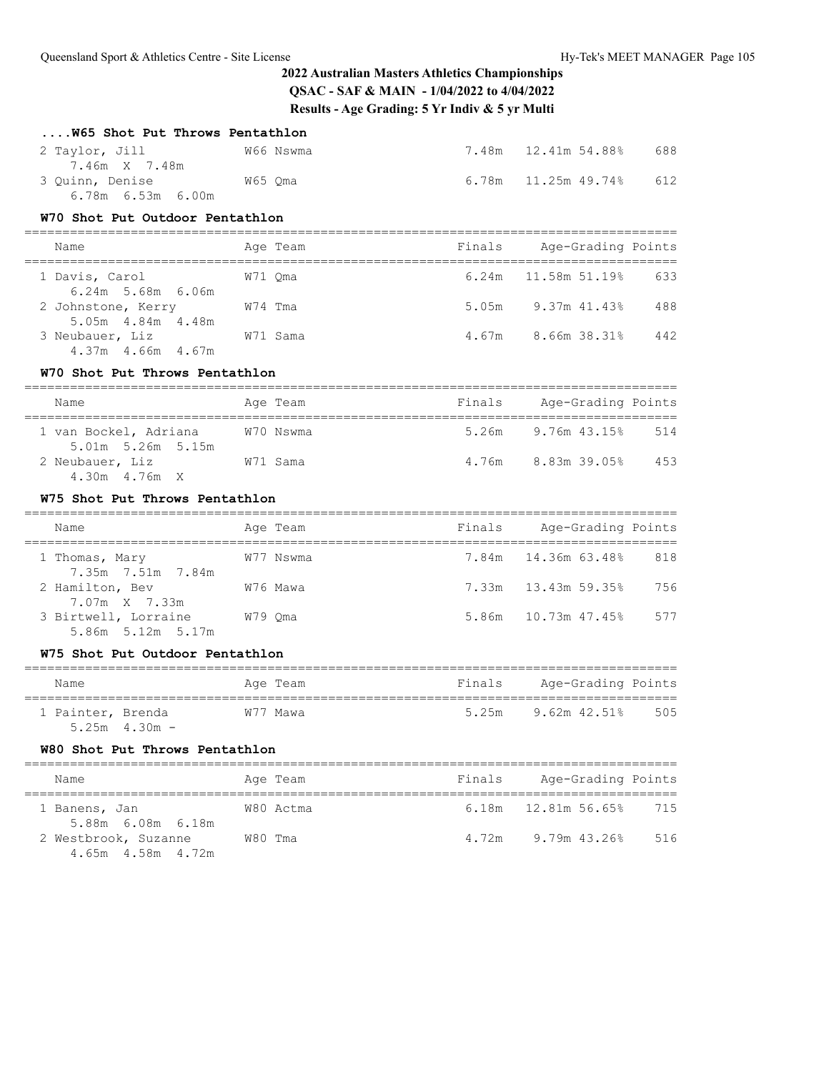| W65 Shot Put Throws Pentathlon                                     |         |           |        |                           |     |
|--------------------------------------------------------------------|---------|-----------|--------|---------------------------|-----|
| 2 Taylor, Jill<br>7.46m X 7.48m                                    |         | W66 Nswma |        | 7.48m 12.41m 54.88%       | 688 |
| 3 Quinn, Denise M65 Qma<br>6.78m 6.53m 6.00m                       |         |           |        | $6.78m$ 11.25 $m$ 49.74%  | 612 |
| W70 Shot Put Outdoor Pentathlon                                    |         |           |        |                           |     |
| Name                                                               |         | Age Team  |        | Finals Age-Grading Points |     |
| 1 Davis, Carol<br>$6.24m$ 5.68m $6.06m$                            | W71 Oma |           | 6.24m  | 11.58m 51.19%             | 633 |
| 2 Johnstone, Kerry W74 Tma<br>5.05m 4.84m 4.48m                    |         |           |        | 5.05m 9.37m 41.43%        | 488 |
| 3 Neubauer, Liz W71 Sama<br>4.37m 4.66m 4.67m                      |         |           |        | 4.67m 8.66m 38.31%        | 442 |
| W70 Shot Put Throws Pentathlon                                     |         |           |        |                           |     |
| Name                                                               |         | Age Team  |        | Finals Age-Grading Points |     |
| 1 van Bockel, Adriana<br>5.01m 5.26m 5.15m                         |         | W70 Nswma |        | 5.26m 9.76m 43.15%        | 514 |
| 2 Neubauer, Liz W71 Sama<br>4.30m  4.76m  X                        |         |           |        | 4.76m 8.83m 39.05% 453    |     |
|                                                                    |         |           |        |                           |     |
| W75 Shot Put Throws Pentathlon                                     |         |           |        |                           |     |
| Name                                                               |         | Age Team  | Finals | Age-Grading Points        |     |
| 1 Thomas, Mary                                                     |         | W77 Nswma |        | 7.84m 14.36m 63.48%       | 818 |
| 7.35m 7.51m 7.84m<br>W76 Mawa<br>2 Hamilton, Bev                   |         |           |        |                           | 756 |
| 7.07m X 7.33m<br>3 Birtwell, Lorraine W79 Qma<br>5.86m 5.12m 5.17m |         |           | 5.86m  | 10.73m 47.45%             | 577 |
| W75 Shot Put Outdoor Pentathlon                                    |         |           |        |                           |     |
| Name                                                               |         | Age Team  | Finals | Age-Grading Points        |     |
| 1 Painter, Brenda<br>$5.25m$ 4.30m -                               |         | W77 Mawa  | 5.25m  | $9.62m$ $42.51\%$         | 505 |
| W80 Shot Put Throws Pentathlon                                     |         |           |        |                           |     |
| Name                                                               |         | Age Team  | Finals | Age-Grading Points        |     |
| 1 Banens, Jan<br>5.88m 6.08m 6.18m                                 |         | W80 Actma |        | $6.18m$ $12.81m$ 56.65%   | 715 |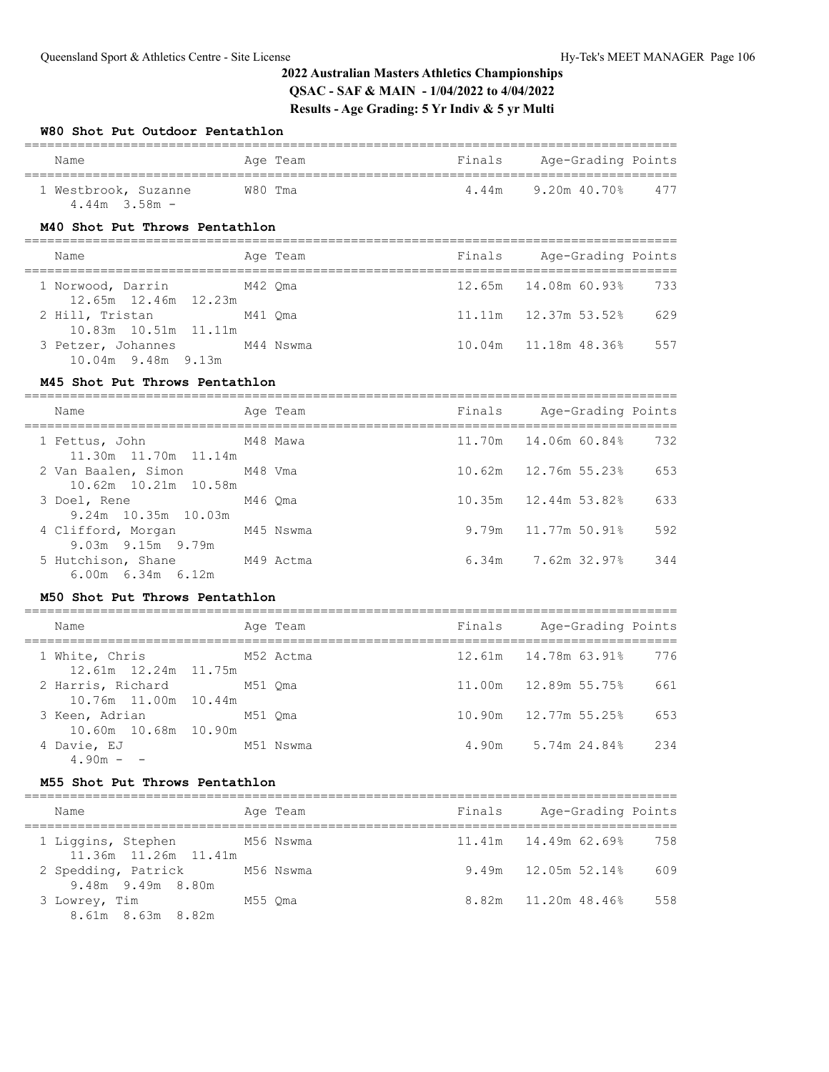#### **W80 Shot Put Outdoor Pentathlon**

| Name                                      | Age Team | Finals | Age-Grading Points  |  |  |
|-------------------------------------------|----------|--------|---------------------|--|--|
| 1 Westbrook, Suzanne<br>$4.44m$ $3.58m$ – | W80 Tma  | 4.44m  | 9.20m 40.70%<br>477 |  |  |

# **M40 Shot Put Throws Pentathlon**

| Name                                            | Age Team  | Finals | Age-Grading Points                 |
|-------------------------------------------------|-----------|--------|------------------------------------|
| 1 Norwood, Darrin                               | M42 Oma   |        | 12.65m 14.08m 60.93% 733           |
| 12.65m 12.46m 12.23m<br>2 Hill, Tristan M41 Oma |           |        | $11.11m$ $12.37m$ $53.52\%$<br>629 |
| 10.83m 10.51m 11.11m<br>3 Petzer, Johannes      | M44 Nswma |        | 10.04m   11.18m   48.36%<br>557    |
| $10.04m$ 9.48m 9.13m                            |           |        |                                    |

#### **M45 Shot Put Throws Pentathlon**

| Name                                                                         |         | Age Team | Finals | Age-Grading Points      |     |
|------------------------------------------------------------------------------|---------|----------|--------|-------------------------|-----|
| M48 Mawa<br>1 Fettus, John<br>11.30m 11.70m 11.14m                           |         |          |        | 11.70m 14.06m 60.84%    | 732 |
| 2 Van Baalen, Simon M48 Vma<br>10.62m 10.21m 10.58m                          |         |          |        | 10.62m 12.76m 55.23%    | 653 |
| 3 Doel, Rene                                                                 | M46 Oma |          |        | 10.35m 12.44m 53.82%    | 633 |
| 9.24m 10.35m 10.03m<br>4 Clifford, Morgan M45 Nswma                          |         |          |        | 9.79m 11.77m 50.91%     | 592 |
| 9.03m 9.15m 9.79m<br>5 Hutchison, Shane M49 Actma<br>$6.00m$ $6.34m$ $6.12m$ |         |          |        | $6.34m$ 7.62m $32.97\%$ | 344 |

#### **M50 Shot Put Throws Pentathlon**

| Name                                      |  | Age Team  | Finals | Age-Grading Points       |     |
|-------------------------------------------|--|-----------|--------|--------------------------|-----|
| 1 White, Chris                            |  | M52 Actma |        | 12.61m  14.78m  63.91%   | 776 |
| 12.61m 12.24m 11.75m<br>2 Harris, Richard |  | M51 Oma   |        | 11.00m   12.89m   55.75% | 661 |
| 10.76m 11.00m 10.44m<br>3 Keen, Adrian    |  | M51 Oma   |        | 10.90m   12.77m   55.25% | 653 |
| 10.60m 10.68m 10.90m<br>4 Davie, EJ       |  | M51 Nswma |        | 4.90m 5.74m 24.84%       | 234 |
| $490m - -$                                |  |           |        |                          |     |

## **M55 Shot Put Throws Pentathlon**

| Name                                                 | Age Team  | Finals | Age-Grading Points              |
|------------------------------------------------------|-----------|--------|---------------------------------|
| 1 Liggins, Stephen M56 Nswma<br>11.36m 11.26m 11.41m |           |        | $11.41m$ $14.49m$ 62.69%<br>758 |
| 2 Spedding, Patrick<br>9.48m 9.49m 8.80m             | M56 Nswma |        | 9.49m 12.05m 52.14%<br>609      |
| 3 Lowrey, Tim<br>8.61m 8.63m 8.82m                   | M55 Oma   |        | 8.82m 11.20m 48.46%<br>558      |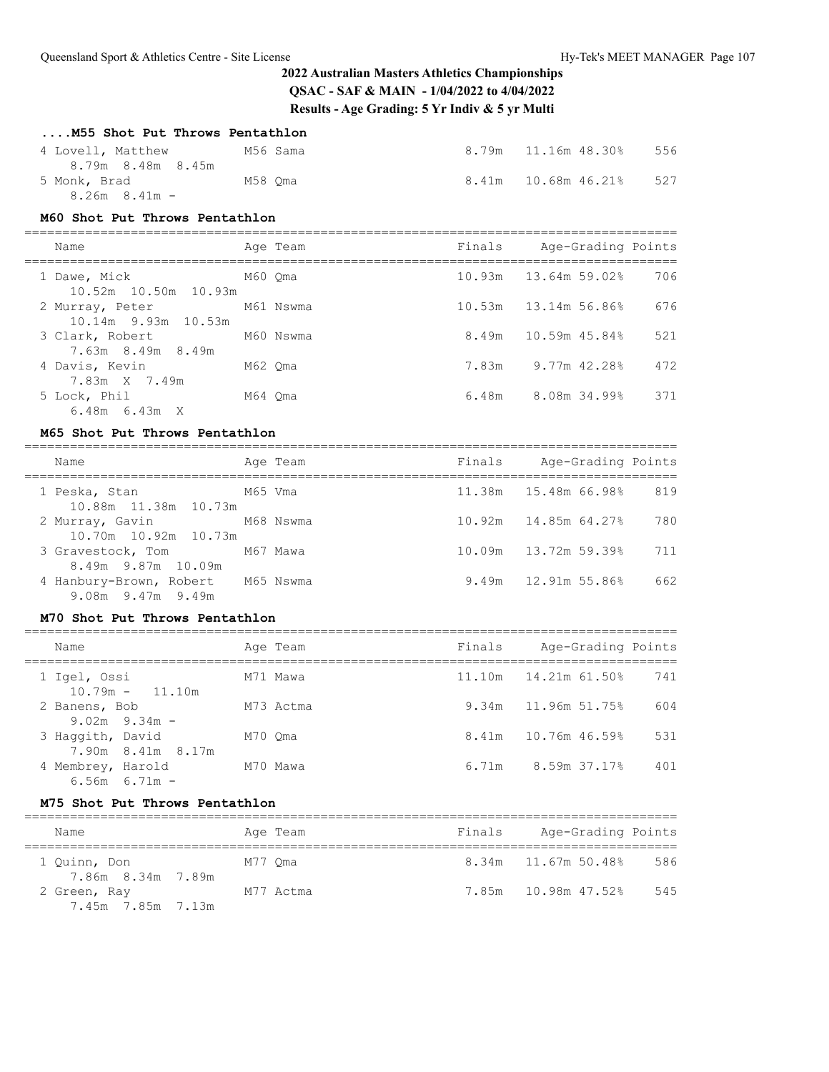### **....M55 Shot Put Throws Pentathlon**

| 4 Lovell, Matthew<br>8.79m 8.48m 8.45m | M56 Sama | 8.79m 11.16m 48.30% | 556 |
|----------------------------------------|----------|---------------------|-----|
| 5 Monk, Brad                           | M58 Oma  | 8.41m 10.68m 46.21% | 527 |
| $8.26m$ $8.41m -$                      |          |                     |     |

#### **M60 Shot Put Throws Pentathlon**

| Name                                   |         | Age Team  | Finals | Age-Grading Points        |     |
|----------------------------------------|---------|-----------|--------|---------------------------|-----|
| 1 Dawe, Mick<br>10.52m 10.50m 10.93m   | M60 Oma |           |        | $10.93m$ $13.64m$ 59.02%  | 706 |
| 2 Murray, Peter<br>10.14m 9.93m 10.53m |         | M61 Nswma |        | 10.53m 13.14m 56.86%      | 676 |
| 3 Clark, Robert<br>7.63m 8.49m 8.49m   |         | M60 Nswma |        | 8.49m 10.59m 45.84%       | 521 |
| 4 Davis, Kevin<br>7.83m X 7.49m        | M62 Oma |           |        | 7.83m 9.77m 42.28%        | 472 |
| 5 Lock, Phil<br>$6.48m$ $6.43m$ X      | M64 Oma |           |        | $6.48m$ $8.08m$ $34.99\%$ | 371 |

#### **M65 Shot Put Throws Pentathlon**

| Name                                                         |         | Age Team | Finals | Age-Grading Points       |     |
|--------------------------------------------------------------|---------|----------|--------|--------------------------|-----|
| 1 Peska, Stan<br>10.88m 11.38m 10.73m                        | M65 Vma |          |        | 11.38m 15.48m 66.98%     | 819 |
| 2 Murray, Gavin M68 Nswma<br>10.70m 10.92m 10.73m            |         |          |        | $10.92m$ 14.85m 64.27%   | 780 |
| 3 Gravestock, Tom M67 Mawa<br>8.49m 9.87m 10.09m             |         |          |        | 10.09m   13.72m   59.39% | 711 |
| 4 Hanbury-Brown, Robert M65 Nswma<br>$9.08m$ $9.47m$ $9.49m$ |         |          |        | $9.49m$ 12.91m 55.86%    | 662 |

### **M70 Shot Put Throws Pentathlon**

| Name                                   | Age Team  | Finals | Age-Grading Points        |     |
|----------------------------------------|-----------|--------|---------------------------|-----|
| 1 Igel, Ossi<br>$10.79m - 11.10m$      | M71 Mawa  |        | 11.10m  14.21m  61.50%    | 741 |
| 2 Banens, Bob<br>$9.02m$ $9.34m$ –     | M73 Actma |        | 9.34m 11.96m 51.75%       | 604 |
| 3 Haqqith, David<br>7.90m 8.41m 8.17m  | M70 Oma   |        | $8.41m$ 10.76m 46.59%     | 531 |
| 4 Membrey, Harold<br>$6.56m$ $6.71m$ - | M70 Mawa  |        | $6.71m$ $8.59m$ $37.17\%$ | 401 |

#### **M75 Shot Put Throws Pentathlon**

| Name                              | Age Team  | Finals | Age-Grading Points  |     |  |  |
|-----------------------------------|-----------|--------|---------------------|-----|--|--|
| 1 Quinn, Don<br>7.86m 8.34m 7.89m | M77 Oma   |        | 8.34m 11.67m 50.48% | 586 |  |  |
| 2 Green, Ray<br>7.45m 7.85m 7.13m | M77 Actma |        | 7.85m 10.98m 47.52% | 545 |  |  |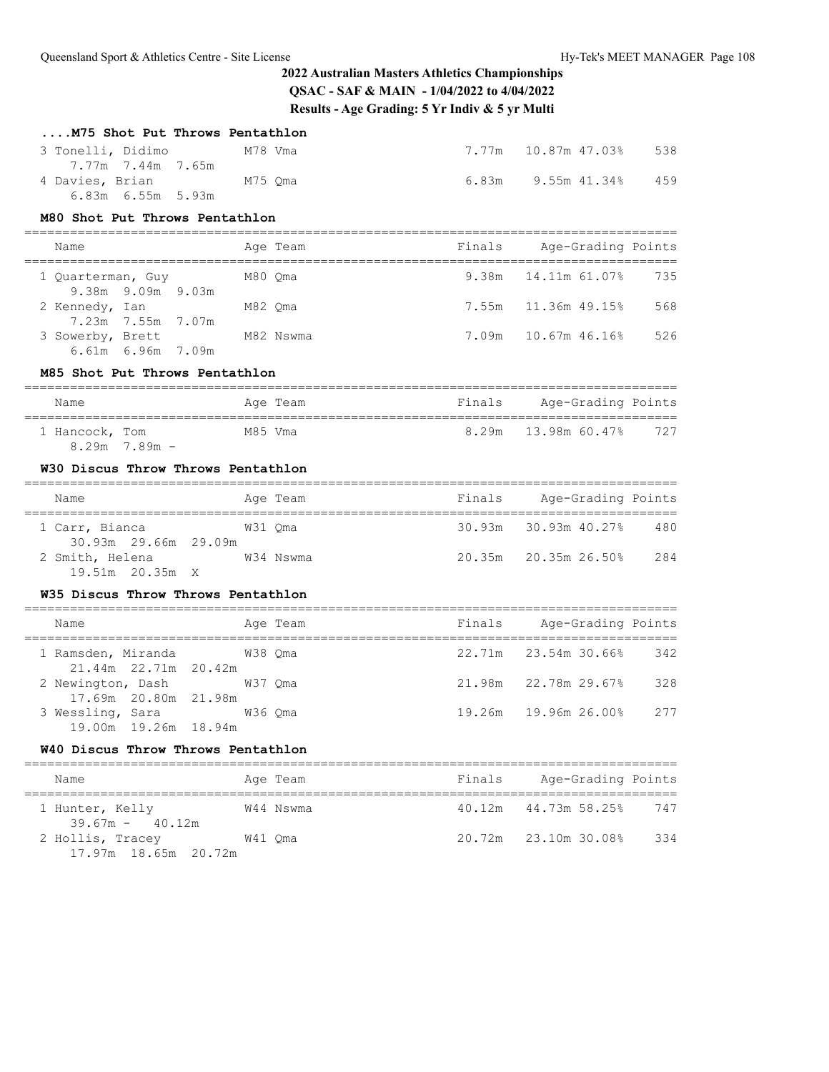| M75 Shot Put Throws Pentathlon                                       |         |           |        |                                            |     |
|----------------------------------------------------------------------|---------|-----------|--------|--------------------------------------------|-----|
| 3 Tonelli, Didimo                                                    |         | M78 Vma   |        |                                            | 538 |
| 7.77m 7.44m 7.65m<br>4 Davies, Brian<br>$6.83m$ $6.55m$ $5.93m$      | M75 Qma |           |        | $6.83m$ 9.55m $41.34\%$                    | 459 |
| M80 Shot Put Throws Pentathlon                                       |         |           |        |                                            |     |
| Name                                                                 |         | Age Team  | Finals | Age-Grading Points                         |     |
| 1 Quarterman, Guy                                                    |         | M80 Qma   | 9.38m  | 14.11m 61.07%                              | 735 |
| 9.38m 9.09m 9.03m<br>2 Kennedy, Ian<br>7.23m 7.55m 7.07m             | M82 Oma |           | 7.55m  | 11.36m 49.15%                              | 568 |
| 3 Sowerby, Brett M82 Nswma<br>$6.61m$ $6.96m$ $7.09m$                |         |           | 7.09m  | 10.67m 46.16%                              | 526 |
| M85 Shot Put Throws Pentathlon                                       |         |           |        |                                            |     |
| Name                                                                 |         | Age Team  | Finals | Age-Grading Points                         |     |
| 1 Hancock, Tom<br>$8.29m$ 7.89m -                                    | M85 Vma |           | 8.29m  | ---------------------<br>13.98m 60.47% 727 |     |
| W30 Discus Throw Throws Pentathlon                                   |         |           |        |                                            |     |
| Name                                                                 |         | Age Team  |        | Finals Age-Grading Points                  |     |
| 1 Carr, Bianca                                                       |         | W31 Qma   | 30.93m | 30.93m 40.27%                              | 480 |
| 30.93m 29.66m 29.09m<br>2 Smith, Helena M34 Nswma<br>19.51m 20.35m X |         |           |        | 20.35m 20.35m 26.50% 284                   |     |
| W35 Discus Throw Throws Pentathlon                                   |         |           |        |                                            |     |
| Name                                                                 |         | Age Team  |        | Finals Age-Grading Points                  |     |
| 1 Ramsden, Miranda                                                   |         | W38 Qma   |        | 22.71m 23.54m 30.66%                       | 342 |
| 21.44m 22.71m 20.42m<br>2 Newington, Dash<br>17.69m 20.80m 21.98m    |         | W37 Qma   |        | 21.98m 22.78m 29.67%                       | 328 |
| 3 Wessling, Sara<br>w36 Oma<br>19.00m  19.26m  18.94m                |         |           |        | 19.26m  19.96m  26.00%                     | 277 |
| W40 Discus Throw Throws Pentathlon                                   |         |           |        |                                            |     |
| Name                                                                 |         | Age Team  | Finals | Age-Grading Points                         |     |
| 1 Hunter, Kelly<br>$39.67m - 40.12m$                                 |         | W44 Nswma | 40.12m | 44.73m 58.25%                              | 747 |
| 2 Hollis, Tracey                                                     |         | W41 Qma   | 20.72m | 23.10m 30.08%                              | 334 |

17.97m 18.65m 20.72m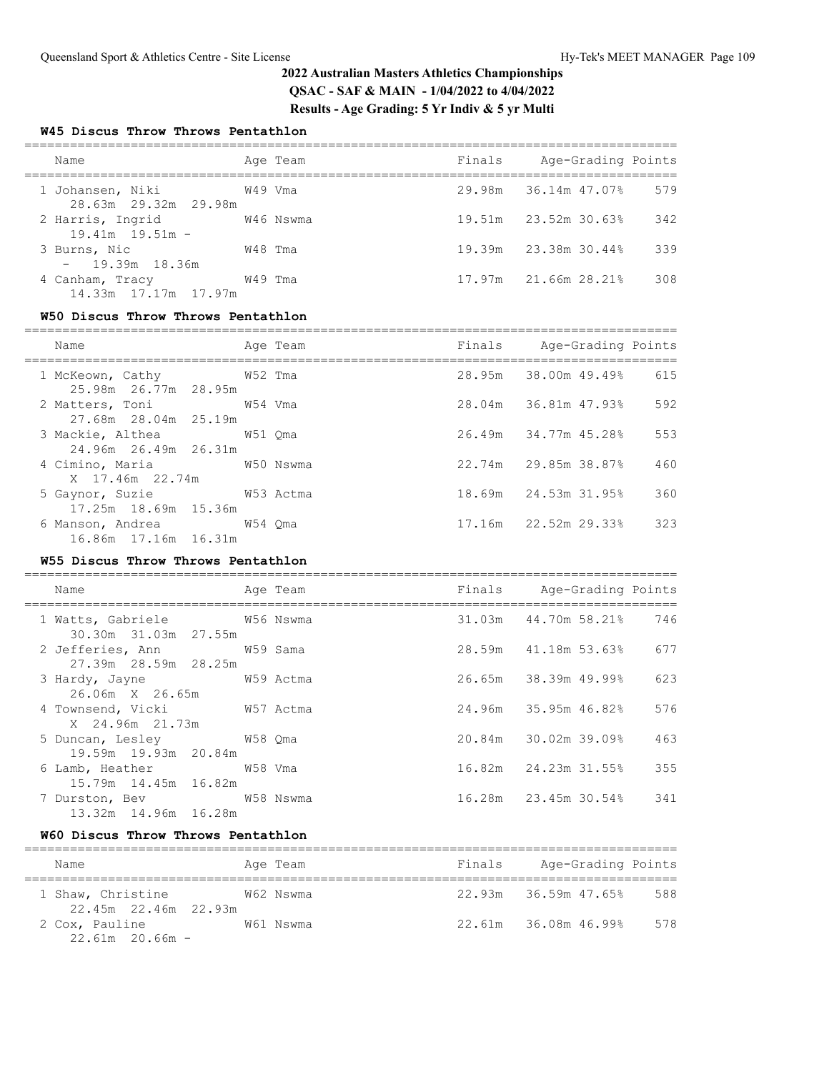## **W45 Discus Throw Throws Pentathlon**

| Name                                     |         | Age Team  | Finals | Age-Grading Points   |     |
|------------------------------------------|---------|-----------|--------|----------------------|-----|
| 1 Johansen, Niki<br>28.63m 29.32m 29.98m | W49 Vma |           |        | 29.98m 36.14m 47.07% | 579 |
| 2 Harris, Ingrid<br>$19.41m$ $19.51m$ -  |         | W46 Nswma |        | 19.51m 23.52m 30.63% | 342 |
| 3 Burns, Nic<br>$-19.39m$ 18.36m         | W48 Tma |           |        | 19.39m 23.38m 30.44% | 339 |
| 4 Canham, Tracy<br>14.33m 17.17m 17.97m  | W49 Tma |           |        | 17.97m 21.66m 28.21% | 308 |

### **W50 Discus Throw Throws Pentathlon**

| Name                                                      | Age Team | Finals Age-Grading Points   |     |
|-----------------------------------------------------------|----------|-----------------------------|-----|
| 1 McKeown, Cathy 652 Tma<br>25.98m 26.77m 28.95m          |          | 28.95m 38.00m 49.49% 615    |     |
| 2 Matters, Toni 69 69 7 2 MB4 Vma<br>27.68m 28.04m 25.19m |          | 28.04m 36.81m 47.93%        | 592 |
| 3 Mackie, Althea 6 651 Oma<br>24.96m 26.49m 26.31m        |          | 26.49m 34.77m 45.28%        | 553 |
| 4 Cimino, Maria 61 60 Nswma<br>X 17.46m 22.74m            |          | 22.74m 29.85m 38.87%        | 460 |
| 5 Gaynor, Suzie<br>W53 Actma<br>17.25m 18.69m 15.36m      |          | 18.69m 24.53m 31.95%        | 360 |
| 16.86m 17.16m 16.31m                                      |          | $17.16m$ $22.52m$ $29.33\%$ | 323 |

### **W55 Discus Throw Throws Pentathlon**

| Name<br>===================                          | Age Team | Finals Age-Grading Points   |     |
|------------------------------------------------------|----------|-----------------------------|-----|
| 1 Watts, Gabriele 6756 Nswma<br>30.30m 31.03m 27.55m |          | 31.03m  44.70m  58.21%  746 |     |
| 2 Jefferies, Ann M59 Sama<br>27.39m 28.59m 28.25m    |          | 28.59m 41.18m 53.63%        | 677 |
| 3 Hardy, Jayne M59 Actma<br>26.06m X 26.65m          |          | 26.65m 38.39m 49.99%        | 623 |
| 4 Townsend, Vicki W57 Actma<br>X 24.96m 21.73m       |          | 24.96m 35.95m 46.82%        | 576 |
| 5 Duncan, Lesley 658 Qma<br>19.59m 19.93m 20.84m     |          | 20.84m 30.02m 39.09%        | 463 |
| 6 Lamb, Heather W58 Vma<br>15.79m 14.45m 16.82m      |          |                             | 355 |
| 7 Durston, Bev W58 Nswma<br>13.32m 14.96m 16.28m     |          | 16.28m 23.45m 30.54%        | 341 |

#### **W60 Discus Throw Throws Pentathlon**

| Name                                      | Age Team  | Finals | Age-Grading Points              |  |  |  |  |
|-------------------------------------------|-----------|--------|---------------------------------|--|--|--|--|
| 1 Shaw, Christine<br>22.45m 22.46m 22.93m | W62 Nswma |        | $22.93m$ $36.59m$ 47.65%<br>588 |  |  |  |  |
| 2 Cox, Pauline<br>$22.61m$ 20.66m -       | W61 Nswma |        | 22.61m 36.08m 46.99%<br>578     |  |  |  |  |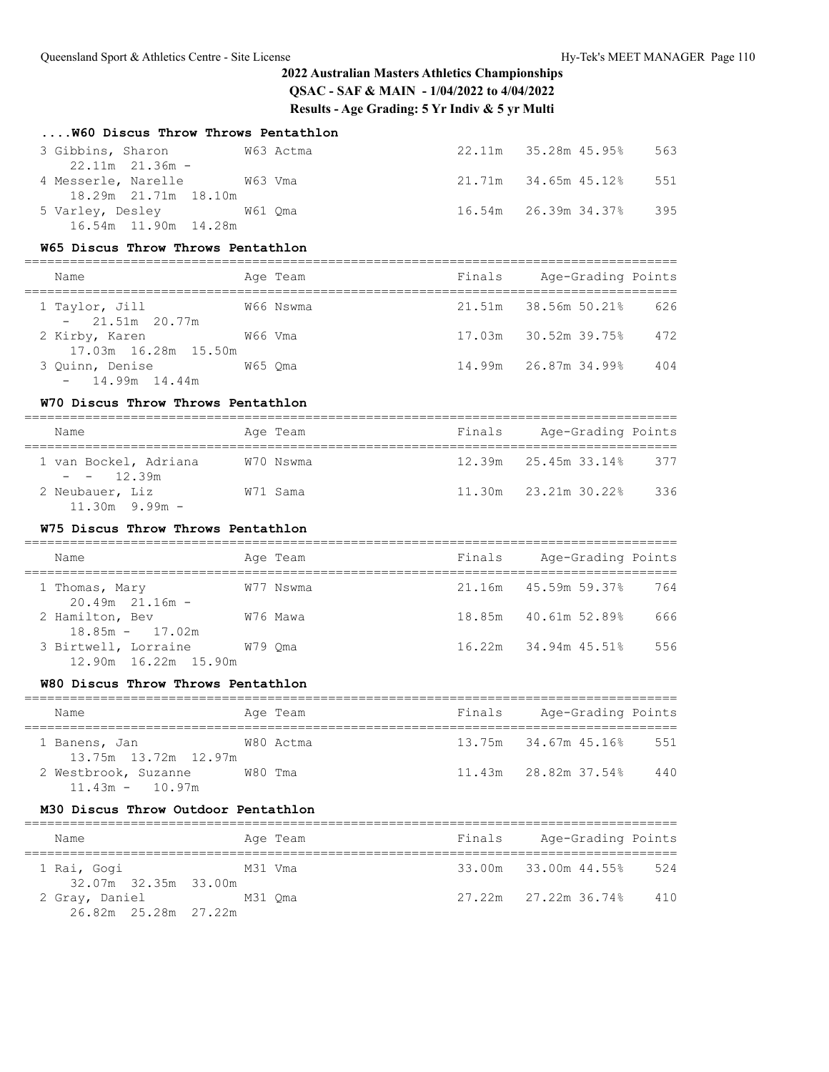| W60 Discus Throw Throws Pentathlon                                          |           |        |                           |     |
|-----------------------------------------------------------------------------|-----------|--------|---------------------------|-----|
| 3 Gibbins, Sharon<br>W63 Actma<br>$22.11m$ $21.36m$ -                       |           |        | 22.11m 35.28m 45.95%      | 563 |
| 4 Messerle, Narelle<br>18.29m  21.71m  18.10m                               | W63 Vma   |        | 21.71m 34.65m 45.12%      | 551 |
| 5 Varley, Desley 61 Qma<br>16.54m 11.90m 14.28m                             |           |        | 16.54m 26.39m 34.37%      | 395 |
| W65 Discus Throw Throws Pentathlon<br>___________________________           |           |        |                           |     |
| Name                                                                        | Age Team  | Finals | Age-Grading Points        |     |
| 1 Taylor, Jill<br>$-21.51m$ 20.77m                                          | W66 Nswma | 21.51m | 38.56m 50.21%             | 626 |
| 2 Kirby, Karen M66 Vma<br>17.03m  16.28m  15.50m                            |           |        | 17.03m 30.52m 39.75%      | 472 |
| 3 Quinn, Denise<br>W65 Oma<br>14.99m  14.44m                                |           |        | 14.99m 26.87m 34.99%      | 404 |
| W70 Discus Throw Throws Pentathlon<br>===================================== |           |        |                           |     |
| Name                                                                        | Age Team  |        | Finals Age-Grading Points |     |
| 1 van Bockel, Adriana W70 Nswma<br>$- - 12.39m$                             |           |        | 12.39m 25.45m 33.14% 377  |     |
| 2 Neubauer, Liz<br>$11.30m$ 9.99m -                                         | W71 Sama  |        | 11.30m 23.21m 30.22% 336  |     |
| W75 Discus Throw Throws Pentathlon                                          |           |        |                           |     |
| Name                                                                        | Age Team  |        | Finals Age-Grading Points |     |
| 1 Thomas, Mary<br>$20.49m$ $21.16m$ -                                       | W77 Nswma |        | 21.16m 45.59m 59.37%      | 764 |
| 2 Hamilton, Bev<br>$18.85m - 17.02m$                                        | W76 Mawa  |        | 18.85m  40.61m  52.89%    | 666 |
| 3 Birtwell, Lorraine W79 Qma<br>12.90m  16.22m  15.90m                      |           | 16.22m | 34.94m 45.51%             | 556 |
| W80 Discus Throw Throws Pentathlon                                          |           |        |                           |     |
| Name                                                                        | Age Team  |        | Finals Age-Grading Points |     |
| 1 Banens, Jan<br>13.75m  13.72m  12.97m                                     | W80 Actma |        | 13.75m 34.67m 45.16% 551  |     |
| 2 Westbrook, Suzanne W80 Tma<br>$11.43m - 10.97m$                           |           |        | 11.43m 28.82m 37.54% 440  |     |
| M30 Discus Throw Outdoor Pentathlon                                         |           |        |                           |     |
|                                                                             |           |        |                           |     |

| Name                                   | Age Team | Finals | Age-Grading Points   |     |
|----------------------------------------|----------|--------|----------------------|-----|
| 1 Rai, Gogi<br>32.07m 32.35m 33.00m    | M31 Vma  |        | 33.00m 33.00m 44.55% | 524 |
| 2 Gray, Daniel<br>26.82m 25.28m 27.22m | M31 Oma  |        |                      | 410 |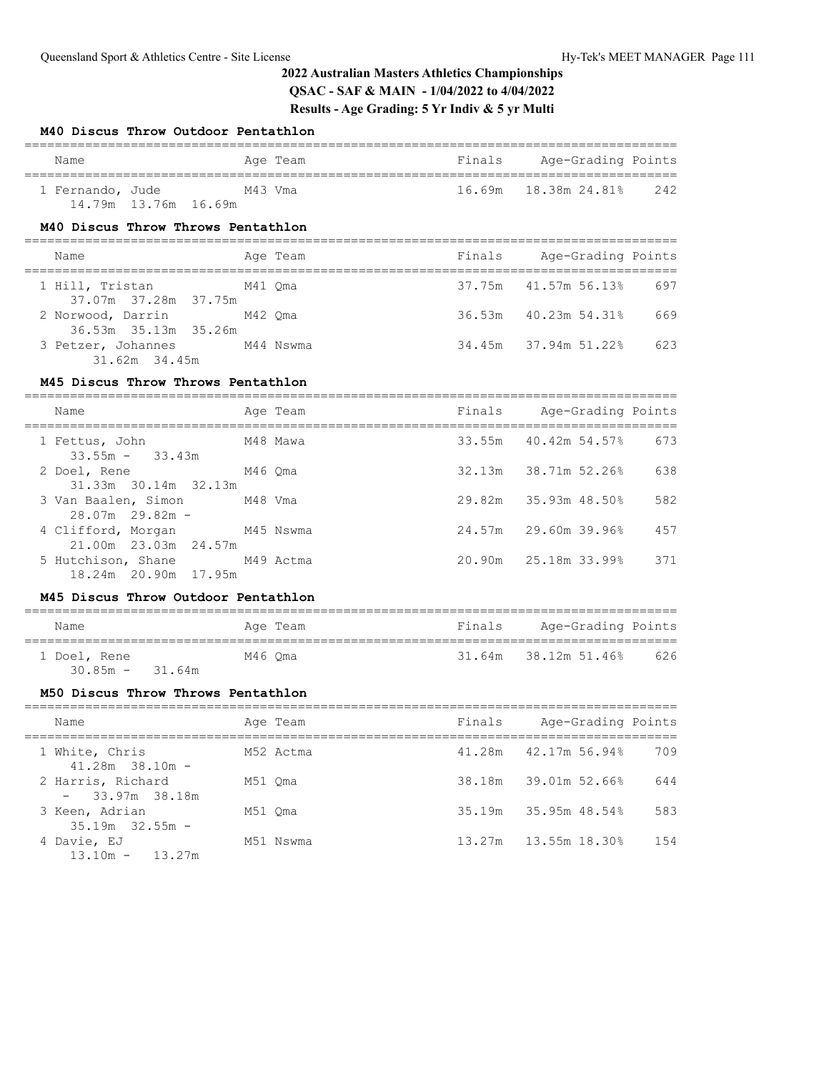### **M40 Discus Throw Outdoor Pentathlon**

| Name                                              | Age Team  | Finals | Age-Grading Points          |     |
|---------------------------------------------------|-----------|--------|-----------------------------|-----|
| 1 Fernando, Jude<br>14.79m 13.76m 16.69m          | M43 Vma   |        | 16.69m  18.38m  24.81%  242 |     |
| M40 Discus Throw Throws Pentathlon                |           |        |                             |     |
| Name                                              | Age Team  |        | Finals Age-Grading Points   |     |
| 1 Hill, Tristan M41 Qma<br>37.07m 37.28m 37.75m   |           |        | 37.75m 41.57m 56.13%        | 697 |
| 2 Norwood, Darrin M42 Qma<br>36.53m 35.13m 35.26m |           |        | 36.53m 40.23m 54.31%        | 669 |
| 3 Petzer, Johannes<br>31.62m 34.45m               | M44 Nswma |        | 34.45m 37.94m 51.22%        | 623 |
| M45 Discus Throw Throws Pentathlon                |           |        |                             |     |
| Name                                              | Age Team  |        | Finals Age-Grading Points   |     |
|                                                   |           |        |                             |     |

| 1 Fettus, John<br>$33.55m - 33.43m$                  | M48 Mawa |        | 33.55m 40.42m 54.57% | 673 |
|------------------------------------------------------|----------|--------|----------------------|-----|
| 2 Doel, Rene<br>31.33m 30.14m 32.13m                 | M46 Oma  | 32.13m | 38.71m 52.26%        | 638 |
| 3 Van Baalen, Simon M48 Vma<br>$28.07m$ 29.82m -     |          |        | 29.82m 35.93m 48.50% | 582 |
| 4 Clifford, Morgan M45 Nswma<br>21.00m 23.03m 24.57m |          |        | 24.57m 29.60m 39.96% | 457 |
| 5 Hutchison, Shane M49 Actma<br>18.24m 20.90m 17.95m |          |        | 20.90m 25.18m 33.99% | 371 |

#### **M45 Discus Throw Outdoor Pentathlon**

| Name                              | Age Team | Finals | Age-Grading Points   |     |
|-----------------------------------|----------|--------|----------------------|-----|
| 1 Doel, Rene<br>$30.85m - 31.64m$ | M46 Oma  |        | 31.64m 38.12m 51.46% | 626 |

### **M50 Discus Throw Throws Pentathlon**

| Name                                  | Age Team  | Finals | Age-Grading Points       |      |
|---------------------------------------|-----------|--------|--------------------------|------|
| 1 White, Chris<br>$41.28m$ 38.10m -   | M52 Actma |        | $41.28m$ $42.17m$ 56.94% | 709  |
| 2 Harris, Richard<br>$-33.97m$ 38.18m | M51 Oma   |        | 38.18m 39.01m 52.66%     | 644  |
| 3 Keen, Adrian<br>$35.19m$ $32.55m$ - | M51 Oma   |        | $35.19m$ $35.95m$ 48.54% | 583  |
| 4 Davie, EJ<br>$13.10m - 13.27m$      | M51 Nswma | 13.27m | 13.55m 18.30%            | 1.54 |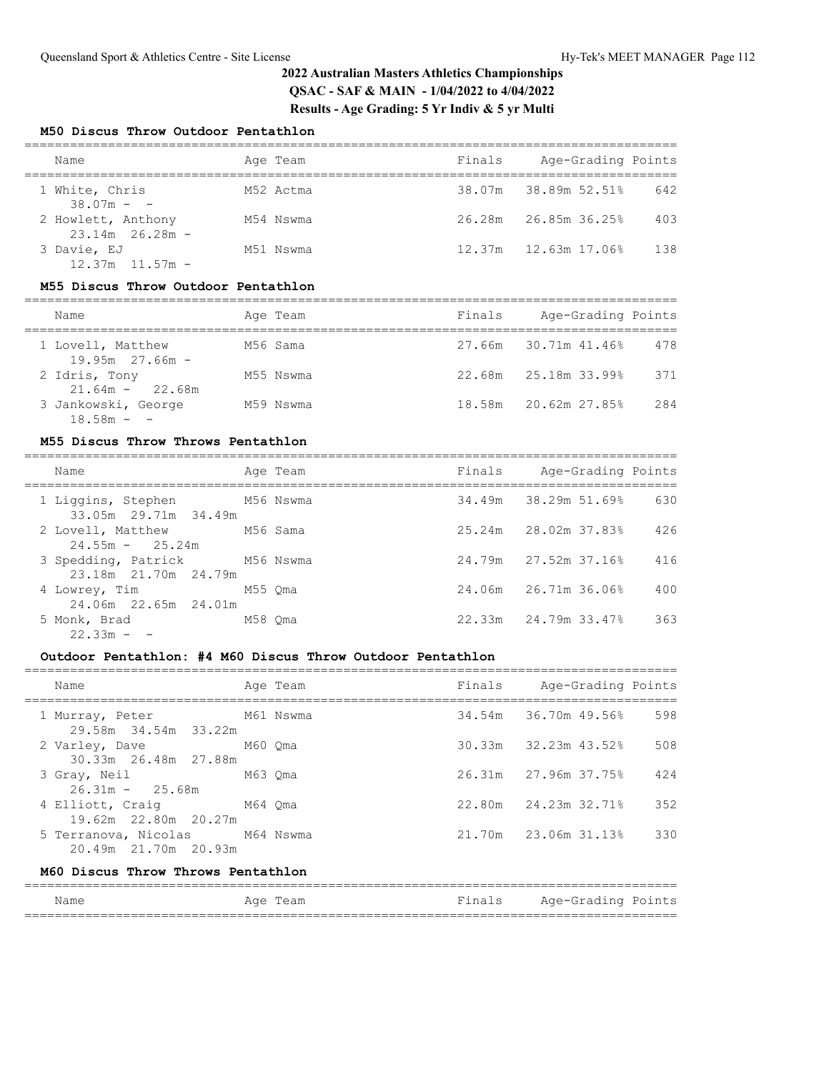### **M50 Discus Throw Outdoor Pentathlon**

| Name                                      | Age Team  | Finals | Age-Grading Points   |     |
|-------------------------------------------|-----------|--------|----------------------|-----|
| 1 White, Chris<br>$38.07m - -$            | M52 Actma |        | 38.07m 38.89m 52.51% | 642 |
| 2 Howlett, Anthony<br>$23.14m$ $26.28m$ - | M54 Nswma |        | 26.28m 26.85m 36.25% | 403 |
| 3 Davie, EJ<br>$12.37m$ $11.57m$ -        | M51 Nswma |        | 12.37m 12.63m 17.06% | 138 |

#### **M55 Discus Throw Outdoor Pentathlon**

| Name                                   | Age Team  | Finals | Age-Grading Points   |     |
|----------------------------------------|-----------|--------|----------------------|-----|
| 1 Lovell, Matthew<br>$19.95m$ 27.66m - | M56 Sama  |        | 27.66m 30.71m 41.46% | 478 |
| 2 Idris, Tony<br>$21.64m - 22.68m$     | M55 Nswma |        | 22.68m 25.18m 33.99% | 371 |
| 3 Jankowski, George<br>$18.58m - -$    | M59 Nswma |        | 18.58m 20.62m 27.85% | 284 |

#### **M55 Discus Throw Throws Pentathlon**

| Name                                                  |         | Age Team | Finals | Age-Grading Points   |     |
|-------------------------------------------------------|---------|----------|--------|----------------------|-----|
| 1 Liggins, Stephen M56 Nswma<br>33.05m 29.71m 34.49m  |         |          |        | 34.49m 38.29m 51.69% | 630 |
| 2 Lovell, Matthew M56 Sama<br>$24.55m - 25.24m$       |         |          |        | 25.24m 28.02m 37.83% | 426 |
| 3 Spedding, Patrick M56 Nswma<br>23.18m 21.70m 24.79m |         |          |        | 24.79m 27.52m 37.16% | 416 |
| 4 Lowrey, Tim<br>24.06m 22.65m 24.01m                 | M55 Oma |          |        | 24.06m 26.71m 36.06% | 400 |
| 5 Monk, Brad<br>$22.33m - -$                          | M58 Oma |          |        | 22.33m 24.79m 33.47% | 363 |

### **Outdoor Pentathlon: #4 M60 Discus Throw Outdoor Pentathlon**

| Name                                                   | Age Team | Finals Age-Grading Points |     |
|--------------------------------------------------------|----------|---------------------------|-----|
| M61 Nswma<br>1 Murray, Peter<br>29.58m 34.54m 33.22m   |          | 34.54m 36.70m 49.56%      | 598 |
| M60 Oma<br>2 Varley, Dave<br>30.33m 26.48m 27.88m      |          | 30.33m 32.23m 43.52%      | 508 |
| 3 Gray, Neil<br>$26.31m - 25.68m$                      | M63 Oma  | 26.31m 27.96m 37.75%      | 424 |
| 4 Elliott, Craig M64 Oma<br>19.62m 22.80m 20.27m       |          | 22.80m 24.23m 32.71%      | 352 |
| 5 Terranova, Nicolas M64 Nswma<br>20.49m 21.70m 20.93m |          | 21.70m 23.06m 31.13%      | 330 |
| M60 Discus Throw Throws Pentathlon                     |          |                           |     |

### ====================================================================================== Name **Age Team** Age Team Finals Age-Grading Points ======================================================================================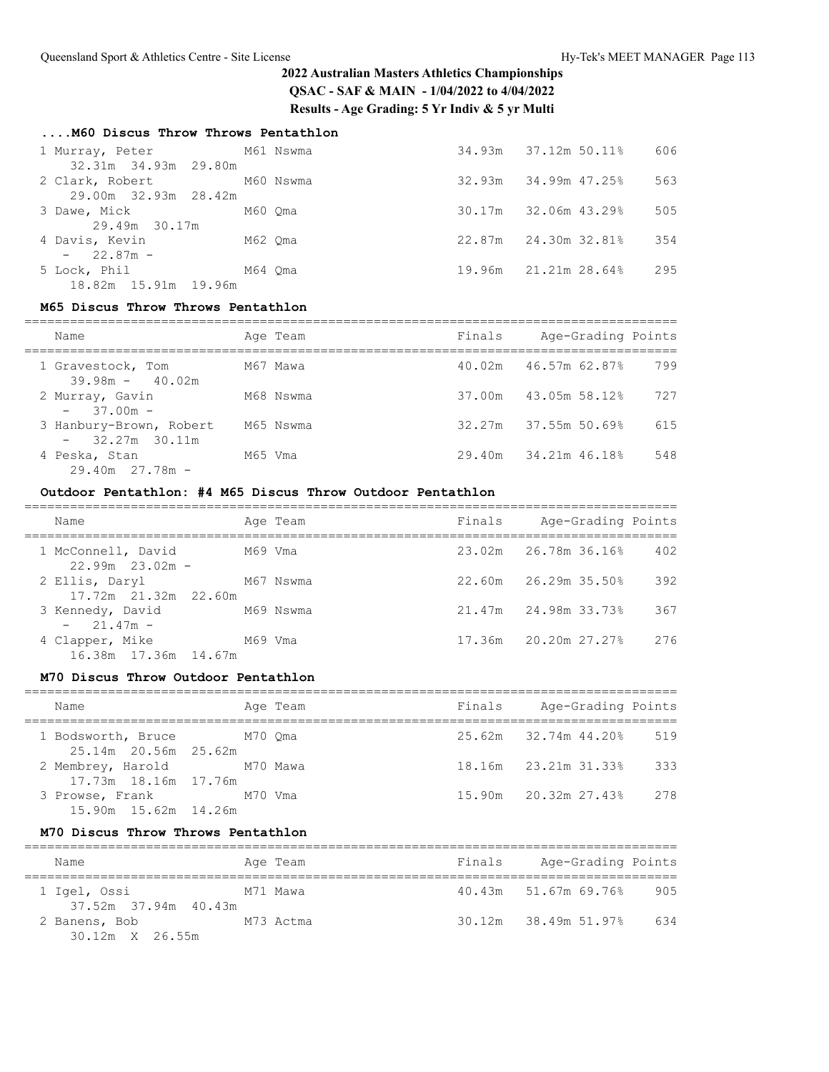### **....M60 Discus Throw Throws Pentathlon**

| 1 Murray, Peter M61 Nswma<br>32.31m 34.93m 29.80m |         |        | 34.93m 37.12m 50.11%       | 606 |
|---------------------------------------------------|---------|--------|----------------------------|-----|
| 2 Clark, Robert M60 Nswma<br>29.00m 32.93m 28.42m |         |        | $32.93m$ $34.99m$ $47.258$ | 563 |
| 3 Dawe, Mick<br>29.49m 30.17m                     | M60 Oma |        | 30.17m 32.06m 43.29%       | 505 |
| 4 Davis, Kevin<br>$-22.87m -$                     | M62 Qma |        | 22.87m 24.30m 32.81%       | 354 |
| 5 Lock, Phil<br>18.82m 15.91m 19.96m              | M64 Oma | 19.96m | 21.21m 28.64%              | 295 |

#### **M65 Discus Throw Throws Pentathlon**

| Name                                        | Age Team  | Finals | Age-Grading Points          |     |
|---------------------------------------------|-----------|--------|-----------------------------|-----|
| 1 Gravestock, Tom<br>$39.98m - 40.02m$      | M67 Mawa  |        | $40.02m$ $46.57m$ $62.87\%$ | 799 |
| 2 Murray, Gavin<br>$-37.00m -$              | M68 Nswma |        | 37.00m 43.05m 58.12%        | 727 |
| 3 Hanbury-Brown, Robert<br>$-32.27m$ 30.11m | M65 Nswma |        | $32.27m$ $37.55m$ 50.69%    | 615 |
| 4 Peska, Stan<br>$29.40m$ $27.78m$ -        | M65 Vma   |        | 29.40m 34.21m 46.18%        | 548 |

## **Outdoor Pentathlon: #4 M65 Discus Throw Outdoor Pentathlon**

| Name                                      |         | Age Team  | Finals | Age-Grading Points         |     |
|-------------------------------------------|---------|-----------|--------|----------------------------|-----|
| 1 McConnell, David<br>$22.99m$ $23.02m$ - | M69 Vma |           |        | 23.02m 26.78m 36.16%       | 402 |
| 2 Ellis, Daryl<br>17.72m 21.32m 22.60m    |         | M67 Nswma |        | $22.60m$ $26.29m$ $35.50%$ | 392 |
| 3 Kennedy, David<br>$-21.47m -$           |         | M69 Nswma |        | 21.47m 24.98m 33.73%       | 367 |
| 4 Clapper, Mike<br>16.38m 17.36m 14.67m   | M69 Vma |           |        | 17.36m 20.20m 27.27%       | 276 |

### **M70 Discus Throw Outdoor Pentathlon**

| Name                                               |          | Age Team | Finals | Age-Grading Points       |     |
|----------------------------------------------------|----------|----------|--------|--------------------------|-----|
| 1 Bodsworth, Bruce M70 Oma<br>25.14m 20.56m 25.62m |          |          |        | $25.62m$ $32.74m$ 44.20% | 519 |
| 2 Membrey, Harold<br>17.73m 18.16m 17.76m          | M70 Mawa |          |        | 18.16m 23.21m 31.33%     | 333 |
| 3 Prowse, Frank<br>15.90m  15.62m  14.26m          | M70 Vma  |          |        | 15.90m 20.32m 27.43% 278 |     |

#### **M70 Discus Throw Throws Pentathlon**

| Name                                    | Age Team  | Finals | Age-Grading Points       |     |
|-----------------------------------------|-----------|--------|--------------------------|-----|
| 1 Igel, Ossi<br>37.52m 37.94m 40.43m    | M71 Mawa  |        | 40.43m 51.67m 69.76%     | 905 |
| 2 Banens, Bob<br>$30.12m \times 26.55m$ | M73 Actma |        | 30.12m 38.49m 51.97% 634 |     |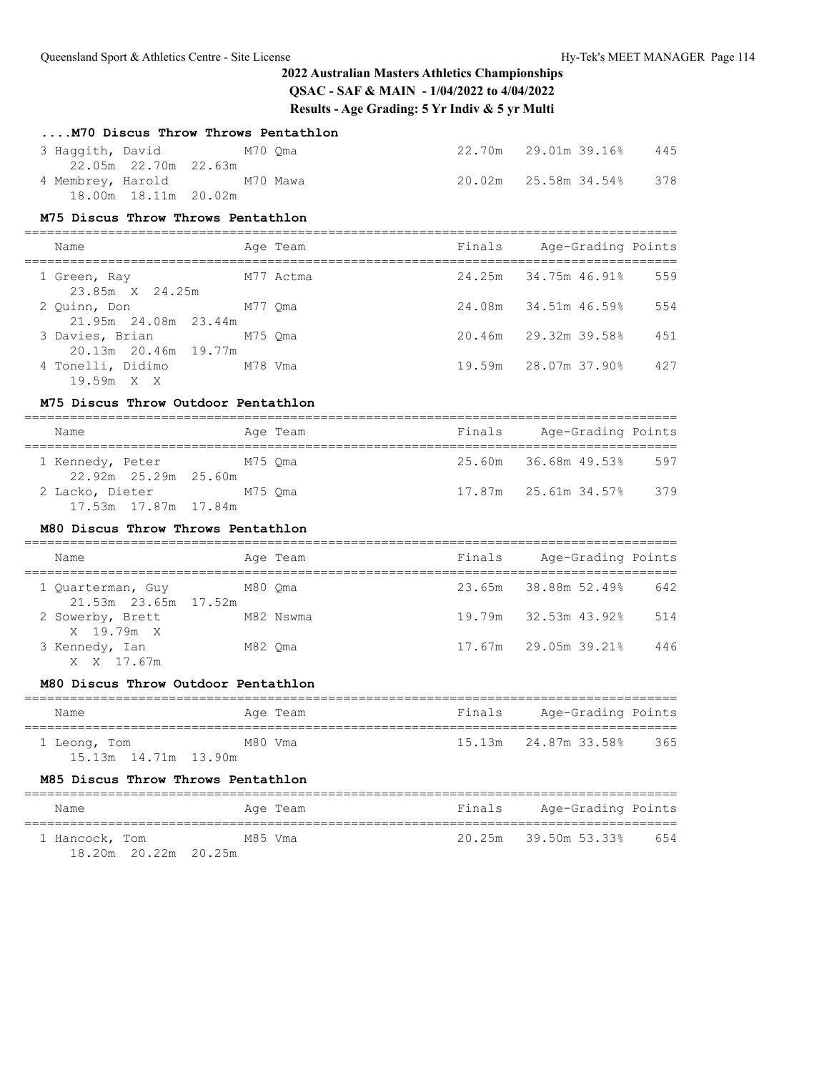| M70 Discus Throw Throws Pentathlon                                        |           |        |                                |     |
|---------------------------------------------------------------------------|-----------|--------|--------------------------------|-----|
| 3 Haqqith, David<br>M70 Oma<br>22.05m  22.70m  22.63m                     |           |        | 22.70m 29.01m 39.16%           | 445 |
| 4 Membrey, Harold M70 Mawa<br>18.00m  18.11m  20.02m                      |           |        | 20.02m   25.58m   34.54%       | 378 |
| M75 Discus Throw Throws Pentathlon                                        |           |        |                                |     |
| Name                                                                      | Age Team  | Finals | Age-Grading Points             |     |
| 1 Green, Ray                                                              | M77 Actma |        | 24.25m 34.75m 46.91%           | 559 |
| 23.85m X 24.25m<br>2 Quinn, Don                                           | M77 Qma   |        | 24.08m 34.51m 46.59%           | 554 |
| 21.95m 24.08m 23.44m<br>3 Davies, Brian M75 Qma<br>20.13m  20.46m  19.77m |           |        | 20.46m 29.32m 39.58%           | 451 |
| 4 Tonelli, Didimo M78 Vma<br>19.59m X X                                   |           |        | 19.59m 28.07m 37.90%           | 427 |
| M75 Discus Throw Outdoor Pentathlon                                       |           |        |                                |     |
| Name                                                                      | Age Team  |        | Finals Age-Grading Points      |     |
| 1 Kennedy, Peter M75 Qma<br>22.92m  25.29m  25.60m                        |           |        | 25.60m 36.68m 49.53% 597       |     |
| 2 Lacko, Dieter M75 Qma<br>17.53m  17.87m  17.84m                         |           |        | 17.87m   25.61m   34.57%   379 |     |
| M80 Discus Throw Throws Pentathlon                                        |           |        |                                |     |
| Name                                                                      | Age Team  |        | Finals Age-Grading Points      |     |
| 1 Quarterman, Guy M80 Qma                                                 |           |        | 23.65m 38.88m 52.49% 642       |     |
| 21.53m   23.65m   17.52m<br>2 Sowerby, Brett<br>M82 Nswma                 |           |        | 19.79m 32.53m 43.92%           | 514 |
| X 19.79m X<br>3 Kennedy, Ian<br>X X 17.67m                                | M82 Qma   |        | 17.67m 29.05m 39.21%           | 446 |
| M80 Discus Throw Outdoor Pentathlon                                       |           |        |                                |     |
| Name                                                                      | Age Team  |        | Finals Age-Grading Points      |     |
| 1 Leong, Tom<br>15.13m  14.71m  13.90m                                    | M80 Vma   | 15.13m | 24.87m 33.58%                  | 365 |
| M85 Discus Throw Throws Pentathlon                                        |           |        |                                |     |
| Name                                                                      | Age Team  | Finals | Age-Grading Points             |     |
| 1 Hancock, Tom<br>18.20m 20.22m 20.25m                                    | M85 Vma   | 20.25m | 39.50m 53.33%                  | 654 |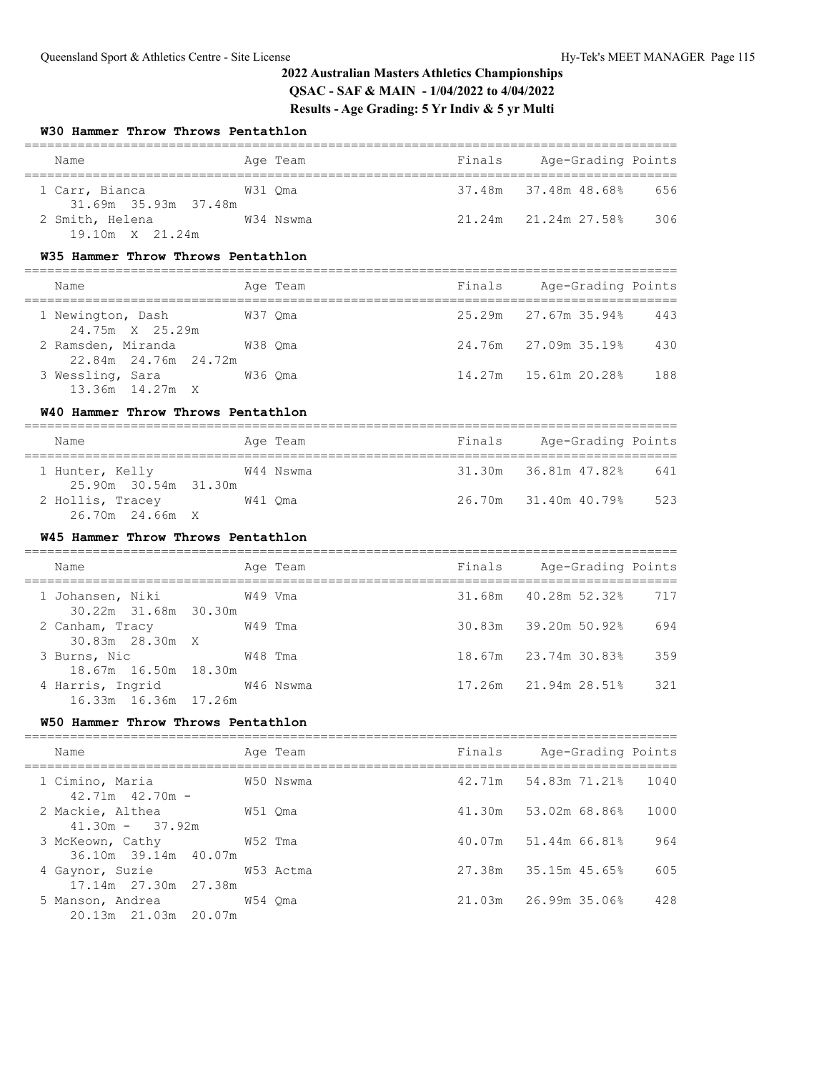## **W30 Hammer Throw Throws Pentathlon**

| Name                                                                         | Age Team  |        | Finals Age-Grading Points                  |      |
|------------------------------------------------------------------------------|-----------|--------|--------------------------------------------|------|
| 1 Carr, Bianca<br>31.69m 35.93m 37.48m                                       | W31 Qma   |        | 37.48m 37.48m 48.68%                       | 656  |
| 2 Smith, Helena W34 Nswma<br>19.10m X 21.24m                                 |           |        | 21.24m   21.24m   27.58%                   | 306  |
| W35 Hammer Throw Throws Pentathlon                                           |           |        |                                            |      |
| Name                                                                         | Age Team  |        | Finals Age-Grading Points                  |      |
| W37 Qma<br>1 Newington, Dash<br>24.75m X 25.29m                              |           |        | 25.29m 27.67m 35.94%                       | 443  |
| 2 Ramsden, Miranda M38 Qma<br>22.84m  24.76m  24.72m                         |           |        | 24.76m 27.09m 35.19%                       | 430  |
| 3 Wessling, Sara W36 Qma<br>13.36m 14.27m X                                  |           |        |                                            | 188  |
| W40 Hammer Throw Throws Pentathlon                                           |           |        |                                            |      |
| Name                                                                         | Age Team  |        | Finals Age-Grading Points                  |      |
| W44 Nswma<br>1 Hunter, Kelly<br>25.90m 30.54m 31.30m                         |           |        | 31.30m 36.81m 47.82%                       | 641  |
| 2 Hollis, Tracey M41 Qma<br>26.70m 24.66m X                                  |           |        | 26.70m 31.40m 40.79%                       | 523  |
| W45 Hammer Throw Throws Pentathlon                                           |           |        |                                            |      |
| Name                                                                         | Age Team  |        | Finals Age-Grading Points                  |      |
| 1 Johansen, Niki<br>30.22m 31.68m 30.30m                                     | W49 Vma   |        | 31,68m  40,28m  52,32%                     | 717  |
| 2 Canham, Tracy W49 Tma<br>30.83m 28.30m X                                   |           |        | 30.83m 39.20m 50.92%                       | 694  |
| 3 Burns, Nic W48 Tma                                                         |           |        | 18.67m 23.74m 30.83%                       | 359  |
| 18.67m  16.50m  18.30m<br>4 Harris, Ingrid W46 Nswma<br>16.33m 16.36m 17.26m |           |        | 17.26m   21.94m   28.51%                   | 321  |
| W50 Hammer Throw Throws Pentathlon                                           |           |        |                                            |      |
| Name                                                                         | Age Team  | Finals | Age-Grading Points                         |      |
| 1 Cimino, Maria<br>$42.71m$ $42.70m$ -                                       | W50 Nswma | 42.71m | -------------------------<br>54.83m 71.21% | 1040 |
| 2 Mackie, Althea<br>$41.30m -$                                               | W51 Qma   | 41.30m | 53.02m 68.86%                              | 1000 |
| 37.92m<br>3 McKeown, Cathy                                                   | W52 Tma   | 40.07m | 51.44m 66.81%                              | 964  |

4 Gaynor, Suzie W53 Actma 27.38m 35.15m 45.65% 605

36.10m 39.14m 40.07m

| 17.14m 27.30m 27.38m   |         |  |     |
|------------------------|---------|--|-----|
| 5 Manson, Andrea       | W54 Oma |  | 428 |
| 20.13m  21.03m  20.07m |         |  |     |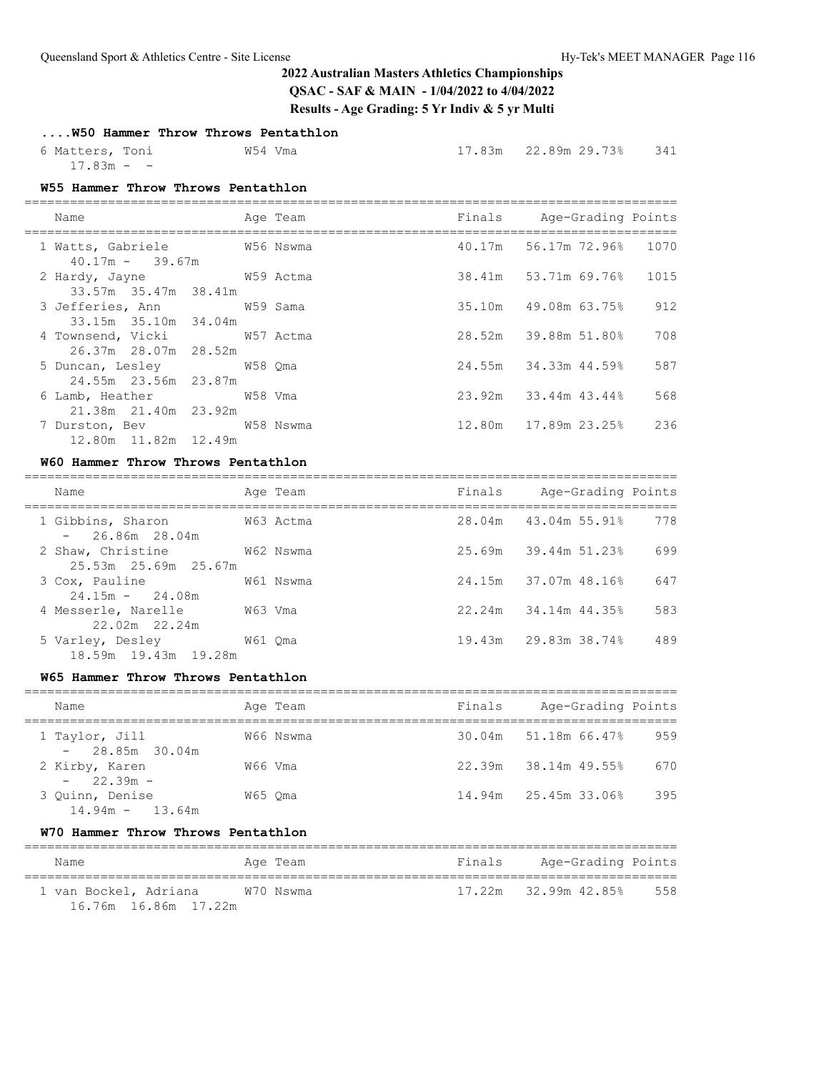## **....W50 Hammer Throw Throws Pentathlon**

| 6 Matters, Toni | W54 Vma | 17.83m  22.89m  29.73%  341 |  |
|-----------------|---------|-----------------------------|--|
| $17.83m - -$    |         |                             |  |

### **W55 Hammer Throw Throws Pentathlon**

| Name                                               | Age Team | Finals Age-Grading Points |     |
|----------------------------------------------------|----------|---------------------------|-----|
| 1 Watts, Gabriele M56 Nswma<br>$40.17m - 39.67m$   |          | 40.17m 56.17m 72.96% 1070 |     |
| 2 Hardy, Jayne W59 Actma<br>33.57m 35.47m 38.41m   |          | 38.41m 53.71m 69.76% 1015 |     |
| 3 Jefferies, Ann M59 Sama<br>33.15m 35.10m 34.04m  |          | 35.10m 49.08m 63.75%      | 912 |
| 4 Townsend, Vicki 67 Notma<br>26.37m 28.07m 28.52m |          | 28.52m 39.88m 51.80%      | 708 |
| 5 Duncan, Lesley 658 Qma<br>24.55m 23.56m 23.87m   |          | 24.55m 34.33m 44.59%      | 587 |
| 6 Lamb, Heather W58 Vma<br>21.38m 21.40m 23.92m    |          | 23.92m 33.44m 43.44%      | 568 |
| 7 Durston, Bev W58 Nswma<br>12.80m  11.82m  12.49m |          | 12.80m 17.89m 23.25%      | 236 |

### **W60 Hammer Throw Throws Pentathlon**

| Name                                               | Age Team  | Finals | Age-Grading Points   |     |
|----------------------------------------------------|-----------|--------|----------------------|-----|
| W63 Actma<br>1 Gibbins, Sharon<br>$-26.86m$ 28.04m |           |        | 28.04m 43.04m 55.91% | 778 |
| 2 Shaw, Christine<br>25.53m 25.69m 25.67m          | W62 Nswma |        | 25.69m 39.44m 51.23% | 699 |
| 3 Cox, Pauline<br>$24.15m - 24.08m$                | W61 Nswma |        | 24.15m 37.07m 48.16% | 647 |
| 4 Messerle, Narelle<br>W63 Vma<br>22.02m 22.24m    |           |        | 22.24m 34.14m 44.35% | 583 |
| 5 Varley, Desley<br>18.59m 19.43m 19.28m           | W61 Oma   |        | 19.43m 29.83m 38.74% | 489 |

### **W65 Hammer Throw Throws Pentathlon**

| Name                                 | Age Team  | Finals | Age-Grading Points   |     |
|--------------------------------------|-----------|--------|----------------------|-----|
| 1 Taylor, Jill<br>$-28.85m$ 30.04m   | W66 Nswma |        | 30.04m 51.18m 66.47% | 959 |
| 2 Kirby, Karen<br>$-22.39m -$        | W66 Vma   |        | 22.39m 38.14m 49.55% | 670 |
| 3 Ouinn, Denise<br>$14.94m - 13.64m$ | W65 Oma   |        | 14.94m 25.45m 33.06% | 395 |

### **W70 Hammer Throw Throws Pentathlon**

| Name                  | Age Team  | Finals | Age-Grading Points   |     |
|-----------------------|-----------|--------|----------------------|-----|
| 1 van Bockel, Adriana | W70 Nswma |        | 17.22m 32.99m 42.85% | 558 |
| 16.76m 16.86m 17.22m  |           |        |                      |     |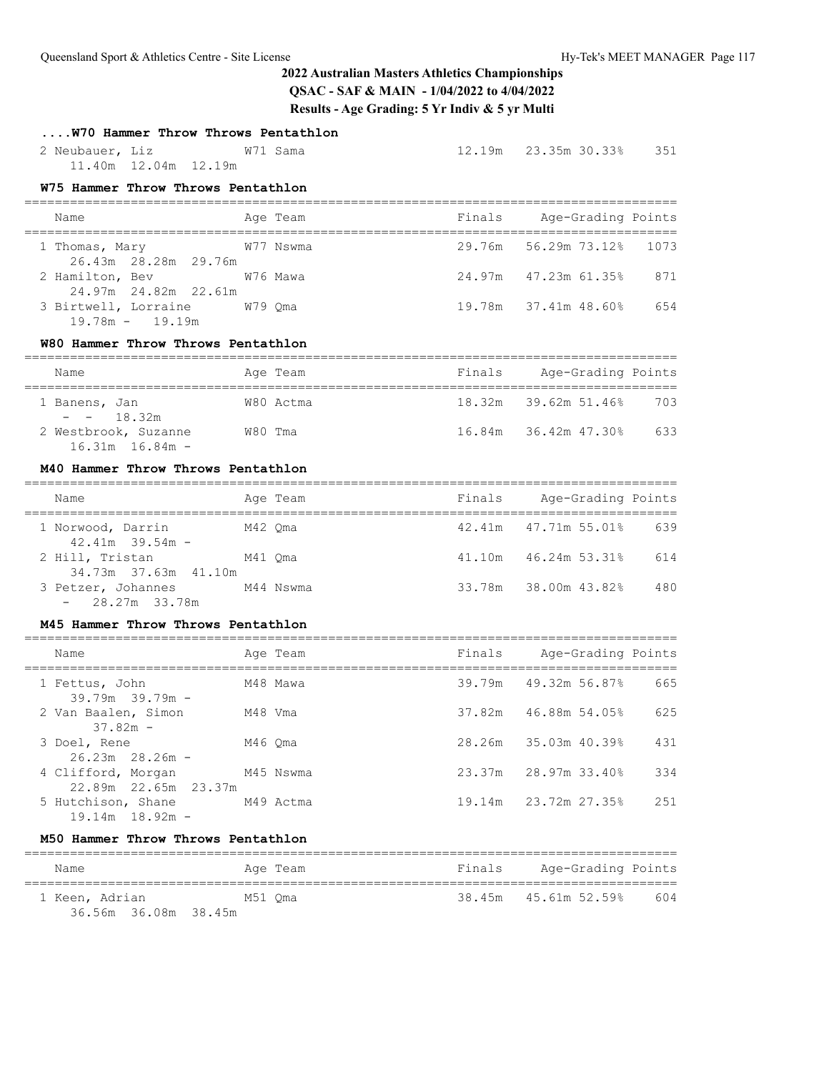## **....W70 Hammer Throw Throws Pentathlon**

 2 Neubauer, Liz W71 Sama 12.19m 23.35m 30.33% 351 11.40m 12.04m 12.19m

## **W75 Hammer Throw Throws Pentathlon**

| Name                                             | Age Team  | Finals | Age-Grading Points          |
|--------------------------------------------------|-----------|--------|-----------------------------|
| 1 Thomas, Mary<br>26.43m 28.28m 29.76m           | W77 Nswma |        | 29.76m 56.29m 73.12% 1073   |
| 2 Hamilton, Bev 676 Mawa<br>24.97m 24.82m 22.61m |           |        | 24.97m 47.23m 61.35%<br>871 |
| 3 Birtwell, Lorraine<br>$19.78m - 19.19m$        | W79 Oma   |        | 19.78m 37.41m 48.60%<br>654 |

### **W80 Hammer Throw Throws Pentathlon**

| Name                                        |         | Age Team  | Finals | Age-Grading Points   |     |  |  |
|---------------------------------------------|---------|-----------|--------|----------------------|-----|--|--|
| 1 Banens, Jan<br>$- - 18.32m$               |         | W80 Actma |        | 18.32m 39.62m 51.46% | 703 |  |  |
| 2 Westbrook, Suzanne<br>$16.31m$ $16.84m$ - | W80 Tma |           |        | 16.84m 36.42m 47.30% | 633 |  |  |

### **M40 Hammer Throw Throws Pentathlon**

| Name                                     | Age Team  | Finals | Age-Grading Points              |
|------------------------------------------|-----------|--------|---------------------------------|
| 1 Norwood, Darrin<br>$42.41m$ $39.54m$ - | M42 Oma   |        | $42.41m$ $47.71m$ 55.01%<br>639 |
| 2 Hill, Tristan<br>34.73m 37.63m 41.10m  | M41 Oma   | 41.10m | 46.24m 53.31%<br>614            |
| 3 Petzer, Johannes<br>$-28.27m$ 33.78m   | M44 Nswma |        | 33.78m 38.00m 43.82%<br>480     |

#### **M45 Hammer Throw Throws Pentathlon**

| Name                                       | Age Team  | Finals | Age-Grading Points   |      |
|--------------------------------------------|-----------|--------|----------------------|------|
| 1 Fettus, John<br>$39.79m$ $39.79m$ -      | M48 Mawa  |        | 39.79m 49.32m 56.87% | 665  |
| 2 Van Baalen, Simon<br>$37.82m -$          | M48 Vma   |        | 37.82m 46.88m 54.05% | 625  |
| 3 Doel, Rene<br>$26.23m$ $28.26m$ –        | M46 Oma   |        | 28.26m 35.03m 40.39% | 431  |
| 4 Clifford, Morgan<br>22.89m 22.65m 23.37m | M45 Nswma |        | 23.37m 28.97m 33.40% | 334  |
| 5 Hutchison, Shane<br>$19.14m$ $18.92m$ -  | M49 Actma |        | 19.14m 23.72m 27.35% | 2.51 |

### **M50 Hammer Throw Throws Pentathlon**

| Name                                   | Age Team | Finals | Age-Grading Points   |     |
|----------------------------------------|----------|--------|----------------------|-----|
| 1 Keen, Adrian<br>36.56m 36.08m 38.45m | M51 Oma  |        | 38.45m 45.61m 52.59% | 604 |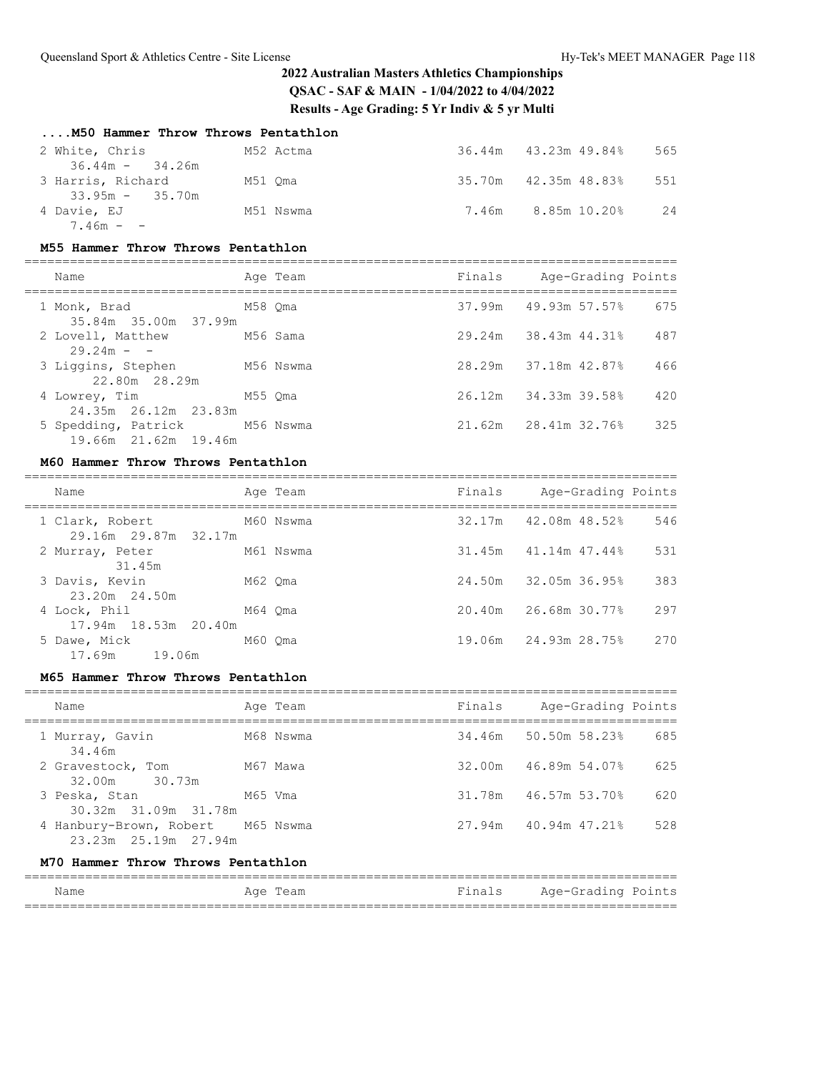## **....M50 Hammer Throw Throws Pentathlon**

| 2 White, Chris    | M52 Actma |       | 36.44m 43.23m 49.84% | 565 |
|-------------------|-----------|-------|----------------------|-----|
| $36.44m - 34.26m$ |           |       |                      |     |
| 3 Harris, Richard | M51 Oma   |       | 35.70m 42.35m 48.83% | 551 |
| $33.95m - 35.70m$ |           |       |                      |     |
| 4 Davie, EJ       | M51 Nswma | 7.46m | 8.85m 10.20%         | 2.4 |
| $7.46m - -$       |           |       |                      |     |

#### **M55 Hammer Throw Throws Pentathlon**

| Name                                                  | Age Team | Finals | Age-Grading Points   |     |
|-------------------------------------------------------|----------|--------|----------------------|-----|
| 1 Monk, Brad<br>35.84m 35.00m 37.99m                  | M58 Oma  |        | 37.99m 49.93m 57.57% | 675 |
| 2 Lovell, Matthew<br>$29.24m - -$                     | M56 Sama |        | 29.24m 38.43m 44.31% | 487 |
| 3 Liggins, Stephen M56 Nswma<br>22.80m 28.29m         |          |        | 28.29m 37.18m 42.87% | 466 |
| 4 Lowrey, Tim<br>24.35m 26.12m 23.83m                 | M55 Oma  |        | 26.12m 34.33m 39.58% | 420 |
| 5 Spedding, Patrick M56 Nswma<br>19.66m 21.62m 19.46m |          |        | 21.62m 28.41m 32.76% | 325 |

### **M60 Hammer Throw Throws Pentathlon**

| Name                                    |         | Age Team  | Finals | Age-Grading Points   |     |
|-----------------------------------------|---------|-----------|--------|----------------------|-----|
| 1 Clark, Robert<br>29.16m 29.87m 32.17m |         | M60 Nswma |        | 32.17m 42.08m 48.52% | 546 |
| 2 Murray, Peter<br>31.45m               |         | M61 Nswma |        | 31.45m 41.14m 47.44% | 531 |
| 3 Davis, Kevin<br>23.20m 24.50m         | M62 Oma |           |        | 24.50m 32.05m 36.95% | 383 |
| 4 Lock, Phil<br>17.94m 18.53m 20.40m    | M64 Oma |           |        | 20.40m 26.68m 30.77% | 297 |
| 5 Dawe, Mick<br>17.69m 19.06m           | M60 Oma |           |        | 19.06m 24.93m 28.75% | 270 |

### **M65 Hammer Throw Throws Pentathlon**

| Name                                                      | Age Team  | Finals | Age-Grading Points   |     |  |
|-----------------------------------------------------------|-----------|--------|----------------------|-----|--|
| 1 Murray, Gavin<br>34.46m                                 | M68 Nswma |        | 34.46m 50.50m 58.23% | 685 |  |
| 2 Gravestock, Tom<br>32.00m 30.73m                        | M67 Mawa  |        | 32.00m 46.89m 54.07% | 625 |  |
| 3 Peska, Stan<br>30.32m 31.09m 31.78m                     | M65 Vma   |        | 31.78m 46.57m 53.70% | 620 |  |
| 4 Hanbury-Brown, Robert M65 Nswma<br>23.23m 25.19m 27.94m |           |        | 27.94m 40.94m 47.21% | 528 |  |
| M70 Hammer Throw Throws Pentathlon                        |           |        |                      |     |  |

| Name | Aqe<br>، سد<br>$ -$ | $\sim$ $\sim$ | $- - -$<br>nc<br>$\sim$ |
|------|---------------------|---------------|-------------------------|
|      |                     |               |                         |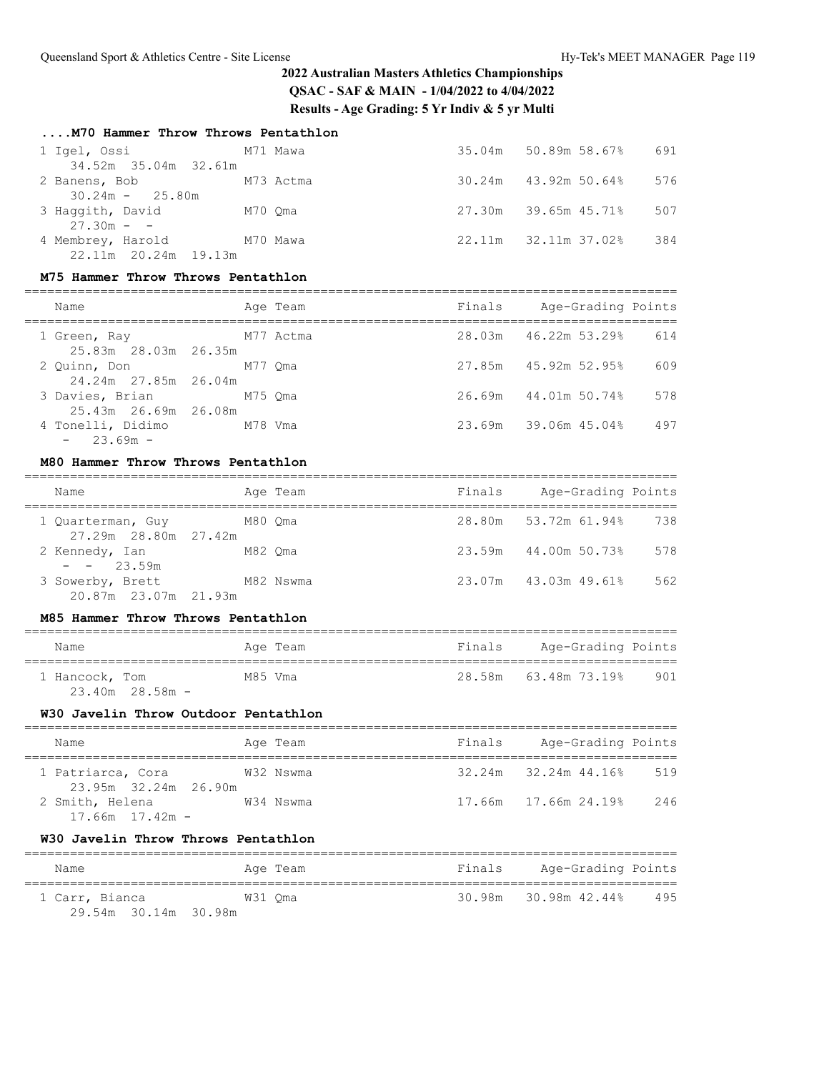| M70 Hammer Throw Throws Pentathlon |  |
|------------------------------------|--|
|------------------------------------|--|

|                               |         |           | 35.04m 50.89m 58.67%        | 691 |
|-------------------------------|---------|-----------|-----------------------------|-----|
| 34.52m 35.04m 32.61m          |         |           |                             |     |
| 2 Banens, Bob                 |         | M73 Actma | $30.24m$ $43.92m$ $50.64\%$ | 576 |
| $30.24m - 25.80m$             |         |           |                             |     |
| 3 Haqqith, David              | M70 Oma |           | 27.30m 39.65m 45.71%        | 507 |
| $27.30m - -$                  |         |           |                             |     |
| 4 Membrey, Harold<br>M70 Mawa |         |           | 22.11m 32.11m 37.02%        | 384 |
| 22.11m 20.24m 19.13m          |         |           |                             |     |

### **M75 Hammer Throw Throws Pentathlon**

| Name                                    |           | Age Team | Finals | Age-Grading Points   |     |
|-----------------------------------------|-----------|----------|--------|----------------------|-----|
| 1 Green, Ray<br>25.83m 28.03m 26.35m    | M77 Actma |          |        | 28.03m 46.22m 53.29% | 614 |
| 2 Ouinn, Don<br>24.24m 27.85m 26.04m    | M77 Oma   |          |        | 27.85m 45.92m 52.95% | 609 |
| 3 Davies, Brian<br>25.43m 26.69m 26.08m | M75 Oma   |          |        | 26.69m 44.01m 50.74% | 578 |

4 Tonelli, Didimo M78 Vma 23.69m 39.06m 45.04% 497

### **M80 Hammer Throw Throws Pentathlon**

 $- 23.69m -$ 

| Name                                      |         | Age Team  | Finals | Age-Grading Points   |     |
|-------------------------------------------|---------|-----------|--------|----------------------|-----|
| 1 Quarterman, Guy<br>27.29m 28.80m 27.42m | M80 Oma |           |        | 28.80m 53.72m 61.94% | 738 |
| 2 Kennedy, Ian<br>$- - 23.59m$            | M82 Oma |           | 23.59m | 44.00m 50.73%        | 578 |
| 3 Sowerby, Brett<br>20.87m 23.07m 21.93m  |         | M82 Nswma |        | 23.07m 43.03m 49.61% | 562 |

#### **M85 Hammer Throw Throws Pentathlon**

| Name                                  | Age Team | Finals | Age-Grading Points   |     |
|---------------------------------------|----------|--------|----------------------|-----|
| 1 Hancock, Tom<br>$23.40m$ $28.58m -$ | M85 Vma  |        | 28.58m 63.48m 73.19% | 901 |

### **W30 Javelin Throw Outdoor Pentathlon**

| Name                 | Age Team  | Finals | Age-Grading Points         |     |
|----------------------|-----------|--------|----------------------------|-----|
|                      |           |        |                            |     |
| 1 Patriarca, Cora    | W32 Nswma |        | $32.24m$ $32.24m$ $44.16%$ | 519 |
| 23.95m 32.24m 26.90m |           |        |                            |     |
| 2 Smith, Helena      | W34 Nswma |        | 17.66m 17.66m 24.19%       | 246 |
| $17.66m$ $17.42m$ -  |           |        |                            |     |

### **W30 Javelin Throw Throws Pentathlon**

| Name                 | Age Team | Finals               | Age-Grading Points |
|----------------------|----------|----------------------|--------------------|
| 1 Carr, Bianca       | W31 Oma  | 30.98m 30.98m 42.44% | 495                |
| 29.54m 30.14m 30.98m |          |                      |                    |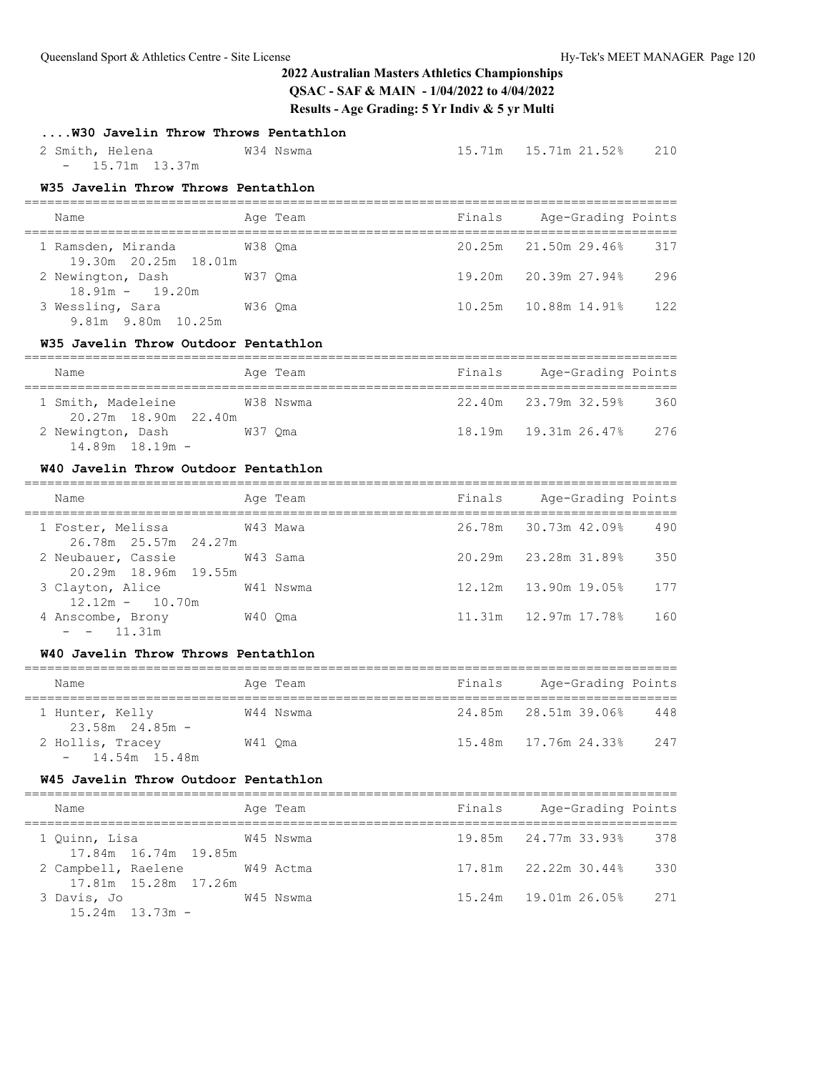## **....W30 Javelin Throw Throws Pentathlon**

| 2 Smith, Helena   | W34 Nswma |  | 210 |
|-------------------|-----------|--|-----|
| $- 15.71m 13.37m$ |           |  |     |

## **W35 Javelin Throw Throws Pentathlon**

| Name                                                |         | Age Team | Finals | Age-Grading Points     |     |
|-----------------------------------------------------|---------|----------|--------|------------------------|-----|
| 1 Ramsden, Miranda 6938 Oma<br>19.30m 20.25m 18.01m |         |          |        | 20.25m 21.50m 29.46%   | 317 |
| 2 Newington, Dash<br>$18.91m - 19.20m$              | W37 Oma |          |        | 19.20m 20.39m 27.94%   | 296 |
| 3 Wessling, Sara<br>9.81m 9.80m 10.25m              | W36 Oma |          |        | 10.25m  10.88m  14.91% | 122 |

### **W35 Javelin Throw Outdoor Pentathlon**

| Name                                       |         | Age Team  | Finals | Age-Grading Points   |     |
|--------------------------------------------|---------|-----------|--------|----------------------|-----|
| 1 Smith, Madeleine<br>20.27m 18.90m 22.40m |         | W38 Nswma |        | 22.40m 23.79m 32.59% | 360 |
| 2 Newington, Dash<br>$14.89m$ $18.19m$ -   | W37 Oma |           |        |                      | 276 |

### **W40 Javelin Throw Outdoor Pentathlon**

| Name                                               | Age Team  | Finals | Age-Grading Points                 |
|----------------------------------------------------|-----------|--------|------------------------------------|
| 1 Foster, Melissa 643 Mawa<br>26.78m 25.57m 24.27m |           |        | 26.78m 30.73m 42.09%<br>490        |
| 2 Neubauer, Cassie<br>20.29m 18.96m 19.55m         | W43 Sama  |        | 20.29m 23.28m 31.89%<br>350        |
| 3 Clayton, Alice<br>$12.12m - 10.70m$              | W41 Nswma |        | $12.12m$ $13.90m$ $19.05\%$<br>177 |
| 4 Anscombe, Brony<br>$- - 11.31m$                  | W40 Oma   |        | 11.31m    12.97m    17.78%<br>160  |

#### **W40 Javelin Throw Throws Pentathlon**

| Name                                   | Age Team  | Finals | Age-Grading Points         |     |  |  |  |  |  |
|----------------------------------------|-----------|--------|----------------------------|-----|--|--|--|--|--|
| 1 Hunter, Kelly<br>$23.58m$ $24.85m$ - | W44 Nswma |        | 24.85m 28.51m 39.06%       | 448 |  |  |  |  |  |
| 2 Hollis, Tracey<br>$-14.54m$ 15.48m   | W41 Oma   |        | 15.48m    17.76m    24.33% | 247 |  |  |  |  |  |

#### **W45 Javelin Throw Outdoor Pentathlon**

| Name                          |                                              | Age Team  | Finals | Age-Grading Points   |       |
|-------------------------------|----------------------------------------------|-----------|--------|----------------------|-------|
| 1 Quinn, Lisa                 |                                              | W45 Nswma |        | 19.85m 24.77m 33.93% | - 378 |
| 2 Campbell, Raelene W49 Actma | 17.84m 16.74m 19.85m<br>17.81m 15.28m 17.26m |           |        | 17.81m 22.22m 30.44% | 330   |
| 3 Davis, Jo                   |                                              | W45 Nswma |        |                      | 2.71  |
| $15.24m$ $13.73m$ -           |                                              |           |        |                      |       |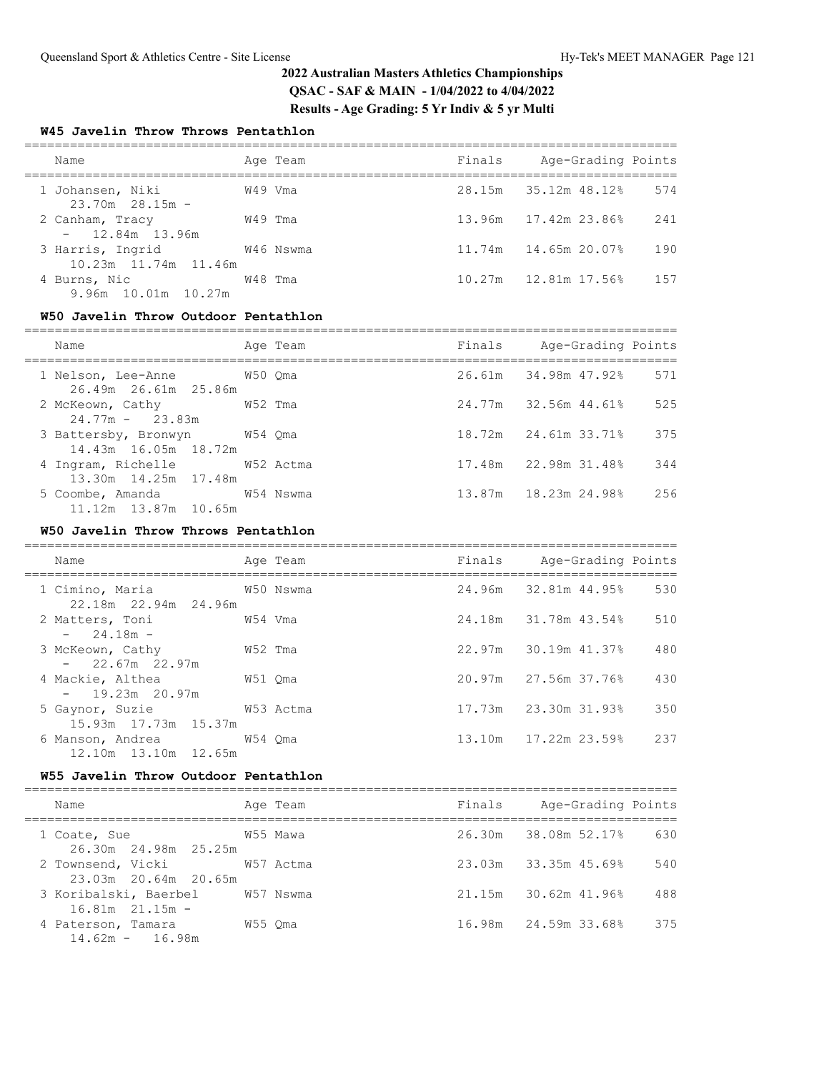### **W45 Javelin Throw Throws Pentathlon**

| Name                                     | Age Team  | Finals | Age-Grading Points              |
|------------------------------------------|-----------|--------|---------------------------------|
| 1 Johansen, Niki<br>$23.70m$ $28.15m$ -  | W49 Vma   |        | 28.15m 35.12m 48.12%<br>574     |
| 2 Canham, Tracy<br>$-12.84m$ 13.96m      | W49 Tma   |        | 13.96m 17.42m 23.86%<br>241     |
| 3 Harris, Ingrid<br>10.23m 11.74m 11.46m | W46 Nswma |        | 11.74m   14.65m   20.07%<br>190 |
| 4 Burns, Nic<br>9.96m 10.01m 10.27m      | W48 Tma   |        | 1.57                            |

### **W50 Javelin Throw Outdoor Pentathlon**

| Name                                                     | Age Team | Finals Age-Grading Points |     |
|----------------------------------------------------------|----------|---------------------------|-----|
| 1 Nelson, Lee-Anne 650 Oma<br>26.49m 26.61m 25.86m       |          | 26.61m 34.98m 47.92%      | 571 |
| 2 McKeown, Cathy 652 Tma<br>$24.77m - 23.83m$            |          | 24.77m 32.56m 44.61%      | 525 |
| 3 Battersby, Bronwyn W54 Qma<br>14.43m 16.05m 18.72m     |          | 18.72m 24.61m 33.71%      | 375 |
| 4 Ingram, Richelle M52 Actma<br>13.30m 14.25m 17.48m     |          | 17.48m 22.98m 31.48%      | 344 |
| 5 Coombe, Amanda 654 Nswma<br>$11.12m$ $13.87m$ $10.65m$ |          | 13.87m 18.23m 24.98%      | 256 |

### **W50 Javelin Throw Throws Pentathlon**

| Name                                                 |         | Age Team  | Finals Age-Grading Points  |     |
|------------------------------------------------------|---------|-----------|----------------------------|-----|
| 1 Cimino, Maria<br>W50 Nswma<br>22.18m 22.94m 24.96m |         |           | 24.96m 32.81m 44.95%       | 530 |
| 2 Matters, Toni<br>$-24.18m -$                       | W54 Vma |           | 24.18m 31.78m 43.54%       | 510 |
| 3 McKeown, Cathy<br>$-22.67m$ 22.97m                 | W52 Tma |           | 22.97m 30.19m 41.37%       | 480 |
| 4 Mackie, Althea<br>$-19.23m$ 20.97m                 | W51 Oma |           | 20.97m 27.56m 37.76%       | 430 |
| 5 Gaynor, Suzie<br>15.93m 17.73m 15.37m              |         | W53 Actma | 17.73m 23.30m 31.93%       | 350 |
| 6 Manson, Andrea 6 M54 Oma<br>12.10m 13.10m 12.65m   |         |           | 13.10m    17.22m    23.59% | 237 |

### **W55 Javelin Throw Outdoor Pentathlon**

| Name                                                   | Age Team  | Finals | Age-Grading Points                |
|--------------------------------------------------------|-----------|--------|-----------------------------------|
| 1 Coate, Sue<br>26.30m 24.98m 25.25m                   | W55 Mawa  |        | 26.30m 38.08m 52.17%<br>630       |
| 2 Townsend, Vicki<br>23.03m 20.64m 20.65m              | W57 Actma |        | $23.03m$ $33.35m$ $45.698$<br>540 |
| 3 Koribalski, Baerbel W57 Nswma<br>$16.81m$ $21.15m$ - |           |        | 488<br>21.15m 30.62m 41.96%       |
| 4 Paterson, Tamara<br>$14.62m - 16.98m$                | W55 Oma   |        | 16.98m 24.59m 33.68%<br>375       |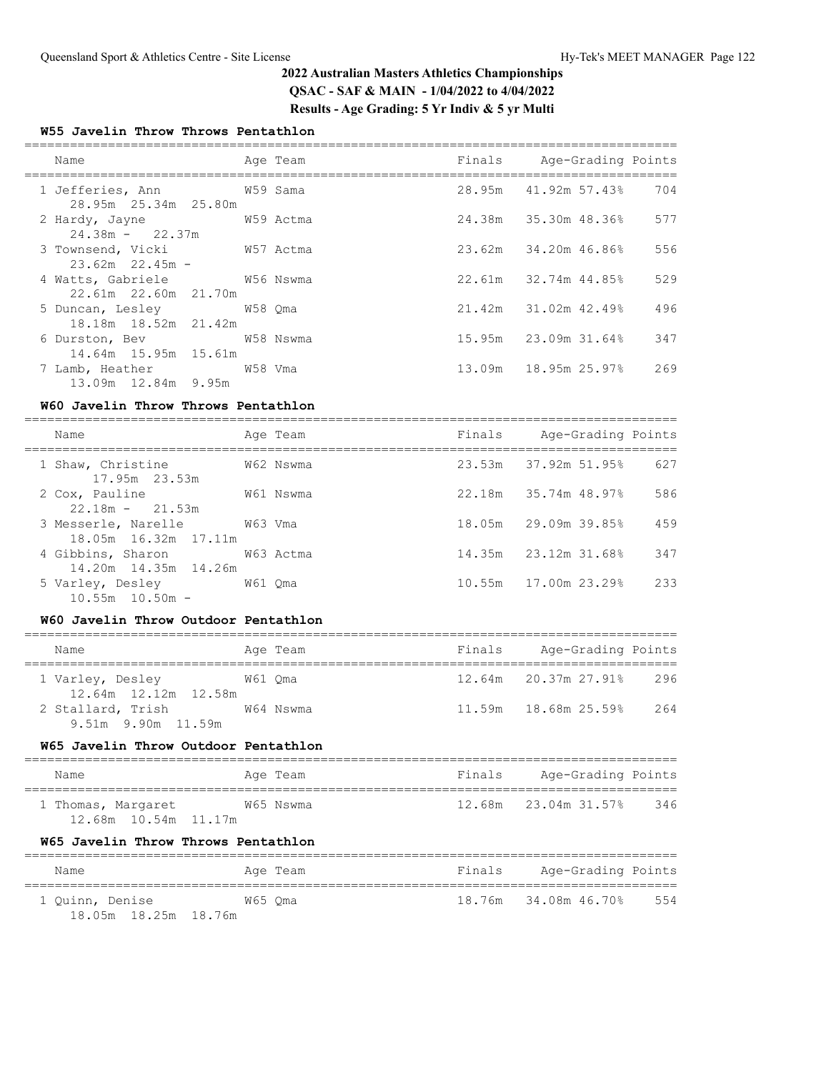### **W55 Javelin Throw Throws Pentathlon**

| Name<br>========================                         | Age Team |  | Finals Age-Grading Points |     |
|----------------------------------------------------------|----------|--|---------------------------|-----|
| 1 Jefferies, Ann M59 Sama<br>28.95m 25.34m 25.80m        |          |  | 28.95m 41.92m 57.43%      | 704 |
| 2 Hardy, Jayne 6 6 6 7 8 M59 Actman<br>$24.38m - 22.37m$ |          |  | 24.38m 35.30m 48.36%      | 577 |
| 3 Townsend, Vicki W57 Actma<br>$23.62m$ $22.45m$ -       |          |  | 23.62m 34.20m 46.86%      | 556 |
| 4 Watts, Gabriele M56 Nswma<br>22.61m 22.60m 21.70m      |          |  | 22.61m 32.74m 44.85%      | 529 |
| 5 Duncan, Lesley 678 Qma<br>18.18m 18.52m 21.42m         |          |  | 21.42m 31.02m 42.49%      | 496 |
| 6 Durston, Bev W58 Nswma<br>14.64m 15.95m 15.61m         |          |  |                           | 347 |
| 7 Lamb, Heather 67 68 Vma<br>13.09m 12.84m 9.95m         |          |  |                           | 269 |

### **W60 Javelin Throw Throws Pentathlon**

| Name                                                   | Age Team  | Finals | Age-Grading Points   |     |
|--------------------------------------------------------|-----------|--------|----------------------|-----|
| 1 Shaw, Christine<br>17.95m 23.53m                     | W62 Nswma |        | 23.53m 37.92m 51.95% | 627 |
| 2 Cox, Pauline<br>$22.18m - 21.53m$                    | W61 Nswma |        | 22.18m 35.74m 48.97% | 586 |
| 3 Messerle, Narelle<br>W63 Vma<br>18.05m 16.32m 17.11m |           |        | 18.05m 29.09m 39.85% | 459 |
| 4 Gibbins, Sharon<br>14.20m  14.35m  14.26m            | W63 Actma |        | 14.35m 23.12m 31.68% | 347 |
| 5 Varley, Desley<br>W61 Oma<br>$10.55m$ $10.50m$ -     |           |        | 10.55m 17.00m 23.29% | 233 |

### **W60 Javelin Throw Outdoor Pentathlon**

| Name                                     | Age Team  | Finals | Age-Grading Points                |
|------------------------------------------|-----------|--------|-----------------------------------|
| 1 Varley, Desley<br>12.64m 12.12m 12.58m | W61 Oma   |        | 12.64m 20.37m 27.91%<br>296       |
| 2 Stallard, Trish<br>9.51m 9.90m 11.59m  | W64 Nswma |        | 264<br>$11.59m$ $18.68m$ $25.59%$ |

#### **W65 Javelin Throw Outdoor Pentathlon**

| Name                   | Age Team  | Finals | Age-Grading Points   |     |
|------------------------|-----------|--------|----------------------|-----|
| 1 Thomas, Margaret     | W65 Nswma |        | 12.68m 23.04m 31.57% | 346 |
| 12.68m  10.54m  11.17m |           |        |                      |     |

## **W65 Javelin Throw Throws Pentathlon**

| Name                 | Age Team | Finals | Age-Grading Points   |     |
|----------------------|----------|--------|----------------------|-----|
| 1 Ouinn, Denise      | W65 Oma  |        | 18.76m 34.08m 46.70% | 554 |
| 18.05m 18.25m 18.76m |          |        |                      |     |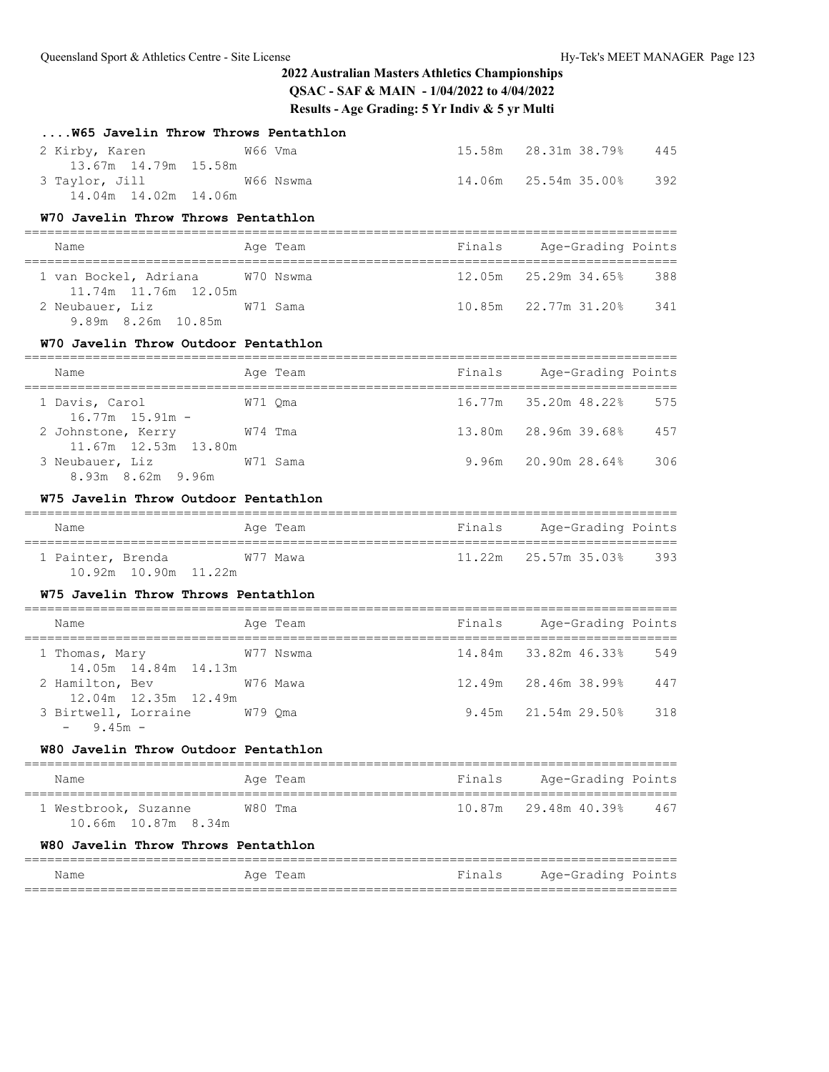| W65 Javelin Throw Throws Pentathlon                                        |         |           |        |                                                     |     |
|----------------------------------------------------------------------------|---------|-----------|--------|-----------------------------------------------------|-----|
| W66 Vma<br>2 Kirby, Karen                                                  |         |           |        |                                                     | 445 |
| 13.67m 14.79m 15.58m<br>3 Taylor, Jill W66 Nswma<br>14.04m  14.02m  14.06m |         |           |        | 14.06m  25.54m  35.00%                              | 392 |
| W70 Javelin Throw Throws Pentathlon                                        |         |           |        |                                                     |     |
| Name                                                                       |         | Age Team  |        | Finals Age-Grading Points                           |     |
| 1 van Bockel, Adriana W70 Nswma<br>11.74m  11.76m  12.05m                  |         |           |        | 12.05m  25.29m  34.65%  388                         |     |
| 2 Neubauer, Liz W71 Sama<br>9.89m 8.26m 10.85m                             |         |           |        | 10.85m 22.77m 31.20% 341                            |     |
| W70 Javelin Throw Outdoor Pentathlon                                       |         |           |        |                                                     |     |
| Name                                                                       |         | Age Team  |        | ======================<br>Finals Age-Grading Points |     |
| 1 Davis, Carol<br>$16.77m$ $15.91m$ -                                      | W71 Qma |           |        | 16.77m 35.20m 48.22%                                | 575 |
| 2 Johnstone, Kerry W74 Tma<br>11.67m  12.53m  13.80m                       |         |           |        | 13.80m 28.96m 39.68% 457                            |     |
| 3 Neubauer, Liz W71 Sama<br>8.93m 8.62m 9.96m                              |         |           |        |                                                     | 306 |
| W75 Javelin Throw Outdoor Pentathlon                                       |         |           |        |                                                     |     |
| Name                                                                       |         | Age Team  |        | Finals Age-Grading Points                           |     |
| 1 Painter, Brenda W77 Mawa<br>10.92m  10.90m  11.22m                       |         |           |        | 11.22m  25.57m  35.03%  393                         |     |
| W75 Javelin Throw Throws Pentathlon                                        |         |           |        |                                                     |     |
| Name                                                                       |         | Age Team  |        | Finals Age-Grading Points                           |     |
| 1 Thomas, Mary<br>14.05m  14.84m  14.13m                                   |         | W77 Nswma |        | 14.84m 33.82m 46.33% 549                            |     |
| W76 Mawa<br>2 Hamilton, Bev<br>12.04m 12.35m 12.49m                        |         |           |        | 12.49m 28.46m 38.99% 447                            |     |
| 3 Birtwell, Lorraine W79 Qma<br>$-9.45m -$                                 |         |           |        | $9.45m$ $21.54m$ $29.50%$                           | 318 |
| W80 Javelin Throw Outdoor Pentathlon                                       |         |           |        |                                                     |     |
| Name                                                                       |         | Age Team  | Finals | Age-Grading Points                                  |     |
| 1 Westbrook, Suzanne<br>10.66m 10.87m 8.34m                                | W80 Tma |           | 10.87m | 29.48m 40.39%                                       | 467 |
| W80 Javelin Throw Throws Pentathlon                                        |         |           |        |                                                     |     |
| Name                                                                       |         | Age Team  | Finals | Age-Grading Points                                  |     |
|                                                                            |         |           |        |                                                     |     |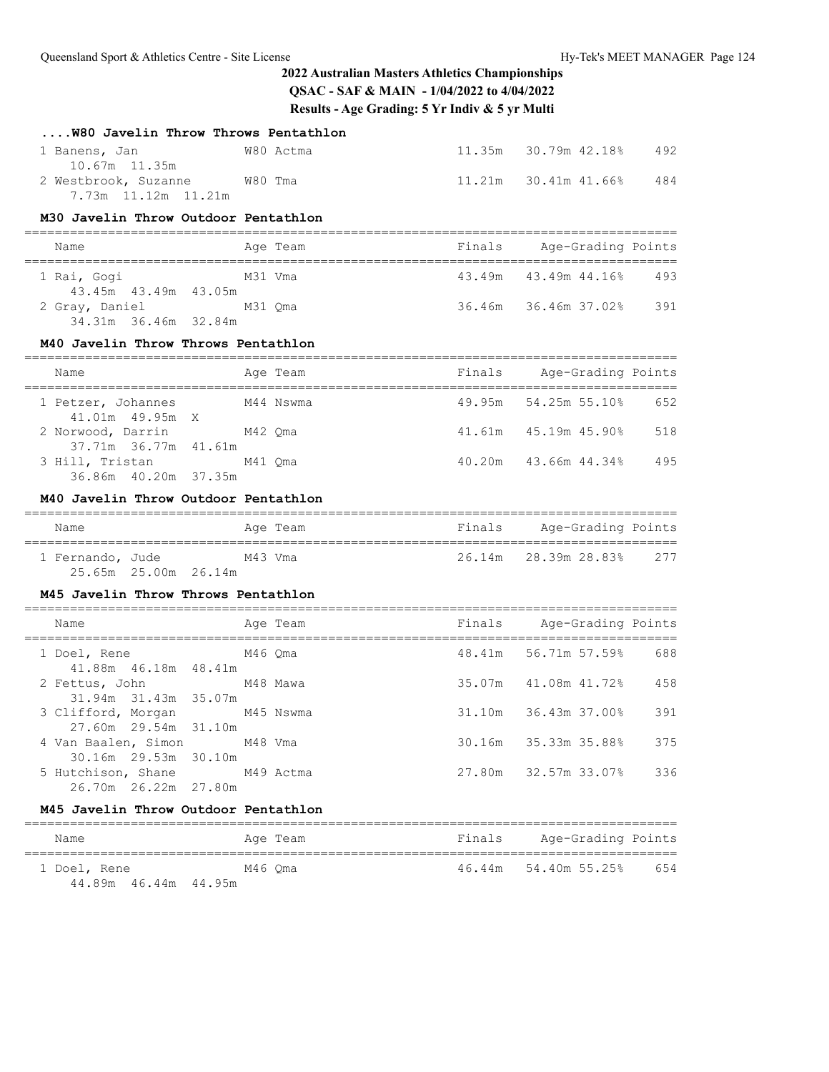| W80 Javelin Throw Throws Pentathlon                                      |         |                                                |                             |                |                    |
|--------------------------------------------------------------------------|---------|------------------------------------------------|-----------------------------|----------------|--------------------|
| W80 Actma<br>1 Banens, Jan<br>10.67m 11.35m                              |         |                                                | 11.35m 30.79m 42.18%        |                | 492                |
| 2 Westbrook, Suzanne W80 Tma<br>7.73m 11.12m 11.21m                      |         |                                                | 11.21m 30.41m 41.66%        |                | 484                |
| M30 Javelin Throw Outdoor Pentathlon                                     |         |                                                |                             |                |                    |
| Name<br>===================================                              |         | Age Team                                       | Finals Age-Grading Points   |                |                    |
| 1 Rai, Gogi<br>M31 Vma                                                   |         |                                                | 43.49m 43.49m 44.16% 493    |                |                    |
| 43.45m  43.49m  43.05m<br>2 Gray, Daniel M31 Qma<br>34.31m 36.46m 32.84m |         |                                                | 36.46m 36.46m 37.02% 391    |                |                    |
| M40 Javelin Throw Throws Pentathlon                                      |         |                                                |                             |                |                    |
| Name                                                                     |         | Age Team                                       | Finals Age-Grading Points   |                |                    |
| 1 Petzer, Johannes<br>M44 Nswma<br>41.01m  49.95m  X                     |         |                                                | 49.95m 54.25m 55.10% 652    |                |                    |
| 2 Norwood, Darrin M42 Qma                                                |         |                                                | 41.61m  45.19m  45.90%  518 |                |                    |
| 3 Hill, Tristan<br>36.86m  40.20m  37.35m                                | M41 Oma |                                                | 40.20m  43.66m  44.34%      |                | 495                |
| M40 Javelin Throw Outdoor Pentathlon                                     |         |                                                |                             |                |                    |
|                                                                          |         |                                                |                             |                |                    |
| Name                                                                     |         | Aqe Team                                       | Finals Age-Grading Points   |                |                    |
| 1 Fernando, Jude M43 Vma                                                 |         |                                                | 26.14m 28.39m 28.83% 277    |                |                    |
| 25.65m 25.00m 26.14m<br>M45 Javelin Throw Throws Pentathlon              |         |                                                |                             |                |                    |
|                                                                          |         |                                                |                             |                |                    |
| Name                                                                     |         | Age Team                                       | Finals Age-Grading Points   |                |                    |
| 1 Doel, Rene M46 Qma                                                     |         |                                                | 48.41m 56.71m 57.59% 688    |                |                    |
| 41.88m  46.18m  48.41m<br>2 Fettus, John M48 Mawa                        |         |                                                | 35.07m 41.08m 41.72% 458    |                |                    |
| 31.94m 31.43m 35.07m                                                     |         |                                                |                             |                |                    |
| 3 Clifford, Morgan M45 Nswma                                             |         |                                                |                             |                | 391                |
| 27.60m  29.54m  31.10m<br>4 Van Baalen, Simon                            | M48 Vma |                                                | 30.16m                      | 35.33m 35.88%  | 375                |
| 30.16m 29.53m 30.10m                                                     |         |                                                |                             |                |                    |
| 5 Hutchison, Shane<br>26.70m 26.22m<br>27.80m                            |         | M49 Actma                                      | 27.80m                      | 32.57m 33.07%  | 336                |
| M45 Javelin Throw Outdoor Pentathlon                                     |         |                                                |                             |                |                    |
| Name<br>================                                                 |         | ==================================<br>Age Team | Finals                      | ============== | Age-Grading Points |

44.89m 46.44m 44.95m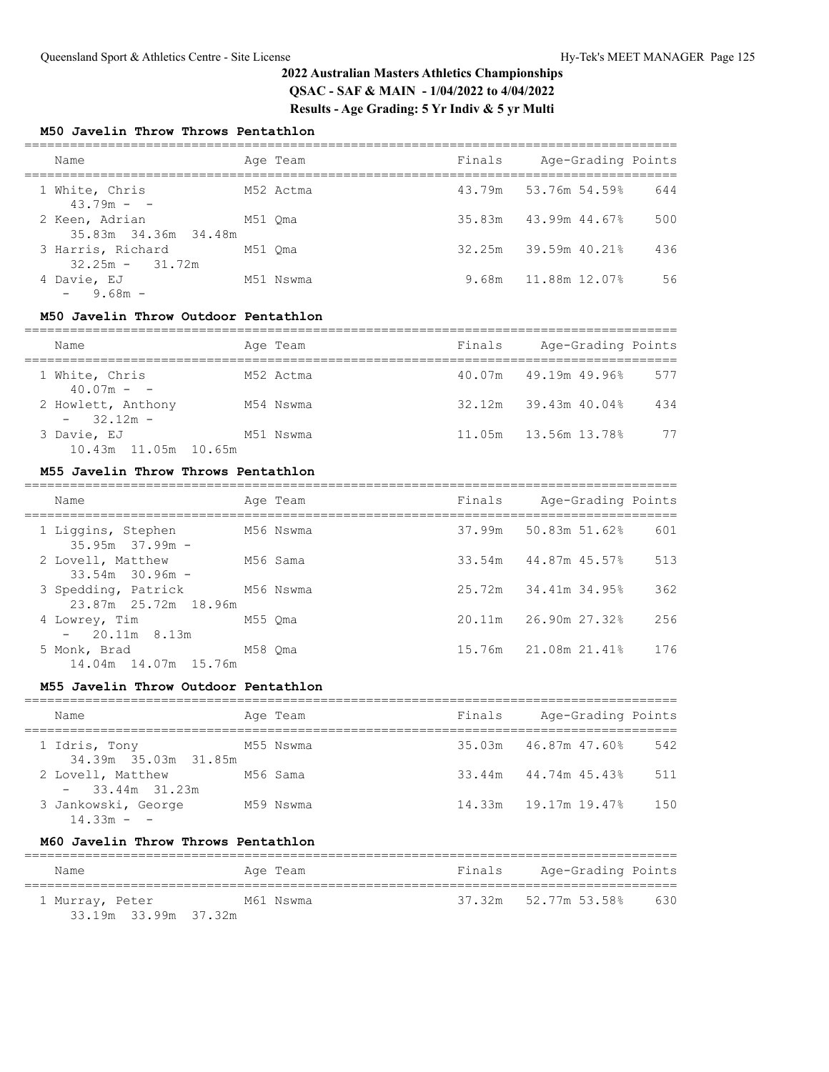### **M50 Javelin Throw Throws Pentathlon**

| Name                                   |         | Age Team  | Finals | Age-Grading Points         |     |
|----------------------------------------|---------|-----------|--------|----------------------------|-----|
| 1 White, Chris<br>$43.79m - -$         |         | M52 Actma |        | 43.79m 53.76m 54.59%       | 644 |
| 2 Keen, Adrian<br>35.83m 34.36m 34.48m | M51 Oma |           |        | $35.83m$ $43.99m$ $44.678$ | 500 |
| 3 Harris, Richard<br>$32.25m - 31.72m$ | M51 Oma |           |        | 32.25m 39.59m 40.21%       | 436 |
| 4 Davie, EJ<br>$-9.68m -$              |         | M51 Nswma |        | 9.68m 11.88m 12.07%        | 56  |

### **M50 Javelin Throw Outdoor Pentathlon**

| Name                                | Age Team  | Finals | Age-Grading Points          |     |
|-------------------------------------|-----------|--------|-----------------------------|-----|
| 1 White, Chris<br>$40.07m - -$      | M52 Actma |        | 40.07m 49.19m 49.96%        | 577 |
| 2 Howlett, Anthony<br>$-32.12m -$   | M54 Nswma |        | $32.12m$ $39.43m$ $40.04\%$ | 434 |
| 3 Davie, EJ<br>10.43m 11.05m 10.65m | M51 Nswma |        | 11.05m 13.56m 13.78%        | 77  |

### **M55 Javelin Throw Throws Pentathlon**

| Name                                        |         | Age Team  | Finals | Age-Grading Points   |     |
|---------------------------------------------|---------|-----------|--------|----------------------|-----|
| 1 Liggins, Stephen<br>$35.95m$ $37.99m$ -   |         | M56 Nswma |        | 37.99m 50.83m 51.62% | 601 |
| 2 Lovell, Matthew<br>$33.54m$ $30.96m$ -    |         | M56 Sama  |        | 33.54m 44.87m 45.57% | 513 |
| 3 Spedding, Patrick<br>23.87m 25.72m 18.96m |         | M56 Nswma |        | 25.72m 34.41m 34.95% | 362 |
| 4 Lowrey, Tim<br>$-20.11m$ 8.13m            | M55 Oma |           |        | 20.11m 26.90m 27.32% | 256 |
| 5 Monk, Brad<br>14.04m  14.07m  15.76m      | M58 Oma |           |        | 15.76m 21.08m 21.41% | 176 |

#### **M55 Javelin Throw Outdoor Pentathlon**

| Name                                  | Age Team  | Finals | Age-Grading Points     |     |
|---------------------------------------|-----------|--------|------------------------|-----|
| 1 Idris, Tony<br>34.39m 35.03m 31.85m | M55 Nswma |        | 35.03m 46.87m 47.60%   | 542 |
| 2 Lovell, Matthew<br>$-33.44m$ 31.23m | M56 Sama  |        | 33.44m 44.74m 45.43%   | 511 |
| 3 Jankowski, George<br>$14.33m - -$   | M59 Nswma |        | 14.33m  19.17m  19.47% | 150 |

## **M60 Javelin Throw Throws Pentathlon**

| Name                 | Age Team  | Finals | Age-Grading Points   |     |  |  |  |  |
|----------------------|-----------|--------|----------------------|-----|--|--|--|--|
| 1 Murray, Peter      | M61 Nswma |        | 37.32m 52.77m 53.58% | 630 |  |  |  |  |
| 33.19m 33.99m 37.32m |           |        |                      |     |  |  |  |  |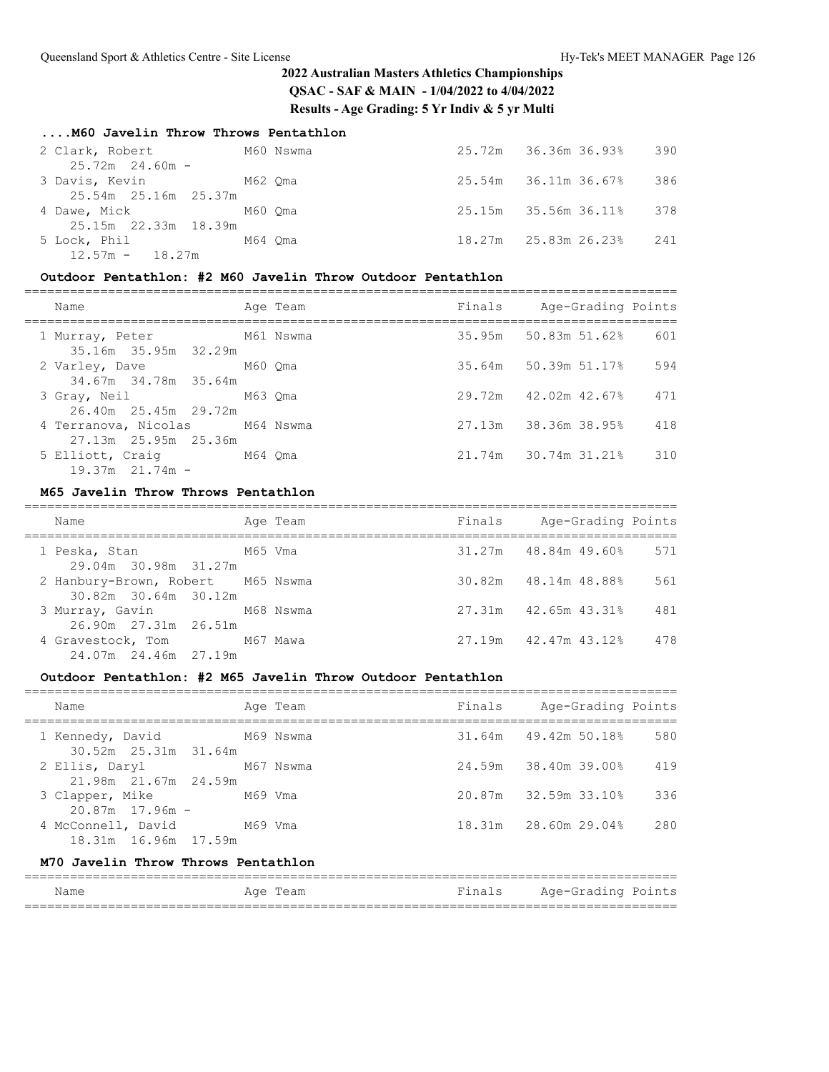### **....M60 Javelin Throw Throws Pentathlon**

| 2 Clark, Robert                                | M60 Nswma |  | 25.72m 36.36m 36.93% | 390 |
|------------------------------------------------|-----------|--|----------------------|-----|
| $25.72m$ 24.60m -<br>3 Davis, Kevin M62 Oma    |           |  | 25.54m 36.11m 36.67% | 386 |
| 25.54m 25.16m 25.37m<br>4 Dawe, Mick 6 M60 Oma |           |  | 25.15m 35.56m 36.11% | 378 |
| 25.15m 22.33m 18.39m<br>5 Lock, Phil           | M64 Oma   |  | 18.27m 25.83m 26.23% | 241 |
| $12.57m - 18.27m$                              |           |  |                      |     |

## **Outdoor Pentathlon: #2 M60 Javelin Throw Outdoor Pentathlon**

| Name                                                     | Age Team | Finals Age-Grading Points |     |
|----------------------------------------------------------|----------|---------------------------|-----|
| M61 Nswma<br>1 Murray, Peter<br>35.16m 35.95m 32.29m     |          | $35.95m$ 50.83m 51.62%    | 601 |
| 2 Varley, Dave M60 Qma<br>34.67m 34.78m 35.64m           |          | 35.64m 50.39m 51.17%      | 594 |
| 3 Gray, Neil M63 Oma<br>26.40m 25.45m 29.72m             |          | 29.72m 42.02m 42.67%      | 471 |
| 4 Terranova, Nicolas M64 Nswma<br>27.13m  25.95m  25.36m |          | 27.13m 38.36m 38.95%      | 418 |
| 5 Elliott, Craig M64 Qma<br>$19.37m$ $21.74m$ -          |          | 21.74m 30.74m 31.21%      | 310 |

### **M65 Javelin Throw Throws Pentathlon**

| Name                                                      | Age Team | Finals | Age-Grading Points     |     |
|-----------------------------------------------------------|----------|--------|------------------------|-----|
| 29.04m 30.98m 31.27m                                      |          |        | $31.27m$ 48.84m 49.60% | 571 |
| 2 Hanbury-Brown, Robert M65 Nswma<br>30.82m 30.64m 30.12m |          |        | 30.82m 48.14m 48.88%   | 561 |
| 3 Murray, Gavin M68 Nswma<br>26.90m 27.31m 26.51m         |          |        | $27.31m$ 42.65m 43.31% | 481 |
| 4 Gravestock, Tom M67 Mawa<br>24.07m 24.46m 27.19m        |          |        | 27.19m 42.47m 43.12%   | 478 |

### **Outdoor Pentathlon: #2 M65 Javelin Throw Outdoor Pentathlon**

| Name                                               | Age Team | Finals Age-Grading Points |     |
|----------------------------------------------------|----------|---------------------------|-----|
| 1 Kennedy, David M69 Nswma<br>30.52m 25.31m 31.64m |          | $31.64m$ $49.42m$ 50.18%  | 580 |
| 2 Ellis, Daryl M67 Nswma<br>21.98m 21.67m 24.59m   |          | 24.59m 38.40m 39.00%      | 419 |
| 3 Clapper, Mike M69 Vma<br>$20.87m$ 17.96m $-$     |          | 20.87m 32.59m 33.10%      | 336 |
| 4 McConnell, David M69 Vma<br>18.31m 16.96m 17.59m |          | 18.31m 28.60m 29.04%      | 280 |
| M70 Javelin Throw Throws Pentathlon                |          |                           |     |

#### ====================================================================================== Age Team  $Finals$  Age-Grading Points ======================================================================================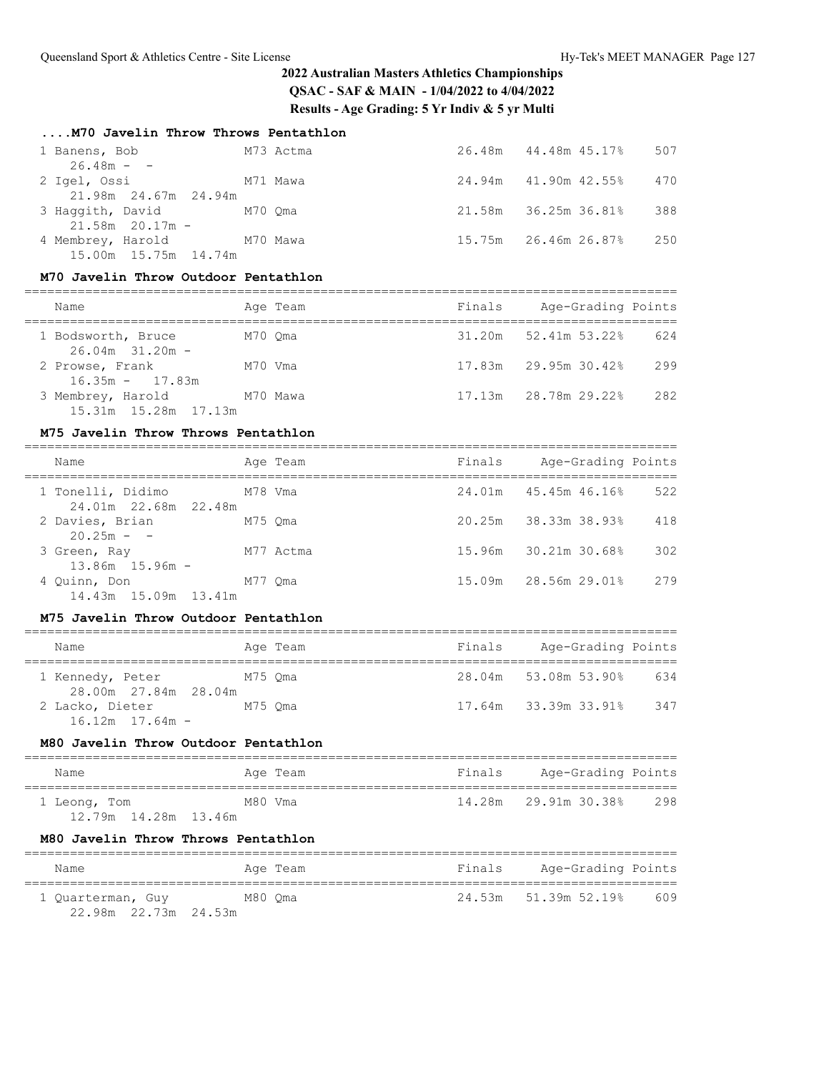### **....M70 Javelin Throw Throws Pentathlon**

| 1 Banens, Bob              |          | M73 Actma | 26.48m 44.48m 45.17% | 507 |
|----------------------------|----------|-----------|----------------------|-----|
| $26.48m - -$               |          |           |                      |     |
| 2 Igel, Ossi               | M71 Mawa |           | 24.94m 41.90m 42.55% | 470 |
| 21.98m 24.67m 24.94m       |          |           |                      |     |
| 3 Haqqith, David M70 Qma   |          |           | 21.58m 36.25m 36.81% | 388 |
| $21.58m$ 20.17m -          |          |           |                      |     |
| 4 Membrey, Harold M70 Mawa |          |           | 15.75m 26.46m 26.87% | 250 |
| 15.00m 15.75m 14.74m       |          |           |                      |     |

### **M70 Javelin Throw Outdoor Pentathlon**

| Name                                      | Age Team | Finals | Age-Grading Points          |     |
|-------------------------------------------|----------|--------|-----------------------------|-----|
| 1 Bodsworth, Bruce<br>$26.04m$ 31.20m -   | M70 Oma  |        | $31.20m$ $52.41m$ $53.228$  | 624 |
| 2 Prowse, Frank<br>$16.35m - 17.83m$      | M70 Vma  |        | $17.83m$ $29.95m$ $30.42\%$ | 299 |
| 3 Membrey, Harold<br>15.31m 15.28m 17.13m | M70 Mawa |        | 17.13m 28.78m 29.22%        | 282 |

#### **M75 Javelin Throw Throws Pentathlon**

| Name                                                 | Age Team  | Finals | Age-Grading Points   |     |
|------------------------------------------------------|-----------|--------|----------------------|-----|
| 1 Tonelli, Didimo<br>M78 Vma<br>24.01m 22.68m 22.48m |           |        | 24.01m 45.45m 46.16% | 522 |
| 2 Davies, Brian<br>$20.25m - -$                      | M75 Oma   |        | 20.25m 38.33m 38.93% | 418 |
| 3 Green, Ray<br>$13.86m$ $15.96m$ -                  | M77 Actma |        | 15.96m 30.21m 30.68% | 302 |
| 4 Ouinn, Don<br>14.43m 15.09m 13.41m                 | M77 Oma   |        | 15.09m 28.56m 29.01% | 279 |

#### **M75 Javelin Throw Outdoor Pentathlon**

| Name                                     |         | Age Team | Finals | Age-Grading Points   |     |
|------------------------------------------|---------|----------|--------|----------------------|-----|
| 1 Kennedy, Peter<br>28.00m 27.84m 28.04m | M75 Oma |          |        | 28.04m 53.08m 53.90% | 634 |
| 2 Lacko, Dieter<br>$16.12m$ $17.64m$ -   | M75 Oma |          |        | 17.64m 33.39m 33.91% | 347 |

#### **M80 Javelin Throw Outdoor Pentathlon**

| Name                   | Age Team | Finals | Age-Grading Points   |     |
|------------------------|----------|--------|----------------------|-----|
| 1 Leong, Tom           | M80 Vma  |        | 14.28m 29.91m 30.38% | 298 |
| 12.79m  14.28m  13.46m |          |        |                      |     |

#### **M80 Javelin Throw Throws Pentathlon**

| Name                 | Age Team | Finals | Age-Grading Points   |     |
|----------------------|----------|--------|----------------------|-----|
| 1 Ouarterman, Guy    | M80 Oma  |        | 24.53m 51.39m 52.19% | 609 |
| 22.98m 22.73m 24.53m |          |        |                      |     |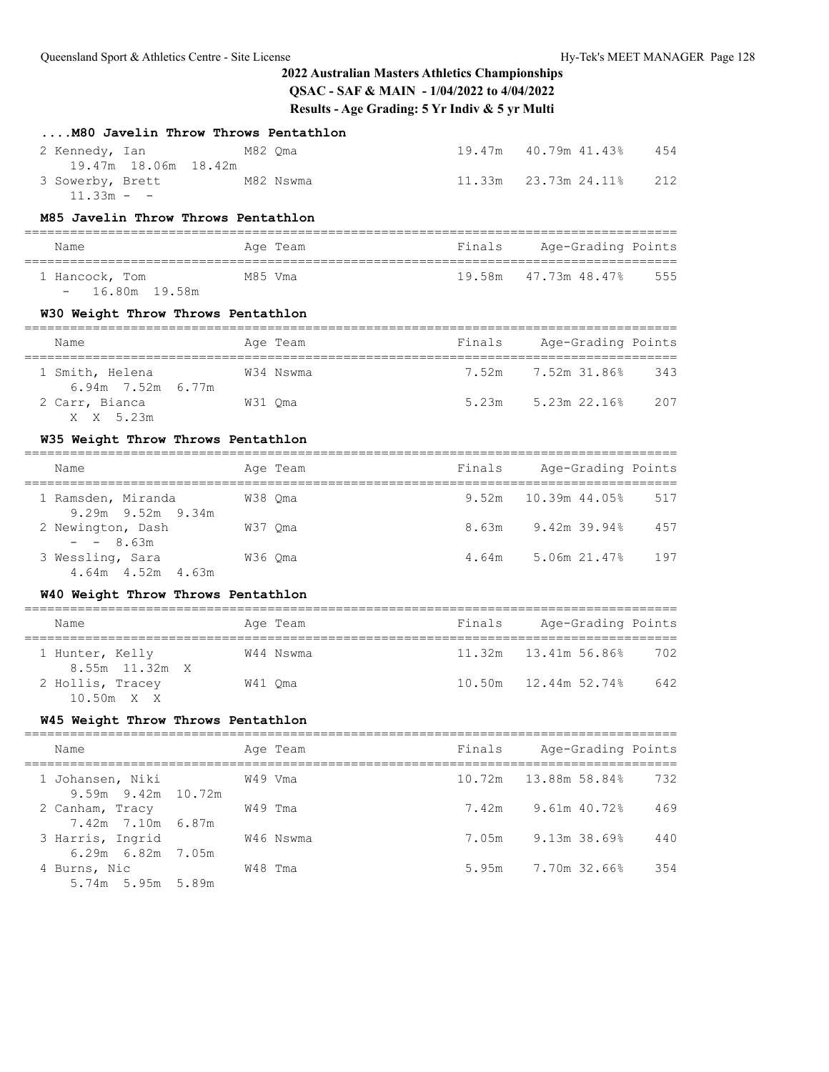| M80 Javelin Throw Throws Pentathlon                                         |         |           |        |                                                      |             |
|-----------------------------------------------------------------------------|---------|-----------|--------|------------------------------------------------------|-------------|
| 2 Kennedy, Ian<br>M82 Qma                                                   |         |           |        | 19.47m  40.79m  41.43%                               | 454         |
| 19.47m 18.06m 18.42m<br>3 Sowerby, Brett<br>M82 Nswma<br>$11.33m - -$       |         |           | 11.33m | 23.73m 24.11%                                        | 212         |
| M85 Javelin Throw Throws Pentathlon                                         |         |           |        |                                                      |             |
| Name                                                                        |         | Age Team  |        | =======================<br>Finals Age-Grading Points |             |
| ;===============================<br>1 Hancock, Tom<br>16.80m 19.58m<br>$ -$ | M85 Vma |           | 19.58m | 47.73m 48.47%                                        | 555         |
| W30 Weight Throw Throws Pentathlon                                          |         |           |        |                                                      |             |
| Name                                                                        |         | Age Team  |        | Finals Age-Grading Points                            |             |
| 1 Smith, Helena<br>6.94m 7.52m 6.77m                                        |         | W34 Nswma | 7.52m  | 7.52m 31.86%                                         | 343         |
| 2 Carr, Bianca<br>W31 Qma<br>X X 5.23m                                      |         |           |        | $5.23m$ $5.23m$ $22.16%$                             | 207         |
| W35 Weight Throw Throws Pentathlon                                          |         |           |        | =======================                              |             |
| Name                                                                        |         | Age Team  | Finals | Age-Grading Points                                   |             |
| 1 Ramsden, Miranda<br>9.29m 9.52m 9.34m                                     | W38 Qma |           |        | 9.52m  10.39m  44.05%                                | 517         |
| 2 Newington, Dash<br>W37 Qma<br>$- - 8.63m$                                 |         |           |        | 8.63m 9.42m 39.94%                                   | 457         |
| 3 Wessling, Sara<br>W36 Qma<br>4.64m  4.52m  4.63m                          |         |           |        | 4.64m 5.06m 21.47%                                   | 197         |
| W40 Weight Throw Throws Pentathlon                                          |         |           |        |                                                      |             |
| Name                                                                        |         | Age Team  |        | Finals Age-Grading Points                            |             |
| 1 Hunter, Kelly                                                             |         | W44 Nswma |        |                                                      | 702         |
| 8.55m 11.32m X<br>2 Hollis, Tracey W41 Qma<br>10.50m X X                    |         |           |        | 10.50m  12.44m  52.74%  642                          |             |
| W45 Weight Throw Throws Pentathlon                                          |         |           |        |                                                      |             |
| Name                                                                        |         | Age Team  | Finals | Age-Grading Points                                   |             |
| 1 Johansen, Niki                                                            | W49 Vma |           | 10.72m | ==============<br>=======<br>13.88m 58.84%           | $==$<br>732 |
| $9.59m$ $9.42m$<br>10.72m<br>2 Canham, Tracy                                | W49 Tma |           | 7.42m  | 9.61m 40.72%                                         | 469         |
| 6.87m<br>7.42m 7.10m<br>3 Harris, Ingrid                                    |         | W46 Nswma | 7.05m  | 9.13m 38.69%                                         | 440         |
| $6.29m$ $6.82m$<br>7.05m<br>4 Burns, Nic<br>5.89m<br>5.74m 5.95m            | W48 Tma |           | 5.95m  | 7.70m 32.66%                                         | 354         |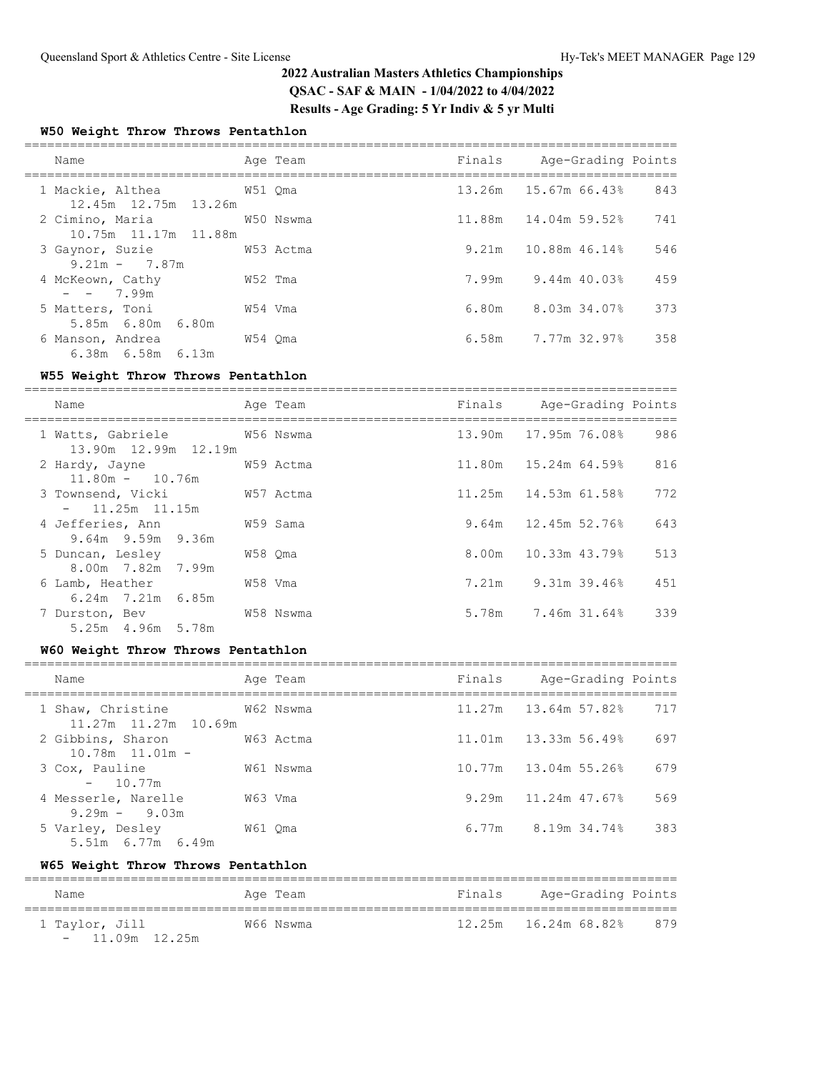### **W50 Weight Throw Throws Pentathlon**

| Name                                                     |         | Age Team |       | Finals Age-Grading Points |     |
|----------------------------------------------------------|---------|----------|-------|---------------------------|-----|
| 1 Mackie, Althea 6751 Oma<br>12.45m 12.75m 13.26m        |         |          |       | 13.26m 15.67m 66.43%      | 843 |
| 2 Cimino, Maria 61 610 W50 Nswma<br>10.75m 11.17m 11.88m |         |          |       | 11.88m  14.04m  59.52%    | 741 |
| 3 Gaynor, Suzie<br>W53 Actma<br>$9.21m - 7.87m$          |         |          |       | $9.21m$ 10.88m 46.14%     | 546 |
| 4 McKeown, Cathy<br>$- - 7.99m$                          | W52 Tma |          |       | 7.99m 9.44m 40.03%        | 459 |
| 5 Matters, Toni<br>5.85m 6.80m 6.80m                     | W54 Vma |          | 6.80m | 8.03m 34.07%              | 373 |
| 6 Manson, Andrea<br>6.38m 6.58m 6.13m                    | W54 Oma |          |       | $6.58m$ $7.77m$ $32.97\%$ | 358 |

### **W55 Weight Throw Throws Pentathlon**

| Name                                                 |         | Age Team  | Finals Age-Grading Points   |     |
|------------------------------------------------------|---------|-----------|-----------------------------|-----|
| 1 Watts, Gabriele 6756 Nswma<br>13.90m 12.99m 12.19m |         |           | 13.90m 17.95m 76.08%        | 986 |
| 2 Hardy, Jayne<br>$11.80m - 10.76m$                  |         | W59 Actma | $11.80m$ $15.24m$ $64.59\%$ | 816 |
| 3 Townsend, Vicki<br>W57 Actma<br>$-11.25m$ 11.15m   |         |           | 11.25m  14.53m  61.58%      | 772 |
| 4 Jefferies, Ann<br>9.64m 9.59m 9.36m                |         | W59 Sama  | $9.64m$ 12.45m 52.76%       | 643 |
| 5 Duncan, Lesley<br>8.00m 7.82m 7.99m                | W58 Qma |           | 8.00m 10.33m 43.79%         | 513 |
| 6 Lamb, Heather<br>$6.24m$ $7.21m$ $6.85m$           | W58 Vma |           | 7.21m 9.31m 39.46%          | 451 |
| 7 Durston, Bev<br>5.25m 4.96m 5.78m                  |         | W58 Nswma | 5.78m 7.46m 31.64%          | 339 |

#### **W60 Weight Throw Throws Pentathlon**

| Name                                                         |         | Age Team  | Finals | Age-Grading Points       |     |
|--------------------------------------------------------------|---------|-----------|--------|--------------------------|-----|
| 1 Shaw, Christine<br>W62 Nswma<br>$11.27m$ $11.27m$ $10.69m$ |         |           |        | $11.27m$ $13.64m$ 57.82% | 717 |
| 2 Gibbins, Sharon<br>$10.78m$ $11.01m$ -                     |         | W63 Actma |        | 11.01m 13.33m 56.49%     | 697 |
| 3 Cox, Pauline<br>$-10.77m$                                  |         | W61 Nswma |        | 10.77m 13.04m 55.26%     | 679 |
| 4 Messerle, Narelle<br>$9.29m - 9.03m$                       | W63 Vma |           |        | $9.29m$ 11.24m 47.67%    | 569 |
| 5 Varley, Desley<br>5.51m 6.77m 6.49m                        | W61 Oma |           |        | 6.77m 8.19m 34.74%       | 383 |

### **W65 Weight Throw Throws Pentathlon**

| Name             | Age Team  | Finals | Age-Grading Points   |     |
|------------------|-----------|--------|----------------------|-----|
| 1 Taylor, Jill   | W66 Nswma |        | 12.25m 16.24m 68.82% | 879 |
| $-11.09m$ 12.25m |           |        |                      |     |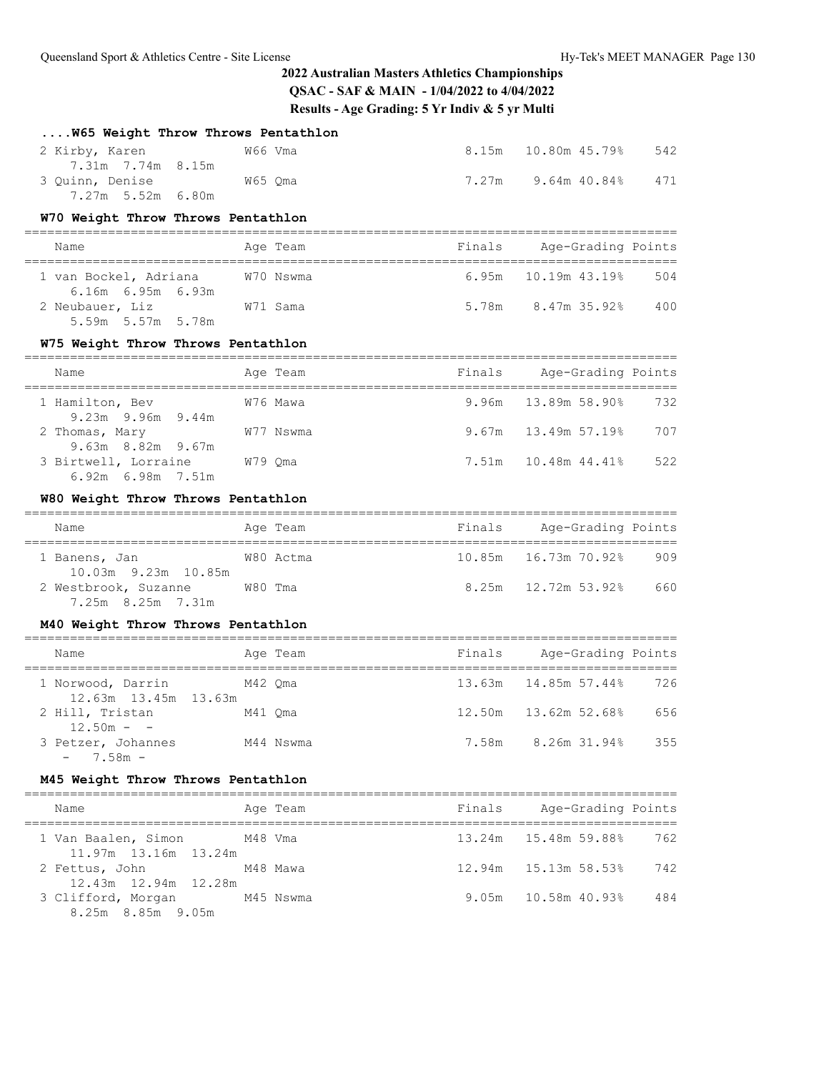| W65 Weight Throw Throws Pentathlon                                |         |                                              |        |                                            |     |
|-------------------------------------------------------------------|---------|----------------------------------------------|--------|--------------------------------------------|-----|
| W66 Vma<br>2 Kirby, Karen<br>7.31m 7.74m 8.15m                    |         |                                              |        | 8.15m   10.80m   45.79%                    | 542 |
| 3 Quinn, Denise M65 Qma<br>7.27m 5.52m 6.80m                      |         |                                              |        | 7.27m 9.64m 40.84%                         | 471 |
| W70 Weight Throw Throws Pentathlon                                |         |                                              |        |                                            |     |
| ===============<br>Name                                           |         | ________________________________<br>Age Team |        | Finals Age-Grading Points                  |     |
| ------------------------------------<br>1 van Bockel, Adriana     |         | W70 Nswma                                    | 6.95m  | _________________________<br>10.19m 43.19% | 504 |
| $6.16m$ $6.95m$ $6.93m$<br>2 Neubauer, Liz W71 Sama               |         |                                              |        | 5.78m 8.47m 35.92% 400                     |     |
| 5.59m 5.57m 5.78m                                                 |         |                                              |        |                                            |     |
| W75 Weight Throw Throws Pentathlon                                |         |                                              |        |                                            |     |
| Name                                                              |         | Age Team                                     | Finals | Age-Grading Points                         |     |
| 1 Hamilton, Bev<br>9.23m 9.96m 9.44m                              |         | W76 Mawa                                     |        | 9.96m 13.89m 58.90%                        | 732 |
| 2 Thomas, Mary<br>9.63m 8.82m 9.67m                               |         | W77 Nswma                                    |        | $9.67m$ $13.49m$ 57.19%                    | 707 |
| 3 Birtwell, Lorraine<br>6.92m 6.98m 7.51m                         | W79 Qma |                                              |        |                                            | 522 |
| W80 Weight Throw Throws Pentathlon                                |         |                                              |        |                                            |     |
| Name                                                              |         | Age Team                                     |        | Finals Age-Grading Points                  |     |
| 1 Banens, Jan<br>10.03m 9.23m 10.85m                              |         | W80 Actma                                    |        |                                            | 909 |
| 2 Westbrook, Suzanne W80 Tma<br>7.25m 8.25m 7.31m                 |         |                                              |        | $8.25m$ 12.72m 53.92% 660                  |     |
| M40 Weight Throw Throws Pentathlon                                |         |                                              |        |                                            |     |
| Name<br>--------------------------------------                    |         | Age Team                                     |        | Finals Age-Grading Points                  |     |
| 1 Norwood, Darrin<br>M42 Qma<br>12.63m  13.45m  13.63m            |         |                                              |        |                                            | 726 |
| 2 Hill, Tristan<br>$12.50m - -$                                   | M41 Qma |                                              |        |                                            | 656 |
| 3 Petzer, Johannes<br>$-7.58m -$                                  |         | M44 Nswma                                    |        | 7.58m 8.26m 31.94%                         | 355 |
| M45 Weight Throw Throws Pentathlon                                |         |                                              |        |                                            |     |
| Name                                                              |         | Age Team                                     | Finals | Age-Grading Points                         |     |
| M48 Vma<br>1 Van Baalen, Simon                                    |         |                                              | 13.24m | 15.48m 59.88%                              | 762 |
| 11.97m 13.16m 13.24m<br>2 Fettus, John                            |         | M48 Mawa                                     | 12.94m | 15.13m 58.53%                              | 742 |
| 12.43m  12.94m  12.28m<br>3 Clifford, Morgan<br>8.25m 8.85m 9.05m |         | M45 Nswma                                    | 9.05m  | 10.58m 40.93%                              | 484 |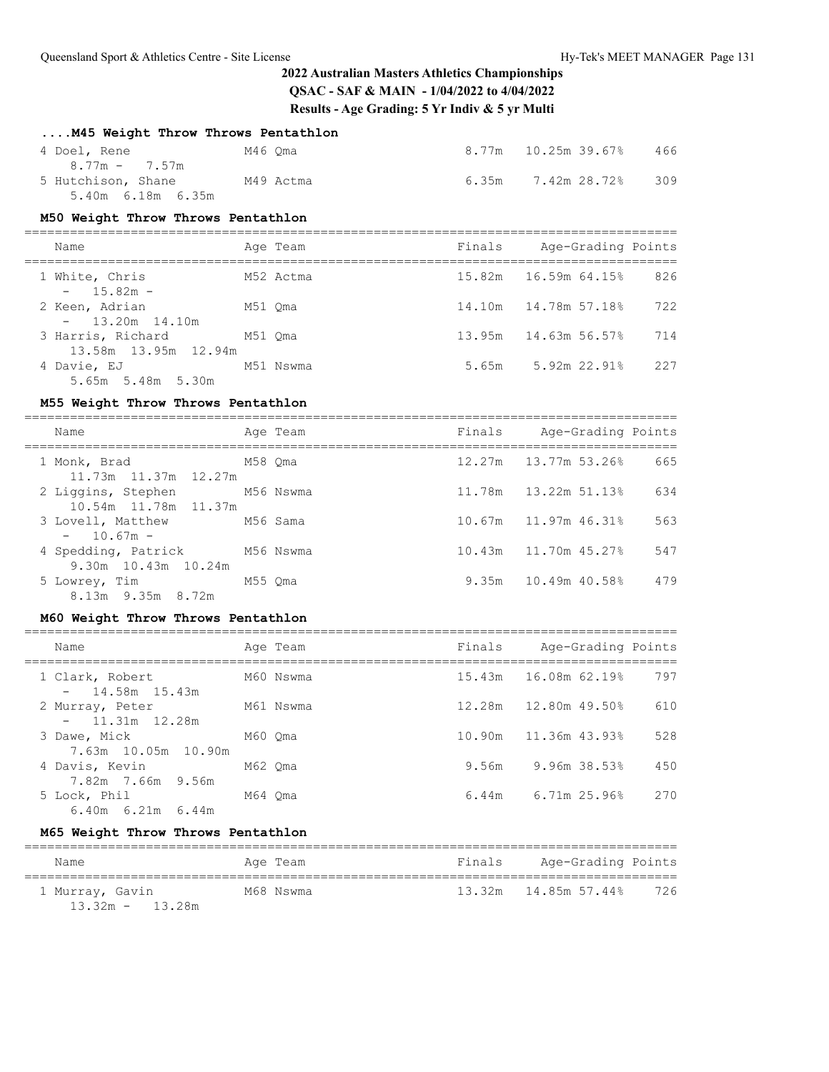| M45 Weight Throw Throws Pentathlon                                                    |         |           |        |                             |     |
|---------------------------------------------------------------------------------------|---------|-----------|--------|-----------------------------|-----|
| 4 Doel, Rene M46 Qma                                                                  |         |           |        | 8.77m 10.25m 39.67%         | 466 |
| $8.77m - 7.57m$<br>5 Hutchison, Shane M49 Actma<br>5.40m 6.18m 6.35m                  |         |           |        | $6.35m$ $7.42m$ $28.72%$    | 309 |
| M50 Weight Throw Throws Pentathlon                                                    |         |           |        |                             |     |
| Name                                                                                  |         | Age Team  |        | Finals Age-Grading Points   |     |
| 1 White, Chris<br>$15.82m -$<br>$\sim$ 100 $\mu$                                      |         | M52 Actma | 15.82m | 16.59m 64.15%               | 826 |
| 2 Keen, Adrian<br>$\sim$                                                              | M51 Qma |           |        | 14.10m    14.78m    57.18%  | 722 |
| 13.20m  14.10m<br>M51 Qma<br>3 Harris, Richard<br>13.58m  13.95m  12.94m              |         |           |        | 13.95m    14.63m    56.57%  | 714 |
| 4 Davie, EJ M51 Nswma<br>5.65m 5.48m 5.30m                                            |         |           |        | 5.65m 5.92m 22.91%          | 227 |
| M55 Weight Throw Throws Pentathlon                                                    |         |           |        |                             |     |
| Name                                                                                  |         | Age Team  | Finals | Age-Grading Points          |     |
| 1 Monk, Brad<br>11.73m  11.37m  12.27m                                                |         | M58 Oma   |        |                             | 665 |
| 2 Liggins, Stephen M56 Nswma<br>10.54m  11.78m  11.37m                                |         |           |        | 11.78m   13.22m   51.13%    | 634 |
| 3 Lovell, Matthew<br>M56 Sama<br>$10.67m -$<br>$\sim$ 100 $\mu$                       |         |           | 10.67m | 11.97m 46.31%               | 563 |
| 4 Spedding, Patrick M56 Nswma<br>9.30m 10.43m 10.24m                                  |         |           | 10.43m | 11.70m 45.27%               | 547 |
| 5 Lowrey, Tim M55 Qma<br>8.13m 9.35m 8.72m                                            |         |           |        | 9.35m  10.49m  40.58%       | 479 |
| M60 Weight Throw Throws Pentathlon                                                    |         |           |        |                             |     |
| Name                                                                                  |         | Age Team  |        | Finals Age-Grading Points   |     |
| 1 Clark, Robert<br>M60 Nswma<br>$\sim$                                                |         |           | 15.43m | 16.08m 62.19% 797           |     |
| 14.58m  15.43m<br>2 Murray, Peter<br>11.31m 12.28m<br>$\frac{1}{2}$ and $\frac{1}{2}$ |         | M61 Nswma |        | 12.28m  12.80m  49.50%  610 |     |
| 3 Dawe, Mick                                                                          |         | M60 Qma   |        | 10.90m  11.36m  43.93%  528 |     |
| 7.63m 10.05m 10.90m<br>4 Davis, Kevin<br>7.82m 7.66m 9.56m                            |         | M62 Qma   | 9.56m  | 9.96m 38.53%                | 450 |
| 5 Lock, Phil<br>6.40m 6.21m 6.44m                                                     |         | M64 Oma   | 6.44m  | 6.71m 25.96%                | 270 |
| M65 Weight Throw Throws Pentathlon                                                    |         |           |        |                             |     |
| Name                                                                                  |         | Age Team  | Finals | Age-Grading Points          |     |
| 1 Murray, Gavin                                                                       |         | M68 Nswma | 13.32m | 14.85m 57.44%               | 726 |

13.32m - 13.28m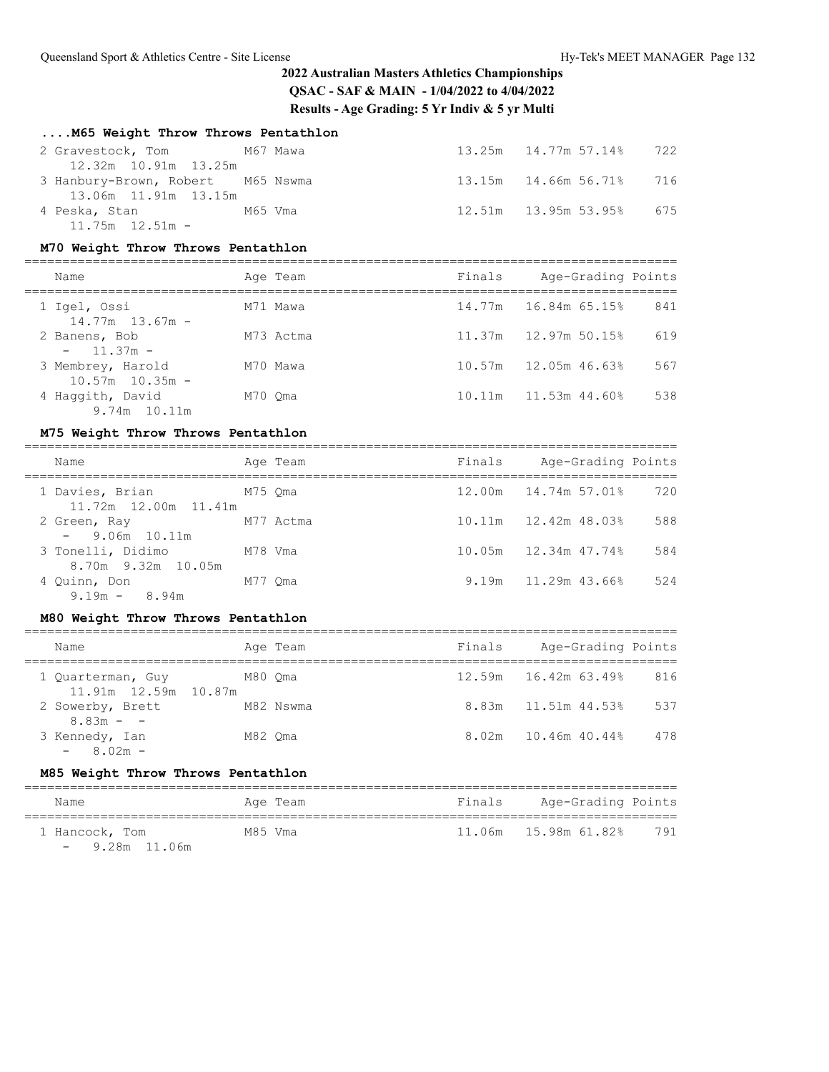## **....M65 Weight Throw Throws Pentathlon**

| 2 Gravestock, Tom M67 Mawa        |  | 13.25m  14.77m  57.14%  722 |  |
|-----------------------------------|--|-----------------------------|--|
| 12.32m 10.91m 13.25m              |  |                             |  |
| 3 Hanbury-Brown, Robert M65 Nswma |  | 13.15m 14.66m 56.71% 716    |  |
| 13.06m 11.91m 13.15m              |  |                             |  |
| 4 Peska, Stan<br>M65 Vma          |  | 12.51m 13.95m 53.95% 675    |  |
| $11.75m$ $12.51m$ -               |  |                             |  |

### **M70 Weight Throw Throws Pentathlon**

| Name                                     | Age Team  | Finals | Age-Grading Points       |     |
|------------------------------------------|-----------|--------|--------------------------|-----|
| 1 Igel, Ossi<br>$14.77m$ $13.67m$ -      | M71 Mawa  |        | 14.77m 16.84m 65.15%     | 841 |
| 2 Banens, Bob<br>$-11.37m -$             | M73 Actma |        | 11.37m   12.97m   50.15% | 619 |
| 3 Membrey, Harold<br>$10.57m$ $10.35m$ - | M70 Mawa  |        | $10.57m$ $12.05m$ 46.63% | 567 |
| 4 Haqqith, David<br>9.74m 10.11m         | M70 Oma   |        | 10.11m   11.53m   44.60% | 538 |

#### **M75 Weight Throw Throws Pentathlon**

| Name                                    |         | Aqe Team | Finals | Age-Grading Points |     |
|-----------------------------------------|---------|----------|--------|--------------------|-----|
| 1 Davies, Brian<br>11 72m 12 00m 11 41m | M75 Oma |          |        |                    | 720 |

| 11.72m 12.00m 11.41m      |           |                           |     |
|---------------------------|-----------|---------------------------|-----|
| 2 Green, Ray              | M77 Actma | 10.11m   12.42m   48.03%  | 588 |
| $-9.06m$ 10.11m           |           |                           |     |
| 3 Tonelli, Didimo M78 Vma |           |                           | 584 |
| 8.70m 9.32m 10.05m        |           |                           |     |
| 4 Quinn, Don<br>M77 Oma   |           | $9.19m$ $11.29m$ $43.66%$ | 524 |
| $9.19m - 8.94m$           |           |                           |     |

### **M80 Weight Throw Throws Pentathlon**

| Name                                      | Age Team  | Finals | Age-Grading Points          |     |
|-------------------------------------------|-----------|--------|-----------------------------|-----|
| 1 Quarterman, Guy<br>11.91m 12.59m 10.87m | M80 Oma   |        | $12.59m$ $16.42m$ $63.49\%$ | 816 |
| 2 Sowerby, Brett<br>$8.83m - -$           | M82 Nswma |        | 8.83m 11.51m 44.53%         | 537 |
| 3 Kennedy, Ian<br>$-8.02m -$              | M82 Oma   |        | 8.02m 10.46m 40.44%         | 478 |

## **M85 Weight Throw Throws Pentathlon**

| Name            | Age Team | Finals | Age-Grading Points |     |  |  |  |
|-----------------|----------|--------|--------------------|-----|--|--|--|
| 1 Hancock, Tom  | M85 Vma  |        |                    | 791 |  |  |  |
| $-9.28m$ 11.06m |          |        |                    |     |  |  |  |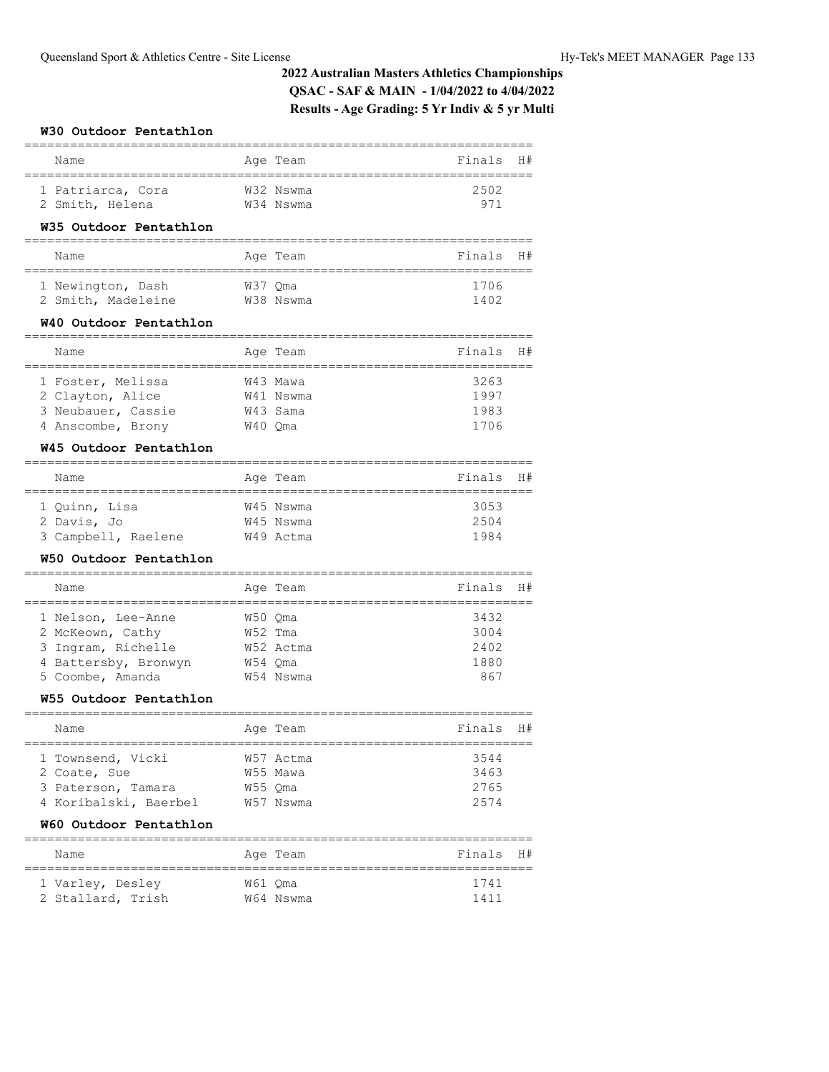### **W30 Outdoor Pentathlon**

| Name              | Age Team  | Finals H# |  |
|-------------------|-----------|-----------|--|
| 1 Patriarca, Cora | W32 Nswma | 2502      |  |
| 2 Smith, Helena   | W34 Nswma | 971       |  |

### **W35 Outdoor Pentathlon**

| Name               |         | Age Team  | Finals H# |  |
|--------------------|---------|-----------|-----------|--|
| 1 Newington, Dash  | W37 Oma |           | 1706      |  |
| 2 Smith, Madeleine |         | W38 Nswma | 1402      |  |

#### **W40 Outdoor Pentathlon**

| Name               |         | Age Team  | Finals | H# |  |  |  |  |  |
|--------------------|---------|-----------|--------|----|--|--|--|--|--|
|                    |         |           |        |    |  |  |  |  |  |
| 1 Foster, Melissa  |         | W43 Mawa  | 3263   |    |  |  |  |  |  |
| 2 Clayton, Alice   |         | W41 Nswma | 1997   |    |  |  |  |  |  |
| 3 Neubauer, Cassie |         | W43 Sama  | 1983   |    |  |  |  |  |  |
| 4 Anscombe, Brony  | W40 Oma |           | 1706   |    |  |  |  |  |  |

### **W45 Outdoor Pentathlon**

| Name                | Age Team  | Finals H# |  |
|---------------------|-----------|-----------|--|
|                     |           |           |  |
| 1 Ouinn, Lisa       | W45 Nswma | 3053      |  |
| 2 Davis, Jo         | W45 Nswma | 2504      |  |
| 3 Campbell, Raelene | W49 Actma | 1984      |  |

### **W50 Outdoor Pentathlon**

| Name                 |           | Age Team  | Finals | H# |
|----------------------|-----------|-----------|--------|----|
| 1 Nelson, Lee-Anne   |           | W50 Oma   | 3432   |    |
| 2 McKeown, Cathy     | $W52$ Tma |           | 3004   |    |
| 3 Ingram, Richelle   |           | W52 Actma | 2402   |    |
| 4 Battersby, Bronwyn | W54 Oma   |           | 1880   |    |
| 5 Coombe, Amanda     |           | W54 Nswma | 867    |    |

#### **W55 Outdoor Pentathlon**

| Name                  |         | Age Team  | Finals<br>H# |
|-----------------------|---------|-----------|--------------|
|                       |         |           |              |
| 1 Townsend, Vicki     |         | W57 Actma | 3544         |
| 2 Coate, Sue          |         | W55 Mawa  | 3463         |
| 3 Paterson, Tamara    | W55 Oma |           | 2765         |
| 4 Koribalski, Baerbel |         | W57 Nswma | 2574         |

### **W60 Outdoor Pentathlon**

| Name                                  |         | Age Team  | Finals H#    |  |  |  |  |
|---------------------------------------|---------|-----------|--------------|--|--|--|--|
| 1 Varley, Desley<br>2 Stallard, Trish | W61 Oma | W64 Nswma | 1741<br>1411 |  |  |  |  |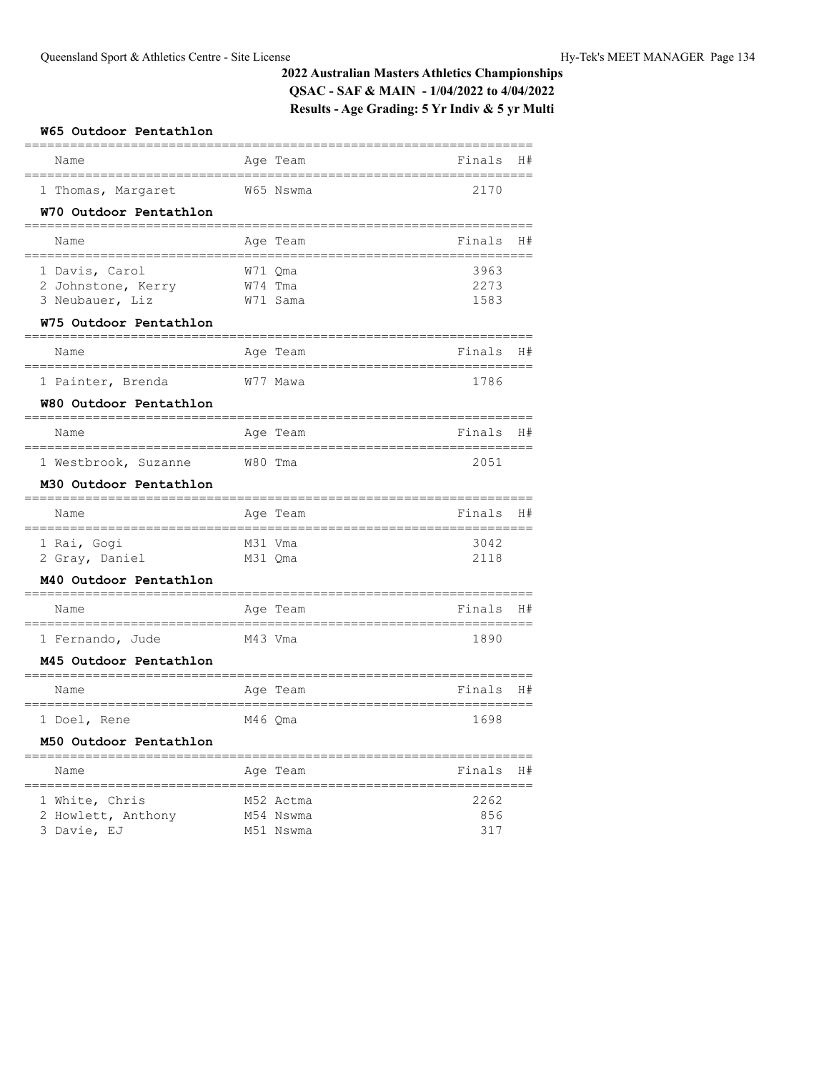| W65 Outdoor Pentathlon                  |                          |                                        |
|-----------------------------------------|--------------------------|----------------------------------------|
| Name                                    | Age Team                 | Finals<br>H#                           |
| 1 Thomas, Margaret                      | W65 Nswma                | 2170                                   |
| W70 Outdoor Pentathlon                  |                          |                                        |
| Name                                    | Age Team                 | Finals<br>H#                           |
| 1 Davis, Carol                          | W71 Qma                  | 3963                                   |
| 2 Johnstone, Kerry<br>3 Neubauer, Liz   | W74 Tma<br>W71 Sama      | 2273<br>1583                           |
| W75 Outdoor Pentathlon                  |                          |                                        |
| Name                                    | Age Team                 | Finals<br>H#                           |
| 1 Painter, Brenda                       | W77 Mawa                 | ,,,,,,,,,,,,,,,,,,,,,,,,<br>1786       |
| W80 Outdoor Pentathlon                  |                          |                                        |
| Name                                    | Age Team                 | Finals<br>H#                           |
| 1 Westbrook, Suzanne                    | W80 Tma                  | ;============== <sup>---</sup><br>2051 |
| M30 Outdoor Pentathlon                  |                          |                                        |
| Name                                    | Age Team                 | Finals<br>H#<br>==============         |
| =================<br>1 Rai, Gogi        | M31 Vma                  | 3042                                   |
| 2 Gray, Daniel                          | M31 Qma                  | 2118                                   |
| M40 Outdoor Pentathlon                  |                          |                                        |
| Name<br>--------------                  | Age Team<br>------------ | Finals<br>H#                           |
| 1 Fernando, Jude                        | M43 Vma                  | ===================<br>1890            |
| M45 Outdoor Pentathlon                  |                          |                                        |
| Name<br>==========<br>================= | Age Team<br>teese        | Finals<br>H#<br>==============         |
| 1 Doel, Rene                            | M46 Qma                  | 1698                                   |
| M50 Outdoor Pentathlon                  |                          |                                        |
| Name                                    | Age Team                 | Finals<br>H#                           |
| 1 White, Chris                          | M52 Actma                | 2262                                   |
| 2 Howlett, Anthony                      | M54 Nswma<br>M51 Nswma   | 856<br>317                             |
| 3 Davie, EJ                             |                          |                                        |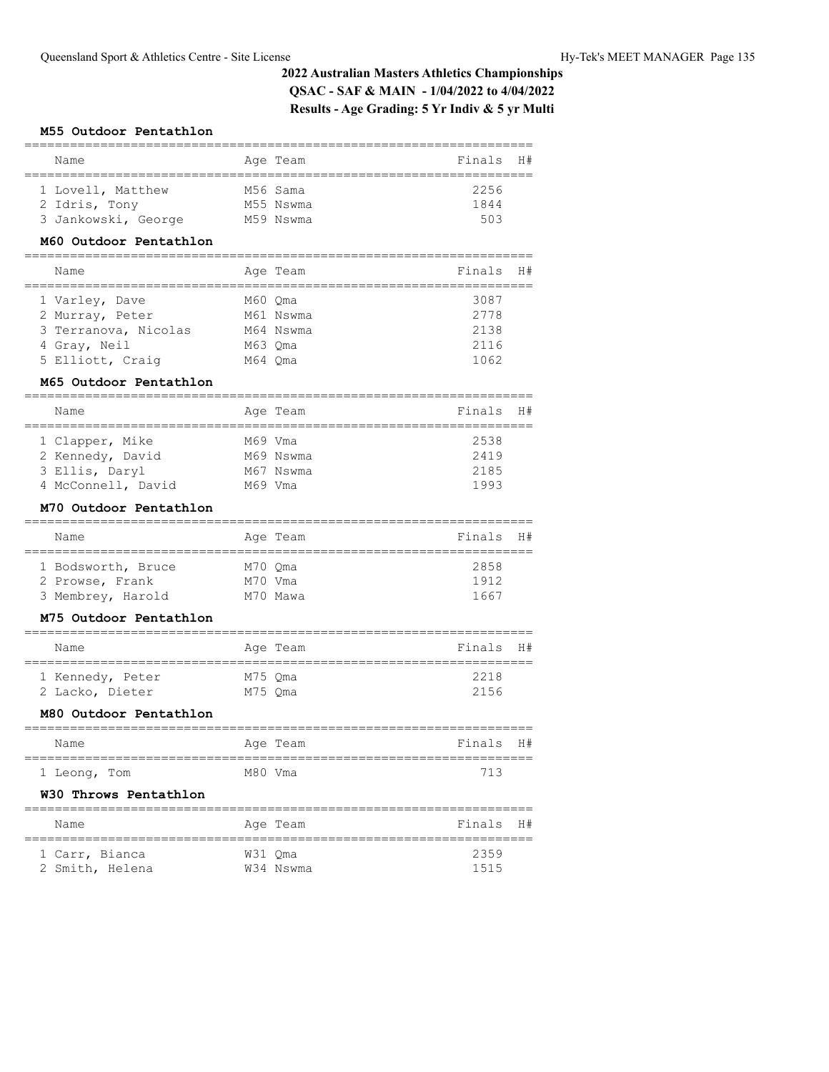#### **M55 Outdoor Pentathlon**

| Name                | Age Team  | Finals H# |  |
|---------------------|-----------|-----------|--|
|                     |           |           |  |
| 1 Lovell, Matthew   | M56 Sama  | 2256      |  |
| 2 Idris, Tony       | M55 Nswma | 1844      |  |
| 3 Jankowski, George | M59 Nswma | 503       |  |

#### **M60 Outdoor Pentathlon**

| Name                 | Age Team  | Finals | - H# |
|----------------------|-----------|--------|------|
| 1 Varley, Dave       | M60 Oma   | 3087   |      |
| 2 Murray, Peter      | M61 Nswma | 2778   |      |
| 3 Terranova, Nicolas | M64 Nswma | 2138   |      |
| 4 Gray, Neil         | M63 Oma   | 2116   |      |
| 5 Elliott, Craig     | M64 Oma   | 1062   |      |

#### **M65 Outdoor Pentathlon**

| Name               |         | Age Team  | Finals H# |  |  |  |  |  |
|--------------------|---------|-----------|-----------|--|--|--|--|--|
|                    |         |           |           |  |  |  |  |  |
| 1 Clapper, Mike    | M69 Vma |           | 2538      |  |  |  |  |  |
| 2 Kennedy, David   |         | M69 Nswma | 2419      |  |  |  |  |  |
| 3 Ellis, Daryl     |         | M67 Nswma | 2185      |  |  |  |  |  |
| 4 McConnell, David | M69 Vma |           | 1993      |  |  |  |  |  |

### **M70 Outdoor Pentathlon**

| Name               |         | Age Team | Finals H# |  |  |  |  |  |
|--------------------|---------|----------|-----------|--|--|--|--|--|
|                    |         |          |           |  |  |  |  |  |
| 1 Bodsworth, Bruce | M70 Oma |          | 2858      |  |  |  |  |  |
| 2 Prowse, Frank    | M70 Vma |          | 1912      |  |  |  |  |  |
| 3 Membrey, Harold  |         | M70 Mawa | 1667      |  |  |  |  |  |

#### **M75 Outdoor Pentathlon**

| Name             |         | Age Team | Finals H# |
|------------------|---------|----------|-----------|
| 1 Kennedy, Peter | M75 Oma |          | 2218      |
| 2 Lacko, Dieter  | M75 Oma |          | 2156      |

#### **M80 Outdoor Pentathlon**

| Name         |         | Age Team | Finals H# |  |
|--------------|---------|----------|-----------|--|
| 1 Leong, Tom | M80 Vma |          | 713       |  |

#### **W30 Throws Pentathlon**

| Name            |         | Age Team  | Finals H# |  |
|-----------------|---------|-----------|-----------|--|
| 1 Carr, Bianca  | W31 Oma |           | 2359      |  |
| 2 Smith, Helena |         | W34 Nswma | 1515      |  |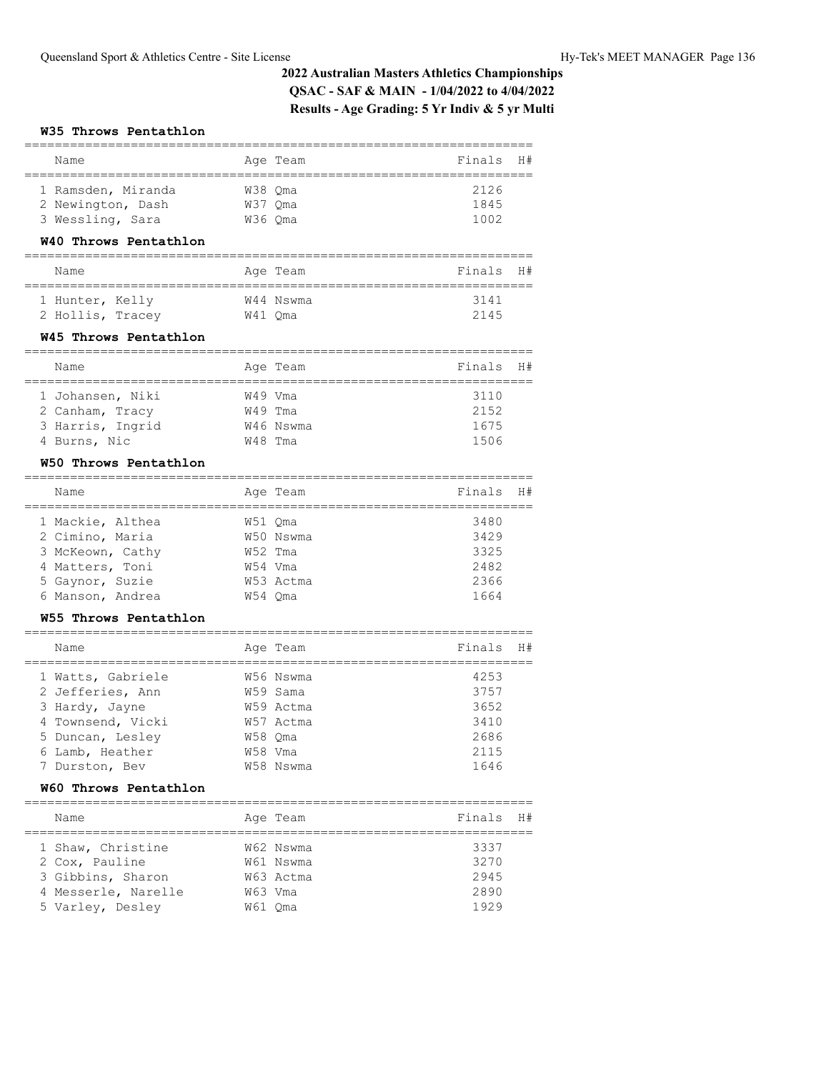#### **W35 Throws Pentathlon**

| Name                                                                                                                                       | Age Team                                                           | ==========<br>Finals<br>H#                   |
|--------------------------------------------------------------------------------------------------------------------------------------------|--------------------------------------------------------------------|----------------------------------------------|
| 1 Ramsden, Miranda<br>2 Newington, Dash<br>3 Wessling, Sara<br>W40 Throws Pentathlon                                                       | W38 Qma<br>W37 Oma<br>W36 Oma                                      | 2126<br>1845<br>1002                         |
| Name                                                                                                                                       | Age Team                                                           | Finals<br>H#                                 |
| 1 Hunter, Kelly<br>2 Hollis, Tracey<br>W45 Throws Pentathlon                                                                               | W44 Nswma<br>W41 Qma                                               | 3141<br>2145                                 |
| Name<br>================================                                                                                                   | Age Team                                                           | Finals<br>H#<br>:===================         |
| 1 Johansen, Niki<br>2 Canham, Tracy<br>3 Harris, Ingrid<br>4 Burns, Nic                                                                    | W49 Vma<br>W49 Tma<br>W46 Nswma<br>W48 Tma                         | 3110<br>2152<br>1675<br>1506                 |
| W50 Throws Pentathlon                                                                                                                      |                                                                    |                                              |
| Name                                                                                                                                       | Age Team                                                           | Finals<br>H#                                 |
| 1 Mackie, Althea<br>2 Cimino, Maria<br>3 McKeown, Cathy<br>4 Matters, Toni<br>5 Gaynor, Suzie<br>6 Manson, Andrea<br>W55 Throws Pentathlon | W51 Oma<br>W50 Nswma<br>W52 Tma<br>W54 Vma<br>W53 Actma<br>W54 Qma | 3480<br>3429<br>3325<br>2482<br>2366<br>1664 |

| Name              |         | Age Team  | Finals | H# |
|-------------------|---------|-----------|--------|----|
| 1 Watts, Gabriele |         | W56 Nswma | 4253   |    |
| 2 Jefferies, Ann  |         | W59 Sama  | 3757   |    |
| 3 Hardy, Jayne    |         | W59 Actma | 3652   |    |
| 4 Townsend, Vicki |         | W57 Actma | 3410   |    |
| 5 Duncan, Lesley  | W58 Oma |           | 2686   |    |
| 6 Lamb, Heather   | W58 Vma |           | 2115   |    |
| 7 Durston, Bev    |         | W58 Nswma | 1646   |    |

## **W60 Throws Pentathlon**

| Name                                | Age Team               | Finals       | H# |
|-------------------------------------|------------------------|--------------|----|
| 1 Shaw, Christine<br>2 Cox, Pauline | W62 Nswma<br>W61 Nswma | 3337<br>3270 |    |
| 3 Gibbins, Sharon                   | W63 Actma              | 2945         |    |
| 4 Messerle, Narelle                 | W63 Vma                | 2890         |    |
| 5 Varley, Desley                    | W61 Oma                | 1929         |    |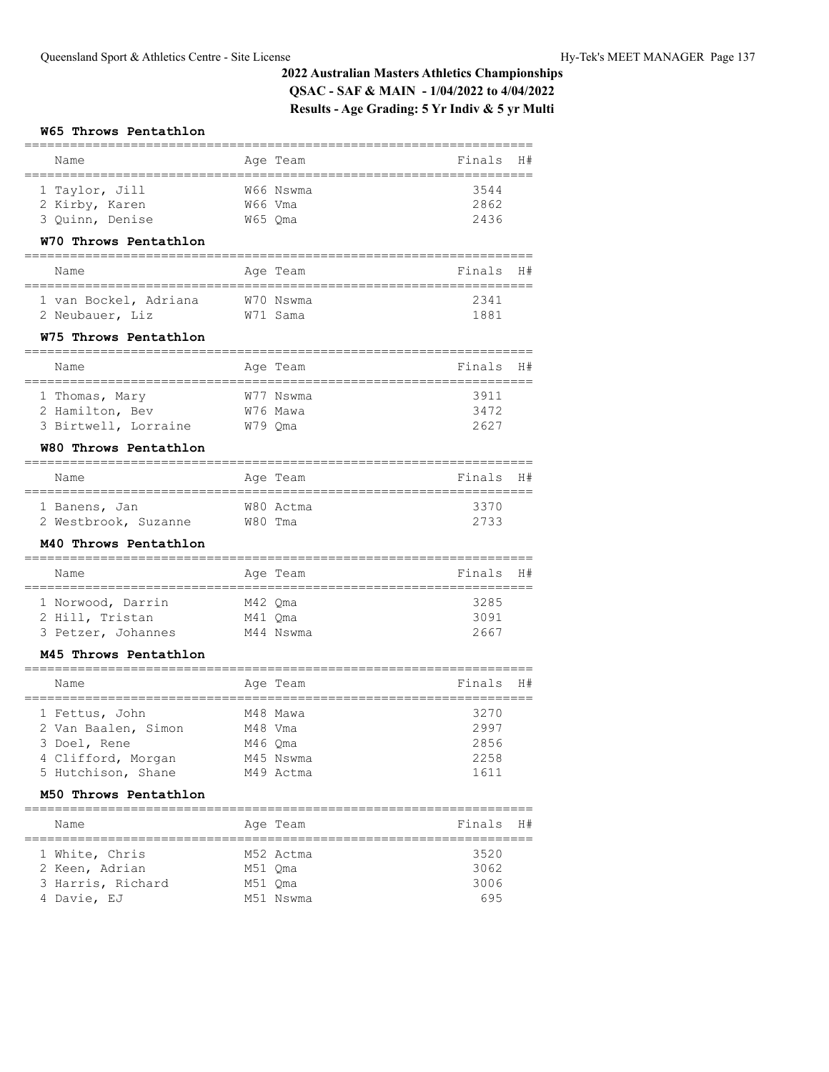#### **W65 Throws Pentathlon**

| Name                                                  |            | Age Team                  | Finals                 | H# |
|-------------------------------------------------------|------------|---------------------------|------------------------|----|
| 1 Taylor, Jill                                        |            | W66 Nswma                 | 3544                   |    |
| 2 Kirby, Karen                                        | W66 Vma    |                           | 2862                   |    |
| 3 Quinn, Denise                                       | W65 Qma    |                           | 2436                   |    |
| W70 Throws Pentathlon                                 |            |                           |                        |    |
| Name                                                  |            | Age Team                  | Finals                 | H# |
| 1 van Bockel, Adriana                                 |            | W70 Nswma                 | 2341                   |    |
| 2 Neubauer, Liz                                       |            | W71 Sama                  | 1881                   |    |
| W75 Throws Pentathlon                                 |            |                           |                        |    |
| Name                                                  |            | Age Team                  | Finals                 | H# |
| 1 Thomas, Mary                                        |            | W77 Nswma                 | 3911                   |    |
| 2 Hamilton, Bev                                       |            | W76 Mawa                  | 3472                   |    |
| 3 Birtwell, Lorraine                                  | W79 Qma    |                           | 2627                   |    |
| W80 Throws Pentathlon                                 |            |                           |                        |    |
| Name                                                  |            | Age Team                  | Finals                 | H# |
| 1 Banens, Jan                                         |            | W80 Actma                 | 3370                   |    |
| 2 Westbrook, Suzanne                                  | W80 Tma    |                           | 2733                   |    |
| M40 Throws Pentathlon                                 |            |                           |                        |    |
| Name<br>===============                               | :========= | Age Team                  | Finals<br>============ | H# |
| 1 Norwood, Darrin                                     | M42 Qma    |                           | 3285                   |    |
| 2 Hill, Tristan                                       | M41 Qma    |                           | 3091                   |    |
| 3 Petzer, Johannes                                    |            | M44 Nswma                 | 2667                   |    |
| M45 Throws Pentathlon                                 |            |                           |                        |    |
| Name                                                  |            | Age Team                  | Finals                 | H# |
| 1 Fettus, John                                        |            | M48 Mawa                  | 3270                   |    |
| 2 Van Baalen, Simon                                   | M48 Vma    |                           | 2997                   |    |
| 3 Doel, Rene                                          | M46 Qma    |                           | 2856                   |    |
| 4 Clifford, Morgan                                    |            | M45 Nswma                 | 2258                   |    |
| 5 Hutchison, Shane                                    |            | M49 Actma                 | 1611                   |    |
| M50 Throws Pentathlon<br>============================ |            |                           |                        |    |
| Name<br>===============                               |            | Age Team<br>============= | Finals<br>============ | H# |
| 1 White, Chris                                        |            | M52 Actma                 | 3520                   |    |
| 2 Keen, Adrian                                        | M51 Qma    |                           | 3062                   |    |
| 3 Harris, Richard                                     | M51 Qma    |                           | 3006                   |    |

===================================================================

4 Davie, EJ M51 Nswma 695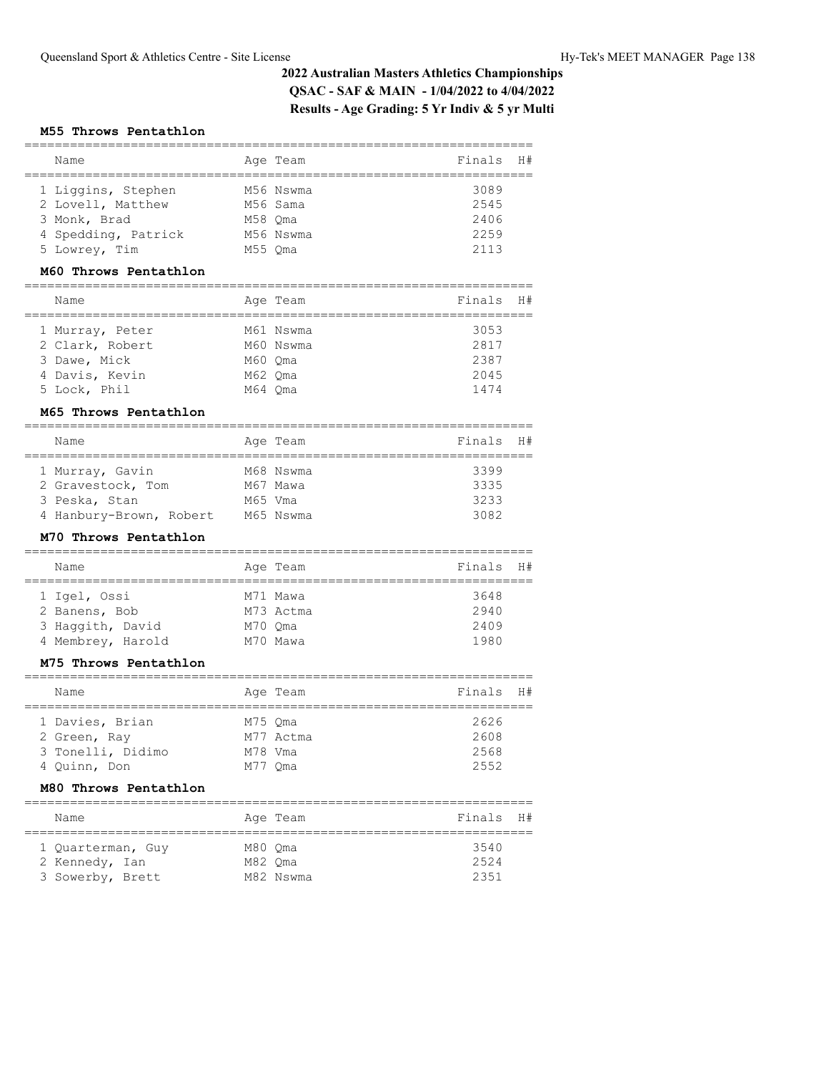#### **M55 Throws Pentathlon**

| Name                |         | Age Team  | Finals | - H # |
|---------------------|---------|-----------|--------|-------|
| 1 Liggins, Stephen  |         | M56 Nswma | 3089   |       |
| 2 Lovell, Matthew   |         | M56 Sama  | 2545   |       |
| 3 Monk, Brad        |         | M58 Oma   | 2406   |       |
| 4 Spedding, Patrick |         | M56 Nswma | 2259   |       |
| 5 Lowrey, Tim       | M55 Oma |           | 2113   |       |
|                     |         |           |        |       |

#### **M60 Throws Pentathlon**

| Name            |         | Age Team  | Finals | - H# |
|-----------------|---------|-----------|--------|------|
| 1 Murray, Peter |         | M61 Nswma | 3053   |      |
| 2 Clark, Robert |         | M60 Nswma | 2817   |      |
| 3 Dawe, Mick    | M60 Oma |           | 2387   |      |
| 4 Davis, Kevin  | M62 Oma |           | 2045   |      |
| 5 Lock, Phil    | M64 Oma |           | 1474   |      |

### **M65 Throws Pentathlon**

| Name                    |         | Age Team  | Finals<br>H# |  |
|-------------------------|---------|-----------|--------------|--|
|                         |         |           |              |  |
| 1 Murray, Gavin         |         | M68 Nswma | 3399         |  |
| 2 Gravestock, Tom       |         | M67 Mawa  | 3335         |  |
| 3 Peska, Stan           | M65 Vma |           | 3233         |  |
| 4 Hanbury-Brown, Robert |         | M65 Nswma | 3082         |  |

#### **M70 Throws Pentathlon**

| Name              |         | Age Team  | Finals H# |  |
|-------------------|---------|-----------|-----------|--|
|                   |         |           |           |  |
| 1 Igel, Ossi      |         | M71 Mawa  | 3648      |  |
| 2 Banens, Bob     |         | M73 Actma | 2940      |  |
| 3 Haqqith, David  | M70 Oma |           | 2409      |  |
| 4 Membrey, Harold |         | M70 Mawa  | 1980      |  |

## **M75 Throws Pentathlon**

| Name              |         | Age Team  | Finals H# |  |
|-------------------|---------|-----------|-----------|--|
|                   |         |           |           |  |
| 1 Davies, Brian   |         | M75 Oma   | 2626      |  |
| 2 Green, Ray      |         | M77 Actma | 2608      |  |
| 3 Tonelli, Didimo | M78 Vma |           | 2568      |  |
| 4 Ouinn, Don      | M77 Oma |           | 2552      |  |

### **M80 Throws Pentathlon**

| Name                                |                    | Age Team  | Finals H#    |  |
|-------------------------------------|--------------------|-----------|--------------|--|
| 1 Quarterman, Guy<br>2 Kennedy, Ian | M80 Oma<br>M82 Oma |           | 3540<br>2524 |  |
| 3 Sowerby, Brett                    |                    | M82 Nswma | 2351         |  |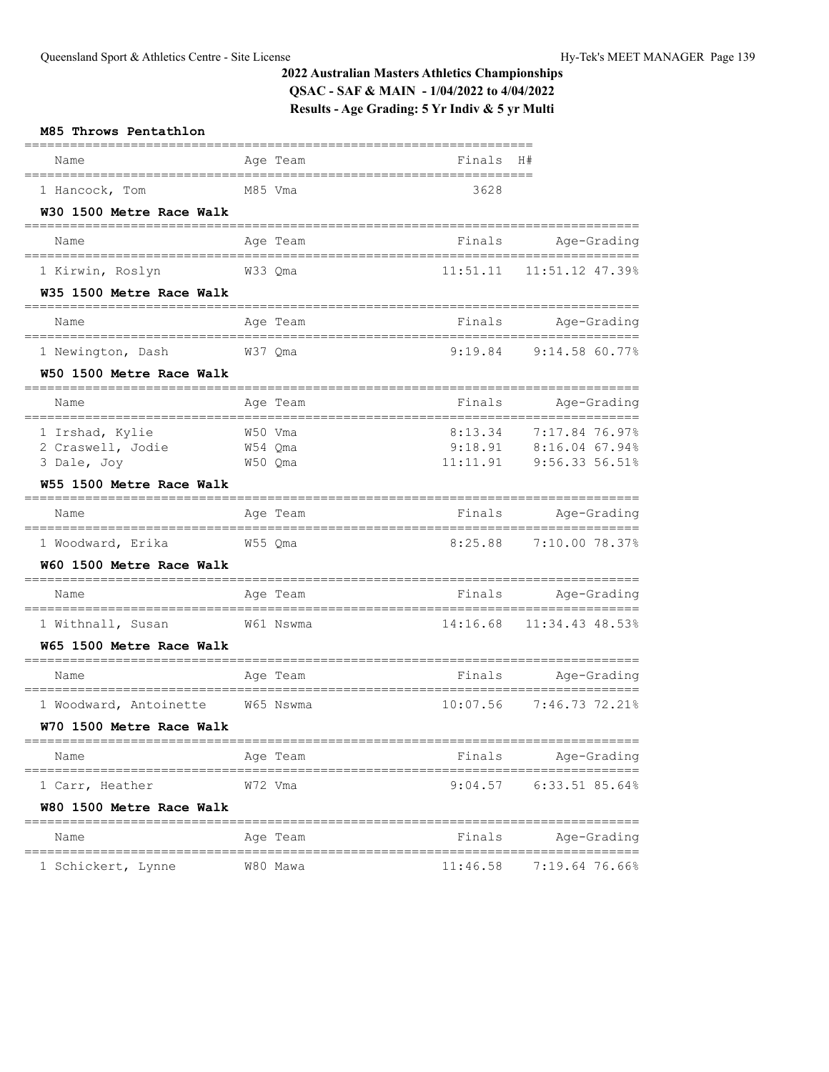| M85 Throws Pentathlon                                        |                    |          |                                                                         |
|--------------------------------------------------------------|--------------------|----------|-------------------------------------------------------------------------|
| Name                                                         | Age Team           | Finals   | H#                                                                      |
| 1 Hancock, Tom<br>W30 1500 Metre Race Walk                   | M85 Vma            | 3628     |                                                                         |
| Name                                                         | Age Team           | Finals   | Age-Grading                                                             |
| 1 Kirwin, Roslyn                                             | W33 Qma            |          | 11:51.11  11:51.12  47.39%                                              |
| W35 1500 Metre Race Walk                                     |                    |          |                                                                         |
| Name                                                         | Age Team           |          | Finals Age-Grading                                                      |
| 1 Newington, Dash W37 Qma                                    |                    |          | 9:19.84 9:14.58 60.77%                                                  |
| W50 1500 Metre Race Walk                                     |                    |          |                                                                         |
| Name                                                         | Age Team           |          | Finals Age-Grading                                                      |
| 1 Irshad, Kylie<br>2 Craswell, Jodie W54 Qma<br>3 Dale, Joy  | W50 Vma<br>W50 Qma | 8:13.34  | 7:17.84 76.97%<br>$9:18.91$ $8:16.04$ 67.94%<br>11:11.91 9:56.33 56.51% |
| W55 1500 Metre Race Walk                                     |                    |          | ======================                                                  |
| Name                                                         | Age Team           |          | Finals Age-Grading                                                      |
| 1 Woodward, Erika                                            | W55 Qma            |          | 8:25.88 7:10.00 78.37%                                                  |
| W60 1500 Metre Race Walk                                     |                    |          |                                                                         |
| Name                                                         | Age Team           |          | Finals Age-Grading                                                      |
| 1 Withnall, Susan<br>W65 1500 Metre Race Walk                | W61 Nswma          | 14:16.68 | 11:34.43 48.53%                                                         |
| Name                                                         | Age Team           |          | ==================<br>Finals Age-Grading                                |
| 1 Woodward, Antoinette W65 Nswma<br>W70 1500 Metre Race Walk |                    | 10:07.56 | 7:46.73 72.21%                                                          |
| Name                                                         | Age Team           | Finals   | =========<br>Age-Grading                                                |
| 1 Carr, Heather<br>W80 1500 Metre Race Walk                  | W72 Vma            | 9:04.57  | ================<br>$6:33.51$ 85.64%                                    |
| Name                                                         | Age Team           | Finals   | Age-Grading                                                             |
| 1 Schickert, Lynne                                           | W80 Mawa           | 11:46.58 | :==============<br>7:19.64 76.66%                                       |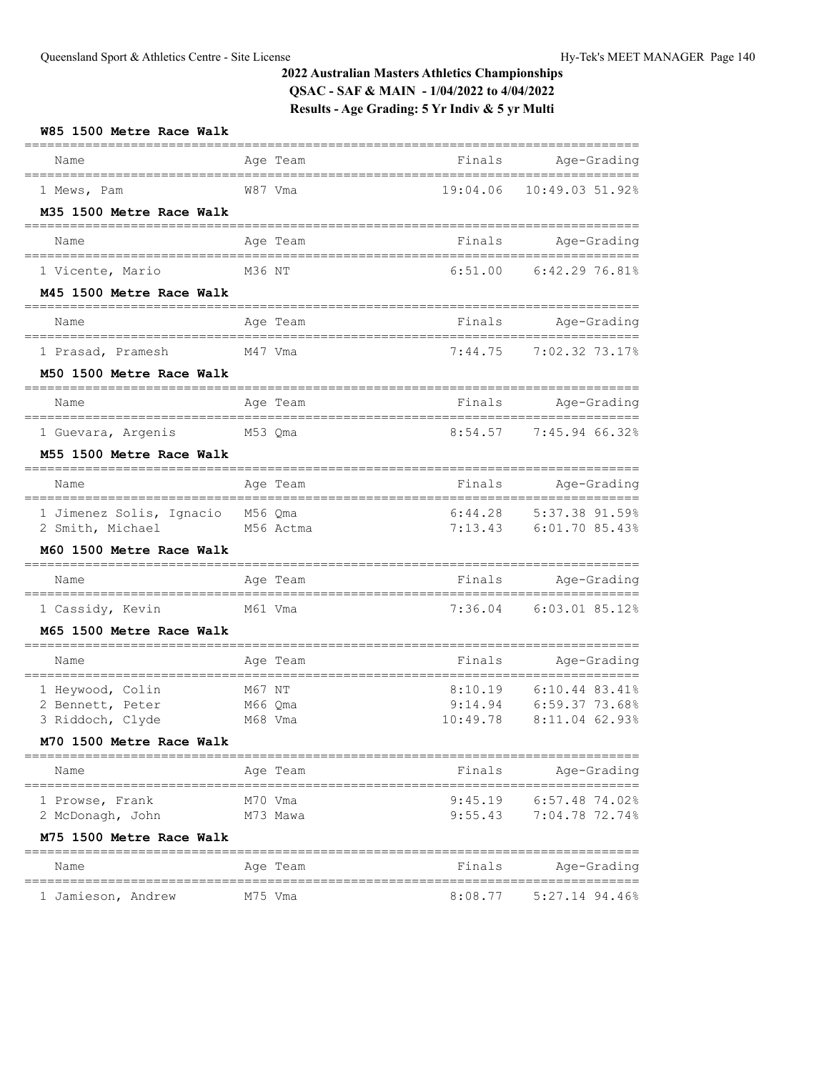| W85 1500 Metre Race Walk                     |                             |                     |                                        |
|----------------------------------------------|-----------------------------|---------------------|----------------------------------------|
| Name                                         | Age Team                    |                     | Finals Age-Grading<br>================ |
| 1 Mews, Pam                                  | W87 Vma                     | 19:04.06            | 10:49.03 51.92%                        |
| M35 1500 Metre Race Walk                     |                             |                     |                                        |
| Name                                         | Age Team                    |                     | Finals Age-Grading<br>================ |
| 1 Vicente, Mario                             | M36 NT                      | 6:51.00             | 6:42.2976.81%                          |
| M45 1500 Metre Race Walk                     |                             |                     |                                        |
| Name                                         | Age Team                    |                     | Finals Age-Grading<br>================ |
| 1 Prasad, Pramesh                            | M47 Vma                     | 7:44.75             | 7:02.32 73.17%                         |
| M50 1500 Metre Race Walk                     |                             |                     |                                        |
| Name                                         | Age Team                    |                     | Finals Age-Grading                     |
| 1 Guevara, Argenis                           | ----------------<br>M53 Qma | 8:54.57             | 7:45.94 66.32%                         |
| M55 1500 Metre Race Walk                     |                             |                     |                                        |
| Name                                         | Age Team                    | Finals              | Age-Grading                            |
| 1 Jimenez Solis, Ignacio M56 Qma             | ------------                | 6:44.28             | =================<br>5:37.38 91.59%    |
| 2 Smith, Michael                             | M56 Actma                   |                     | 7:13.43 6:01.70 85.43%                 |
| M60 1500 Metre Race Walk                     |                             |                     |                                        |
| Name                                         | Age Team                    |                     | Finals Age-Grading<br>==========       |
| 1 Cassidy, Kevin<br>M61 Vma                  |                             |                     | 7:36.04 6:03.01 85.12%                 |
| M65 1500 Metre Race Walk                     |                             |                     |                                        |
| Name                                         | Age Team                    |                     | Finals Age-Grading<br>==========       |
| 1 Heywood, Colin                             | M67 NT                      | 8:10.19             | 6:10.44 83.41%                         |
| 2 Bennett, Peter                             | M66 Qma                     | 9:14.94<br>10:49.78 | 6:59.37 73.68%<br>8:11.04 62.93%       |
| 3 Riddoch, Clyde<br>M70 1500 Metre Race Walk | M68 Vma                     |                     |                                        |
| Name                                         | Age Team                    | Finals              | Age-Grading                            |
| 1 Prowse, Frank                              | M70 Vma                     | 9:45.19             | $6:57.48$ 74.02%                       |
| 2 McDonagh, John                             | M73 Mawa                    | 9:55.43             | 7:04.78 72.74%                         |
| M75 1500 Metre Race Walk                     |                             |                     |                                        |
| Name                                         | Age Team                    | Finals              | Age-Grading                            |
| 1 Jamieson, Andrew                           | M75 Vma                     | 8:08.77             | $5:27.14$ 94.46%                       |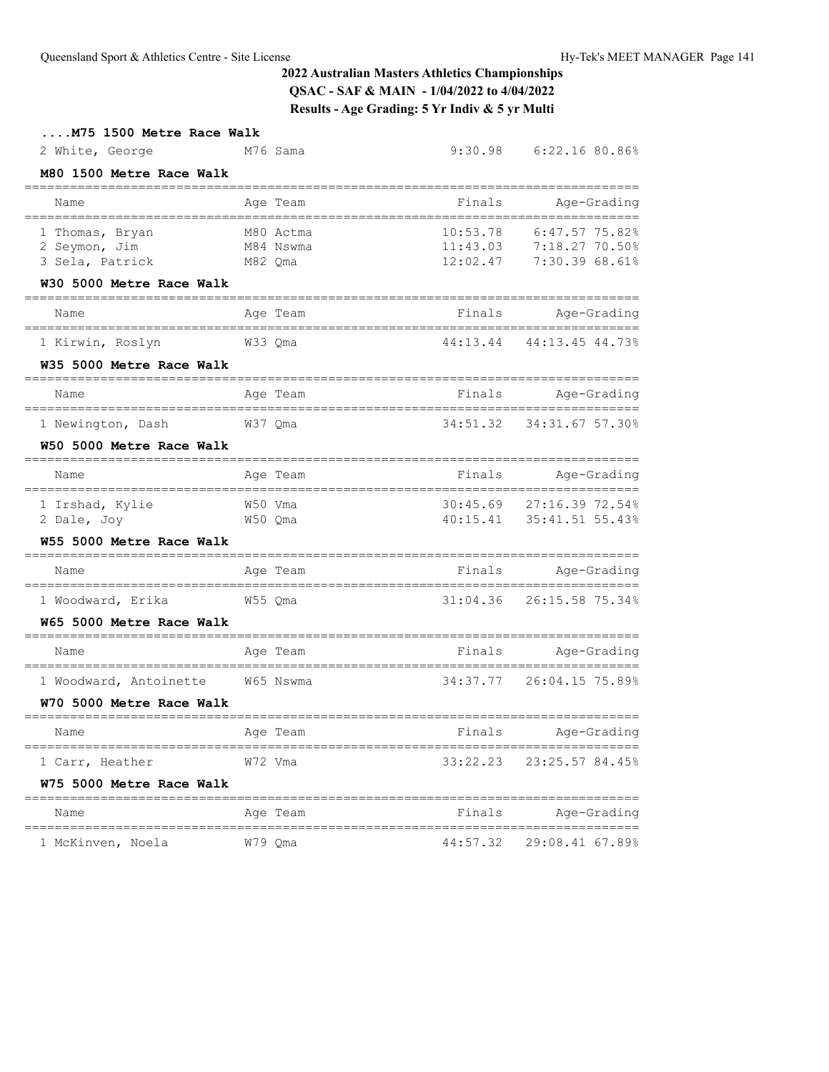| M75 1500 Metre Race Walk                                          |                                   |                         |                                                                                  |
|-------------------------------------------------------------------|-----------------------------------|-------------------------|----------------------------------------------------------------------------------|
| 2 White, George                                                   | M76 Sama                          |                         | 9:30.98 6:22.16 80.86%                                                           |
| M80 1500 Metre Race Walk<br>=======<br>========================== |                                   |                         |                                                                                  |
| Name<br>================================                          | Age Team                          | Finals<br>============= | Age-Grading                                                                      |
| 1 Thomas, Bryan<br>2 Seymon, Jim<br>3 Sela, Patrick               | M80 Actma<br>M84 Nswma<br>M82 Qma | 10:53.78<br>12:02.47    | ==================<br>6:47.5775.82%<br>11:43.03 7:18.27 70.50%<br>7:30.39 68.61% |
| W30 5000 Metre Race Walk                                          |                                   |                         |                                                                                  |
| Name                                                              | Age Team                          | Finals                  | Age-Grading                                                                      |
| 1 Kirwin, Roslyn<br>W35 5000 Metre Race Walk                      | W33 Qma                           | 44:13.44                | 44:13.45 44.73%                                                                  |
| Name                                                              | Age Team                          | Finals                  | Age-Grading                                                                      |
| 1 Newington, Dash                                                 | W37 Qma                           | 34:51.32                | 34:31.67 57.30%                                                                  |
| W50 5000 Metre Race Walk<br>___________________________           | =============                     |                         |                                                                                  |
| Name                                                              | Age Team                          | Finals                  | Age-Grading                                                                      |
| 1 Irshad, Kylie<br>2 Dale, Joy                                    | W50 Vma<br>W50 Qma                |                         | 30:45.69 27:16.39 72.54%<br>40:15.41 35:41.51 55.43%                             |
| W55 5000 Metre Race Walk                                          |                                   |                         |                                                                                  |
| Name                                                              | Age Team                          | Finals                  | Aqe-Grading                                                                      |
| 1 Woodward, Erika                                                 | W55 Qma                           | 31:04.36                | 26:15.58 75.34%                                                                  |
| W65 5000 Metre Race Walk                                          |                                   |                         |                                                                                  |
| Name                                                              | Age Team                          | Finals                  | Age-Grading                                                                      |
| 1 Woodward, Antoinette W65 Nswma                                  |                                   | 34:37.77                | 26:04.15 75.89%                                                                  |
| W70 5000 Metre Race Walk                                          |                                   |                         |                                                                                  |
| Name                                                              | Age Team                          | Finals                  | Age-Grading                                                                      |
| 1 Carr, Heather<br>W75 5000 Metre Race Walk                       | W72 Vma                           |                         | 33:22.23 23:25.57 84.45%                                                         |
| Name                                                              | Age Team                          | Finals                  | Age-Grading                                                                      |
| 1 McKinven, Noela                                                 | W79 Oma                           |                         | 44:57.32 29:08.41 67.89%                                                         |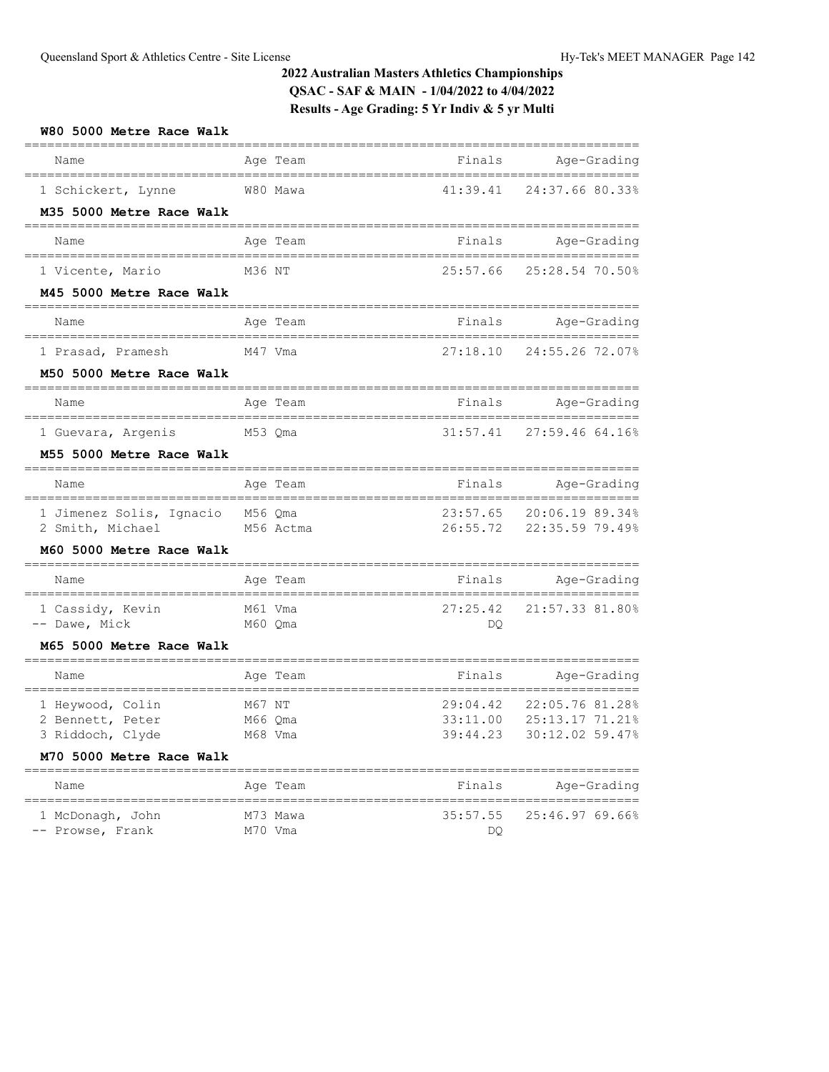| W80 5000 Metre Race Walk                                                             |                                 |                                                              |                                                                |
|--------------------------------------------------------------------------------------|---------------------------------|--------------------------------------------------------------|----------------------------------------------------------------|
| Name                                                                                 | Age Team                        | Finals                                                       | Age-Grading                                                    |
| 1 Schickert, Lynne<br>M35 5000 Metre Race Walk                                       | W80 Mawa                        |                                                              | 41:39.41 24:37.66 80.33%                                       |
|                                                                                      |                                 |                                                              |                                                                |
| Name                                                                                 | Age Team                        | Finals                                                       | Age-Grading                                                    |
| 1 Vicente, Mario                                                                     | M36 NT                          |                                                              | 25:57.66 25:28.54 70.50%                                       |
| M45 5000 Metre Race Walk                                                             |                                 |                                                              |                                                                |
| Name                                                                                 | Age Team                        |                                                              | Finals Age-Grading                                             |
| 1 Prasad, Pramesh M47 Vma                                                            |                                 |                                                              | 27:18.10 24:55.26 72.07%                                       |
| M50 5000 Metre Race Walk                                                             |                                 |                                                              |                                                                |
| Name                                                                                 | Age Team                        |                                                              | Finals Age-Grading                                             |
| 1 Guevara, Argenis M53 Qma                                                           |                                 |                                                              | 31:57.41 27:59.46 64.16%                                       |
| M55 5000 Metre Race Walk                                                             |                                 |                                                              |                                                                |
| Name                                                                                 | Age Team                        |                                                              | Finals Age-Grading                                             |
| 1 Jimenez Solis, Ignacio M56 Qma<br>2 Smith, Michael                                 | M56 Actma                       |                                                              | 23:57.65 20:06.19 89.34%<br>26:55.72 22:35.59 79.49%           |
| M60 5000 Metre Race Walk                                                             |                                 |                                                              |                                                                |
| Name                                                                                 | Age Team                        |                                                              | Finals Age-Grading                                             |
| 1 Cassidy, Kevin<br>-- Dawe, Mick<br>M60 Qma                                         | M61 Vma                         | 27:25.42<br>DQ                                               | 21:57.33 81.80%                                                |
| M65 5000 Metre Race Walk                                                             |                                 |                                                              | =================                                              |
| Name                                                                                 | Age Team                        | Finals                                                       | Age-Grading                                                    |
| 1 Heywood, Colin<br>2 Bennett, Peter<br>3 Riddoch, Clyde<br>M70 5000 Metre Race Walk | M67 NT<br>M66 Qma<br>M68 Vma    | ====================================<br>29:04.42<br>33:11.00 | 22:05.76 81.28%<br>25:13.17 71.21%<br>39:44.23 30:12.02 59.47% |
| Name                                                                                 | Age Team                        | Finals                                                       | Age-Grading                                                    |
| 1 McDonagh, John<br>-- Prowse, Frank                                                 | --------<br>M73 Mawa<br>M70 Vma | =====================<br>35:57.55<br>DQ                      | ______________<br>25:46.97 69.66%                              |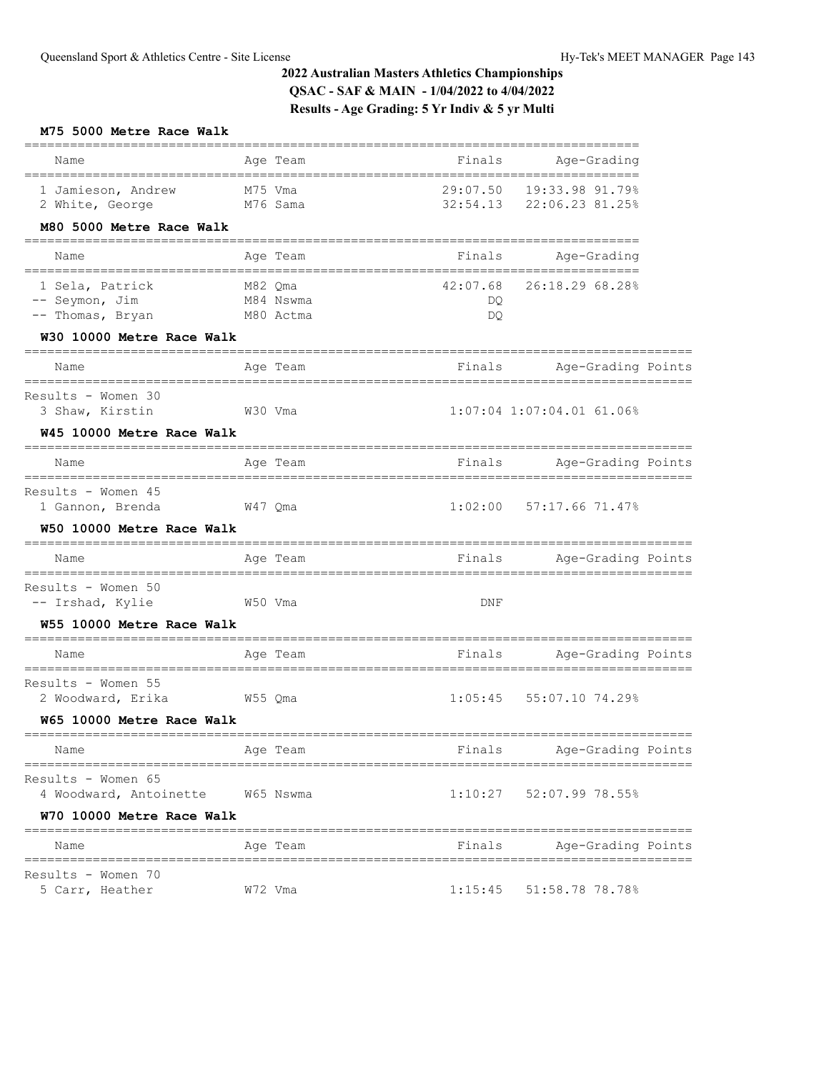## **M75 5000 Metre Race Walk**

|                                                                    |                      |          |            | _________________                           |  |
|--------------------------------------------------------------------|----------------------|----------|------------|---------------------------------------------|--|
| Name                                                               |                      | Age Team |            | Finals Age-Grading<br>=================     |  |
| 1 Jamieson, Andrew<br>2 White, George<br>M76 Sama                  | M75 Vma              |          | 29:07.50   | 19:33.98 91.79%<br>32:54.13 22:06.23 81.25% |  |
| M80 5000 Metre Race Walk<br>;===================================== |                      |          |            |                                             |  |
| Name                                                               |                      | Age Team |            | Finals Age-Grading                          |  |
| 1 Sela, Patrick                                                    | M82 Qma<br>M84 Nswma |          | 42:07.68   | 26:18.29 68.28%                             |  |
| -- Seymon, Jim<br>-- Thomas, Bryan M80 Actma                       |                      |          | DQ.<br>DQ. |                                             |  |
| W30 10000 Metre Race Walk                                          |                      |          |            |                                             |  |
| Name                                                               |                      | Age Team |            | Finals Mge-Grading Points                   |  |
| Results - Women 30<br>3 Shaw, Kirstin<br>W30 Vma                   |                      |          |            | $1:07:04$ 1:07:04.01 61.06%                 |  |
| W45 10000 Metre Race Walk                                          |                      |          |            |                                             |  |
| Name                                                               |                      | Age Team |            | Finals Mge-Grading Points                   |  |
| Results - Women 45<br>1 Gannon, Brenda<br>W47 Qma                  |                      |          |            | $1:02:00$ 57:17.66 71.47%                   |  |
| W50 10000 Metre Race Walk                                          |                      |          |            |                                             |  |
| Name                                                               |                      | Age Team | Finals     | Age-Grading Points                          |  |
| Results - Women 50<br>-- Irshad, Kylie<br>W50 Vma                  |                      |          | DNF        |                                             |  |
| W55 10000 Metre Race Walk                                          |                      |          |            |                                             |  |
| Name                                                               |                      | Age Team | Finals     | Age-Grading Points                          |  |
| Results - Women 55<br>2 Woodward, Erika<br>w55 Qma                 |                      |          | 1:05:45    | 55:07.10 74.29%                             |  |
| W65 10000 Metre Race Walk                                          |                      |          |            |                                             |  |
| Name                                                               | Age Team             |          |            | Finals Age-Grading Points                   |  |
| Results - Women 65<br>4 Woodward, Antoinette W65 Nswma             |                      |          |            | $1:10:27$ 52:07.99 78.55%                   |  |
| W70 10000 Metre Race Walk                                          |                      |          |            |                                             |  |
| Name                                                               |                      | Age Team | Finals     | Age-Grading Points                          |  |
| Results - Women 70<br>5 Carr, Heather                              | W72 Vma              |          | 1:15:45    | 51:58.78 78.78%                             |  |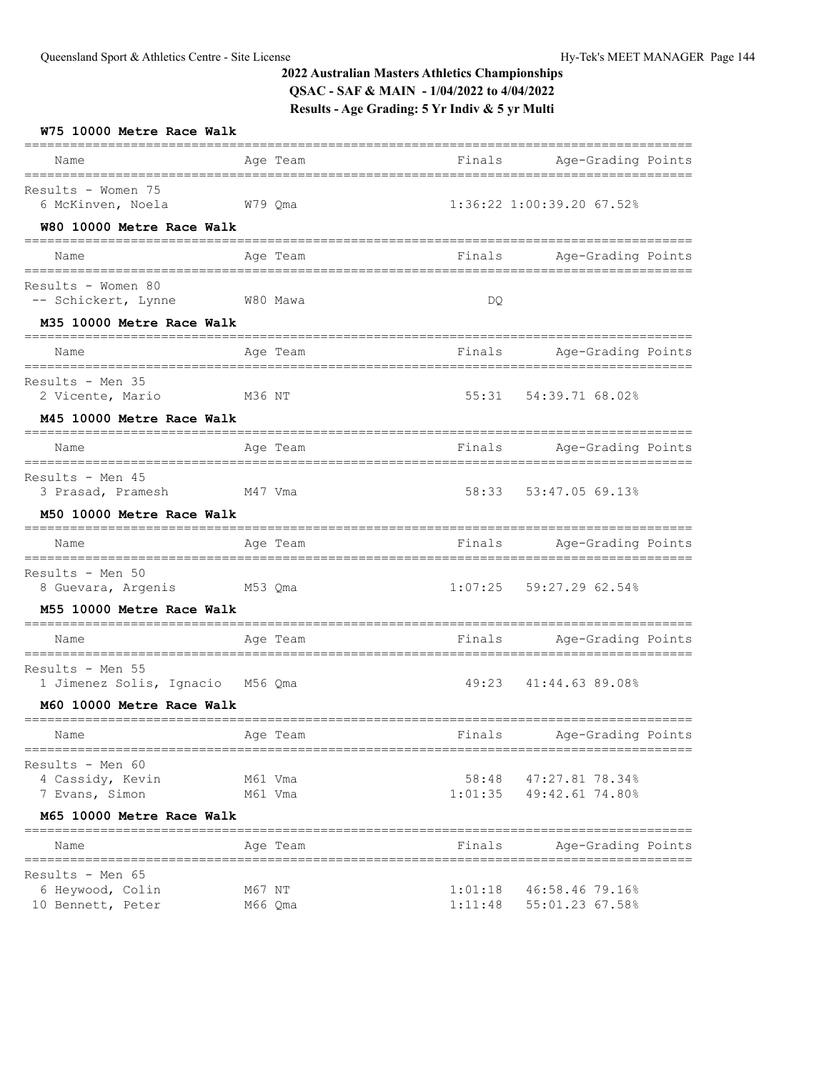| W75 10000 Metre Race Walk                                 |                    |          |                    |                                                    |  |
|-----------------------------------------------------------|--------------------|----------|--------------------|----------------------------------------------------|--|
| Name                                                      |                    | Age Team |                    | Finals Mge-Grading Points                          |  |
| Results - Women 75<br>6 McKinven, Noela                   | W79 Qma            |          |                    | 1:36:22 1:00:39.20 67.52%                          |  |
| W80 10000 Metre Race Walk                                 |                    |          |                    |                                                    |  |
| Name                                                      |                    | Age Team |                    | Finals Mge-Grading Points                          |  |
| Results - Women 80<br>-- Schickert, Lynne W80 Mawa        |                    |          | DQ.                |                                                    |  |
| M35 10000 Metre Race Walk                                 |                    |          |                    |                                                    |  |
| Name                                                      |                    | Age Team |                    | Finals Age-Grading Points                          |  |
| Results - Men 35<br>2 Vicente, Mario                      | M36 NT             |          |                    | 55:31 54:39.71 68.02%                              |  |
| M45 10000 Metre Race Walk                                 |                    |          |                    |                                                    |  |
| Name                                                      |                    | Age Team |                    | Finals Mge-Grading Points                          |  |
| Results - Men 45<br>3 Prasad, Pramesh M47 Vma             |                    |          |                    | 58:33 53:47.05 69.13%                              |  |
| M50 10000 Metre Race Walk                                 |                    |          |                    |                                                    |  |
| Name                                                      | Age Team           |          |                    | Finals Mge-Grading Points                          |  |
| Results - Men 50<br>8 Guevara, Argenis M53 Qma            |                    |          |                    | $1:07:25$ 59:27.29 62.54%                          |  |
| M55 10000 Metre Race Walk                                 |                    |          |                    |                                                    |  |
| Name                                                      |                    | Age Team |                    | Finals Mge-Grading Points                          |  |
| Results - Men 55<br>1 Jimenez Solis, Ignacio M56 Qma      |                    |          | 49:23              | 41:44.63 89.08%                                    |  |
| M60 10000 Metre Race Walk                                 |                    |          |                    |                                                    |  |
| Age Team<br>Name                                          |                    |          |                    | Finals Age-Grading Points                          |  |
| Results - Men 60<br>4 Cassidy, Kevin<br>7 Evans, Simon    | M61 Vma<br>M61 Vma |          |                    | 58:48 47:27.81 78.34%<br>$1:01:35$ 49:42.61 74.80% |  |
| M65 10000 Metre Race Walk                                 |                    |          |                    |                                                    |  |
| Name                                                      |                    | Age Team | Finals             | Age-Grading Points                                 |  |
| Results - Men 65<br>6 Heywood, Colin<br>10 Bennett, Peter | M67 NT<br>M66 Qma  |          | 1:01:18<br>1:11:48 | 46:58.46 79.16%<br>55:01.23 67.58%                 |  |